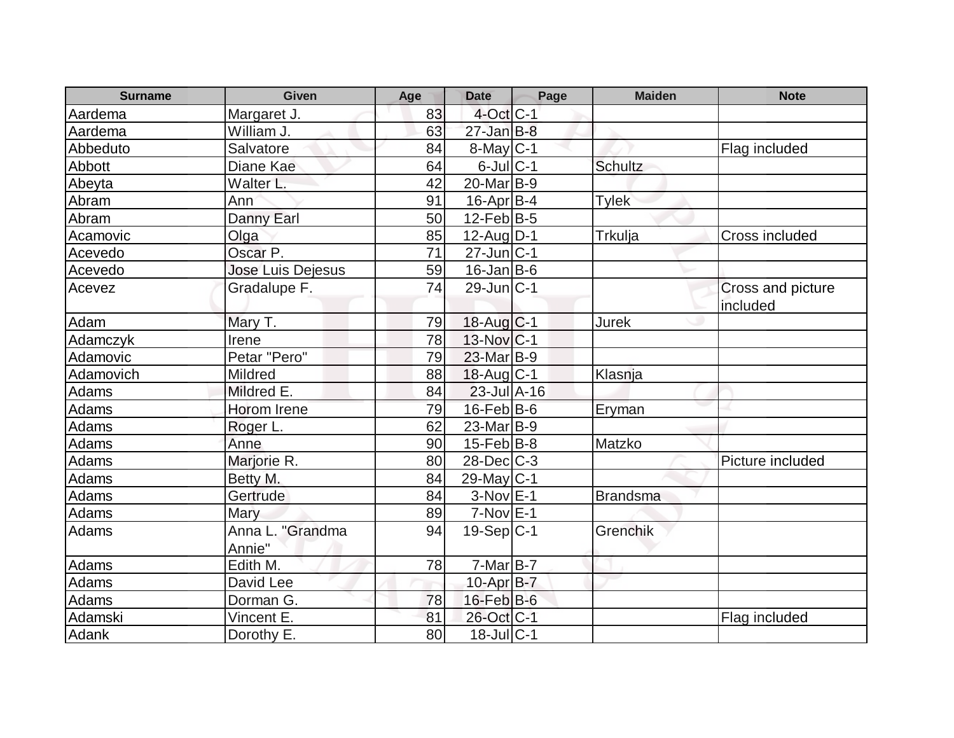| <b>Surname</b> | <b>Given</b>               | Age | <b>Date</b>       | Page | <b>Maiden</b>   | <b>Note</b>                   |
|----------------|----------------------------|-----|-------------------|------|-----------------|-------------------------------|
| Aardema        | Margaret J.                | 83  | $4$ -Oct $ C-1 $  |      |                 |                               |
| Aardema        | William J.                 | 63  | $27 - Jan$ $B-8$  |      |                 |                               |
| Abbeduto       | Salvatore                  | 84  | $8$ -May $C$ -1   |      |                 | Flag included                 |
| Abbott         | Diane Kae                  | 64  | $6$ -Jul $C-1$    |      | <b>Schultz</b>  |                               |
| Abeyta         | Walter L.                  | 42  | $20$ -Mar $B-9$   |      |                 |                               |
| Abram          | Ann                        | 91  | $16$ -Apr $ B-4$  |      | <b>Tylek</b>    |                               |
| Abram          | Danny Earl                 | 50  | $12$ -Feb $ B-5 $ |      |                 |                               |
| Acamovic       | Olga                       | 85  | $12$ -Aug $ D-1 $ |      | <b>Trkulja</b>  | Cross included                |
| Acevedo        | Oscar P.                   | 71  | $27$ -Jun $ C-1$  |      |                 |                               |
| Acevedo        | <b>Jose Luis Dejesus</b>   | 59  | $16$ -Jan B-6     |      |                 |                               |
| Acevez         | Gradalupe F.               | 74  | $29$ -Jun $ C-1$  |      |                 | Cross and picture<br>included |
| Adam           | Mary T.                    | 79  | 18-Aug C-1        |      | Jurek           |                               |
| Adamczyk       | Irene                      | 78  | 13-Nov C-1        |      |                 |                               |
| Adamovic       | Petar "Pero"               | 79  | 23-Mar B-9        |      |                 |                               |
| Adamovich      | Mildred                    | 88  | $18$ -Aug $C-1$   |      | Klasnja         |                               |
| Adams          | Mildred E.                 | 84  | $23$ -Jul $A-16$  |      |                 |                               |
| Adams          | Horom Irene                | 79  | $16$ -Feb $ B$ -6 |      | Eryman          |                               |
| Adams          | Roger L.                   | 62  | $23$ -Mar $B-9$   |      |                 |                               |
| Adams          | Anne                       | 90  | $15$ -Feb $ B-8 $ |      | Matzko          |                               |
| Adams          | Marjorie R.                | 80  | $28$ -Dec $C$ -3  |      |                 | Picture included              |
| Adams          | Betty M.                   | 84  | 29-May $C-1$      |      |                 |                               |
| Adams          | Gertrude                   | 84  | $3-NovE-1$        |      | <b>Brandsma</b> |                               |
| Adams          | Mary                       | 89  | $7-Nov$ E-1       |      |                 |                               |
| Adams          | Anna L. "Grandma<br>Annie" | 94  | $19-Sep C-1$      |      | Grenchik        |                               |
| Adams          | Edith M.                   | 78  | $7-Mar$ B-7       |      |                 |                               |
| <b>Adams</b>   | David Lee                  |     | 10-Apr B-7        |      |                 |                               |
| Adams          | Dorman G.                  | 78  | $16$ -Feb $B$ -6  |      |                 |                               |
| Adamski        | Vincent E.                 | 81  | 26-Oct C-1        |      |                 | Flag included                 |
| Adank          | Dorothy E.                 | 80  | $18$ -Jul $ C-1$  |      |                 |                               |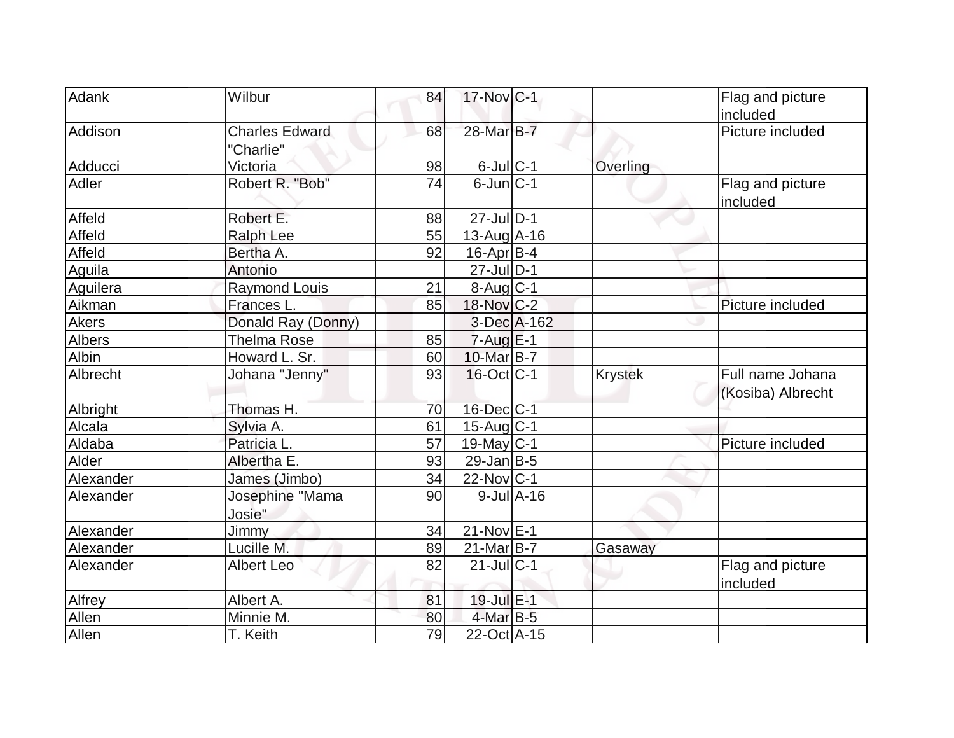| Adank         | Wilbur                | 84 | 17-Nov C-1             |                  |                | Flag and picture  |
|---------------|-----------------------|----|------------------------|------------------|----------------|-------------------|
|               |                       |    |                        |                  |                | included          |
| Addison       | <b>Charles Edward</b> | 68 | 28-Mar B-7             |                  |                | Picture included  |
|               | "Charlie"             |    |                        |                  |                |                   |
| Adducci       | Victoria              | 98 | $6$ -Jul $C$ -1        |                  | Overling       |                   |
| Adler         | Robert R. "Bob"       | 74 | $6$ -Jun $C-1$         |                  |                | Flag and picture  |
|               |                       |    |                        |                  |                | included          |
| Affeld        | Robert E.             | 88 | $27$ -Jul $ D-1 $      |                  |                |                   |
| Affeld        | <b>Ralph Lee</b>      | 55 | 13-Aug A-16            |                  |                |                   |
| Affeld        | Bertha A.             | 92 | $16$ -Apr $ B-4$       |                  |                |                   |
| Aguila        | Antonio               |    | $27$ -Jul $ D-1$       |                  |                |                   |
| Aguilera      | <b>Raymond Louis</b>  | 21 | $8-Aug$ <sub>C-1</sub> |                  |                |                   |
| Aikman        | Frances L.            | 85 | 18-Nov C-2             |                  |                | Picture included  |
| <b>Akers</b>  | Donald Ray (Donny)    |    |                        | 3-Dec A-162      |                |                   |
| <b>Albers</b> | <b>Thelma Rose</b>    | 85 | $7 - Aug$ $E-1$        |                  |                |                   |
| Albin         | Howard L. Sr.         | 60 | 10-Mar B-7             |                  |                |                   |
| Albrecht      | Johana "Jenny"        | 93 | $16$ -Oct $ C-1 $      |                  | <b>Krystek</b> | Full name Johana  |
|               |                       |    |                        |                  |                | (Kosiba) Albrecht |
| Albright      | Thomas H.             | 70 | 16-Dec C-1             |                  |                |                   |
| Alcala        | Sylvia A.             | 61 | $15$ -Aug $C-1$        |                  |                |                   |
| Aldaba        | Patricia L.           | 57 | 19-May C-1             |                  |                | Picture included  |
| Alder         | Albertha E.           | 93 | $29$ -Jan B-5          |                  |                |                   |
| Alexander     | James (Jimbo)         | 34 | $22$ -Nov $ C-1 $      |                  |                |                   |
| Alexander     | Josephine "Mama       | 90 |                        | $9$ -Jul $A$ -16 |                |                   |
|               | Josie"                |    |                        |                  |                |                   |
| Alexander     | <b>Jimmy</b>          | 34 | $21$ -Nov $E$ -1       |                  |                |                   |
| Alexander     | Lucille M.            | 89 | $21$ -Mar $B$ -7       |                  | Gasaway        |                   |
| Alexander     | <b>Albert Leo</b>     | 82 | $21$ -Jul $C-1$        |                  |                | Flag and picture  |
|               |                       |    |                        |                  |                | included          |
| Alfrey        | Albert A.             | 81 | 19-Jul E-1             |                  |                |                   |
| Allen         | Minnie M.             | 80 | $4$ -Mar $B-5$         |                  |                |                   |
| Allen         | T. Keith              | 79 | 22-Oct A-15            |                  |                |                   |
|               |                       |    |                        |                  |                |                   |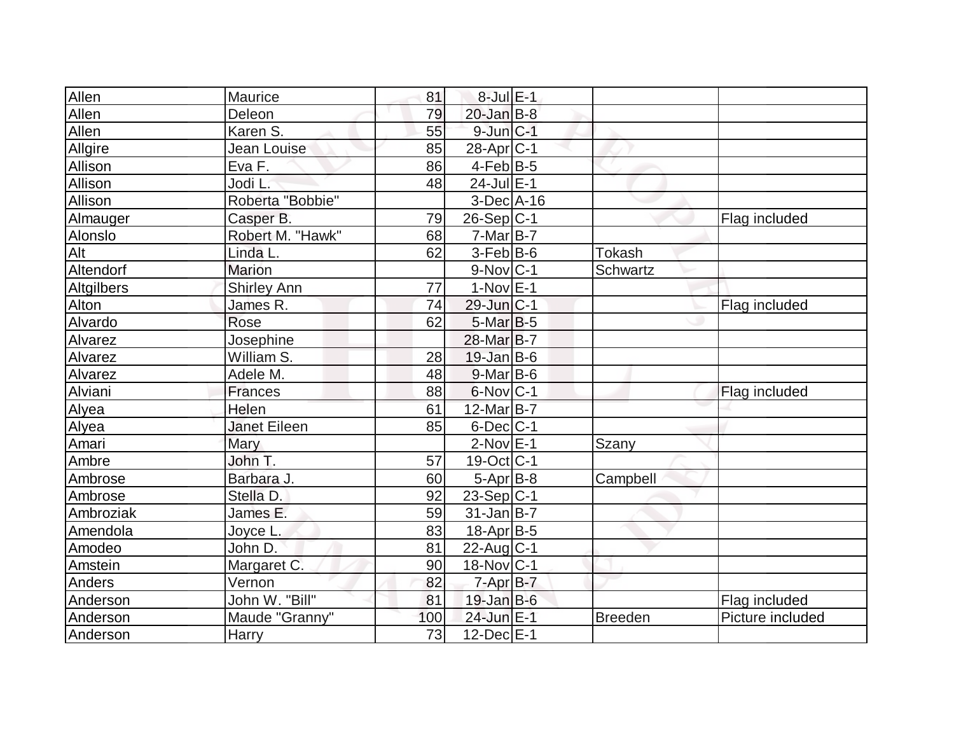| Allen      | Maurice             | 81  | $8$ -Jul $E-1$              |                |                  |
|------------|---------------------|-----|-----------------------------|----------------|------------------|
| Allen      | Deleon              | 79  | $20$ -Jan $B-8$             |                |                  |
| Allen      | Karen S.            | 55  | $9$ -Jun $C-1$              |                |                  |
| Allgire    | Jean Louise         | 85  | 28-Apr <sub>C-1</sub>       |                |                  |
| Allison    | Eva F.              | 86  | $4-Feb$ B-5                 |                |                  |
| Allison    | Jodi L.             | 48  | $24$ -Jul $E-1$             |                |                  |
| Allison    | Roberta "Bobbie"    |     | $3-Dec$ $A-16$              |                |                  |
| Almauger   | Casper B.           | 79  | $26-Sep C-1$                |                | Flag included    |
| Alonslo    | Robert M. "Hawk"    | 68  | $7-Mar$ B-7                 |                |                  |
| Alt        | Linda L.            | 62  | $3-Feb B-6$                 | <b>Tokash</b>  |                  |
| Altendorf  | <b>Marion</b>       |     | $9-Nov C-1$                 | Schwartz       |                  |
| Altgilbers | <b>Shirley Ann</b>  | 77  | $1-Nov$ E-1                 |                |                  |
| Alton      | James R.            | 74  | 29-Jun C-1                  |                | Flag included    |
| Alvardo    | Rose                | 62  | $5$ -Mar $B$ -5             |                |                  |
| Alvarez    | Josephine           |     | 28-Mar <sub>B</sub> -7      |                |                  |
| Alvarez    | William S.          | 28  | $19$ -Jan B-6               |                |                  |
| Alvarez    | Adele M.            | 48  | $9$ -Mar $ B$ -6            |                |                  |
| Alviani    | Frances             | 88  | $6$ -Nov $ C-1$             |                | Flag included    |
| Alyea      | Helen               | 61  | $12$ -Mar $\overline{B}$ -7 |                |                  |
| Alyea      | <b>Janet Eileen</b> | 85  | $6$ -Dec $C$ -1             |                |                  |
| Amari      | Mary                |     | $2$ -Nov $E-1$              | Szany          |                  |
| Ambre      | John T.             | 57  | $19-Oct$ <sub>C-1</sub>     |                |                  |
| Ambrose    | Barbara J.          | 60  | $5-Apr$ B-8                 | Campbell       |                  |
| Ambrose    | Stella D.           | 92  | $23-Sep C-1$                |                |                  |
| Ambroziak  | James E.            | 59  | $31$ -Jan B-7               |                |                  |
| Amendola   | Joyce L.            | 83  | 18-Apr B-5                  |                |                  |
| Amodeo     | John D.             | 81  | $22$ -Aug $C-1$             |                |                  |
| Amstein    | Margaret C.         | 90  | $18-Nov$ <sub>C-1</sub>     |                |                  |
| Anders     | Vernon              | 82  | $7 - Apr$ B-7               |                |                  |
| Anderson   | John W. "Bill"      | 81  | $19$ -Jan B-6               |                | Flag included    |
| Anderson   | Maude "Granny"      | 100 | 24-Jun E-1                  | <b>Breeden</b> | Picture included |
| Anderson   | <b>Harry</b>        | 73  | $12$ -Dec $E-1$             |                |                  |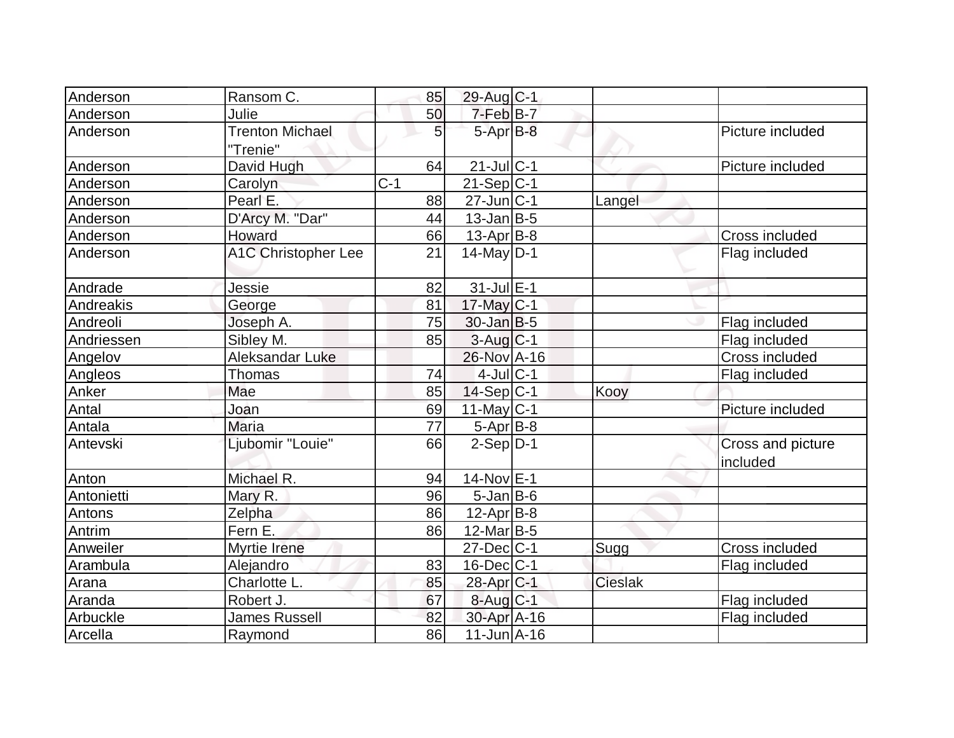| Anderson   | Ransom C.                          | 85              | 29-Aug C-1             |                |                               |
|------------|------------------------------------|-----------------|------------------------|----------------|-------------------------------|
| Anderson   | Julie                              | 50              | 7-Feb B-7              |                |                               |
| Anderson   | <b>Trenton Michael</b><br>"Trenie" | 5               | $5-AprB-8$             |                | Picture included              |
| Anderson   | David Hugh                         | 64              | $21$ -Jul $C$ -1       |                | Picture included              |
| Anderson   | Carolyn                            | $C-1$           | $21-Sep C-1$           |                |                               |
| Anderson   | Pearl E.                           | 88              | $27$ -Jun $ C-1$       | Langel         |                               |
| Anderson   | D'Arcy M. "Dar"                    | 44              | $13$ -Jan B-5          |                |                               |
| Anderson   | Howard                             | 66              | $13$ -Apr $B$ -8       |                | Cross included                |
| Anderson   | <b>A1C Christopher Lee</b>         | 21              | $14$ -May $ D-1$       |                | Flag included                 |
| Andrade    | Jessie                             | 82              | $31$ -Jul $E-1$        |                |                               |
| Andreakis  | George                             | 81              | 17-May C-1             |                |                               |
| Andreoli   | Joseph A.                          | 75              | $30$ -Jan B-5          |                | Flag included                 |
| Andriessen | Sibley M.                          | 85              | $3-Aug$ <sub>C-1</sub> |                | Flag included                 |
| Angelov    | Aleksandar Luke                    |                 | 26-Nov A-16            |                | Cross included                |
| Angleos    | Thomas                             | 74              | $4$ -JulC-1            |                | Flag included                 |
| Anker      | Mae                                | 85              | $14-Sep C-1$           | Kooy           |                               |
| Antal      | Joan                               | 69              | 11-May C-1             |                | Picture included              |
| Antala     | Maria                              | $\overline{77}$ | $5-Apr$ B-8            |                |                               |
| Antevski   | Ljubomir "Louie"                   | 66              | $2-Sep D-1$            |                | Cross and picture<br>included |
| Anton      | Michael R.                         | 94              | $14$ -Nov $E-1$        |                |                               |
| Antonietti | Mary R.                            | 96              | $5$ -Jan B-6           |                |                               |
| Antons     | Zelpha                             | 86              | 12-Apr B-8             |                |                               |
| Antrim     | Fern E.                            | 86              | $12$ -Mar $ B-5 $      |                |                               |
| Anweiler   | Myrtie Irene                       |                 | 27-Dec C-1             | Sugg           | Cross included                |
| Arambula   | Alejandro                          | 83              | $16$ -Dec $ C-1$       |                | Flag included                 |
| Arana      | Charlotte L.                       | 85              | 28-Apr <sub>C</sub> -1 | <b>Cieslak</b> |                               |
| Aranda     | Robert J.                          | 67              | 8-Aug C-1              |                | Flag included                 |
| Arbuckle   | <b>James Russell</b>               | 82              | 30-Apr A-16            |                | Flag included                 |
| Arcella    | Raymond                            | 86              | $11$ -Jun $A$ -16      |                |                               |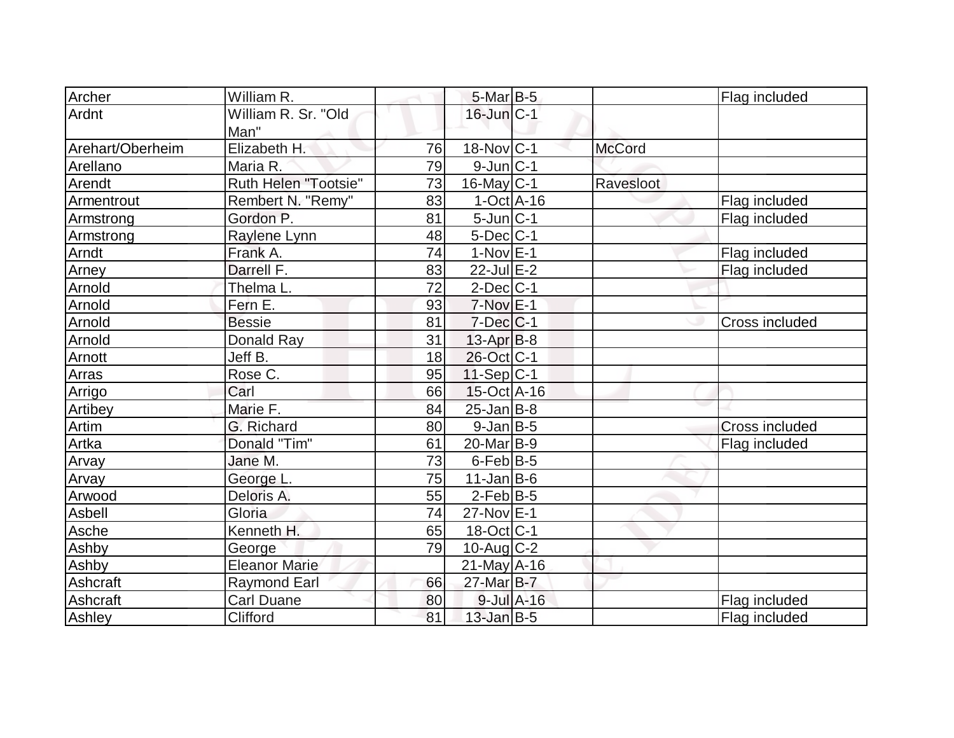| Archer           | William R.           |    | 5-Mar B-5               |               | Flag included         |
|------------------|----------------------|----|-------------------------|---------------|-----------------------|
| Ardnt            | William R. Sr. "Old  |    | $16$ -Jun $ C-1 $       |               |                       |
|                  | Man"                 |    |                         |               |                       |
| Arehart/Oberheim | Elizabeth H.         | 76 | $18-Nov C-1$            | <b>McCord</b> |                       |
| Arellano         | Maria R.             | 79 | $9$ -Jun $ C-1 $        |               |                       |
| Arendt           | Ruth Helen "Tootsie" | 73 | $16$ -May C-1           | Ravesloot     |                       |
| Armentrout       | Rembert N. "Remy"    | 83 | $1-Oct$ $A-16$          |               | Flag included         |
| Armstrong        | Gordon P.            | 81 | $5$ -Jun $ C-1$         |               | Flag included         |
| Armstrong        | Raylene Lynn         | 48 | $5$ -Dec $ C-1 $        |               |                       |
| Arndt            | Frank A.             | 74 | $1-Nov$ E-1             |               | Flag included         |
| Arney            | Darrell F.           | 83 | $22$ -Jul $E-2$         |               | Flag included         |
| Arnold           | Thelma L.            | 72 | $2$ -Dec $C-1$          |               |                       |
| Arnold           | Fern E.              | 93 | $7-Nov$ <sub>E-1</sub>  |               |                       |
| Arnold           | <b>Bessie</b>        | 81 | $7$ -Dec $C$ -1         |               | Cross included        |
| Arnold           | Donald Ray           | 31 | $13$ -Apr $B$ -8        |               |                       |
| Arnott           | Jeff B.              | 18 | 26-Oct C-1              |               |                       |
| Arras            | Rose C.              | 95 | $11-Sep C-1$            |               |                       |
| Arrigo           | Carl                 | 66 | $15$ -Oct A-16          |               |                       |
| Artibey          | Marie F.             | 84 | $25$ -Jan $B$ -8        |               |                       |
| Artim            | G. Richard           | 80 | $9$ -Jan B-5            |               | <b>Cross included</b> |
| Artka            | Donald "Tim"         | 61 | $20$ -Mar $ B-9 $       |               | Flag included         |
| Arvay            | Jane M.              | 73 | $6$ -Feb $ B-5 $        |               |                       |
| Arvay            | George L.            | 75 | $11$ -Jan B-6           |               |                       |
| Arwood           | Deloris A.           | 55 | $2$ -Feb $ B-5 $        |               |                       |
| Asbell           | Gloria               | 74 | $27$ -Nov $E-1$         |               |                       |
| Asche            | Kenneth H.           | 65 | $18-Oct$ <sub>C-1</sub> |               |                       |
| Ashby            | George               | 79 | $10$ -Aug C-2           |               |                       |
| Ashby            | <b>Eleanor Marie</b> |    | $21$ -May A-16          |               |                       |
| Ashcraft         | <b>Raymond Earl</b>  | 66 | 27-Mar B-7              |               |                       |
| Ashcraft         | <b>Carl Duane</b>    | 80 | 9-Jul A-16              |               | Flag included         |
| Ashley           | Clifford             | 81 | $13$ -Jan B-5           |               | Flag included         |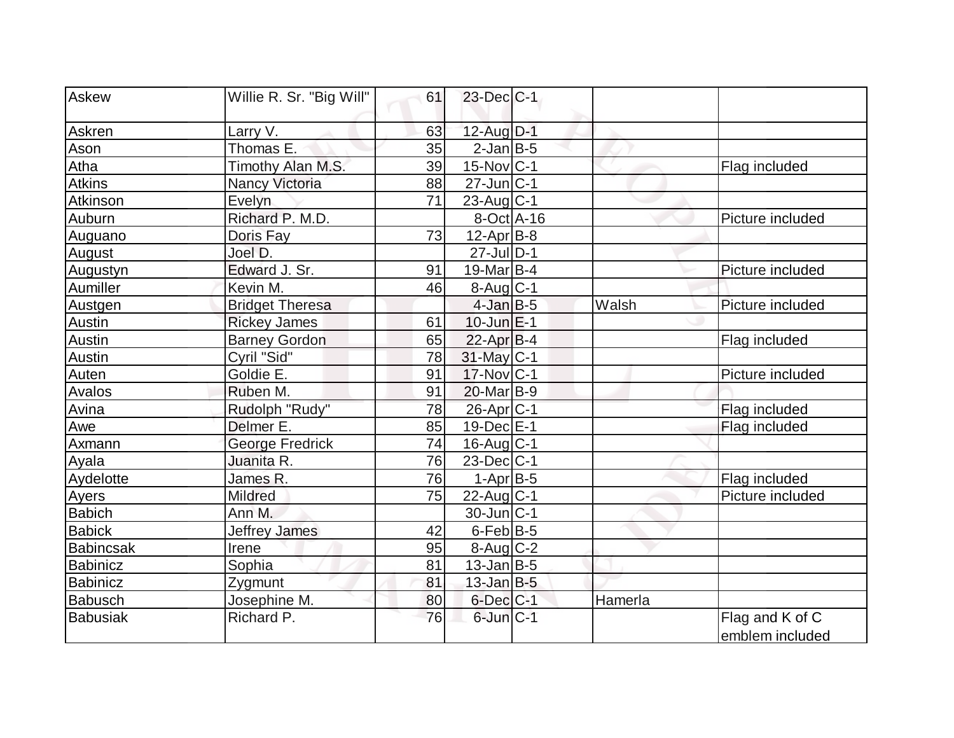| Askew            | Willie R. Sr. "Big Will" | 61 | 23-Dec C-1             |         |                  |
|------------------|--------------------------|----|------------------------|---------|------------------|
|                  |                          |    |                        |         |                  |
| Askren           | Larry V.                 | 63 | $12$ -Aug $D-1$        |         |                  |
| Ason             | Thomas E.                | 35 | $2$ -Jan B-5           |         |                  |
| Atha             | Timothy Alan M.S.        | 39 | $15$ -Nov $ C-1 $      |         | Flag included    |
| <b>Atkins</b>    | Nancy Victoria           | 88 | $27$ -Jun $ C-1$       |         |                  |
| Atkinson         | Evelyn                   | 71 | 23-Aug $ C-1$          |         |                  |
| Auburn           | Richard P. M.D.          |    | $8-Oct$ A-16           |         | Picture included |
| Auguano          | Doris Fay                | 73 | $12$ -Apr $ B-8$       |         |                  |
| August           | Joel D.                  |    | $27$ -Jul $ D-1$       |         |                  |
| Augustyn         | Edward J. Sr.            | 91 | 19-Mar B-4             |         | Picture included |
| Aumiller         | Kevin M.                 | 46 | $8-Auq$ <sub>C-1</sub> |         |                  |
| Austgen          | <b>Bridget Theresa</b>   |    | $4$ -Jan $B-5$         | Walsh   | Picture included |
| Austin           | <b>Rickey James</b>      | 61 | $10$ -Jun $E-1$        |         |                  |
| Austin           | <b>Barney Gordon</b>     | 65 | $22$ -Apr $B-4$        |         | Flag included    |
| Austin           | Cyril "Sid"              | 78 | 31-May C-1             |         |                  |
| Auten            | Goldie E.                | 91 | $17$ -Nov $ C-1$       |         | Picture included |
| Avalos           | Ruben M.                 | 91 | 20-Mar <sub>B-9</sub>  |         |                  |
| Avina            | Rudolph "Rudy"           | 78 | 26-Apr <sub>C-1</sub>  |         | Flag included    |
| Awe              | Delmer E.                | 85 | $19$ -Dec $E$ -1       |         | Flag included    |
| Axmann           | <b>George Fredrick</b>   | 74 | $16$ -Aug $C-1$        |         |                  |
| Ayala            | Juanita R.               | 76 | $23$ -Dec $ C-1$       |         |                  |
| Aydelotte        | James R.                 | 76 | $1-Apr$ B-5            |         | Flag included    |
| Ayers            | <b>Mildred</b>           | 75 | $22$ -Aug C-1          |         | Picture included |
| <b>Babich</b>    | Ann M.                   |    | $30$ -Jun $ C-1$       |         |                  |
| <b>Babick</b>    | <b>Jeffrey James</b>     | 42 | $6$ -Feb $ B-5$        |         |                  |
| <b>Babincsak</b> | Irene                    | 95 | $8$ -Aug $C$ -2        |         |                  |
| <b>Babinicz</b>  | Sophia                   | 81 | $13$ -Jan B-5          |         |                  |
| <b>Babinicz</b>  | Zygmunt                  | 81 | $13$ -Jan B-5          |         |                  |
| <b>Babusch</b>   | Josephine M.             | 80 | $6$ -Dec $C-1$         | Hamerla |                  |
| <b>Babusiak</b>  | Richard P.               | 76 | $6$ -Jun $C-1$         |         | Flag and K of C  |
|                  |                          |    |                        |         | emblem included  |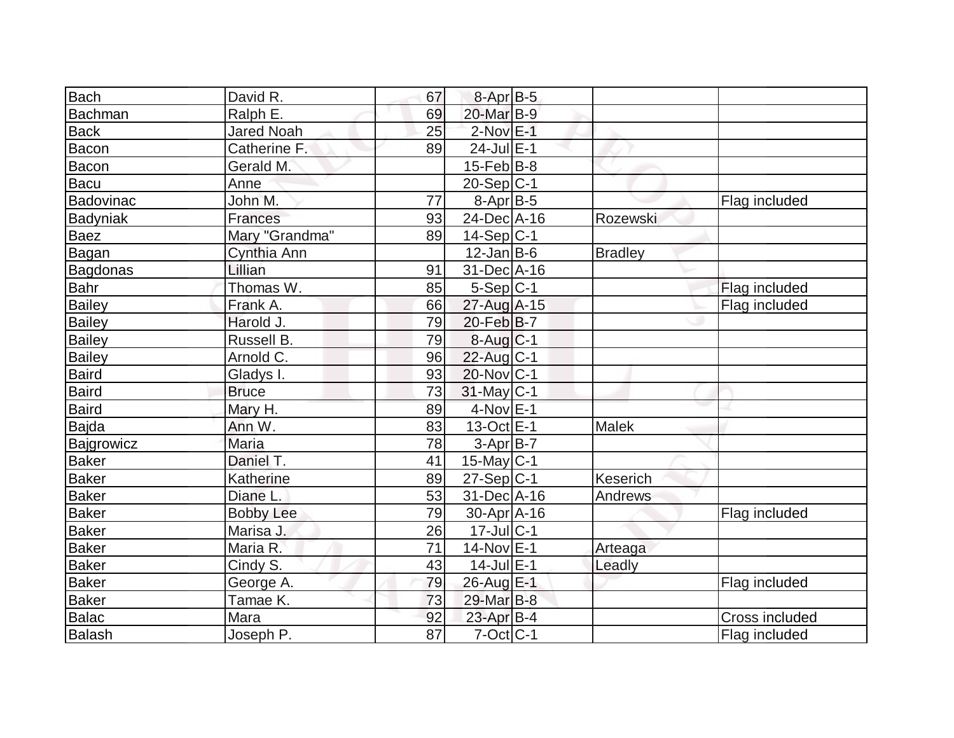| <b>Bach</b>   | David R.          | 67 | 8-Apr B-5         |                |                |
|---------------|-------------------|----|-------------------|----------------|----------------|
| Bachman       | Ralph E.          | 69 | 20-Mar B-9        |                |                |
| <b>Back</b>   | <b>Jared Noah</b> | 25 | $2$ -Nov $E-1$    |                |                |
| <b>Bacon</b>  | Catherine F.      | 89 | 24-Jul E-1        |                |                |
| Bacon         | Gerald M.         |    | $15$ -Feb $ B-8 $ |                |                |
| <b>Bacu</b>   | Anne              |    | $20-Sep C-1$      |                |                |
| Badovinac     | John M.           | 77 | $8-Apr$ B-5       |                | Flag included  |
| Badyniak      | Frances           | 93 | 24-Dec A-16       | Rozewski       |                |
| <b>Baez</b>   | Mary "Grandma"    | 89 | $14-Sep C-1$      |                |                |
| Bagan         | Cynthia Ann       |    | $12$ -Jan B-6     | <b>Bradley</b> |                |
| Bagdonas      | Lillian           | 91 | 31-Dec A-16       |                |                |
| Bahr          | Thomas W.         | 85 | $5-Sep C-1$       |                | Flag included  |
| Bailey        | Frank A.          | 66 | 27-Aug A-15       |                | Flag included  |
| <b>Bailey</b> | Harold J.         | 79 | $20$ -Feb $ B-7$  |                |                |
| Bailey        | Russell B.        | 79 | $8-Auq C-1$       |                |                |
| Bailey        | Arnold C.         | 96 | $22$ -Aug C-1     |                |                |
| Baird         | Gladys I.         | 93 | $20$ -Nov $ C-1$  |                |                |
| Baird         | <b>Bruce</b>      | 73 | $31$ -May C-1     |                |                |
| Baird         | Mary H.           | 89 | $4$ -Nov $E-1$    |                |                |
| Bajda         | Ann W.            | 83 | $13-Oct$ E-1      | <b>Malek</b>   |                |
| Bajgrowicz    | Maria             | 78 | $3-Apr$ B-7       |                |                |
| Baker         | Daniel T.         | 41 | $15$ -May C-1     |                |                |
| <b>Baker</b>  | Katherine         | 89 | $27-Sep C-1$      | Keserich       |                |
| <b>Baker</b>  | Diane L           | 53 | 31-Dec A-16       | Andrews        |                |
| <b>Baker</b>  | <b>Bobby Lee</b>  | 79 | $30$ -Apr $A$ -16 |                | Flag included  |
| Baker         | Marisa J.         | 26 | $17$ -Jul C-1     |                |                |
| Baker         | Maria R.          | 71 | 14-Nov E-1        | Arteaga        |                |
| <b>Baker</b>  | Cindy S.          | 43 | $14$ -Jul $E-1$   | Leadly         |                |
| <b>Baker</b>  | George A.         | 79 | 26-Aug E-1        |                | Flag included  |
| Baker         | Tamae K.          | 73 | 29-Mar B-8        |                |                |
| <b>Balac</b>  | Mara              | 92 | $23$ -Apr $B-4$   |                | Cross included |
| Balash        | Joseph P.         | 87 | $7$ -Oct $ C-1 $  |                | Flag included  |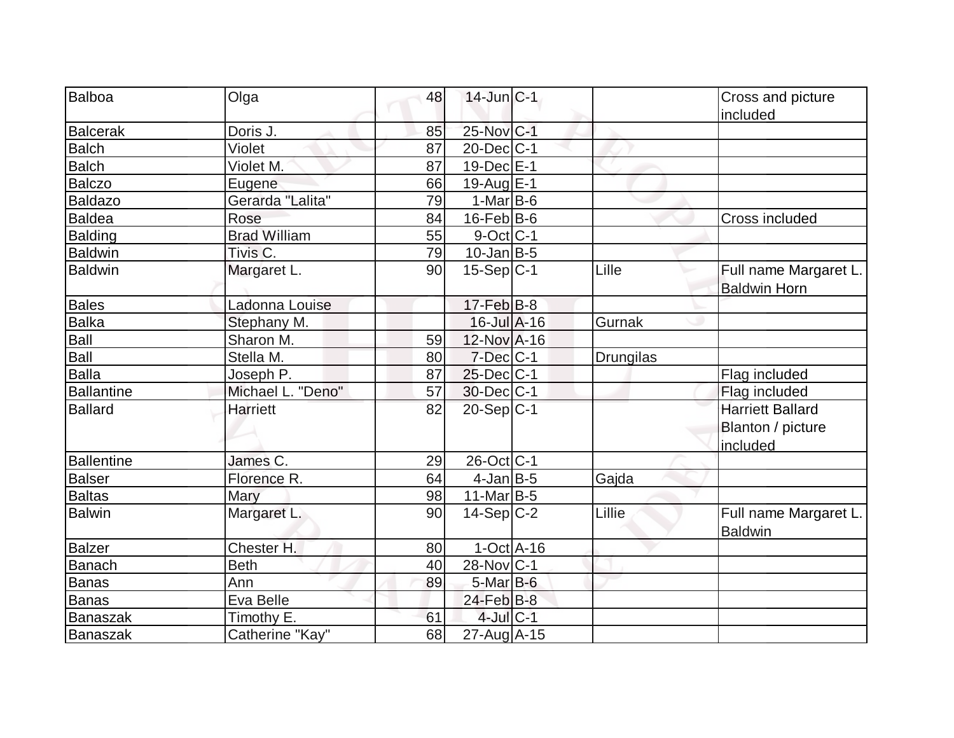| Balboa            | Olga                | 48 | $14$ -Jun $ C-1 $            |                  | Cross and picture       |
|-------------------|---------------------|----|------------------------------|------------------|-------------------------|
|                   |                     |    |                              |                  | included                |
| <b>Balcerak</b>   | Doris J.            | 85 | 25-Nov C-1                   |                  |                         |
| <b>Balch</b>      | Violet              | 87 | $20$ -Dec $ C-1 $            |                  |                         |
| <b>Balch</b>      | Violet M.           | 87 | $19$ -Dec $E-1$              |                  |                         |
| <b>Balczo</b>     | Eugene              | 66 | 19-Aug E-1                   |                  |                         |
| <b>Baldazo</b>    | Gerarda "Lalita"    | 79 | $1-Mar$ B-6                  |                  |                         |
| <b>Baldea</b>     | Rose                | 84 | $16$ -Feb $B$ -6             |                  | Cross included          |
| <b>Balding</b>    | <b>Brad William</b> | 55 | $9$ -Oct C-1                 |                  |                         |
| <b>Baldwin</b>    | Tivis <sub>C.</sub> | 79 | $10$ -Jan $ B-5 $            |                  |                         |
| <b>Baldwin</b>    | Margaret L.         | 90 | $15-Sep C-1$                 | Lille            | Full name Margaret L.   |
|                   |                     |    |                              |                  | <b>Baldwin Horn</b>     |
| <b>Bales</b>      | Ladonna Louise      |    | $17 - Feb$ $B-8$             |                  |                         |
| <b>Balka</b>      | Stephany M.         |    | $16$ -Jul $A-16$             | Gurnak           |                         |
| Ball              | Sharon M.           | 59 | 12-Nov A-16                  |                  |                         |
| Ball              | Stella M.           | 80 | $7$ -Dec $ C-1$              | <b>Drungilas</b> |                         |
| <b>Balla</b>      | Joseph P.           | 87 | $25$ -Dec $C$ -1             |                  | Flag included           |
| Ballantine        | Michael L. "Deno"   | 57 | $30$ -Dec $ C-1$             |                  | Flag included           |
| <b>Ballard</b>    | <b>Harriett</b>     | 82 | $20-Sep C-1$                 |                  | <b>Harriett Ballard</b> |
|                   |                     |    |                              |                  | Blanton / picture       |
|                   |                     |    |                              |                  | included                |
| <b>Ballentine</b> | James C.            | 29 | 26-Oct C-1                   |                  |                         |
| <b>Balser</b>     | Florence R.         | 64 | $4$ -Jan $ B-5 $             | Gajda            |                         |
| <b>Baltas</b>     | Mary                | 98 | 11-Mar $B-5$                 |                  |                         |
| <b>Balwin</b>     | Margaret L.         | 90 | $14-Sep C-2$                 | Lillie           | Full name Margaret L.   |
|                   |                     |    |                              |                  | <b>Baldwin</b>          |
| <b>Balzer</b>     | Chester H.          | 80 | $1-Oct$ $A-16$               |                  |                         |
| Banach            | <b>Beth</b>         | 40 | $28$ -Nov $ C-1$             |                  |                         |
| Banas             | Ann                 | 89 | $5-Mar$ B-6                  |                  |                         |
| Banas             | Eva Belle           |    | 24-Feb B-8                   |                  |                         |
| <b>Banaszak</b>   | Timothy E.          | 61 | $4$ -Jul $C-1$               |                  |                         |
| Banaszak          | Catherine "Kay"     | 68 | $27$ -Aug $\overline{A}$ -15 |                  |                         |
|                   |                     |    |                              |                  |                         |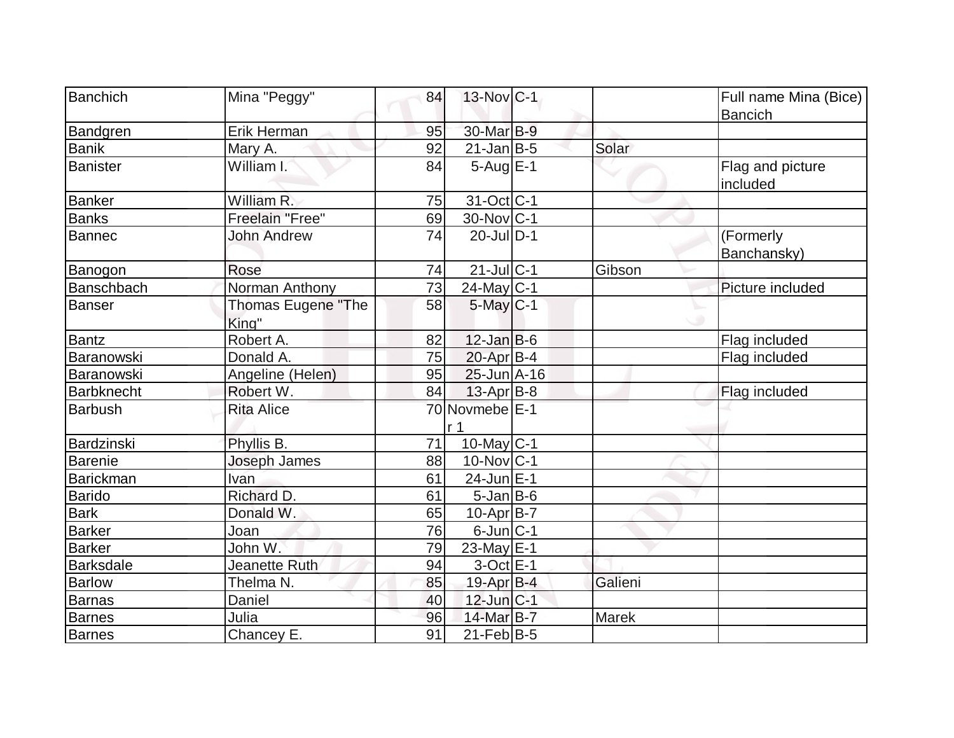| Banchich         | Mina "Peggy"                       | 84 | $13-Nov$ <sub>C-1</sub> |              | Full name Mina (Bice)<br><b>Bancich</b> |
|------------------|------------------------------------|----|-------------------------|--------------|-----------------------------------------|
| Bandgren         | Erik Herman                        | 95 | 30-Mar B-9              |              |                                         |
| <b>Banik</b>     | Mary A.                            | 92 | $21$ -Jan B-5           | Solar        |                                         |
| <b>Banister</b>  | William I.                         | 84 | $5-AugE-1$              |              | Flag and picture<br>included            |
| Banker           | William R.                         | 75 | 31-Oct C-1              |              |                                         |
| <b>Banks</b>     | Freelain "Free"                    | 69 | $30$ -Nov $ C-1 $       |              |                                         |
| Bannec           | <b>John Andrew</b>                 | 74 | $20$ -Jul $ D-1$        |              | (Formerly<br>Banchansky)                |
| Banogon          | Rose                               | 74 | $21$ -JulC-1            | Gibson       |                                         |
| Banschbach       | Norman Anthony                     | 73 | $24$ -May C-1           |              | Picture included                        |
| <b>Banser</b>    | <b>Thomas Eugene "The</b><br>King" | 58 | $5$ -May $C-1$          |              |                                         |
| Bantz            | Robert A.                          | 82 | $12$ -Jan $B-6$         |              | Flag included                           |
| Baranowski       | Donald A.                          | 75 | $20$ -Apr $B-4$         |              | Flag included                           |
| Baranowski       | Angeline (Helen)                   | 95 | $25$ -Jun $A-16$        |              |                                         |
| Barbknecht       | Robert W.                          | 84 | $13$ -Apr $ B-8 $       |              | Flag included                           |
| <b>Barbush</b>   | <b>Rita Alice</b>                  |    | 70 Novmebe E-1<br>r 1   |              |                                         |
| Bardzinski       | Phyllis B.                         | 71 | $10$ -May C-1           |              |                                         |
| <b>Barenie</b>   | Joseph James                       | 88 | $10$ -Nov $ C-1$        |              |                                         |
| Barickman        | <b>Ivan</b>                        | 61 | 24-Jun E-1              |              |                                         |
| Barido           | Richard D.                         | 61 | $5$ -Jan B-6            |              |                                         |
| <b>Bark</b>      | Donald W.                          | 65 | $10$ -Apr $ B-7 $       |              |                                         |
| <b>Barker</b>    | Joan                               | 76 | $6$ -Jun $ C-1$         |              |                                         |
| <b>Barker</b>    | John W.                            | 79 | 23-May E-1              |              |                                         |
| <b>Barksdale</b> | Jeanette Ruth                      | 94 | $3$ -Oct $E-1$          |              |                                         |
| <b>Barlow</b>    | Thelma N.                          | 85 | 19-Apr B-4              | Galieni      |                                         |
| Barnas           | Daniel                             | 40 | $12$ -Jun $ C-1 $       |              |                                         |
| <b>Barnes</b>    | Julia                              | 96 | 14-Mar B-7              | <b>Marek</b> |                                         |
| Barnes           | Chancey E.                         | 91 | $21$ -Feb $ B-5 $       |              |                                         |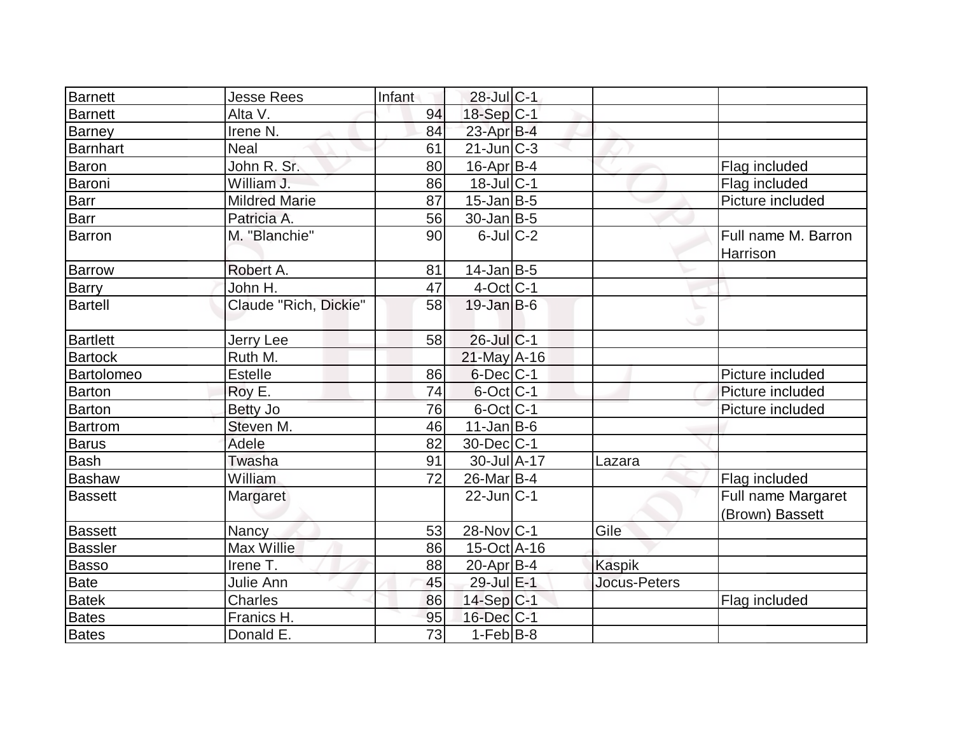| Barnett         | <b>Jesse Rees</b>     | Infant | $28$ -Jul $C-1$             |                     |                                       |
|-----------------|-----------------------|--------|-----------------------------|---------------------|---------------------------------------|
| Barnett         | Alta V.               | 94     | 18-Sep C-1                  |                     |                                       |
| <b>Barney</b>   | Irene N.              | 84     | $23$ -Apr $B-4$             |                     |                                       |
| Barnhart        | <b>Neal</b>           | 61     | $21$ -Jun $\overline{C}$ -3 |                     |                                       |
| <b>Baron</b>    | John R. Sr.           | 80     | $16$ -Apr $B$ -4            |                     | Flag included                         |
| Baroni          | William J.            | 86     | $18$ -Jul C-1               |                     | Flag included                         |
| <b>Barr</b>     | <b>Mildred Marie</b>  | 87     | $15$ -Jan B-5               |                     | Picture included                      |
| <b>Barr</b>     | Patricia A.           | 56     | $30$ -Jan B-5               |                     |                                       |
| Barron          | M. "Blanchie"         | 90     | $6$ -JulC-2                 |                     | Full name M. Barron<br>Harrison       |
| <b>Barrow</b>   | Robert A.             | 81     | $14$ -Jan $ B-5 $           |                     |                                       |
| Barry           | John H.               | 47     | $4$ -Oct $ C-1 $            |                     |                                       |
| <b>Bartell</b>  | Claude "Rich, Dickie" | 58     | $19$ -Jan B-6               | w                   |                                       |
| <b>Bartlett</b> | Jerry Lee             | 58     | 26-Jul C-1                  |                     |                                       |
| <b>Bartock</b>  | Ruth M.               |        | $21$ -May A-16              |                     |                                       |
| Bartolomeo      | Estelle               | 86     | $6$ -Dec $ C-1 $            |                     | Picture included                      |
| <b>Barton</b>   | Roy E.                | 74     | $6$ -Oct $ C-1 $            |                     | Picture included                      |
| Barton          | <b>Betty Jo</b>       | 76     | 6-Oct C-1                   |                     | Picture included                      |
| <b>Bartrom</b>  | Steven M.             | 46     | $11$ -Jan $ B-6 $           |                     |                                       |
| <b>Barus</b>    | Adele                 | 82     | 30-Dec C-1                  |                     |                                       |
| Bash            | Twasha                | 91     | $30 -$ Jul $A - 17$         | Lazara              |                                       |
| Bashaw          | William               | 72     | 26-Mar B-4                  |                     | Flag included                         |
| Bassett         | Margaret              |        | $22$ -Jun $ C-1 $           |                     | Full name Margaret<br>(Brown) Bassett |
| <b>Bassett</b>  | Nancy                 | 53     | 28-Nov C-1                  | Gile                |                                       |
| <b>Bassler</b>  | Max Willie            | 86     | $15$ -Oct A-16              |                     |                                       |
| <b>Basso</b>    | Irene T.              | 88     | $20$ -Apr $ B-4 $           | <b>Kaspik</b>       |                                       |
| Bate            | Julie Ann             | 45     | 29-Jul E-1                  | <b>Jocus-Peters</b> |                                       |
| <b>Batek</b>    | <b>Charles</b>        | 86     | $14-Sep C-1$                |                     | Flag included                         |
| <b>Bates</b>    | Franics H.            | 95     | 16-Dec C-1                  |                     |                                       |
| <b>Bates</b>    | Donald E.             | 73     | $1-Feb$ B-8                 |                     |                                       |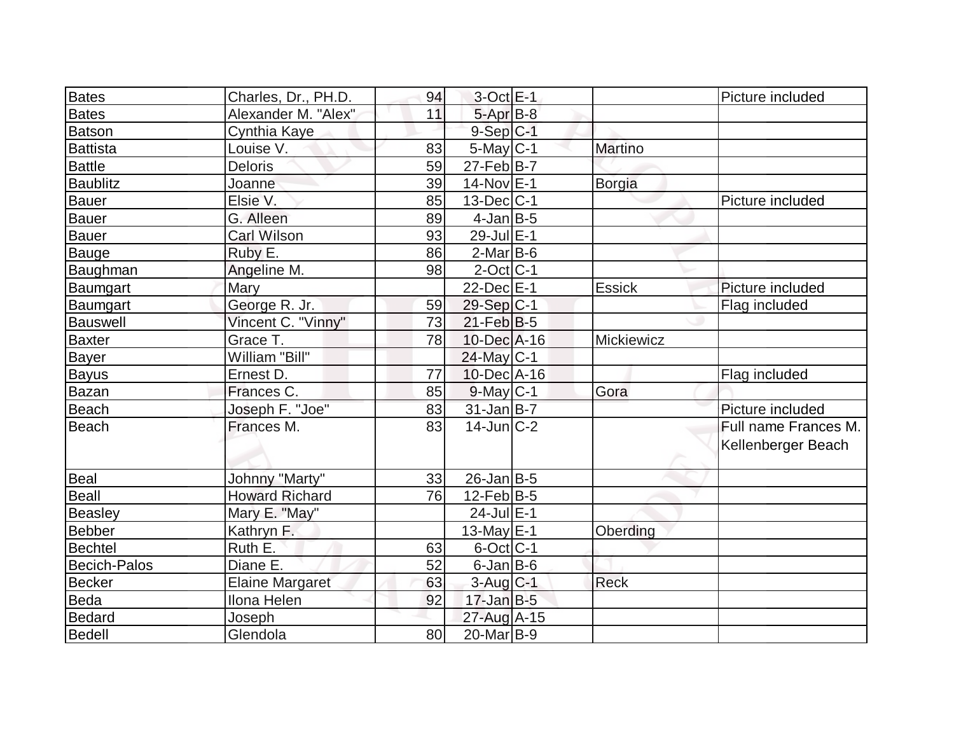| <b>Bates</b>        | Charles, Dr., PH.D.    | 94 | $3$ -Oct $E-1$         |                | Picture included     |
|---------------------|------------------------|----|------------------------|----------------|----------------------|
| <b>Bates</b>        | Alexander M. "Alex"    | 11 | 5-Apr B-8              |                |                      |
| Batson              | Cynthia Kaye           |    | $9-Sep C-1$            |                |                      |
| Battista            | Louise V.              | 83 | $5$ -May $C-1$         | <b>Martino</b> |                      |
| <b>Battle</b>       | <b>Deloris</b>         | 59 | $27$ -Feb $ B-7 $      |                |                      |
| <b>Baublitz</b>     | Joanne                 | 39 | 14-Nov E-1             | Borgia         |                      |
| Bauer               | Elsie V.               | 85 | $13$ -Dec $ C-1$       |                | Picture included     |
| Bauer               | G. Alleen              | 89 | $4$ -Jan $B$ -5        |                |                      |
| Bauer               | Carl Wilson            | 93 | 29-Jul E-1             |                |                      |
| Bauge               | Ruby E.                | 86 | $2$ -Mar $B$ -6        |                |                      |
| Baughman            | Angeline M.            | 98 | $2$ -Oct C-1           |                |                      |
| Baumgart            | Mary                   |    | 22-Dec E-1             | <b>Essick</b>  | Picture included     |
| Baumgart            | George R. Jr.          | 59 | 29-Sep C-1             |                | Flag included        |
| <b>Bauswell</b>     | Vincent C. "Vinny"     | 73 | $21$ -Feb $ B-5 $      |                |                      |
| <b>Baxter</b>       | Grace T.               | 78 | $10$ -Dec $ A-16$      | Mickiewicz     |                      |
| <b>Bayer</b>        | William "Bill"         |    | 24-May C-1             |                |                      |
| <b>Bayus</b>        | Ernest D.              | 77 | $10$ -Dec $ A-16$      |                | Flag included        |
| Bazan               | Frances C.             | 85 | $9$ -May $C-1$         | Gora           |                      |
| <b>Beach</b>        | Joseph F. "Joe"        | 83 | $31$ -Jan B-7          |                | Picture included     |
| Beach               | Frances M.             | 83 | $14$ -Jun $ C-2 $      |                | Full name Frances M. |
|                     |                        |    |                        |                | Kellenberger Beach   |
| Beal                | <b>Johnny "Marty"</b>  | 33 | $26$ -Jan $ B-5 $      |                |                      |
| <b>Beall</b>        | <b>Howard Richard</b>  | 76 | $12$ -Feb $ B-5 $      |                |                      |
| <b>Beasley</b>      | Mary E. "May"          |    | 24-Jul E-1             |                |                      |
| Bebber              | Kathryn F.             |    | 13-May $E-1$           | Oberding       |                      |
| Bechtel             | Ruth E.                | 63 | $6$ -Oct C-1           |                |                      |
| <b>Becich-Palos</b> | Diane E.               | 52 | $6$ -Jan $B$ -6        |                |                      |
| <b>Becker</b>       | <b>Elaine Margaret</b> | 63 | $3-Aug$ <sub>C-1</sub> | <b>Reck</b>    |                      |
| Beda                | Ilona Helen            | 92 | $17 - Jan$ $B-5$       |                |                      |
| Bedard              | Joseph                 |    | 27-Aug A-15            |                |                      |
| Bedell              | Glendola               | 80 | $20$ -Mar $B-9$        |                |                      |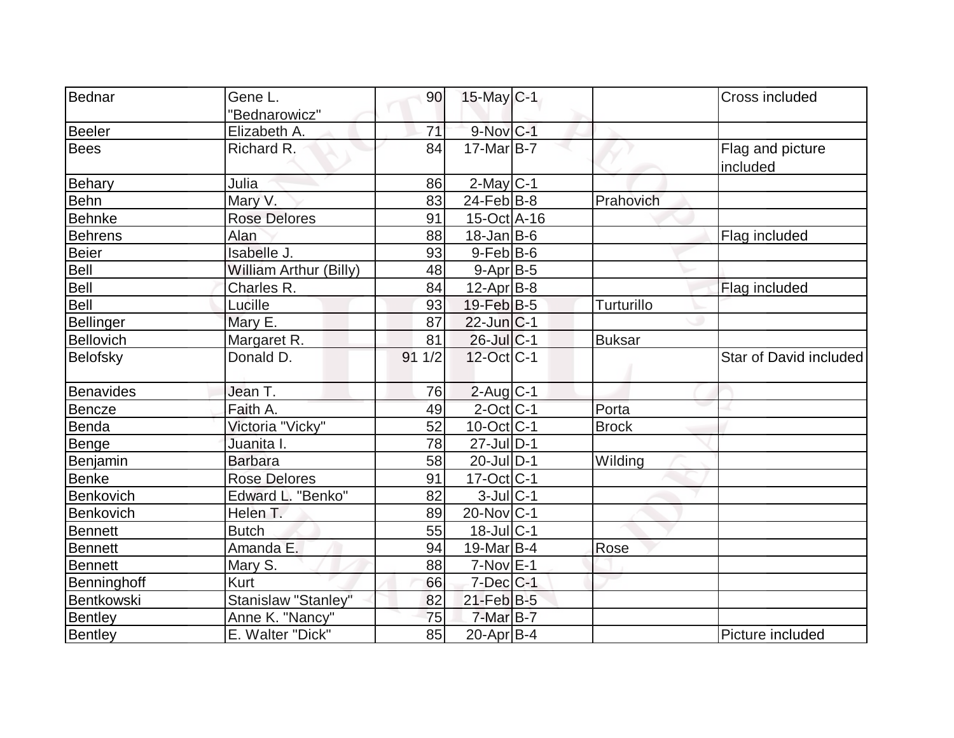| Bednar         | Gene L.                       | 90              | $15$ -May C-1         |               | Cross included         |
|----------------|-------------------------------|-----------------|-----------------------|---------------|------------------------|
|                | "Bednarowicz"                 |                 |                       |               |                        |
| Beeler         | Elizabeth A.                  | 71              | 9-Nov C-1             |               |                        |
| <b>Bees</b>    | Richard R.                    | 84              | $17$ -Mar $ B-7 $     |               | Flag and picture       |
|                |                               |                 |                       |               | included               |
| Behary         | Julia                         | 86              | $2$ -May $C-1$        |               |                        |
| Behn           | Mary V.                       | 83              | $24$ -Feb $ B-8$      | Prahovich     |                        |
| Behnke         | <b>Rose Delores</b>           | 91              | $15$ -Oct $A$ -16     |               |                        |
| Behrens        | Alan                          | 88              | $18$ -Jan B-6         |               | Flag included          |
| <b>Beier</b>   | Isabelle J.                   | 93              | $9$ -Feb $ B$ -6      |               |                        |
| Bell           | <b>William Arthur (Billy)</b> | 48              | $9-Apr$ B-5           |               |                        |
| Bell           | Charles R.                    | 84              | $12$ -Apr $B$ -8      |               | Flag included          |
| Bell           | Lucille                       | 93              | 19-Feb <sup>B-5</sup> | Turturillo    |                        |
| Bellinger      | Mary E.                       | 87              | 22-Jun C-1            |               |                        |
| Bellovich      | Margaret R.                   | 81              | $26$ -Jul $C-1$       | <b>Buksar</b> |                        |
| Belofsky       | Donald D.                     | 911/2           | 12-Oct C-1            |               | Star of David included |
| Benavides      | Jean T.                       | 76              | $2$ -Aug $C-1$        |               |                        |
| Bencze         | Faith A.                      | 49              | $2$ -Oct $ C-1 $      | Porta         |                        |
| Benda          | Victoria "Vicky"              | $\overline{52}$ | $10$ -Oct $ C-1 $     | <b>Brock</b>  |                        |
| Benge          | Juanita I.                    | 78              | $27$ -Jul $ D-1$      |               |                        |
| Benjamin       | <b>Barbara</b>                | 58              | $20$ -Jul $D-1$       | Wilding       |                        |
| <b>Benke</b>   | <b>Rose Delores</b>           | 91              | $17 - Oct$ $C-1$      |               |                        |
| Benkovich      | Edward L. "Benko"             | 82              | $3$ -Jul $C-1$        |               |                        |
| Benkovich      | Helen T.                      | 89              | $20$ -Nov $C-1$       |               |                        |
| <b>Bennett</b> | <b>Butch</b>                  | 55              | $18$ -Jul $C-1$       |               |                        |
| Bennett        | Amanda E.                     | 94              | 19-Mar B-4            | Rose          |                        |
| Bennett        | Mary S.                       | 88              | $7-Nov$ E-1           |               |                        |
| Benninghoff    | Kurt                          | 66              | $7$ -Dec $C$ -1       |               |                        |
| Bentkowski     | Stanislaw "Stanley"           | 82              | $21$ -Feb $B-5$       |               |                        |
| Bentley        | Anne K. "Nancy"               | 75              | 7-Mar B-7             |               |                        |
| Bentley        | E. Walter "Dick"              | 85              | $20$ -Apr $ B-4$      |               | Picture included       |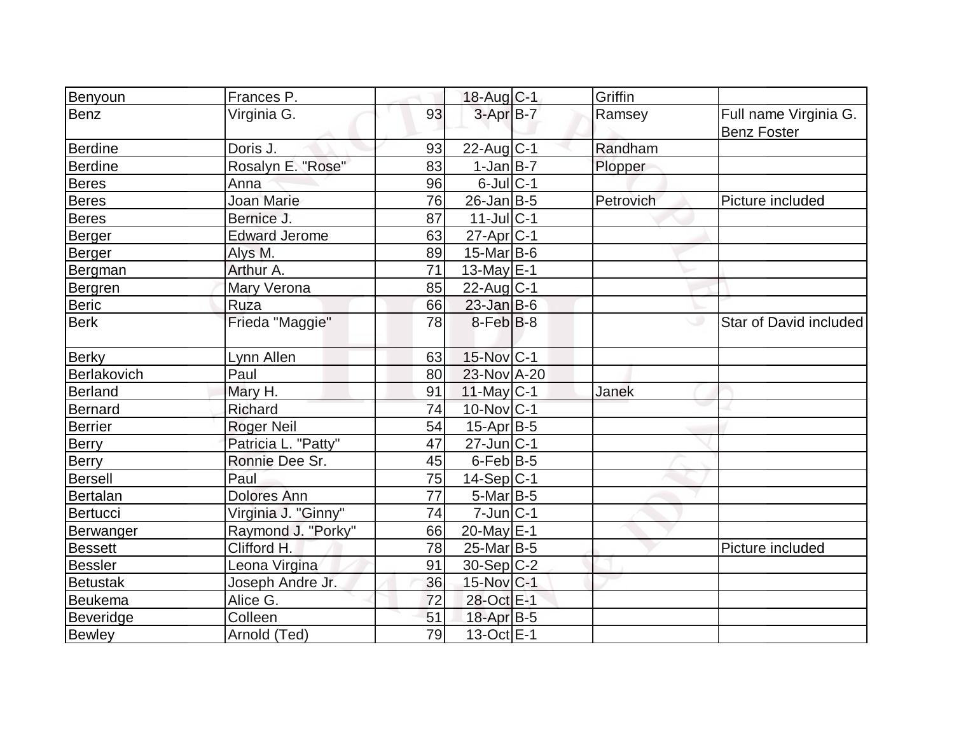| Benyoun         | Frances P.           |    | 18-Aug C-1        | Griffin   |                        |
|-----------------|----------------------|----|-------------------|-----------|------------------------|
| Benz            | Virginia G.          | 93 | $3-AprB-7$        | Ramsey    | Full name Virginia G.  |
|                 |                      |    |                   |           | <b>Benz Foster</b>     |
| <b>Berdine</b>  | Doris J.             | 93 | 22-Aug C-1        | Randham   |                        |
| <b>Berdine</b>  | Rosalyn E. "Rose"    | 83 | $1-Jan$ B-7       | Plopper   |                        |
| <b>Beres</b>    | Anna                 | 96 | $6$ -Jul $C-1$    |           |                        |
| <b>Beres</b>    | <b>Joan Marie</b>    | 76 | 26-Jan B-5        | Petrovich | Picture included       |
| <b>Beres</b>    | Bernice J.           | 87 | $11$ -Jul $C-1$   |           |                        |
| <b>Berger</b>   | <b>Edward Jerome</b> | 63 | $27$ -Apr $C-1$   |           |                        |
| Berger          | Alys M.              | 89 | $15$ -Mar $ B-6$  |           |                        |
| Bergman         | Arthur A.            | 71 | 13-May $E-1$      |           |                        |
| Bergren         | Mary Verona          | 85 | $22$ -Aug $C-1$   |           |                        |
| Beric           | Ruza                 | 66 | $23$ -Jan B-6     |           |                        |
| <b>Berk</b>     | Frieda "Maggie"      | 78 | $8$ -Feb $ B-8$   |           | Star of David included |
| <b>Berky</b>    | Lynn Allen           | 63 | 15-Nov C-1        |           |                        |
| Berlakovich     | Paul                 | 80 | 23-Nov A-20       |           |                        |
| <b>Berland</b>  | Mary H.              | 91 | $11$ -May C-1     | Janek     |                        |
| Bernard         | Richard              | 74 | 10-Nov C-1        |           |                        |
| <b>Berrier</b>  | <b>Roger Neil</b>    | 54 | $15$ -Apr $ B-5 $ |           |                        |
| <b>Berry</b>    | Patricia L. "Patty"  | 47 | $27$ -Jun $ C-1$  |           |                        |
| Berry           | Ronnie Dee Sr.       | 45 | $6$ -Feb $ B-5 $  |           |                        |
| <b>Bersell</b>  | Paul                 | 75 | $14-Sep C-1$      |           |                        |
| <b>Bertalan</b> | <b>Dolores Ann</b>   | 77 | $5$ -Mar $B$ -5   |           |                        |
| Bertucci        | Virginia J. "Ginny"  | 74 | $7$ -Jun $ C-1$   |           |                        |
| Berwanger       | Raymond J. "Porky"   | 66 | 20-May $E-1$      |           |                        |
| <b>Bessett</b>  | Clifford H.          | 78 | 25-Mar B-5        |           | Picture included       |
| <b>Bessler</b>  | Leona Virgina        | 91 | 30-Sep C-2        |           |                        |
| <b>Betustak</b> | Joseph Andre Jr.     | 36 | 15-Nov C-1        |           |                        |
| Beukema         | Alice G.             | 72 | 28-Oct E-1        |           |                        |
| Beveridge       | Colleen              | 51 | 18-Apr B-5        |           |                        |
| <b>Bewley</b>   | Arnold (Ted)         | 79 | 13-Oct $E-1$      |           |                        |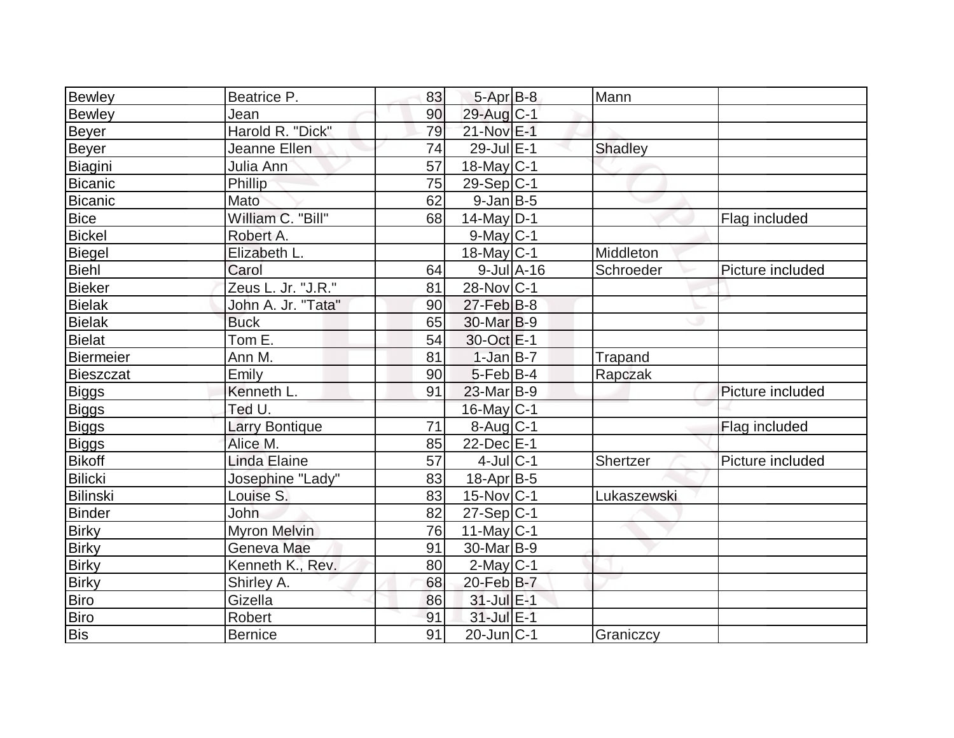| Bewley         | Beatrice P.        | 83 | $5-AprB-8$            | Mann           |                  |
|----------------|--------------------|----|-----------------------|----------------|------------------|
| <b>Bewley</b>  | Jean               | 90 | 29-Aug C-1            |                |                  |
| Beyer          | Harold R. "Dick"   | 79 | 21-Nov E-1            |                |                  |
| Beyer          | Jeanne Ellen       | 74 | $29$ -Jul $E-1$       | <b>Shadley</b> |                  |
| Biagini        | Julia Ann          | 57 | $18$ -May C-1         |                |                  |
| <b>Bicanic</b> | Phillip            | 75 | $29-Sep C-1$          |                |                  |
| Bicanic        | Mato               | 62 | $9$ -Jan $B$ -5       |                |                  |
| <b>Bice</b>    | William C. "Bill"  | 68 | $14$ -May D-1         |                | Flag included    |
| <b>Bickel</b>  | Robert A.          |    | $9$ -May $C-1$        |                |                  |
| <b>Biegel</b>  | Elizabeth L.       |    | $18$ -May C-1         | Middleton      |                  |
| Biehl          | Carol              | 64 | $9$ -Jul $A$ -16      | Schroeder      | Picture included |
| Bieker         | Zeus L. Jr. "J.R." | 81 | 28-Nov C-1            |                |                  |
| <b>Bielak</b>  | John A. Jr. "Tata" | 90 | $27$ -Feb $B$ -8      |                |                  |
| <b>Bielak</b>  | <b>Buck</b>        | 65 | 30-Mar <sub>B-9</sub> |                |                  |
| Bielat         | Tom $E$ .          | 54 | 30-Oct E-1            |                |                  |
| Biermeier      | Ann M.             | 81 | $1-Jan$ B-7           | Trapand        |                  |
| Bieszczat      | Emily              | 90 | $5$ -Feb $ B-4$       | Rapczak        |                  |
| Biggs          | Kenneth L.         | 91 | $23$ -Mar $B-9$       |                | Picture included |
| <b>Biggs</b>   | Ted U.             |    | 16-May C-1            |                |                  |
| <b>Biggs</b>   | Larry Bontique     | 71 | $8$ -Aug $C-1$        |                | Flag included    |
| <b>Biggs</b>   | Alice M.           | 85 | 22-Dec E-1            |                |                  |
| Bikoff         | Linda Elaine       | 57 | $4$ -Jul $C-1$        | Shertzer       | Picture included |
| Bilicki        | Josephine "Lady"   | 83 | 18-Apr B-5            |                |                  |
| Bilinski       | Louise S.          | 83 | $15$ -Nov $ C-1$      | Lukaszewski    |                  |
| <b>Binder</b>  | John               | 82 | $27-Sep C-1$          |                |                  |
| <b>Birky</b>   | Myron Melvin       | 76 | $11$ -May C-1         |                |                  |
| <b>Birky</b>   | Geneva Mae         | 91 | $30$ -Mar $ B-9 $     |                |                  |
| <b>Birky</b>   | Kenneth K., Rev.   | 80 | $2$ -May C-1          |                |                  |
| <b>Birky</b>   | Shirley A.         | 68 | 20-Feb B-7            |                |                  |
| <b>Biro</b>    | Gizella            | 86 | 31-Jul E-1            |                |                  |
| Biro           | Robert             | 91 | 31-Jul E-1            |                |                  |
| Bis            | <b>Bernice</b>     | 91 | $20$ -Jun $ C-1$      | Graniczcy      |                  |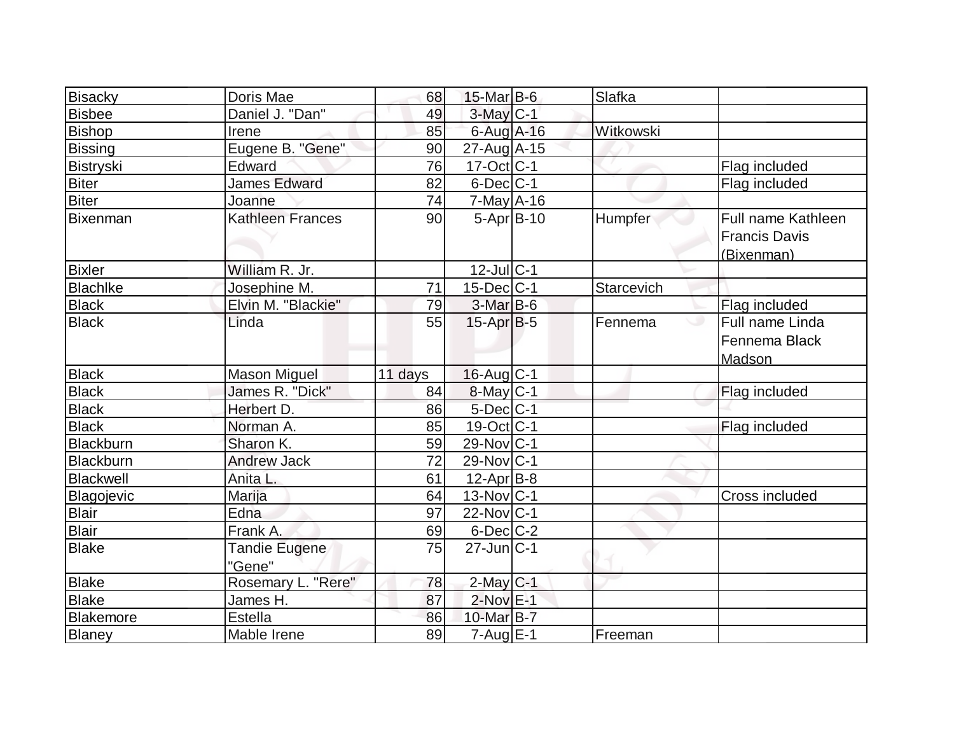| Bisacky        | Doris Mae               | 68      | 15-Mar B-6              | Slafka     |                                                          |
|----------------|-------------------------|---------|-------------------------|------------|----------------------------------------------------------|
| <b>Bisbee</b>  | Daniel J. "Dan"         | 49      | $3$ -May $C-1$          |            |                                                          |
| <b>Bishop</b>  | Irene                   | 85      | $6$ -Aug A-16           | Witkowski  |                                                          |
| <b>Bissing</b> | Eugene B. "Gene"        | 90      | 27-Aug A-15             |            |                                                          |
| Bistryski      | Edward                  | 76      | $17-Oct$ <sub>C-1</sub> |            | Flag included                                            |
| <b>Biter</b>   | <b>James Edward</b>     | 82      | $6$ -Dec $ C-1 $        |            | Flag included                                            |
| Biter          | Joanne                  | 74      | 7-May A-16              |            |                                                          |
| Bixenman       | <b>Kathleen Frances</b> | 90      | $5 - Apr$ B-10          | Humpfer    | Full name Kathleen<br><b>Francis Davis</b><br>(Bixenman) |
| <b>Bixler</b>  | William R. Jr.          |         | $12$ -Jul $ C-1$        |            |                                                          |
| Blachlke       | Josephine M.            | 71      | $15$ -Dec $ C-1$        | Starcevich |                                                          |
| <b>Black</b>   | Elvin M. "Blackie"      | 79      | $3-MarB-6$              |            | Flag included                                            |
| <b>Black</b>   | Linda                   | 55      | $15$ -Apr $ B-5 $       | Fennema    | Full name Linda<br>Fennema Black<br>Madson               |
| <b>Black</b>   | <b>Mason Miguel</b>     | 11 days | $16$ -Aug C-1           |            |                                                          |
| <b>Black</b>   | James R. "Dick"         | 84      | $8$ -May $C-1$          |            | Flag included                                            |
| <b>Black</b>   | Herbert D.              | 86      | $5$ -Dec $C$ -1         |            |                                                          |
| <b>Black</b>   | Norman A.               | 85      | $19-Oct$ <sub>C-1</sub> |            | Flag included                                            |
| Blackburn      | Sharon K.               | 59      | $29$ -Nov $ C-1$        |            |                                                          |
| Blackburn      | <b>Andrew Jack</b>      | 72      | $29$ -Nov $ C-1$        |            |                                                          |
| Blackwell      | Anita L.                | 61      | $12$ -Apr $ B-8 $       |            |                                                          |
| Blagojevic     | Marija                  | 64      | $13-Nov C-1$            |            | <b>Cross included</b>                                    |
| <b>Blair</b>   | Edna                    | 97      | $22$ -Nov $ C-1 $       |            |                                                          |
| <b>Blair</b>   | Frank A.                | 69      | 6-Dec C-2               |            |                                                          |
| Blake          | Tandie Eugene<br>"Gene" | 75      | $27$ -Jun $ C-1 $       |            |                                                          |
| <b>Blake</b>   | Rosemary L. "Rere"      | 78      | $2$ -May $C-1$          |            |                                                          |
| <b>Blake</b>   | James H.                | 87      | $2$ -Nov $E-1$          |            |                                                          |
| Blakemore      | <b>Estella</b>          | 86      | 10-Mar B-7              |            |                                                          |
| <b>Blaney</b>  | Mable Irene             | 89      | $7 - Aug$ E-1           | Freeman    |                                                          |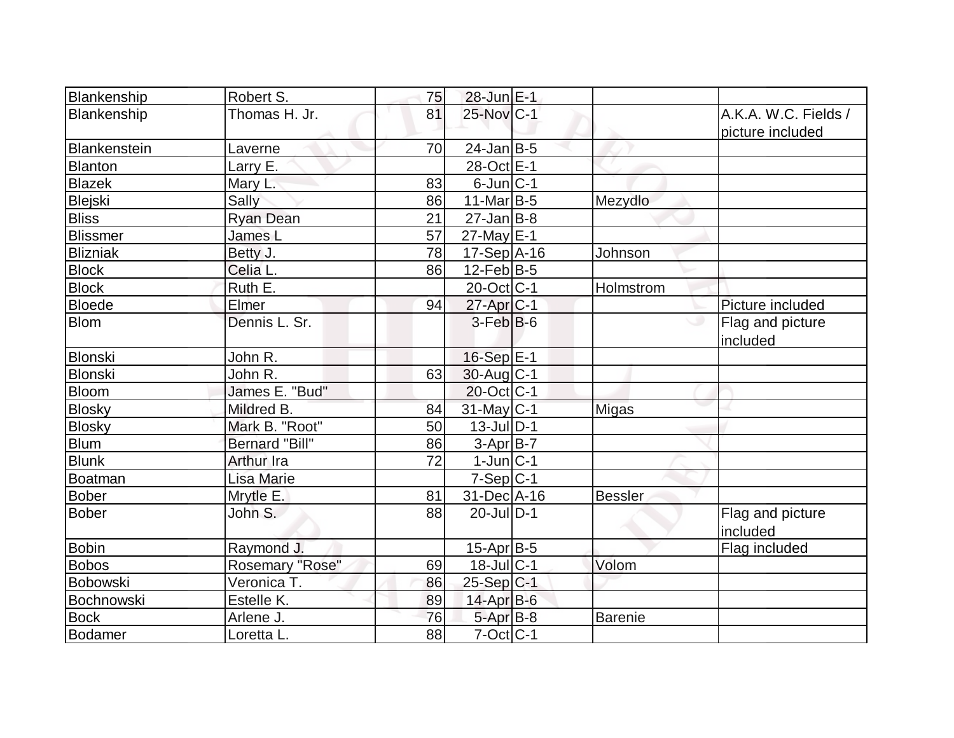| Blankenship     | Robert S.             | 75 | 28-Jun E-1            |                |                                          |
|-----------------|-----------------------|----|-----------------------|----------------|------------------------------------------|
| Blankenship     | Thomas H. Jr.         | 81 | 25-Nov C-1            |                | A.K.A. W.C. Fields /<br>picture included |
| Blankenstein    | Laverne               | 70 | $24$ -Jan $ B-5 $     |                |                                          |
| <b>Blanton</b>  | Larry E.              |    | 28-Oct E-1            |                |                                          |
| <b>Blazek</b>   | Mary L.               | 83 | $6$ -Jun $ C-1$       |                |                                          |
| Blejski         | Sally                 | 86 | $11$ -Mar $ B-5 $     | Mezydlo        |                                          |
| <b>Bliss</b>    | <b>Ryan Dean</b>      | 21 | $27$ -Jan $ B-8 $     |                |                                          |
| <b>Blissmer</b> | James L               | 57 | 27-May E-1            |                |                                          |
| <b>Blizniak</b> | Betty J.              | 78 | $17-Sep$ A-16         | Johnson        |                                          |
| <b>Block</b>    | Celia L.              | 86 | $12$ -Feb $ B-5 $     |                |                                          |
| <b>Block</b>    | Ruth E.               |    | 20-Oct C-1            | Holmstrom      |                                          |
| <b>Bloede</b>   | Elmer                 | 94 | 27-Apr <sub>C-1</sub> |                | Picture included                         |
| <b>Blom</b>     | Dennis L. Sr.         |    | $3-Feb B-6$           |                | Flag and picture<br>included             |
| <b>Blonski</b>  | John R.               |    | $16-Sep$ E-1          |                |                                          |
| Blonski         | John R.               | 63 | $30$ -Aug $C-1$       |                |                                          |
| <b>Bloom</b>    | James E. "Bud"        |    | 20-Oct C-1            |                |                                          |
| <b>Blosky</b>   | Mildred B.            | 84 | 31-May C-1            | <b>Migas</b>   |                                          |
| <b>Blosky</b>   | Mark B. "Root"        | 50 | $13$ -Jul $D-1$       |                |                                          |
| <b>Blum</b>     | <b>Bernard "Bill"</b> | 86 | $3-Apr$ B-7           |                |                                          |
| <b>Blunk</b>    | <b>Arthur Ira</b>     | 72 | $1$ -Jun $ C-1$       |                |                                          |
| Boatman         | Lisa Marie            |    | $7-Sep C-1$           |                |                                          |
| Bober           | Mrytle E.             | 81 | 31-Dec A-16           | <b>Bessler</b> |                                          |
| <b>Bober</b>    | John S.               | 88 | $20$ -Jul $D-1$       |                | Flag and picture<br>included             |
| <b>Bobin</b>    | Raymond J.            |    | $15$ -Apr $B$ -5      |                | Flag included                            |
| <b>Bobos</b>    | Rosemary "Rose"       | 69 | $18$ -Jul $C-1$       | Volom          |                                          |
| Bobowski        | Veronica T.           | 86 | 25-Sep C-1            |                |                                          |
| Bochnowski      | Estelle K.            | 89 | $14$ -Apr $B$ -6      |                |                                          |
| <b>Bock</b>     | Arlene J.             | 76 | $5 - Apr$ B-8         | <b>Barenie</b> |                                          |
| Bodamer         | Loretta L.            | 88 | $7$ -Oct $ C-1 $      |                |                                          |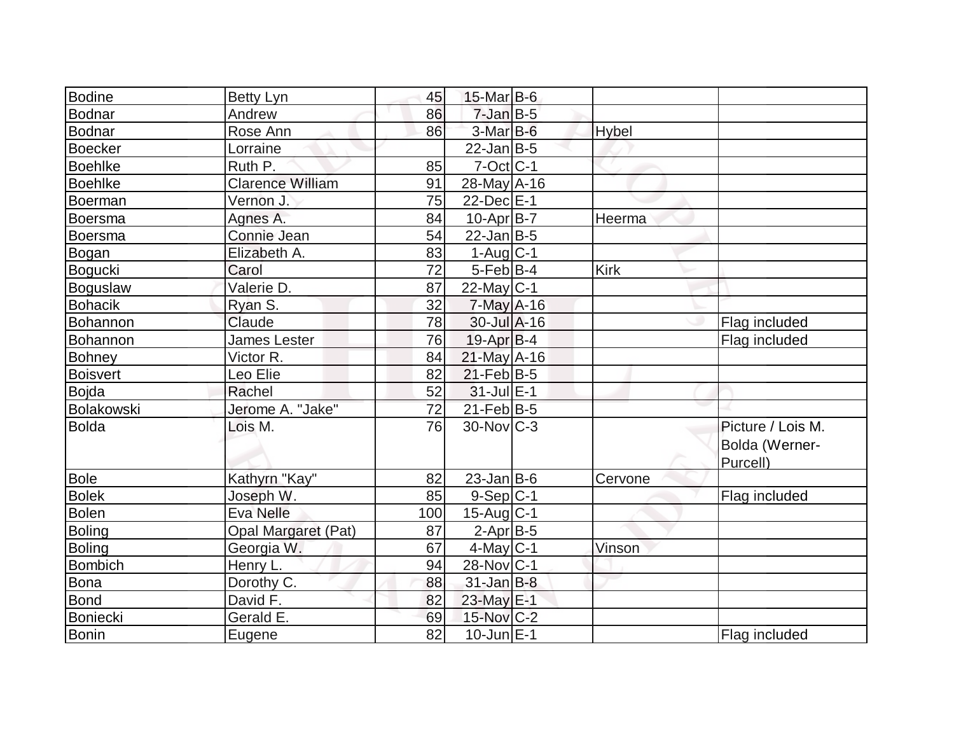| <b>Bodine</b>   | Betty Lyn                  | 45  | $15$ -Mar B-6       |              |                   |
|-----------------|----------------------------|-----|---------------------|--------------|-------------------|
| Bodnar          | Andrew                     | 86  | $7$ -Jan $B$ -5     |              |                   |
| Bodnar          | Rose Ann                   | 86  | $3-MarB-6$          | <b>Hybel</b> |                   |
| Boecker         | Lorraine                   |     | $22$ -Jan B-5       |              |                   |
| <b>Boehlke</b>  | Ruth P.                    | 85  | $7$ -Oct $ C-1 $    |              |                   |
| <b>Boehlke</b>  | <b>Clarence William</b>    | 91  | $28$ -May $A$ -16   |              |                   |
| Boerman         | Vernon J.                  | 75  | 22-Dec E-1          |              |                   |
| Boersma         | Agnes A.                   | 84  | $10$ -Apr $ B-7 $   | Heerma       |                   |
| Boersma         | Connie Jean                | 54  | $22$ -Jan $ B-5 $   |              |                   |
| Bogan           | Elizabeth A.               | 83  | $1-Auq$ $C-1$       |              |                   |
| Bogucki         | Carol                      | 72  | $5$ -Feb $ B-4 $    | <b>Kirk</b>  |                   |
| Boguslaw        | Valerie D.                 | 87  | $22$ -May C-1       |              |                   |
| <b>Bohacik</b>  | Ryan S.                    | 32  | $7-May$ A-16        |              |                   |
| Bohannon        | Claude                     | 78  | $30 -$ Jul $A - 16$ |              | Flag included     |
| Bohannon        | <b>James Lester</b>        | 76  | $19$ -Apr $ B-4 $   |              | Flag included     |
| Bohney          | Victor R.                  | 84  | $21$ -May A-16      |              |                   |
| <b>Boisvert</b> | Leo Elie                   | 82  | $21$ -Feb $ B-5 $   |              |                   |
| Bojda           | Rachel                     | 52  | $31$ -Jul $E-1$     |              |                   |
| Bolakowski      | Jerome A. "Jake"           | 72  | $21$ -Feb $ B-5 $   |              |                   |
| Bolda           | Lois M.                    | 76  | $30$ -Nov $C-3$     |              | Picture / Lois M. |
|                 |                            |     |                     |              | Bolda (Werner-    |
|                 |                            |     |                     |              | Purcell)          |
| Bole            | Kathyrn "Kay"              | 82  | $23$ -Jan $ B-6 $   | Cervone      |                   |
| <b>Bolek</b>    | Joseph W.                  | 85  | $9-Sep C-1$         |              | Flag included     |
| Bolen           | Eva Nelle                  | 100 | $15$ -Aug C-1       |              |                   |
| Boling          | <b>Opal Margaret (Pat)</b> | 87  | $2$ -Apr $B$ -5     |              |                   |
| <b>Boling</b>   | Georgia W.                 | 67  | $4$ -May C-1        | Vinson       |                   |
| Bombich         | Henry L.                   | 94  | 28-Nov C-1          |              |                   |
| Bona            | Dorothy C.                 | 88  | $31$ -Jan $B-8$     |              |                   |
| Bond            | David F.                   | 82  | $23$ -May $E-1$     |              |                   |
| Boniecki        | Gerald E.                  | 69  | 15-Nov C-2          |              |                   |
| Bonin           | Eugene                     | 82  | $10$ -Jun $E-1$     |              | Flag included     |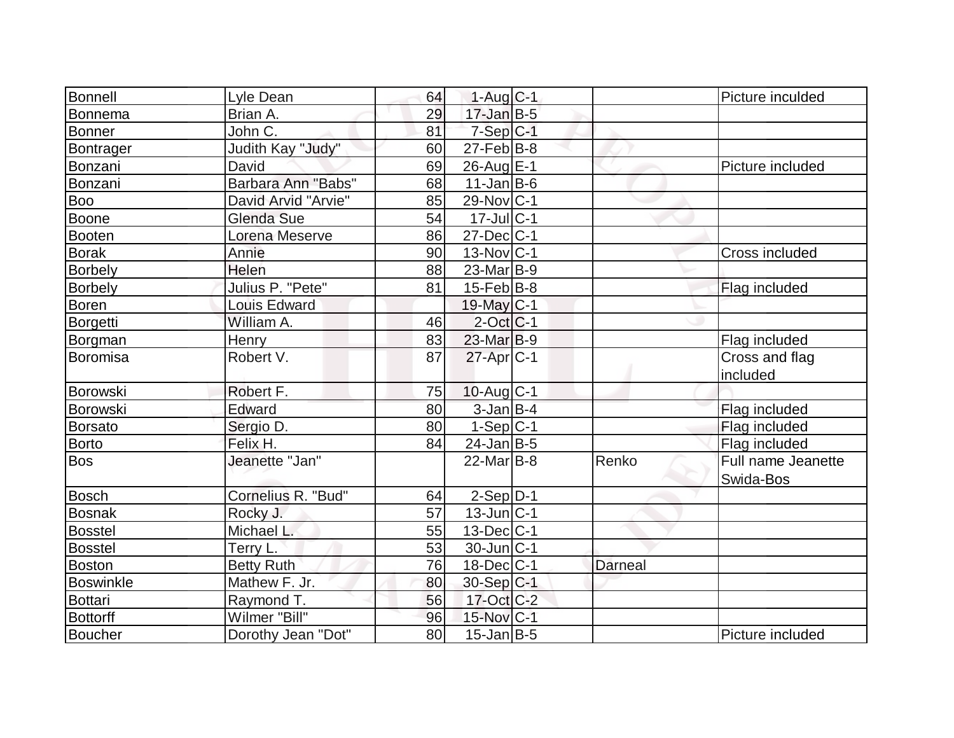| Bonnell          | Lyle Dean           | 64              | $1-Auq$ $C-1$     |                | Picture inculded                |
|------------------|---------------------|-----------------|-------------------|----------------|---------------------------------|
| Bonnema          | Brian A.            | 29              | $17$ -Jan $B-5$   |                |                                 |
| Bonner           | John C.             | 81              | $7-Sep C-1$       |                |                                 |
| Bontrager        | Judith Kay "Judy"   | 60              | $27$ -Feb $ B-8 $ |                |                                 |
| Bonzani          | David               | 69              | 26-Aug $E$ -1     |                | Picture included                |
| Bonzani          | Barbara Ann "Babs"  | 68              | $11$ -Jan $ B-6$  |                |                                 |
| <b>Boo</b>       | David Arvid "Arvie" | 85              | 29-Nov C-1        |                |                                 |
| Boone            | Glenda Sue          | 54              | $17$ -Jul $C-1$   |                |                                 |
| <b>Booten</b>    | Lorena Meserve      | 86              | 27-Dec C-1        |                |                                 |
| <b>Borak</b>     | Annie               | 90              | $13-Nov C-1$      |                | Cross included                  |
| <b>Borbely</b>   | <b>Helen</b>        | 88              | $23$ -Mar $ B-9 $ |                |                                 |
| Borbely          | Julius P. "Pete"    | 81              | $15$ -Feb $ B-8 $ |                | Flag included                   |
| <b>Boren</b>     | <b>Louis Edward</b> |                 | 19-May C-1        |                |                                 |
| Borgetti         | William A.          | 46              | $2$ -Oct $ C-1 $  |                |                                 |
| Borgman          | Henry               | 83              | $23$ -Mar $B-9$   |                | Flag included                   |
| Boromisa         | Robert V.           | 87              | $27$ -Apr $ C-1 $ |                | Cross and flag<br>included      |
| Borowski         | Robert F.           | 75              | $10$ -Aug $C-1$   |                |                                 |
| Borowski         | Edward              | 80              | $3$ -Jan $B-4$    |                | Flag included                   |
| <b>Borsato</b>   | Sergio D.           | 80              | $1-Sep C-1$       |                | Flag included                   |
| <b>Borto</b>     | Felix H.            | 84              | $24$ -Jan B-5     |                | Flag included                   |
| <b>Bos</b>       | Jeanette "Jan"      |                 | $22$ -Mar $ B-8 $ | Renko          | Full name Jeanette<br>Swida-Bos |
| <b>Bosch</b>     | Cornelius R. "Bud"  | 64              | $2-Sep$ D-1       |                |                                 |
| Bosnak           | Rocky J.            | $\overline{57}$ | $13$ -Jun $ C-1 $ |                |                                 |
| <b>Bosstel</b>   | Michael L.          | 55              | $13$ -Dec $ C-1 $ |                |                                 |
| <b>Bosstel</b>   | Terry L.            | 53              | 30-Jun C-1        |                |                                 |
| Boston           | <b>Betty Ruth</b>   | 76              | $18$ -Dec $ C-1$  | <b>Darneal</b> |                                 |
| <b>Boswinkle</b> | Mathew F. Jr.       | 80              | 30-Sep C-1        |                |                                 |
| <b>Bottari</b>   | Raymond T.          | 56              | $17$ -Oct $C-2$   |                |                                 |
| <b>Bottorff</b>  | Wilmer "Bill"       | 96              | 15-Nov C-1        |                |                                 |
| Boucher          | Dorothy Jean "Dot"  | 80              | $15$ -Jan B-5     |                | Picture included                |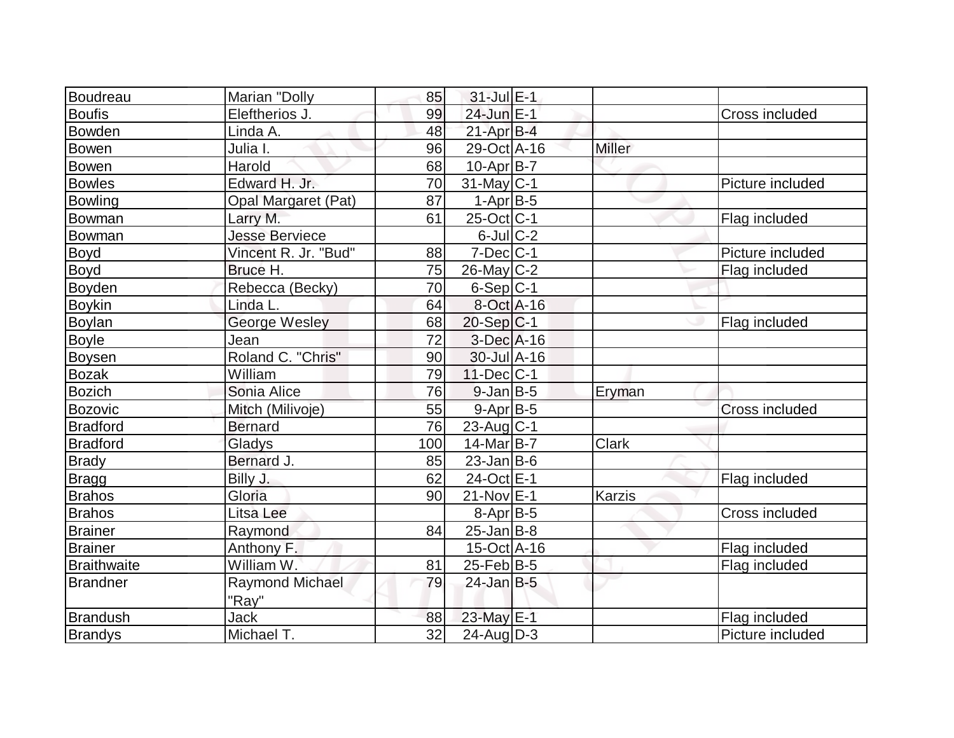| Boudreau           | Marian "Dolly         | 85  | $31$ -Jul $E-1$     |               |                  |
|--------------------|-----------------------|-----|---------------------|---------------|------------------|
| <b>Boufis</b>      | Eleftherios J.        | 99  | 24-Jun E-1          |               | Cross included   |
| Bowden             | Linda A.              | 48  | $21-Apr$ B-4        |               |                  |
| Bowen              | Julia I.              | 96  | 29-Oct A-16         | <b>Miller</b> |                  |
| <b>Bowen</b>       | Harold                | 68  | 10-Apr B-7          |               |                  |
| <b>Bowles</b>      | Edward H. Jr.         | 70  | $31$ -May C-1       |               | Picture included |
| <b>Bowling</b>     | Opal Margaret (Pat)   | 87  | $1-Apr$ B-5         |               |                  |
| Bowman             | Larry M.              | 61  | $25$ -Oct C-1       |               | Flag included    |
| Bowman             | <b>Jesse Berviece</b> |     | $6$ -Jul $C-2$      |               |                  |
| Boyd               | Vincent R. Jr. "Bud"  | 88  | $7$ -Dec $ C-1$     |               | Picture included |
| Boyd               | Bruce H.              | 75  | $26$ -May C-2       |               | Flag included    |
| Boyden             | Rebecca (Becky)       | 70  | $6-Sep C-1$         |               |                  |
| <b>Boykin</b>      | Linda L.              | 64  | 8-Oct A-16          |               |                  |
| <b>Boylan</b>      | George Wesley         | 68  | $20-Sep C-1$        |               | Flag included    |
| <b>Boyle</b>       | Jean                  | 72  | 3-Dec A-16          |               |                  |
| <b>Boysen</b>      | Roland C. "Chris"     | 90  | $30 -$ Jul $A - 16$ |               |                  |
| <b>Bozak</b>       | William               | 79  | $11$ -Dec $ C-1$    |               |                  |
| <b>Bozich</b>      | Sonia Alice           | 76  | $9$ -Jan $B$ -5     | Eryman        |                  |
| <b>Bozovic</b>     | Mitch (Milivoje)      | 55  | 9-Apr B-5           |               | Cross included   |
| <b>Bradford</b>    | <b>Bernard</b>        | 76  | $23$ -Aug $C-1$     |               |                  |
| <b>Bradford</b>    | Gladys                | 100 | 14-Mar B-7          | <b>Clark</b>  |                  |
| <b>Brady</b>       | Bernard J.            | 85  | $23$ -Jan B-6       |               |                  |
| <b>Bragg</b>       | Billy J.              | 62  | 24-Oct E-1          |               | Flag included    |
| <b>Brahos</b>      | Gloria                | 90  | $21$ -Nov $E-1$     | <b>Karzis</b> |                  |
| <b>Brahos</b>      | Litsa Lee             |     | $8-Apr$ B-5         |               | Cross included   |
| <b>Brainer</b>     | Raymond               | 84  | $25$ -Jan B-8       |               |                  |
| <b>Brainer</b>     | Anthony F.            |     | 15-Oct A-16         |               | Flag included    |
| <b>Braithwaite</b> | William W.            | 81  | $25$ -Feb $ B-5 $   |               | Flag included    |
| <b>Brandner</b>    | Raymond Michael       | 79  | $24$ -Jan $B-5$     |               |                  |
|                    | "Ray"                 |     |                     |               |                  |
| <b>Brandush</b>    | Jack                  | 88  | 23-May E-1          |               | Flag included    |
| <b>Brandys</b>     | Michael T.            | 32  | $24$ -Aug $D-3$     |               | Picture included |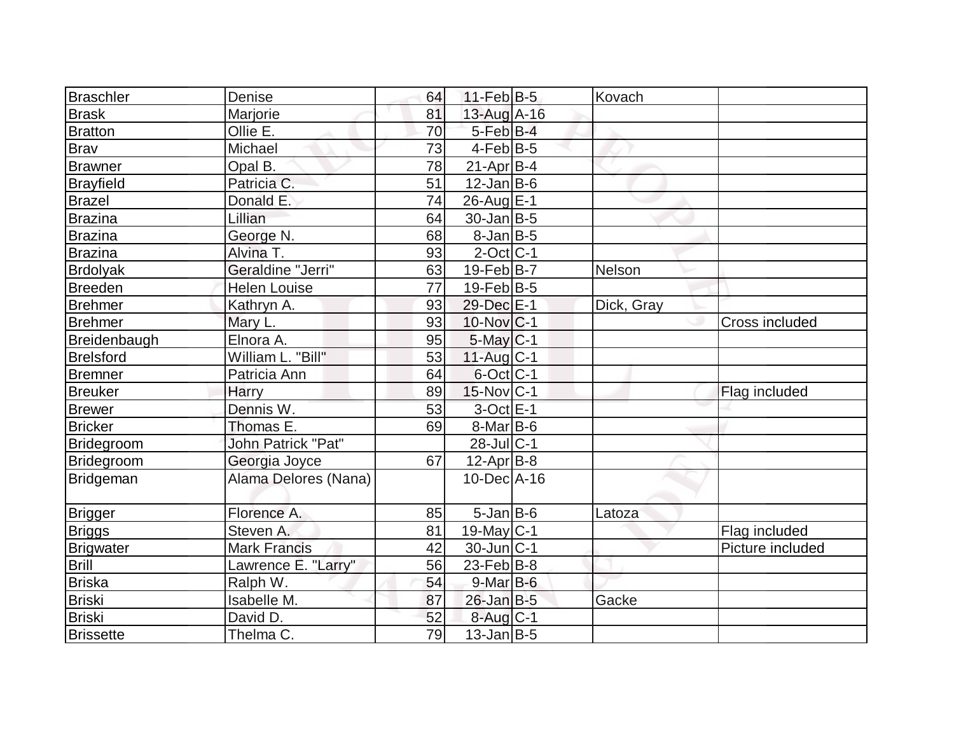| <b>Braschler</b> | Denise                    | 64 | $11-Feb B-5$      | Kovach     |                  |
|------------------|---------------------------|----|-------------------|------------|------------------|
| <b>Brask</b>     | Marjorie                  | 81 | 13-Aug A-16       |            |                  |
| <b>Bratton</b>   | Ollie E.                  | 70 | $5$ -Feb $B$ -4   |            |                  |
| <b>Bray</b>      | Michael                   | 73 | $4$ -Feb $ B-5 $  |            |                  |
| Brawner          | Opal B.                   | 78 | $21-Apr B-4$      |            |                  |
| <b>Brayfield</b> | Patricia C.               | 51 | $12$ -Jan $ B-6 $ |            |                  |
| <b>Brazel</b>    | Donald E.                 | 74 | 26-Aug E-1        |            |                  |
| Brazina          | Lillian                   | 64 | $30$ -Jan $ B-5 $ |            |                  |
| <b>Brazina</b>   | George N.                 | 68 | $8$ -Jan $B$ -5   |            |                  |
| <b>Brazina</b>   | Alvina T.                 | 93 | $2$ -Oct $ C-1 $  |            |                  |
| Brdolyak         | Geraldine "Jerri"         | 63 | $19$ -Feb $ B-7 $ | Nelson     |                  |
| Breeden          | <b>Helen Louise</b>       | 77 | $19$ -Feb $ B-5 $ |            |                  |
| <b>Brehmer</b>   | Kathryn A.                | 93 | 29-Dec E-1        | Dick, Gray |                  |
| <b>Brehmer</b>   | Mary L.                   | 93 | $10$ -Nov $ C-1$  |            | Cross included   |
| Breidenbaugh     | Elnora A.                 | 95 | $5$ -May $C$ -1   |            |                  |
| <b>Brelsford</b> | William L. "Bill"         | 53 | $11$ -Aug $C-1$   |            |                  |
| Bremner          | Patricia Ann              | 64 | $6$ -Oct $ C-1$   |            |                  |
| <b>Breuker</b>   | Harry                     | 89 | $15$ -Nov $ C-1$  |            | Flag included    |
| <b>Brewer</b>    | Dennis W.                 | 53 | $3$ -Oct $E-1$    |            |                  |
| <b>Bricker</b>   | Thomas E.                 | 69 | $8$ -Mar $ B$ -6  |            |                  |
| Bridegroom       | <b>John Patrick "Pat"</b> |    | $28$ -Jul $ C-1$  |            |                  |
| Bridegroom       | Georgia Joyce             | 67 | $12$ -Apr $ B-8 $ |            |                  |
| <b>Bridgeman</b> | Alama Delores (Nana)      |    | $10$ -Dec $ A-16$ |            |                  |
| Brigger          | Florence A.               | 85 | $5$ -Jan $B$ -6   | Latoza     |                  |
| <b>Briggs</b>    | Steven A.                 | 81 | 19-May C-1        |            | Flag included    |
| Brigwater        | <b>Mark Francis</b>       | 42 | $30$ -Jun $ C-1$  |            | Picture included |
| <b>Brill</b>     | Lawrence E. "Larry"       | 56 | $23$ -Feb $ B-8$  |            |                  |
| <b>Briska</b>    | Ralph W.                  | 54 | $9$ -Mar $B$ -6   |            |                  |
| <b>Briski</b>    | Isabelle M.               | 87 | $26$ -Jan B-5     | Gacke      |                  |
| <b>Briski</b>    | David D.                  | 52 | $8-Aug C-1$       |            |                  |
| <b>Brissette</b> | Thelma C.                 | 79 | $13$ -Jan B-5     |            |                  |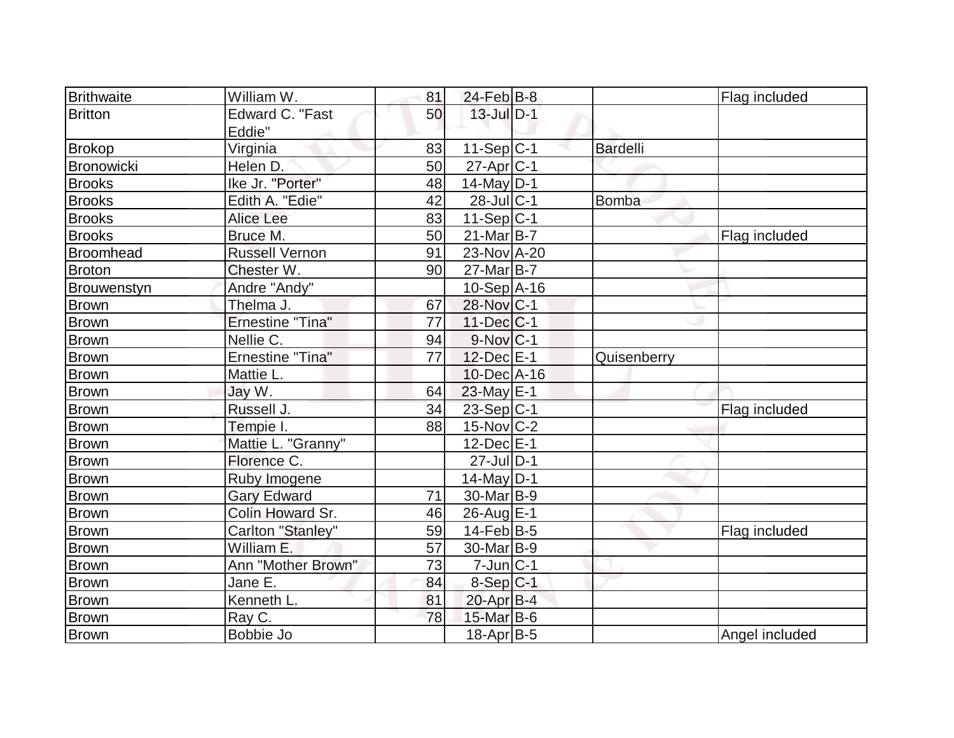| <b>Brithwaite</b> | William W.              | 81 | $24$ -Feb $ B-8$      |                 | Flag included  |
|-------------------|-------------------------|----|-----------------------|-----------------|----------------|
| <b>Britton</b>    | Edward C. "Fast         | 50 | $13$ -Jul $D-1$       |                 |                |
|                   | Eddie"                  |    |                       |                 |                |
| <b>Brokop</b>     | Virginia                | 83 | 11-Sep C-1            | <b>Bardelli</b> |                |
| Bronowicki        | Helen D.                | 50 | $27$ -Apr $ C-1 $     |                 |                |
| <b>Brooks</b>     | Ike Jr. "Porter"        | 48 | $14$ -May D-1         |                 |                |
| <b>Brooks</b>     | Edith A. "Edie"         | 42 | $28$ -Jul $ C-1$      |                 |                |
| <b>Brooks</b>     | Alice Lee               | 83 | $11-Sep C-1$          | <b>Bomba</b>    |                |
|                   |                         |    |                       |                 |                |
| <b>Brooks</b>     | Bruce M.                | 50 | 21-Mar B-7            |                 | Flag included  |
| Broomhead         | <b>Russell Vernon</b>   | 91 | 23-Nov A-20           |                 |                |
| Broton            | Chester W.              | 90 | $27$ -Mar $B$ -7      |                 |                |
| Brouwenstyn       | Andre "Andy"            |    | $10-Sep$ A-16         |                 |                |
| Brown             | Thelma J.               | 67 | 28-Nov C-1            |                 |                |
| Brown             | <b>Ernestine "Tina"</b> | 77 | $11$ -Dec $ C-1$      |                 |                |
| Brown             | Nellie C.               | 94 | $9-Nov C-1$           |                 |                |
| <b>Brown</b>      | <b>Ernestine "Tina"</b> | 77 | 12-Dec E-1            | Quisenberry     |                |
| <b>Brown</b>      | Mattie L.               |    | $10$ -Dec $ A-16$     |                 |                |
| <b>Brown</b>      | Jay W.                  | 64 | $23$ -May E-1         |                 |                |
| <b>Brown</b>      | Russell J.              | 34 | 23-Sep C-1            |                 | Flag included  |
| <b>Brown</b>      | Tempie I.               | 88 | $15$ -Nov $ C-2 $     |                 |                |
| <b>Brown</b>      | Mattie L. "Granny"      |    | $12$ -Dec $E-1$       |                 |                |
| Brown             | Florence C.             |    | $27$ -Jul $D-1$       |                 |                |
| <b>Brown</b>      | Ruby Imogene            |    | $14$ -May D-1         |                 |                |
| <b>Brown</b>      | <b>Gary Edward</b>      | 71 | 30-Mar <sub>B-9</sub> |                 |                |
| <b>Brown</b>      | Colin Howard Sr.        | 46 | 26-Aug E-1            |                 |                |
| <b>Brown</b>      | Carlton "Stanley"       | 59 | $14$ -Feb $ B-5 $     |                 | Flag included  |
| <b>Brown</b>      | William E.              | 57 | 30-Mar <sub>B-9</sub> |                 |                |
| <b>Brown</b>      | Ann "Mother Brown"      | 73 | $7$ -Jun $ C-1$       |                 |                |
| <b>Brown</b>      | Jane E.                 | 84 | $8-Sep C-1$           |                 |                |
| <b>Brown</b>      | Kenneth L.              | 81 | $20$ -Apr $B-4$       |                 |                |
| <b>Brown</b>      | Ray C.                  | 78 | 15-Mar B-6            |                 |                |
| Brown             | Bobbie Jo               |    | 18-Apr B-5            |                 | Angel included |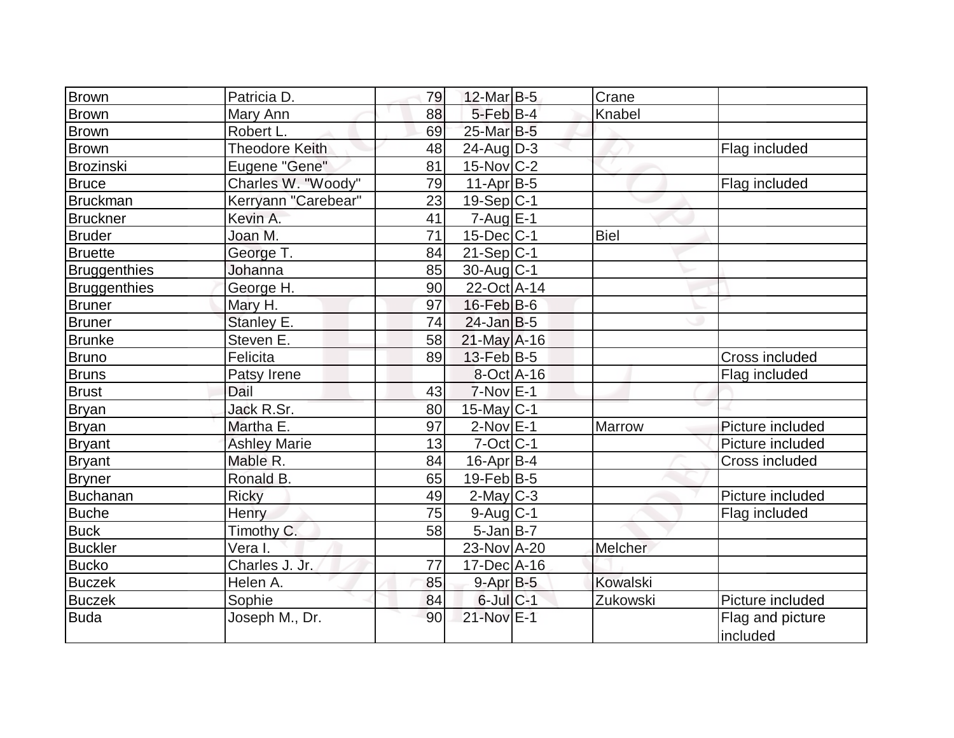| <b>Brown</b>    | Patricia D.           | 79 | $12$ -Mar $ B-5$  | Crane           |                  |
|-----------------|-----------------------|----|-------------------|-----------------|------------------|
| Brown           | Mary Ann              | 88 | $5$ -Feb $B$ -4   | Knabel          |                  |
| <b>Brown</b>    | Robert L.             | 69 | 25-Mar B-5        |                 |                  |
|                 | <b>Theodore Keith</b> | 48 | $24$ -AugD-3      |                 |                  |
| <b>Brown</b>    |                       |    |                   |                 | Flag included    |
| Brozinski       | Eugene "Gene"         | 81 | $15$ -Nov $ C-2 $ |                 |                  |
| <b>Bruce</b>    | Charles W. "Woody"    | 79 | $11-Apr$ B-5      |                 | Flag included    |
| Bruckman        | Kerryann "Carebear"   | 23 | $19-Sep C-1$      |                 |                  |
| <b>Bruckner</b> | Kevin A.              | 41 | $7 - Aug$ $E-1$   |                 |                  |
| <b>Bruder</b>   | Joan M.               | 71 | $15$ -Dec $ C-1 $ | <b>Biel</b>     |                  |
| <b>Bruette</b>  | George T.             | 84 | $21-Sep C-1$      |                 |                  |
| Bruggenthies    | Johanna               | 85 | $30$ -Aug C-1     |                 |                  |
| Bruggenthies    | George H.             | 90 | 22-Oct A-14       |                 |                  |
| <b>Bruner</b>   | Mary H.               | 97 | $16$ -Feb $B$ -6  |                 |                  |
| <b>Bruner</b>   | Stanley E.            | 74 | $24$ -Jan $B-5$   |                 |                  |
| <b>Brunke</b>   | Steven E.             | 58 | $21$ -May A-16    |                 |                  |
| <b>Bruno</b>    | Felicita              | 89 | $13$ -Feb $ B-5$  |                 | Cross included   |
| <b>Bruns</b>    | Patsy Irene           |    | $8-Oct$ A-16      |                 | Flag included    |
| <b>Brust</b>    | Dail                  | 43 | $7-Nov$ $E-1$     |                 |                  |
| <b>Bryan</b>    | Jack R.Sr.            | 80 | 15-May C-1        |                 |                  |
| <b>Bryan</b>    | Martha E.             | 97 | $2-Nov$ E-1       | <b>Marrow</b>   | Picture included |
| <b>Bryant</b>   | <b>Ashley Marie</b>   | 13 | $7$ -Oct $ C-1 $  |                 | Picture included |
| Bryant          | Mable R.              | 84 | $16$ -Apr $ B-4 $ |                 | Cross included   |
| <b>Bryner</b>   | Ronald B.             | 65 | $19$ -Feb $B$ -5  |                 |                  |
| Buchanan        | <b>Ricky</b>          | 49 | $2$ -May C-3      |                 | Picture included |
| <b>Buche</b>    | Henry                 | 75 | $9$ -Aug C-1      |                 | Flag included    |
| <b>Buck</b>     | Timothy C.            | 58 | $5$ -Jan B-7      |                 |                  |
| <b>Buckler</b>  | Vera I.               |    | 23-Nov A-20       | Melcher         |                  |
| <b>Bucko</b>    | Charles J. Jr.        | 77 | $17 - Dec A - 16$ |                 |                  |
| <b>Buczek</b>   | Helen A.              | 85 | $9$ -Apr $B$ -5   | <b>Kowalski</b> |                  |
| <b>Buczek</b>   | Sophie                | 84 | $6$ -Jul $C-1$    | Zukowski        | Picture included |
| Buda            | Joseph M., Dr.        | 90 | $21-NovE-1$       |                 | Flag and picture |
|                 |                       |    |                   |                 | included         |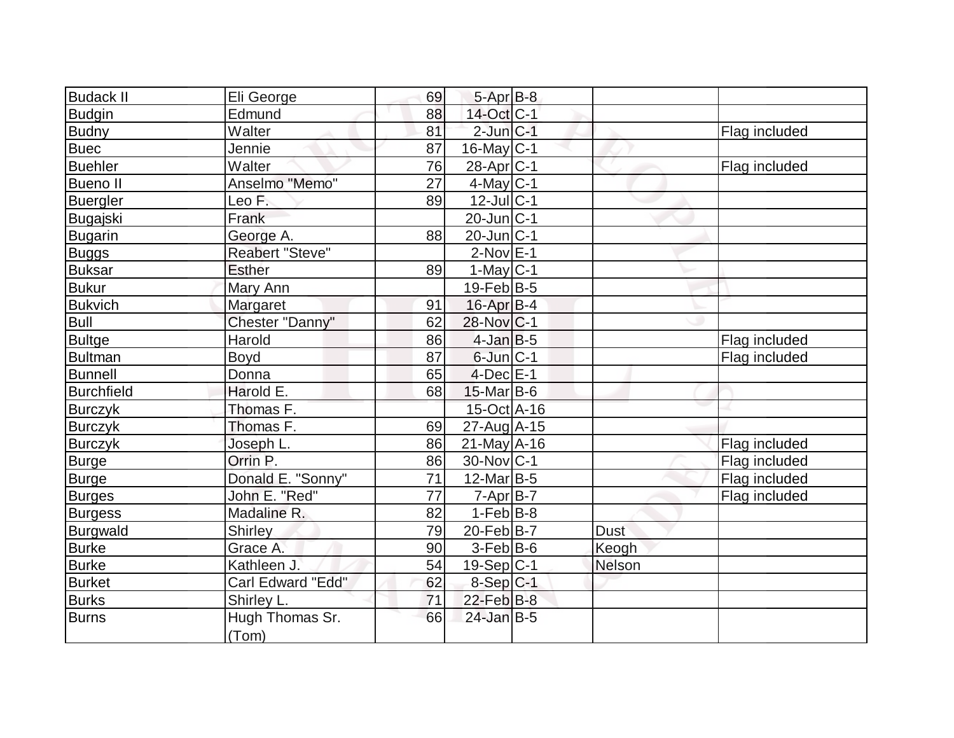| Budack II       | Eli George               | 69 | $5-AprB-8$            |               |               |
|-----------------|--------------------------|----|-----------------------|---------------|---------------|
| <b>Budgin</b>   | Edmund                   | 88 | 14-Oct C-1            |               |               |
| <b>Budny</b>    | Walter                   | 81 | $2$ -Jun $ C-1 $      |               | Flag included |
| <b>Buec</b>     | Jennie                   | 87 | $16$ -May $ C-1$      |               |               |
| Buehler         | Walter                   | 76 | 28-Apr <sub>C-1</sub> |               | Flag included |
| <b>Bueno II</b> | Anselmo "Memo"           | 27 | $4$ -May C-1          |               |               |
| <b>Buergler</b> | Leo F.                   | 89 | $12$ -Jul $ C-1$      |               |               |
| Bugajski        | Frank                    |    | $20$ -Jun $ C-1$      |               |               |
| <b>Bugarin</b>  | George A.                | 88 | $20$ -Jun $ C-1$      |               |               |
| <b>Buggs</b>    | Reabert "Steve"          |    | $2$ -Nov $E-1$        |               |               |
| <b>Buksar</b>   | <b>Esther</b>            | 89 | $1-May C-1$           |               |               |
| <b>Bukur</b>    | Mary Ann                 |    | $19$ -Feb $ B-5 $     |               |               |
| <b>Bukvich</b>  | Margaret                 | 91 | $16$ -Apr $B$ -4      |               |               |
| <b>Bull</b>     | Chester "Danny"          | 62 | 28-Nov C-1            |               |               |
| <b>Bultge</b>   | Harold                   | 86 | $4$ -Jan $B$ -5       |               | Flag included |
| <b>Bultman</b>  | <b>Boyd</b>              | 87 | $6$ -Jun $ C-1$       |               | Flag included |
| <b>Bunnell</b>  | Donna                    | 65 | $4$ -Dec $E-1$        |               |               |
| Burchfield      | Harold E.                | 68 | $15$ -Mar $ B-6$      |               |               |
| <b>Burczyk</b>  | Thomas F.                |    | 15-Oct A-16           |               |               |
| <b>Burczyk</b>  | Thomas F.                | 69 | $27$ -Aug $A$ -15     |               |               |
| <b>Burczyk</b>  | Joseph L.                | 86 | $21$ -May A-16        |               | Flag included |
| Burge           | Orrin P.                 | 86 | 30-Nov C-1            |               | Flag included |
| <b>Burge</b>    | Donald E. "Sonny"        | 71 | $12$ -Mar $ B-5 $     |               | Flag included |
| <b>Burges</b>   | John E. "Red"            | 77 | $7 - Apr$ B-7         |               | Flag included |
| <b>Burgess</b>  | Madaline R.              | 82 | $1-Feb B-8$           |               |               |
| Burgwald        | Shirley                  | 79 | 20-Feb B-7            | <b>Dust</b>   |               |
| <b>Burke</b>    | Grace A.                 | 90 | $3-Feb B-6$           | Keogh         |               |
| <b>Burke</b>    | Kathleen J.              | 54 | 19-Sep C-1            | <b>Nelson</b> |               |
| Burket          | Carl Edward "Edd"        | 62 | 8-Sep C-1             |               |               |
| <b>Burks</b>    | Shirley L.               | 71 | $22$ -Feb $B-8$       |               |               |
| Burns           | Hugh Thomas Sr.<br>(Tom) | 66 | $24$ -Jan B-5         |               |               |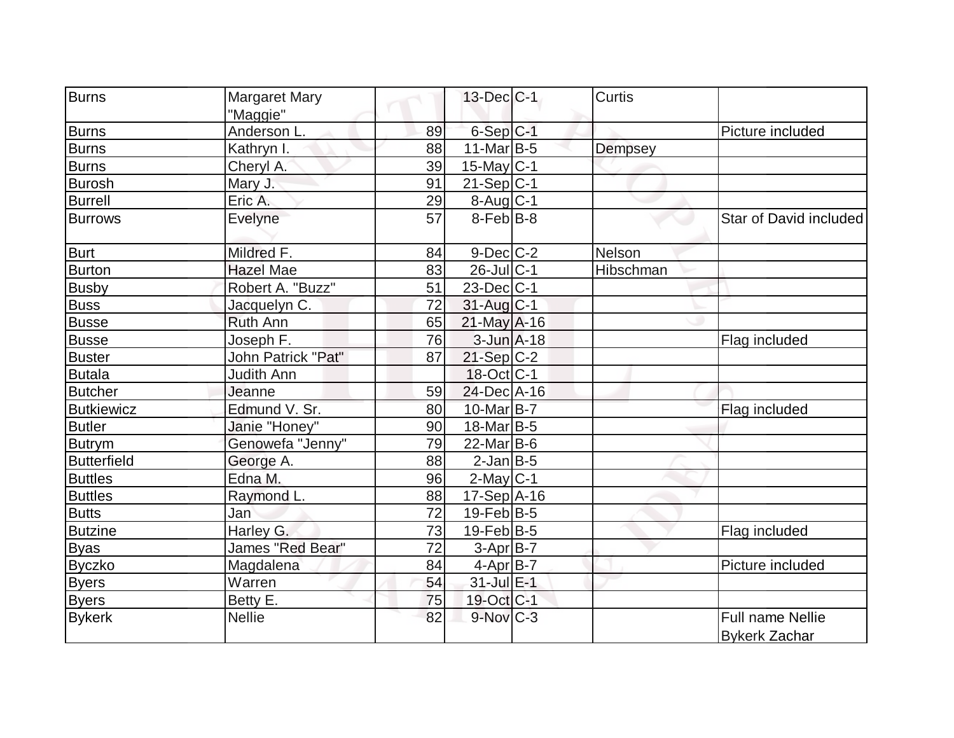| <b>Burns</b>       | <b>Margaret Mary</b> |                 | $13$ -Dec $ C-1 $      | Curtis    |                                                 |
|--------------------|----------------------|-----------------|------------------------|-----------|-------------------------------------------------|
|                    | "Maggie"             |                 |                        |           |                                                 |
| <b>Burns</b>       | Anderson L.          | 89              | $6-Sep C-1$            |           | Picture included                                |
| <b>Burns</b>       | Kathryn I.           | 88              | $11$ -Mar $ B-5 $      | Dempsey   |                                                 |
| <b>Burns</b>       | Cheryl A.            | 39              | $15$ -May C-1          |           |                                                 |
| <b>Burosh</b>      | Mary J.              | 91              | $21-Sep C-1$           |           |                                                 |
| <b>Burrell</b>     | Eric A.              | 29              | 8-Aug C-1              |           |                                                 |
| <b>Burrows</b>     | Evelyne              | 57              | $8$ -Feb $ B-8 $       |           | Star of David included                          |
| Burt               | Mildred F.           | 84              | $9$ -Dec $C-2$         | Nelson    |                                                 |
| Burton             | <b>Hazel Mae</b>     | 83              | $26$ -Jul $C-1$        | Hibschman |                                                 |
| <b>Busby</b>       | Robert A. "Buzz"     | 51              | $23$ -Dec $C-1$        |           |                                                 |
| Buss               | Jacquelyn C.         | 72              | $31$ -Aug $C-1$        |           |                                                 |
| <b>Busse</b>       | <b>Ruth Ann</b>      | 65              | $21$ -May A-16         |           |                                                 |
| <b>Busse</b>       | Joseph F.            | 76              | $3$ -Jun $A-18$        |           | Flag included                                   |
| <b>Buster</b>      | John Patrick "Pat"   | 87              | $21-Sep C-2$           |           |                                                 |
| <b>Butala</b>      | <b>Judith Ann</b>    |                 | 18-Oct C-1             |           |                                                 |
| <b>Butcher</b>     | Jeanne               | 59              | 24-Dec A-16            |           |                                                 |
| <b>Butkiewicz</b>  | Edmund V. Sr.        | 80              | 10-Mar B-7             |           | Flag included                                   |
| <b>Butler</b>      | Janie "Honey"        | 90              | 18-Mar <sub>B-5</sub>  |           |                                                 |
| <b>Butrym</b>      | Genowefa "Jenny"     | 79              | $22$ -Mar $ B-6$       |           |                                                 |
| <b>Butterfield</b> | George A.            | 88              | $2$ -Jan B-5           |           |                                                 |
| <b>Buttles</b>     | Edna M.              | 96              | $2$ -May $C-1$         |           |                                                 |
| <b>Buttles</b>     | Raymond L.           | 88              | $17-Sep$ A-16          |           |                                                 |
| <b>Butts</b>       | Jan                  | 72              | $19$ -Feb $ B-5$       |           |                                                 |
| <b>Butzine</b>     | Harley G.            | 73              | $19$ -Feb $ B-5 $      |           | Flag included                                   |
| <b>Byas</b>        | James "Red Bear"     | $\overline{72}$ | $3-Apr$ B-7            |           |                                                 |
| <b>Byczko</b>      | Magdalena            | 84              | 4-Apr B-7              |           | Picture included                                |
| <b>Byers</b>       | Warren               | 54              | 31-Jul E-1             |           |                                                 |
| <b>Byers</b>       | Betty E.             | 75              | 19-Oct C-1             |           |                                                 |
| <b>Bykerk</b>      | <b>Nellie</b>        | 82              | $9-Nov$ <sub>C-3</sub> |           | <b>Full name Nellie</b><br><b>Bykerk Zachar</b> |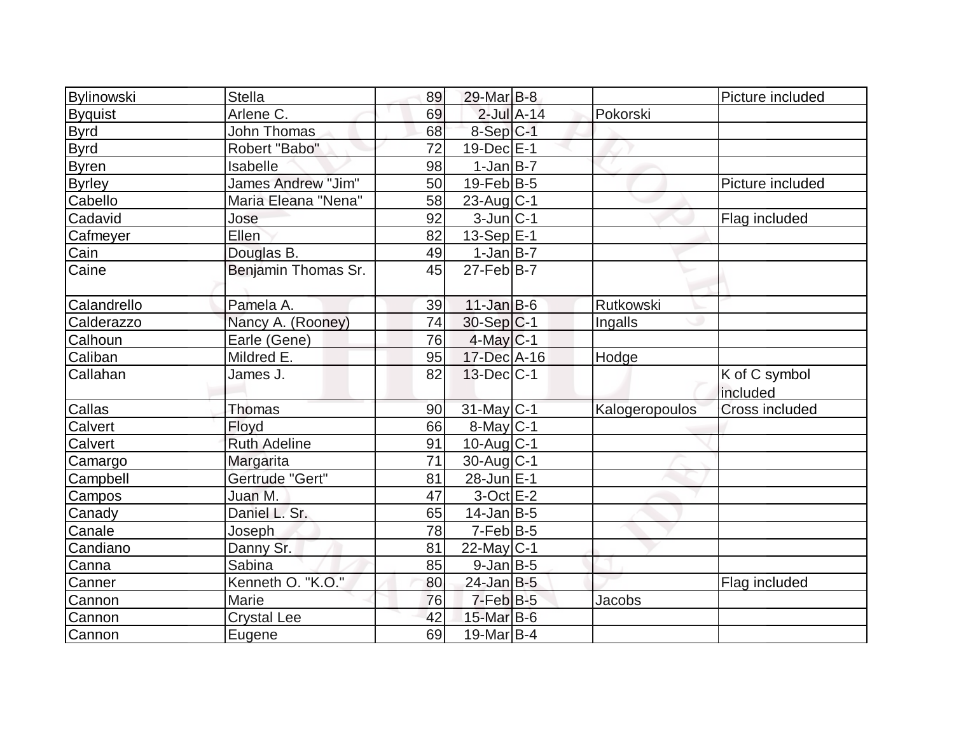| Bylinowski     | <b>Stella</b>       | 89 | $29$ -Mar $B$ -8  |                 |                | Picture included          |
|----------------|---------------------|----|-------------------|-----------------|----------------|---------------------------|
| <b>Byquist</b> | Arlene C.           | 69 |                   | $2$ -Jul $A-14$ | Pokorski       |                           |
| <b>Byrd</b>    | <b>John Thomas</b>  | 68 | $8-Sep C-1$       |                 |                |                           |
| <b>Byrd</b>    | Robert "Babo"       | 72 | $19$ -Dec $E-1$   |                 |                |                           |
| <b>Byren</b>   | Isabelle            | 98 | $1-Jan$ B-7       |                 |                |                           |
| <b>Byrley</b>  | James Andrew "Jim"  | 50 | $19$ -Feb $B$ -5  |                 |                | Picture included          |
| Cabello        | Maria Eleana "Nena" | 58 | $23$ -Aug C-1     |                 |                |                           |
| Cadavid        | Jose                | 92 | $3$ -Jun $ C-1$   |                 |                | Flag included             |
| Cafmeyer       | Ellen               | 82 | 13-Sep E-1        |                 |                |                           |
| Cain           | Douglas B.          | 49 | $1-Jan$ $B-7$     |                 |                |                           |
| Caine          | Benjamin Thomas Sr. | 45 | $27$ -Feb $ B-7$  |                 |                |                           |
| Calandrello    | Pamela A.           | 39 | $11$ -Jan B-6     |                 | Rutkowski      |                           |
| Calderazzo     | Nancy A. (Rooney)   | 74 | $30-Sep C-1$      |                 | Ingalls        |                           |
| Calhoun        | Earle (Gene)        | 76 | $4$ -May C-1      |                 |                |                           |
| Caliban        | Mildred E.          | 95 | $17 - Dec$ A-16   |                 | Hodge          |                           |
| Callahan       | James J.            | 82 | $13$ -Dec $ C-1 $ |                 |                | K of C symbol<br>included |
| Callas         | Thomas              | 90 | $31$ -May C-1     |                 | Kalogeropoulos | Cross included            |
| Calvert        | Floyd               | 66 | $8$ -May $C$ -1   |                 |                |                           |
| Calvert        | <b>Ruth Adeline</b> | 91 | $10$ -Aug $C-1$   |                 |                |                           |
| Camargo        | Margarita           | 71 | $30$ -Aug $C-1$   |                 |                |                           |
| Campbell       | Gertrude "Gert"     | 81 | 28-Jun E-1        |                 |                |                           |
| Campos         | Juan M.             | 47 | $3$ -Oct $E-2$    |                 |                |                           |
| Canady         | Daniel L. Sr.       | 65 | $14$ -Jan $ B-5 $ |                 |                |                           |
| Canale         | Joseph              | 78 | $7-FebB-5$        |                 |                |                           |
| Candiano       | Danny Sr.           | 81 | $22$ -May C-1     |                 |                |                           |
| Canna          | Sabina              | 85 | $9$ -Jan B-5      |                 |                |                           |
| Canner         | Kenneth O. "K.O."   | 80 | $24$ -Jan B-5     |                 |                | Flag included             |
| Cannon         | Marie               | 76 | $7-Feb B-5$       |                 | Jacobs         |                           |
| Cannon         | <b>Crystal Lee</b>  | 42 | 15-Mar B-6        |                 |                |                           |
| Cannon         | Eugene              | 69 | $19$ -Mar $ B-4$  |                 |                |                           |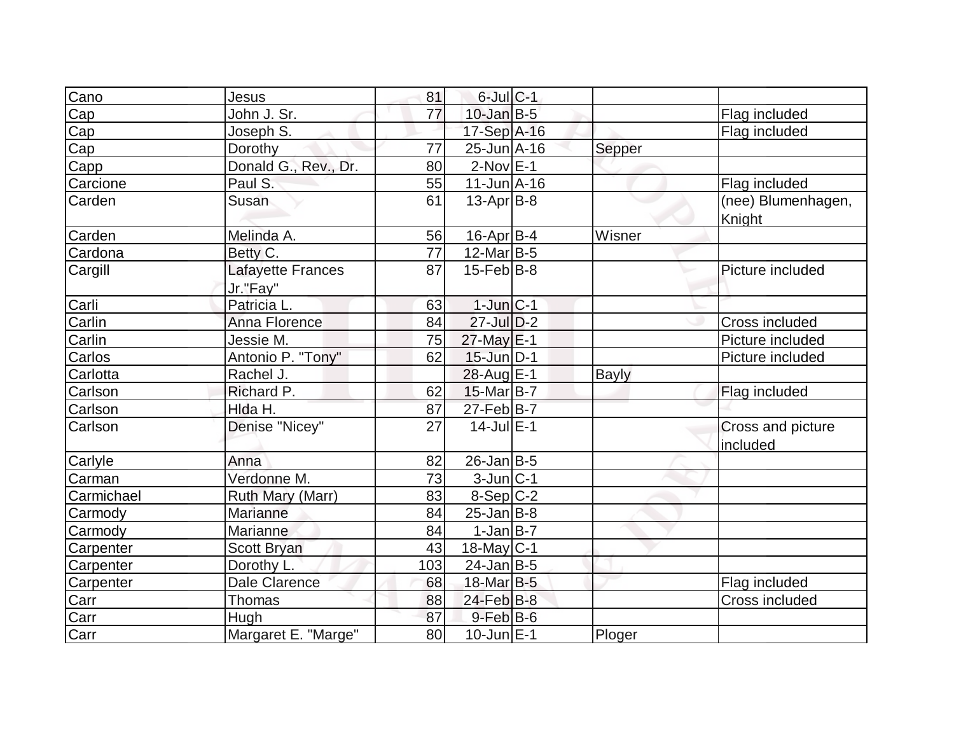| Cano       | Jesus                         | 81  | $6$ -Jul $C-1$    |        |                               |
|------------|-------------------------------|-----|-------------------|--------|-------------------------------|
| Cap        | John J. Sr.                   | 77  | $10$ -Jan $B-5$   |        | Flag included                 |
| Cap        | Joseph S.                     |     | 17-Sep A-16       |        | Flag included                 |
| Cap        | Dorothy                       | 77  | $25$ -Jun $A$ -16 | Sepper |                               |
| Capp       | Donald G., Rev., Dr.          | 80  | $2-Nov$ $E-1$     |        |                               |
| Carcione   | Paul S.                       | 55  | $11$ -Jun $A$ -16 |        | Flag included                 |
| Carden     | Susan                         | 61  | $13$ -Apr $ B-8 $ |        | (nee) Blumenhagen,<br>Knight  |
| Carden     | Melinda A.                    | 56  | $16$ -Apr $B$ -4  | Wisner |                               |
| Cardona    | Betty C.                      | 77  | $12$ -Mar $ B-5 $ |        |                               |
| Cargill    | Lafayette Frances<br>Jr."Fay" | 87  | $15$ -Feb $ B-8 $ |        | Picture included              |
| Carli      | Patricia L.                   | 63  | $1$ -Jun $ C-1$   |        |                               |
| Carlin     | Anna Florence                 | 84  | $27$ -Jul $D-2$   |        | Cross included                |
| Carlin     | Jessie M.                     | 75  | $27$ -May $E-1$   |        | Picture included              |
| Carlos     | Antonio P. "Tony"             | 62  | 15-Jun D-1        |        | Picture included              |
| Carlotta   | Rachel J.                     |     | 28-Aug E-1        | Bayly  |                               |
| Carlson    | Richard P.                    | 62  | 15-Mar B-7        |        | Flag included                 |
| Carlson    | Hlda H.                       | 87  | $27$ -Feb $ B-7$  |        |                               |
| Carlson    | Denise "Nicey"                | 27  | $14$ -Jul $E-1$   |        | Cross and picture<br>included |
| Carlyle    | Anna                          | 82  | $26$ -Jan $ B-5 $ |        |                               |
| Carman     | Verdonne M.                   | 73  | $3$ -Jun $ C-1 $  |        |                               |
| Carmichael | Ruth Mary (Marr)              | 83  | $8-Sep C-2$       |        |                               |
| Carmody    | Marianne                      | 84  | $25$ -Jan $ B-8 $ |        |                               |
| Carmody    | Marianne                      | 84  | $1-Jan$ B-7       |        |                               |
| Carpenter  | <b>Scott Bryan</b>            | 43  | $18$ -May C-1     |        |                               |
| Carpenter  | Dorothy L.                    | 103 | $24$ -Jan B-5     |        |                               |
| Carpenter  | Dale Clarence                 | 68  | 18-Mar B-5        |        | Flag included                 |
| Carr       | Thomas                        | 88  | $24$ -Feb $ B-8 $ |        | <b>Cross included</b>         |
| Carr       | Hugh                          | 87  | $9$ -Feb $B$ -6   |        |                               |
| Carr       | Margaret E. "Marge"           | 80  | $10$ -Jun $E-1$   | Ploger |                               |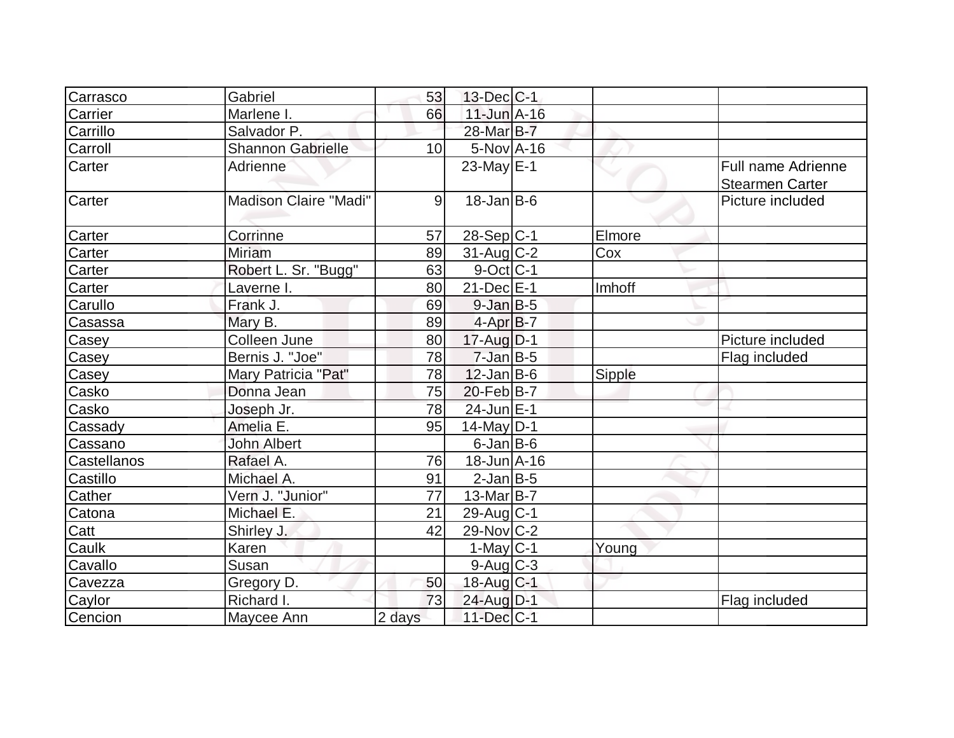| Carrasco    | Gabriel               | 53     | $13$ -Dec $ C-1 $ |        |                                              |
|-------------|-----------------------|--------|-------------------|--------|----------------------------------------------|
| Carrier     | Marlene I.            | 66     | $11$ -Jun $A-16$  |        |                                              |
| Carrillo    | Salvador P.           |        | 28-Mar B-7        |        |                                              |
| Carroll     | Shannon Gabrielle     | 10     | $5-Nov$ A-16      |        |                                              |
| Carter      | <b>Adrienne</b>       |        | $23$ -May $E-1$   |        | Full name Adrienne<br><b>Stearmen Carter</b> |
| Carter      | Madison Claire "Madi" | 9      | $18$ -Jan B-6     |        | Picture included                             |
| Carter      | Corrinne              | 57     | $28-Sep C-1$      | Elmore |                                              |
| Carter      | Miriam                | 89     | $31$ -Aug C-2     | Cox    |                                              |
| Carter      | Robert L. Sr. "Bugg"  | 63     | $9$ -Oct $ C-1 $  |        |                                              |
| Carter      | Laverne I.            | 80     | $21$ -Dec $E-1$   | Imhoff |                                              |
| Carullo     | Frank J.              | 69     | $9$ -Jan B-5      |        |                                              |
| Casassa     | Mary B.               | 89     | $4-Apr$ B-7       |        |                                              |
| Casey       | Colleen June          | 80     | 17-Aug D-1        |        | Picture included                             |
| Casey       | Bernis J. "Joe"       | 78     | $7$ -Jan B-5      |        | Flag included                                |
| Casey       | Mary Patricia "Pat"   | 78     | $12$ -Jan B-6     | Sipple |                                              |
| Casko       | Donna Jean            | 75     | $20$ -Feb $ B-7$  |        |                                              |
| Casko       | Joseph Jr.            | 78     | 24-Jun E-1        |        |                                              |
| Cassady     | Amelia E.             | 95     | $14$ -May D-1     |        |                                              |
| Cassano     | <b>John Albert</b>    |        | $6$ -Jan $B$ -6   |        |                                              |
| Castellanos | Rafael A.             | 76     | $18$ -Jun $A$ -16 |        |                                              |
| Castillo    | Michael A.            | 91     | $2$ -Jan B-5      |        |                                              |
| Cather      | Vern J. "Junior"      | 77     | $13$ -Mar $ B-7 $ |        |                                              |
| Catona      | Michael E.            | 21     | $29$ -Aug $C-1$   |        |                                              |
| Catt        | Shirley J.            | 42     | $29$ -Nov $ C-2 $ |        |                                              |
| Caulk       | Karen                 |        | $1$ -May C-1      | Young  |                                              |
| Cavallo     | Susan                 |        | $9$ -Aug $C$ -3   |        |                                              |
| Cavezza     | Gregory D.            | 50     | 18-Aug C-1        |        |                                              |
| Caylor      | Richard I.            | 73     | 24-Aug D-1        |        | Flag included                                |
| Cencion     | Maycee Ann            | 2 days | 11-Dec C-1        |        |                                              |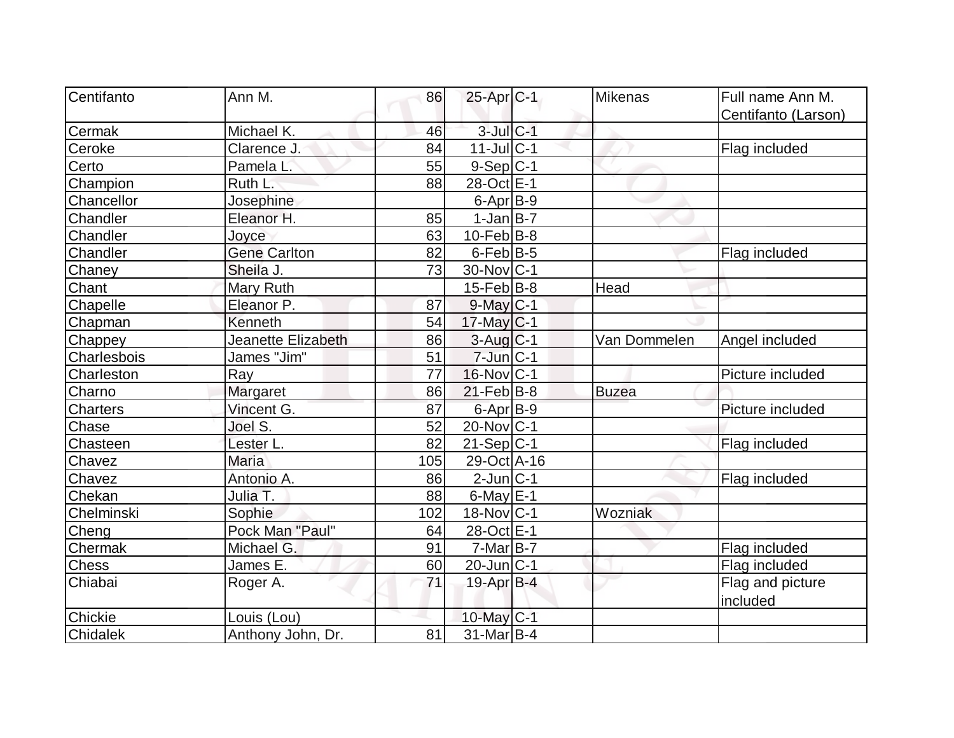| Centifanto      |                     |     |                        |                |                     |
|-----------------|---------------------|-----|------------------------|----------------|---------------------|
|                 | Ann M.              | 86  | $25$ -Apr $ C-1 $      | <b>Mikenas</b> | Full name Ann M.    |
|                 |                     |     |                        |                | Centifanto (Larson) |
| Cermak          | Michael K.          | 46  | $3$ -Jul $C-1$         |                |                     |
| Ceroke          | Clarence J.         | 84  | $11$ -Jul $ C-1$       |                | Flag included       |
| Certo           | Pamela L.           | 55  | $9-Sep C-1$            |                |                     |
| Champion        | Ruth L.             | 88  | 28-Oct E-1             |                |                     |
| Chancellor      | Josephine           |     | $6 - Apr$ B-9          |                |                     |
| Chandler        | Eleanor H.          | 85  | $1-Jan$ B-7            |                |                     |
| Chandler        | Joyce               | 63  | $10$ -Feb $ B-8$       |                |                     |
| Chandler        | <b>Gene Carlton</b> | 82  | $6$ -Feb $ B-5 $       |                | Flag included       |
| Chaney          | Sheila J.           | 73  | 30-Nov C-1             |                |                     |
| Chant           | Mary Ruth           |     | $15$ -Feb $ B-8 $      | Head           |                     |
| Chapelle        | Eleanor P.          | 87  | $9$ -May $C-1$         |                |                     |
| Chapman         | Kenneth             | 54  | $17$ -May C-1          |                |                     |
| Chappey         | Jeanette Elizabeth  | 86  | $3-Aug$ <sub>C-1</sub> | Van Dommelen   | Angel included      |
| Charlesbois     | James "Jim"         | 51  | $7$ -Jun $ C-1$        |                |                     |
| Charleston      | Ray                 | 77  | $16$ -Nov $ C-1$       |                | Picture included    |
| Charno          | Margaret            | 86  | $21$ -Feb $ B-8 $      | <b>Buzea</b>   |                     |
| <b>Charters</b> | Vincent G.          | 87  | $6$ -Apr $B$ -9        |                | Picture included    |
| Chase           | Joel S.             | 52  | $20$ -Nov $ C-1$       |                |                     |
| Chasteen        | Lester L.           | 82  | $21-Sep C-1$           |                | Flag included       |
| Chavez          | <b>Maria</b>        | 105 | 29-Oct A-16            |                |                     |
| Chavez          | Antonio A.          | 86  | $2$ -Jun $ C-1 $       |                | Flag included       |
| Chekan          | Julia T.            | 88  | $6$ -May $ E-1$        |                |                     |
| Chelminski      | Sophie              | 102 | $18-Nov C-1$           | Wozniak        |                     |
| Cheng           | Pock Man "Paul"     | 64  | 28-Oct E-1             |                |                     |
| Chermak         | Michael G.          | 91  | $7-Mar$ B-7            |                | Flag included       |
| <b>Chess</b>    | James E.            | 60  | $20$ -Jun $ C-1$       |                | Flag included       |
| Chiabai         | Roger A.            | 71  | 19-Apr B-4             |                | Flag and picture    |
|                 |                     |     |                        |                | included            |
| Chickie         | Louis (Lou)         |     | 10-May $C-1$           |                |                     |
| Chidalek        | Anthony John, Dr.   | 81  | $31$ -Mar $ B-4 $      |                |                     |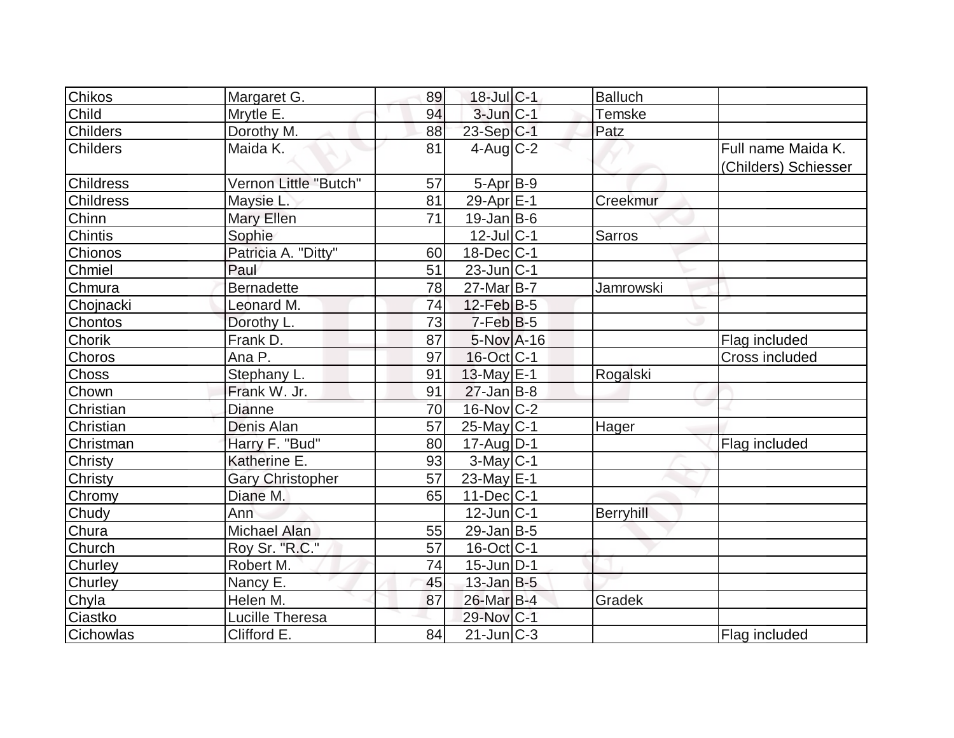| <b>Chikos</b>    | Margaret G.             | 89              | 18-Jul C-1        | <b>Balluch</b> |                      |
|------------------|-------------------------|-----------------|-------------------|----------------|----------------------|
| Child            | Mrytle E.               | 94              | $3$ -Jun $C-1$    | <b>Temske</b>  |                      |
| <b>Childers</b>  | Dorothy M.              | 88              | $23-Sep C-1$      | Patz           |                      |
| <b>Childers</b>  | Maida K.                | 81              | $4$ -Aug C-2      |                | Full name Maida K.   |
|                  |                         |                 |                   |                | (Childers) Schiesser |
| <b>Childress</b> | Vernon Little "Butch"   | 57              | $5-Apr$ B-9       |                |                      |
| <b>Childress</b> | Maysie L.               | 81              | 29-Apr E-1        | Creekmur       |                      |
| Chinn            | Mary Ellen              | $\overline{71}$ | $19$ -Jan B-6     |                |                      |
| <b>Chintis</b>   | Sophie                  |                 | $12$ -Jul $ C-1$  | Sarros         |                      |
| Chionos          | Patricia A. "Ditty"     | 60              | $18$ -Dec $ C-1 $ |                |                      |
| Chmiel           | Paul                    | 51              | $23$ -Jun $ C-1$  |                |                      |
| Chmura           | <b>Bernadette</b>       | 78              | $27$ -Mar $B$ -7  | Jamrowski      |                      |
| Chojnacki        | Leonard M.              | 74              | $12$ -Feb $B$ -5  |                |                      |
| Chontos          | Dorothy L.              | 73              | $7$ -Feb $ B-5$   |                |                      |
| Chorik           | Frank D.                | 87              | $5-Nov$ A-16      |                | Flag included        |
| Choros           | Ana P.                  | 97              | 16-Oct C-1        |                | Cross included       |
| Choss            | Stephany L.             | 91              | 13-May E-1        | Rogalski       |                      |
| Chown            | Frank W. Jr.            | 91              | $27$ -Jan $B-8$   |                |                      |
| Christian        | Dianne                  | 70              | $16$ -Nov $ C-2 $ |                |                      |
| Christian        | Denis Alan              | $\overline{57}$ | $25$ -May C-1     | Hager          |                      |
| Christman        | Harry F. "Bud"          | 80              | $17$ -Aug $D-1$   |                | Flag included        |
| Christy          | Katherine E.            | 93              | $3$ -May $C-1$    |                |                      |
| Christy          | <b>Gary Christopher</b> | 57              | 23-May E-1        |                |                      |
| Chromy           | Diane M.                | 65              | $11$ -Dec $ C-1$  |                |                      |
| Chudy            | Ann                     |                 | $12$ -Jun $ C-1 $ | Berryhill      |                      |
| Chura            | <b>Michael Alan</b>     | 55              | $29$ -Jan B-5     |                |                      |
| Church           | Roy Sr. "R.C."          | 57              | 16-Oct C-1        |                |                      |
| Churley          | Robert M.               | 74              | $15$ -Jun $ D-1$  |                |                      |
| Churley          | Nancy E.                | 45              | $13$ -Jan B-5     |                |                      |
| Chyla            | Helen M.                | 87              | 26-Mar B-4        | Gradek         |                      |
| Ciastko          | <b>Lucille Theresa</b>  |                 | 29-Nov C-1        |                |                      |
| Cichowlas        | Clifford E.             | 84              | $21$ -Jun $ C-3$  |                | Flag included        |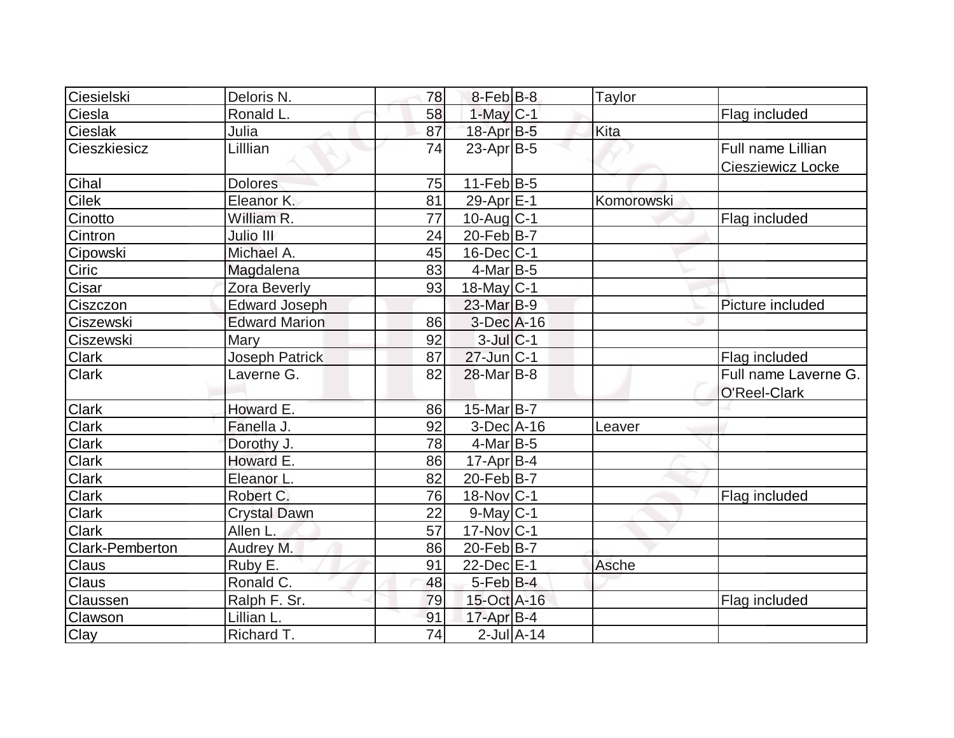| Ciesielski             | Deloris N.           | 78              | $8$ -Feb $ B-8 $  |                  | <b>Taylor</b> |                      |
|------------------------|----------------------|-----------------|-------------------|------------------|---------------|----------------------|
| Ciesla                 | Ronald L.            | 58              | $1$ -May $C-1$    |                  |               | Flag included        |
| <b>Cieslak</b>         | Julia                | 87              | 18-Apr B-5        |                  | Kita          |                      |
| Cieszkiesicz           | Lilllian             | 74              | $23$ -Apr $B$ -5  |                  |               | Full name Lillian    |
|                        |                      |                 |                   |                  |               | Ciesziewicz Locke    |
| Cihal                  | <b>Dolores</b>       | 75              | $11-Feb B-5$      |                  |               |                      |
| Cilek                  | Eleanor K.           | 81              | 29-Apr E-1        |                  | Komorowski    |                      |
| Cinotto                | William R.           | $\overline{77}$ | $10$ -Aug $C-1$   |                  |               | Flag included        |
| Cintron                | Julio III            | 24              | 20-Feb B-7        |                  |               |                      |
| Cipowski               | Michael A.           | 45              | $16$ -Dec $ C-1$  |                  |               |                      |
| <b>Ciric</b>           | Magdalena            | 83              | $4$ -Mar $ B-5 $  |                  |               |                      |
| Cisar                  | <b>Zora Beverly</b>  | 93              | 18-May C-1        |                  |               |                      |
| Ciszczon               | <b>Edward Joseph</b> |                 | 23-Mar B-9        |                  |               | Picture included     |
| Ciszewski              | <b>Edward Marion</b> | 86              | $3$ -Dec $A$ -16  |                  |               |                      |
| Ciszewski              | Mary                 | 92              | $3$ -Jul $ C-1 $  |                  |               |                      |
| <b>Clark</b>           | Joseph Patrick       | 87              | $27$ -Jun $ C-1$  |                  |               | Flag included        |
| <b>Clark</b>           | Laverne G.           | 82              | $28$ -Mar $ B-8 $ |                  |               | Full name Laverne G. |
|                        |                      |                 |                   |                  |               | O'Reel-Clark         |
| <b>Clark</b>           | Howard E.            | 86              | 15-Mar B-7        |                  |               |                      |
| <b>Clark</b>           | Fanella J.           | 92              | $3-Dec$ A-16      |                  | Leaver        |                      |
| <b>Clark</b>           | Dorothy J.           | 78              | $4$ -Mar $ B-5 $  |                  |               |                      |
| <b>Clark</b>           | Howard E.            | 86              | $17$ -Apr $ B-4 $ |                  |               |                      |
| <b>Clark</b>           | Eleanor L.           | 82              | $20$ -Feb $ B-7 $ |                  |               |                      |
| <b>Clark</b>           | Robert C.            | 76              | $18$ -Nov $ C-1$  |                  |               | Flag included        |
| <b>Clark</b>           | <b>Crystal Dawn</b>  | 22              | $9$ -May $C-1$    |                  |               |                      |
| <b>Clark</b>           | Allen L.             | 57              | $17$ -Nov $ C-1$  |                  |               |                      |
| <b>Clark-Pemberton</b> | Audrey M.            | 86              | 20-Feb B-7        |                  |               |                      |
| <b>Claus</b>           | Ruby E.              | 91              | 22-Dec E-1        |                  | Asche         |                      |
| <b>Claus</b>           | Ronald C.            | 48              | $5$ -Feb $B$ -4   |                  |               |                      |
| Claussen               | Ralph F. Sr.         | 79              | 15-Oct A-16       |                  |               | Flag included        |
| Clawson                | Lillian L.           | 91              | $17$ -Apr $B-4$   |                  |               |                      |
| Clay                   | Richard T.           | 74              |                   | $2$ -Jul $A$ -14 |               |                      |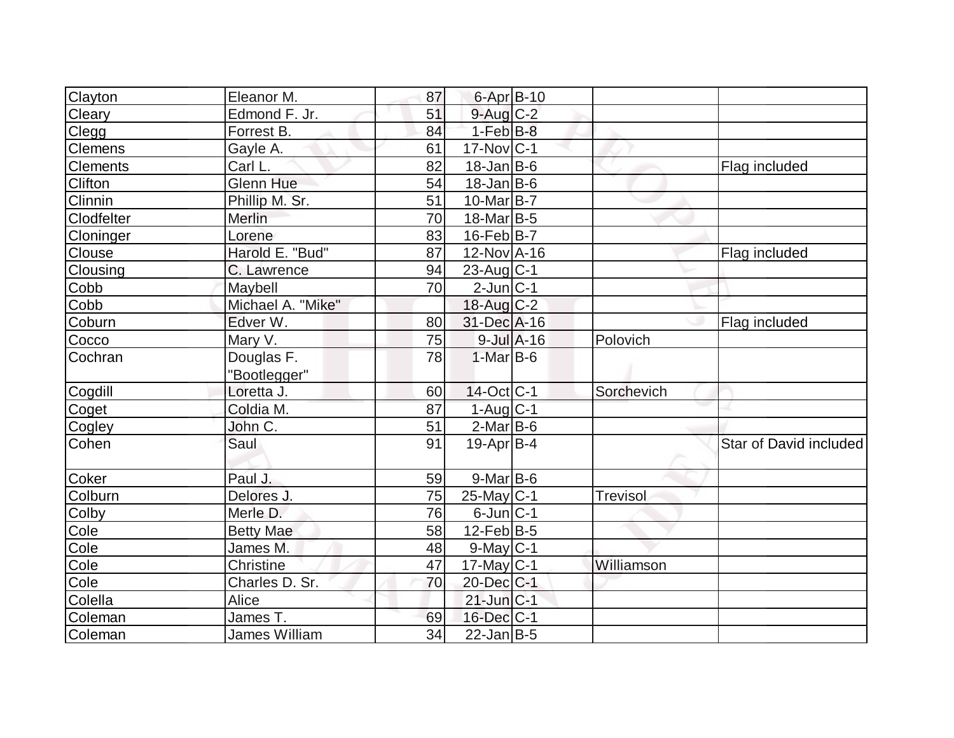| Clayton           | Eleanor M.           | 87 | $6$ -Apr $B$ -10        |            |                        |
|-------------------|----------------------|----|-------------------------|------------|------------------------|
| Cleary            | Edmond F. Jr.        | 51 | 9-Aug C-2               |            |                        |
| Clegg             | Forrest B.           | 84 | $1-FebB-8$              |            |                        |
| <b>Clemens</b>    | Gayle A.             | 61 | $17$ -Nov $ C-1$        |            |                        |
| <b>Clements</b>   | Carl L.              | 82 | $18$ -Jan B-6           |            | Flag included          |
| Clifton           | Glenn Hue            | 54 | $18$ -Jan B-6           |            |                        |
| Clinnin           | Phillip M. Sr.       | 51 | 10-Mar <sub>B-7</sub>   |            |                        |
| <b>Clodfelter</b> | Merlin               | 70 | $18$ -Mar $ B-5 $       |            |                        |
| Cloninger         | Lorene               | 83 | $16$ -Feb $ B-7 $       |            |                        |
| Clouse            | Harold E. "Bud"      | 87 | 12-Nov A-16             |            | Flag included          |
| Clousing          | C. Lawrence          | 94 | $23$ -Aug C-1           |            |                        |
| Cobb              | Maybell              | 70 | $2$ -Jun $ C-1 $        |            |                        |
| Cobb              | Michael A. "Mike"    |    | 18-Aug $C-2$            |            |                        |
| Coburn            | Edver W.             | 80 | 31-Dec A-16             |            | Flag included          |
| Cocco             | Mary V.              | 75 | $9$ -Jul $A$ -16        | Polovich   |                        |
| Cochran           | Douglas F.           | 78 | $1-Mar$ B-6             |            |                        |
|                   | "Bootlegger"         |    |                         |            |                        |
| Cogdill           | Loretta J.           | 60 | $14-Oct$ <sub>C-1</sub> | Sorchevich |                        |
| Coget             | Coldia M.            | 87 | $1-Aug$ $C-1$           |            |                        |
| Cogley            | John C.              | 51 | $2-MarB-6$              |            |                        |
| Cohen             | Saul                 | 91 | $19-Apr B-4$            |            | Star of David included |
|                   |                      |    |                         |            |                        |
| <b>Coker</b>      | Paul J.              | 59 | $9$ -Mar $ B-6$         |            |                        |
| Colburn           | Delores J.           | 75 | $25$ -May C-1           | Trevisol   |                        |
| Colby             | Merle D.             | 76 | $6$ -Jun $ C-1$         |            |                        |
| Cole              | <b>Betty Mae</b>     | 58 | $12$ -Feb $ B-5 $       |            |                        |
| Cole              | James M.             | 48 | $9$ -May $C$ -1         |            |                        |
| Cole              | Christine            | 47 | $17$ -May C-1           | Williamson |                        |
| Cole              | Charles D. Sr.       | 70 | 20-Dec C-1              |            |                        |
| Colella           | Alice                |    | $21$ -Jun $ C-1 $       |            |                        |
| Coleman           | James T.             | 69 | 16-Dec C-1              |            |                        |
| Coleman           | <b>James William</b> | 34 | $22$ -Jan B-5           |            |                        |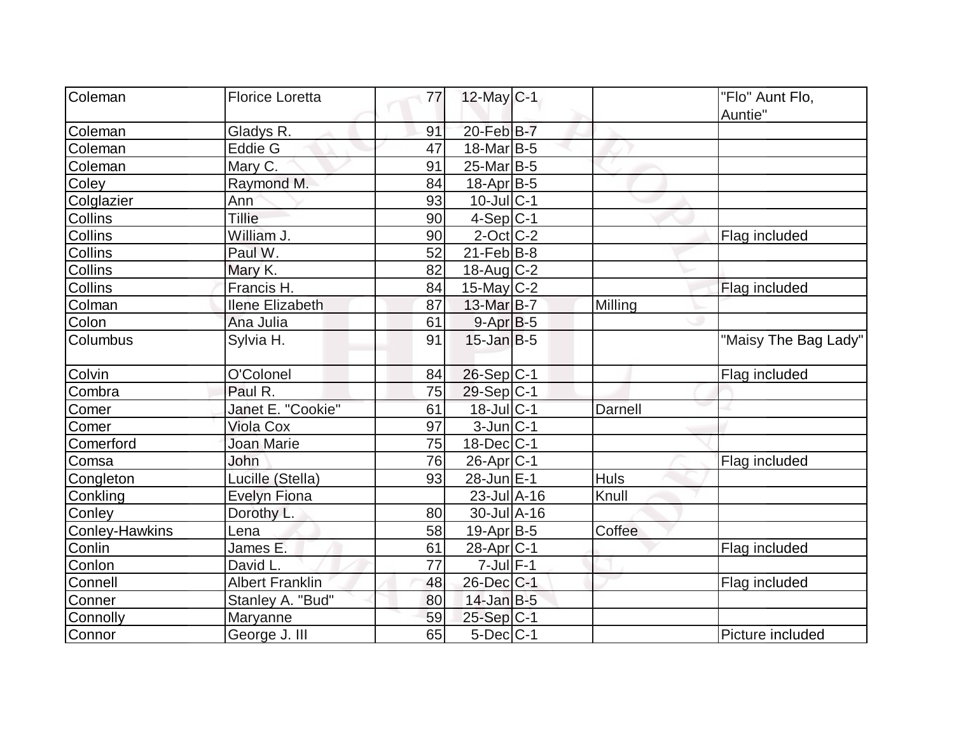| Coleman               |                        |          |                              |             |                      |
|-----------------------|------------------------|----------|------------------------------|-------------|----------------------|
|                       | <b>Florice Loretta</b> | 77       | $12$ -May C-1                |             | "Flo" Aunt Flo,      |
| Coleman               | Gladys R.              | 91       | 20-Feb B-7                   |             | Auntie"              |
| Coleman               | Eddie G                | 47       | $18$ -Mar $ B-5 $            |             |                      |
| Coleman               | Mary C.                | 91       | $25$ -Mar $B$ -5             |             |                      |
| Coley                 | Raymond M.             | 84       | $18$ -Apr $ B-5$             |             |                      |
| Colglazier            | Ann                    | 93       | $10$ -Jul $C-1$              |             |                      |
| <b>Collins</b>        | Tillie                 | 90       | $4-Sep C-1$                  |             |                      |
| Collins               | William J.             | 90       | $2$ -Oct $C$ -2              |             | Flag included        |
| Collins               | Paul W.                | 52       | $21$ -Feb $ B-8$             |             |                      |
| <b>Collins</b>        | Mary K.                | 82       | $18$ -Aug C-2                |             |                      |
| Collins               | Francis H.             | 84       | $15$ -May C-2                |             | Flag included        |
| Colman                | <b>Ilene Elizabeth</b> | 87       | 13-Mar B-7                   | Milling     |                      |
|                       |                        |          |                              |             |                      |
| Colon                 | Ana Julia              | 61<br>91 | $9-Apr B-5$                  |             |                      |
| Columbus              | Sylvia H.              |          | $15$ -Jan B-5                |             | "Maisy The Bag Lady" |
| Colvin                | O'Colonel              | 84       | $26-Sep C-1$                 |             | Flag included        |
| Combra                | Paul R.                | 75       | $29-Sep C-1$                 |             |                      |
| Comer                 | Janet E. "Cookie"      | 61       | 18-Jul C-1                   | Darnell     |                      |
| Comer                 | <b>Viola Cox</b>       | 97       | $3$ -Jun $ C-1$              |             |                      |
| Comerford             | Joan Marie             | 75       | $18$ -Dec $ C-1$             |             |                      |
| Comsa                 | John                   | 76       | 26-Apr <sub>C-1</sub>        |             | Flag included        |
| Congleton             | Lucille (Stella)       | 93       | 28-Jun E-1                   | <b>Huls</b> |                      |
| Conkling              | <b>Evelyn Fiona</b>    |          | $23$ -Jul $\overline{A}$ -16 | Knull       |                      |
| Conley                | Dorothy L.             | 80       | $30 -$ Jul $A - 16$          |             |                      |
| <b>Conley-Hawkins</b> | Lena                   | 58       | 19-Apr B-5                   | Coffee      |                      |
| Conlin                | James E.               | 61       | 28-Apr <sub>C-1</sub>        |             | Flag included        |
| Conlon                | David L.               | 77       | $7$ -Jul $F-1$               |             |                      |
| Connell               | <b>Albert Franklin</b> | 48       | 26-Dec C-1                   |             | Flag included        |
| Conner                | Stanley A. "Bud"       | 80       | $14$ -Jan B-5                |             |                      |
| Connolly              | <b>Maryanne</b>        | 59       | $25-Sep C-1$                 |             |                      |
| Connor                | George J. III          | 65       | $5$ -Dec $ C-1$              |             | Picture included     |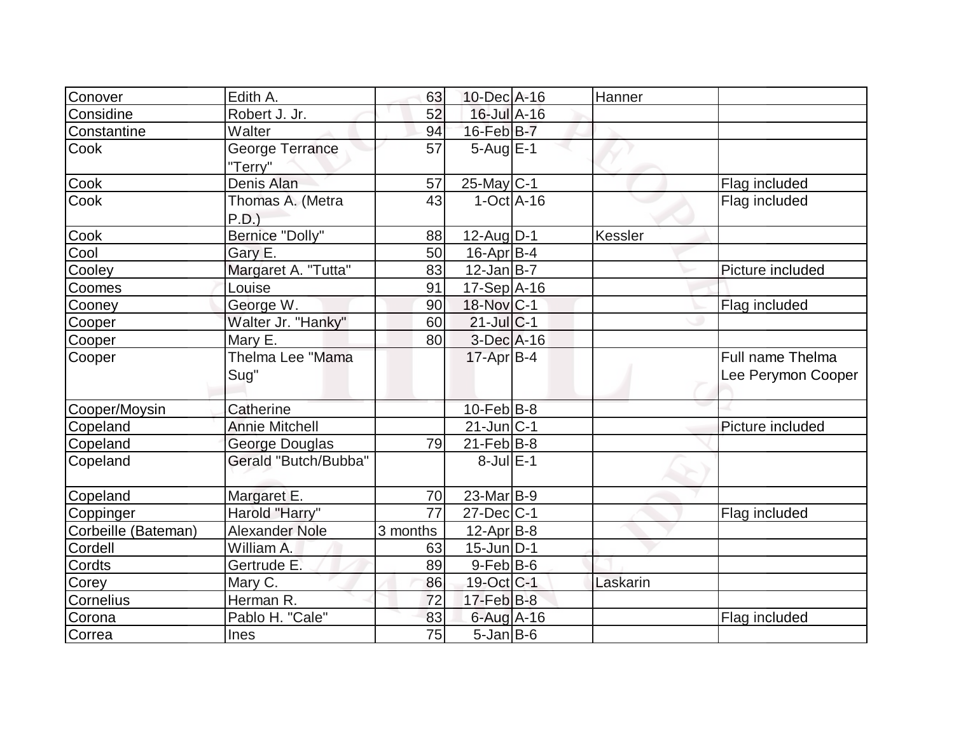| Conover             | Edith A.              | 63       | 10-Dec A-16       | Hanner   |                    |
|---------------------|-----------------------|----------|-------------------|----------|--------------------|
| Considine           | Robert J. Jr.         | 52       | 16-Jul A-16       |          |                    |
| Constantine         | Walter                | 94       | 16-Feb B-7        |          |                    |
| Cook                | George Terrance       | 57       | $5$ -Aug $E-1$    |          |                    |
|                     | "Terry"               |          |                   |          |                    |
| Cook                | Denis Alan            | 57       | $25$ -May C-1     |          | Flag included      |
| Cook                | Thomas A. (Metra      | 43       | $1-Oct$ A-16      |          | Flag included      |
|                     | P.D.                  |          |                   |          |                    |
| Cook                | Bernice "Dolly"       | 88       | $12$ -Aug $ D-1$  | Kessler  |                    |
| Cool                | Gary E.               | 50       | $16$ -Apr $ B-4$  |          |                    |
| Cooley              | Margaret A. "Tutta"   | 83       | $12$ -Jan B-7     |          | Picture included   |
| Coomes              | Louise                | 91       | $17-Sep$ $A-16$   |          |                    |
| Cooney              | George W.             | 90       | 18-Nov C-1        |          | Flag included      |
| Cooper              | Walter Jr. "Hanky"    | 60       | $21$ -JulC-1      |          |                    |
| Cooper              | Mary E.               | 80       | $3$ -Dec $A$ -16  |          |                    |
| Cooper              | Thelma Lee "Mama      |          | $17$ -Apr $ B-4 $ |          | Full name Thelma   |
|                     | Sug"                  |          |                   |          | Lee Perymon Cooper |
|                     |                       |          |                   |          |                    |
| Cooper/Moysin       | Catherine             |          | $10$ -Feb $ B-8 $ |          |                    |
| Copeland            | <b>Annie Mitchell</b> |          | $21$ -Jun $ C-1 $ |          | Picture included   |
| Copeland            | George Douglas        | 79       | $21$ -Feb $ B-8 $ |          |                    |
| Copeland            | Gerald "Butch/Bubba"  |          | $8$ -Jul $E-1$    |          |                    |
|                     |                       |          |                   |          |                    |
| Copeland            | Margaret E.           | 70       | $23$ -Mar $ B-9 $ |          |                    |
| Coppinger           | Harold "Harry"        | 77       | $27 - Dec$ C-1    |          | Flag included      |
| Corbeille (Bateman) | <b>Alexander Nole</b> | 3 months | $12$ -Apr $ B-8 $ |          |                    |
| Cordell             | William A.            | 63       | $15$ -Jun $ D-1$  |          |                    |
| Cordts              | Gertrude E.           | 89       | $9$ -Feb $ B$ -6  |          |                    |
| Corey               | Mary C.               | 86       | 19-Oct C-1        | Laskarin |                    |
| Cornelius           | Herman R.             | 72       | $17$ -Feb $ B-8 $ |          |                    |
| Corona              | Pablo H. "Cale"       | 83       | $6$ -Aug A-16     |          | Flag included      |
| Correa              | Ines                  | 75       | $5$ -Jan $B$ -6   |          |                    |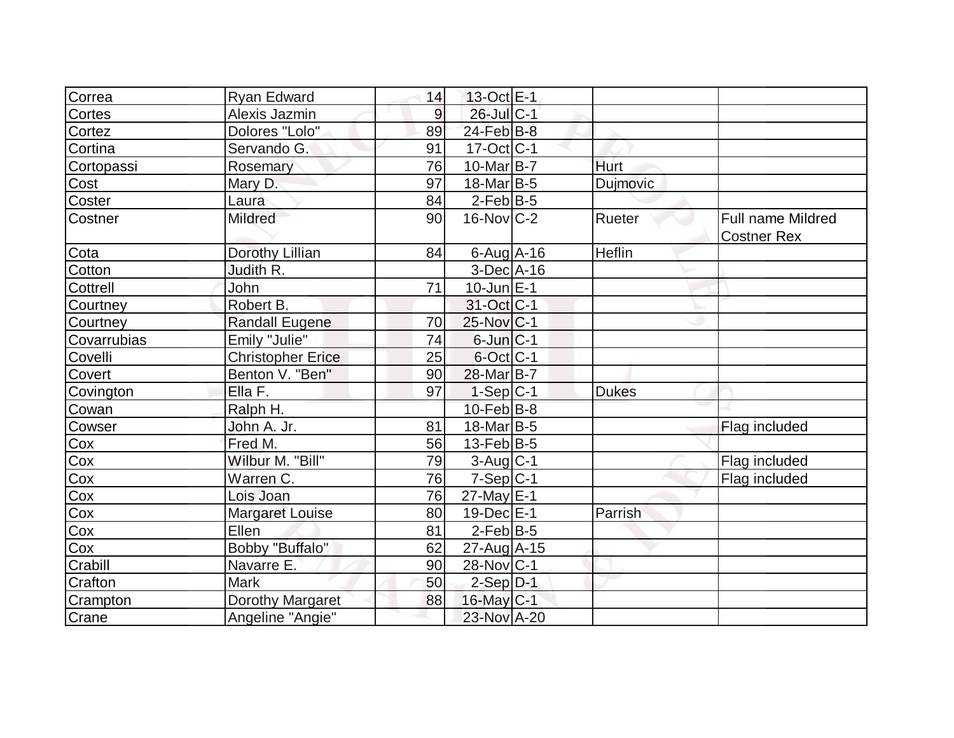| Correa                   | <b>Ryan Edward</b>       | 14 | 13-Oct E-1              |              |                                                |
|--------------------------|--------------------------|----|-------------------------|--------------|------------------------------------------------|
| Cortes                   | Alexis Jazmin            | 9  | 26-Jul C-1              |              |                                                |
| Cortez                   | Dolores "Lolo"           | 89 | $24$ -Feb $B$ -8        |              |                                                |
| Cortina                  | Servando G.              | 91 | $17-Oct$ <sub>C-1</sub> |              |                                                |
| Cortopassi               | Rosemary                 | 76 | $10$ -Mar $ B-7 $       | Hurt         |                                                |
| <b>Cost</b>              | Mary D.                  | 97 | 18-Mar <sub>B-5</sub>   | Dujmovic     |                                                |
| Coster                   | Laura                    | 84 | $2$ -Feb $ B-5 $        |              |                                                |
| Costner                  | <b>Mildred</b>           | 90 | $16$ -Nov $ C-2 $       | Rueter       | <b>Full name Mildred</b><br><b>Costner Rex</b> |
| Cota<br>Cotton           | Dorothy Lillian          | 84 | $6$ -Aug $A$ -16        | Heflin       |                                                |
|                          | Judith R.                |    | $3-Dec$ A-16            |              |                                                |
| Cottrell                 | John                     | 71 | $10$ -Jun $E-1$         |              |                                                |
| Courtney                 | Robert B.                |    | 31-Oct C-1              |              |                                                |
| Courtney                 | <b>Randall Eugene</b>    | 70 | $25$ -Nov $ C-1$        |              |                                                |
| Covarrubias              | Emily "Julie"            | 74 | $6$ -Jun $ C-1$         |              |                                                |
| Covelli                  | <b>Christopher Erice</b> | 25 | $6$ -Oct $ C-1$         |              |                                                |
| Covert                   | Benton V. "Ben"          | 90 | 28-Mar B-7              |              |                                                |
| Covington                | Ella F.                  | 97 | $1-Sep C-1$             | <b>Dukes</b> |                                                |
| Cowan                    | Ralph H.                 |    | $10$ -Feb $ B-8 $       |              |                                                |
| Cowser                   | John A. Jr.              | 81 | $18$ -Mar B-5           |              | Flag included                                  |
|                          | Fred M.                  | 56 | $13$ -Feb $ B-5 $       |              |                                                |
|                          | Wilbur M. "Bill"         | 79 | $3-Auq$ <sub>C-1</sub>  |              | Flag included                                  |
|                          | Warren C.                | 76 | $7-Sep C-1$             |              | Flag included                                  |
| Cox<br>Cox<br>Cox<br>Cox | Lois Joan                | 76 | $27$ -May $E-1$         |              |                                                |
| Cox                      | <b>Margaret Louise</b>   | 80 | $19$ -Dec $E-1$         | Parrish      |                                                |
| Cox<br>Cox               | Ellen                    | 81 | $2$ -Feb $ B-5 $        |              |                                                |
|                          | <b>Bobby "Buffalo"</b>   | 62 | $27$ -Aug A-15          |              |                                                |
| Crabill                  | Navarre E.               | 90 | 28-Nov C-1              |              |                                                |
| Crafton                  | <b>Mark</b>              | 50 | $2-Sep$ $D-1$           |              |                                                |
| Crampton                 | Dorothy Margaret         | 88 | $16$ -May C-1           |              |                                                |
| Crane                    | Angeline "Angie"         |    | 23-Nov A-20             |              |                                                |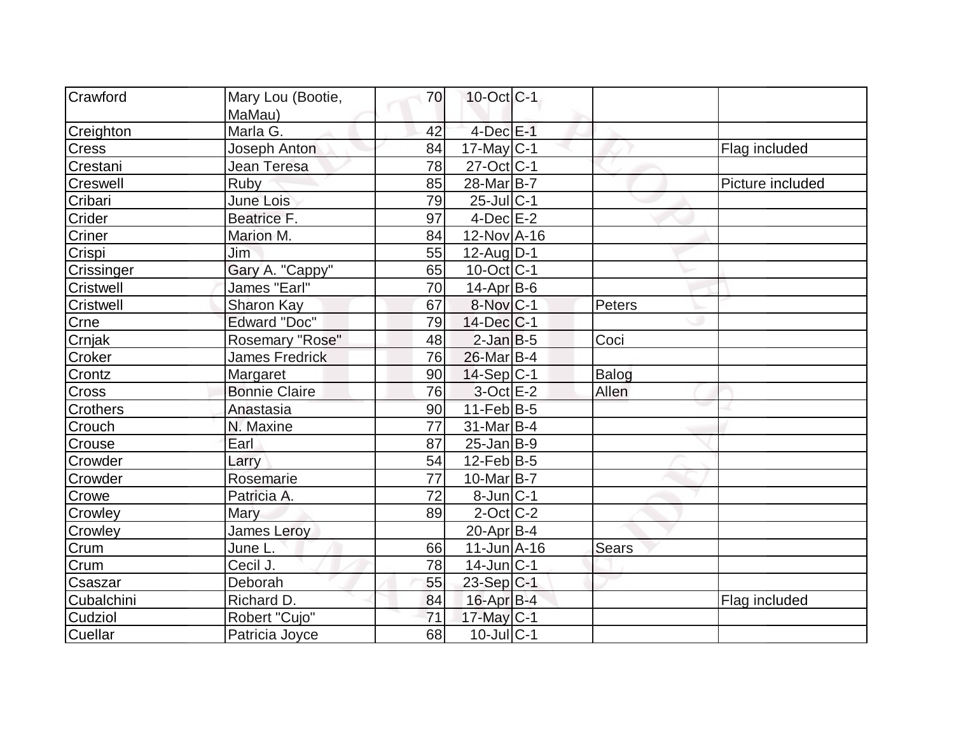| Crawford         | Mary Lou (Bootie,     | 70 | $10$ -Oct $ C-1 $     |        |                  |
|------------------|-----------------------|----|-----------------------|--------|------------------|
|                  | MaMau)                |    |                       |        |                  |
| Creighton        | Marla G.              | 42 | $4$ -Dec $E-1$        |        |                  |
| <b>Cress</b>     | <b>Joseph Anton</b>   | 84 | 17-May C-1            |        | Flag included    |
| Crestani         | Jean Teresa           | 78 | $27$ -Oct $ C-1 $     |        |                  |
| Creswell         | <b>Ruby</b>           | 85 | 28-Mar <sub>B-7</sub> |        | Picture included |
| Cribari          | June Lois             | 79 | $25$ -Jul $C-1$       |        |                  |
| Crider           | Beatrice F.           | 97 | $4$ -Dec $E$ -2       |        |                  |
| Criner           | Marion M.             | 84 | 12-Nov A-16           |        |                  |
| Crispi           | Jim                   | 55 | $12$ -Aug $D-1$       |        |                  |
| Crissinger       | Gary A. "Cappy"       | 65 | $10$ -Oct $ C-1$      |        |                  |
| Cristwell        | James "Earl"          | 70 | $14$ -Apr $ B-6$      |        |                  |
| <b>Cristwell</b> | Sharon Kay            | 67 | 8-Nov C-1             | Peters |                  |
| Crne             | <b>Edward "Doc"</b>   | 79 | $14$ -Dec $ C-1$      |        |                  |
| Crnjak           | Rosemary "Rose"       | 48 | $2$ -Jan B-5          | Coci   |                  |
| Croker           | <b>James Fredrick</b> | 76 | 26-Mar B-4            |        |                  |
| Crontz           | Margaret              | 90 | $14-Sep C-1$          | Balog  |                  |
| Cross            | <b>Bonnie Claire</b>  | 76 | $3$ -Oct $E-2$        | Allen  |                  |
| Crothers         | Anastasia             | 90 | $11-Feb B-5$          |        |                  |
| Crouch           | N. Maxine             | 77 | $31$ -Mar $ B-4 $     |        |                  |
| Crouse           | Earl                  | 87 | $25$ -Jan $ B-9 $     |        |                  |
| Crowder          | Larry                 | 54 | $12$ -Feb $ B-5 $     |        |                  |
| Crowder          | Rosemarie             | 77 | $10$ -Mar $ B-7 $     |        |                  |
| Crowe            | Patricia A.           | 72 | $8$ -Jun $ C-1$       |        |                  |
| Crowley          | Mary                  | 89 | $2$ -Oct $ C-2 $      |        |                  |
| Crowley          | <b>James Leroy</b>    |    | 20-Apr B-4            |        |                  |
| Crum             | June L.               | 66 | $11$ -Jun $A$ -16     | Sears  |                  |
| Crum             | Cecil J.              | 78 | $14$ -Jun $ C-1$      |        |                  |
| Csaszar          | Deborah               | 55 | 23-Sep C-1            |        |                  |
| Cubalchini       | Richard D.            | 84 | $16$ -Apr $B$ -4      |        | Flag included    |
| Cudziol          | Robert "Cujo"         | 71 | 17-May C-1            |        |                  |
| Cuellar          | Patricia Joyce        | 68 | $10$ -Jul $ C-1$      |        |                  |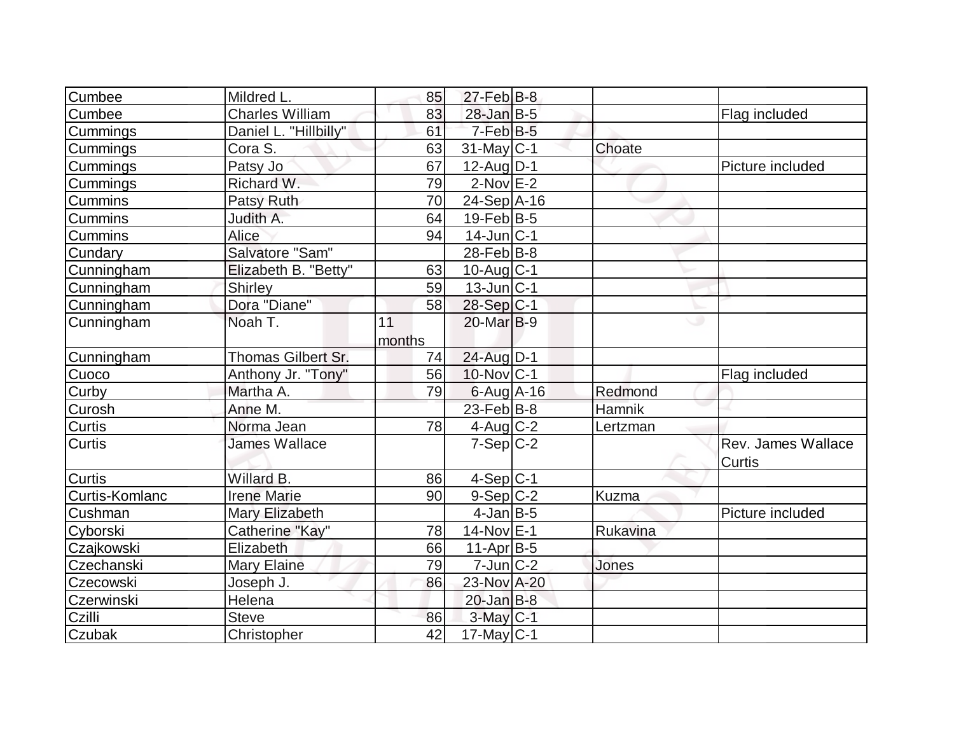| Cumbee         | Mildred L.             | 85     | $27$ -Feb $ B-8$  |              |                    |
|----------------|------------------------|--------|-------------------|--------------|--------------------|
| Cumbee         | <b>Charles William</b> | 83     | $28$ -Jan B-5     |              | Flag included      |
| Cummings       | Daniel L. "Hillbilly"  | 61     | $7$ -Feb $B$ -5   |              |                    |
| Cummings       | Cora S.                | 63     | $31$ -May C-1     | Choate       |                    |
| Cummings       | Patsy Jo               | 67     | $12$ -AugD-1      |              | Picture included   |
| Cummings       | Richard W.             | 79     | $2$ -Nov $E-2$    |              |                    |
| <b>Cummins</b> | Patsy Ruth             | 70     | $24-Sep$ $A-16$   |              |                    |
| <b>Cummins</b> | Judith A.              | 64     | $19$ -Feb $ B-5 $ |              |                    |
| Cummins        | Alice                  | 94     | $14$ -Jun $ C-1$  |              |                    |
| Cundary        | Salvatore "Sam"        |        | $28$ -Feb $ B-8 $ |              |                    |
| Cunningham     | Elizabeth B. "Betty"   | 63     | $10$ -Aug $C-1$   |              |                    |
| Cunningham     | Shirley                | 59     | $13$ -Jun $ C-1 $ |              |                    |
| Cunningham     | Dora "Diane"           | 58     | $28-Sep C-1$      |              |                    |
| Cunningham     | Noah T.                | 11     | 20-Mar B-9        |              | w                  |
|                |                        | months |                   |              |                    |
| Cunningham     | Thomas Gilbert Sr.     | 74     | 24-Aug D-1        |              |                    |
| Cuoco          | Anthony Jr. "Tony"     | 56     | 10-Nov C-1        |              | Flag included      |
| Curby          | Martha A.              | 79     | $6$ -Aug $A$ -16  | Redmond      |                    |
| Curosh         | Anne M.                |        | $23$ -Feb $ B-8$  | Hamnik       |                    |
| <b>Curtis</b>  | Norma Jean             | 78     | $4$ -Aug C-2      | Lertzman     |                    |
| <b>Curtis</b>  | <b>James Wallace</b>   |        | $7-Sep C-2$       |              | Rev. James Wallace |
|                |                        |        |                   |              | Curtis             |
| <b>Curtis</b>  | Willard B.             | 86     | $4-Sep C-1$       |              |                    |
| Curtis-Komlanc | <b>Irene Marie</b>     | 90     | $9-Sep C-2$       | <b>Kuzma</b> |                    |
| Cushman        | Mary Elizabeth         |        | $4$ -Jan B-5      |              | Picture included   |
| Cyborski       | Catherine "Kay"        | 78     | 14-Nov E-1        | Rukavina     |                    |
| Czajkowski     | Elizabeth              | 66     | $11-Apr B-5$      |              |                    |
| Czechanski     | Mary Elaine            | 79     | $7$ -Jun $ C-2 $  | Jones        |                    |
| Czecowski      | Joseph J.              | 86     | 23-Nov A-20       |              |                    |
| Czerwinski     | Helena                 |        | $20$ -Jan $B-8$   |              |                    |
| Czilli         | Steve                  | 86     | $3$ -May $C-1$    |              |                    |
| Czubak         | Christopher            | 42     | $17$ -May C-1     |              |                    |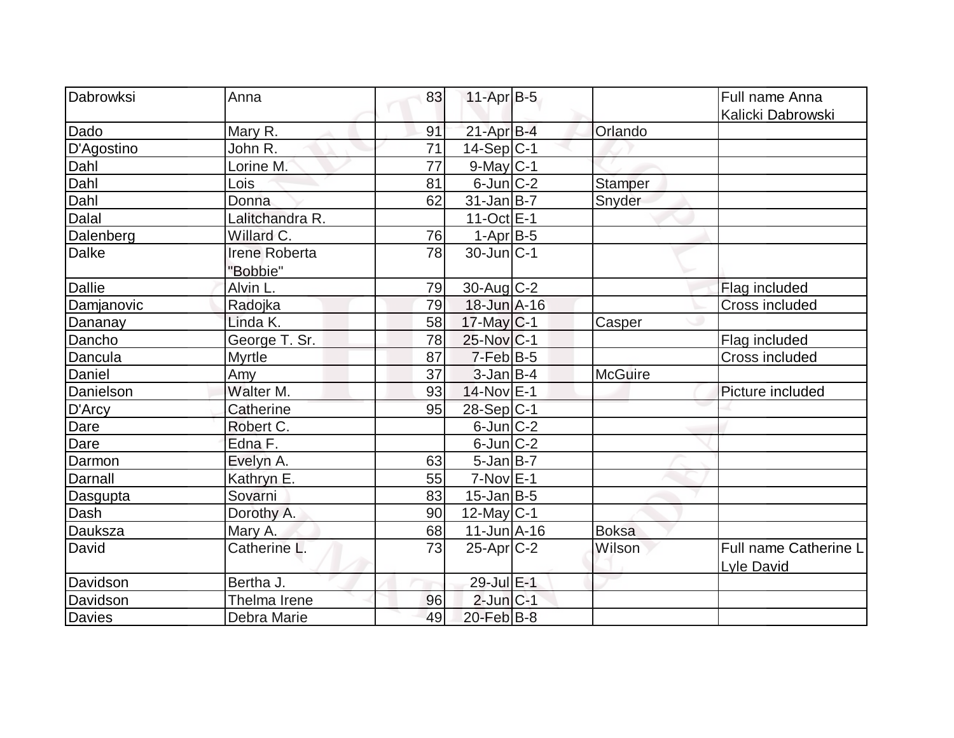| Dabrowksi     | Anna            | 83 | $11-Apr$ B-5            |                | Full name Anna        |
|---------------|-----------------|----|-------------------------|----------------|-----------------------|
|               |                 |    |                         |                | Kalicki Dabrowski     |
| Dado          | Mary R.         | 91 | $21$ -Apr $B-4$         | Orlando        |                       |
| D'Agostino    | John R.         | 71 | $14-Sep C-1$            |                |                       |
| Dahl          | Lorine M.       | 77 | $9$ -May $C-1$          |                |                       |
| Dahl          | Lois            | 81 | $6$ -Jun $ C-2 $        | <b>Stamper</b> |                       |
| Dahl          | Donna           | 62 | $31$ -Jan $ B-7 $       | Snyder         |                       |
| Dalal         | Lalitchandra R. |    | $11-Oct$ <sub>E-1</sub> |                |                       |
| Dalenberg     | Willard C.      | 76 | $1-AprB-5$              |                |                       |
| <b>Dalke</b>  | Irene Roberta   | 78 | $30$ -Jun $ C-1 $       |                |                       |
|               | "Bobbie"        |    |                         |                |                       |
| <b>Dallie</b> | Alvin L.        | 79 | $30$ -Aug C-2           |                | Flag included         |
| Damjanovic    | Radojka         | 79 | 18-Jun A-16             |                | Cross included        |
| Dananay       | Linda K.        | 58 | 17-May C-1              | Casper         |                       |
| Dancho        | George T. Sr.   | 78 | 25-Nov C-1              |                | Flag included         |
| Dancula       | <b>Myrtle</b>   | 87 | $7-Feb B-5$             |                | Cross included        |
| Daniel        | Amy             | 37 | $3$ -Jan $B$ -4         | <b>McGuire</b> |                       |
| Danielson     | Walter M.       | 93 | 14-Nov E-1              |                | Picture included      |
| D'Arcy        | Catherine       | 95 | 28-Sep C-1              |                |                       |
| Dare          | Robert C.       |    | $6$ -Jun $C-2$          |                |                       |
| Dare          | Edna F.         |    | $6$ -Jun $ C-2 $        |                |                       |
| Darmon        | Evelyn A.       | 63 | $5$ -Jan B-7            |                |                       |
| Darnall       | Kathryn E.      | 55 | $7-Nov$ $E-1$           |                |                       |
| Dasgupta      | Sovarni         | 83 | $15$ -Jan $ B-5 $       |                |                       |
| Dash          | Dorothy A.      | 90 | $12$ -May C-1           |                |                       |
| Dauksza       | Mary A.         | 68 | $11$ -Jun $A$ -16       | <b>Boksa</b>   |                       |
| David         | Catherine L.    | 73 | $25$ -Apr $C-2$         | Wilson         | Full name Catherine L |
|               |                 |    |                         |                | Lyle David            |
| Davidson      | Bertha J.       |    | 29-Jul E-1              |                |                       |
| Davidson      | Thelma Irene    | 96 | $2$ -Jun $C-1$          |                |                       |
| Davies        | Debra Marie     | 49 | $20$ -Feb $B$ -8        |                |                       |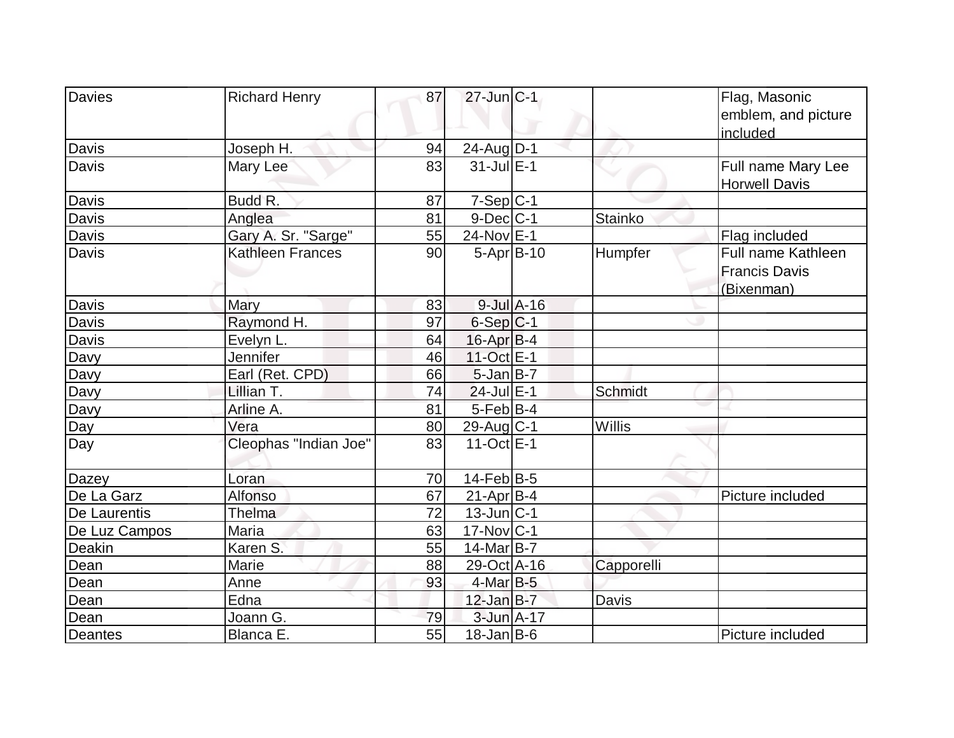| Davies         | <b>Richard Henry</b>    | 87 | $27$ -Jun $ C-1 $ |                 |                | Flag, Masonic<br>emblem, and picture<br>included         |
|----------------|-------------------------|----|-------------------|-----------------|----------------|----------------------------------------------------------|
| Davis          | Joseph H.               | 94 | $24$ -Aug $D-1$   |                 |                |                                                          |
| Davis          | Mary Lee                | 83 | $31$ -Jul $E-1$   |                 |                | Full name Mary Lee<br><b>Horwell Davis</b>               |
| <b>Davis</b>   | Budd R.                 | 87 | $7-Sep C-1$       |                 |                |                                                          |
| Davis          | Anglea                  | 81 | $9$ -Dec $C$ -1   |                 | <b>Stainko</b> |                                                          |
| Davis          | Gary A. Sr. "Sarge"     | 55 | 24-Nov E-1        |                 |                | Flag included                                            |
| Davis          | <b>Kathleen Frances</b> | 90 | $5-Apr$ B-10      |                 | Humpfer        | Full name Kathleen<br><b>Francis Davis</b><br>(Bixenman) |
| Davis          | Mary                    | 83 |                   | $9$ -Jul $A-16$ |                |                                                          |
| <b>Davis</b>   | Raymond H.              | 97 | $6-Sep C-1$       |                 |                |                                                          |
| Davis          | Evelyn L.               | 64 | 16-Apr B-4        |                 |                |                                                          |
| Davy           | Jennifer                | 46 | 11-Oct E-1        |                 |                |                                                          |
| Davy           | Earl (Ret. CPD)         | 66 | $5$ -Jan $B$ -7   |                 |                |                                                          |
| Davy           | Lillian T.              | 74 | $24$ -Jul $E-1$   |                 | <b>Schmidt</b> |                                                          |
| Davy           | Arline A.               | 81 | $5-Feb B-4$       |                 |                |                                                          |
| Day            | Vera                    | 80 | $29$ -Aug $C-1$   |                 | Willis         |                                                          |
| Day            | Cleophas "Indian Joe"   | 83 | $11-Oct$ E-1      |                 |                |                                                          |
| Dazey          | Loran                   | 70 | $14$ -Feb $ B-5 $ |                 |                |                                                          |
| De La Garz     | <b>Alfonso</b>          | 67 | $21-Apr B-4$      |                 |                | Picture included                                         |
| De Laurentis   | Thelma                  | 72 | $13$ -Jun $ C-1 $ |                 |                |                                                          |
| De Luz Campos  | Maria                   | 63 | $17$ -Nov $ C-1 $ |                 |                |                                                          |
| Deakin         | Karen S.                | 55 | $14$ -Mar $ B-7 $ |                 |                |                                                          |
| Dean           | Marie                   | 88 | 29-Oct A-16       |                 | Capporelli     |                                                          |
| Dean           | Anne                    | 93 | $4$ -Mar $B-5$    |                 |                |                                                          |
| Dean           | Edna                    |    | $12$ -Jan $B-7$   |                 | Davis          |                                                          |
| Dean           | Joann G.                | 79 | 3-Jun A-17        |                 |                |                                                          |
| <b>Deantes</b> | Blanca E.               | 55 | $18$ -Jan B-6     |                 |                | Picture included                                         |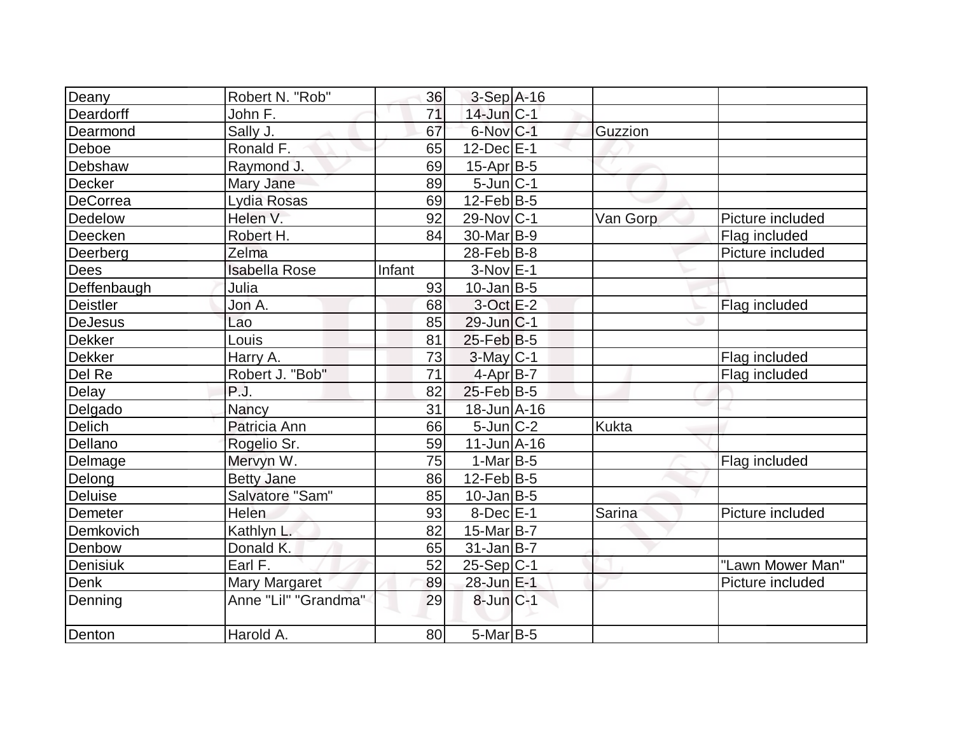| Deany           | Robert N. "Rob"      | 36     | $3-Sep$ A-16          |              |                  |
|-----------------|----------------------|--------|-----------------------|--------------|------------------|
| Deardorff       | John F.              | 71     | $14$ -Jun $ C-1 $     |              |                  |
| Dearmond        | Sally J.             | 67     | 6-Nov C-1             | Guzzion      |                  |
| Deboe           | Ronald F.            | 65     | $12$ -Dec $E-1$       |              |                  |
| Debshaw         | Raymond J.           | 69     | $15$ -Apr $ B-5 $     |              |                  |
| Decker          | Mary Jane            | 89     | $5$ -Jun $ C-1 $      |              |                  |
| DeCorrea        | Lydia Rosas          | 69     | $12$ -Feb $ B-5 $     |              |                  |
| Dedelow         | Helen V.             | 92     | $29-Nov C-1$          | Van Gorp     | Picture included |
| Deecken         | Robert H.            | 84     | 30-Mar <sub>B-9</sub> |              | Flag included    |
| Deerberg        | Zelma                |        | $28$ -Feb $ B-8 $     |              | Picture included |
| Dees            | <b>Isabella Rose</b> | Infant | $3-Nov$ $E-1$         |              |                  |
| Deffenbaugh     | Julia                | 93     | $10$ -Jan B-5         |              |                  |
| <b>Deistler</b> | Jon A.               | 68     | $3-Oct$ $E-2$         |              | Flag included    |
| <b>DeJesus</b>  | Lao                  | 85     | $29$ -Jun $ C-1$      |              |                  |
| Dekker          | Louis                | 81     | $25$ -Feb $ B-5$      |              |                  |
| <b>Dekker</b>   | Harry A.             | 73     | $3$ -May $C-1$        |              | Flag included    |
| Del Re          | Robert J. "Bob"      | 71     | 4-Apr B-7             |              | Flag included    |
| Delay           | P.J.                 | 82     | $25$ -Feb $ B-5$      |              |                  |
| Delgado         | Nancy                | 31     | 18-Jun A-16           |              |                  |
| Delich          | Patricia Ann         | 66     | $5$ -Jun $ C-2 $      | <b>Kukta</b> |                  |
| Dellano         | Rogelio Sr.          | 59     | $11$ -Jun $A$ -16     |              |                  |
| Delmage         | Mervyn W.            | 75     | $1-MarlB-5$           |              | Flag included    |
| Delong          | <b>Betty Jane</b>    | 86     | $12$ -Feb $ B-5 $     |              |                  |
| Deluise         | Salvatore "Sam"      | 85     | $10$ -Jan $ B-5 $     |              |                  |
| Demeter         | Helen                | 93     | $8$ -Dec $E-1$        | Sarina       | Picture included |
| Demkovich       | Kathlyn L.           | 82     | 15-Mar $B-7$          |              |                  |
| Denbow          | Donald K.            | 65     | $31$ -Jan B-7         |              |                  |
| Denisiuk        | Earl F.              | 52     | $25-Sep C-1$          |              | "Lawn Mower Man" |
| Denk            | <b>Mary Margaret</b> | 89     | 28-Jun E-1            |              | Picture included |
| Denning         | Anne "Lil" "Grandma" | 29     | $8$ -Jun $C-1$        |              |                  |
| Denton          | Harold A.            | 80     | $5$ -Mar $B$ -5       |              |                  |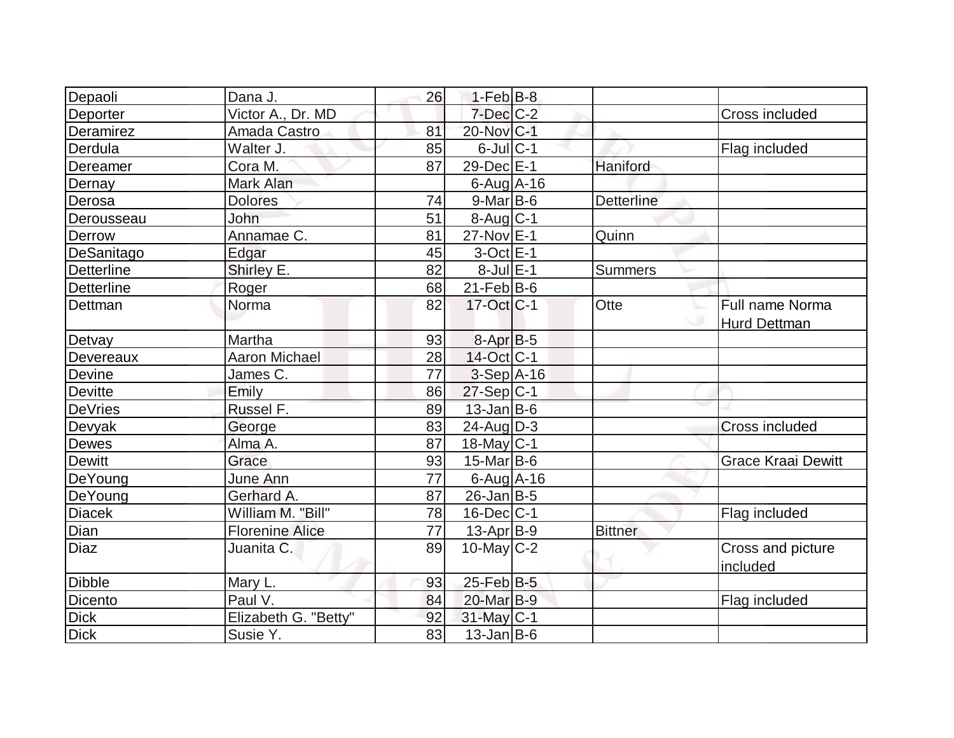| Depaoli           | Dana J.                | 26              | $1-Feb$ B-8            |                   |                           |
|-------------------|------------------------|-----------------|------------------------|-------------------|---------------------------|
| Deporter          | Victor A., Dr. MD      |                 | $7$ -Dec $C$ -2        |                   | Cross included            |
| Deramirez         | Amada Castro           | 81              | 20-Nov C-1             |                   |                           |
| Derdula           | Walter J.              | 85              | $6$ -Jul $C-1$         |                   | Flag included             |
| Dereamer          | Cora M.                | 87              | 29-Dec E-1             | Haniford          |                           |
| Dernay            | Mark Alan              |                 | $6$ -Aug $A$ -16       |                   |                           |
| Derosa            | <b>Dolores</b>         | 74              | $9$ -Mar $ B$ -6       | <b>Detterline</b> |                           |
| Derousseau        | John                   | $\overline{51}$ | $8-Aug$ <sub>C-1</sub> |                   |                           |
| Derrow            | Annamae C.             | 81              | 27-Nov E-1             | Quinn             |                           |
| DeSanitago        | Edgar                  | 45              | $3$ -Oct $E-1$         |                   |                           |
| <b>Detterline</b> | Shirley E.             | 82              | $8$ -Jul $E-1$         | <b>Summers</b>    |                           |
| <b>Detterline</b> | Roger                  | 68              | $21$ -Feb $ B-6 $      |                   |                           |
| Dettman           | Norma                  | 82              | 17-Oct C-1             | Otte              | Full name Norma           |
|                   |                        |                 |                        |                   | <b>Hurd Dettman</b>       |
| Detvay            | Martha                 | 93              | $8-Apr$ B-5            |                   |                           |
| Devereaux         | <b>Aaron Michael</b>   | 28              | $14$ -Oct $ C-1 $      |                   |                           |
| Devine            | James C.               | 77              | $3-Sep$ A-16           |                   |                           |
| <b>Devitte</b>    | Emily                  | 86              | $27-Sep C-1$           |                   |                           |
| <b>DeVries</b>    | Russel F.              | 89              | $13$ -Jan $ B-6 $      |                   |                           |
| Devyak            | George                 | 83              | $24$ -Aug $D-3$        |                   | <b>Cross included</b>     |
| Dewes             | Alma A.                | 87              | $18$ -May C-1          |                   |                           |
| <b>Dewitt</b>     | Grace                  | 93              | $15$ -Mar $ B-6$       |                   | <b>Grace Kraai Dewitt</b> |
| DeYoung           | <b>June Ann</b>        | 77              | $6$ -Aug $A$ -16       |                   |                           |
| DeYoung           | Gerhard A.             | 87              | $26$ -Jan B-5          |                   |                           |
| <b>Diacek</b>     | William M. "Bill"      | 78              | $16$ -Dec $C-1$        |                   | Flag included             |
| Dian              | <b>Florenine Alice</b> | 77              | 13-Apr B-9             | <b>Bittner</b>    |                           |
| <b>Diaz</b>       | Juanita C.             | 89              | $10$ -May $C-2$        |                   | Cross and picture         |
|                   |                        |                 |                        |                   | included                  |
| <b>Dibble</b>     | Mary L.                | 93              | $25$ -Feb $B$ -5       |                   |                           |
| Dicento           | Paul V.                | 84              | 20-Mar B-9             |                   | Flag included             |
| <b>Dick</b>       | Elizabeth G. "Betty"   | 92              | $31$ -May C-1          |                   |                           |
| <b>Dick</b>       | Susie Y.               | 83              | $13$ -Jan B-6          |                   |                           |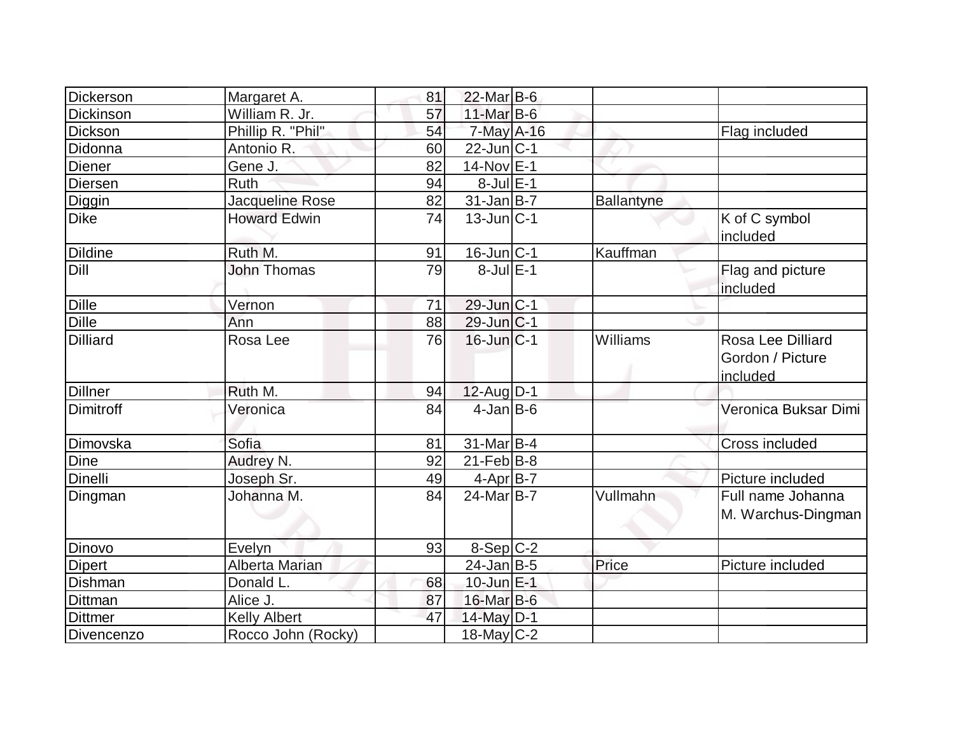| Dickerson       | Margaret A.           | 81 | $22$ -Mar $B$ -6  |                   |                                                   |
|-----------------|-----------------------|----|-------------------|-------------------|---------------------------------------------------|
| Dickinson       | William R. Jr.        | 57 | $11$ -Mar $B$ -6  |                   |                                                   |
| Dickson         | Phillip R. "Phil"     | 54 | 7-May A-16        |                   | Flag included                                     |
| Didonna         | Antonio R.            | 60 | $22$ -Jun $ C-1$  |                   |                                                   |
| <b>Diener</b>   | Gene J.               | 82 | $14-Nov$ E-1      |                   |                                                   |
| <b>Diersen</b>  | <b>Ruth</b>           | 94 | $8$ -Jul $E-1$    |                   |                                                   |
| Diggin          | Jacqueline Rose       | 82 | $31$ -Jan B-7     | <b>Ballantyne</b> |                                                   |
| <b>Dike</b>     | <b>Howard Edwin</b>   | 74 | $13$ -Jun $C-1$   |                   | K of C symbol<br>included                         |
| <b>Dildine</b>  | Ruth M.               | 91 | $16$ -Jun $ C-1 $ | Kauffman          |                                                   |
| Dill            | <b>John Thomas</b>    | 79 | 8-Jul E-1         |                   | Flag and picture<br>included                      |
| Dille           | Vernon                | 71 | 29-Jun C-1        |                   |                                                   |
| <b>Dille</b>    | Ann                   | 88 | 29-Jun C-1        |                   |                                                   |
| <b>Dilliard</b> | Rosa Lee              | 76 | $16$ -Jun $ C-1 $ | Williams          | Rosa Lee Dilliard<br>Gordon / Picture<br>included |
| <b>Dillner</b>  | Ruth M.               | 94 | 12-Aug D-1        |                   |                                                   |
| Dimitroff       | Veronica              | 84 | $4$ -Jan B-6      |                   | Veronica Buksar Dimi                              |
| Dimovska        | Sofia                 | 81 | $31$ -Mar $B-4$   |                   | Cross included                                    |
| Dine            | Audrey N.             | 92 | $21$ -Feb $B$ -8  |                   |                                                   |
| <b>Dinelli</b>  | Joseph Sr.            | 49 | $4-Apr$ B-7       |                   | Picture included                                  |
| Dingman         | Johanna M.            | 84 | $24$ -Mar $ B-7 $ | Vullmahn          | Full name Johanna<br>M. Warchus-Dingman           |
| Dinovo          | Evelyn                | 93 | $8-Sep C-2$       |                   |                                                   |
| <b>Dipert</b>   | <b>Alberta Marian</b> |    | $24$ -Jan B-5     | Price             | Picture included                                  |
| Dishman         | Donald L.             | 68 | $10$ -Jun $E-1$   |                   |                                                   |
| Dittman         | Alice J.              | 87 | 16-Mar B-6        |                   |                                                   |
| <b>Dittmer</b>  | <b>Kelly Albert</b>   | 47 | 14-May D-1        |                   |                                                   |
| Divencenzo      | Rocco John (Rocky)    |    | $18$ -May C-2     |                   |                                                   |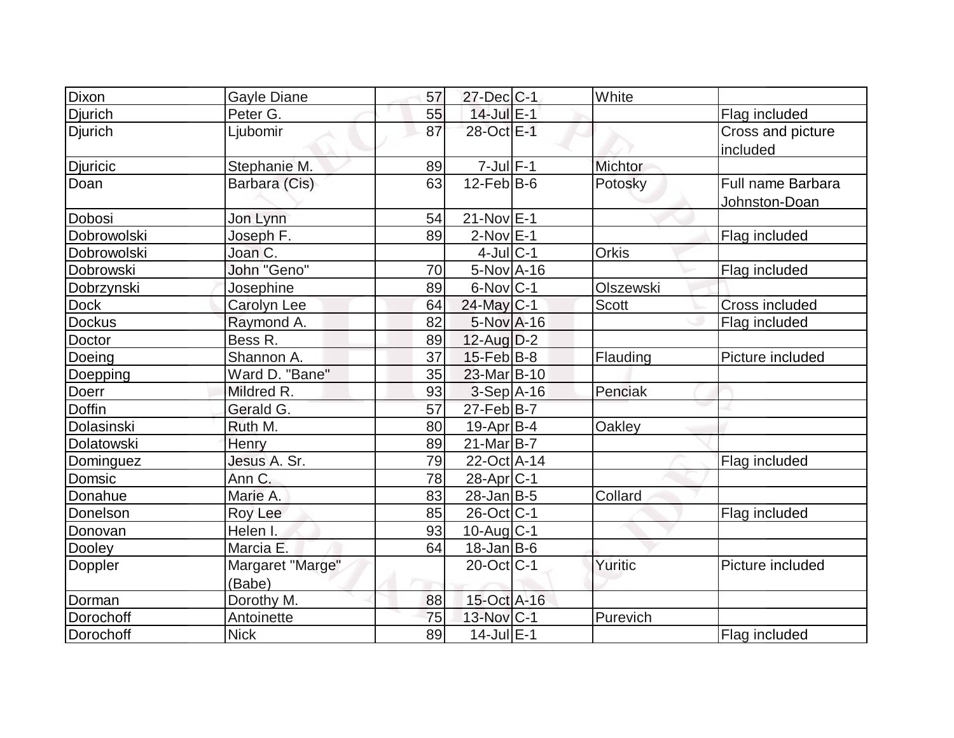| Dixon          | Gayle Diane        | 57 | 27-Dec C-1             | White            |                   |
|----------------|--------------------|----|------------------------|------------------|-------------------|
| Djurich        | Peter G.           | 55 | 14-Jul E-1             |                  | Flag included     |
| <b>Djurich</b> | Ljubomir           | 87 | 28-Oct E-1             |                  | Cross and picture |
|                |                    |    |                        |                  | included          |
| Djuricic       | Stephanie M.       | 89 | $7 -$ Jul $F - 1$      | Michtor          |                   |
| Doan           | Barbara (Cis)      | 63 | $12$ -Feb $B$ -6       | Potosky          | Full name Barbara |
|                |                    |    |                        |                  | Johnston-Doan     |
| Dobosi         | Jon Lynn           | 54 | $21-Nov$ $E-1$         |                  |                   |
| Dobrowolski    | Joseph F.          | 89 | $2$ -Nov $E-1$         |                  | Flag included     |
| Dobrowolski    | Joan C.            |    | $4$ -Jul $C-1$         | Orkis            |                   |
| Dobrowski      | John "Geno"        | 70 | $5-Nov$ A-16           |                  | Flag included     |
| Dobrzynski     | Josephine          | 89 | $6$ -Nov $ C-1$        | <b>Olszewski</b> |                   |
| <b>Dock</b>    | <b>Carolyn Lee</b> | 64 | $24$ -May C-1          | Scott            | Cross included    |
| <b>Dockus</b>  | Raymond A.         | 82 | 5-Nov A-16             |                  | Flag included     |
| Doctor         | Bess R.            | 89 | $12$ -Aug $D-2$        |                  |                   |
| Doeing         | Shannon A.         | 37 | 15-Feb B-8             | Flauding         | Picture included  |
| Doepping       | Ward D. "Bane"     | 35 | 23-Mar B-10            |                  |                   |
| <b>Doerr</b>   | Mildred R.         | 93 | $3-Sep$ A-16           | Penciak          |                   |
| <b>Doffin</b>  | Gerald G.          | 57 | $27$ -Feb $B$ -7       |                  |                   |
| Dolasinski     | Ruth M.            | 80 | $19$ -Apr $ B-4$       | Oakley           |                   |
| Dolatowski     | Henry              | 89 | $21$ -Mar $ B-7 $      |                  |                   |
| Dominguez      | Jesus A. Sr.       | 79 | 22-Oct A-14            |                  | Flag included     |
| Domsic         | Ann C.             | 78 | 28-Apr <sub>IC-1</sub> |                  |                   |
| Donahue        | Marie A.           | 83 | $28$ -Jan $ B-5 $      | Collard          |                   |
| Donelson       | Roy Lee            | 85 | 26-Oct C-1             |                  | Flag included     |
| Donovan        | Helen I.           | 93 | 10-Aug C-1             |                  |                   |
| Dooley         | Marcia E.          | 64 | $18$ -Jan B-6          |                  |                   |
| Doppler        | Margaret "Marge"   |    | 20-Oct C-1             | Yuritic          | Picture included  |
|                | (Babe)             |    |                        |                  |                   |
| Dorman         | Dorothy M.         | 88 | 15-Oct A-16            |                  |                   |
| Dorochoff      | Antoinette         | 75 | 13-Nov C-1             | Purevich         |                   |
| Dorochoff      | <b>Nick</b>        | 89 | $14$ -Jul $E-1$        |                  | Flag included     |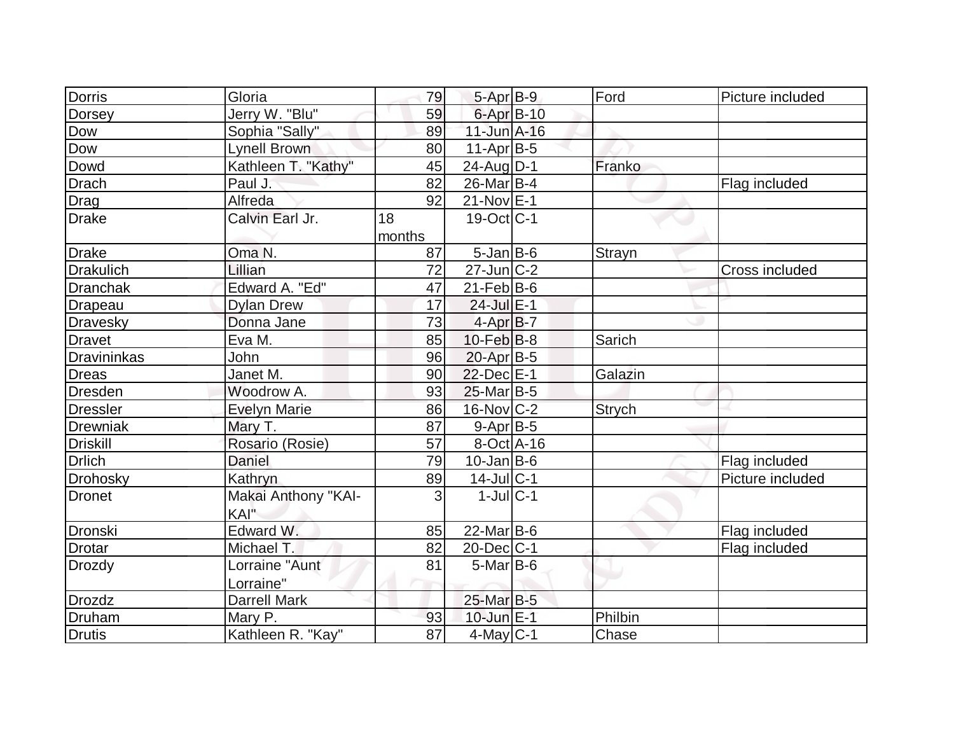| Dorris          | Gloria              | 79     | $5-AprB-9$              | Ford          | Picture included |
|-----------------|---------------------|--------|-------------------------|---------------|------------------|
| Dorsey          | Jerry W. "Blu"      | 59     | 6-Apr B-10              |               |                  |
| Dow             | Sophia "Sally"      | 89     | $11$ -Jun $A-16$        |               |                  |
| Dow             | <b>Lynell Brown</b> | 80     | $11-Apr B-5$            |               |                  |
| Dowd            | Kathleen T. "Kathy" | 45     | $24$ -AugD-1            | Franko        |                  |
| Drach           | Paul J.             | 82     | $26$ -Mar $B-4$         |               | Flag included    |
| Drag            | Alfreda             | 92     | $21-Nov$ E-1            |               |                  |
| Drake           | Calvin Earl Jr.     | 18     | $19-Oct$ <sub>C-1</sub> |               |                  |
|                 |                     | months |                         |               |                  |
| Drake           | Oma N.              | 87     | $5$ -Jan $B$ -6         | <b>Strayn</b> |                  |
| Drakulich       | Lillian             | 72     | $27$ -Jun $C-2$         |               | Cross included   |
| Dranchak        | Edward A. "Ed"      | 47     | $21$ -Feb $ B-6 $       |               |                  |
| Drapeau         | <b>Dylan Drew</b>   | 17     | $24$ -Jul $E-1$         |               |                  |
| Dravesky        | Donna Jane          | 73     | $4-AprB-7$              |               |                  |
| Dravet          | Eva M.              | 85     | $10$ -Feb $ B-8 $       | Sarich        |                  |
| Dravininkas     | John                | 96     | $20$ -Apr $B-5$         |               |                  |
| Dreas           | Janet M.            | 90     | $22$ -Dec $E-1$         | Galazin       |                  |
| Dresden         | Woodrow A.          | 93     | $25$ -Mar $B-5$         |               |                  |
| <b>Dressler</b> | <b>Evelyn Marie</b> | 86     | 16-Nov C-2              | <b>Strych</b> |                  |
| <b>Drewniak</b> | Mary T.             | 87     | $9-AprB-5$              |               |                  |
| <b>Driskill</b> | Rosario (Rosie)     | 57     | 8-Oct A-16              |               |                  |
| <b>Drlich</b>   | <b>Daniel</b>       | 79     | $10$ -Jan $ B-6 $       |               | Flag included    |
| Drohosky        | Kathryn             | 89     | $14$ -Jul C-1           |               | Picture included |
| Dronet          | Makai Anthony "KAI- | 3      | $1$ -JulC-1             |               |                  |
|                 | KAI"                |        |                         |               |                  |
| Dronski         | Edward W.           | 85     | $22$ -Mar $ B-6 $       |               | Flag included    |
| Drotar          | Michael T.          | 82     | $20$ -Dec $ C-1 $       |               | Flag included    |
| Drozdy          | Lorraine "Aunt      | 81     | $5$ -Mar $ B$ -6        |               |                  |
|                 | Lorraine"           |        |                         |               |                  |
| <b>Drozdz</b>   | <b>Darrell Mark</b> |        | 25-Mar B-5              |               |                  |
| Druham          | Mary P.             | 93     | $10$ -Jun $E-1$         | Philbin       |                  |
| <b>Drutis</b>   | Kathleen R. "Kay"   | 87     | $4$ -May C-1            | Chase         |                  |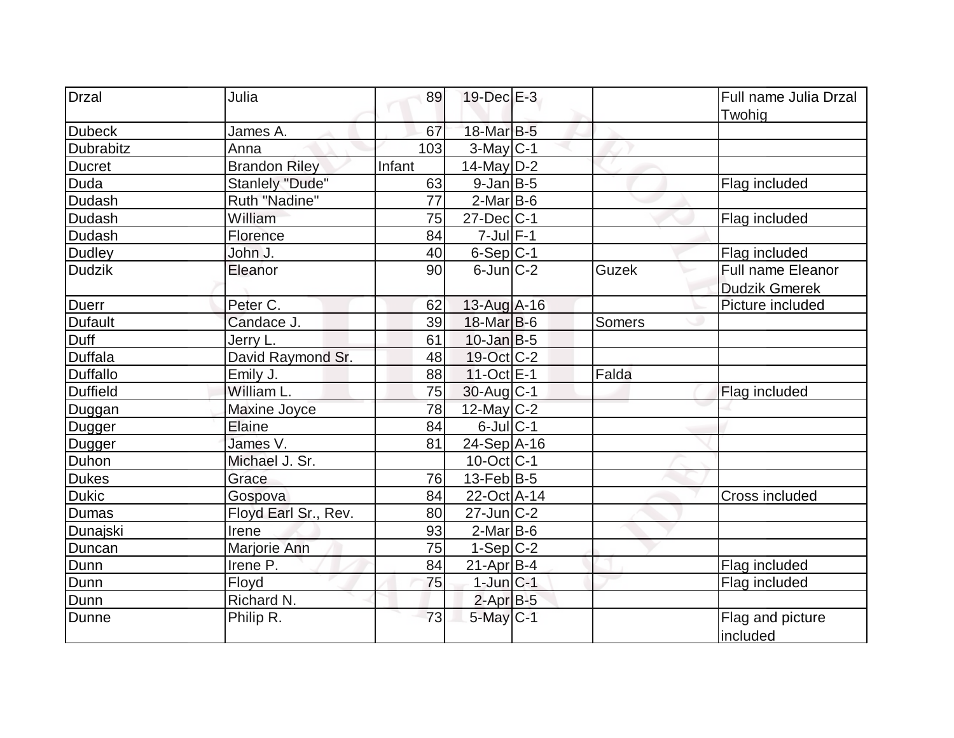| <b>Drzal</b>    | Julia                  | 89     | $19$ -Dec $E-3$   |        | Full name Julia Drzal |
|-----------------|------------------------|--------|-------------------|--------|-----------------------|
|                 |                        |        | 18-Mar B-5        |        | Twohig                |
| <b>Dubeck</b>   | James A.               | 67     |                   |        |                       |
| Dubrabitz       | Anna                   | 103    | $3$ -May C-1      |        |                       |
| <b>Ducret</b>   | <b>Brandon Riley</b>   | Infant | $14$ -May D-2     |        |                       |
| Duda            | <b>Stanlely "Dude"</b> | 63     | $9$ -Jan $B$ -5   |        | Flag included         |
| <b>Dudash</b>   | Ruth "Nadine"          | 77     | $2$ -Mar $B$ -6   |        |                       |
| Dudash          | William                | 75     | $27 - Dec$ $C-1$  |        | Flag included         |
| Dudash          | Florence               | 84     | $7$ -Jul $F-1$    |        |                       |
| <b>Dudley</b>   | John J.                | 40     | $6-Sep$ $C-1$     |        | Flag included         |
| <b>Dudzik</b>   | Eleanor                | 90     | $6$ -Jun $ C-2 $  | Guzek  | Full name Eleanor     |
|                 |                        |        |                   |        | <b>Dudzik Gmerek</b>  |
| <b>Duerr</b>    | Peter C.               | 62     | $13$ -Aug $A$ -16 |        | Picture included      |
| <b>Dufault</b>  | Candace J.             | 39     | $18$ -Mar $ B-6$  | Somers |                       |
| <b>Duff</b>     | Jerry L.               | 61     | $10$ -Jan $ B-5 $ |        |                       |
| <b>Duffala</b>  | David Raymond Sr.      | 48     | 19-Oct C-2        |        |                       |
| <b>Duffallo</b> | Emily J.               | 88     | $11-Oct$ E-1      | Falda  |                       |
| <b>Duffield</b> | William L.             | 75     | $30$ -Aug C-1     |        | Flag included         |
| Duggan          | Maxine Joyce           | 78     | 12-May C-2        |        |                       |
| Dugger          | Elaine                 | 84     | $6$ -Jul $C-1$    |        |                       |
| Dugger          | James V.               | 81     | $24-Sep$ A-16     |        |                       |
| Duhon           | Michael J. Sr.         |        | $10$ -Oct $ C-1 $ |        |                       |
| <b>Dukes</b>    | Grace                  | 76     | $13$ -Feb $ B-5 $ |        |                       |
| <b>Dukic</b>    | Gospova                | 84     | 22-Oct A-14       |        | Cross included        |
| Dumas           | Floyd Earl Sr., Rev.   | 80     | $27$ -Jun $ C-2 $ |        |                       |
| Dunajski        | Irene                  | 93     | $2-Mar$ B-6       |        |                       |
| Duncan          | Marjorie Ann           | 75     | $1-Sep C-2$       |        |                       |
| Dunn            | Irene P.               | 84     | $21-Apr B-4$      |        | Flag included         |
| Dunn            | Floyd                  | 75     | $1$ -Jun $C-1$    |        | Flag included         |
| Dunn            | Richard N.             |        | $2$ -Apr $B-5$    |        |                       |
| Dunne           | Philip R.              | 73     | $5$ -May $C-1$    |        | Flag and picture      |
|                 |                        |        |                   |        | included              |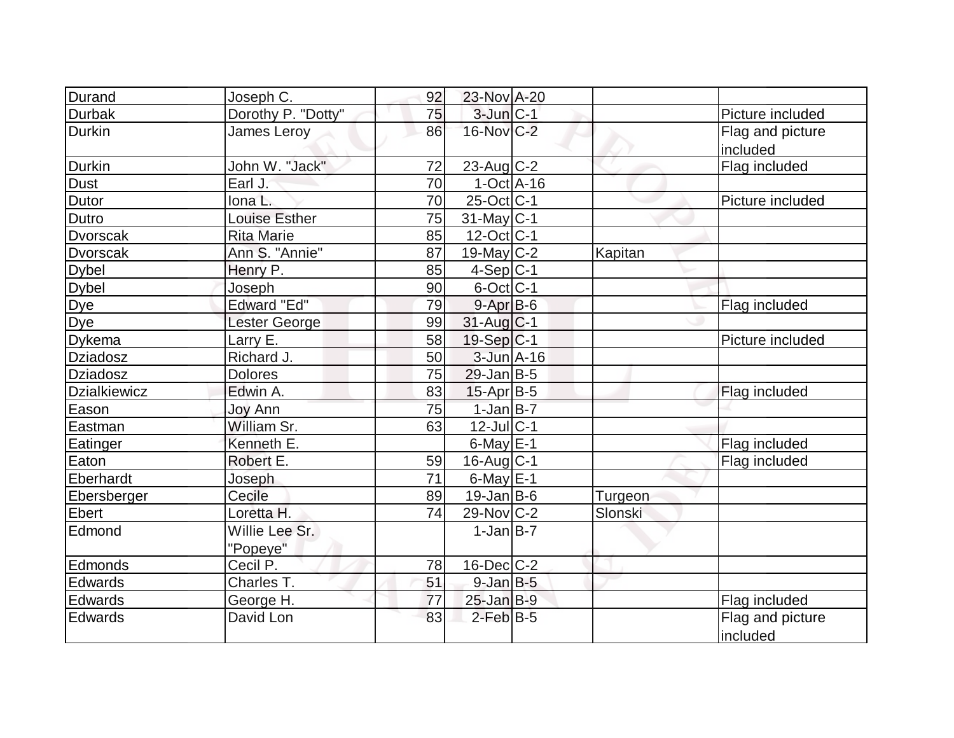| Durand              | Joseph C.          | 92 | 23-Nov A-20       |         |                  |
|---------------------|--------------------|----|-------------------|---------|------------------|
| <b>Durbak</b>       | Dorothy P. "Dotty" | 75 | 3-Jun C-1         |         | Picture included |
| <b>Durkin</b>       | <b>James Leroy</b> | 86 | 16-Nov C-2        |         | Flag and picture |
|                     |                    |    |                   |         | included         |
| <b>Durkin</b>       | John W. "Jack"     | 72 | $23$ -Aug C-2     |         | Flag included    |
| <b>Dust</b>         | Earl J.            | 70 | $1-Oct$ A-16      |         |                  |
| Dutor               | Iona L.            | 70 | $25$ -Oct $ C-1$  |         | Picture included |
| Dutro               | Louise Esther      | 75 | $31$ -May C-1     |         |                  |
| <b>Dvorscak</b>     | <b>Rita Marie</b>  | 85 | $12$ -Oct C-1     |         |                  |
| <b>Dvorscak</b>     | Ann S. "Annie"     | 87 | $19$ -May C-2     | Kapitan |                  |
| <b>Dybel</b>        | Henry P.           | 85 | $4-Sep C-1$       |         |                  |
| <b>Dybel</b>        | Joseph             | 90 | $6$ -Oct $ C-1 $  |         |                  |
| <b>Dye</b>          | Edward "Ed"        | 79 | $9 - Apr$ $B - 6$ |         | Flag included    |
| Dye                 | Lester George      | 99 | 31-Aug C-1        |         |                  |
| <b>Dykema</b>       | Larry E.           | 58 | $19-Sep C-1$      |         | Picture included |
| <b>Dziadosz</b>     | Richard J.         | 50 | $3$ -Jun $A-16$   |         |                  |
| <b>Dziadosz</b>     | <b>Dolores</b>     | 75 | $29$ -Jan B-5     |         |                  |
| <b>Dzialkiewicz</b> | Edwin A.           | 83 | $15$ -Apr $ B-5 $ |         | Flag included    |
| Eason               | Joy Ann            | 75 | $1-Jan$ B-7       |         |                  |
| Eastman             | William Sr.        | 63 | $12$ -Jul C-1     |         |                  |
| Eatinger            | Kenneth E.         |    | $6$ -May $E-1$    |         | Flag included    |
| Eaton               | Robert E.          | 59 | $16$ -Aug $C-1$   |         | Flag included    |
| Eberhardt           | Joseph             | 71 | $6$ -May $E-1$    |         |                  |
| Ebersberger         | Cecile             | 89 | $19$ -Jan B-6     | Turgeon |                  |
| Ebert               | Loretta H.         | 74 | $29-Nov$ C-2      | Slonski |                  |
| Edmond              | Willie Lee Sr.     |    | $1-Jan$ B-7       |         |                  |
|                     | "Popeye"           |    |                   |         |                  |
| Edmonds             | Cecil P.           | 78 | 16-Dec C-2        |         |                  |
| Edwards             | Charles T.         | 51 | $9$ -Jan $B$ -5   |         |                  |
| Edwards             | George H.          | 77 | $25$ -Jan B-9     |         | Flag included    |
| Edwards             | David Lon          | 83 | $2$ -Feb $B-5$    |         | Flag and picture |
|                     |                    |    |                   |         | included         |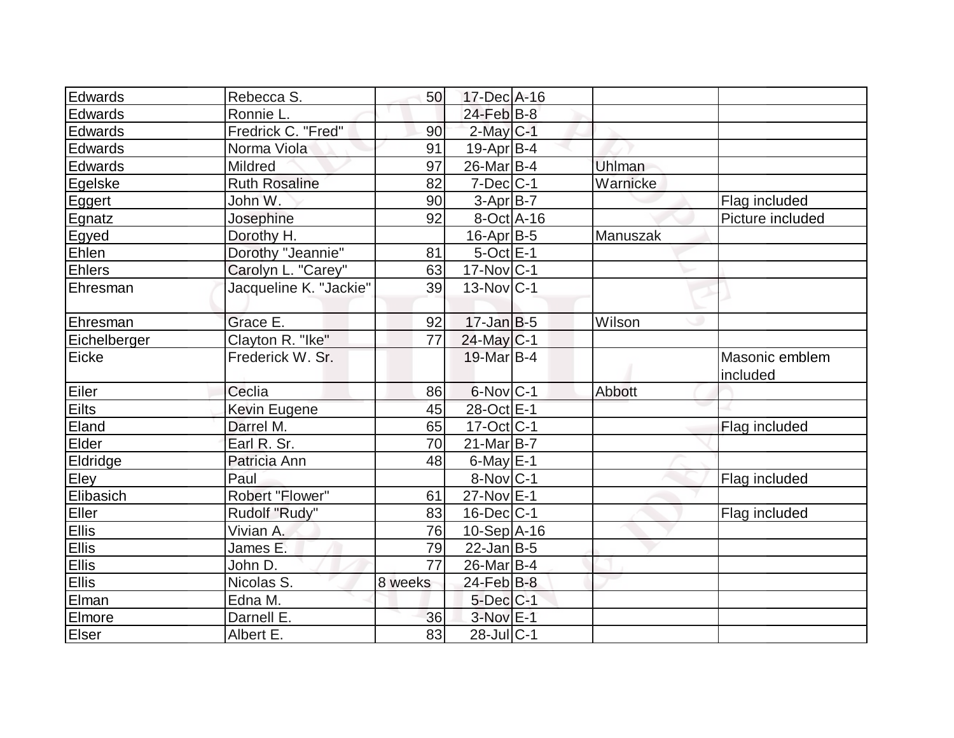| Edwards        | Rebecca S.             | 50      | 17-Dec A-16             |          |                            |
|----------------|------------------------|---------|-------------------------|----------|----------------------------|
| <b>Edwards</b> | Ronnie L.              |         | $24$ -Feb $B$ -8        |          |                            |
| Edwards        | Fredrick C. "Fred"     | 90      | $2$ -May C-1            |          |                            |
| Edwards        | Norma Viola            | 91      | $19$ -Apr $ B-4$        |          |                            |
| Edwards        | Mildred                | 97      | 26-Mar B-4              | Uhlman   |                            |
| Egelske        | <b>Ruth Rosaline</b>   | 82      | $7$ -Dec $ C-1$         | Warnicke |                            |
| Eggert         | John W.                | 90      | $3-Apr$ B-7             |          | Flag included              |
| Egnatz         | Josephine              | 92      | $8-Oct$ A-16            |          | Picture included           |
| Egyed          | Dorothy H.             |         | $16$ -Apr $B$ -5        | Manuszak |                            |
| Ehlen          | Dorothy "Jeannie"      | 81      | $5$ -Oct $E-1$          |          |                            |
| <b>Ehlers</b>  | Carolyn L. "Carey"     | 63      | $17$ -Nov $ C-1$        |          |                            |
| Ehresman       | Jacqueline K. "Jackie" | 39      | $13-Nov C-1$            |          |                            |
|                |                        |         |                         |          |                            |
| Ehresman       | Grace E.               | 92      | $17$ -Jan $ B-5 $       | Wilson   |                            |
| Eichelberger   | Clayton R. "Ike"       | 77      | $24$ -May C-1           |          |                            |
| Eicke          | Frederick W. Sr.       |         | 19-Mar B-4              |          | Masonic emblem<br>included |
| Eiler          | Ceclia                 | 86      | $6$ -Nov $ C-1$         | Abbott   |                            |
| Eilts          | <b>Kevin Eugene</b>    | 45      | 28-Oct E-1              |          |                            |
| Eland          | Darrel M.              | 65      | $17-Oct$ <sub>C-1</sub> |          | Flag included              |
| Elder          | Earl R. Sr.            | 70      | $21$ -Mar $ B-7 $       |          |                            |
| Eldridge       | Patricia Ann           | 48      | $6$ -May $E-1$          |          |                            |
| Eley           | Paul                   |         | $8-Nov C-1$             |          | Flag included              |
| Elibasich      | Robert "Flower"        | 61      | 27-Nov E-1              |          |                            |
| Eller          | Rudolf "Rudy"          | 83      | $16$ -Dec $ C-1$        |          | Flag included              |
| Ellis<br>Ellis | Vivian A.              | 76      | $10-Sep$ $A-16$         |          |                            |
|                | James E.               | 79      | $22$ -Jan B-5           |          |                            |
| <b>Ellis</b>   | John D.                | 77      | 26-Mar B-4              |          |                            |
| Ellis          | Nicolas S.             | 8 weeks | $24$ -Feb $B$ -8        |          |                            |
| Elman          | Edna M.                |         | $5$ -Dec $C$ -1         |          |                            |
| Elmore         | Darnell E.             | 36      | $3-Nov$ E-1             |          |                            |
| Elser          | Albert E.              | 83      | 28-Jul C-1              |          |                            |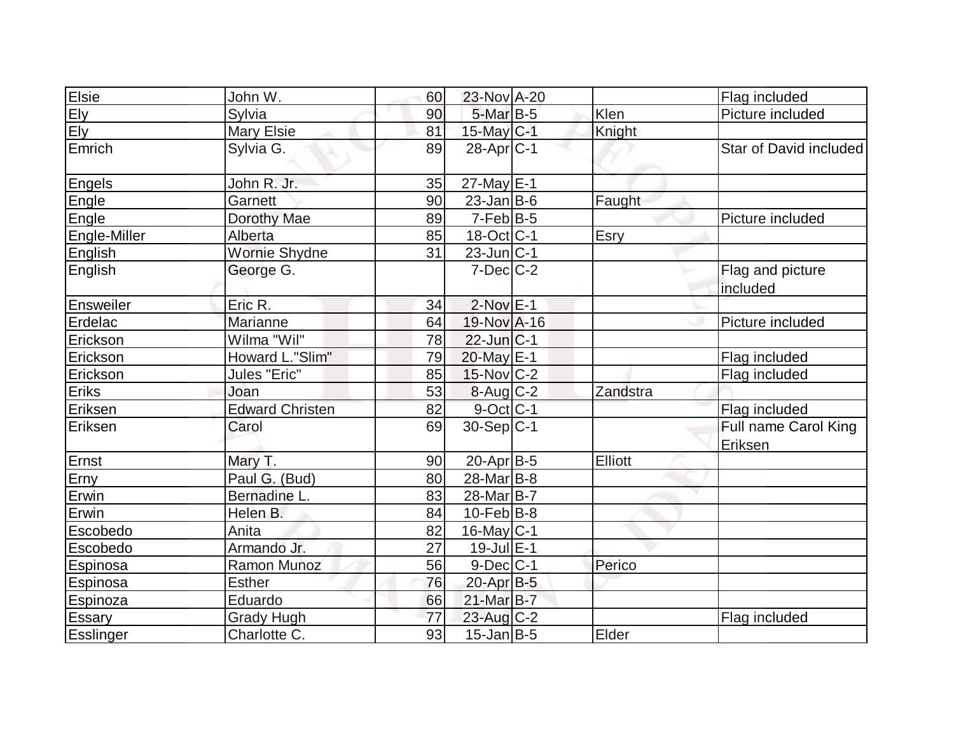| Elsie            | John W.                | 60 | 23-Nov A-20             |                | Flag included                   |
|------------------|------------------------|----|-------------------------|----------------|---------------------------------|
|                  | Sylvia                 | 90 | 5-Mar B-5               | Klen           | Picture included                |
| Ely<br>Ely       | Mary Elsie             | 81 | $15$ -May C-1           | Knight         |                                 |
| Emrich           | Sylvia G.              | 89 | $28-Apr$ <sub>C-1</sub> |                | Star of David included          |
| Engels           | John R. Jr.            | 35 | 27-May E-1              |                |                                 |
| Engle            | Garnett                | 90 | $23$ -Jan B-6           | Faught         |                                 |
| Engle            | Dorothy Mae            | 89 | $7-Feb B-5$             |                | Picture included                |
| Engle-Miller     | Alberta                | 85 | 18-Oct C-1              | Esry           |                                 |
| English          | Wornie Shydne          | 31 | $23$ -Jun $ C-1 $       |                |                                 |
| English          | George G.              |    | $7$ -Dec $C$ -2         |                | Flag and picture<br>included    |
| Ensweiler        | Eric R.                | 34 | $2$ -Nov $E-1$          |                |                                 |
| Erdelac          | Marianne               | 64 | 19-Nov A-16             |                | Picture included                |
| Erickson         | Wilma "Wil"            | 78 | $22$ -Jun $ C-1 $       |                |                                 |
| Erickson         | Howard L."Slim"        | 79 | 20-May E-1              |                | Flag included                   |
| Erickson         | Jules "Eric"           | 85 | $15$ -Nov $ C-2 $       |                | Flag included                   |
| Eriks            | Joan                   | 53 | $8-Aug$ <sub>C-2</sub>  | Zandstra       |                                 |
| Eriksen          | <b>Edward Christen</b> | 82 | $9$ -Oct C-1            |                | Flag included                   |
| Eriksen          | Carol                  | 69 | 30-Sep C-1              |                | Full name Carol King<br>Eriksen |
| Ernst            | Mary T.                | 90 | $20-Apr B-5$            | <b>Elliott</b> |                                 |
| Erny             | Paul G. (Bud)          | 80 | 28-Mar B-8              |                |                                 |
| Erwin            | Bernadine L.           | 83 | 28-Mar B-7              |                |                                 |
| Erwin            | Helen B.               | 84 | $10$ -Feb $ B-8 $       |                |                                 |
| Escobedo         | Anita                  | 82 | $16$ -May C-1           |                |                                 |
| Escobedo         | Armando Jr.            | 27 | $19$ -Jul $E-1$         |                |                                 |
| Espinosa         | Ramon Munoz            | 56 | $9$ -Dec $C$ -1         | Perico         |                                 |
| Espinosa         | <b>Esther</b>          | 76 | 20-Apr B-5              |                |                                 |
| Espinoza         | Eduardo                | 66 | 21-Mar B-7              |                |                                 |
| <b>Essary</b>    | <b>Grady Hugh</b>      | 77 | $23$ -Aug C-2           |                | Flag included                   |
| <b>Esslinger</b> | Charlotte C.           | 93 | $15$ -Jan B-5           | Elder          |                                 |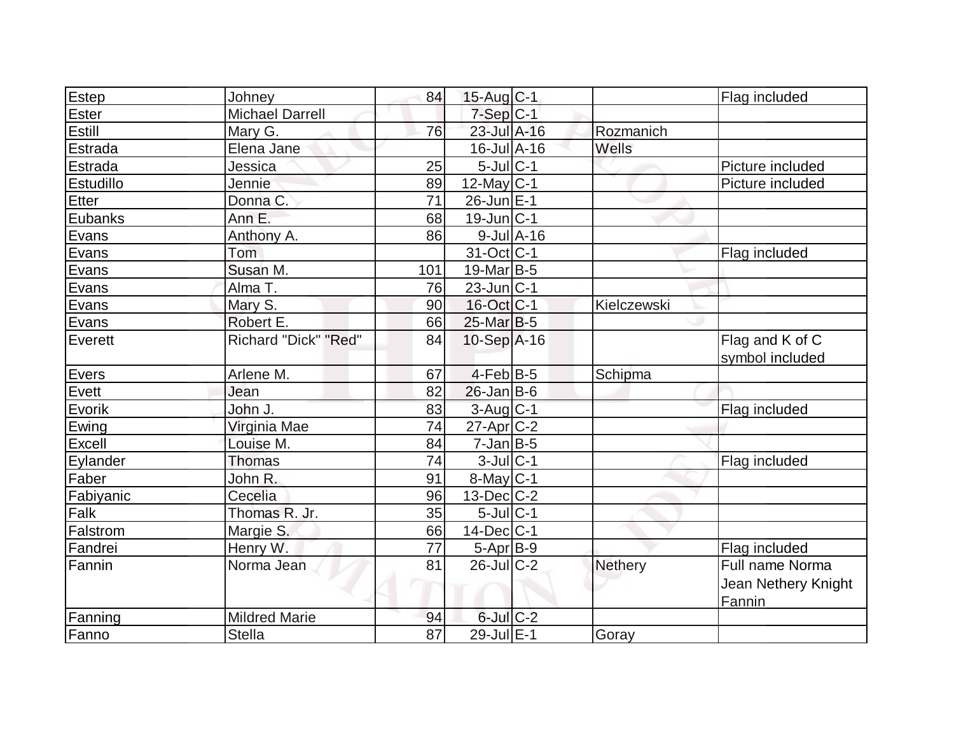| Estep        | Johney                 | 84  | $15$ -Aug C-1                |                  |                | Flag included                        |
|--------------|------------------------|-----|------------------------------|------------------|----------------|--------------------------------------|
| Ester        | <b>Michael Darrell</b> |     | $7-Sep C-1$                  |                  |                |                                      |
| Estill       | Mary G.                | 76  | 23-Jul A-16                  |                  | Rozmanich      |                                      |
| Estrada      | Elena Jane             |     | $16$ -Jul $\overline{A}$ -16 |                  | Wells          |                                      |
| Estrada      | Jessica                | 25  | $5$ -Jul $C-1$               |                  |                | Picture included                     |
| Estudillo    | Jennie                 | 89  | $12$ -May C-1                |                  |                | Picture included                     |
| <b>Etter</b> | Donna C.               | 71  | 26-Jun E-1                   |                  |                |                                      |
| Eubanks      | Ann E.                 | 68  | $19$ -Jun $ C-1$             |                  |                |                                      |
| Evans        | Anthony A.             | 86  |                              | $9$ -Jul $A$ -16 |                |                                      |
| Evans        | <b>Tom</b>             |     | 31-Oct C-1                   |                  |                | Flag included                        |
| Evans        | Susan M.               | 101 | $19$ -Mar $ B-5$             |                  |                |                                      |
| Evans        | Alma T.                | 76  | $23$ -Jun $ C-1$             |                  |                |                                      |
| Evans        | Mary S.                | 90  | 16-Oct C-1                   |                  | Kielczewski    |                                      |
| Evans        | Robert E.              | 66  | $25$ -Mar $B$ -5             |                  |                |                                      |
| Everett      | Richard "Dick" "Red"   | 84  | $10-Sep$ A-16                |                  |                | Flag and K of C                      |
|              |                        |     |                              |                  |                | symbol included                      |
| Evers        | Arlene M.              | 67  | $4$ -Feb $ B-5$              |                  | Schipma        |                                      |
| Evett        | Jean                   | 82  | $26$ -Jan B-6                |                  |                |                                      |
| Evorik       | John J.                | 83  | $3-Aug C-1$                  |                  |                | Flag included                        |
| Ewing        | Virginia Mae           | 74  | $27$ -Apr $C-2$              |                  |                |                                      |
| Excell       | Louise M.              | 84  | $7$ -Jan $ B-5 $             |                  |                |                                      |
| Eylander     | <b>Thomas</b>          | 74  | $3$ -Jul $C-1$               |                  |                | Flag included                        |
| Faber        | John R.                | 91  | $8$ -May $C$ -1              |                  |                |                                      |
| Fabiyanic    | Cecelia                | 96  | $13$ -Dec $ C-2 $            |                  |                |                                      |
| Falk         | Thomas R. Jr.          | 35  | $5$ -Jul $C-1$               |                  |                |                                      |
| Falstrom     | Margie S.              | 66  | $14$ -Dec $ C-1 $            |                  |                |                                      |
| Fandrei      | Henry W.               | 77  | $5-Apr$ B-9                  |                  |                | Flag included                        |
| Fannin       | Norma Jean             | 81  | $26$ -Jul $C-2$              |                  | <b>Nethery</b> | Full name Norma                      |
|              |                        |     |                              |                  |                | Jean Nethery Knight<br><b>Fannin</b> |
| Fanning      | <b>Mildred Marie</b>   | 94  | $6$ -Jul $C$ -2              |                  |                |                                      |
| Fanno        | <b>Stella</b>          | 87  | 29-Jul E-1                   |                  | Goray          |                                      |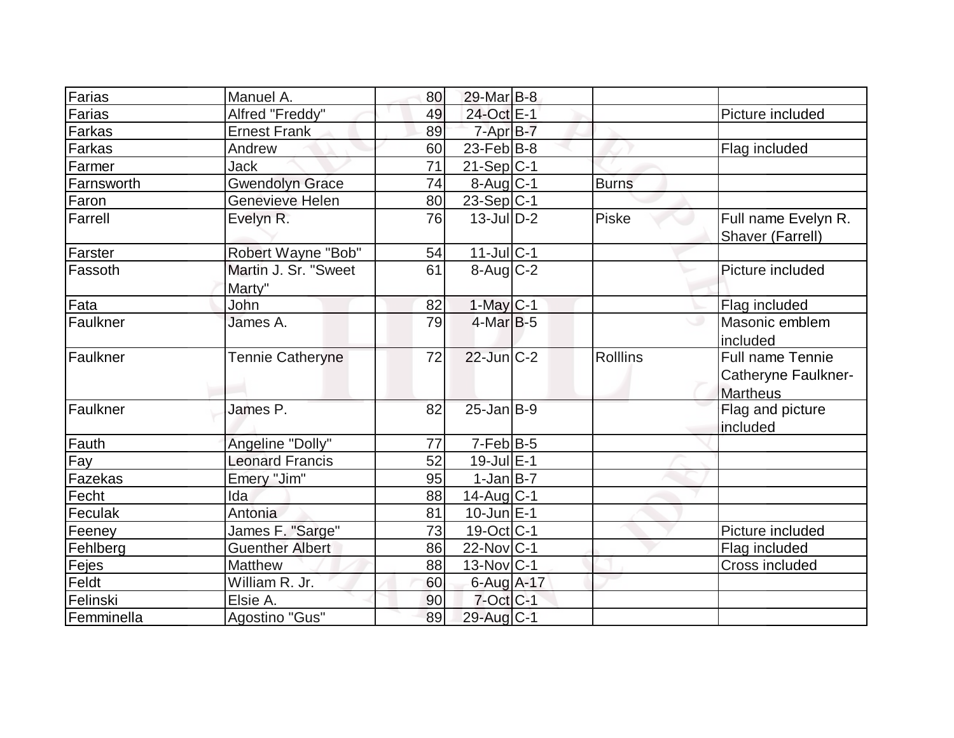| Farias          | Manuel A.              | 80 | 29-Mar B-8                       |              |                            |
|-----------------|------------------------|----|----------------------------------|--------------|----------------------------|
|                 |                        |    |                                  |              |                            |
| Farias          | Alfred "Freddy"        | 49 | 24-Oct E-1                       |              | Picture included           |
| Farkas          | <b>Ernest Frank</b>    | 89 | 7-Apr B-7                        |              |                            |
| Farkas          | Andrew                 | 60 | 23-Feb $ B-8 $                   |              | Flag included              |
| Farmer          | Jack                   | 71 | $21-Sep C-1$                     |              |                            |
| Farnsworth      | <b>Gwendolyn Grace</b> | 74 | $8-Aug C-1$                      | <b>Burns</b> |                            |
| Faron           | Genevieve Helen        | 80 | 23-Sep C-1                       |              |                            |
| Farrell         | Evelyn R.              | 76 | $13$ -Jul $D-2$                  | <b>Piske</b> | Full name Evelyn R.        |
|                 |                        |    |                                  |              | Shaver (Farrell)           |
| Farster         | Robert Wayne "Bob"     | 54 | $11$ -Jul $ C-1 $                |              |                            |
| Fassoth         | Martin J. Sr. "Sweet   | 61 | $8 - \text{Aug}$ <sub>C</sub> -2 |              | Picture included           |
|                 | Marty"                 |    |                                  |              |                            |
| Fata            | John                   | 82 | $1-May$ <sub>C-1</sub>           |              | Flag included              |
| Faulkner        | James A.               | 79 | $4$ -Mar $ B-5 $                 |              | Masonic emblem             |
|                 |                        |    |                                  |              | included                   |
| <b>Faulkner</b> | Tennie Catheryne       | 72 | $22$ -Jun $C-2$                  | Rolllins     | <b>Full name Tennie</b>    |
|                 |                        |    |                                  |              | <b>Catheryne Faulkner-</b> |
|                 |                        |    |                                  |              | <b>Martheus</b>            |
| <b>Faulkner</b> | James P.               | 82 | $25$ -Jan $B-9$                  |              | Flag and picture           |
|                 |                        |    |                                  |              | included                   |
| Fauth           | Angeline "Dolly"       | 77 | $7-Feb B-5$                      |              |                            |
|                 |                        |    |                                  |              |                            |
| Fay             | <b>Leonard Francis</b> | 52 | $19$ -Jul $E-1$                  |              |                            |
| Fazekas         | Emery "Jim"            | 95 | $1-Jan B-7$                      |              |                            |
| Fecht           | Ida                    | 88 | $14$ -Aug $C-1$                  |              |                            |
| Feculak         | Antonia                | 81 | $10$ -Jun $E-1$                  |              |                            |
| Feeney          | James F. "Sarge"       | 73 | 19-Oct C-1                       |              | Picture included           |
| Fehlberg        | <b>Guenther Albert</b> | 86 | $22$ -Nov $ C-1$                 |              | Flag included              |
| Fejes           | Matthew                | 88 | $13-Nov C-1$                     |              | Cross included             |
| Feldt           | William R. Jr.         | 60 | 6-Aug A-17                       |              |                            |
| Felinski        | Elsie A.               | 90 | $7$ -Oct $ C-1 $                 |              |                            |
| Femminella      | Agostino "Gus"         | 89 | 29-Aug C-1                       |              |                            |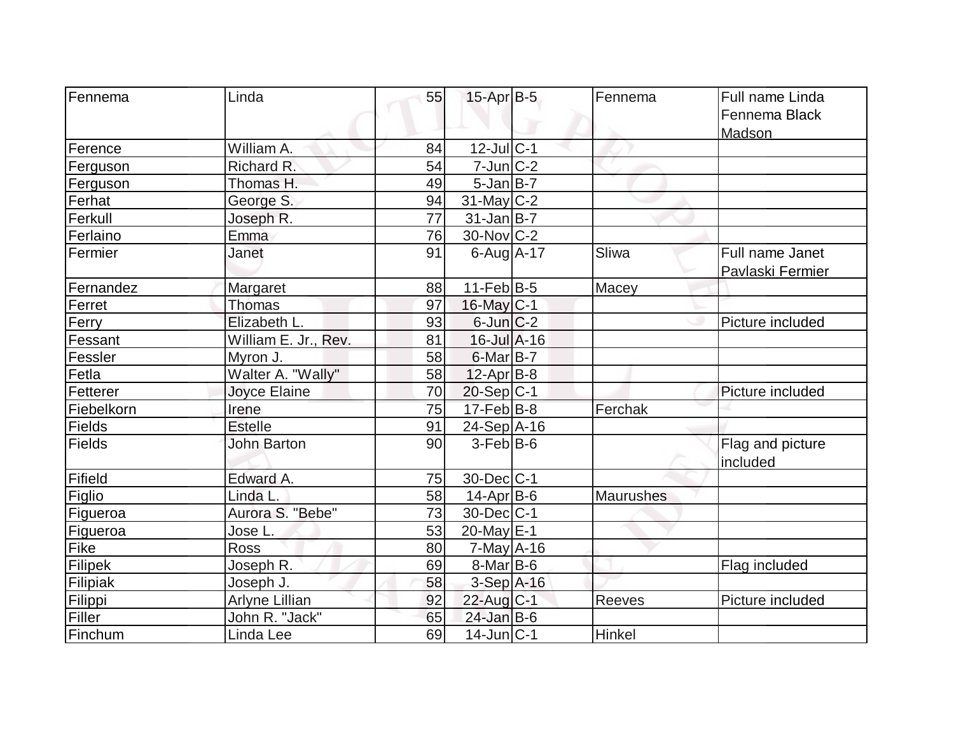| Fennema    | Linda                | 55              | $15$ -Apr $B$ -5  | Fennema          | Full name Linda  |
|------------|----------------------|-----------------|-------------------|------------------|------------------|
|            |                      |                 |                   |                  | Fennema Black    |
|            |                      |                 |                   |                  | Madson           |
| Ference    | William A.           | 84              | $12$ -Jul $ C-1$  |                  |                  |
| Ferguson   | Richard R.           | 54              | $7$ -Jun $ C-2 $  |                  |                  |
| Ferguson   | Thomas H.            | 49              | $5$ -Jan $B$ -7   |                  |                  |
| Ferhat     | George S.            | 94              | 31-May C-2        |                  |                  |
| Ferkull    | Joseph R.            | $\overline{77}$ | $31$ -Jan $B$ -7  |                  |                  |
| Ferlaino   | Emma                 | 76              | 30-Nov C-2        |                  |                  |
| Fermier    | Janet                | 91              | $6$ -Aug $A$ -17  | Sliwa            | Full name Janet  |
|            |                      |                 |                   |                  | Pavlaski Fermier |
| Fernandez  | Margaret             | 88              | $11-Feb B-5$      | Macey            |                  |
| Ferret     | Thomas               | 97              | 16-May C-1        |                  |                  |
| Ferry      | Elizabeth L.         | 93              | $6$ -Jun $C-2$    |                  | Picture included |
| Fessant    | William E. Jr., Rev. | 81              | $16$ -Jul $A-16$  |                  |                  |
| Fessler    | Myron J.             | 58              | $6$ -Mar $B$ -7   |                  |                  |
| Fetla      | Walter A. "Wally"    | 58              | $12$ -Apr $ B-8 $ |                  |                  |
| Fetterer   | Joyce Elaine         | 70              | $20-Sep C-1$      |                  | Picture included |
| Fiebelkorn | Irene                | 75              | $17-Feb B-8$      | Ferchak          |                  |
| Fields     | <b>Estelle</b>       | 91              | $24-Sep$ $A-16$   |                  |                  |
| Fields     | <b>John Barton</b>   | 90              | $3-Feb B-6$       |                  | Flag and picture |
|            |                      |                 |                   |                  | included         |
| Fifield    | Edward A.            | 75              | $30$ -Dec $ C-1$  |                  |                  |
| Figlio     | Linda L.             | 58              | $14$ -Apr $ B-6$  | <b>Maurushes</b> |                  |
| Figueroa   | Aurora S. "Bebe"     | 73              | $30$ -Dec $ C-1 $ |                  |                  |
| Figueroa   | Jose L.              | 53              | 20-May $E-1$      |                  |                  |
| Fike       | <b>Ross</b>          | 80              | $7$ -May $A$ -16  |                  |                  |
| Filipek    | Joseph R.            | 69              | $8$ -Mar $ B$ -6  |                  | Flag included    |
| Filipiak   | Joseph J.            | 58              | $3-Sep$ A-16      |                  |                  |
| Filippi    | Arlyne Lillian       | 92              | 22-Aug C-1        | <b>Reeves</b>    | Picture included |
| Filler     | John R. "Jack"       | 65              | $24$ -Jan B-6     |                  |                  |
| Finchum    | Linda Lee            | 69              | $14$ -Jun $ C-1$  | <b>Hinkel</b>    |                  |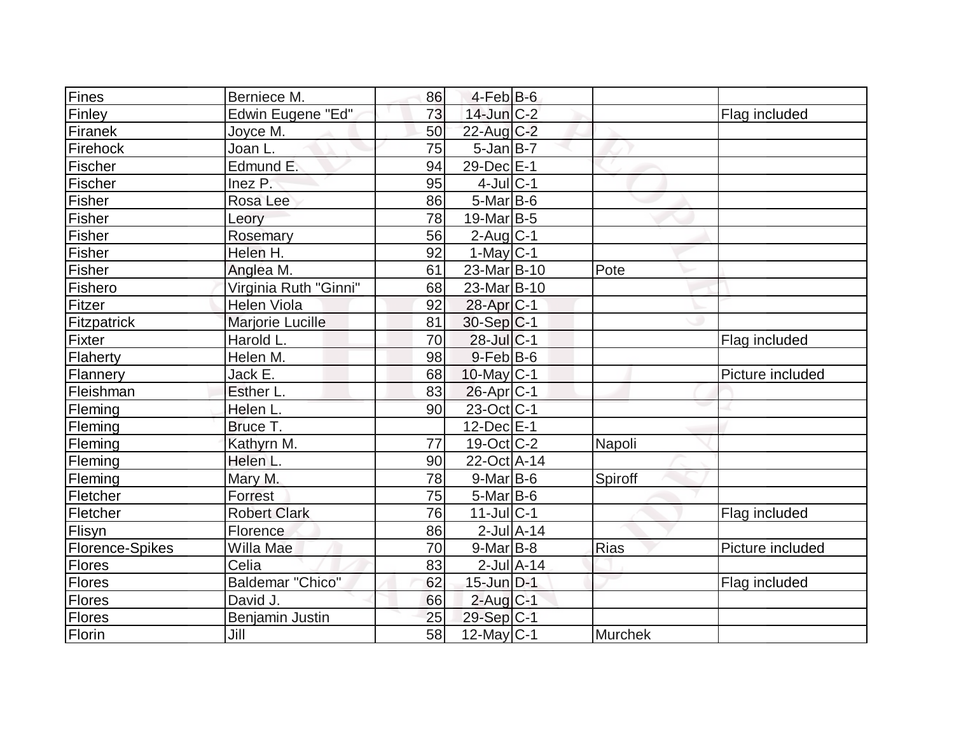| Fines           | Berniece M.             | 86 | $4$ -Feb $ B$ -6      |                |                  |
|-----------------|-------------------------|----|-----------------------|----------------|------------------|
| Finley          | Edwin Eugene "Ed"       | 73 | $14$ -Jun $C-2$       |                | Flag included    |
| Firanek         | Joyce M.                | 50 | $22$ -Aug C-2         |                |                  |
| Firehock        | Joan L.                 | 75 | $5$ -Jan $B$ -7       |                |                  |
| Fischer         | Edmund E.               | 94 | 29-Dec E-1            |                |                  |
| Fischer         | Inez P.                 | 95 | $4$ -Jul C-1          |                |                  |
| Fisher          | Rosa Lee                | 86 | $5$ -Mar $B$ -6       |                |                  |
| Fisher          | Leory                   | 78 | $19$ -Mar $ B-5$      |                |                  |
| Fisher          | Rosemary                | 56 | $2$ -Aug $ C-1$       |                |                  |
| Fisher          | Helen H.                | 92 | $1-May C-1$           |                |                  |
| Fisher          | Anglea M.               | 61 | 23-Mar B-10           | Pote           |                  |
| Fishero         | Virginia Ruth "Ginni"   | 68 | 23-Mar B-10           |                |                  |
| Fitzer          | <b>Helen Viola</b>      | 92 | 28-Apr <sub>C-1</sub> |                |                  |
| Fitzpatrick     | Marjorie Lucille        | 81 | $30-Sep C-1$          |                |                  |
| Fixter          | Harold L.               | 70 | 28-Jul C-1            |                | Flag included    |
| Flaherty        | Helen M.                | 98 | $9$ -Feb $B$ -6       |                |                  |
| Flannery        | Jack E.                 | 68 | $10$ -May C-1         |                | Picture included |
| Fleishman       | Esther L.               | 83 | $26$ -Apr $C$ -1      |                |                  |
| Fleming         | Helen L.                | 90 | 23-Oct C-1            |                |                  |
| Fleming         | Bruce T.                |    | $12$ -Dec $E-1$       |                |                  |
| Fleming         | Kathyrn M.              | 77 | $19-Oct$ $C-2$        | Napoli         |                  |
| Fleming         | Helen L.                | 90 | 22-Oct A-14           |                |                  |
| Fleming         | Mary M.                 | 78 | $9$ -Mar $B$ -6       | Spiroff        |                  |
| Fletcher        | Forrest                 | 75 | $5$ -Mar $ B-6$       |                |                  |
| Fletcher        | <b>Robert Clark</b>     | 76 | $11$ -Jul C-1         |                | Flag included    |
| Flisyn          | Florence                | 86 | $2$ -Jul $A-14$       |                |                  |
| Florence-Spikes | Willa Mae               | 70 | $9$ -Mar $ B-8 $      | <b>Rias</b>    | Picture included |
| Flores          | Celia                   | 83 | $2$ -Jul $A-14$       |                |                  |
| Flores          | <b>Baldemar "Chico"</b> | 62 | $15$ -Jun $D-1$       |                | Flag included    |
| Flores          | David J.                | 66 | $2$ -Aug $C-1$        |                |                  |
| <b>Flores</b>   | Benjamin Justin         | 25 | 29-Sep C-1            |                |                  |
| Florin          | Jill                    | 58 | $12$ -May C-1         | <b>Murchek</b> |                  |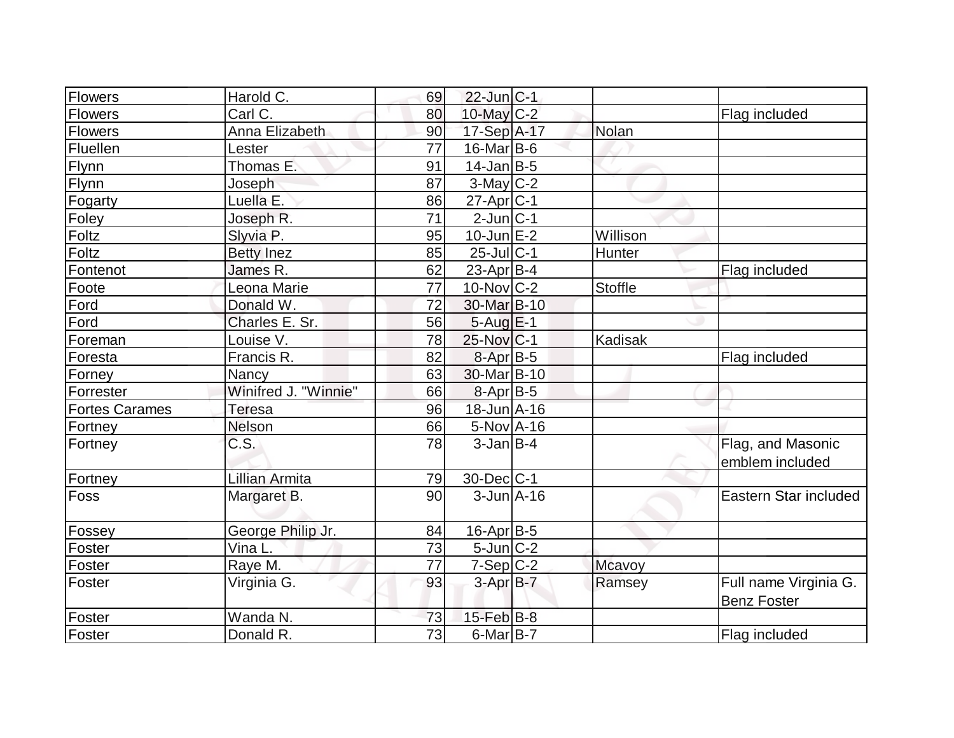| Flowers               | Harold C.            | 69              | $22$ -Jun $ C-1 $       |                |                       |
|-----------------------|----------------------|-----------------|-------------------------|----------------|-----------------------|
| Flowers               | Carl C               | 80              | 10-May $C-2$            |                | Flag included         |
| <b>Flowers</b>        | Anna Elizabeth       | 90              | 17-Sep A-17             | Nolan          |                       |
| Fluellen              | Lester               | 77              | $16$ -Mar $ B-6$        |                |                       |
| Flynn                 | Thomas E.            | 91              | $14$ -Jan B-5           |                |                       |
| Flynn                 | Joseph               | 87              | $3-May$ $C-2$           |                |                       |
| Fogarty               | Luella E.            | 86              | 27-Apr <sub>C-1</sub>   |                |                       |
| Foley                 | Joseph R.            | $\overline{71}$ | $2$ -Jun $C-1$          |                |                       |
| Foltz                 | Slyvia P.            | 95              | $10$ -Jun $E-2$         | Willison       |                       |
| Foltz                 | <b>Betty Inez</b>    | 85              | $25$ -Jul $ C-1$        | Hunter         |                       |
| Fontenot              | James R.             | 62              | 23-Apr $ B-4 $          |                | Flag included         |
| Foote                 | Leona Marie          | 77              | $10$ -Nov $ C-2 $       | <b>Stoffle</b> |                       |
| Ford                  | Donald W.            | 72              | 30-Mar B-10             |                |                       |
| Ford                  | Charles E. Sr.       | 56              | $5-Aug$ $E-1$           |                |                       |
| Foreman               | Louise V.            | 78              | $25$ -Nov $ C-1 $       | Kadisak        |                       |
| Foresta               | Francis R.           | 82              | 8-Apr B-5               |                | Flag included         |
| Forney                | Nancy                | 63              | 30-Mar <sub>B</sub> -10 |                |                       |
| Forrester             | Winifred J. "Winnie" | 66              | $8-Apr$ B-5             |                |                       |
| <b>Fortes Carames</b> | Teresa               | 96              | 18-Jun A-16             |                |                       |
| Fortney               | Nelson               | 66              | $5-Nov$ A-16            |                |                       |
| Fortney               | C.S.                 | 78              | $3$ -Jan B-4            |                | Flag, and Masonic     |
|                       |                      |                 |                         |                | emblem included       |
| Fortney               | Lillian Armita       | 79              | $30$ -Dec $ C-1 $       |                |                       |
| Foss                  | Margaret B.          | 90              | $3$ -Jun $A$ -16        |                | Eastern Star included |
|                       |                      |                 |                         |                |                       |
| Fossey                | George Philip Jr.    | 84              | 16-Apr B-5              |                |                       |
| Foster                | Vina L.              | 73              | $5$ -Jun $ C-2 $        |                |                       |
| Foster                | Raye M.              | 77              | $7-Sep C-2$             | Mcavoy         |                       |
| Foster                | Virginia G.          | 93              | $3-AprB-7$              | Ramsey         | Full name Virginia G. |
|                       |                      |                 |                         |                | <b>Benz Foster</b>    |
| Foster                | Wanda N.             | <u>73</u>       | $15$ -Feb $ B-8 $       |                |                       |
| Foster                | Donald R.            | $\overline{73}$ | $6$ -Mar $B$ -7         |                | Flag included         |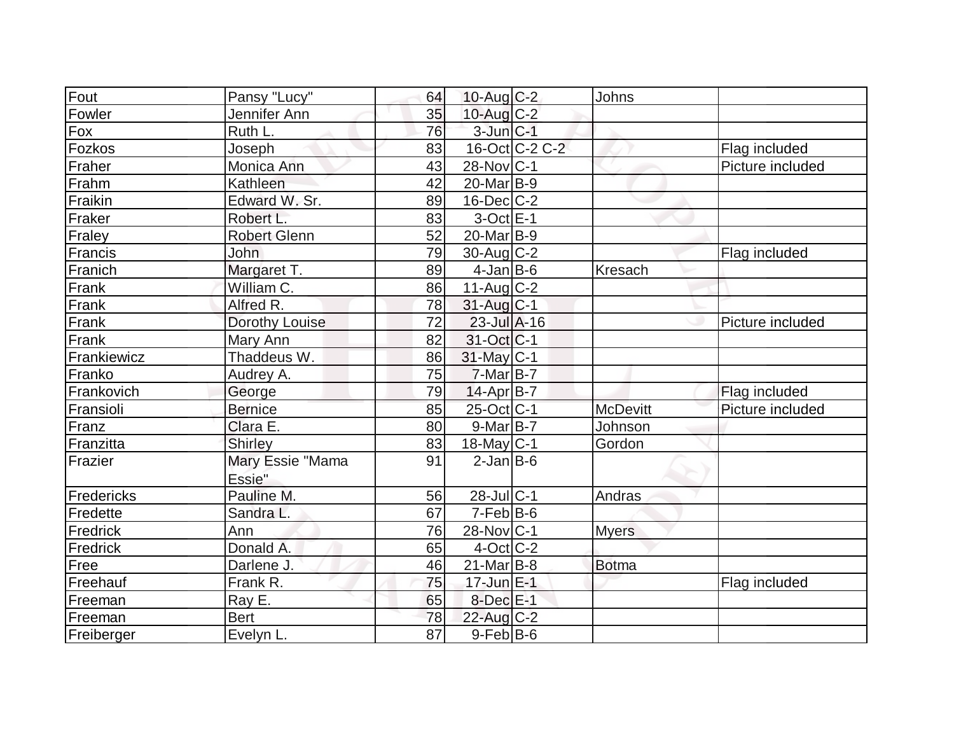| Fout        | Pansy "Lucy"               | 64              | $10$ -Aug C-2           |                | Johns           |                  |
|-------------|----------------------------|-----------------|-------------------------|----------------|-----------------|------------------|
| Fowler      | Jennifer Ann               | 35              | $10$ -Aug C-2           |                |                 |                  |
| $F_{OX}$    | Ruth L.                    | 76              | $3$ -Jun $C-1$          |                |                 |                  |
| Fozkos      | Joseph                     | 83              |                         | 16-Oct C-2 C-2 |                 | Flag included    |
| Fraher      | Monica Ann                 | 43              | $28$ -Nov $ C-1$        |                |                 | Picture included |
| Frahm       | Kathleen                   | 42              | $20$ -Mar $B-9$         |                |                 |                  |
| Fraikin     | Edward W. Sr.              | 89              | $16$ -Dec $C$ -2        |                |                 |                  |
| Fraker      | Robert L.                  | 83              | $3$ -Oct $E-1$          |                |                 |                  |
|             |                            | 52              | $20$ -Mar $B-9$         |                |                 |                  |
| Fraley      | <b>Robert Glenn</b>        | 79              |                         |                |                 |                  |
| Francis     | John                       |                 | $30$ -Aug C-2           |                |                 | Flag included    |
| Franich     | Margaret T.                | 89              | $4$ -Jan $B$ -6         |                | Kresach         |                  |
| Frank       | William C.                 | 86              | $11-Aug$ C-2            |                |                 |                  |
| Frank       | Alfred R.                  | 78              | $31$ -Aug $C-1$         |                |                 |                  |
| Frank       | Dorothy Louise             | 72              | $23$ -Jul $A-16$        |                |                 | Picture included |
| Frank       | Mary Ann                   | 82              | 31-Oct C-1              |                |                 |                  |
| Frankiewicz | Thaddeus W.                | 86              | 31-May C-1              |                |                 |                  |
| Franko      | Audrey A.                  | 75              | $7-Mar$ B-7             |                |                 |                  |
| Frankovich  | George                     | 79              | 14-Apr B-7              |                |                 | Flag included    |
| Fransioli   | <b>Bernice</b>             | 85              | 25-Oct C-1              |                | <b>McDevitt</b> | Picture included |
| Franz       | Clara E.                   | 80              | 9-Mar B-7               |                | Johnson         |                  |
| Franzitta   | <b>Shirley</b>             | 83              | $18$ -May C-1           |                | Gordon          |                  |
| Frazier     | Mary Essie "Mama<br>Essie" | 91              | $2$ -Jan B-6            |                |                 |                  |
| Fredericks  | Pauline M.                 | 56              | $28$ -Jul $C-1$         |                | Andras          |                  |
| Fredette    | Sandra L.                  | 67              | $7-Feb B-6$             |                |                 |                  |
| Fredrick    | Ann                        | 76              | 28-Nov C-1              |                | <b>Myers</b>    |                  |
| Fredrick    | Donald A.                  | 65              | $4-Oct$ <sub>C</sub> -2 |                |                 |                  |
| Free        | Darlene J.                 | 46              | $21$ -Mar $ B-8 $       |                | <b>Botma</b>    |                  |
| Freehauf    | Frank R.                   | 75              | $17$ -Jun $E-1$         |                |                 | Flag included    |
| Freeman     | Ray E.                     | 65              | $8$ -Dec $E-1$          |                |                 |                  |
| Freeman     | <b>Bert</b>                | 78              | $22$ -Aug C-2           |                |                 |                  |
| Freiberger  | Evelyn L.                  | $\overline{87}$ | $9$ -Feb $B$ -6         |                |                 |                  |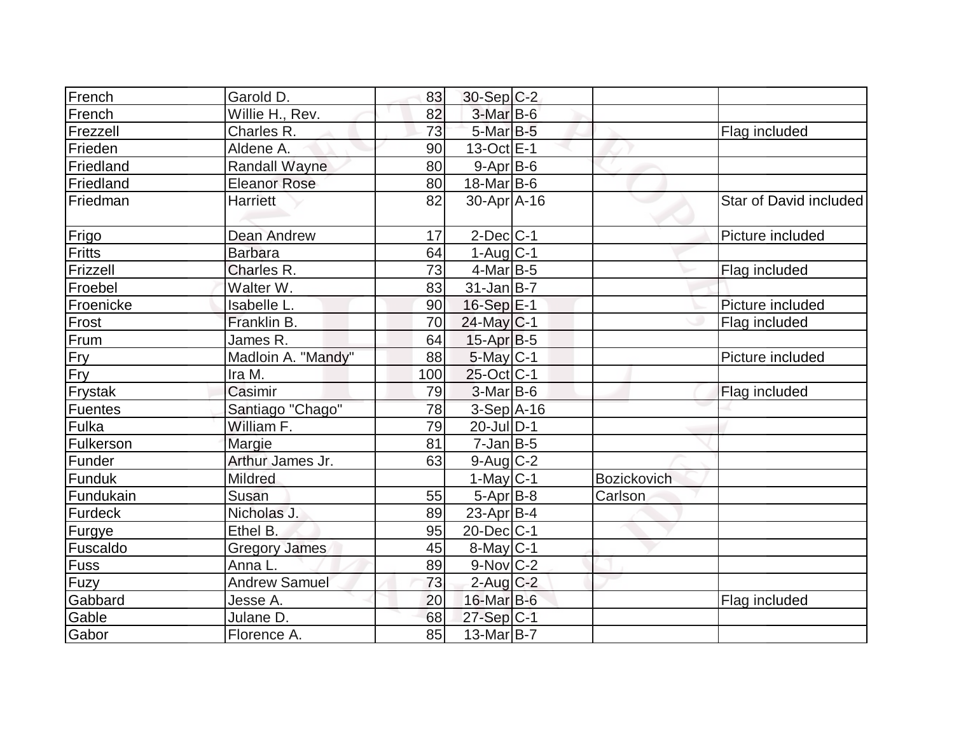| French    | Garold D.            | 83  | $30-Sep C-2$           |                    |                        |
|-----------|----------------------|-----|------------------------|--------------------|------------------------|
| French    | Willie H., Rev.      | 82  | $3-Mar$ B-6            |                    |                        |
| Frezzell  | Charles R.           | 73  | $5$ -Mar $B$ -5        |                    | Flag included          |
| Frieden   | Aldene A.            | 90  | $13-Oct$ E-1           |                    |                        |
| Friedland | <b>Randall Wayne</b> | 80  | $9-Apr$ B-6            |                    |                        |
| Friedland | <b>Eleanor Rose</b>  | 80  | $18$ -Mar B-6          |                    |                        |
| Friedman  | Harriett             | 82  | 30-Apr A-16            |                    | Star of David included |
| Frigo     | <b>Dean Andrew</b>   | 17  | $2$ -Dec $ C-1 $       |                    | Picture included       |
| Fritts    | <b>Barbara</b>       | 64  | $1-Aug$ <sub>C-1</sub> |                    |                        |
| Frizzell  | Charles R.           | 73  | $4$ -Mar B-5           |                    | Flag included          |
| Froebel   | Walter W.            | 83  | $31$ -Jan $ B-7 $      |                    |                        |
| Froenicke | Isabelle L.          | 90  | $16-Sep$ E-1           |                    | Picture included       |
| Frost     | Franklin B.          | 70  | $24$ -May C-1          |                    | Flag included          |
| Frum      | James R.             | 64  | $15$ -Apr $ B-5 $      |                    |                        |
| Fry       | Madloin A. "Mandy"   | 88  | $5$ -May $C-1$         |                    | Picture included       |
| Fry       | Ira M.               | 100 | 25-Oct C-1             |                    |                        |
| Frystak   | Casimir              | 79  | $3-Mar$ B-6            |                    | Flag included          |
| Fuentes   | Santiago "Chago"     | 78  | 3-Sep A-16             |                    |                        |
| Fulka     | William F.           | 79  | $20$ -JulD-1           |                    |                        |
| Fulkerson | Margie               | 81  | $7$ -Jan $B-5$         |                    |                        |
| Funder    | Arthur James Jr.     | 63  | $9$ -Aug $C$ -2        |                    |                        |
| Funduk    | <b>Mildred</b>       |     | $1-May$ <sub>C-1</sub> | <b>Bozickovich</b> |                        |
| Fundukain | Susan                | 55  | $5-Apr$ B-8            | Carlson            |                        |
| Furdeck   | Nicholas J.          | 89  | 23-Apr $ B-4 $         |                    |                        |
| Furgye    | Ethel B.             | 95  | $20$ -Dec $C$ -1       |                    |                        |
| Fuscaldo  | <b>Gregory James</b> | 45  | $8$ -May $C$ -1        |                    |                        |
| Fuss      | Anna L.              | 89  | $9-Nov$ <sub>C-2</sub> |                    |                        |
| Fuzy      | <b>Andrew Samuel</b> | 73  | $2$ -Aug $C-2$         |                    |                        |
| Gabbard   | Jesse A.             | 20  | 16-Mar B-6             |                    | Flag included          |
| Gable     | Julane D.            | 68  | 27-Sep C-1             |                    |                        |
| Gabor     | Florence A.          | 85  | $13-Mar$ B-7           |                    |                        |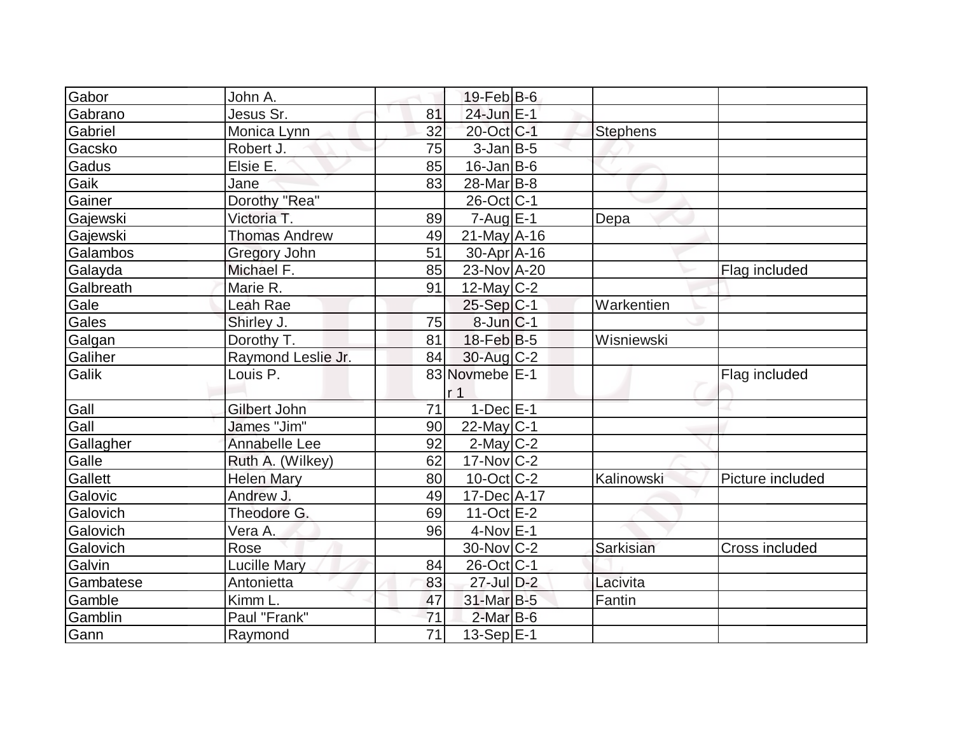| Gabor     | John A.              |    | $19$ -Feb $ B$ -6 |                 |                  |
|-----------|----------------------|----|-------------------|-----------------|------------------|
| Gabrano   | Jesus Sr.            | 81 | $24$ -Jun $E-1$   |                 |                  |
| Gabriel   | Monica Lynn          | 32 | 20-Oct C-1        | <b>Stephens</b> |                  |
| Gacsko    | Robert J.            | 75 | $3$ -Jan B-5      |                 |                  |
| Gadus     | Elsie E.             | 85 | $16$ -Jan $ B-6 $ |                 |                  |
| Gaik      | Jane                 | 83 | 28-Mar B-8        |                 |                  |
| Gainer    | Dorothy "Rea"        |    | $26$ -Oct $ C-1 $ |                 |                  |
| Gajewski  | Victoria T.          | 89 | $7 - Aug$ $E-1$   | <b>Depa</b>     |                  |
| Gajewski  | <b>Thomas Andrew</b> | 49 | $21$ -May A-16    |                 |                  |
| Galambos  | Gregory John         | 51 | $30-Apr$ A-16     |                 |                  |
| Galayda   | Michael F.           | 85 | $23$ -Nov $A-20$  |                 | Flag included    |
| Galbreath | Marie R.             | 91 | $12$ -May C-2     |                 |                  |
| Gale      | Leah Rae             |    | $25-Sep C-1$      | Warkentien      |                  |
| Gales     | Shirley J.           | 75 | $8$ -Jun $ C-1$   |                 |                  |
| Galgan    | Dorothy T.           | 81 | $18$ -Feb $ B-5 $ | Wisniewski      |                  |
| Galiher   | Raymond Leslie Jr.   | 84 | 30-Aug C-2        |                 |                  |
| Galik     | Louis P.             |    | 83 Novmebe E-1    |                 | Flag included    |
|           |                      |    | r <sub>1</sub>    |                 |                  |
| Gall      | Gilbert John         | 71 | $1$ -Dec $E$ -1   |                 |                  |
| Gall      | James "Jim"          | 90 | $22$ -May C-1     |                 |                  |
| Gallagher | Annabelle Lee        | 92 | $2$ -May C-2      |                 |                  |
| Galle     | Ruth A. (Wilkey)     | 62 | $17$ -Nov $ C-2 $ |                 |                  |
| Gallett   | <b>Helen Mary</b>    | 80 | $10$ -Oct $C$ -2  | Kalinowski      | Picture included |
| Galovic   | Andrew J.            | 49 | $17 - Dec A - 17$ |                 |                  |
| Galovich  | Theodore G.          | 69 | $11-Oct$ E-2      |                 |                  |
| Galovich  | Vera A.              | 96 | $4$ -Nov $E-1$    |                 |                  |
| Galovich  | Rose                 |    | $30$ -Nov $C-2$   | Sarkisian       | Cross included   |
| Galvin    | <b>Lucille Mary</b>  | 84 | 26-Oct C-1        |                 |                  |
| Gambatese | Antonietta           | 83 | 27-Jul D-2        | Lacivita        |                  |
| Gamble    | Kimm L.              | 47 | 31-Mar B-5        | Fantin          |                  |
| Gamblin   | Paul "Frank"         | 71 | $2$ -Mar B-6      |                 |                  |
| Gann      | Raymond              | 71 | $13-Sep E-1$      |                 |                  |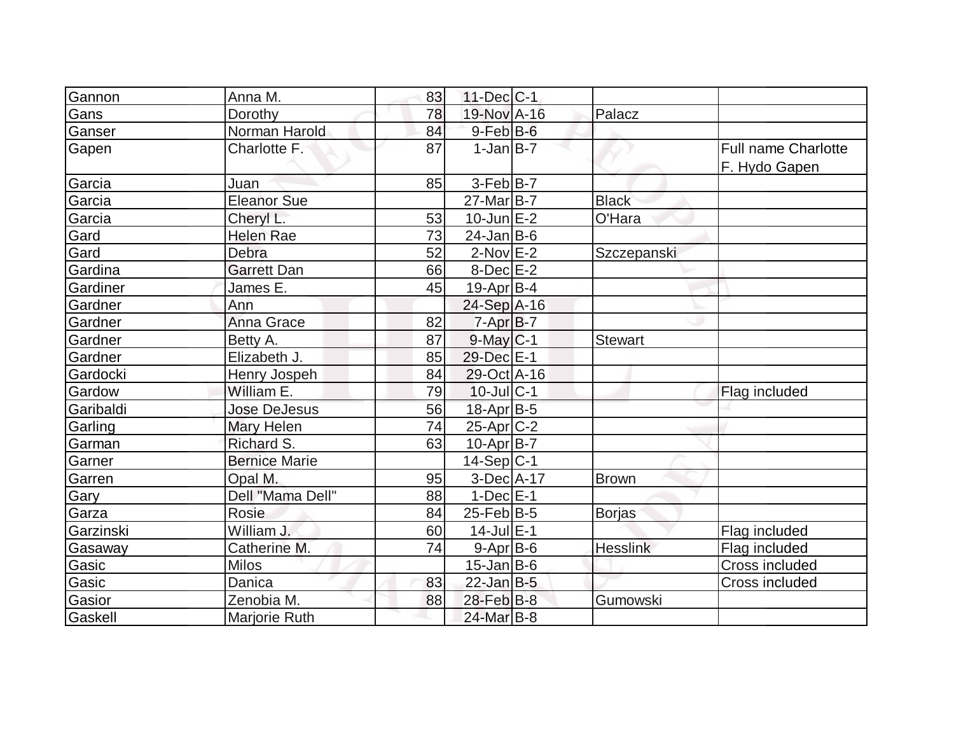| Gannon    | Anna M.              | 83 | $11$ -Dec $ C-1 $ |                 |                                             |
|-----------|----------------------|----|-------------------|-----------------|---------------------------------------------|
| Gans      | Dorothy              | 78 | 19-Nov A-16       | Palacz          |                                             |
| Ganser    | Norman Harold        | 84 | $9$ -Feb $B$ -6   |                 |                                             |
| Gapen     | Charlotte F.         | 87 | $1-Jan$ B-7       |                 | <b>Full name Charlotte</b><br>F. Hydo Gapen |
| Garcia    | Juan                 | 85 | $3-Feb B-7$       |                 |                                             |
| Garcia    | <b>Eleanor Sue</b>   |    | $27$ -Mar $B$ -7  | <b>Black</b>    |                                             |
| Garcia    | Cheryl L.            | 53 | $10$ -Jun $E-2$   | O'Hara          |                                             |
| Gard      | <b>Helen Rae</b>     | 73 | $24$ -Jan $B$ -6  |                 |                                             |
| Gard      | Debra                | 52 | $2-Nov$ E-2       | Szczepanski     |                                             |
| Gardina   | <b>Garrett Dan</b>   | 66 | $8-Dec$ $E-2$     |                 |                                             |
| Gardiner  | James E.             | 45 | $19$ -Apr $ B-4 $ |                 |                                             |
| Gardner   | Ann                  |    | 24-Sep A-16       |                 |                                             |
| Gardner   | Anna Grace           | 82 | $7 - Apr$ $B - 7$ |                 |                                             |
| Gardner   | Betty A.             | 87 | $9$ -May $ C-1$   | <b>Stewart</b>  |                                             |
| Gardner   | Elizabeth J.         | 85 | 29-Dec E-1        |                 |                                             |
| Gardocki  | Henry Jospeh         | 84 | 29-Oct A-16       |                 |                                             |
| Gardow    | William E.           | 79 | $10$ -Jul $ C-1$  |                 | Flag included                               |
| Garibaldi | <b>Jose DeJesus</b>  | 56 | 18-Apr B-5        |                 |                                             |
| Garling   | Mary Helen           | 74 | $25$ -Apr $C-2$   |                 |                                             |
| Garman    | Richard S.           | 63 | $10$ -Apr $ B-7 $ |                 |                                             |
| Garner    | <b>Bernice Marie</b> |    | $14-Sep C-1$      |                 |                                             |
| Garren    | Opal M.              | 95 | 3-Dec A-17        | <b>Brown</b>    |                                             |
| Gary      | Dell "Mama Dell"     | 88 | $1-Dec$ $E-1$     |                 |                                             |
| Garza     | Rosie                | 84 | $25$ -Feb $ B-5 $ | Borjas          |                                             |
| Garzinski | William J.           | 60 | $14$ -Jul $E-1$   |                 | Flag included                               |
| Gasaway   | Catherine M.         | 74 | $9 - Apr$ B-6     | <b>Hesslink</b> | Flag included                               |
| Gasic     | <b>Milos</b>         |    | $15$ -Jan $ B-6 $ |                 | Cross included                              |
| Gasic     | Danica               | 83 | $22$ -Jan B-5     |                 | Cross included                              |
| Gasior    | Zenobia M.           | 88 | $28$ -Feb $B$ -8  | Gumowski        |                                             |
| Gaskell   | Marjorie Ruth        |    | 24-Mar B-8        |                 |                                             |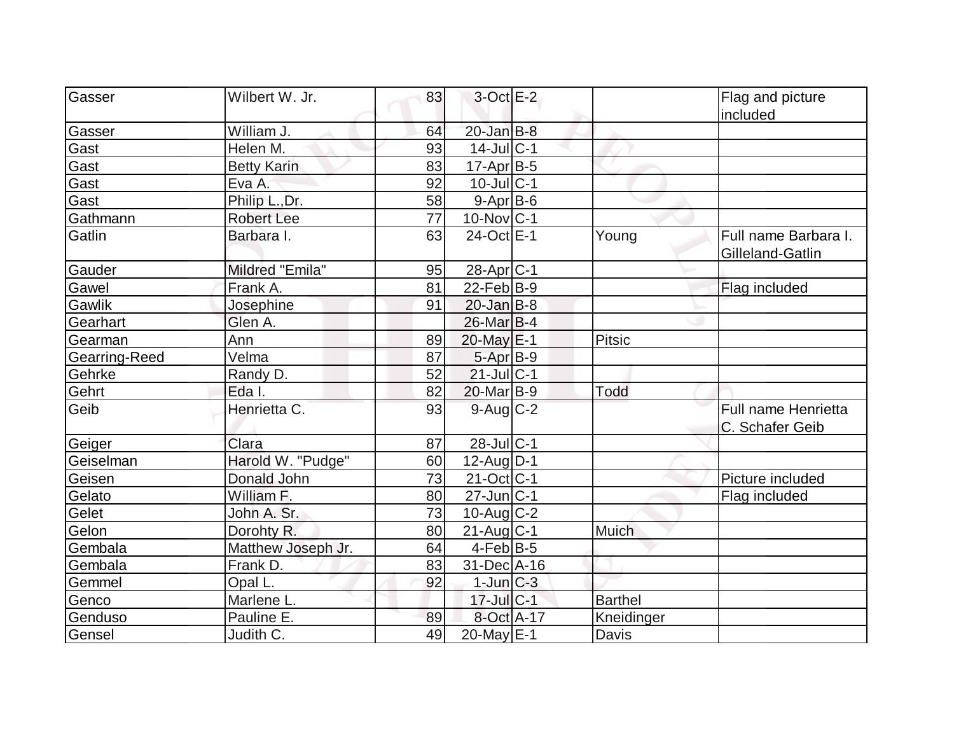| Gasser        | Wilbert W. Jr.     | 83              | $3$ -Oct $E-2$        |                | Flag and picture                              |
|---------------|--------------------|-----------------|-----------------------|----------------|-----------------------------------------------|
|               |                    |                 |                       |                | included                                      |
| Gasser        | William J.         | 64              | $20$ -Jan $B-8$       |                |                                               |
| Gast          | Helen M.           | 93              | $14$ -Jul $ C-1$      |                |                                               |
| Gast          | <b>Betty Karin</b> | 83              | $17$ -Apr $B$ -5      |                |                                               |
| Gast          | Eva A.             | 92              | $10$ -Jul C-1         |                |                                               |
| Gast          | Philip L., Dr.     | 58              | $9 - Apr$ $B - 6$     |                |                                               |
| Gathmann      | <b>Robert Lee</b>  | $\overline{77}$ | $10$ -Nov $ C-1 $     |                |                                               |
| Gatlin        | Barbara I.         | 63              | 24-Oct E-1            | Young          | Full name Barbara I.<br>Gilleland-Gatlin      |
| Gauder        | Mildred "Emila"    | 95              | 28-Apr <sub>C-1</sub> |                |                                               |
| Gawel         | Frank A.           | 81              | $22$ -Feb $ B-9 $     |                | Flag included                                 |
| Gawlik        | Josephine          | 91              | $20$ -Jan $B-8$       |                |                                               |
| Gearhart      | Glen A.            |                 | $26$ -Mar $ B-4$      |                |                                               |
| Gearman       | Ann                | 89              | 20-May E-1            | <b>Pitsic</b>  |                                               |
| Gearring-Reed | Velma              | 87              | $5-AprB-9$            |                |                                               |
| Gehrke        | Randy D.           | 52              | $21$ -Jul $C-1$       |                |                                               |
| Gehrt         | Eda I.             | 82              | 20-Mar <sub>B-9</sub> | Todd           |                                               |
| Geib          | Henrietta C.       | 93              | $9$ -Aug $C-2$        |                | <b>Full name Henrietta</b><br>C. Schafer Geib |
| Geiger        | Clara              | 87              | 28-Jul C-1            |                |                                               |
| Geiselman     | Harold W. "Pudge"  | 60              | $12$ -AugD-1          |                |                                               |
| Geisen        | Donald John        | 73              | $21-Oct$ C-1          |                | Picture included                              |
| Gelato        | William F.         | 80              | $27$ -Jun $ C-1$      |                | Flag included                                 |
| Gelet         | John A. Sr.        | 73              | $10$ -Aug C-2         |                |                                               |
| Gelon         | Dorohty R.         | 80              | $21$ -Aug $C-1$       | Muich          |                                               |
| Gembala       | Matthew Joseph Jr. | 64              | $4$ -Feb $ B-5 $      |                |                                               |
| Gembala       | Frank D.           | 83              | 31-Dec A-16           |                |                                               |
| Gemmel        | Opal L.            | 92              | $1$ -Jun $C-3$        |                |                                               |
| Genco         | Marlene L.         |                 | 17-Jul C-1            | <b>Barthel</b> |                                               |
| Genduso       | Pauline E.         | 89              | 8-Oct A-17            | Kneidinger     |                                               |
| Gensel        | Judith C.          | 49              | $20$ -May $E-1$       | Davis          |                                               |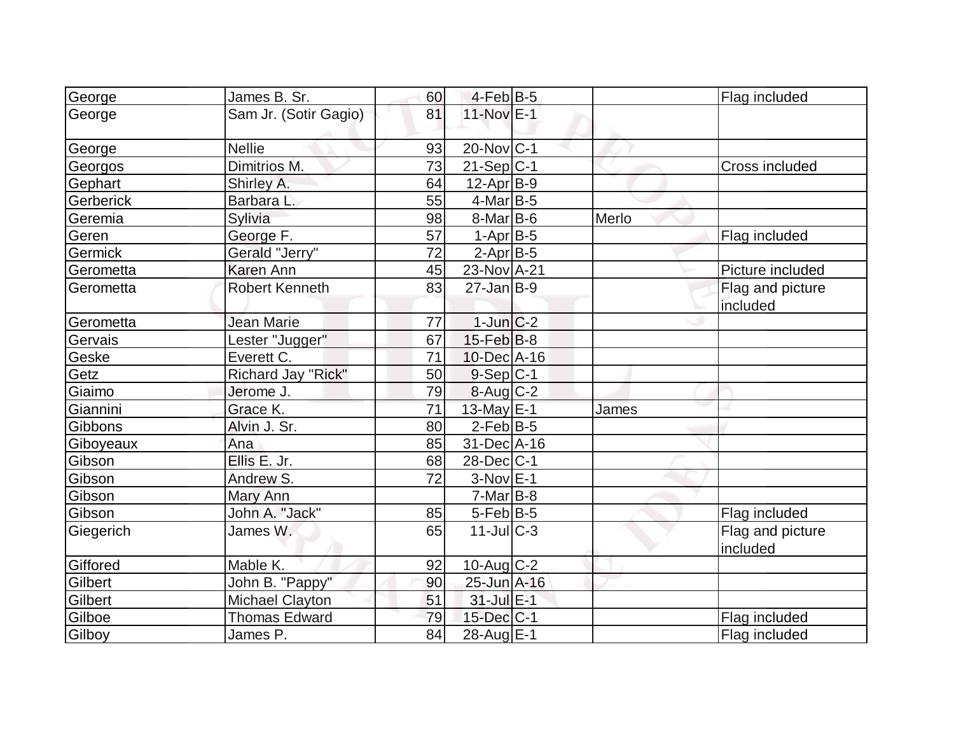| George    | James B. Sr.           | 60 | $4$ -Feb $B$ -5        |       | Flag included    |
|-----------|------------------------|----|------------------------|-------|------------------|
| George    | Sam Jr. (Sotir Gagio)  | 81 | 11-Nov E-1             |       |                  |
| George    | <b>Nellie</b>          | 93 | $20$ -Nov $ C-1$       |       |                  |
| Georgos   | Dimitrios M.           | 73 | $21-Sep C-1$           |       | Cross included   |
| Gephart   | Shirley A.             | 64 | $12-Apr$ B-9           |       |                  |
| Gerberick | Barbara L.             | 55 | $4$ -Mar $ B-5 $       |       |                  |
| Geremia   | Sylivia                | 98 | $8-Mar$ B-6            | Merlo |                  |
| Geren     | George F.              | 57 | $1-AprB-5$             |       | Flag included    |
| Germick   | Gerald "Jerry"         | 72 | $2$ -Apr $B$ -5        |       |                  |
| Gerometta | <b>Karen Ann</b>       | 45 | 23-Nov A-21            |       | Picture included |
| Gerometta | <b>Robert Kenneth</b>  | 83 | $27$ -Jan $ B-9 $      |       | Flag and picture |
|           |                        |    |                        |       | included         |
| Gerometta | Jean Marie             | 77 | $1$ -Jun $ C-2 $       |       |                  |
| Gervais   | Lester "Jugger"        | 67 | $15$ -Feb $ B-8 $      |       |                  |
| Geske     | Everett C.             | 71 | $10$ -Dec $ A-16$      |       |                  |
| Getz      | Richard Jay "Rick"     | 50 | $9-Sep C-1$            |       |                  |
| Giaimo    | Jerome J.              | 79 | $8-Aug$ <sub>C-2</sub> |       |                  |
| Giannini  | Grace K.               | 71 | 13-May E-1             | James |                  |
| Gibbons   | Alvin J. Sr.           | 80 | $2$ -Feb $B$ -5        |       |                  |
| Giboyeaux | Ana                    | 85 | 31-Dec A-16            |       |                  |
| Gibson    | Ellis E. Jr.           | 68 | $28$ -Dec $ C-1 $      |       |                  |
| Gibson    | Andrew S.              | 72 | $3-Nov$ E-1            |       |                  |
| Gibson    | Mary Ann               |    | $7-Mar$ B-8            |       |                  |
| Gibson    | John A. "Jack"         | 85 | $5$ -Feb $ B-5 $       |       | Flag included    |
| Giegerich | James W.               | 65 | $11$ -JulC-3           |       | Flag and picture |
|           |                        |    |                        |       | included         |
| Giffored  | Mable K.               | 92 | $10$ -Aug C-2          |       |                  |
| Gilbert   | John B. "Pappy"        | 90 | 25-Jun A-16            |       |                  |
| Gilbert   | <b>Michael Clayton</b> | 51 | $31$ -Jul $E-1$        |       |                  |
| Gilboe    | <b>Thomas Edward</b>   | 79 | $15$ -Dec $ C-1$       |       | Flag included    |
| Gilboy    | James P.               | 84 | $28$ -Aug $E-1$        |       | Flag included    |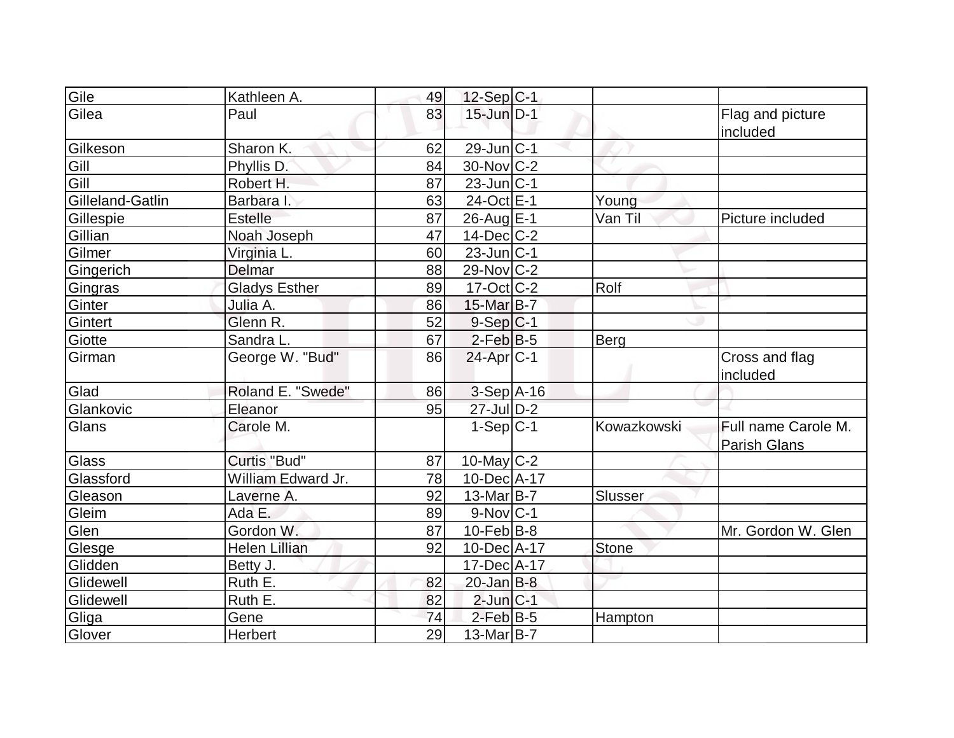| Gile             | Kathleen A.          | 49 | $12-Sep C-1$                      |              |                                            |
|------------------|----------------------|----|-----------------------------------|--------------|--------------------------------------------|
| Gilea            | Paul                 | 83 | $15$ -Jun $\overline{\text{D-1}}$ |              | Flag and picture<br>included               |
| Gilkeson         | Sharon K.            | 62 | $29$ -Jun $ C-1$                  |              |                                            |
| Gill             | Phyllis D.           | 84 | $30$ -Nov $ C-2 $                 |              |                                            |
| Gill             | Robert H.            | 87 | $23$ -Jun $ C-1 $                 |              |                                            |
| Gilleland-Gatlin | Barbara I.           | 63 | 24-Oct E-1                        | Young        |                                            |
| Gillespie        | <b>Estelle</b>       | 87 | 26-Aug E-1                        | Van Til      | Picture included                           |
| Gillian          | Noah Joseph          | 47 | $14$ -Dec $ C-2 $                 |              |                                            |
| Gilmer           | Virginia L.          | 60 | $23$ -Jun $ C-1$                  |              |                                            |
| Gingerich        | Delmar               | 88 | $29$ -Nov $ C-2 $                 |              |                                            |
| Gingras          | <b>Gladys Esther</b> | 89 | $17-Cct$ $C-2$                    | Rolf         |                                            |
| Ginter           | Julia A.             | 86 | 15-Mar B-7                        |              |                                            |
| Gintert          | Glenn R.             | 52 | $9-Sep C-1$                       |              |                                            |
| Giotte           | Sandra L.            | 67 | $2$ -Feb $ B-5 $                  | Berg         |                                            |
| Girman           | George W. "Bud"      | 86 | $24$ -Apr $ C-1 $                 |              | Cross and flag<br>included                 |
| Glad             | Roland E. "Swede"    | 86 | $3-Sep$ A-16                      |              |                                            |
| Glankovic        | Eleanor              | 95 | 27-Jul D-2                        |              |                                            |
| Glans            | Carole M.            |    | $1-Sep$ C-1                       | Kowazkowski  | Full name Carole M.<br><b>Parish Glans</b> |
| Glass            | Curtis "Bud"         | 87 | 10-May C-2                        |              |                                            |
| Glassford        | William Edward Jr.   | 78 | 10-Dec A-17                       |              |                                            |
| Gleason          | Laverne A.           | 92 | $13$ -Mar $ B-7 $                 | Slusser      |                                            |
| Gleim            | Ada E.               | 89 | $9-Nov C-1$                       |              |                                            |
| Glen             | Gordon W.            | 87 | $10$ -Feb $ B-8 $                 |              | Mr. Gordon W. Glen                         |
| Glesge           | Helen Lillian        | 92 | 10-Dec A-17                       | <b>Stone</b> |                                            |
| Glidden          | Betty J.             |    | 17-Dec A-17                       |              |                                            |
| Glidewell        | Ruth E.              | 82 | $20$ -Jan B-8                     |              |                                            |
| Glidewell        | Ruth E.              | 82 | $2$ -Jun $C-1$                    |              |                                            |
| Gliga            | Gene                 | 74 | $2$ -Feb $B$ -5                   | Hampton      |                                            |
| Glover           | Herbert              | 29 | $13$ -Mar $ B-7 $                 |              |                                            |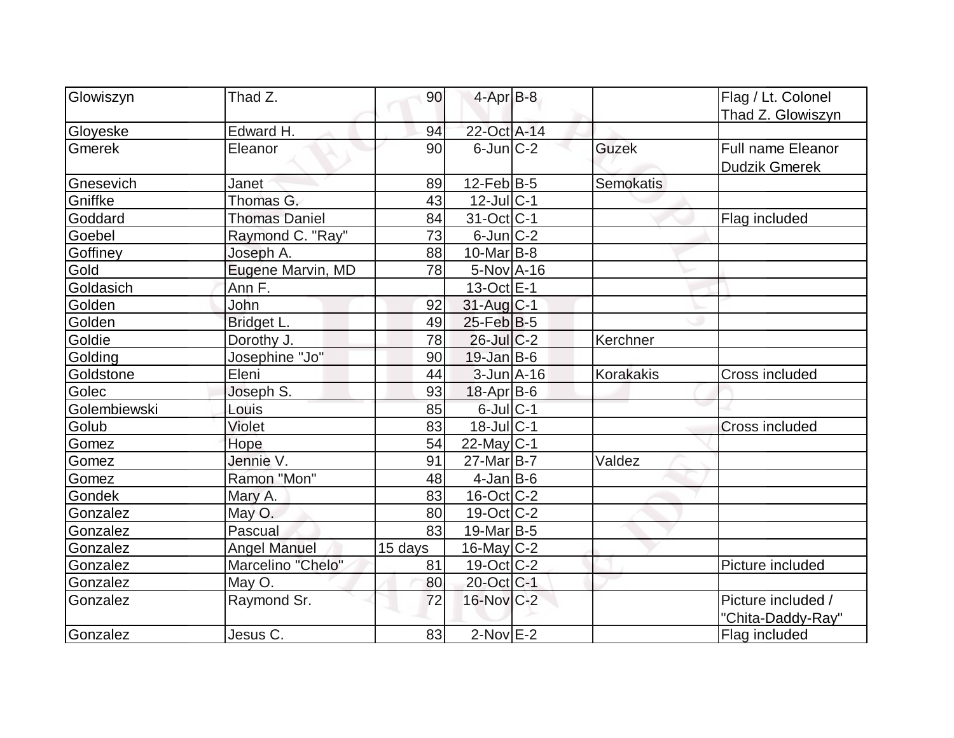| Glowiszyn<br>$4$ -Apr $B$ -8<br>Thad Z.<br>90<br>Flag / Lt. Colonel               |  |
|-----------------------------------------------------------------------------------|--|
|                                                                                   |  |
| Thad Z. Glowiszyn                                                                 |  |
| 22-Oct A-14<br>Gloyeske<br>Edward H.<br>94                                        |  |
| $6$ -Jun $ C-2 $<br>Gmerek<br>Eleanor<br>90<br><b>Guzek</b><br>Full name Eleanor  |  |
| <b>Dudzik Gmerek</b>                                                              |  |
| $12$ -Feb $ B-5 $<br><b>Semokatis</b><br>Gnesevich<br>89<br>Janet                 |  |
| Thomas G.<br>43<br>$12$ -Jul $ C-1$<br>Gniffke                                    |  |
| $31-Oct$ <sub>C-1</sub><br>Goddard<br><b>Thomas Daniel</b><br>84<br>Flag included |  |
| $6$ -Jun $C-2$<br>73<br>Goebel<br>Raymond C. "Ray"                                |  |
| $10$ -Mar $ B-8 $<br>Goffiney<br>Joseph A.<br>88                                  |  |
| Eugene Marvin, MD<br>$5-Nov$ A-16<br>Gold<br>78                                   |  |
| Goldasich<br>$13-Oct \tE-1$<br>Ann F.                                             |  |
| 31-Aug C-1<br>Golden<br>John<br>92                                                |  |
| $25$ -Feb $ B-5$<br>Golden<br>Bridget L.<br>49                                    |  |
| Goldie<br>Dorothy J.<br>78<br>$26$ -Jul $C-2$<br>Kerchner                         |  |
| $19$ -Jan B-6<br>Golding<br>Josephine "Jo"<br>90                                  |  |
| Eleni<br>44<br>$3$ -Jun $A$ -16<br>Korakakis<br>Goldstone<br>Cross included       |  |
| Joseph S.<br>Golec<br>93<br>$18$ -Apr $ B$ -6                                     |  |
| $6$ -Jul $C-1$<br>Golembiewski<br>85<br>Louis                                     |  |
| $18$ -Jul $C-1$<br>Violet<br>Golub<br>83<br><b>Cross included</b>                 |  |
| Hope<br>54<br>$22$ -May C-1<br>Gomez                                              |  |
| Jennie V.<br>$27$ -Mar $B$ -7<br>Valdez<br>91<br>Gomez                            |  |
| Ramon "Mon"<br>$4$ -Jan $B$ -6<br>48<br>Gomez                                     |  |
| 83<br>$16$ -Oct $ C-2 $<br>Gondek<br>Mary A.                                      |  |
| $19-Oct$ $C-2$<br>Gonzalez<br>May O.<br>80                                        |  |
| $19$ -Mar B-5<br>Pascual<br>83<br>Gonzalez                                        |  |
| $16$ -May $ C-2 $<br><b>Angel Manuel</b><br>Gonzalez<br>15 days                   |  |
| Marcelino "Chelo"<br>19-Oct C-2<br>81<br>Picture included<br>Gonzalez             |  |
| May O.<br>20-Oct C-1<br>80<br>Gonzalez                                            |  |
| $16$ -Nov $C-2$<br>Raymond Sr.<br>72<br>Picture included /<br>Gonzalez            |  |
| "Chita-Daddy-Ray"                                                                 |  |
| $2$ -Nov $E-2$<br>Gonzalez<br>83<br>Jesus C.<br>Flag included                     |  |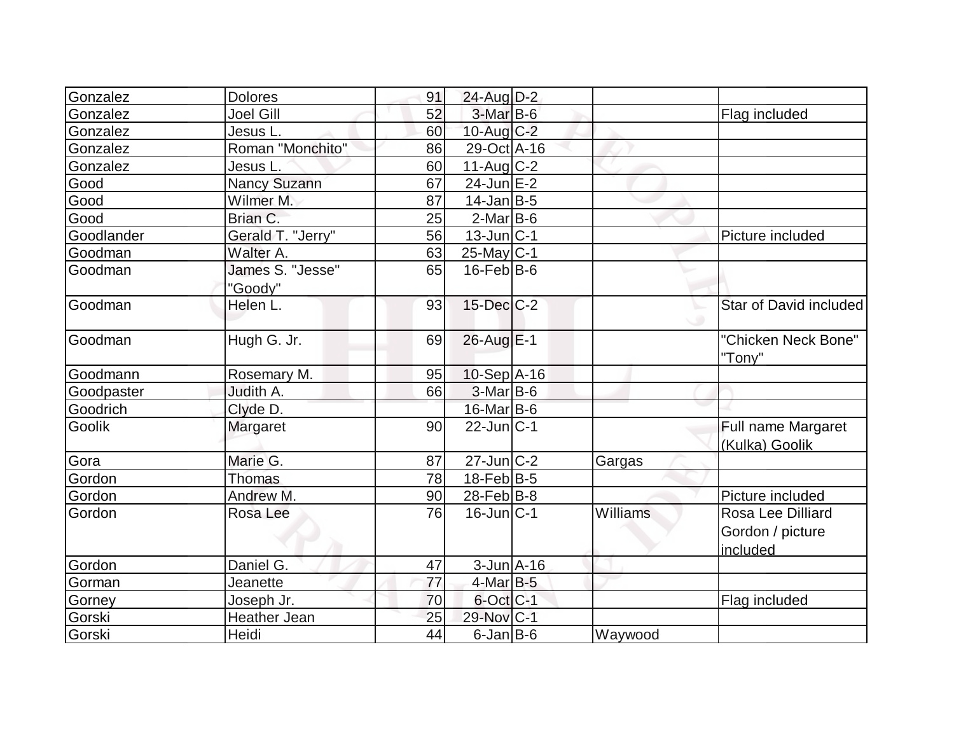| Gonzalez   | <b>Dolores</b>      | 91 | 24-Aug D-2        |                 |                        |
|------------|---------------------|----|-------------------|-----------------|------------------------|
| Gonzalez   | <b>Joel Gill</b>    | 52 | $3-Mar$ B-6       |                 | Flag included          |
| Gonzalez   | Jesus L.            | 60 | 10-Aug C-2        |                 |                        |
| Gonzalez   | Roman "Monchito"    | 86 | 29-Oct A-16       |                 |                        |
| Gonzalez   | Jesus L             | 60 | $11$ -Aug $C-2$   |                 |                        |
| Good       | <b>Nancy Suzann</b> | 67 | $24$ -Jun $E-2$   |                 |                        |
| Good       | Wilmer M.           | 87 | $14$ -Jan $ B-5 $ |                 |                        |
| Good       | Brian C.            | 25 | $2$ -Mar $B$ -6   |                 |                        |
| Goodlander | Gerald T. "Jerry"   | 56 | $13$ -Jun $ C-1$  |                 | Picture included       |
| Goodman    | Walter A.           | 63 | $25$ -May C-1     |                 |                        |
| Goodman    | James S. "Jesse"    | 65 | $16$ -Feb $ B$ -6 |                 |                        |
|            | "Goody"             |    |                   |                 |                        |
| Goodman    | Helen L.            | 93 | $15$ -Dec $C$ -2  |                 | Star of David included |
|            |                     |    |                   |                 |                        |
| Goodman    | Hugh G. Jr.         | 69 | $26$ -Aug $E-1$   |                 | "Chicken Neck Bone"    |
|            |                     |    |                   |                 | "Tony"                 |
| Goodmann   | Rosemary M.         | 95 | $10-Sep$ A-16     |                 |                        |
| Goodpaster | Judith A.           | 66 | $3-Mar$ B-6       |                 |                        |
| Goodrich   | Clyde D.            |    | 16-Mar B-6        |                 |                        |
| Goolik     | Margaret            | 90 | $22$ -Jun $ C-1 $ |                 | Full name Margaret     |
|            |                     |    |                   |                 | (Kulka) Goolik         |
| Gora       | Marie G.            | 87 | $27$ -Jun $ C-2 $ | Gargas          |                        |
| Gordon     | <b>Thomas</b>       | 78 | $18$ -Feb $ B-5 $ |                 |                        |
| Gordon     | Andrew M.           | 90 | $28$ -Feb $ B-8$  |                 | Picture included       |
| Gordon     | Rosa Lee            | 76 | $16$ -Jun $ C-1$  | <b>Williams</b> | Rosa Lee Dilliard      |
|            |                     |    |                   |                 | Gordon / picture       |
|            |                     |    |                   |                 | included               |
| Gordon     | Daniel G.           | 47 | $3$ -Jun $A$ -16  |                 |                        |
| Gorman     | Jeanette            | 77 | $4$ -Mar $B-5$    |                 |                        |
| Gorney     | Joseph Jr.          | 70 | $6$ -Oct $ C-1 $  |                 | Flag included          |
| Gorski     | <b>Heather Jean</b> | 25 | 29-Nov C-1        |                 |                        |
| Gorski     | Heidi               | 44 | $6$ -Jan B-6      | Waywood         |                        |
|            |                     |    |                   |                 |                        |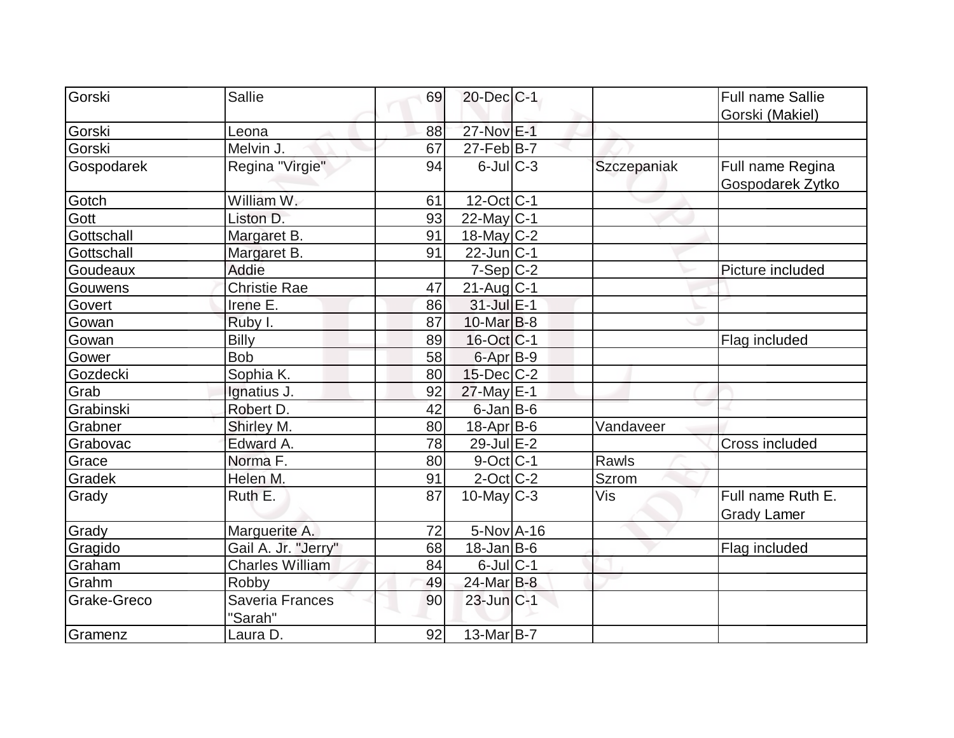| Gorski      | <b>Sallie</b>              | 69 | 20-Dec C-1           |              | <b>Full name Sallie</b>              |
|-------------|----------------------------|----|----------------------|--------------|--------------------------------------|
|             |                            |    |                      |              | Gorski (Makiel)                      |
| Gorski      | Leona                      | 88 | 27-Nov E-1           |              |                                      |
| Gorski      | Melvin J.                  | 67 | $27$ -Feb $ B-7 $    |              |                                      |
| Gospodarek  | Regina "Virgie"            | 94 | $6$ -Jul $C$ -3      | Szczepaniak  | Full name Regina<br>Gospodarek Zytko |
| Gotch       | William W.                 | 61 | 12-Oct C-1           |              |                                      |
| Gott        | Liston D.                  | 93 | $22$ -May C-1        |              |                                      |
| Gottschall  | Margaret B.                | 91 | 18-May $C-2$         |              |                                      |
| Gottschall  | Margaret B.                | 91 | $22$ -Jun $ C-1$     |              |                                      |
| Goudeaux    | Addie                      |    | $7-Sep C-2$          |              | Picture included                     |
| Gouwens     | Christie Rae               | 47 | $21$ -Aug $C-1$      |              |                                      |
| Govert      | Irene E.                   | 86 | $31$ -Jul $E-1$      |              |                                      |
| Gowan       | Ruby I.                    | 87 | $10$ -Mar $ B-8$     |              |                                      |
| Gowan       | <b>Billy</b>               | 89 | $16$ -Oct $ C-1 $    |              | Flag included                        |
| Gower       | <b>Bob</b>                 | 58 | 6-Apr <sub>B-9</sub> |              |                                      |
| Gozdecki    | Sophia K.                  | 80 | $15$ -Dec $C$ -2     |              |                                      |
| Grab        | Ignatius J.                | 92 | $27$ -May $E-1$      |              |                                      |
| Grabinski   | Robert D.                  | 42 | $6$ -Jan $B$ -6      |              |                                      |
| Grabner     | Shirley M.                 | 80 | $18-Apr$ B-6         | Vandaveer    |                                      |
| Grabovac    | Edward A.                  | 78 | $29$ -Jul $E-2$      |              | <b>Cross included</b>                |
| Grace       | Norma <sub>F.</sub>        | 80 | $9$ -Oct C-1         | Rawls        |                                      |
| Gradek      | Helen M.                   | 91 | $2$ -Oct C-2         | <b>Szrom</b> |                                      |
| Grady       | Ruth E.                    | 87 | $10$ -May $C-3$      | Vis          | Full name Ruth E.                    |
|             |                            |    |                      |              | <b>Grady Lamer</b>                   |
| Grady       | Marguerite A.              | 72 | $5-Nov$ A-16         |              |                                      |
| Gragido     | Gail A. Jr. "Jerry"        | 68 | $18 - Jan$ B-6       |              | Flag included                        |
| Graham      | <b>Charles William</b>     | 84 | $6$ -Jul $C-1$       |              |                                      |
| Grahm       | <b>Robby</b>               | 49 | 24-Mar B-8           |              |                                      |
| Grake-Greco | Saveria Frances<br>"Sarah" | 90 | $23$ -Jun $ C-1 $    |              |                                      |
| Gramenz     | Laura D.                   | 92 | $13-Mar$ B-7         |              |                                      |
|             |                            |    |                      |              |                                      |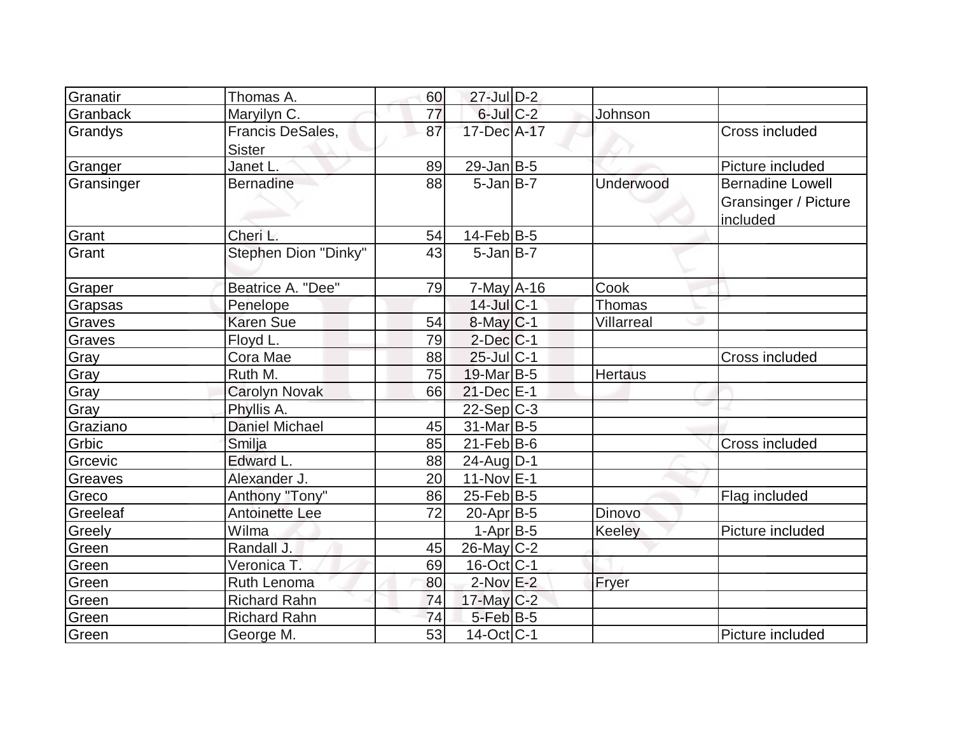| Granatir   | Thomas A.                         | 60 | 27-Jul D-2        |                |                                                                    |
|------------|-----------------------------------|----|-------------------|----------------|--------------------------------------------------------------------|
| Granback   | Maryilyn C.                       | 77 | $6$ -Jul $C$ -2   | Johnson        |                                                                    |
| Grandys    | Francis DeSales,<br><b>Sister</b> | 87 | 17-Dec A-17       |                | Cross included                                                     |
| Granger    | Janet L.                          | 89 | $29$ -Jan B-5     |                | Picture included                                                   |
| Gransinger | <b>Bernadine</b>                  | 88 | $5$ -Jan $B$ -7   | Underwood      | <b>Bernadine Lowell</b><br><b>Gransinger / Picture</b><br>included |
| Grant      | Cheri L.                          | 54 | $14$ -Feb $ B-5 $ |                |                                                                    |
| Grant      | Stephen Dion "Dinky"              | 43 | $5$ -Jan $B$ -7   |                |                                                                    |
| Graper     | Beatrice A. "Dee"                 | 79 | $7$ -May $A$ -16  | Cook           |                                                                    |
| Grapsas    | Penelope                          |    | $14$ -Jul $ C-1$  | <b>Thomas</b>  |                                                                    |
| Graves     | <b>Karen Sue</b>                  | 54 | $8$ -May $C$ -1   | Villarreal     |                                                                    |
| Graves     | Floyd L.                          | 79 | $2$ -Dec $C-1$    |                |                                                                    |
| Gray       | Cora Mae                          | 88 | $25$ -Jul $ C-1$  |                | Cross included                                                     |
| Gray       | Ruth M.                           | 75 | $19$ -Mar $ B-5$  | <b>Hertaus</b> |                                                                    |
| Gray       | <b>Carolyn Novak</b>              | 66 | $21$ -Dec $E-1$   |                |                                                                    |
| Gray       | Phyllis A.                        |    | $22-Sep C-3$      |                |                                                                    |
| Graziano   | <b>Daniel Michael</b>             | 45 | $31$ -Mar $ B-5$  |                |                                                                    |
| Grbic      | Smilja                            | 85 | $21$ -Feb $ B-6$  |                | Cross included                                                     |
| Grcevic    | Edward L.                         | 88 | $24$ -AugD-1      |                |                                                                    |
| Greaves    | Alexander J.                      | 20 | $11-Nov$ E-1      |                |                                                                    |
| Greco      | Anthony "Tony"                    | 86 | $25$ -Feb $ B-5 $ |                | Flag included                                                      |
| Greeleaf   | Antoinette Lee                    | 72 | $20$ -Apr $ B-5 $ | Dinovo         |                                                                    |
| Greely     | Wilma                             |    | $1-Apr$ B-5       | Keeley         | Picture included                                                   |
| Green      | Randall J.                        | 45 | $26$ -May C-2     |                |                                                                    |
| Green      | Veronica T.                       | 69 | $16$ -Oct $ C-1 $ |                |                                                                    |
| Green      | Ruth Lenoma                       | 80 | $2$ -Nov $E-2$    | Fryer          |                                                                    |
| Green      | <b>Richard Rahn</b>               | 74 | 17-May C-2        |                |                                                                    |
| Green      | <b>Richard Rahn</b>               | 74 | $5$ -Feb $B$ -5   |                |                                                                    |
| Green      | George M.                         | 53 | $14-Oct$ C-1      |                | Picture included                                                   |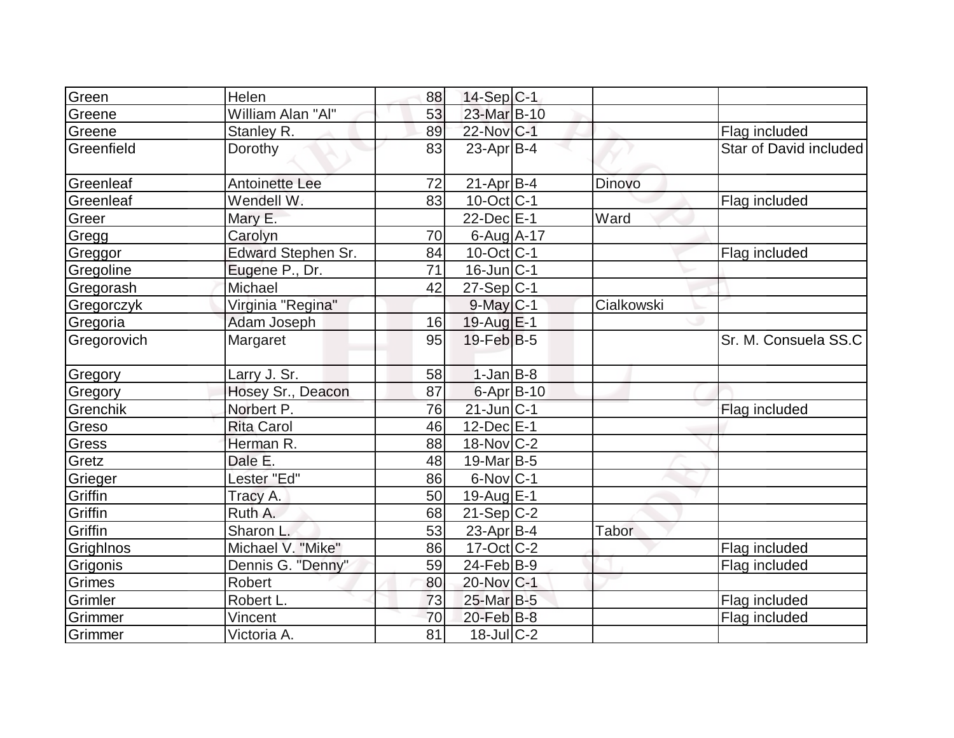| Green       | Helen                     | 88 | $14-Sep C-1$      |               |                        |
|-------------|---------------------------|----|-------------------|---------------|------------------------|
| Greene      | William Alan "Al"         | 53 | 23-Mar B-10       |               |                        |
| Greene      | Stanley R.                | 89 | 22-Nov C-1        |               | Flag included          |
| Greenfield  | Dorothy                   | 83 | $23$ -Apr $ B-4 $ |               | Star of David included |
| Greenleaf   | <b>Antoinette Lee</b>     | 72 | $21-Apr$ B-4      | <b>Dinovo</b> |                        |
| Greenleaf   | Wendell W.                | 83 | $10$ -Oct $ C-1 $ |               | Flag included          |
| Greer       | Mary E.                   |    | $22$ -Dec $E-1$   | Ward          |                        |
| Gregg       | Carolyn                   | 70 | 6-Aug A-17        |               |                        |
| Greggor     | <b>Edward Stephen Sr.</b> | 84 | $10$ -Oct $ C-1 $ |               | Flag included          |
| Gregoline   | Eugene P., Dr.            | 71 | $16$ -Jun $ C-1$  |               |                        |
| Gregorash   | Michael                   | 42 | $27-Sep C-1$      |               |                        |
| Gregorczyk  | Virginia "Regina"         |    | $9$ -May $C-1$    | Cialkowski    |                        |
| Gregoria    | Adam Joseph               | 16 | $19$ -Aug $E-1$   |               |                        |
| Gregorovich | Margaret                  | 95 | $19$ -Feb $ B-5$  |               | Sr. M. Consuela SS.C   |
| Gregory     | Larry J. Sr.              | 58 | $1-Jan$ B-8       |               |                        |
| Gregory     | Hosey Sr., Deacon         | 87 | $6 - Apr$ B-10    |               |                        |
| Grenchik    | Norbert P.                | 76 | $21$ -Jun $ C-1 $ |               | Flag included          |
| Greso       | <b>Rita Carol</b>         | 46 | $12$ -Dec $E-1$   |               |                        |
| Gress       | Herman R.                 | 88 | 18-Nov C-2        |               |                        |
| Gretz       | Dale E.                   | 48 | $19$ -Mar $ B-5$  |               |                        |
| Grieger     | Lester "Ed"               | 86 | $6$ -Nov $ C-1 $  |               |                        |
| Griffin     | Tracy A.                  | 50 | 19-Aug E-1        |               |                        |
| Griffin     | Ruth A.                   | 68 | $21-Sep C-2$      |               |                        |
| Griffin     | Sharon L.                 | 53 | $23$ -Apr $B-4$   | Tabor         |                        |
| Grighlnos   | Michael V. "Mike"         | 86 | $17 - Oct$ $C-2$  |               | Flag included          |
| Grigonis    | Dennis G. "Denny"         | 59 | $24$ -Feb $ B-9$  |               | Flag included          |
| Grimes      | Robert                    | 80 | 20-Nov C-1        |               |                        |
| Grimler     | Robert L.                 | 73 | 25-Mar B-5        |               | Flag included          |
| Grimmer     | Vincent                   | 70 | $20$ -Feb $ B-8$  |               | Flag included          |
| Grimmer     | Victoria A.               | 81 | $18$ -Jul $ C-2 $ |               |                        |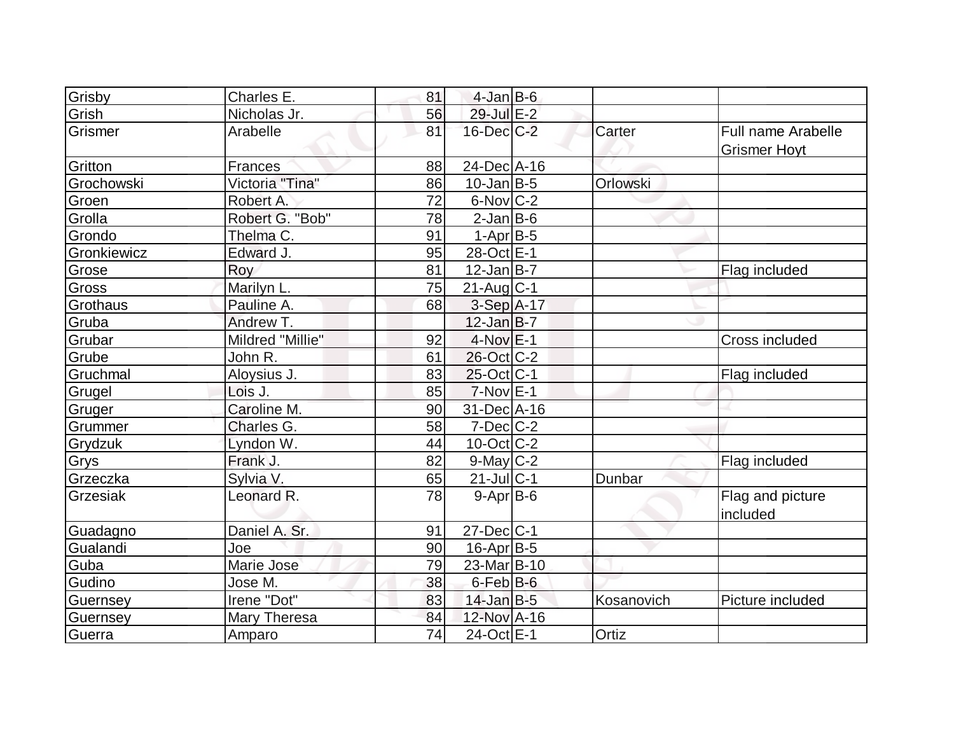| Grisby      | Charles E.       | 81              | $4$ -Jan B-6      |            |                                           |
|-------------|------------------|-----------------|-------------------|------------|-------------------------------------------|
| Grish       | Nicholas Jr.     | 56              | 29-Jul E-2        |            |                                           |
| Grismer     | Arabelle         | 81              | $16$ -Dec $C-2$   | Carter     | Full name Arabelle<br><b>Grismer Hovt</b> |
| Gritton     | <b>Frances</b>   | 88              | 24-Dec A-16       |            |                                           |
| Grochowski  | Victoria "Tina"  | 86              | $10$ -Jan $ B-5 $ | Orlowski   |                                           |
| Groen       | Robert A.        | 72              | $6$ -Nov $ C-2 $  |            |                                           |
| Grolla      | Robert G. "Bob"  | 78              | $2$ -Jan $B$ -6   |            |                                           |
| Grondo      | Thelma C.        | 91              | $1-Apr$ B-5       |            |                                           |
| Gronkiewicz | Edward J.        | 95              | 28-Oct E-1        |            |                                           |
| Grose       | Roy              | 81              | $12$ -Jan B-7     |            | Flag included                             |
| Gross       | Marilyn L.       | 75              | $21$ -Aug $C-1$   |            |                                           |
| Grothaus    | Pauline A.       | 68              | $3-Sep$ A-17      |            |                                           |
| Gruba       | Andrew T.        |                 | $12$ -Jan B-7     |            |                                           |
| Grubar      | Mildred "Millie" | 92              | $4-Nov$ E-1       |            | Cross included                            |
| Grube       | John R.          | 61              | 26-Oct C-2        |            |                                           |
| Gruchmal    | Aloysius J.      | 83              | $25$ -Oct C-1     |            | Flag included                             |
| Grugel      | Lois J.          | 85              | $7-Nov$ E-1       |            |                                           |
| Gruger      | Caroline M.      | 90              | 31-Dec A-16       |            |                                           |
| Grummer     | Charles G.       | 58              | $7$ -Dec $ C-2 $  |            |                                           |
| Grydzuk     | Lyndon W.        | 44              | $10$ -Oct $ C-2 $ |            |                                           |
| Grys        | Frank J.         | 82              | $9$ -May C-2      |            | Flag included                             |
| Grzeczka    | Sylvia V.        | 65              | $21$ -Jul $ C-1$  | Dunbar     |                                           |
| Grzesiak    | Leonard R.       | 78              | $9-Apr$ B-6       |            | Flag and picture<br>included              |
| Guadagno    | Daniel A. Sr.    | 91              | $27 - Dec$ $C-1$  |            |                                           |
| Gualandi    | Joe              | 90              | $16$ -Apr $B$ -5  |            |                                           |
| Guba        | Marie Jose       | 79              | 23-Mar B-10       |            |                                           |
| Gudino      | Jose M.          | 38              | 6-Feb B-6         |            |                                           |
| Guernsey    | Irene "Dot"      | 83              | $14$ -Jan B-5     | Kosanovich | Picture included                          |
| Guernsey    | Mary Theresa     | 84              | 12-Nov A-16       |            |                                           |
| Guerra      | Amparo           | $\overline{74}$ | 24-Oct E-1        | Ortiz      |                                           |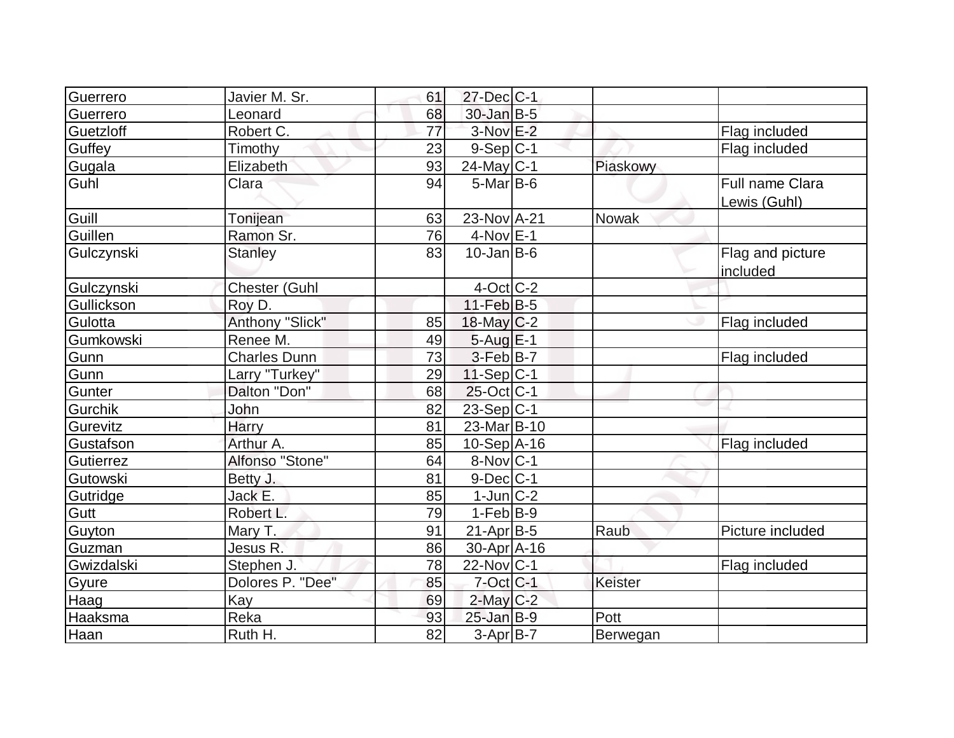| Guerrero   | Javier M. Sr.        | 61 | $27 - Dec$ C-1   |                |                                        |
|------------|----------------------|----|------------------|----------------|----------------------------------------|
| Guerrero   | Leonard              | 68 | 30-Jan B-5       |                |                                        |
| Guetzloff  | Robert C.            | 77 | $3-Nov$ $E-2$    |                | Flag included                          |
| Guffey     | Timothy              | 23 | $9-Sep C-1$      |                | Flag included                          |
| Gugala     | Elizabeth            | 93 | 24-May C-1       | Piaskowy       |                                        |
| Guhl       | Clara                | 94 | $5$ -Mar $B$ -6  |                | <b>Full name Clara</b><br>Lewis (Guhl) |
| Guill      | Tonijean             | 63 | 23-Nov A-21      | Nowak          |                                        |
| Guillen    | Ramon Sr.            | 76 | $4$ -Nov $E-1$   |                |                                        |
| Gulczynski | <b>Stanley</b>       | 83 | $10$ -Jan B-6    |                | Flag and picture<br>included           |
| Gulczynski | <b>Chester (Guhl</b> |    | $4$ -Oct $ C-2 $ |                |                                        |
| Gullickson | Roy D.               |    | $11-Feb$ B-5     |                |                                        |
| Gulotta    | Anthony "Slick"      | 85 | $18$ -May C-2    |                | Flag included                          |
| Gumkowski  | Renee M.             | 49 | $5$ -Aug $E-1$   |                |                                        |
| Gunn       | <b>Charles Dunn</b>  | 73 | 3-Feb B-7        |                | Flag included                          |
| Gunn       | Larry "Turkey"       | 29 | $11-Sep C-1$     |                |                                        |
| Gunter     | Dalton "Don"         | 68 | $25$ -Oct C-1    |                |                                        |
| Gurchik    | John                 | 82 | 23-Sep C-1       |                |                                        |
| Gurevitz   | Harry                | 81 | 23-Mar B-10      |                |                                        |
| Gustafson  | Arthur A.            | 85 | $10-Sep$ A-16    |                | Flag included                          |
| Gutierrez  | Alfonso "Stone"      | 64 | $8-Nov C-1$      |                |                                        |
| Gutowski   | Betty J.             | 81 | $9-Dec$ $C-1$    |                |                                        |
| Gutridge   | Jack E.              | 85 | $1$ -Jun $ C-2 $ |                |                                        |
| Gutt       | Robert L.            | 79 | $1-Feb$ B-9      |                |                                        |
| Guyton     | Mary T.              | 91 | $21$ -Apr $B$ -5 | Raub           | Picture included                       |
| Guzman     | Jesus R.             | 86 | 30-Apr A-16      |                |                                        |
| Gwizdalski | Stephen J.           | 78 | $22$ -Nov $ C-1$ |                | Flag included                          |
| Gyure      | Dolores P. "Dee"     | 85 | $7$ -Oct C-1     | <b>Keister</b> |                                        |
| Haag       | <b>Kay</b>           | 69 | $2$ -May $C-2$   |                |                                        |
| Haaksma    | Reka                 | 93 | $25$ -Jan $B-9$  | Pott           |                                        |
| Haan       | Ruth H.              | 82 | $3-Apr$ B-7      | Berwegan       |                                        |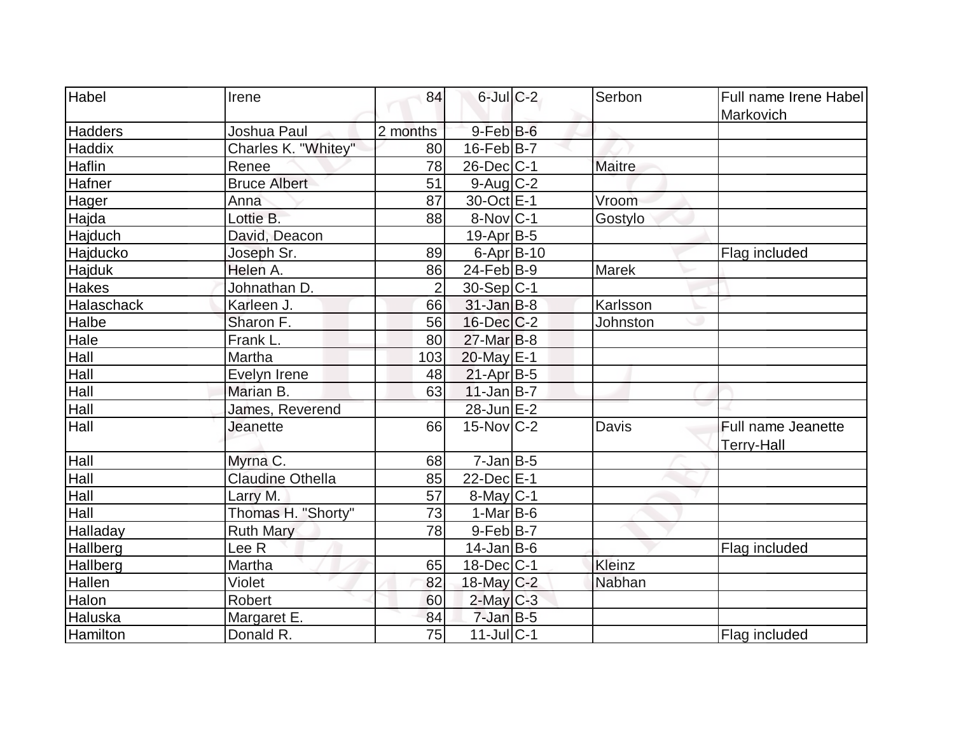| Habel           | Irene                   | 84             | $6$ -Jul $C-2$    | Serbon        | Full name Irene Habel<br>Markovich      |
|-----------------|-------------------------|----------------|-------------------|---------------|-----------------------------------------|
| <b>Hadders</b>  | Joshua Paul             | 2 months       | $9$ -Feb $B$ -6   |               |                                         |
| Haddix          | Charles K. "Whitey"     | 80             | $16$ -Feb $ B-7 $ |               |                                         |
| Haflin          | Renee                   | 78             | $26$ -Dec $C$ -1  | <b>Maitre</b> |                                         |
| Hafner          | <b>Bruce Albert</b>     | 51             | $9$ -Aug $C-2$    |               |                                         |
| Hager           | Anna                    | 87             | 30-Oct E-1        | Vroom         |                                         |
| Hajda           | Lottie B.               | 88             | $8-Nov C-1$       | Gostylo       |                                         |
| Hajduch         | David, Deacon           |                | 19-Apr B-5        |               |                                         |
| Hajducko        | Joseph Sr.              | 89             | $6 - Apr$ B-10    |               | Flag included                           |
| <b>Hajduk</b>   | Helen A.                | 86             | $24$ -Feb $ B-9 $ | <b>Marek</b>  |                                         |
| <b>Hakes</b>    | Johnathan D.            | $\overline{2}$ | $30-Sep C-1$      |               |                                         |
| Halaschack      | Karleen J.              | 66             | $31$ -Jan $B-8$   | Karlsson      |                                         |
| Halbe           | Sharon F.               | 56             | $16$ -Dec $C$ -2  | Johnston      |                                         |
| Hale            | Frank L.                | 80             | $27$ -Mar $B-8$   |               |                                         |
| Hall            | Martha                  | 103            | 20-May E-1        |               |                                         |
| Hall            | Evelyn Irene            | 48             | $21-Apr B-5$      |               |                                         |
| Hall            | Marian B.               | 63             | $11$ -Jan $B$ -7  |               |                                         |
| Hall            | James, Reverend         |                | 28-Jun E-2        |               |                                         |
| Hall            | <b>Jeanette</b>         | 66             | $15$ -Nov $ C-2 $ | Davis         | Full name Jeanette<br><b>Terry-Hall</b> |
| Hall            | Myrna C.                | 68             | $7$ -Jan $B$ -5   |               |                                         |
| Hall            | <b>Claudine Othella</b> | 85             | 22-Dec E-1        |               |                                         |
| Hall            | Larry M.                | 57             | $8$ -May $C$ -1   |               |                                         |
| Hall            | Thomas H. "Shorty"      | 73             | $1-Mar$ B-6       |               |                                         |
| Halladay        | <b>Ruth Mary</b>        | 78             | 9-Feb B-7         |               |                                         |
| Hallberg        | Lee R                   |                | $14$ -Jan $ B-6 $ |               | Flag included                           |
| <b>Hallberg</b> | Martha                  | 65             | $18$ -Dec $ C-1$  | Kleinz        |                                         |
| <b>Hallen</b>   | Violet                  | 82             | 18-May $C-2$      | Nabhan        |                                         |
| Halon           | Robert                  | 60             | $2$ -May $C-3$    |               |                                         |
| Haluska         | Margaret E.             | 84             | $7$ -Jan B-5      |               |                                         |
| Hamilton        | Donald R.               | 75             | $11$ -Jul $ C-1$  |               | Flag included                           |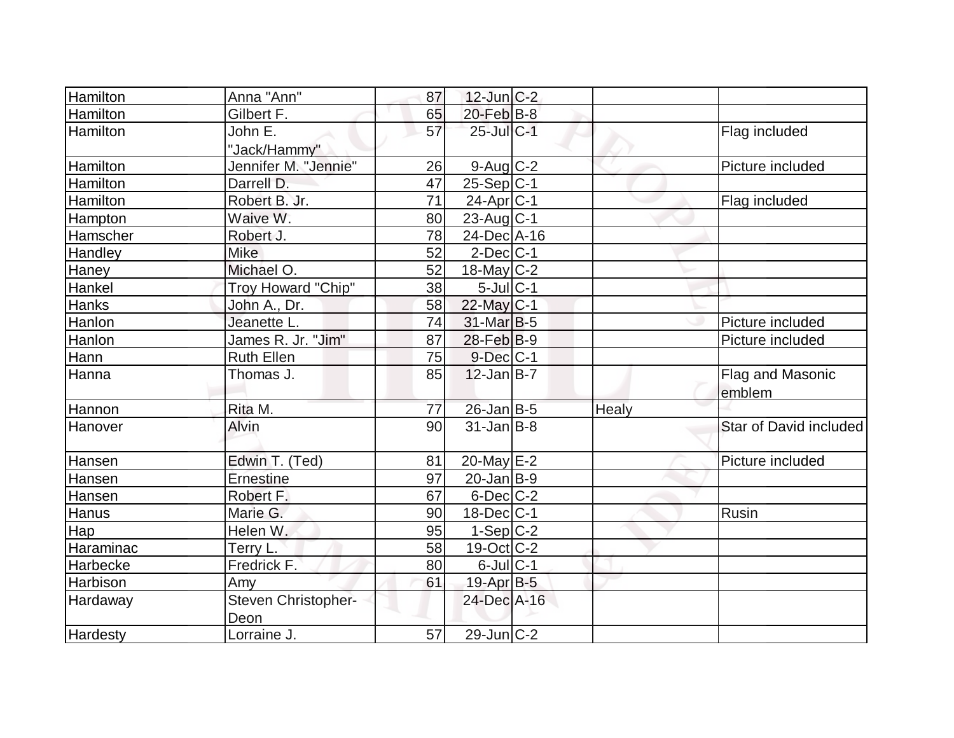| Hamilton        | Anna "Ann"           | 87 | $12$ -Jun $ C-2 $     |       |                        |
|-----------------|----------------------|----|-----------------------|-------|------------------------|
| Hamilton        | Gilbert F.           | 65 | $20$ -Feb $B$ -8      |       |                        |
| <b>Hamilton</b> | John E.              | 57 | 25-Jul C-1            |       | Flag included          |
|                 | "Jack/Hammy"         |    |                       |       |                        |
| <b>Hamilton</b> | Jennifer M. "Jennie" | 26 | $9$ -Aug $C-2$        |       | Picture included       |
| Hamilton        | Darrell D.           | 47 | $25-Sep C-1$          |       |                        |
| Hamilton        | Robert B. Jr.        | 71 | 24-Apr <sub>C-1</sub> |       | Flag included          |
| <b>Hampton</b>  | Waive W.             | 80 | $23$ -Aug C-1         |       |                        |
| Hamscher        | Robert J.            | 78 | 24-Dec A-16           |       |                        |
| Handley         | <b>Mike</b>          | 52 | $2$ -Dec $ C-1 $      |       |                        |
| Haney           | Michael O.           | 52 | $18$ -May C-2         |       |                        |
| Hankel          | Troy Howard "Chip"   | 38 | $5$ -JulC-1           |       |                        |
| Hanks           | John A., Dr.         | 58 | 22-May C-1            |       |                        |
| Hanlon          | Jeanette L.          | 74 | 31-Mar B-5            |       | Picture included       |
| Hanlon          | James R. Jr. "Jim"   | 87 | 28-Feb B-9            |       | Picture included       |
| Hann            | <b>Ruth Ellen</b>    | 75 | $9$ -Dec $ C-1$       |       |                        |
| Hanna           | Thomas J.            | 85 | $12$ -Jan $ B-7 $     |       | Flag and Masonic       |
|                 |                      |    |                       |       | emblem                 |
| Hannon          | Rita M.              | 77 | $26$ -Jan B-5         | Healy |                        |
| Hanover         | Alvin                | 90 | $31$ -Jan $ B-8 $     |       | Star of David included |
|                 |                      |    |                       |       |                        |
| Hansen          | Edwin T. (Ted)       | 81 | $20$ -May $E-2$       |       | Picture included       |
| Hansen          | Ernestine            | 97 | $20$ -Jan B-9         |       |                        |
| Hansen          | Robert F.            | 67 | $6$ -Dec $C$ -2       |       |                        |
| Hanus           | Marie G.             | 90 | $18$ -Dec $C$ -1      |       | Rusin                  |
| Hap             | Helen W.             | 95 | $1-Sep$ $C-2$         |       |                        |
| Haraminac       | Terry L.             | 58 | $19-Oct$ $C-2$        |       |                        |
| Harbecke        | Fredrick F.          | 80 | $6$ -Jul $ C-1$       |       |                        |
| Harbison        | Amy                  | 61 | 19-Apr B-5            |       |                        |
| Hardaway        | Steven Christopher-  |    | 24-Dec A-16           |       |                        |
|                 | Deon                 |    |                       |       |                        |
| <b>Hardesty</b> | Lorraine J.          | 57 | 29-Jun C-2            |       |                        |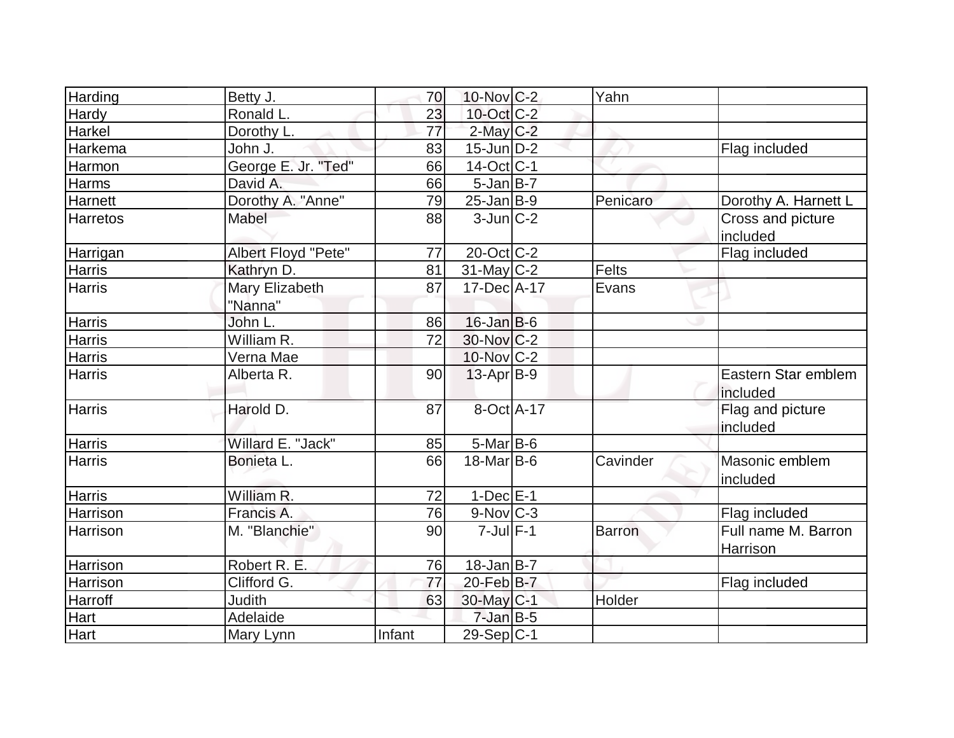| Harding         | Betty J.                  | 70              | $10$ -Nov $ C-2 $ |            | Yahn     |                                 |
|-----------------|---------------------------|-----------------|-------------------|------------|----------|---------------------------------|
| Hardy           | Ronald L.                 | 23              | 10-Oct C-2        |            |          |                                 |
| Harkel          | Dorothy L.                | $\overline{77}$ | $2$ -May $C$ -2   |            |          |                                 |
| Harkema         | John J.                   | 83              | $15$ -Jun $ D-2 $ |            |          | Flag included                   |
| Harmon          | George E. Jr. "Ted"       | 66              | $14$ -Oct $ C-1 $ |            |          |                                 |
| Harms           | David A.                  | 66              | $5 - Jan$ $B-7$   |            |          |                                 |
| Harnett         | Dorothy A. "Anne"         | 79              | $25 - Jan$ B-9    |            | Penicaro | Dorothy A. Harnett L            |
| <b>Harretos</b> | Mabel                     | 88              | $3$ -Jun $ C-2 $  |            |          | Cross and picture<br>included   |
| <b>Harrigan</b> | Albert Floyd "Pete"       | 77              | $20$ -Oct C-2     |            |          | Flag included                   |
| <b>Harris</b>   | Kathryn D.                | 81              | $31$ -May C-2     |            | Felts    |                                 |
| <b>Harris</b>   | Mary Elizabeth<br>"Nanna" | 87              | 17-Dec A-17       |            | Evans    |                                 |
| <b>Harris</b>   | John L.                   | 86              | $16$ -Jan B-6     |            |          |                                 |
| Harris          | William R.                | 72              | 30-Nov C-2        |            |          |                                 |
| <b>Harris</b>   | Verna Mae                 |                 | 10-Nov C-2        |            |          |                                 |
| <b>Harris</b>   | Alberta R.                | 90              | $13$ -Apr $ B-9 $ |            |          | Eastern Star emblem<br>included |
| <b>Harris</b>   | Harold D.                 | 87              |                   | 8-Oct A-17 |          | Flag and picture<br>included    |
| <b>Harris</b>   | Willard E. "Jack"         | 85              | $5$ -Mar $ B-6$   |            |          |                                 |
| <b>Harris</b>   | Bonieta L.                | 66              | $18$ -Mar $ B-6$  |            | Cavinder | Masonic emblem<br>included      |
| <b>Harris</b>   | William R.                | 72              | $1-Dec$ $E-1$     |            |          |                                 |
| Harrison        | Francis A.                | 76              | $9-Nov$ $C-3$     |            |          | Flag included                   |
| Harrison        | M. "Blanchie"             | 90              | $7$ -Jul $F-1$    |            | Barron   | Full name M. Barron<br>Harrison |
| Harrison        | Robert R. E.              | 76              | 18-Jan B-7        |            |          |                                 |
| Harrison        | Clifford G.               | 77              | $20$ -Feb $B$ -7  |            |          | Flag included                   |
| Harroff         | <b>Judith</b>             | 63              | 30-May C-1        |            | Holder   |                                 |
| Hart            | Adelaide                  |                 | $7$ -Jan B-5      |            |          |                                 |
| Hart            | Mary Lynn                 | Infant          | $29$ -Sep C-1     |            |          |                                 |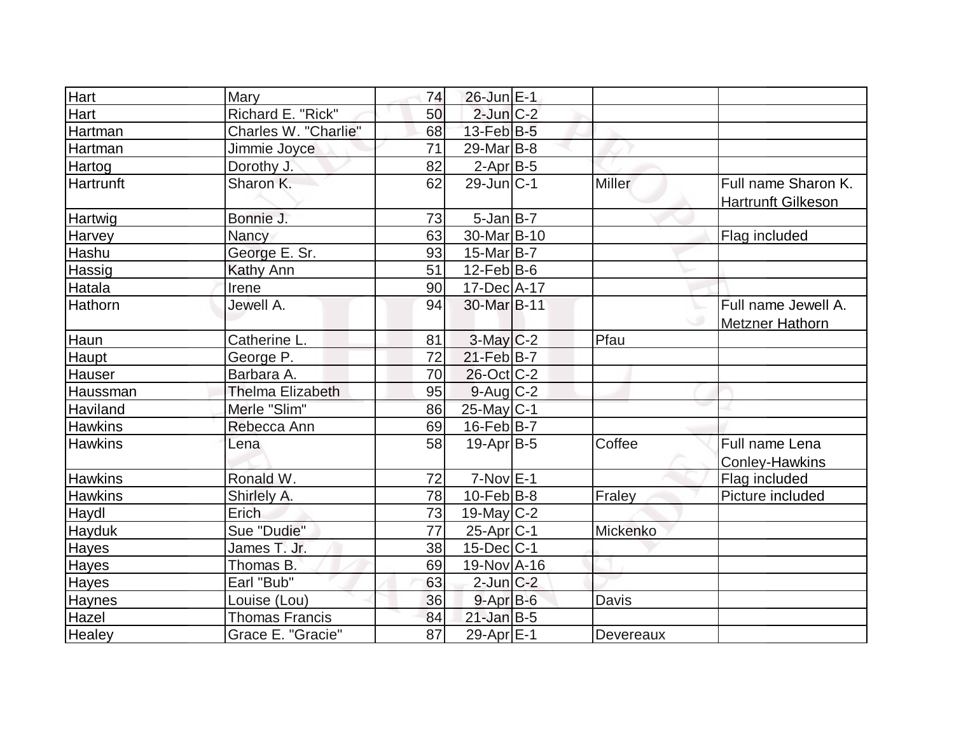| Hart           | Mary                    | 74 | $26$ -Jun $E-1$         |               |                                                  |
|----------------|-------------------------|----|-------------------------|---------------|--------------------------------------------------|
| Hart           | Richard E. "Rick"       | 50 | $2$ -Jun $C-2$          |               |                                                  |
| Hartman        | Charles W. "Charlie"    | 68 | $13$ -Feb $ B-5 $       |               |                                                  |
| Hartman        | Jimmie Joyce            | 71 | $29$ -Mar $ B-8$        |               |                                                  |
| Hartog         | Dorothy J.              | 82 | $2-Apr$ B-5             |               |                                                  |
| Hartrunft      | Sharon K.               | 62 | $29$ -Jun $C-1$         | <b>Miller</b> | Full name Sharon K.<br><b>Hartrunft Gilkeson</b> |
| Hartwig        | Bonnie J.               | 73 | $5$ -Jan $B$ -7         |               |                                                  |
| Harvey         | Nancy                   | 63 | 30-Mar <sub>B</sub> -10 |               | Flag included                                    |
| Hashu          | George E. Sr.           | 93 | $15$ -Mar $B$ -7        |               |                                                  |
| Hassig         | <b>Kathy Ann</b>        | 51 | $12$ -Feb $ B-6 $       |               |                                                  |
| Hatala         | Irene                   | 90 | 17-Dec A-17             |               |                                                  |
| Hathorn        | Jewell A.               | 94 | 30-Mar B-11             |               | Full name Jewell A.<br>Metzner Hathorn           |
| Haun           | Catherine L.            | 81 | $3$ -May $C-2$          | Pfau          |                                                  |
| Haupt          | George P.               | 72 | $21$ -Feb $B$ -7        |               |                                                  |
| Hauser         | Barbara A.              | 70 | $26$ -Oct $ C-2 $       |               |                                                  |
| Haussman       | <b>Thelma Elizabeth</b> | 95 | $9$ -Aug $C$ -2         |               |                                                  |
| Haviland       | Merle "Slim"            | 86 | $25$ -May C-1           |               |                                                  |
| <b>Hawkins</b> | Rebecca Ann             | 69 | $16$ -Feb $ B-7 $       |               |                                                  |
| <b>Hawkins</b> | Lena                    | 58 | $19-Apr$ B-5            | Coffee        | Full name Lena<br><b>Conley-Hawkins</b>          |
| <b>Hawkins</b> | Ronald W.               | 72 | $7-Nov$ E-1             |               | Flag included                                    |
| <b>Hawkins</b> | Shirlely A.             | 78 | $10$ -Feb $ B-8 $       | Fraley        | Picture included                                 |
| Haydl          | Erich                   | 73 | 19-May $C-2$            |               |                                                  |
| Hayduk         | Sue "Dudie"             | 77 | 25-Apr <sub>C-1</sub>   | Mickenko      |                                                  |
| Hayes          | James T. Jr.            | 38 | $15$ -Dec $ C-1$        |               |                                                  |
| <b>Hayes</b>   | Thomas B.               | 69 | 19-Nov A-16             |               |                                                  |
| <b>Hayes</b>   | Earl "Bub"              | 63 | $2$ -Jun $C-2$          |               |                                                  |
| Haynes         | Louise (Lou)            | 36 | $9 - Apr$ $B - 6$       | Davis         |                                                  |
| Hazel          | <b>Thomas Francis</b>   | 84 | $21$ -Jan $B-5$         |               |                                                  |
| Healey         | Grace E. "Gracie"       | 87 | 29-Apr E-1              | Devereaux     |                                                  |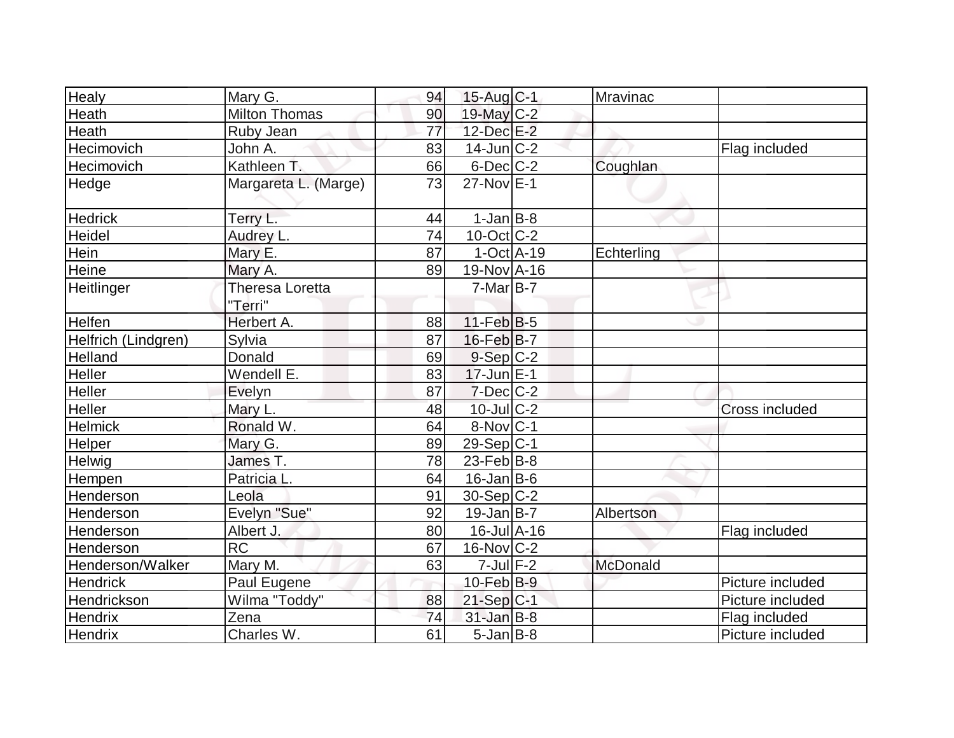| <b>Healy</b>        | Mary G.                    | 94              | $15$ -Aug C-1     | Mravinac   |                  |
|---------------------|----------------------------|-----------------|-------------------|------------|------------------|
| Heath               | <b>Milton Thomas</b>       | 90              | 19-May C-2        |            |                  |
| Heath               | Ruby Jean                  | $\overline{77}$ | 12-Dec E-2        |            |                  |
| Hecimovich          | John A.                    | 83              | $14$ -Jun $ C-2 $ |            | Flag included    |
| Hecimovich          | Kathleen T.                | 66              | $6$ -Dec $C-2$    | Coughlan   |                  |
| Hedge               | Margareta L. (Marge)       | 73              | $27-Nov$ E-1      |            |                  |
| <b>Hedrick</b>      | Terry L.                   | 44              | $1-Jan$ B-8       |            |                  |
| Heidel              | Audrey L.                  | 74              | $10$ -Oct $ C-2 $ |            |                  |
| Hein                | Mary E.                    | 87              | $1-Oct$ $A-19$    | Echterling |                  |
| Heine               | Mary A.                    | 89              | 19-Nov A-16       |            |                  |
| Heitlinger          | Theresa Loretta<br>"Terri" |                 | $7-MarB-7$        |            |                  |
| <b>Helfen</b>       | Herbert A.                 | 88              | $11-Feb B-5$      |            |                  |
| Helfrich (Lindgren) | Sylvia                     | 87              | 16-Feb B-7        |            |                  |
| Helland             | Donald                     | 69              | $9-Sep$ $C-2$     |            |                  |
| Heller              | Wendell E.                 | 83              | $17$ -Jun $E-1$   |            |                  |
| <b>Heller</b>       | Evelyn                     | 87              | $7$ -Dec $C-2$    |            |                  |
| Heller              | Mary L.                    | 48              | 10-Jul C-2        |            | Cross included   |
| <b>Helmick</b>      | Ronald W.                  | 64              | $8-Nov$ C-1       |            |                  |
| Helper              | Mary G.                    | 89              | $29-Sep C-1$      |            |                  |
| Helwig              | James T.                   | 78              | $23$ -Feb $B$ -8  |            |                  |
| Hempen              | Patricia L.                | 64              | $16$ -Jan B-6     |            |                  |
| Henderson           | Leola                      | 91              | $30-Sep C-2$      |            |                  |
| Henderson           | Evelyn "Sue"               | 92              | $19$ -Jan $B$ -7  | Albertson  |                  |
| Henderson           | Albert J.                  | 80              | $16$ -Jul $A-16$  |            | Flag included    |
| Henderson           | $\overline{RC}$            | 67              | $16$ -Nov $ C-2 $ |            |                  |
| Henderson/Walker    | Mary M.                    | 63              | $7$ -Jul $F-2$    | McDonald   |                  |
| Hendrick            | Paul Eugene                |                 | $10$ -Feb $B-9$   |            | Picture included |
| Hendrickson         | Wilma "Toddy"              | 88              | $21-Sep C-1$      |            | Picture included |
| Hendrix             | Zena                       | 74              | $31$ -Jan B-8     |            | Flag included    |
| <b>Hendrix</b>      | Charles W.                 | 61              | $5$ -Jan B-8      |            | Picture included |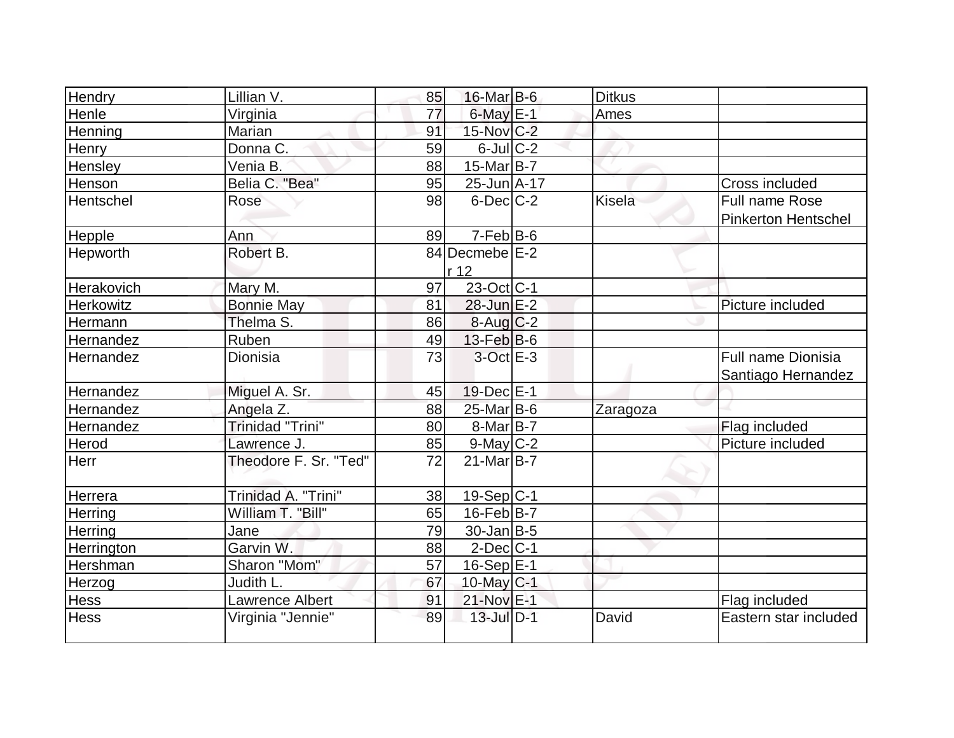| Hendry      | Lillian V.              | 85 | 16-Mar B-6              | <b>Ditkus</b> |                            |
|-------------|-------------------------|----|-------------------------|---------------|----------------------------|
| Henle       | Virginia                | 77 | $6$ -May $E-1$          | Ames          |                            |
| Henning     | Marian                  | 91 | 15-Nov C-2              |               |                            |
| Henry       | Donna C.                | 59 | $6$ -Jul $C-2$          |               |                            |
| Hensley     | Venia B.                | 88 | $15$ -Mar $B$ -7        |               |                            |
| Henson      | Belia C. "Bea"          | 95 | 25-Jun A-17             |               | Cross included             |
| Hentschel   | Rose                    | 98 | $6$ -Dec $C-2$          | Kisela        | <b>Full name Rose</b>      |
|             |                         |    |                         |               | <b>Pinkerton Hentschel</b> |
| Hepple      | Ann                     | 89 | $7-Feb B-6$             |               |                            |
| Hepworth    | Robert B.               |    | 84 Decmebe E-2          |               |                            |
|             |                         |    | r 12                    |               |                            |
| Herakovich  | Mary M.                 | 97 | 23-Oct C-1              |               |                            |
| Herkowitz   | <b>Bonnie May</b>       | 81 | $28$ -Jun $E-2$         |               | Picture included           |
| Hermann     | Thelma S.               | 86 | $8-Aug$ <sub>C</sub> -2 |               |                            |
| Hernandez   | Ruben                   | 49 | $13$ -Feb $ B-6$        |               |                            |
| Hernandez   | Dionisia                | 73 | $3-OctE-3$              |               | Full name Dionisia         |
|             |                         |    |                         |               | Santiago Hernandez         |
| Hernandez   | Miguel A. Sr.           | 45 | $19$ -Dec $E-1$         |               |                            |
| Hernandez   | Angela Z.               | 88 | $25$ -Mar $B$ -6        | Zaragoza      |                            |
| Hernandez   | <b>Trinidad "Trini"</b> | 80 | $8$ -Mar $ B-7 $        |               | Flag included              |
| Herod       | Lawrence J.             | 85 | $9$ -May $C-2$          |               | Picture included           |
| Herr        | Theodore F. Sr. "Ted"   | 72 | $21$ -Mar $B$ -7        |               |                            |
|             |                         |    |                         |               |                            |
| Herrera     | Trinidad A. "Trini"     | 38 | $19-Sep C-1$            |               |                            |
| Herring     | William T. "Bill"       | 65 | $16$ -Feb $ B-7 $       |               |                            |
| Herring     | Jane                    | 79 | $30 - Jan$ B-5          |               |                            |
| Herrington  | Garvin W.               | 88 | $2$ -Dec $ C-1$         |               |                            |
| Hershman    | Sharon "Mom"            | 57 | $16-Sep$ E-1            |               |                            |
| Herzog      | Judith L.               | 67 | 10-May C-1              |               |                            |
| Hess        | <b>Lawrence Albert</b>  | 91 | 21-Nov E-1              |               | Flag included              |
| <b>Hess</b> | Virginia "Jennie"       | 89 | $13$ -Jul $D-1$         | David         | Eastern star included      |
|             |                         |    |                         |               |                            |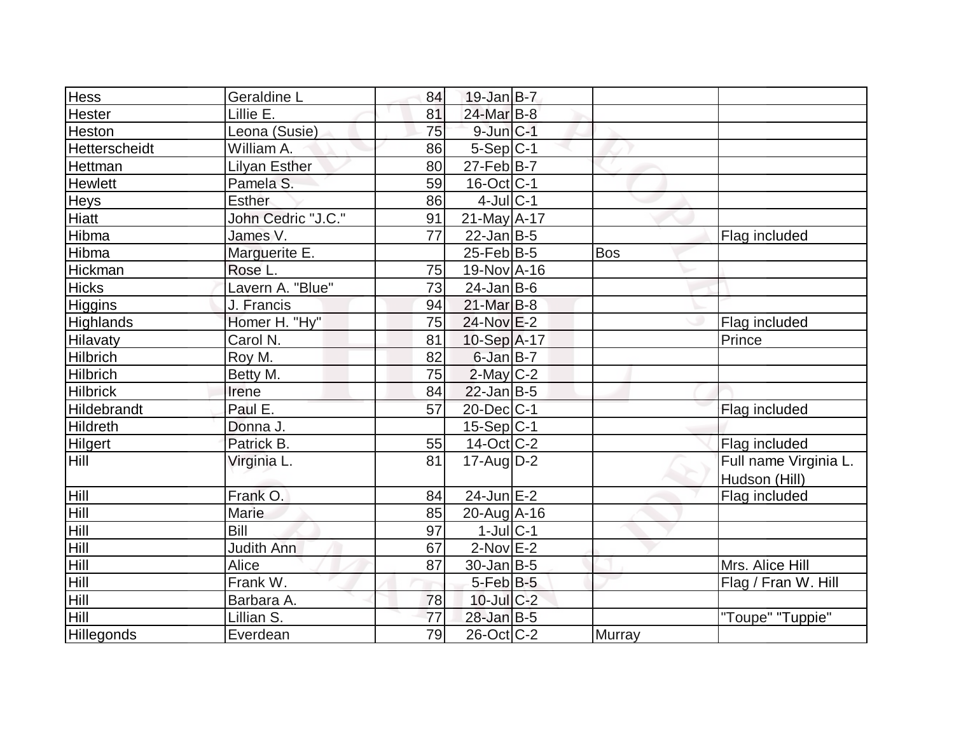| <b>Hess</b>         | Geraldine L          | 84 | $19$ -Jan B-7     |            |                       |
|---------------------|----------------------|----|-------------------|------------|-----------------------|
| <b>Hester</b>       | Lillie E.            | 81 | 24-Mar B-8        |            |                       |
| Heston              | Leona (Susie)        | 75 | $9$ -Jun $C-1$    |            |                       |
| Hetterscheidt       | William A.           | 86 | $5-Sep C-1$       |            |                       |
| Hettman             | <b>Lilyan Esther</b> | 80 | $27$ -Feb $ B-7 $ |            |                       |
| Hewlett             | Pamela S.            | 59 | $16$ -Oct $ C-1 $ |            |                       |
| <b>Heys</b>         | <b>Esther</b>        | 86 | $4$ -Jul $ C-1$   |            |                       |
| <b>Hiatt</b>        | John Cedric "J.C."   | 91 | $21$ -May A-17    |            |                       |
| Hibma               | James V.             | 77 | $22$ -Jan B-5     |            | Flag included         |
| Hibma               | Marguerite E.        |    | $25$ -Feb $ B-5 $ | <b>Bos</b> |                       |
| Hickman             | Rose L.              | 75 | 19-Nov A-16       |            |                       |
| <b>Hicks</b>        | Lavern A. "Blue"     | 73 | $24$ -Jan B-6     |            |                       |
| <b>Higgins</b>      | J. Francis           | 94 | $21$ -Mar $B-8$   |            |                       |
| <b>Highlands</b>    | Homer H. "Hy"        | 75 | 24-Nov E-2        |            | Flag included         |
| <b>Hilavaty</b>     | Carol N.             | 81 | 10-Sep A-17       |            | Prince                |
| <b>Hilbrich</b>     | Roy M.               | 82 | $6$ -Jan B-7      |            |                       |
| <b>Hilbrich</b>     | Betty M.             | 75 | $2$ -May C-2      |            |                       |
| <b>Hilbrick</b>     | Irene                | 84 | $22$ -Jan B-5     |            |                       |
| <b>Hildebrandt</b>  | Paul E.              | 57 | 20-Dec C-1        |            | Flag included         |
| Hildreth            | Donna J.             |    | $15-Sep C-1$      |            |                       |
| <b>Hilgert</b>      | Patrick B.           | 55 | $14$ -Oct C-2     |            | Flag included         |
| <b>Hill</b>         | Virginia L.          | 81 | $17$ -Aug D-2     |            | Full name Virginia L. |
|                     |                      |    |                   |            | Hudson (Hill)         |
| Hill                | Frank O.             | 84 | $24$ -Jun $E-2$   |            | Flag included         |
| Hill                | Marie                | 85 | $20$ -Aug $A$ -16 |            |                       |
|                     | Bill                 | 97 | $1$ -Jul $ C-1 $  |            |                       |
| $\frac{Hill}{Hill}$ | Judith Ann           | 67 | $2$ -Nov $E-2$    |            |                       |
| Hill                | Alice                | 87 | $30$ -Jan B-5     |            | Mrs. Alice Hill       |
|                     | Frank W.             |    | 5-Feb B-5         |            | Flag / Fran W. Hill   |
| $\frac{Hill}{Hill}$ | Barbara A.           | 78 | $10$ -Jul $C-2$   |            |                       |
| Hill                | Lillian S.           | 77 | $28$ -Jan B-5     |            | "Toupe" "Tuppie"      |
| Hillegonds          | Everdean             | 79 | $26$ -Oct $ C-2 $ | Murray     |                       |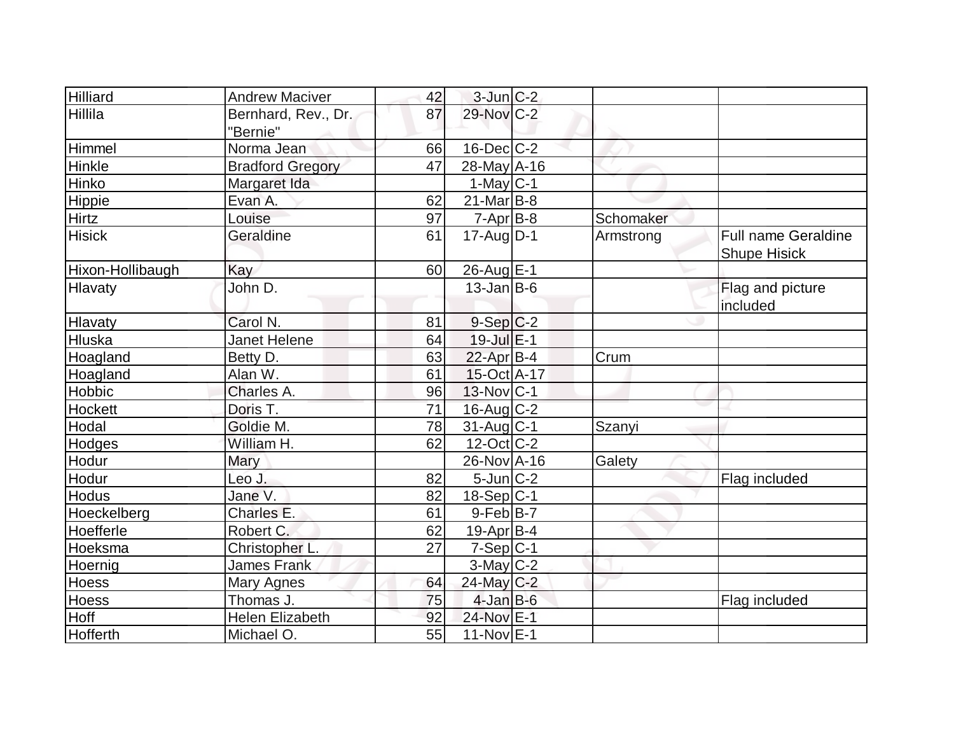| Hilliard         | <b>Andrew Maciver</b>   | 42 | $3$ -Jun $C-2$    |           |                            |
|------------------|-------------------------|----|-------------------|-----------|----------------------------|
| Hillila          | Bernhard, Rev., Dr.     | 87 | 29-Nov C-2        |           |                            |
|                  | "Bernie"                |    |                   |           |                            |
| Himmel           | Norma Jean              | 66 | $16$ -Dec $C$ -2  |           |                            |
| Hinkle           | <b>Bradford Gregory</b> | 47 | $28$ -May A-16    |           |                            |
| Hinko            | Margaret Ida            |    | $1-May C-1$       |           |                            |
| Hippie           | Evan A.                 | 62 | $21$ -Mar $ B-8 $ |           |                            |
| Hirtz            | Louise                  | 97 | $7 - Apr$ B-8     | Schomaker |                            |
| <b>Hisick</b>    | Geraldine               | 61 | $17$ -Aug $D-1$   | Armstrong | <b>Full name Geraldine</b> |
|                  |                         |    |                   |           | <b>Shupe Hisick</b>        |
| Hixon-Hollibaugh | Kay                     | 60 | 26-Aug E-1        |           |                            |
| Hlavaty          | John D.                 |    | $13$ -Jan $ B-6 $ |           | Flag and picture           |
|                  |                         |    |                   |           | included                   |
| Hlavaty          | Carol N.                | 81 | $9-Sep C-2$       |           |                            |
| Hluska           | <b>Janet Helene</b>     | 64 | $19$ -Jul $E-1$   |           |                            |
| Hoagland         | Betty D.                | 63 | 22-Apr B-4        | Crum      |                            |
| Hoagland         | Alan W.                 | 61 | $15$ -Oct A-17    |           |                            |
| Hobbic           | Charles A.              | 96 | $13-Nov C-1$      |           |                            |
| <b>Hockett</b>   | Doris T.                | 71 | $16$ -Aug $C-2$   |           |                            |
| Hodal            | Goldie M.               | 78 | $31$ -Aug C-1     | Szanyi    |                            |
| Hodges           | William H.              | 62 | $12$ -Oct $ C-2 $ |           |                            |
| Hodur            | Mary                    |    | 26-Nov A-16       | Galety    |                            |
| Hodur            | Leo J.                  | 82 | $5$ -Jun $ C-2 $  |           | Flag included              |
| <b>Hodus</b>     | Jane V.                 | 82 | $18-Sep C-1$      |           |                            |
| Hoeckelberg      | Charles E.              | 61 | $9$ -Feb $ B-7 $  |           |                            |
| Hoefferle        | Robert C.               | 62 | $19$ -Apr $ B-4 $ |           |                            |
| Hoeksma          | Christopher L.          | 27 | $7-Sep C-1$       |           |                            |
| Hoernig          | <b>James Frank</b>      |    | $3$ -May $C-2$    |           |                            |
| Hoess            | Mary Agnes              | 64 | 24-May C-2        |           |                            |
| <b>Hoess</b>     | Thomas J.               | 75 | $4$ -Jan B-6      |           | Flag included              |
| Hoff             | <b>Helen Elizabeth</b>  | 92 | 24-Nov E-1        |           |                            |
| Hofferth         | Michael O.              | 55 | $11-Nov$ E-1      |           |                            |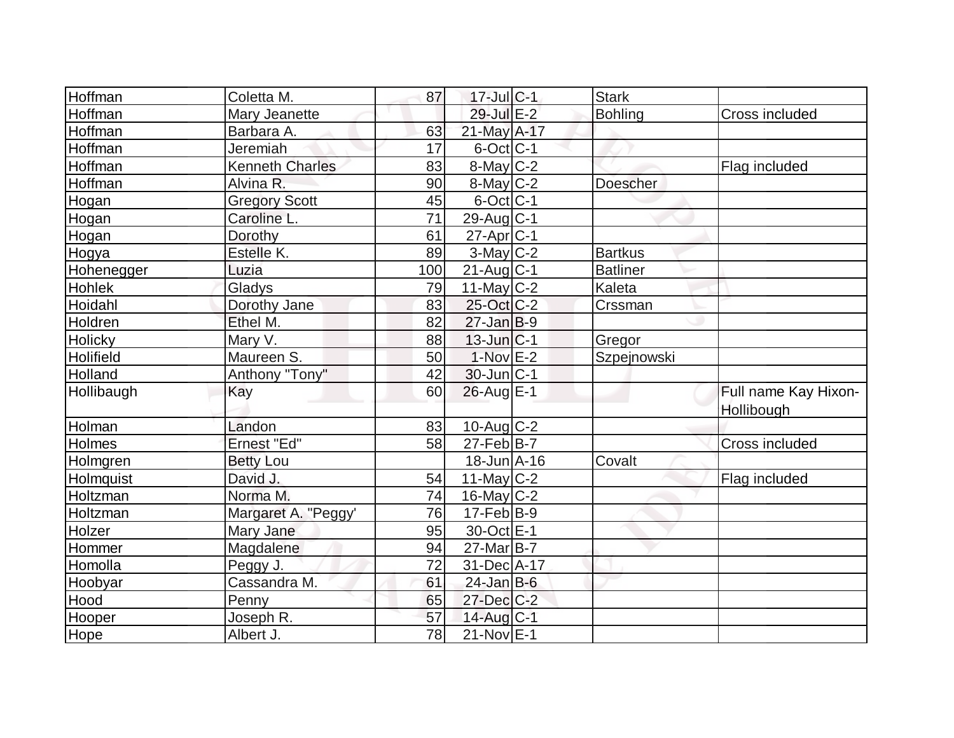| Hoffman    | Coletta M.             | 87              | $17$ -Jul $ C-1$             | <b>Stark</b>    |                      |
|------------|------------------------|-----------------|------------------------------|-----------------|----------------------|
| Hoffman    | Mary Jeanette          |                 | 29-Jul E-2                   | Bohling         | Cross included       |
| Hoffman    | Barbara A.             | 63              | 21-May A-17                  |                 |                      |
| Hoffman    | Jeremiah               | 17              | $6$ -Oct $ C-1 $             |                 |                      |
| Hoffman    | <b>Kenneth Charles</b> | 83              | 8-May C-2                    |                 | Flag included        |
| Hoffman    | Alvina R.              | 90              | $8$ -May $C-2$               | Doescher        |                      |
| Hogan      | <b>Gregory Scott</b>   | 45              | $6$ -Oct $ C-1$              |                 |                      |
| Hogan      | Caroline L.            | $\overline{71}$ | $29$ -Aug $C-1$              |                 |                      |
| Hogan      | Dorothy                | 61              | $27$ -Apr $ C-1$             |                 |                      |
| Hogya      | Estelle K.             | 89              | $3-May$ $C-2$                | <b>Bartkus</b>  |                      |
| Hohenegger | Luzia                  | 100             | $21$ -Aug C-1                | <b>Batliner</b> |                      |
| Hohlek     | Gladys                 | 79              | $11$ -May C-2                | Kaleta          |                      |
| Hoidahl    | Dorothy Jane           | 83              | 25-Oct C-2                   | Crssman         |                      |
| Holdren    | Ethel M.               | 82              | $27$ -Jan B-9                |                 |                      |
| Holicky    | Mary V.                | 88              | $13$ -Jun $ C-1$             | Gregor          |                      |
| Holifield  | Maureen S.             | 50              | $1-Nov$ E-2                  | Szpejnowski     |                      |
| Holland    | Anthony "Tony"         | 42              | $30$ -Jun $ C-1$             |                 |                      |
| Hollibaugh | Kay                    | 60              | $26$ -Aug E-1                |                 | Full name Kay Hixon- |
|            |                        |                 |                              |                 | Hollibough           |
| Holman     | Landon                 | 83              | 10-Aug C-2                   |                 |                      |
| Holmes     | Ernest "Ed"            | 58              | $27$ -Feb $ B-7$             |                 | Cross included       |
| Holmgren   | <b>Betty Lou</b>       |                 | $18$ -Jun $\overline{A}$ -16 | Covalt          |                      |
| Holmquist  | David J.               | 54              | 11-May $C-2$                 |                 | Flag included        |
| Holtzman   | Norma M.               | 74              | $16$ -May $ C-2 $            |                 |                      |
| Holtzman   | Margaret A. "Peggy'    | 76              | $17$ -Feb $ B-9 $            |                 |                      |
| Holzer     | Mary Jane              | 95              | 30-Oct E-1                   |                 |                      |
| Hommer     | Magdalene              | 94              | $27$ -Mar $B-7$              |                 |                      |
| Homolla    | Peggy J.               | 72              | 31-Dec A-17                  |                 |                      |
| Hoobyar    | Cassandra M.           | 61              | $24$ -Jan B-6                |                 |                      |
| Hood       | Penny                  | 65              | 27-Dec C-2                   |                 |                      |
| Hooper     | Joseph R.              | 57              | 14-Aug C-1                   |                 |                      |
| Hope       | Albert J.              | 78              | $21-Nov$ E-1                 |                 |                      |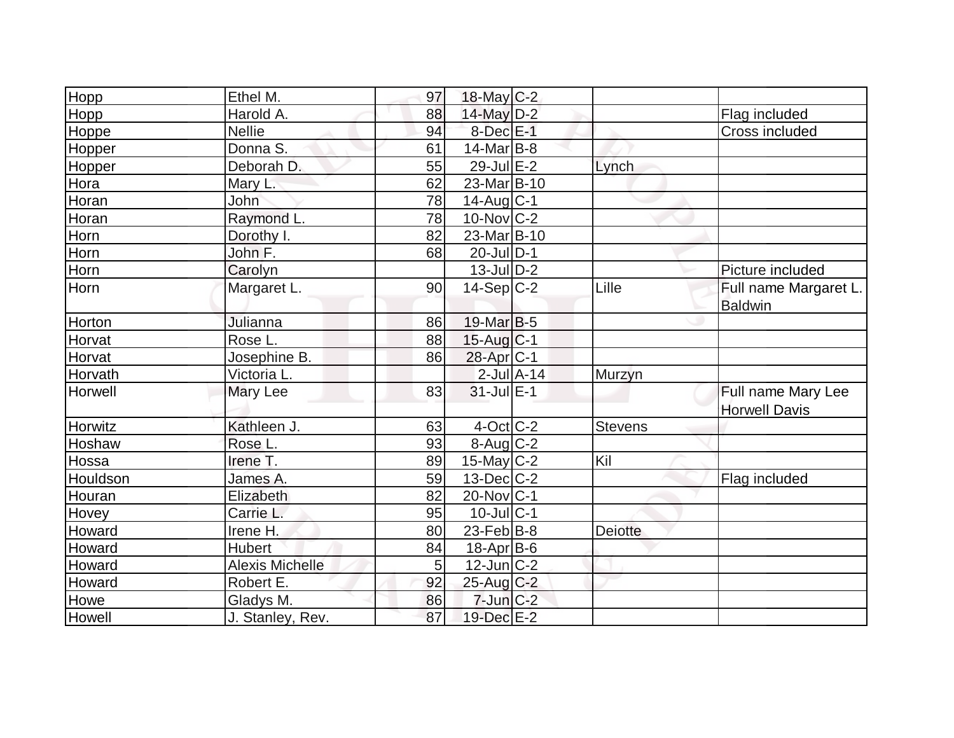| Hopp         | Ethel M.               | 97 | $18$ -May C-2         |                 |                |                                            |
|--------------|------------------------|----|-----------------------|-----------------|----------------|--------------------------------------------|
| Hopp         | Harold A.              | 88 | 14-May D-2            |                 |                | Flag included                              |
| Hoppe        | <b>Nellie</b>          | 94 | $8$ -Dec $E-1$        |                 |                | <b>Cross included</b>                      |
| Hopper       | Donna S.               | 61 | $14$ -Mar $ B-8 $     |                 |                |                                            |
| Hopper       | Deborah D.             | 55 | $29$ -Jul $E-2$       |                 | Lynch          |                                            |
| Hora         | Mary L.                | 62 | 23-Mar B-10           |                 |                |                                            |
| Horan        | John                   | 78 | $14$ -Aug $C-1$       |                 |                |                                            |
| Horan        | Raymond L.             | 78 | $10$ -Nov $ C-2 $     |                 |                |                                            |
| Horn         | Dorothy I.             | 82 | 23-Mar B-10           |                 |                |                                            |
| Horn         | John F.                | 68 | 20-Jul D-1            |                 |                |                                            |
| Horn         | Carolyn                |    | $13$ -Jul $D-2$       |                 |                | Picture included                           |
| Horn         | Margaret L.            | 90 | $14-Sep C-2$          |                 | Lille          | Full name Margaret L.<br><b>Baldwin</b>    |
| Horton       | Julianna               | 86 | $19$ -Mar $ B-5$      |                 |                |                                            |
| Horvat       | Rose L.                | 88 | $15$ -Aug $C-1$       |                 |                |                                            |
| Horvat       | Josephine B.           | 86 | 28-Apr <sub>C-1</sub> |                 |                |                                            |
| Horvath      | Victoria L.            |    |                       | $2$ -Jul $A-14$ | Murzyn         |                                            |
| Horwell      | Mary Lee               | 83 | $31$ -Jul $E-1$       |                 |                | Full name Mary Lee<br><b>Horwell Davis</b> |
| Horwitz      | Kathleen J.            | 63 | $4$ -Oct C-2          |                 | <b>Stevens</b> |                                            |
| Hoshaw       | Rose L.                | 93 | $8$ -Aug $C-2$        |                 |                |                                            |
| Hossa        | Irene T.               | 89 | $15$ -May $C-2$       |                 | Kil            |                                            |
| Houldson     | James A.               | 59 | $13$ -Dec $ C-2 $     |                 |                | Flag included                              |
| Houran       | Elizabeth              | 82 | $20$ -Nov $ C-1 $     |                 |                |                                            |
| <b>Hovey</b> | Carrie L.              | 95 | $10$ -Jul $C-1$       |                 |                |                                            |
| Howard       | Irene H.               | 80 | $23$ -Feb $ B-8 $     |                 | <b>Deiotte</b> |                                            |
| Howard       | <b>Hubert</b>          | 84 | $18$ -Apr $B$ -6      |                 |                |                                            |
| Howard       | <b>Alexis Michelle</b> | 5  | $12$ -Jun $ C-2 $     |                 |                |                                            |
| Howard       | Robert E.              | 92 | 25-Aug C-2            |                 |                |                                            |
| Howe         | Gladys M.              | 86 | $7$ -Jun $C-2$        |                 |                |                                            |
| Howell       | J. Stanley, Rev.       | 87 | 19-Dec E-2            |                 |                |                                            |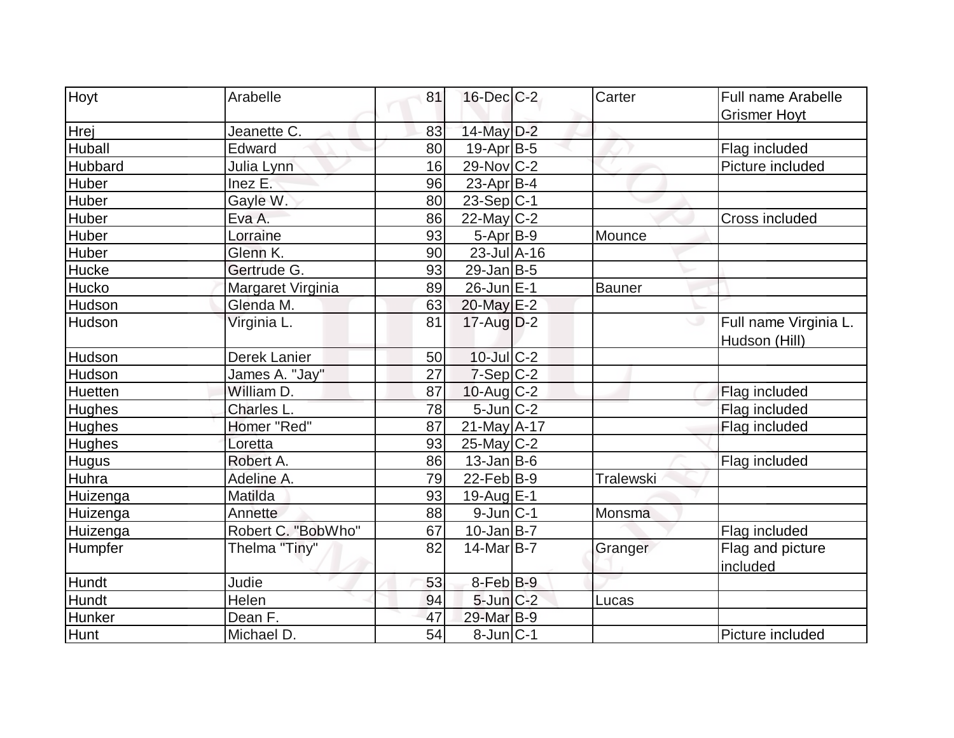| Hoyt           | Arabelle           | 81 | $16$ -Dec $C$ -2  | Carter           | Full name Arabelle    |
|----------------|--------------------|----|-------------------|------------------|-----------------------|
|                |                    |    |                   |                  | <b>Grismer Hoyt</b>   |
| Hrej           | Jeanette C.        | 83 | $14$ -May $D-2$   |                  |                       |
| Huball         | Edward             | 80 | $19$ -Apr $B$ -5  |                  | Flag included         |
| Hubbard        | Julia Lynn         | 16 | 29-Nov C-2        |                  | Picture included      |
| Huber          | Inez E.            | 96 | 23-Apr $ B-4 $    |                  |                       |
| <b>Huber</b>   | Gayle W.           | 80 | $23-Sep C-1$      |                  |                       |
| <b>Huber</b>   | Eva A.             | 86 | $22$ -May C-2     |                  | Cross included        |
| <b>Huber</b>   | Lorraine           | 93 | $5-Apr$ B-9       | Mounce           |                       |
| Huber          | Glenn K.           | 90 | 23-Jul A-16       |                  |                       |
| Hucke          | Gertrude G.        | 93 | $29$ -Jan B-5     |                  |                       |
| Hucko          | Margaret Virginia  | 89 | 26-Jun E-1        | Bauner           |                       |
| Hudson         | Glenda M.          | 63 | 20-May E-2        |                  |                       |
| Hudson         | Virginia L.        | 81 | $17$ -Aug $D-2$   |                  | Full name Virginia L. |
|                |                    |    |                   |                  | Hudson (Hill)         |
| Hudson         | Derek Lanier       | 50 | $10$ -Jul $C-2$   |                  |                       |
| Hudson         | James A. "Jay"     | 27 | $7-Sep C-2$       |                  |                       |
| <b>Huetten</b> | William D.         | 87 | $10$ -Aug C-2     |                  | Flag included         |
| <b>Hughes</b>  | Charles L.         | 78 | $5$ -Jun $C-2$    |                  | Flag included         |
| <b>Hughes</b>  | Homer "Red"        | 87 | $21$ -May A-17    |                  | Flag included         |
| <b>Hughes</b>  | Loretta            | 93 | $25$ -May C-2     |                  |                       |
| <b>Hugus</b>   | Robert A.          | 86 | $13$ -Jan B-6     |                  | Flag included         |
| Huhra          | Adeline A.         | 79 | 22-Feb $ B-9 $    | <b>Tralewski</b> |                       |
| Huizenga       | Matilda            | 93 | 19-Aug E-1        |                  |                       |
| Huizenga       | Annette            | 88 | $9$ -Jun $ C-1 $  | Monsma           |                       |
| Huizenga       | Robert C. "BobWho" | 67 | $10$ -Jan $B$ -7  |                  | Flag included         |
| Humpfer        | Thelma "Tiny"      | 82 | $14$ -Mar $ B-7 $ | Granger          | Flag and picture      |
|                |                    |    |                   |                  | included              |
| Hundt          | Judie              | 53 | 8-Feb B-9         |                  |                       |
| Hundt          | Helen              | 94 | $5$ -Jun $C-2$    | Lucas            |                       |
| <b>Hunker</b>  | Dean F.            | 47 | 29-Mar B-9        |                  |                       |
| Hunt           | Michael D.         | 54 | $8$ -Jun $ C-1$   |                  | Picture included      |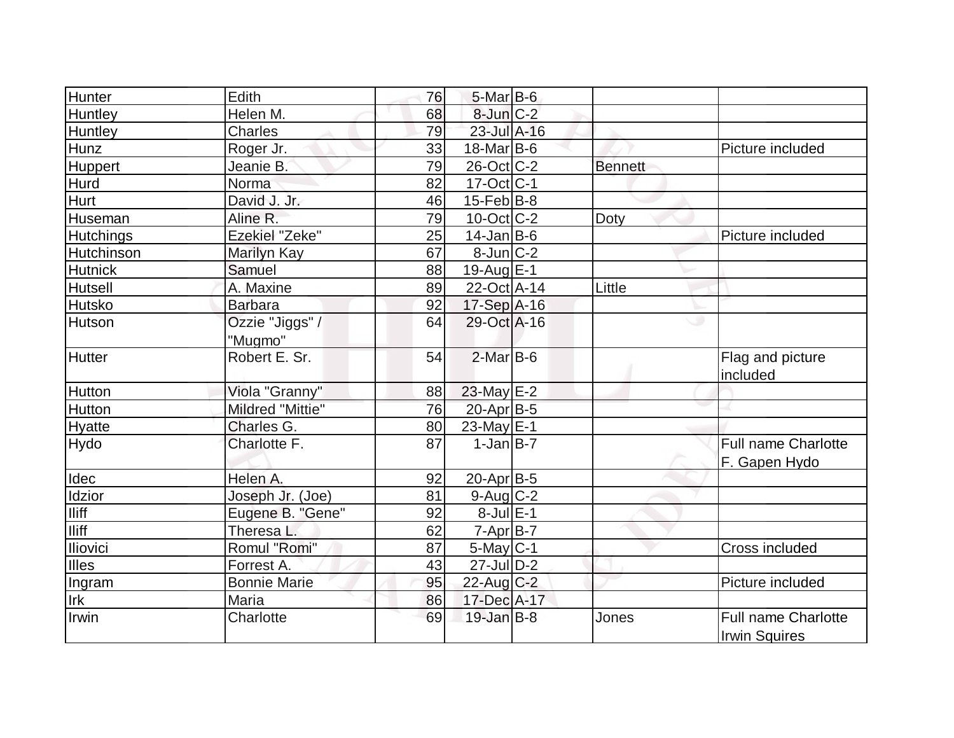| Hunter           | Edith                   | 76 | $5$ -Mar $B$ -6   |                |                            |
|------------------|-------------------------|----|-------------------|----------------|----------------------------|
| Huntley          | Helen M.                | 68 | 8-Jun C-2         |                |                            |
| Huntley          | <b>Charles</b>          | 79 | 23-Jul A-16       |                |                            |
| Hunz             | Roger Jr.               | 33 | $18$ -Mar $ B-6 $ |                | Picture included           |
| Huppert          | Jeanie B.               | 79 | $26$ -Oct $ C-2 $ | <b>Bennett</b> |                            |
| Hurd             | Norma                   | 82 | $17$ -Oct $ C-1 $ |                |                            |
| <b>Hurt</b>      | David J. Jr.            | 46 | $15$ -Feb $ B-8$  |                |                            |
| Huseman          | Aline R.                | 79 | $10$ -Oct $ C-2 $ | Doty           |                            |
| <b>Hutchings</b> | Ezekiel "Zeke"          | 25 | $14$ -Jan B-6     |                | Picture included           |
| Hutchinson       | Marilyn Kay             | 67 | $8$ -Jun $C-2$    |                |                            |
| <b>Hutnick</b>   | Samuel                  | 88 | $19$ -Aug $E-1$   |                |                            |
| <b>Hutsell</b>   | A. Maxine               | 89 | 22-Oct A-14       | Little         |                            |
| <b>Hutsko</b>    | <b>Barbara</b>          | 92 | 17-Sep A-16       |                |                            |
| <b>Hutson</b>    | Ozzie "Jiggs" /         | 64 | 29-Oct A-16       |                | ت                          |
|                  | "Mugmo"                 |    |                   |                |                            |
| <b>Hutter</b>    | Robert E. Sr.           | 54 | $2$ -Mar $B$ -6   |                | Flag and picture           |
|                  |                         |    |                   |                | included                   |
| <b>Hutton</b>    | Viola "Granny"          | 88 | $23$ -May $E-2$   |                |                            |
| <b>Hutton</b>    | <b>Mildred "Mittie"</b> | 76 | 20-Apr B-5        |                |                            |
| <b>Hyatte</b>    | Charles G.              | 80 | 23-May $E-1$      |                |                            |
| <b>Hydo</b>      | Charlotte F.            | 87 | $1$ -Jan $B$ -7   |                | <b>Full name Charlotte</b> |
|                  |                         |    |                   |                | F. Gapen Hydo              |
| Idec             | Helen A.                | 92 | 20-Apr B-5        |                |                            |
| Idzior           | Joseph Jr. (Joe)        | 81 | $9$ -Aug $C$ -2   |                |                            |
| Iliff            | Eugene B. "Gene"        | 92 | $8$ -Jul $E-1$    |                |                            |
| <b>Iliff</b>     | Theresa L.              | 62 | $7 - Apr$ B-7     |                |                            |
| Iliovici         | Romul "Romi"            | 87 | $5$ -May $C$ -1   |                | Cross included             |
| Illes            | Forrest A.              | 43 | $27$ -Jul $D-2$   |                |                            |
| Ingram           | <b>Bonnie Marie</b>     | 95 | 22-Aug C-2        |                | Picture included           |
| Irk              | Maria                   | 86 | 17-Dec A-17       |                |                            |
| Irwin            | Charlotte               | 69 | $19$ -Jan B-8     | Jones          | <b>Full name Charlotte</b> |
|                  |                         |    |                   |                | <b>Irwin Squires</b>       |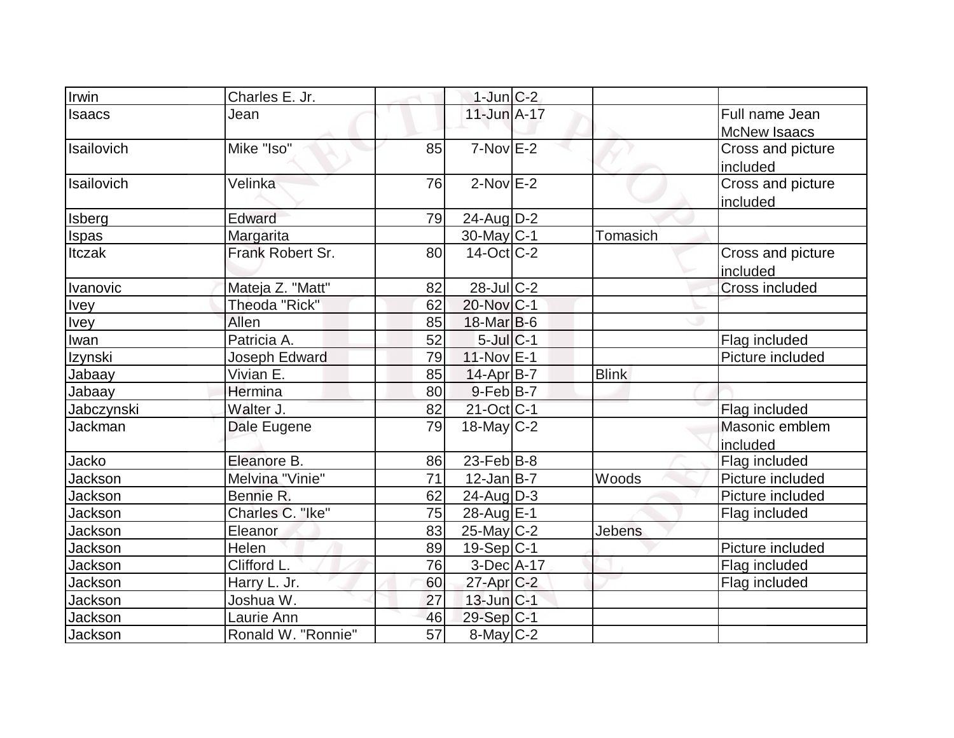| Irwin        | Charles E. Jr.     |                 | $1$ -Jun $C-2$    |              |                                       |
|--------------|--------------------|-----------------|-------------------|--------------|---------------------------------------|
| Isaacs       | Jean               |                 | $11$ -Jun $A-17$  |              | Full name Jean<br><b>McNew Isaacs</b> |
| Isailovich   | Mike "Iso"         | 85              | $7-Nov$ E-2       |              | Cross and picture<br>included         |
| Isailovich   | Velinka            | 76              | $2-NovE-2$        |              | Cross and picture<br>included         |
| Isberg       | Edward             | 79              | $24$ -Aug $D-2$   |              |                                       |
| <b>Ispas</b> | Margarita          |                 | 30-May C-1        | Tomasich     |                                       |
| Itczak       | Frank Robert Sr.   | 80 <sup>1</sup> | $14$ -Oct $ C-2 $ |              | Cross and picture<br>included         |
| Ivanovic     | Mateja Z. "Matt"   | 82              | $28$ -Jul $C-2$   |              | <b>Cross included</b>                 |
| <b>Ivey</b>  | Theoda "Rick"      | 62              | 20-Nov C-1        |              |                                       |
| <b>Ivey</b>  | Allen              | 85              | $18$ -Mar $ B-6 $ |              |                                       |
| Iwan         | Patricia A.        | 52              | $5$ -Jul $C-1$    |              | Flag included                         |
| Izynski      | Joseph Edward      | 79              | 11-Nov E-1        |              | Picture included                      |
| Jabaay       | Vivian E.          | 85              | 14-Apr B-7        | <b>Blink</b> |                                       |
| Jabaay       | Hermina            | 80              | $9-Feb$ B-7       |              |                                       |
| Jabczynski   | Walter J.          | 82              | $21-Oct$ C-1      |              | Flag included                         |
| Jackman      | Dale Eugene        | 79              | $18$ -May C-2     |              | Masonic emblem<br>included            |
| Jacko        | Eleanore B.        | 86              | $23$ -Feb $ B-8 $ |              | Flag included                         |
| Jackson      | Melvina "Vinie"    | 71              | $12$ -Jan B-7     | Woods        | Picture included                      |
| Jackson      | Bennie R.          | 62              | $24$ -Aug $D-3$   |              | Picture included                      |
| Jackson      | Charles C. "Ike"   | 75              | 28-Aug E-1        |              | Flag included                         |
| Jackson      | Eleanor            | 83              | $25$ -May C-2     | Jebens       |                                       |
| Jackson      | Helen              | 89              | $19-Sep C-1$      |              | Picture included                      |
| Jackson      | Clifford L.        | 76              | 3-Dec A-17        |              | Flag included                         |
| Jackson      | Harry L. Jr.       | 60              | $27$ -Apr $C-2$   |              | Flag included                         |
| Jackson      | Joshua W.          | 27              | $13$ -Jun $ C-1 $ |              |                                       |
| Jackson      | Laurie Ann         | 46              | $29-Sep C-1$      |              |                                       |
| Jackson      | Ronald W. "Ronnie" | 57              | 8-May C-2         |              |                                       |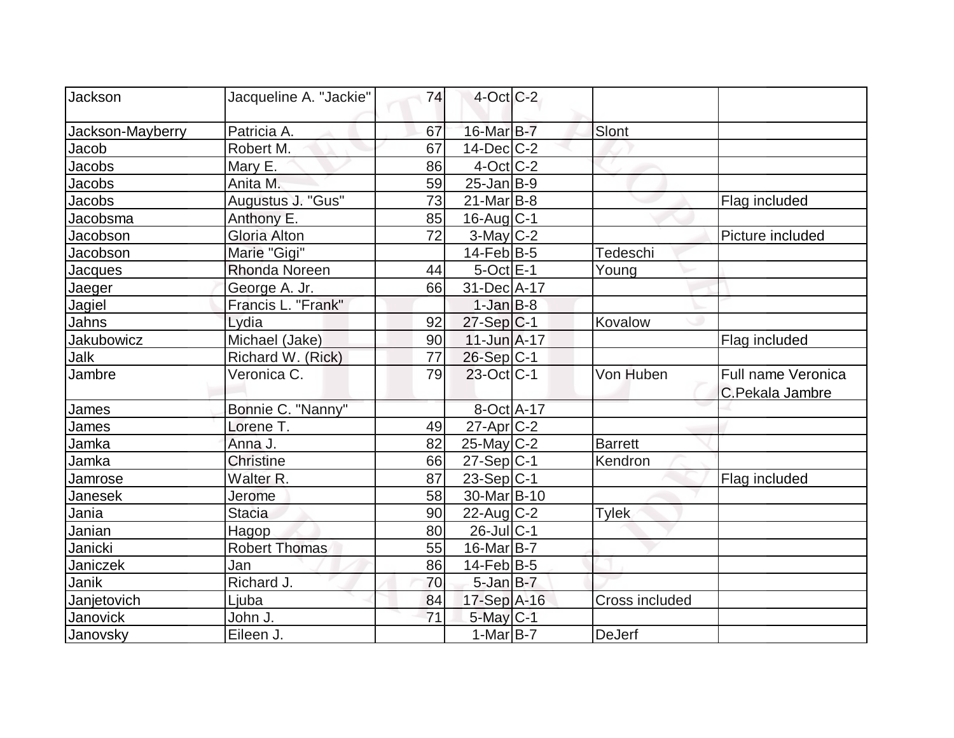| Jackson           | Jacqueline A. "Jackie" | 74 | $4$ -Oct C-2            |                       |                                       |
|-------------------|------------------------|----|-------------------------|-----------------------|---------------------------------------|
| Jackson-Mayberry  | Patricia A.            | 67 | 16-Mar B-7              | Slont                 |                                       |
| Jacob             | Robert M.              | 67 | $14$ -Dec $C-2$         |                       |                                       |
| Jacobs            | Mary E.                | 86 | $4$ -Oct $ C-2 $        |                       |                                       |
| Jacobs            | Anita M.               | 59 | $25$ -Jan B-9           |                       |                                       |
| Jacobs            | Augustus J. "Gus"      | 73 | $21$ -Mar $ B-8$        |                       | Flag included                         |
| Jacobsma          | Anthony E.             | 85 | $16$ -Aug $C-1$         |                       |                                       |
| Jacobson          | <b>Gloria Alton</b>    | 72 | $3-May$ $C-2$           |                       | Picture included                      |
| Jacobson          | Marie "Gigi"           |    | $14$ -Feb $ B-5 $       | Tedeschi              |                                       |
| Jacques           | Rhonda Noreen          | 44 | $5$ -Oct $E-1$          | Young                 |                                       |
| Jaeger            | George A. Jr.          | 66 | 31-Dec A-17             |                       |                                       |
| Jagiel            | Francis L. "Frank"     |    | $1-Jan$ $B-8$           |                       |                                       |
| Jahns             | Lydia                  | 92 | $27-Sep C-1$            | Kovalow               |                                       |
| <b>Jakubowicz</b> | Michael (Jake)         | 90 | $11$ -Jun $A$ -17       |                       | Flag included                         |
| Jalk              | Richard W. (Rick)      | 77 | $26-Sep C-1$            |                       |                                       |
| Jambre            | Veronica C.            | 79 | $23$ -Oct C-1           | Von Huben             | Full name Veronica<br>C.Pekala Jambre |
| James             | Bonnie C. "Nanny"      |    | 8-Oct A-17              |                       |                                       |
| James             | Lorene T.              | 49 | $27$ -Apr $ C-2 $       |                       |                                       |
| Jamka             | Anna J.                | 82 | $25$ -May C-2           | <b>Barrett</b>        |                                       |
| Jamka             | <b>Christine</b>       | 66 | $27-Sep C-1$            | Kendron               |                                       |
| Jamrose           | Walter R.              | 87 | $23-Sep C-1$            |                       | Flag included                         |
| Janesek           | Jerome                 | 58 | 30-Mar <sub>B</sub> -10 |                       |                                       |
| Jania             | Stacia                 | 90 | $22$ -Aug C-2           | <b>Tylek</b>          |                                       |
| Janian            | Hagop                  | 80 | $26$ -Jul $C-1$         |                       |                                       |
| Janicki           | <b>Robert Thomas</b>   | 55 | $16$ -Mar $ B-7 $       |                       |                                       |
| Janiczek          | Jan                    | 86 | $14$ -Feb $ B-5$        |                       |                                       |
| Janik             | Richard J.             | 70 | $5$ -Jan $B-7$          |                       |                                       |
| Janjetovich       | Ljuba                  | 84 | 17-Sep A-16             | <b>Cross included</b> |                                       |
| Janovick          | John J.                | 71 | $5$ -May $C-1$          |                       |                                       |
| Janovsky          | Eileen J.              |    | 1-Mar $B-7$             | DeJerf                |                                       |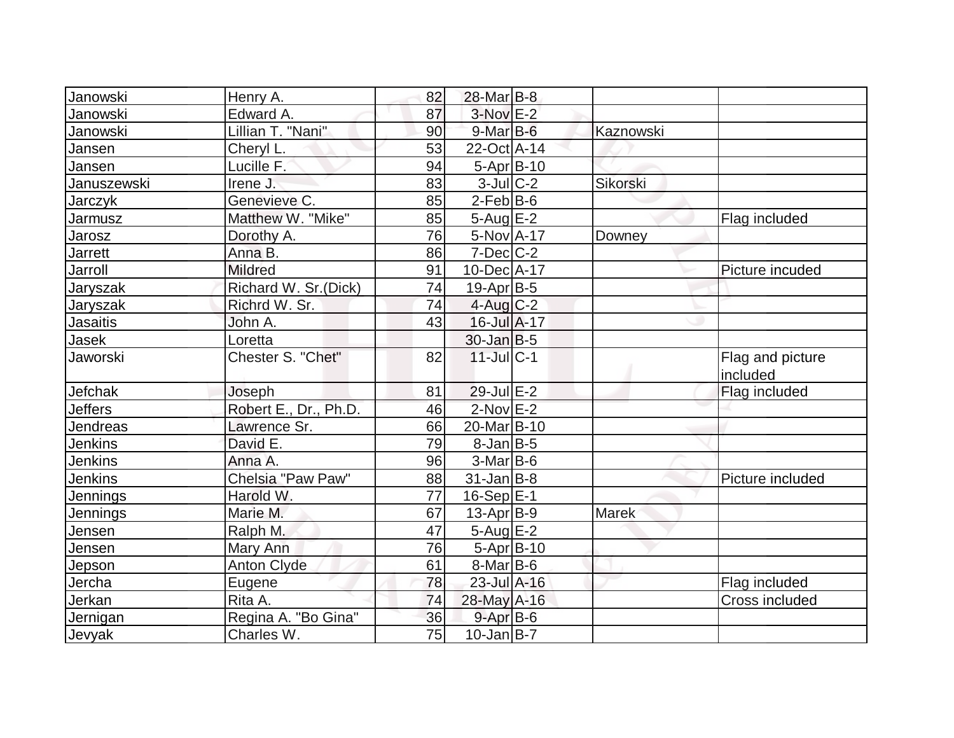| Janowski        | Henry A.              | 82 | $28$ -Mar $B$ -8  |           |                              |
|-----------------|-----------------------|----|-------------------|-----------|------------------------------|
| Janowski        | Edward A.             | 87 | $3-Nov$ $E-2$     |           |                              |
| Janowski        | Lillian T. "Nani"     | 90 | $9$ -Mar $B$ -6   | Kaznowski |                              |
| Jansen          | Cheryl L.             | 53 | 22-Oct A-14       |           |                              |
| Jansen          | Lucille F.            | 94 | $5-Apr B-10$      |           |                              |
| Januszewski     | Irene J.              | 83 | $3$ -Jul $C-2$    | Sikorski  |                              |
| Jarczyk         | Genevieve C.          | 85 | $2$ -Feb $ B-6 $  |           |                              |
| Jarmusz         | Matthew W. "Mike"     | 85 | $5 - Aug$ E-2     |           | Flag included                |
| <b>Jarosz</b>   | Dorothy A.            | 76 | 5-Nov A-17        | Downey    |                              |
| Jarrett         | Anna B.               | 86 | $7$ -Dec $C$ -2   |           |                              |
| Jarroll         | <b>Mildred</b>        | 91 | 10-Dec A-17       |           | Picture incuded              |
| Jaryszak        | Richard W. Sr.(Dick)  | 74 | 19-Apr B-5        |           |                              |
| Jaryszak        | Richrd W. Sr.         | 74 | $4$ -Aug $C-2$    |           |                              |
| Jasaitis        | John A.               | 43 | 16-Jul A-17       |           |                              |
| Jasek           | Loretta               |    | $30 - Jan$ $B-5$  |           |                              |
| Jaworski        | Chester S. "Chet"     | 82 | $11$ -Jul $ C-1 $ |           | Flag and picture<br>included |
| Jefchak         | Joseph                | 81 | $29$ -Jul $E-2$   |           | Flag included                |
| <b>Jeffers</b>  | Robert E., Dr., Ph.D. | 46 | $2$ -Nov $E-2$    |           |                              |
| Jendreas        | Lawrence Sr.          | 66 | 20-Mar B-10       |           |                              |
| <b>Jenkins</b>  | David E.              | 79 | $8$ -Jan B-5      |           |                              |
| <b>Jenkins</b>  | Anna A.               | 96 | $3-Mar$ B-6       |           |                              |
| <b>Jenkins</b>  | Chelsia "Paw Paw"     | 88 | $31$ -Jan $ B-8 $ |           | Picture included             |
| Jennings        | Harold W.             | 77 | $16-Sep$ E-1      |           |                              |
| <b>Jennings</b> | Marie M.              | 67 | $13$ -Apr $ B-9 $ | Marek     |                              |
| <u>Jensen</u>   | Ralph M.              | 47 | $5 - Aug$ E-2     |           |                              |
| Jensen          | Mary Ann              | 76 | $5-Apr B-10$      |           |                              |
| Jepson          | <b>Anton Clyde</b>    | 61 | $8$ -Mar $ B$ -6  |           |                              |
| Jercha          | Eugene                | 78 | 23-Jul A-16       |           | Flag included                |
| Jerkan          | Rita A.               | 74 | 28-May A-16       |           | <b>Cross included</b>        |
| Jernigan        | Regina A. "Bo Gina"   | 36 | $9 - Apr$ B-6     |           |                              |
| Jevyak          | Charles W.            | 75 | $10$ -Jan B-7     |           |                              |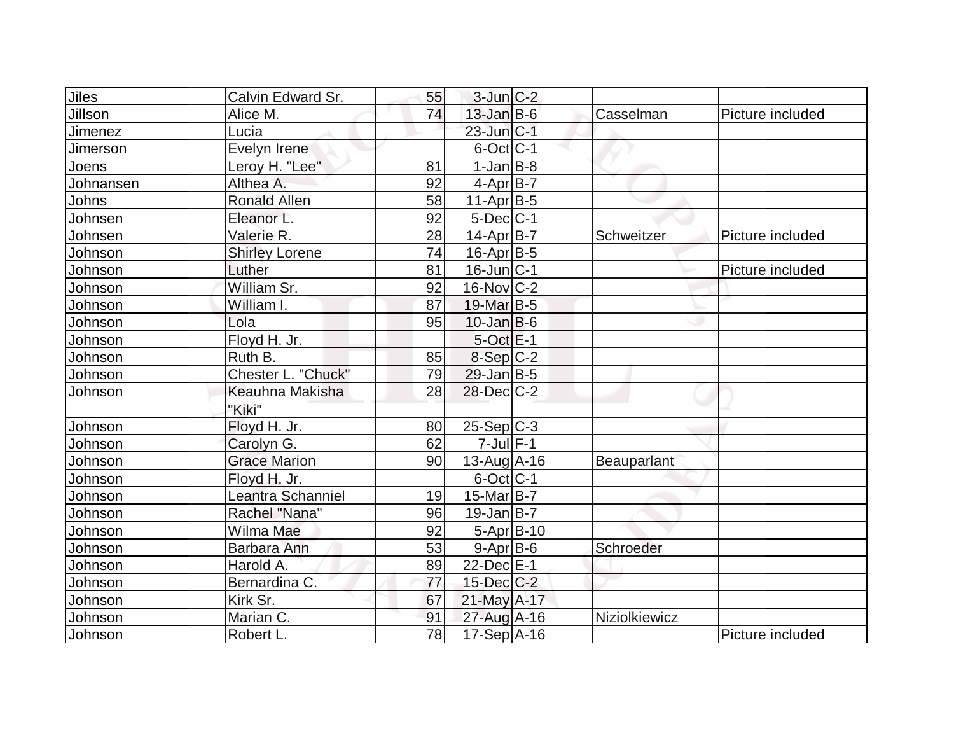| <b>Jiles</b> | Calvin Edward Sr.     | 55 | $3$ -Jun $ C-2 $  |               |                  |
|--------------|-----------------------|----|-------------------|---------------|------------------|
| Jillson      | Alice M.              | 74 | $13$ -Jan B-6     | Casselman     | Picture included |
| Jimenez      | Lucia                 |    | $23$ -Jun $ C-1 $ |               |                  |
| Jimerson     | Evelyn Irene          |    | $6$ -Oct $ C-1 $  |               |                  |
| Joens        | Leroy H. "Lee"        | 81 | $1-Jan$ B-8       |               |                  |
| Johnansen    | Althea A.             | 92 | $4-Apr B-7$       |               |                  |
| Johns        | <b>Ronald Allen</b>   | 58 | $11-Apr B-5$      |               |                  |
| Johnsen      | Eleanor L.            | 92 | $5$ -Dec $C-1$    |               |                  |
| Johnsen      | Valerie R.            | 28 | 14-Apr B-7        | Schweitzer    | Picture included |
| Johnson      | <b>Shirley Lorene</b> | 74 | $16$ -Apr $ B-5 $ |               |                  |
| Johnson      | Luther                | 81 | $16$ -Jun $ C-1$  |               | Picture included |
| Johnson      | William Sr.           | 92 | $16$ -Nov $ C-2 $ |               |                  |
| Johnson      | William I.            | 87 | 19-Mar B-5        |               |                  |
| Johnson      | Lola                  | 95 | $10$ -Jan $ B-6 $ |               |                  |
| Johnson      | Floyd H. Jr.          |    | $5-OctE-1$        |               |                  |
| Johnson      | Ruth B.               | 85 | 8-Sep C-2         |               |                  |
| Johnson      | Chester L. "Chuck"    | 79 | $29$ -Jan B-5     |               |                  |
| Johnson      | Keauhna Makisha       | 28 | $28$ -Dec $C-2$   |               |                  |
|              | "Kiki"                |    |                   |               |                  |
| Johnson      | Floyd H. Jr.          | 80 | $25-Sep C-3$      |               |                  |
| Johnson      | Carolyn G.            | 62 | $7$ -Jul $F-1$    |               |                  |
| Johnson      | <b>Grace Marion</b>   | 90 | $13$ -Aug $A$ -16 | Beauparlant   |                  |
| Johnson      | Floyd H. Jr.          |    | $6$ -Oct $ C-1 $  |               |                  |
| Johnson      | Leantra Schanniel     | 19 | $15$ -Mar $ B-7 $ |               |                  |
| Johnson      | Rachel "Nana"         | 96 | $19$ -Jan B-7     |               |                  |
| Johnson      | Wilma Mae             | 92 | $5-Apr$ B-10      |               |                  |
| Johnson      | Barbara Ann           | 53 | $9-Apr$ B-6       | Schroeder     |                  |
| Johnson      | Harold A.             | 89 | $22$ -Dec $E-1$   |               |                  |
| Johnson      | Bernardina C.         | 77 | $15$ -Dec $C-2$   |               |                  |
| Johnson      | Kirk Sr.              | 67 | 21-May A-17       |               |                  |
| Johnson      | Marian C.             | 91 | $27$ -Aug A-16    | Niziolkiewicz |                  |
| Johnson      | Robert L.             | 78 | 17-Sep A-16       |               | Picture included |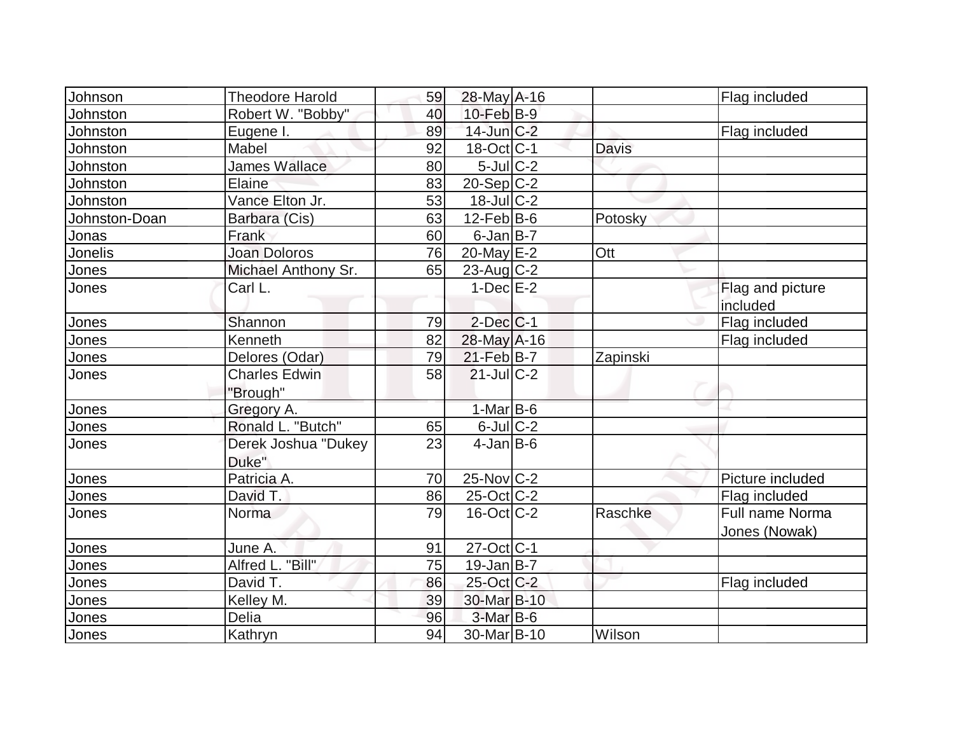| Johnson       | <b>Theodore Harold</b>           | 59 | 28-May A-16             |              | Flag included                    |
|---------------|----------------------------------|----|-------------------------|--------------|----------------------------------|
| Johnston      | Robert W. "Bobby"                | 40 | $10$ -Feb $B-9$         |              |                                  |
| Johnston      | Eugene I.                        | 89 | $14$ -Jun $C-2$         |              | Flag included                    |
| Johnston      | Mabel                            | 92 | $18-Oct$ <sub>C-1</sub> | <b>Davis</b> |                                  |
| Johnston      | <b>James Wallace</b>             | 80 | $5$ -Jul $C-2$          |              |                                  |
| Johnston      | Elaine                           | 83 | $20-Sep C-2$            |              |                                  |
| Johnston      | Vance Elton Jr.                  | 53 | $18$ -Jul $C-2$         |              |                                  |
| Johnston-Doan | Barbara (Cis)                    | 63 | $12$ -Feb $ B-6$        | Potosky      |                                  |
| Jonas         | Frank                            | 60 | $6$ -Jan $B$ -7         |              |                                  |
| Jonelis       | <b>Joan Doloros</b>              | 76 | $20$ -May $E-2$         | Ott          |                                  |
| Jones         | Michael Anthony Sr.              | 65 | $23$ -Aug C-2           |              |                                  |
| Jones         | Carl L.                          |    | $1-Dec$ $E-2$           |              | Flag and picture<br>included     |
| Jones         | Shannon                          | 79 | $2$ -Dec $ C-1$         |              | Flag included                    |
| Jones         | Kenneth                          | 82 | 28-May A-16             |              | Flag included                    |
| Jones         | Delores (Odar)                   | 79 | $21$ -Feb $B$ -7        | Zapinski     |                                  |
| Jones         | <b>Charles Edwin</b><br>"Brough" | 58 | $21$ -JulC-2            |              |                                  |
| Jones         | Gregory A.                       |    | $1-Mar$ B-6             |              |                                  |
| Jones         | Ronald L. "Butch"                | 65 | $6$ -Jul $C-2$          |              |                                  |
| Jones         | Derek Joshua "Dukey<br>Duke"     | 23 | $4$ -Jan $B$ -6         |              |                                  |
| Jones         | Patricia A.                      | 70 | $25$ -Nov $C-2$         |              | Picture included                 |
| Jones         | David T.                         | 86 | $25$ -Oct C-2           |              | Flag included                    |
| Jones         | Norma                            | 79 | $16$ -Oct $ C-2 $       | Raschke      | Full name Norma<br>Jones (Nowak) |
| Jones         | June A.                          | 91 | $27$ -Oct C-1           |              |                                  |
| Jones         | Alfred L. "Bill"                 | 75 | $19$ -Jan B-7           |              |                                  |
| <b>Jones</b>  | David T.                         | 86 | 25-Oct C-2              |              | Flag included                    |
| Jones         | Kelley M.                        | 39 | 30-Mar B-10             |              |                                  |
| Jones         | Delia                            | 96 | $3-Mar$ B-6             |              |                                  |
| Jones         | Kathryn                          | 94 | 30-Mar <sub>B</sub> -10 | Wilson       |                                  |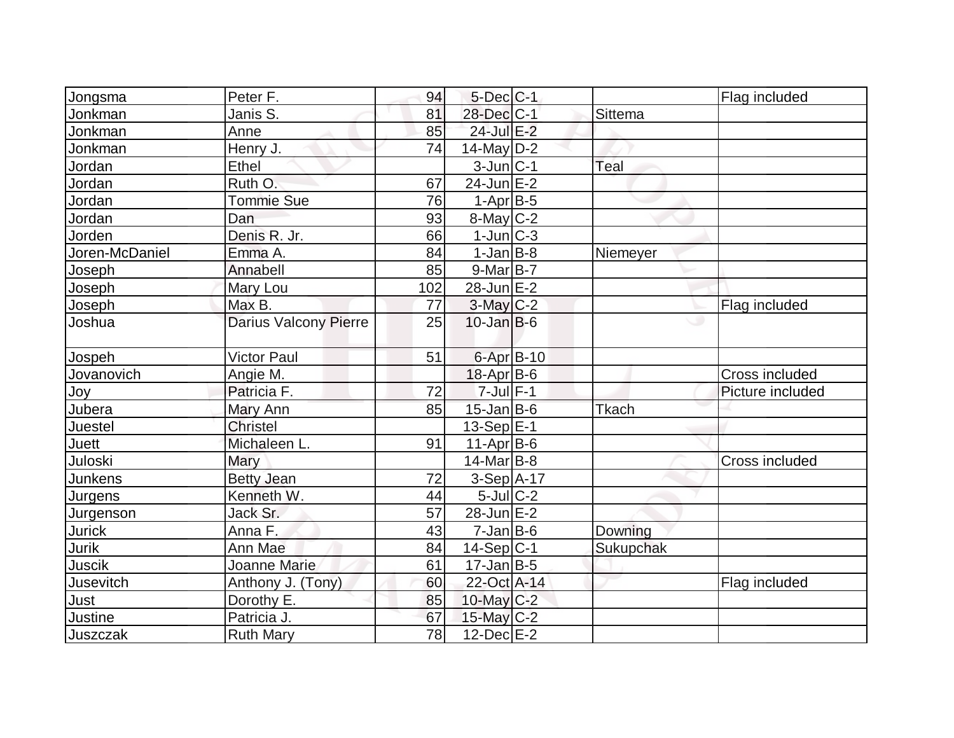| Jongsma        | Peter F.                     | 94  | $5$ -Dec $C$ -1   |              | Flag included    |
|----------------|------------------------------|-----|-------------------|--------------|------------------|
| Jonkman        | Janis S.                     | 81  | 28-Dec C-1        | Sittema      |                  |
| Jonkman        | Anne                         | 85  | 24-Jul E-2        |              |                  |
| Jonkman        | Henry J.                     | 74  | $14$ -May D-2     |              |                  |
| Jordan         | Ethel                        |     | $3$ -Jun $ C-1 $  | Teal         |                  |
| Jordan         | Ruth O.                      | 67  | $24$ -Jun $E-2$   |              |                  |
| Jordan         | <b>Tommie Sue</b>            | 76  | $1-Apr B-5$       |              |                  |
| Jordan         | Dan                          | 93  | $8$ -May $C-2$    |              |                  |
| Jorden         | Denis R. Jr.                 | 66  | $1$ -Jun $ C-3 $  |              |                  |
| Joren-McDaniel | Emma A.                      | 84  | $1-Jan$ B-8       | Niemeyer     |                  |
| Joseph         | Annabell                     | 85  | $9$ -Mar $ B-7 $  |              |                  |
| Joseph         | Mary Lou                     | 102 | $28$ -Jun $E-2$   |              |                  |
| Joseph         | Max B.                       | 77  | 3-May C-2         |              | Flag included    |
| Joshua         | <b>Darius Valcony Pierre</b> | 25  | $10$ -Jan $ B-6 $ |              | w                |
|                |                              |     |                   |              |                  |
| Jospeh         | <b>Victor Paul</b>           | 51  | 6-Apr B-10        |              |                  |
| Jovanovich     | Angie M.                     |     | $18$ -Apr $ B$ -6 |              | Cross included   |
| Joy            | Patricia F.                  | 72  | $7$ -Jul $F-1$    |              | Picture included |
| Jubera         | Mary Ann                     | 85  | $15$ -Jan B-6     | <b>Tkach</b> |                  |
| Juestel        | <b>Christel</b>              |     | $13-Sep$ $E-1$    |              |                  |
| <b>Juett</b>   | Michaleen L.                 | 91  | $11-Apr B-6$      |              |                  |
| Juloski        | Mary                         |     | $14$ -Mar $ B-8 $ |              | Cross included   |
| <b>Junkens</b> | <b>Betty Jean</b>            | 72  | $3-Sep$ A-17      |              |                  |
| Jurgens        | Kenneth W.                   | 44  | $5$ -Jul $C-2$    |              |                  |
| Jurgenson      | Jack Sr.                     | 57  | $28$ -Jun $E-2$   |              |                  |
| <b>Jurick</b>  | Anna F.                      | 43  | $7$ -Jan $ B$ -6  | Downing      |                  |
| Jurik          | Ann Mae                      | 84  | $14-Sep C-1$      | Sukupchak    |                  |
| <b>Juscik</b>  | Joanne Marie                 | 61  | $17$ -Jan $ B-5 $ |              |                  |
| Jusevitch      | Anthony J. (Tony)            | 60  | 22-Oct A-14       |              | Flag included    |
| Just           | Dorothy E.                   | 85  | $10$ -May C-2     |              |                  |
| <b>Justine</b> | Patricia J.                  | 67  | $15$ -May C-2     |              |                  |
| Juszczak       | <b>Ruth Mary</b>             | 78  | $12$ -Dec $E-2$   |              |                  |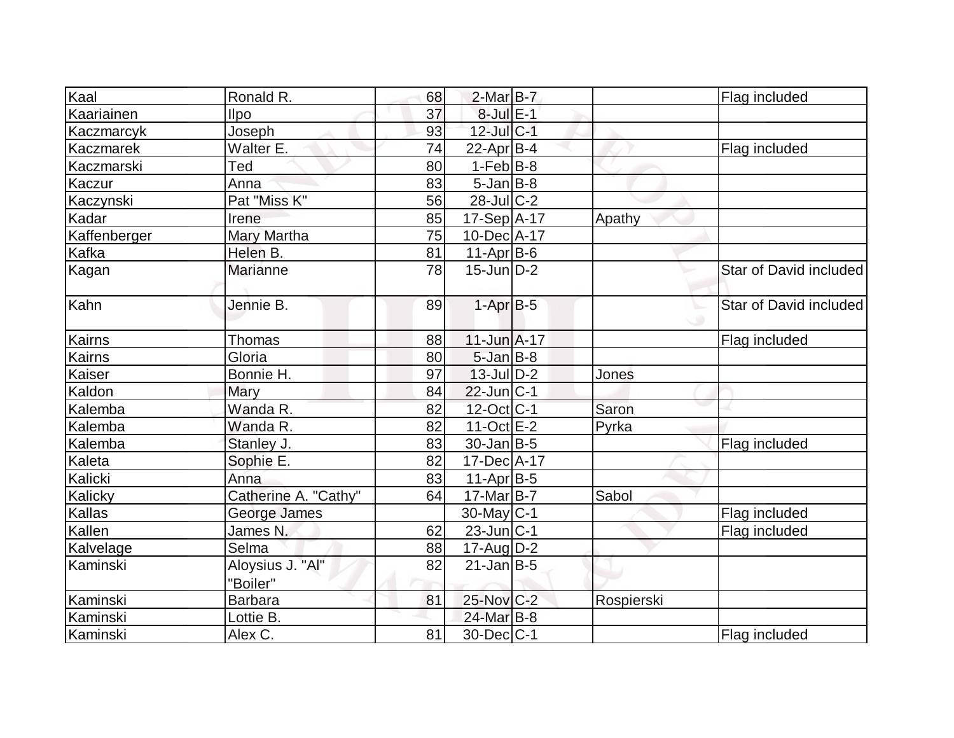| Kaal         | Ronald R.            | 68 | $2$ -Mar $B$ -7   |            | Flag included          |
|--------------|----------------------|----|-------------------|------------|------------------------|
| Kaariainen   | <b>Ilpo</b>          | 37 | $8$ -Jul $E-1$    |            |                        |
| Kaczmarcyk   | Joseph               | 93 | 12-Jul C-1        |            |                        |
| Kaczmarek    | Walter E.            | 74 |                   |            |                        |
|              |                      |    | $22$ -Apr $B-4$   |            | Flag included          |
| Kaczmarski   | Ted                  | 80 | $1-Feb B-8$       |            |                        |
| Kaczur       | Anna                 | 83 | $5 - Jan$ $B-8$   |            |                        |
| Kaczynski    | Pat "Miss K"         | 56 | $28$ -JulC-2      |            |                        |
| Kadar        | Irene                | 85 | $17-Sep$ A-17     | Apathy     |                        |
| Kaffenberger | Mary Martha          | 75 | 10-Dec A-17       |            |                        |
| Kafka        | Helen B.             | 81 | $11-Apr B-6$      |            |                        |
| Kagan        | <b>Marianne</b>      | 78 | $15$ -Jun $ D-2 $ |            | Star of David included |
| Kahn         | Jennie B.            | 89 | $1-AprB-5$        |            | Star of David included |
| Kairns       | <b>Thomas</b>        | 88 | $11$ -Jun $A$ -17 |            | Flag included          |
| Kairns       | Gloria               | 80 | $5$ -Jan $B$ -8   |            |                        |
| Kaiser       | Bonnie H.            | 97 | $13$ -Jul $D-2$   | Jones      |                        |
| Kaldon       | Mary                 | 84 | $22$ -Jun $ C-1 $ |            |                        |
| Kalemba      | Wanda R.             | 82 | 12-Oct C-1        | Saron      |                        |
| Kalemba      | Wanda R.             | 82 | $11-Oct \tE-2$    | Pyrka      |                        |
| Kalemba      | Stanley J.           | 83 | $30$ -Jan $ B-5 $ |            | Flag included          |
| Kaleta       | Sophie E.            | 82 | 17-Dec A-17       |            |                        |
| Kalicki      | Anna                 | 83 | $11-Apr B-5$      |            |                        |
| Kalicky      | Catherine A. "Cathy" | 64 | $17-Mar$ B-7      | Sabol      |                        |
| Kallas       | George James         |    | $30$ -May C-1     |            | Flag included          |
| Kallen       | James N.             | 62 | $23$ -Jun $ C-1 $ |            | Flag included          |
| Kalvelage    | Selma                | 88 | $17$ -Aug $D-2$   |            |                        |
| Kaminski     | Aloysius J. "Al"     | 82 | $21$ -Jan B-5     |            |                        |
|              | "Boiler"             |    |                   |            |                        |
| Kaminski     | <b>Barbara</b>       | 81 | 25-Nov C-2        | Rospierski |                        |
| Kaminski     | Lottie B.            |    | 24-Mar B-8        |            |                        |
| Kaminski     | Alex C.              | 81 | $30$ -Dec $ C-1 $ |            | Flag included          |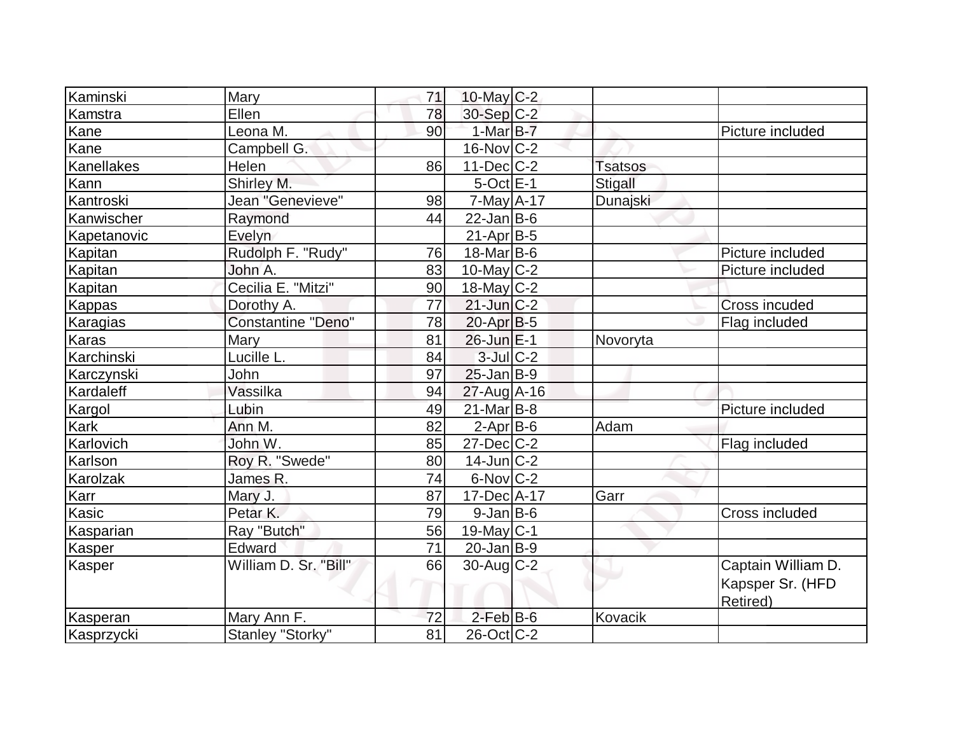| Kaminski        | Mary                  | 71 | 10-May $C-2$      |                |                                                    |
|-----------------|-----------------------|----|-------------------|----------------|----------------------------------------------------|
| Kamstra         | Ellen                 | 78 | 30-Sep C-2        |                |                                                    |
| Kane            | Leona M.              | 90 | $1-MarB-7$        |                | Picture included                                   |
| Kane            | Campbell G.           |    | $16$ -Nov $ C-2 $ |                |                                                    |
| Kanellakes      | Helen                 | 86 | $11$ -Dec $ C-2 $ | <b>Tsatsos</b> |                                                    |
| Kann            | Shirley M.            |    | $5$ -Oct $E-1$    | Stigall        |                                                    |
| Kantroski       | Jean "Genevieve"      | 98 | $7$ -May $A$ -17  | Dunajski       |                                                    |
| Kanwischer      | Raymond               | 44 | $22$ -Jan B-6     |                |                                                    |
| Kapetanovic     | Evelyn                |    | $21-Apr$ B-5      |                |                                                    |
| Kapitan         | Rudolph F. "Rudy"     | 76 | $18$ -Mar $ B-6 $ |                | Picture included                                   |
| <b>Kapitan</b>  | John A.               | 83 | $10$ -May $ C-2 $ |                | Picture included                                   |
| Kapitan         | Cecilia E. "Mitzi"    | 90 | $18$ -May C-2     |                |                                                    |
| Kappas          | Dorothy A.            | 77 | $21$ -Jun $C-2$   |                | Cross incuded                                      |
| <b>Karagias</b> | Constantine "Deno"    | 78 | 20-Apr B-5        |                | Flag included                                      |
| <b>Karas</b>    | Mary                  | 81 | 26-Jun E-1        | Novoryta       |                                                    |
| Karchinski      | Lucille L.            | 84 | $3$ -Jul $C-2$    |                |                                                    |
| Karczynski      | John                  | 97 | $25$ -Jan B-9     |                |                                                    |
| Kardaleff       | Vassilka              | 94 | $27$ -Aug $A$ -16 |                |                                                    |
| Kargol          | Lubin                 | 49 | $21$ -Mar $B$ -8  |                | Picture included                                   |
| Kark            | Ann M.                | 82 | $2-Apr$ B-6       | Adam           |                                                    |
| Karlovich       | John W.               | 85 | $27$ -Dec $ C-2 $ |                | Flag included                                      |
| Karlson         | Roy R. "Swede"        | 80 | $14$ -Jun $ C-2 $ |                |                                                    |
| Karolzak        | James R.              | 74 | $6$ -Nov $ C-2 $  |                |                                                    |
| Karr            | Mary J.               | 87 | 17-Dec A-17       | Garr           |                                                    |
| Kasic           | Petar K.              | 79 | $9$ -Jan B-6      |                | <b>Cross included</b>                              |
| Kasparian       | Ray "Butch"           | 56 | 19-May C-1        |                |                                                    |
| Kasper          | Edward                | 71 | $20$ -Jan $B-9$   |                |                                                    |
| Kasper          | William D. Sr. "Bill" | 66 | $30$ -Aug C-2     |                | Captain William D.<br>Kapsper Sr. (HFD<br>Retired) |
| Kasperan        | Mary Ann F.           | 72 | $2$ -Feb $B$ -6   | Kovacik        |                                                    |
| Kasprzycki      | Stanley "Storky"      | 81 | $26$ -Oct $ C-2 $ |                |                                                    |
|                 |                       |    |                   |                |                                                    |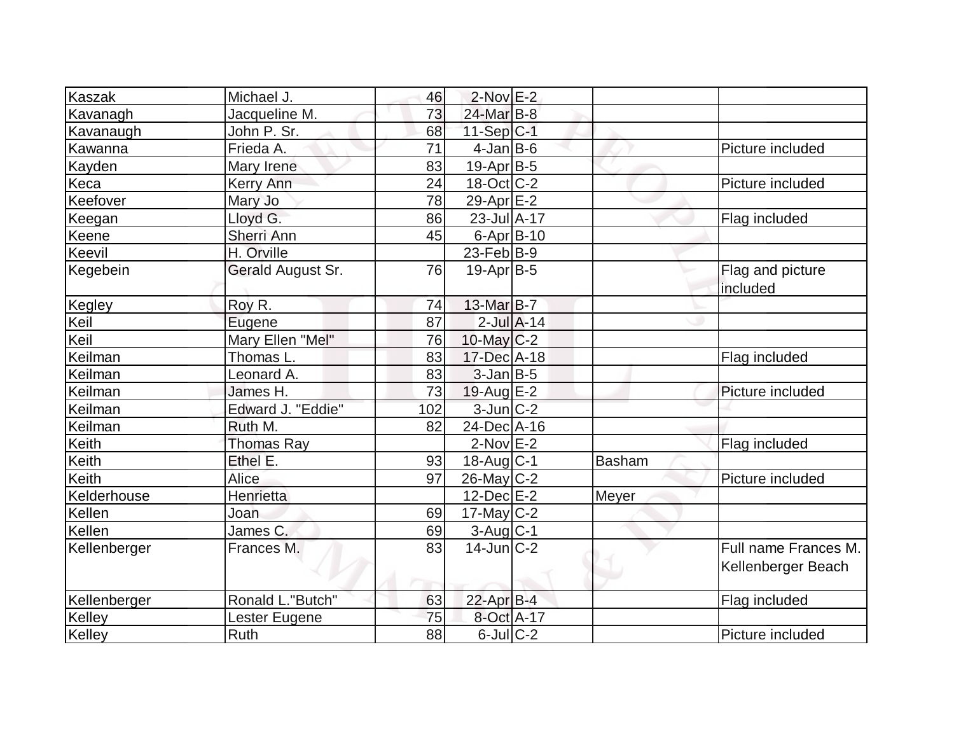| Kaszak                | Michael J.        | 46  | $2$ -Nov $E-2$    |                 |        |                              |
|-----------------------|-------------------|-----|-------------------|-----------------|--------|------------------------------|
|                       | Jacqueline M.     | 73  | 24-Mar B-8        |                 |        |                              |
| Kavanagh<br>Kavanaugh | John P. Sr.       | 68  | $11-Sep C-1$      |                 |        |                              |
| Kawanna               | Frieda A.         | 71  | $4$ -Jan $B$ -6   |                 |        | Picture included             |
|                       |                   | 83  |                   |                 |        |                              |
| Kayden                | Mary Irene        |     | $19-Apr B-5$      |                 |        |                              |
| Keca                  | Kerry Ann         | 24  | $18$ -Oct $ C-2 $ |                 |        | Picture included             |
| Keefover              | Mary Jo           | 78  | 29-Apr $E-2$      |                 |        |                              |
| Keegan                | Lloyd G.          | 86  | 23-Jul A-17       |                 |        | Flag included                |
| Keene                 | Sherri Ann        | 45  | 6-Apr B-10        |                 |        |                              |
| Keevil                | H. Orville        |     | $23$ -Feb $ B-9 $ |                 |        |                              |
| Kegebein              | Gerald August Sr. | 76  | $19-Apr B-5$      |                 |        | Flag and picture<br>included |
| Kegley                | Roy R.            | 74  | 13-Mar B-7        |                 |        |                              |
| Keil                  | Eugene            | 87  |                   | $2$ -Jul $A-14$ |        |                              |
| Keil                  | Mary Ellen "Mel"  | 76  | 10-May $C-2$      |                 |        |                              |
| Keilman               | Thomas L.         | 83  | 17-Dec A-18       |                 |        | Flag included                |
| Keilman               | Leonard A.        | 83  | $3$ -Jan $B$ -5   |                 |        |                              |
| Keilman               | James H.          | 73  | $19$ -Aug $E-2$   |                 |        | Picture included             |
| Keilman               | Edward J. "Eddie" | 102 | $3$ -Jun $C-2$    |                 |        |                              |
| Keilman               | Ruth M.           | 82  | 24-Dec A-16       |                 |        |                              |
| Keith                 | <b>Thomas Ray</b> |     | $2$ -Nov $E-2$    |                 |        | Flag included                |
| Keith                 | Ethel E.          | 93  | $18$ -Aug $C-1$   |                 | Basham |                              |
| Keith                 | Alice             | 97  | $26$ -May C-2     |                 |        | Picture included             |
| Kelderhouse           | Henrietta         |     | $12$ -Dec $E-2$   |                 | Meyer  |                              |
| Kellen                | Joan              | 69  | $17$ -May C-2     |                 |        |                              |
| Kellen                | James C.          | 69  | 3-Aug C-1         |                 |        |                              |
| Kellenberger          | Frances M.        | 83  | $14$ -Jun $C-2$   |                 |        | Full name Frances M.         |
|                       |                   |     |                   |                 |        | Kellenberger Beach           |
| Kellenberger          | Ronald L."Butch"  | 63  | $22$ -Apr $B-4$   |                 |        | Flag included                |
| Kelley                | Lester Eugene     | 75  | 8-Oct A-17        |                 |        |                              |
| Kelley                | Ruth              | 88  | $6$ -Jul $C$ -2   |                 |        | Picture included             |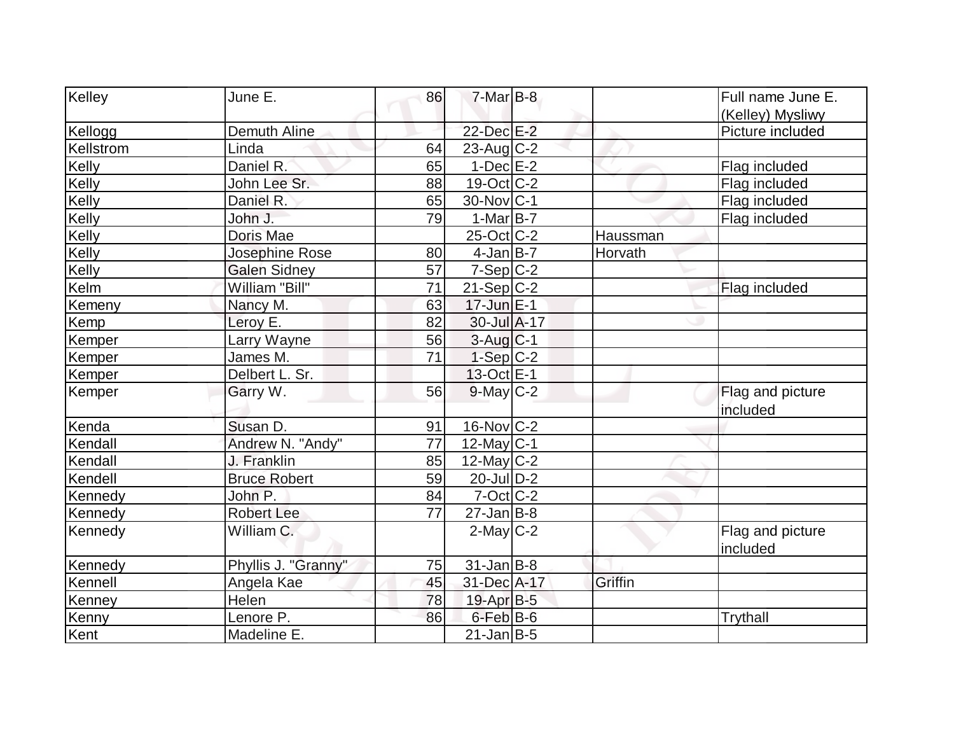|                     |                                                                                 |                      |                                                                                                                                                                                                                                                                                                                                                                                                                                                                                                                    | Full name June E. |
|---------------------|---------------------------------------------------------------------------------|----------------------|--------------------------------------------------------------------------------------------------------------------------------------------------------------------------------------------------------------------------------------------------------------------------------------------------------------------------------------------------------------------------------------------------------------------------------------------------------------------------------------------------------------------|-------------------|
|                     |                                                                                 |                      |                                                                                                                                                                                                                                                                                                                                                                                                                                                                                                                    | (Kelley) Mysliwy  |
|                     |                                                                                 |                      |                                                                                                                                                                                                                                                                                                                                                                                                                                                                                                                    | Picture included  |
|                     |                                                                                 |                      |                                                                                                                                                                                                                                                                                                                                                                                                                                                                                                                    |                   |
|                     |                                                                                 |                      |                                                                                                                                                                                                                                                                                                                                                                                                                                                                                                                    | Flag included     |
| John Lee Sr.        | 88                                                                              |                      |                                                                                                                                                                                                                                                                                                                                                                                                                                                                                                                    | Flag included     |
| Daniel R.           | 65                                                                              |                      |                                                                                                                                                                                                                                                                                                                                                                                                                                                                                                                    | Flag included     |
| John J.             |                                                                                 |                      |                                                                                                                                                                                                                                                                                                                                                                                                                                                                                                                    | Flag included     |
| Doris Mae           |                                                                                 |                      | Haussman                                                                                                                                                                                                                                                                                                                                                                                                                                                                                                           |                   |
| Josephine Rose      | 80                                                                              |                      | Horvath                                                                                                                                                                                                                                                                                                                                                                                                                                                                                                            |                   |
| <b>Galen Sidney</b> | 57                                                                              |                      |                                                                                                                                                                                                                                                                                                                                                                                                                                                                                                                    |                   |
| William "Bill"      | 71                                                                              |                      |                                                                                                                                                                                                                                                                                                                                                                                                                                                                                                                    | Flag included     |
| Nancy M.            | 63                                                                              |                      |                                                                                                                                                                                                                                                                                                                                                                                                                                                                                                                    |                   |
| Leroy E.            | 82                                                                              |                      |                                                                                                                                                                                                                                                                                                                                                                                                                                                                                                                    |                   |
| Larry Wayne         | 56                                                                              |                      |                                                                                                                                                                                                                                                                                                                                                                                                                                                                                                                    |                   |
| James M.            | 71                                                                              |                      |                                                                                                                                                                                                                                                                                                                                                                                                                                                                                                                    |                   |
| Delbert L. Sr.      |                                                                                 |                      |                                                                                                                                                                                                                                                                                                                                                                                                                                                                                                                    |                   |
| Garry W.            | 56                                                                              |                      |                                                                                                                                                                                                                                                                                                                                                                                                                                                                                                                    | Flag and picture  |
|                     |                                                                                 |                      |                                                                                                                                                                                                                                                                                                                                                                                                                                                                                                                    | included          |
| Susan D.            | 91                                                                              |                      |                                                                                                                                                                                                                                                                                                                                                                                                                                                                                                                    |                   |
|                     | 77                                                                              |                      |                                                                                                                                                                                                                                                                                                                                                                                                                                                                                                                    |                   |
| J. Franklin         | 85                                                                              |                      |                                                                                                                                                                                                                                                                                                                                                                                                                                                                                                                    |                   |
| <b>Bruce Robert</b> | 59                                                                              |                      |                                                                                                                                                                                                                                                                                                                                                                                                                                                                                                                    |                   |
| John P.             | 84                                                                              |                      |                                                                                                                                                                                                                                                                                                                                                                                                                                                                                                                    |                   |
| <b>Robert Lee</b>   | 77                                                                              |                      |                                                                                                                                                                                                                                                                                                                                                                                                                                                                                                                    |                   |
| William C.          |                                                                                 |                      |                                                                                                                                                                                                                                                                                                                                                                                                                                                                                                                    | Flag and picture  |
|                     |                                                                                 |                      |                                                                                                                                                                                                                                                                                                                                                                                                                                                                                                                    | included          |
| Phyllis J. "Granny" | 75                                                                              |                      |                                                                                                                                                                                                                                                                                                                                                                                                                                                                                                                    |                   |
|                     | 45                                                                              |                      | Griffin                                                                                                                                                                                                                                                                                                                                                                                                                                                                                                            |                   |
| Helen               | 78                                                                              |                      |                                                                                                                                                                                                                                                                                                                                                                                                                                                                                                                    |                   |
| Lenore P.           | 86                                                                              |                      |                                                                                                                                                                                                                                                                                                                                                                                                                                                                                                                    | Trythall          |
| Madeline E.         |                                                                                 |                      |                                                                                                                                                                                                                                                                                                                                                                                                                                                                                                                    |                   |
|                     | June E.<br>Demuth Aline<br>Linda<br>Daniel R.<br>Andrew N. "Andy"<br>Angela Kae | 86<br>64<br>65<br>79 | $7-Mar$ B-8<br>22-Dec E-2<br>$23$ -Aug $C-2$<br>$1-Dec$ E-2<br>$19-Oct$ $C-2$<br>30-Nov C-1<br>$1-MarB-7$<br>$25$ -Oct $ C-2 $<br>$4$ -Jan $B$ -7<br>$7-Sep C-2$<br>$21-Sep C-2$<br>$17$ -Jun $E-1$<br>$30$ -Jul $\overline{A}$ -17<br>$3-Aug$ $C-1$<br>$1-Sep C-2$<br>13-Oct E-1<br>$9$ -May $C-2$<br>$16$ -Nov $ C-2 $<br>$12$ -May C-1<br>12-May $C-2$<br>$20$ -Jul $D-2$<br>$7-Cct$ $C-2$<br>$27$ -Jan B-8<br>$2$ -May $C-2$<br>$31$ -Jan B-8<br>31-Dec A-17<br>19-Apr B-5<br>$6$ -Feb $B$ -6<br>$21$ -Jan B-5 |                   |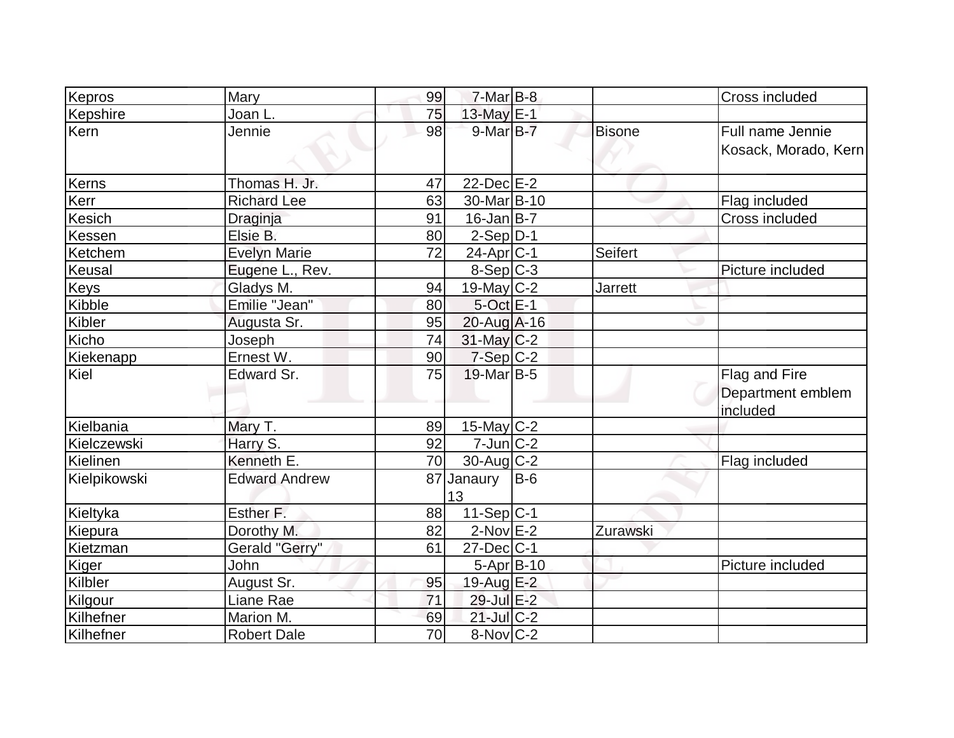| Kepros       | Mary                 | 99 | $7$ -Mar $B$ -8         |       |                | Cross included                                 |
|--------------|----------------------|----|-------------------------|-------|----------------|------------------------------------------------|
| Kepshire     | Joan L.              | 75 | 13-May E-1              |       |                |                                                |
| Kern         | Jennie               | 98 | $9$ -Mar $B$ -7         |       | <b>Bisone</b>  | Full name Jennie<br>Kosack, Morado, Kern       |
| Kerns        | Thomas H. Jr.        | 47 | $22$ -Dec $E-2$         |       |                |                                                |
| Kerr         | <b>Richard Lee</b>   | 63 | 30-Mar <sub>B</sub> -10 |       |                | Flag included                                  |
| Kesich       | Draginja             | 91 | $16$ -Jan B-7           |       |                | Cross included                                 |
| Kessen       | Elsie B.             | 80 | $2-Sep D-1$             |       |                |                                                |
| Ketchem      | <b>Evelyn Marie</b>  | 72 | $24$ -Apr $ C-1$        |       | Seifert        |                                                |
| Keusal       | Eugene L., Rev.      |    | $8-Sep C-3$             |       |                | Picture included                               |
| <b>Keys</b>  | Gladys M.            | 94 | 19-May $C-2$            |       | <b>Jarrett</b> |                                                |
| Kibble       | Emilie "Jean"        | 80 | $5$ -Oct $E-1$          |       |                |                                                |
| Kibler       | Augusta Sr.          | 95 | $20$ -Aug A-16          |       |                |                                                |
| Kicho        | Joseph               | 74 | $31$ -May C-2           |       |                |                                                |
| Kiekenapp    | Ernest W.            | 90 | $7-Sep$ C-2             |       |                |                                                |
| Kiel         | Edward Sr.           | 75 | $19$ -Mar $ B-5 $       |       |                | Flag and Fire<br>Department emblem<br>included |
| Kielbania    | Mary T.              | 89 | $15$ -May C-2           |       |                |                                                |
| Kielczewski  | Harry S.             | 92 | $7$ -Jun $ C-2 $        |       |                |                                                |
| Kielinen     | Kenneth E.           | 70 | $30$ -Aug $C-2$         |       |                | Flag included                                  |
| Kielpikowski | <b>Edward Andrew</b> |    | 87 Janaury<br>13        | $B-6$ |                |                                                |
| Kieltyka     | Esther F.            | 88 | $11-Sep C-1$            |       |                |                                                |
| Kiepura      | Dorothy M.           | 82 | $2$ -Nov $E-2$          |       | Zurawski       |                                                |
| Kietzman     | Gerald "Gerry"       | 61 | $27 - Dec$ $C-1$        |       |                |                                                |
| Kiger        | John                 |    | $5 - Apr$ $B - 10$      |       |                | Picture included                               |
| Kilbler      | August Sr.           | 95 | 19-Aug E-2              |       |                |                                                |
| Kilgour      | Liane Rae            | 71 | 29-Jul E-2              |       |                |                                                |
| Kilhefner    | Marion M.            | 69 | $21$ -Jul C-2           |       |                |                                                |
| Kilhefner    | <b>Robert Dale</b>   | 70 | $8-Nov$ C-2             |       |                |                                                |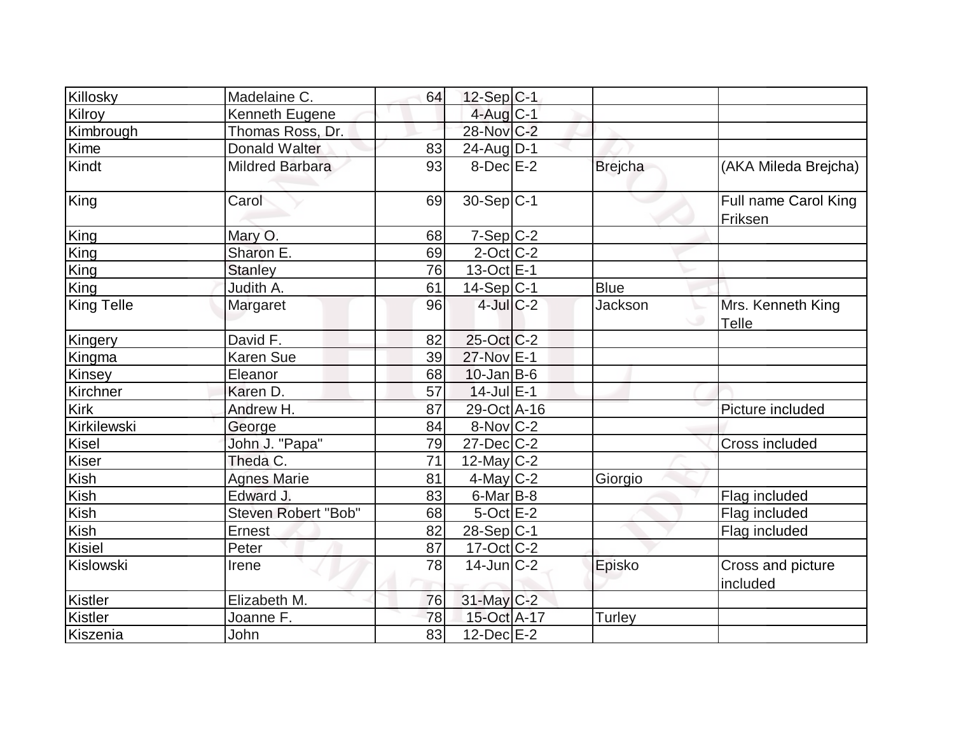| Killosky          | Madelaine C.           | 64 | $12-Sep C-1$      |                |                                 |
|-------------------|------------------------|----|-------------------|----------------|---------------------------------|
| Kilroy            | Kenneth Eugene         |    | 4-Aug C-1         |                |                                 |
| Kimbrough         | Thomas Ross, Dr.       |    | 28-Nov C-2        |                |                                 |
| Kime              | <b>Donald Walter</b>   | 83 | $24$ -Aug $D-1$   |                |                                 |
| Kindt             | <b>Mildred Barbara</b> | 93 | $8-Dec$ $E-2$     | <b>Brejcha</b> | (AKA Mileda Brejcha)            |
| King              | Carol                  | 69 | $30-Sep C-1$      |                | Full name Carol King<br>Friksen |
| King              | Mary O.                | 68 | $7-Sep$ $C-2$     |                |                                 |
| King              | Sharon E.              | 69 | $2$ -Oct $ C-2 $  |                |                                 |
| King              | <b>Stanley</b>         | 76 | $13-Oct$ $E-1$    |                |                                 |
| King              | Judith A.              | 61 | $14-Sep C-1$      | <b>Blue</b>    |                                 |
| <b>King Telle</b> | Margaret               | 96 | $4$ -Jul $C-2$    | Jackson        | Mrs. Kenneth King<br>Telle      |
| Kingery           | David F.               | 82 | 25-Oct C-2        |                |                                 |
| Kingma            | <b>Karen Sue</b>       | 39 | 27-Nov E-1        |                |                                 |
| Kinsey            | Eleanor                | 68 | $10$ -Jan $ B-6 $ |                |                                 |
| Kirchner          | Karen D.               | 57 | $14$ -Jul $E-1$   |                |                                 |
| Kirk              | Andrew H.              | 87 | 29-Oct A-16       |                | Picture included                |
| Kirkilewski       | George                 | 84 | $8-Nov$ C-2       |                |                                 |
| Kisel             | John J. "Papa"         | 79 | $27 - Dec$ $C-2$  |                | <b>Cross included</b>           |
| <b>Kiser</b>      | Theda C.               | 71 | $12$ -May C-2     |                |                                 |
| Kish              | <b>Agnes Marie</b>     | 81 | $4$ -May C-2      | Giorgio        |                                 |
| Kish              | Edward J.              | 83 | $6$ -Mar $B$ -8   |                | Flag included                   |
| Kish              | Steven Robert "Bob"    | 68 | $5$ -Oct $E-2$    |                | Flag included                   |
| Kish              | Ernest                 | 82 | 28-Sep C-1        |                | Flag included                   |
| Kisiel            | Peter                  | 87 | $17-Cct$ $C-2$    |                |                                 |
| Kislowski         | Irene                  | 78 | $14$ -Jun $ C-2 $ | Episko         | Cross and picture<br>included   |
| Kistler           | Elizabeth M.           | 76 | 31-May C-2        |                |                                 |
| Kistler           | Joanne F.              | 78 | 15-Oct A-17       | <b>Turley</b>  |                                 |
| Kiszenia          | John                   | 83 | $12$ -Dec $E-2$   |                |                                 |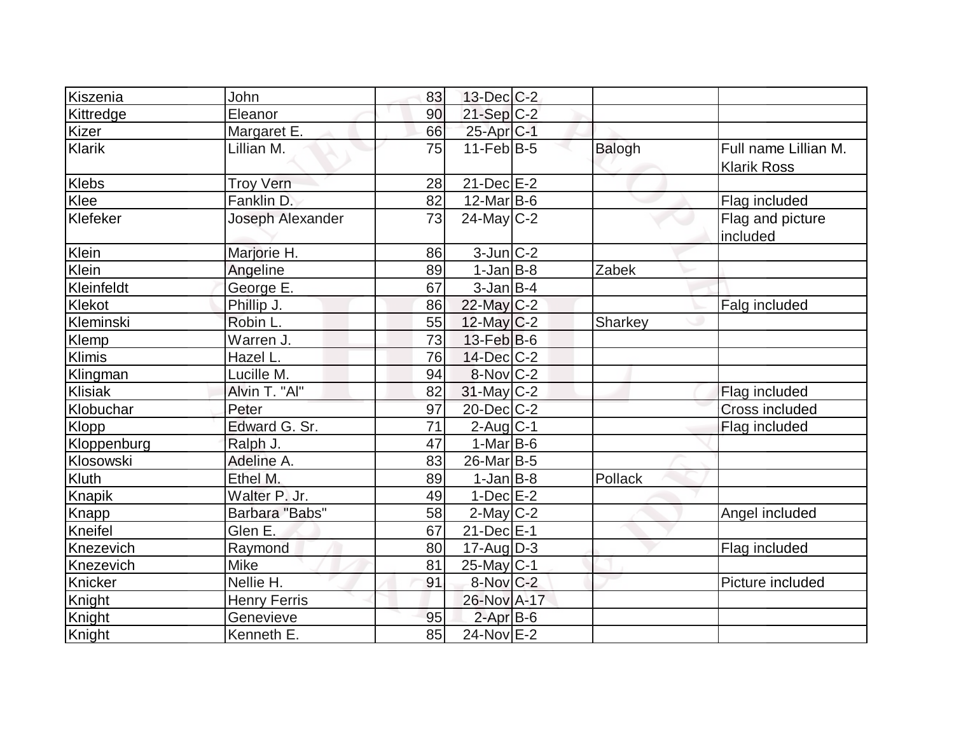| Kiszenia     | John                | 83 | $13$ -Dec $ C-2 $      |         |                                            |
|--------------|---------------------|----|------------------------|---------|--------------------------------------------|
|              |                     |    |                        |         |                                            |
| Kittredge    | Eleanor             | 90 | $21-Sep$ C-2           |         |                                            |
| <b>Kizer</b> | Margaret E.         | 66 | 25-Apr <sub>C-1</sub>  |         |                                            |
| Klarik       | Lillian M.          | 75 | $11$ -Feb $ B-5 $      | Balogh  | Full name Lillian M.<br><b>Klarik Ross</b> |
| <b>Klebs</b> | <b>Troy Vern</b>    | 28 | $21-Dec$ $E-2$         |         |                                            |
| Klee         | Fanklin D.          | 82 | $12$ -Mar $ B-6 $      |         | Flag included                              |
| Klefeker     | Joseph Alexander    | 73 | $24$ -May $C-2$        |         | Flag and picture<br>included               |
| Klein        | Marjorie H.         | 86 | $3$ -Jun $ C-2 $       |         |                                            |
| Klein        | Angeline            | 89 | $1-Jan$ $B-8$          | Zabek   |                                            |
| Kleinfeldt   | George E.           | 67 | $3$ -Jan B-4           |         |                                            |
| Klekot       | Phillip J.          | 86 | $22$ -May C-2          |         | Falg included                              |
| Kleminski    | Robin L.            | 55 | 12-May C-2             | Sharkey |                                            |
| <b>Klemp</b> | Warren J.           | 73 | $13$ -Feb $ B-6$       |         |                                            |
| Klimis       | Hazel L.            | 76 | $14$ -Dec $C-2$        |         |                                            |
| Klingman     | Lucille M.          | 94 | $8-Nov$ <sub>C-2</sub> |         |                                            |
| Klisiak      | Alvin T. "Al"       | 82 | $31$ -May C-2          |         | Flag included                              |
| Klobuchar    | Peter               | 97 | 20-Dec C-2             |         | Cross included                             |
| Klopp        | Edward G. Sr.       | 71 | $2$ -Aug C-1           |         | Flag included                              |
| Kloppenburg  | Ralph J.            | 47 | $1-Mar$ B-6            |         |                                            |
| Klosowski    | Adeline A.          | 83 | $26$ -Mar $ B-5 $      |         |                                            |
| Kluth        | Ethel M.            | 89 | $1-Jan$ $B-8$          | Pollack |                                            |
| Knapik       | Walter P. Jr.       | 49 | $1-Dec$ $E-2$          |         |                                            |
| <b>Knapp</b> | Barbara "Babs"      | 58 | $2$ -May $C-2$         |         | Angel included                             |
| Kneifel      | Glen E.             | 67 | $21$ -Dec $E-1$        |         |                                            |
| Knezevich    | Raymond             | 80 | $17$ -Aug $D-3$        |         | Flag included                              |
| Knezevich    | <b>Mike</b>         | 81 | $25$ -May C-1          |         |                                            |
| Knicker      | Nellie H.           | 91 | $8-Nov$ $C-2$          |         | Picture included                           |
| Knight       | <b>Henry Ferris</b> |    | 26-Nov A-17            |         |                                            |
| Knight       | Genevieve           | 95 | $2$ -Apr $B$ -6        |         |                                            |
| Knight       | Kenneth E.          | 85 | 24-Nov E-2             |         |                                            |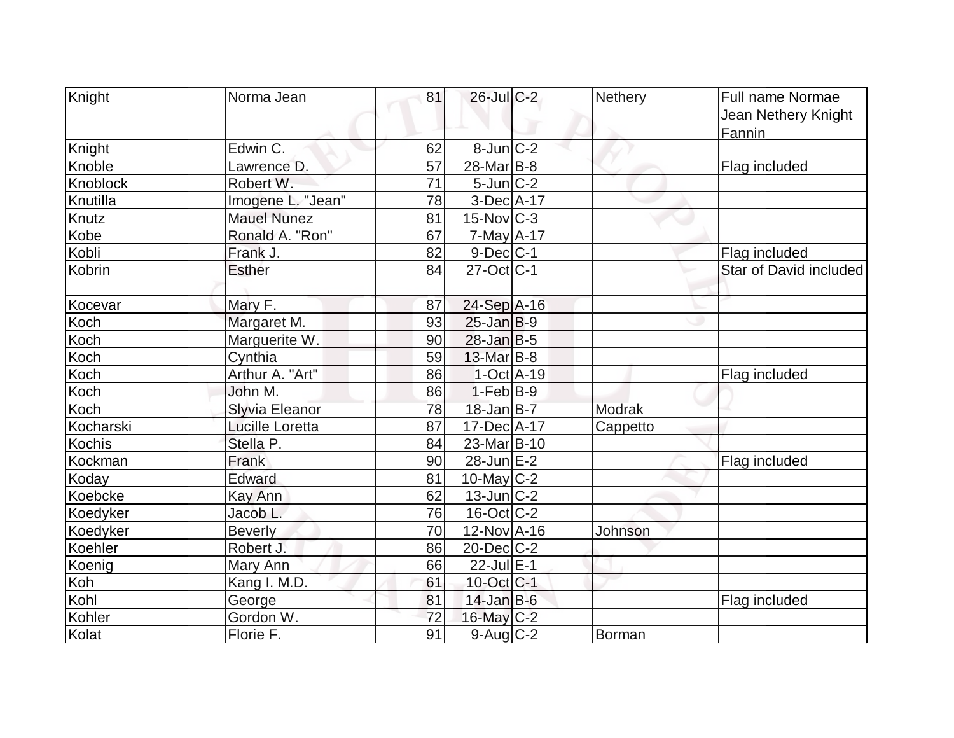| Knight          | Norma Jean             | 81 | $26$ -Jul C-2         | <b>Nethery</b> | Full name Normae       |
|-----------------|------------------------|----|-----------------------|----------------|------------------------|
|                 |                        |    |                       |                |                        |
|                 |                        |    |                       |                | Jean Nethery Knight    |
| Knight          | Edwin C.               | 62 | $8$ -Jun $C-2$        |                | Fannin                 |
| Knoble          | Lawrence D.            | 57 | 28-Mar <sub>B-8</sub> |                |                        |
| Knoblock        |                        |    |                       |                | Flag included          |
|                 | Robert W.              | 71 | $5$ -Jun $C-2$        |                |                        |
| Knutilla        | Imogene L. "Jean"      | 78 | 3-Dec A-17            |                |                        |
| Knutz           | Mauel Nunez            | 81 | $15$ -Nov $ C-3 $     |                |                        |
| Kobe            | Ronald A. "Ron"        | 67 | $7$ -May $A$ -17      |                |                        |
| Kobli           | Frank J.               | 82 | $9$ -Dec $ C-1$       |                | Flag included          |
| Kobrin          | <b>Esther</b>          | 84 | $27$ -Oct $ C-1 $     |                | Star of David included |
| Kocevar         | Mary F.                | 87 | 24-Sep A-16           |                |                        |
| Koch            | Margaret M.            | 93 | $25$ -Jan $B-9$       |                |                        |
| Koch            | Marguerite W.          | 90 | $28$ -Jan $B-5$       |                |                        |
| Koch            | Cynthia                | 59 | 13-Mar B-8            |                |                        |
| Koch            | Arthur A. "Art"        | 86 | $1-Oct$ A-19          |                | Flag included          |
| Koch            | John M.                | 86 | $1-Feb B-9$           |                |                        |
| Koch            | Slyvia Eleanor         | 78 | $18$ -Jan B-7         | Modrak         |                        |
| Kocharski       | <b>Lucille Loretta</b> | 87 | 17-Dec A-17           | Cappetto       |                        |
| Kochis          | Stella P.              | 84 | 23-Mar B-10           |                |                        |
| Kockman         | Frank                  | 90 | $28$ -Jun $E-2$       |                | Flag included          |
| Koday           | Edward                 | 81 | 10-May $C-2$          |                |                        |
| Koebcke         | Kay Ann                | 62 | $13$ -Jun $ C-2 $     |                |                        |
| Koedyker        | Jacob L.               | 76 | $16$ -Oct $ C-2 $     |                |                        |
| <b>Koedyker</b> | <b>Beverly</b>         | 70 | 12-Nov A-16           | Johnson        |                        |
| Koehler         | Robert J.              | 86 | $20$ -Dec $C-2$       |                |                        |
| Koenig          | Mary Ann               | 66 | 22-Jul E-1            |                |                        |
| Koh             | Kang I. M.D.           | 61 | 10-Oct C-1            |                |                        |
| Kohl            | George                 | 81 | $14$ -Jan B-6         |                | Flag included          |
| Kohler          | Gordon W.              | 72 | 16-May C-2            |                |                        |
| Kolat           | Florie F.              | 91 | $9$ -Aug $C-2$        | Borman         |                        |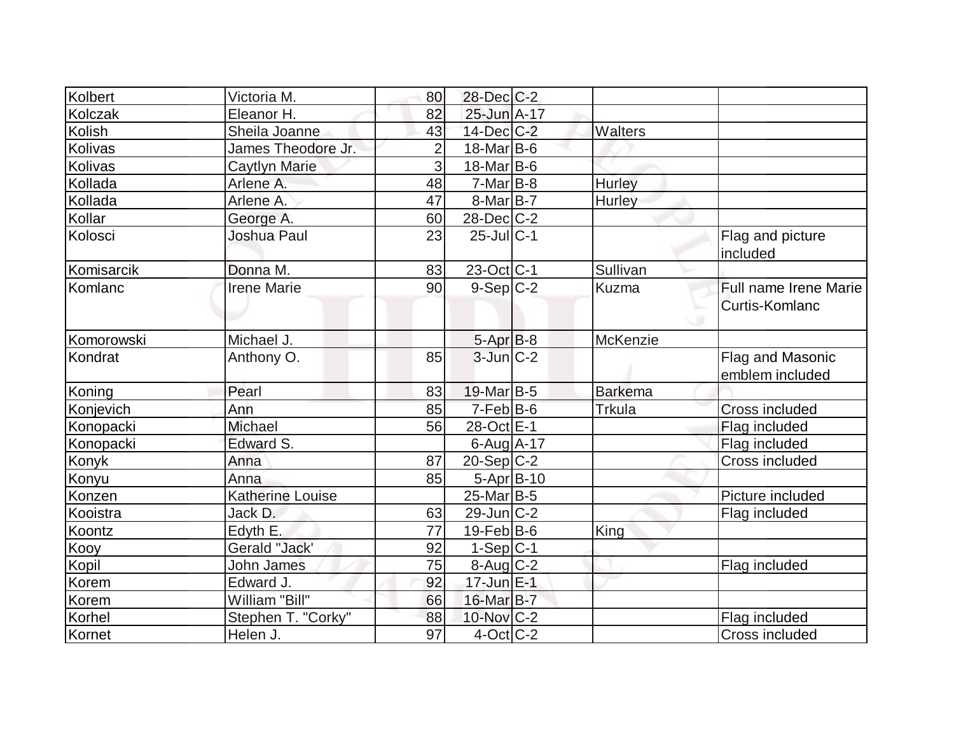| Kolbert      | Victoria M.             | 80             | $28$ -Dec $C-2$   |                |                                                |
|--------------|-------------------------|----------------|-------------------|----------------|------------------------------------------------|
| Kolczak      | Eleanor H.              | 82             | 25-Jun A-17       |                |                                                |
| Kolish       | Sheila Joanne           | 43             | $14$ -Dec $C-2$   | <b>Walters</b> |                                                |
| Kolivas      | James Theodore Jr.      | $\overline{2}$ | $18$ -Mar $ B-6$  |                |                                                |
| Kolivas      | <b>Caytlyn Marie</b>    | $\overline{3}$ | $18$ -Mar $ B-6 $ |                |                                                |
| Kollada      | Arlene A.               | 48             | $7-Mar$ B-8       | Hurley         |                                                |
| Kollada      | Arlene A.               | 47             | $8$ -Mar $ B-7 $  | Hurley         |                                                |
| Kollar       | George A.               | 60             | $28$ -Dec $C$ -2  |                |                                                |
| Kolosci      | Joshua Paul             | 23             | $25$ -Jul C-1     |                | Flag and picture<br>included                   |
| Komisarcik   | Donna M.                | 83             | 23-Oct C-1        | Sullivan       |                                                |
| Komlanc      | <b>Irene Marie</b>      | 90             | $9-Sep$ $C-2$     | Kuzma          | <b>Full name Irene Marie</b><br>Curtis-Komlanc |
| Komorowski   | Michael J.              |                | $5-AprB-8$        | McKenzie       |                                                |
| Kondrat      | Anthony O.              | 85             | $3$ -Jun $C-2$    |                | Flag and Masonic<br>emblem included            |
| Koning       | Pearl                   | 83             | $19$ -Mar $ B-5$  | <b>Barkema</b> |                                                |
| Konjevich    | Ann                     | 85             | $7-Feb$ B-6       | Trkula         | Cross included                                 |
| Konopacki    | <b>Michael</b>          | 56             | 28-Oct E-1        |                | Flag included                                  |
| Konopacki    | Edward S.               |                | $6$ -Aug $A$ -17  |                | Flag included                                  |
| <b>Konyk</b> | Anna                    | 87             | $20-Sep C-2$      |                | Cross included                                 |
| Konyu        | Anna                    | 85             | $5-Apr B-10$      |                |                                                |
| Konzen       | <b>Katherine Louise</b> |                | $25$ -Mar $ B-5$  |                | Picture included                               |
| Kooistra     | Jack D.                 | 63             | $29$ -Jun $ C-2 $ |                | Flag included                                  |
| Koontz       | Edyth E.                | 77             | $19$ -Feb $ B$ -6 | King           |                                                |
| Kooy         | Gerald "Jack'           | 92             | $1-Sep C-1$       |                |                                                |
| Kopil        | John James              | 75             | 8-Aug C-2         |                | Flag included                                  |
| Korem        | Edward J.               | 92             | $17$ -Jun $E-1$   |                |                                                |
| Korem        | William "Bill"          | 66             | 16-Mar B-7        |                |                                                |
| Korhel       | Stephen T. "Corky"      | 88             | 10-Nov C-2        |                | Flag included                                  |
| Kornet       | Helen J.                | 97             | $4$ -Oct C-2      |                | Cross included                                 |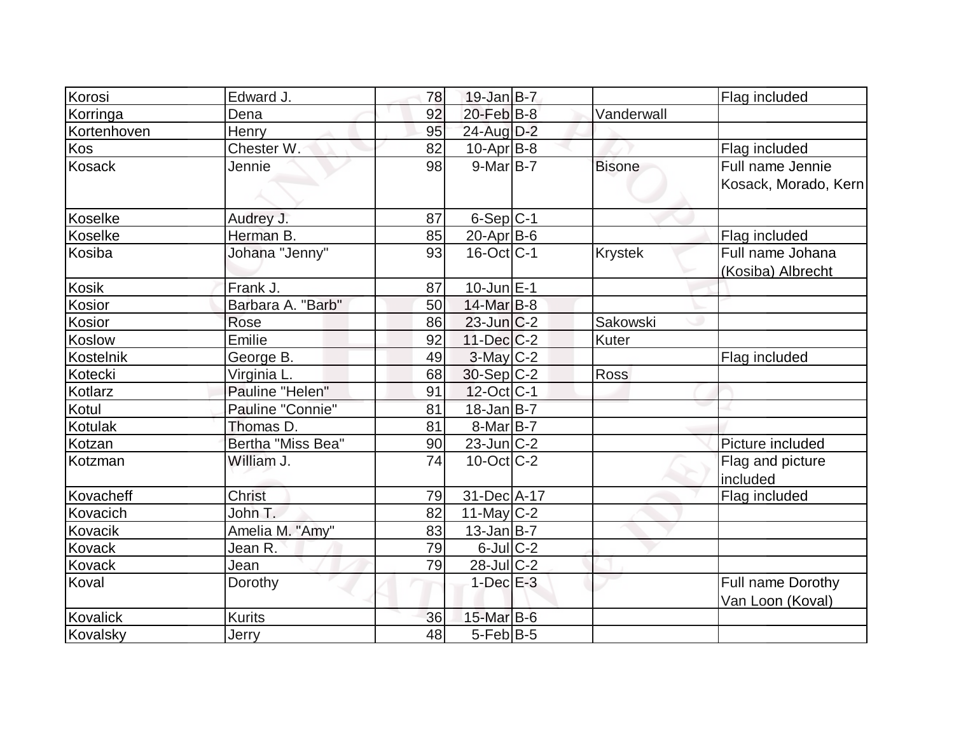| Korosi          | Edward J.         | 78 | $19$ -Jan B-7           |                | Flag included                         |
|-----------------|-------------------|----|-------------------------|----------------|---------------------------------------|
| Korringa        | Dena              | 92 | $20$ -Feb $B$ -8        | Vanderwall     |                                       |
| Kortenhoven     | Henry             | 95 | 24-Aug D-2              |                |                                       |
| Kos             | Chester W.        | 82 | $10$ -Apr $B$ -8        |                | Flag included                         |
| <b>Kosack</b>   | Jennie            | 98 | $9$ -Mar $B$ -7         | <b>Bisone</b>  | Full name Jennie                      |
|                 |                   |    |                         |                | Kosack, Morado, Kern                  |
| Koselke         | Audrey J.         | 87 | $6-Sep C-1$             |                |                                       |
| <b>Koselke</b>  | Herman B.         | 85 | 20-Apr B-6              |                | Flag included                         |
| Kosiba          | Johana "Jenny"    | 93 | $16$ -Oct $ C-1 $       | <b>Krystek</b> | Full name Johana                      |
|                 |                   |    |                         |                | (Kosiba) Albrecht                     |
| Kosik           | Frank J.          | 87 | $10$ -Jun $E-1$         |                |                                       |
| Kosior          | Barbara A. "Barb" | 50 | 14-Mar B-8              |                |                                       |
| Kosior          | Rose              | 86 | $23$ -Jun $C-2$         | Sakowski       |                                       |
| <b>Koslow</b>   | Emilie            | 92 | $11$ -Dec $ C-2 $       | <b>Kuter</b>   |                                       |
| Kostelnik       | George B.         | 49 | $3-May$ <sub>C</sub> -2 |                | Flag included                         |
| Kotecki         | Virginia L.       | 68 | $30-Sep$ C-2            | Ross           |                                       |
| Kotlarz         | Pauline "Helen"   | 91 | $12$ -Oct C-1           |                |                                       |
| Kotul           | Pauline "Connie"  | 81 | $18$ -Jan B-7           |                |                                       |
| Kotulak         | Thomas D.         | 81 | $8-Mar B-7$             |                |                                       |
| Kotzan          | Bertha "Miss Bea" | 90 | $23$ -Jun $C-2$         |                | Picture included                      |
| Kotzman         | William J.        | 74 | $10$ -Oct $ C-2 $       |                | Flag and picture<br>included          |
| Kovacheff       | <b>Christ</b>     | 79 | 31-Dec A-17             |                | Flag included                         |
| Kovacich        | John T.           | 82 | 11-May $C-2$            |                |                                       |
| Kovacik         | Amelia M. "Amy"   | 83 | $13$ -Jan B-7           |                |                                       |
| Kovack          | Jean R.           | 79 | $6$ -Jul $C$ -2         |                |                                       |
| Kovack          | Jean              | 79 | $28$ -JulC-2            |                |                                       |
| Koval           | Dorothy           |    | $1$ -Dec $E-3$          |                | Full name Dorothy<br>Van Loon (Koval) |
| <b>Kovalick</b> | <b>Kurits</b>     | 36 | 15-Mar B-6              |                |                                       |
| Kovalsky        | Jerry             | 48 | $5$ -Feb $ B-5 $        |                |                                       |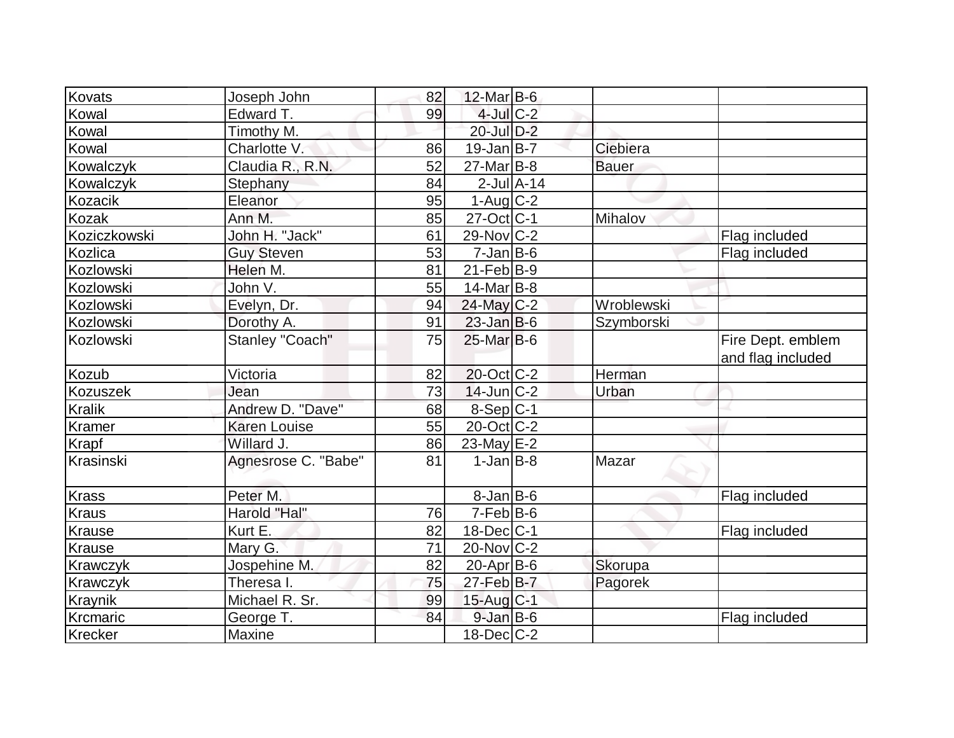| Kovats          | Joseph John          | 82 | $12$ -Mar B-6          |                 |              |                                        |
|-----------------|----------------------|----|------------------------|-----------------|--------------|----------------------------------------|
| Kowal           | Edward T.            | 99 | $4$ -Jul $C-2$         |                 |              |                                        |
| Kowal           | Timothy M.           |    | 20-Jul D-2             |                 |              |                                        |
| Kowal           | Charlotte V.         | 86 | $19$ -Jan $ B-7 $      |                 | Ciebiera     |                                        |
| Kowalczyk       | Claudia R., R.N.     | 52 | $27$ -Mar $B$ -8       |                 | <b>Bauer</b> |                                        |
| Kowalczyk       | Stephany             | 84 |                        | $2$ -Jul $A-14$ |              |                                        |
| Kozacik         | Eleanor              | 95 | $1-Aug$ <sub>C-2</sub> |                 |              |                                        |
| Kozak           | Ann M.               | 85 | $27$ -Oct C-1          |                 | Mihalov      |                                        |
| Koziczkowski    | John H. "Jack"       | 61 | $29$ -Nov $ C-2 $      |                 |              | Flag included                          |
| Kozlica         | <b>Guy Steven</b>    | 53 | $7$ -Jan $ B$ -6       |                 |              | Flag included                          |
| Kozlowski       | Helen M.             | 81 | $21$ -Feb $ B-9 $      |                 |              |                                        |
| Kozlowski       | John V.              | 55 | $14$ -Mar $ B-8 $      |                 |              |                                        |
| Kozlowski       | Evelyn, Dr.          | 94 | 24-May C-2             |                 | Wroblewski   |                                        |
| Kozlowski       | Dorothy A.           | 91 | $23$ -Jan B-6          |                 | Szymborski   |                                        |
| Kozlowski       | Stanley "Coach"      | 75 | $25$ -Mar $B$ -6       |                 |              | Fire Dept. emblem<br>and flag included |
| Kozub           | Victoria             | 82 | $20$ -Oct $ C-2 $      |                 | Herman       |                                        |
| <b>Kozuszek</b> | Jean                 | 73 | $14$ -Jun $ C-2 $      |                 | Urban        |                                        |
| <b>Kralik</b>   | Andrew D. "Dave"     | 68 | 8-Sep C-1              |                 |              |                                        |
| <b>Kramer</b>   | <b>Karen Louise</b>  | 55 | $20$ -Oct $ C-2 $      |                 |              |                                        |
| <b>Krapf</b>    | Willard J.           | 86 | $23$ -May $E-2$        |                 |              |                                        |
| Krasinski       | Agnesrose C. "Babe"  | 81 | $1-Jan$ B-8            |                 | Mazar        |                                        |
| <b>Krass</b>    | Peter M.             |    | $8$ -Jan $B$ -6        |                 |              | Flag included                          |
| <b>Kraus</b>    | Harold "Hal"         | 76 | $7-Feb B-6$            |                 |              |                                        |
| <b>Krause</b>   | Kurt E.              | 82 | $18$ -Dec $ C-1 $      |                 |              | Flag included                          |
| Krause          | Mary G.              | 71 | $20$ -Nov $ C-2 $      |                 |              |                                        |
| Krawczyk        | Jospehine M.         | 82 | $20$ -Apr $ B-6 $      |                 | Skorupa      |                                        |
| Krawczyk        | Theresa <sub>l</sub> | 75 | $27$ -Feb B-7          |                 | Pagorek      |                                        |
| <b>Kraynik</b>  | Michael R. Sr.       | 99 | 15-Aug C-1             |                 |              |                                        |
| Krcmaric        | George T.            | 84 | $9$ -Jan B-6           |                 |              | Flag included                          |
| Krecker         | Maxine               |    | $18$ -Dec $C$ -2       |                 |              |                                        |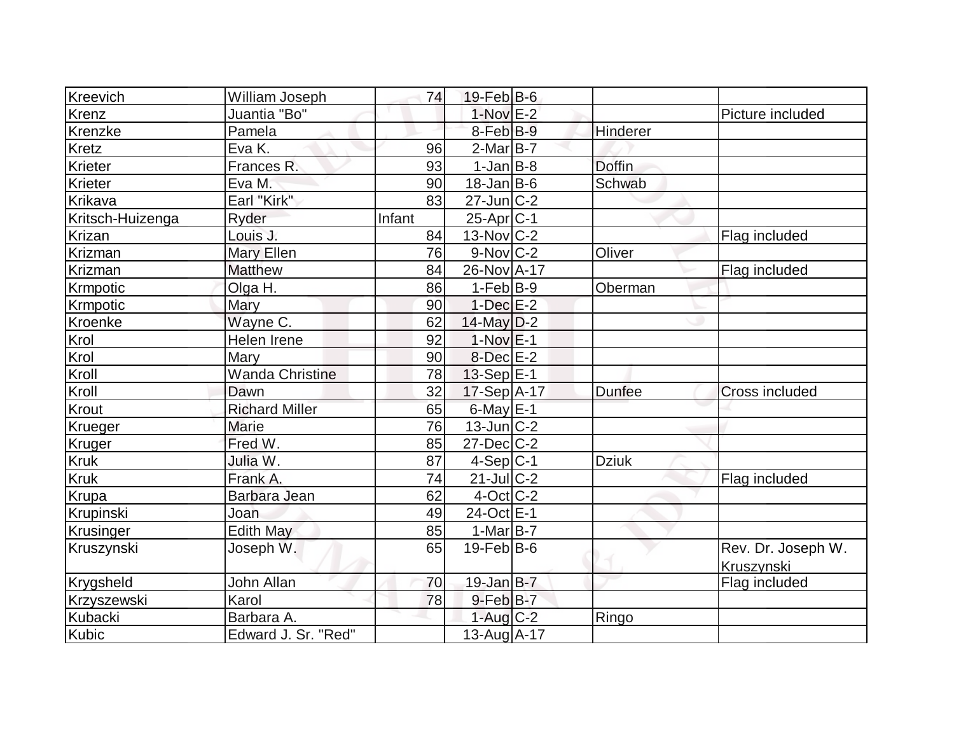| Kreevich         | William Joseph         | 74     | $19$ -Feb $ B$ -6      |               |                                  |
|------------------|------------------------|--------|------------------------|---------------|----------------------------------|
| Krenz            | Juantia "Bo"           |        | $1-Nov$ E-2            |               | Picture included                 |
| Krenzke          | Pamela                 |        | 8-Feb B-9              | Hinderer      |                                  |
| Kretz            | Eva K.                 | 96     | $2$ -Mar $ B-7 $       |               |                                  |
| Krieter          | Frances R.             | 93     | $1-Jan$ B-8            | <b>Doffin</b> |                                  |
| Krieter          | Eva M.                 | 90     | $18$ -Jan B-6          | Schwab        |                                  |
| Krikava          | Earl "Kirk"            | 83     | $27$ -Jun $C-2$        |               |                                  |
| Kritsch-Huizenga | Ryder                  | Infant | $25$ -Apr $ C-1 $      |               |                                  |
| <b>Krizan</b>    | Louis J.               | 84     | $13-Nov$ C-2           |               | Flag included                    |
| Krizman          | Mary Ellen             | 76     | $9-Nov$ <sub>C-2</sub> | Oliver        |                                  |
| Krizman          | <b>Matthew</b>         | 84     | 26-Nov A-17            |               | Flag included                    |
| Krmpotic         | Olga H.                | 86     | $1-Feb B-9$            | Oberman       |                                  |
| Krmpotic         | Mary                   | 90     | $1-Dec$ $E-2$          |               |                                  |
| Kroenke          | Wayne C.               | 62     | $14$ -May $D-2$        |               |                                  |
| Krol             | Helen Irene            | 92     | $1-Nov$ $E-1$          |               |                                  |
| Krol             | Mary                   | 90     | $8$ -Dec $E-2$         |               |                                  |
| Kroll            | <b>Wanda Christine</b> | 78     | $13-Sep$ E-1           |               |                                  |
| Kroll            | Dawn                   | 32     | 17-Sep A-17            | <b>Dunfee</b> | <b>Cross included</b>            |
| Krout            | <b>Richard Miller</b>  | 65     | $6$ -May $E-1$         |               |                                  |
| Krueger          | Marie                  | 76     | $13$ -Jun $ C-2 $      |               |                                  |
| Kruger           | Fred W.                | 85     | $27$ -Dec $C-2$        |               |                                  |
| <b>Kruk</b>      | Julia W.               | 87     | $4-Sep C-1$            | <b>Dziuk</b>  |                                  |
| <b>Kruk</b>      | Frank A.               | 74     | $21$ -JulC-2           |               | Flag included                    |
| Krupa            | Barbara Jean           | 62     | $4$ -Oct C-2           |               |                                  |
| Krupinski        | Joan                   | 49     | 24-Oct E-1             |               |                                  |
| Krusinger        | <b>Edith May</b>       | 85     | 1-Mar $B-7$            |               |                                  |
| Kruszynski       | Joseph W.              | 65     | $19$ -Feb $ B$ -6      |               | Rev. Dr. Joseph W.<br>Kruszynski |
| Krygsheld        | John Allan             | 70     | 19-Jan B-7             |               | Flag included                    |
| Krzyszewski      | Karol                  | 78     | $9$ -Feb $B$ -7        |               |                                  |
| Kubacki          | Barbara A.             |        | $1-Auq$ $C-2$          | Ringo         |                                  |
| Kubic            | Edward J. Sr. "Red"    |        | 13-Aug A-17            |               |                                  |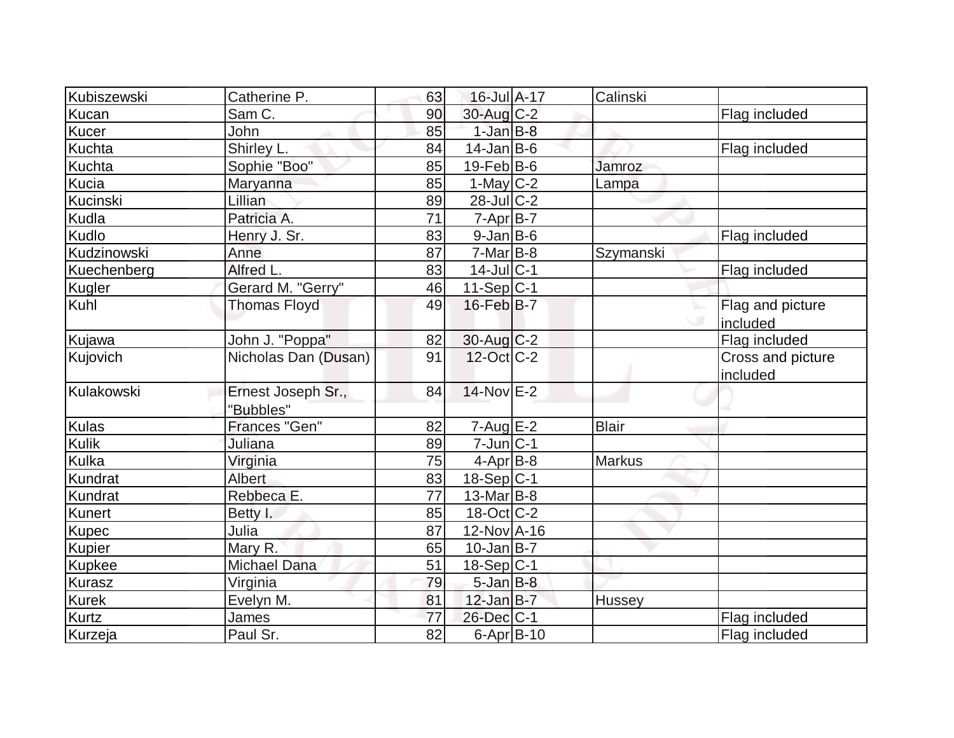| Kubiszewski   | Catherine P.         | 63 | 16-Jul A-17       | Calinski      |                               |
|---------------|----------------------|----|-------------------|---------------|-------------------------------|
| Kucan         | Sam C.               | 90 | $30$ -Aug $C-2$   |               | Flag included                 |
| Kucer         | John                 | 85 | $1$ -Jan $B-8$    |               |                               |
| Kuchta        | Shirley L.           | 84 | $14$ -Jan B-6     |               | Flag included                 |
| Kuchta        | Sophie "Boo"         | 85 | $19$ -Feb $ B$ -6 | Jamroz        |                               |
| Kucia         | Maryanna             | 85 | 1-May $C-2$       | Lampa         |                               |
| Kucinski      | Lillian              | 89 | $28$ -JulC-2      |               |                               |
| Kudla         | Patricia A.          | 71 | $7 - Apr$ B-7     |               |                               |
| Kudlo         | Henry J. Sr.         | 83 | $9$ -Jan B-6      |               | Flag included                 |
| Kudzinowski   | Anne                 | 87 | $7-Mar$ B-8       | Szymanski     |                               |
| Kuechenberg   | Alfred L.            | 83 | $14$ -Jul $ C-1$  |               | Flag included                 |
| Kugler        | Gerard M. "Gerry"    | 46 | $11-Sep C-1$      |               |                               |
| Kuhl          | <b>Thomas Floyd</b>  | 49 | 16-Feb B-7        |               | Flag and picture<br>included  |
| Kujawa        | John J. "Poppa"      | 82 | $30$ -Aug C-2     |               | Flag included                 |
| Kujovich      | Nicholas Dan (Dusan) | 91 | $12$ -Oct $ C-2 $ |               | Cross and picture<br>included |
| Kulakowski    | Ernest Joseph Sr.,   | 84 | $14$ -Nov $E-2$   |               |                               |
|               | "Bubbles"            |    |                   |               |                               |
| Kulas         | Frances "Gen"        | 82 | $7 - Aug$ E-2     | <b>Blair</b>  |                               |
| Kulik         | Juliana              | 89 | $7$ -Jun $C-1$    |               |                               |
| Kulka         | Virginia             | 75 | $4-AprB-8$        | <b>Markus</b> |                               |
| Kundrat       | Albert               | 83 | $18-Sep C-1$      |               |                               |
| Kundrat       | Rebbeca E.           | 77 | 13-Mar B-8        |               |                               |
| Kunert        | Betty I.             | 85 | $18$ -Oct $ C-2 $ |               |                               |
| <b>Kupec</b>  | Julia                | 87 | 12-Nov A-16       |               |                               |
| Kupier        | Mary R.              | 65 | $10$ -Jan B-7     |               |                               |
| <b>Kupkee</b> | Michael Dana         | 51 | $18-Sep C-1$      |               |                               |
| Kurasz        | Virginia             | 79 | $5$ -Jan $B$ -8   |               |                               |
| <b>Kurek</b>  | Evelyn M.            | 81 | $12$ -Jan B-7     | Hussey        |                               |
| Kurtz         | James                | 77 | 26-Dec C-1        |               | Flag included                 |
| Kurzeja       | Paul Sr.             | 82 | $6 - Apr$ B-10    |               | Flag included                 |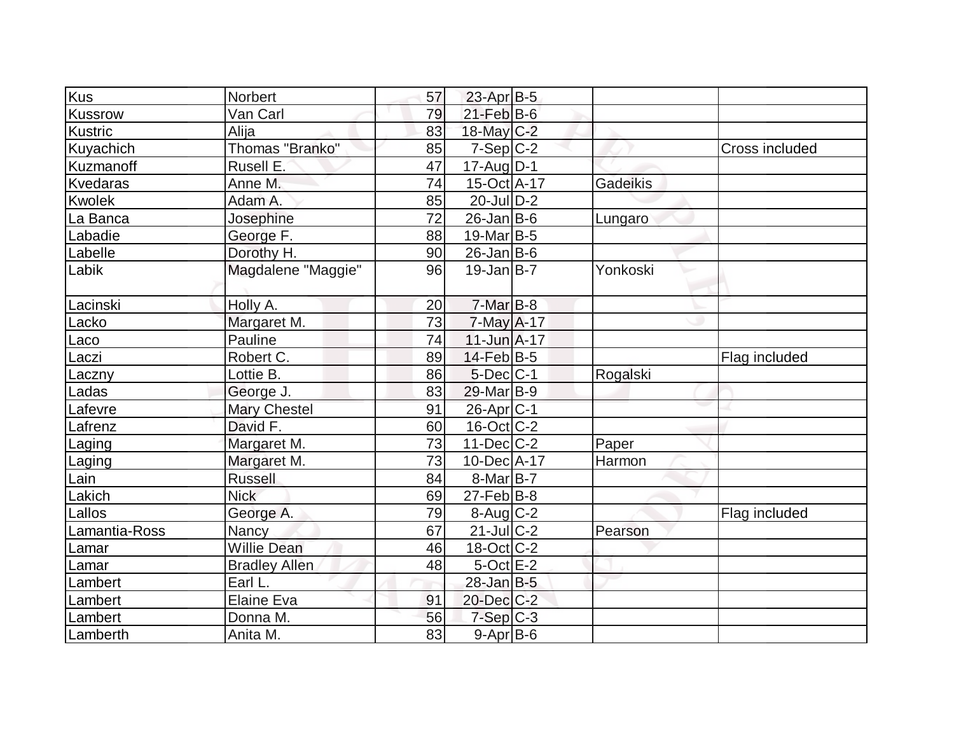| Kus            | <b>Norbert</b>       | 57 | $23$ -Apr $B$ -5      |                 |                |
|----------------|----------------------|----|-----------------------|-----------------|----------------|
| <b>Kussrow</b> | Van Carl             | 79 | $21$ -Feb $B$ -6      |                 |                |
| Kustric        | Alija                | 83 | 18-May C-2            |                 |                |
| Kuyachich      | Thomas "Branko"      | 85 | $7-Sep C-2$           |                 | Cross included |
| Kuzmanoff      | Rusell E.            | 47 | 17-Aug D-1            |                 |                |
| Kvedaras       | Anne M.              | 74 | 15-Oct A-17           | <b>Gadeikis</b> |                |
| <b>Kwolek</b>  | Adam A.              | 85 | $20$ -JulD-2          |                 |                |
| La Banca       | Josephine            | 72 | $26$ -Jan B-6         | Lungaro         |                |
| Labadie        | George F.            | 88 | $19$ -Mar $ B-5$      |                 |                |
| Labelle        | Dorothy H.           | 90 | $26$ -Jan $ B-6 $     |                 |                |
| Labik          | Magdalene "Maggie"   | 96 | $19$ -Jan $B$ -7      | Yonkoski        |                |
| Lacinski       | Holly A.             | 20 | $7-Mar$ B-8           |                 |                |
| Lacko          | Margaret M.          | 73 | $7$ -May $A$ -17      |                 |                |
| Laco           | Pauline              | 74 | $11$ -Jun $A$ -17     |                 |                |
| Laczi          | Robert C.            | 89 | $14$ -Feb $ B-5$      |                 | Flag included  |
| Laczny         | Lottie B.            | 86 | $5$ -Dec $ C-1$       | Rogalski        |                |
| Ladas          | George J.            | 83 | 29-Mar B-9            |                 |                |
| Lafevre        | <b>Mary Chestel</b>  | 91 | 26-Apr <sub>C-1</sub> |                 |                |
| Lafrenz        | David F.             | 60 | $16$ -Oct $ C-2 $     |                 |                |
| Laging         | Margaret M.          | 73 | $11 - Dec$ $C-2$      | Paper           |                |
| Laging         | Margaret M.          | 73 | 10-Dec A-17           | Harmon          |                |
| Lain           | <b>Russell</b>       | 84 | $8$ -Mar $ B-7 $      |                 |                |
| Lakich         | <b>Nick</b>          | 69 | $27$ -Feb $ B-8$      |                 |                |
| Lallos         | George A.            | 79 | $8$ -Aug C-2          |                 | Flag included  |
| Lamantia-Ross  | Nancy                | 67 | $21$ -Jul C-2         | Pearson         |                |
| Lamar          | <b>Willie Dean</b>   | 46 | $18-Oct$ $C-2$        |                 |                |
| Lamar          | <b>Bradley Allen</b> | 48 | $5$ -Oct $E-2$        |                 |                |
| Lambert        | Earl L.              |    | $28$ -Jan B-5         |                 |                |
| Lambert        | <b>Elaine Eva</b>    | 91 | 20-Dec C-2            |                 |                |
| Lambert        | Donna M.             | 56 | $7-Sep C-3$           |                 |                |
| Lamberth       | Anita M.             | 83 | $9-Apr B-6$           |                 |                |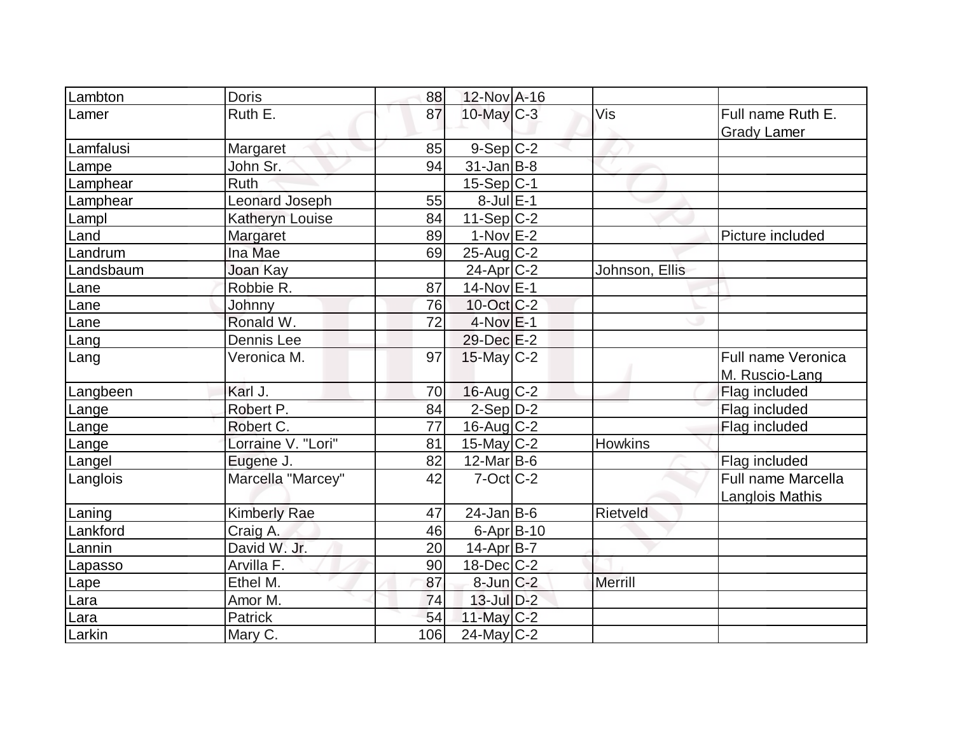| Lambton   | <b>Doris</b>        | 88              | 12-Nov A-16       |                |                    |
|-----------|---------------------|-----------------|-------------------|----------------|--------------------|
| Lamer     | Ruth E.             | 87              | $10$ -May $C-3$   | Vis            | Full name Ruth E.  |
|           |                     |                 |                   |                | <b>Grady Lamer</b> |
| Lamfalusi | Margaret            | 85              | $9-Sep C-2$       |                |                    |
| Lampe     | John Sr.            | 94              | $31$ -Jan $ B-8 $ |                |                    |
| Lamphear  | <b>Ruth</b>         |                 | $15-Sep C-1$      |                |                    |
| Lamphear  | Leonard Joseph      | 55              | $8$ -Jul $E-1$    |                |                    |
| Lampl     | Katheryn Louise     | 84              | $11-Sep C-2$      |                |                    |
| Land      | Margaret            | 89              | $1-Nov$ $E-2$     |                | Picture included   |
| Landrum   | Ina Mae             | 69              | $25$ -Aug C-2     |                |                    |
| Landsbaum | Joan Kay            |                 | $24$ -Apr $C-2$   | Johnson, Ellis |                    |
| Lane      | Robbie R.           | 87              | 14-Nov E-1        |                |                    |
| Lane      | Johnny              | 76              | 10-Oct C-2        |                |                    |
| Lane      | Ronald W.           | 72              | $4-Nov$ E-1       |                |                    |
| Lang      | Dennis Lee          |                 | 29-Dec E-2        |                |                    |
| Lang      | Veronica M.         | 97              | 15-May C-2        |                | Full name Veronica |
|           |                     |                 |                   |                | M. Ruscio-Lang     |
| Langbeen  | Karl J.             | 70              | $16$ -Aug C-2     |                | Flag included      |
| Lange     | Robert P.           | 84              | $2-Sep D-2$       |                | Flag included      |
| Lange     | Robert C.           | $\overline{77}$ | $16$ -Aug $C-2$   |                | Flag included      |
| Lange     | Lorraine V. "Lori"  | 81              | $15$ -May C-2     | <b>Howkins</b> |                    |
| Langel    | Eugene J.           | 82              | $12$ -Mar $ B-6 $ |                | Flag included      |
| Langlois  | Marcella "Marcey"   | 42              | $7-Cct$ $C-2$     |                | Full name Marcella |
|           |                     |                 |                   |                | Langlois Mathis    |
| Laning    | <b>Kimberly Rae</b> | 47              | $24$ -Jan B-6     | Rietveld       |                    |
| Lankford  | Craig A.            | 46              | 6-Apr $B-10$      |                |                    |
| Lannin    | David W. Jr.        | 20              | 14-Apr B-7        |                |                    |
| Lapasso   | Arvilla F.          | 90              | 18-Dec C-2        |                |                    |
| Lape      | Ethel M.            | 87              | $8$ -Jun $C-2$    | Merrill        |                    |
| Lara      | Amor M.             | 74              | $13$ -Jul $D-2$   |                |                    |
| Lara      | Patrick             | 54              | $11$ -May C-2     |                |                    |
| Larkin    | Mary C.             | 106             | $24$ -May C-2     |                |                    |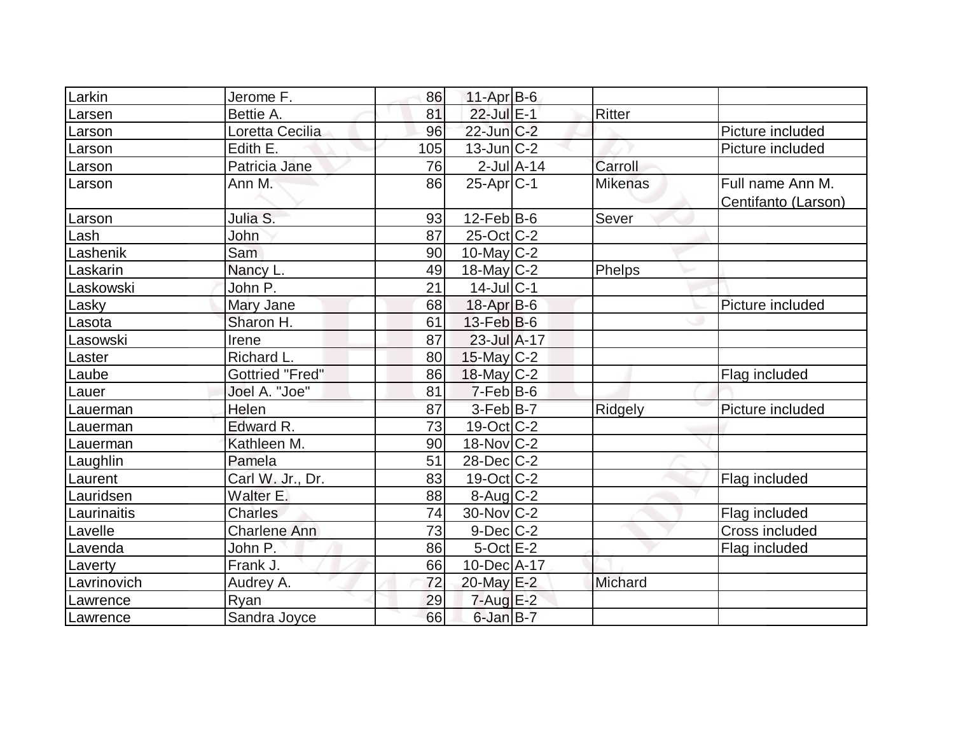| Larkin      | Jerome F.              | 86  | $11-Apr$ B-6                     |                |                                         |
|-------------|------------------------|-----|----------------------------------|----------------|-----------------------------------------|
| Larsen      | Bettie A.              | 81  | 22-Jul E-1                       | Ritter         |                                         |
| Larson      | Loretta Cecilia        | 96  | $22$ -Jun $C-2$                  |                | Picture included                        |
| Larson      | Edith E.               | 105 | $13$ -Jun $ C-2 $                |                | Picture included                        |
| Larson      | Patricia Jane          | 76  | $2$ -Jul $A-14$                  | Carroll        |                                         |
| Larson      | Ann M.                 | 86  | $25-Apr$ $C-1$                   | <b>Mikenas</b> | Full name Ann M.<br>Centifanto (Larson) |
| Larson      | Julia S.               | 93  | $12$ -Feb $ B-6$                 | Sever          |                                         |
| Lash        | John                   | 87  | $25$ -Oct $ C-2 $                |                |                                         |
| Lashenik    | Sam                    | 90  | 10-May $C-2$                     |                |                                         |
| Laskarin    | Nancy L.               | 49  | $18$ -May C-2                    | Phelps         |                                         |
| Laskowski   | John P.                | 21  | $14$ -Jul $ C-1$                 |                |                                         |
| Lasky       | Mary Jane              | 68  | $18$ -Apr $B$ -6                 |                | Picture included                        |
| Lasota      | Sharon H.              | 61  | $13$ -Feb $ B-6 $                |                |                                         |
| Lasowski    | Irene                  | 87  | $23$ -Jul $\overline{A}$ -17     |                |                                         |
| Laster      | Richard L.             | 80  | 15-May C-2                       |                |                                         |
| Laube       | <b>Gottried "Fred"</b> | 86  | $18$ -May C-2                    |                | Flag included                           |
| Lauer       | Joel A. "Joe"          | 81  | $7-Feb B-6$                      |                |                                         |
| Lauerman    | Helen                  | 87  | $3-Feb B-7$                      | Ridgely        | Picture included                        |
| Lauerman    | Edward R.              | 73  | $19-Oct$ <sub>C</sub> -2         |                |                                         |
| Lauerman    | Kathleen M.            | 90  | $18-Nov$ <sub>C</sub> -2         |                |                                         |
| Laughlin    | Pamela                 | 51  | $28$ -Dec $C-2$                  |                |                                         |
| Laurent     | Carl W. Jr., Dr.       | 83  | $19-Oct$ <sub>C</sub> -2         |                | Flag included                           |
| Lauridsen   | Walter E.              | 88  | $8 - \text{Aug}$ <sub>C</sub> -2 |                |                                         |
| Laurinaitis | <b>Charles</b>         | 74  | $30$ -Nov $ C-2 $                |                | Flag included                           |
| Lavelle     | <b>Charlene Ann</b>    | 73  | $9$ -Dec $C$ -2                  |                | Cross included                          |
| Lavenda     | John P.                | 86  | $5$ -Oct $E-2$                   |                | Flag included                           |
| Laverty     | Frank J.               | 66  | $10$ -Dec $ A-17 $               |                |                                         |
| Lavrinovich | Audrey A.              | 72  | 20-May E-2                       | Michard        |                                         |
| Lawrence    | Ryan                   | 29  | $7 - Aug$ $E-2$                  |                |                                         |
| Lawrence    | Sandra Joyce           | 66  | $6$ -Jan $B-7$                   |                |                                         |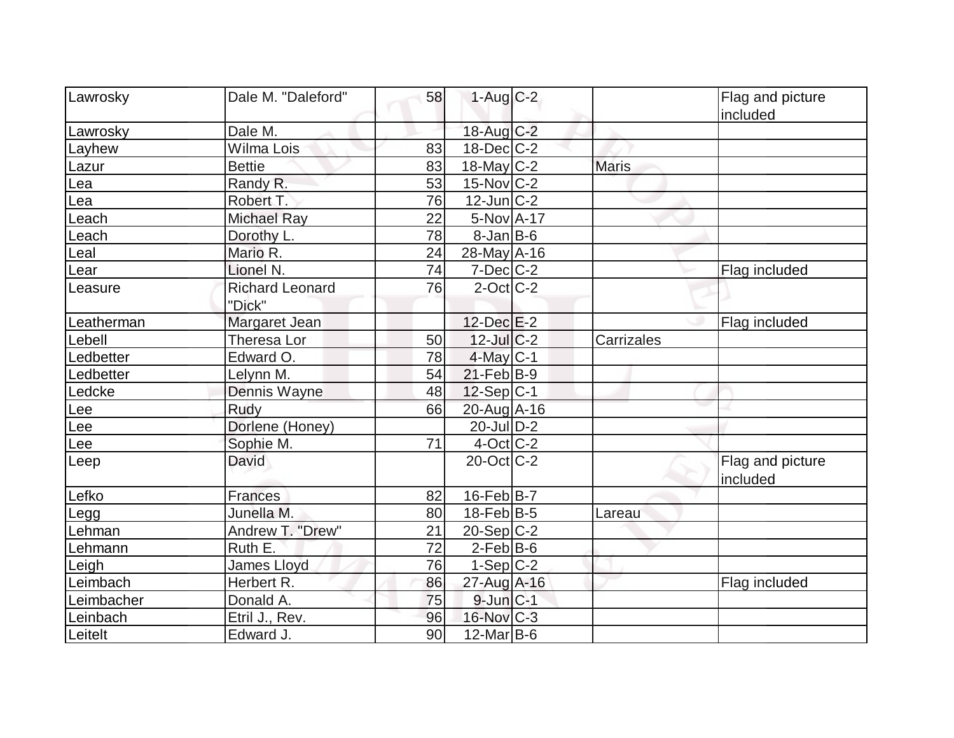| Lawrosky   | Dale M. "Daleford"     | 58 | $1-Aug$ $C-2$     |              | Flag and picture             |
|------------|------------------------|----|-------------------|--------------|------------------------------|
| Lawrosky   | Dale M.                |    | 18-Aug C-2        |              | included                     |
| Layhew     | Wilma Lois             | 83 | $18$ -Dec $C-2$   |              |                              |
| Lazur      | <b>Bettie</b>          | 83 | $18$ -May C-2     | <b>Maris</b> |                              |
| Lea        | Randy R.               | 53 | $15$ -Nov $ C-2 $ |              |                              |
| Lea        | Robert T.              | 76 | $12$ -Jun $ C-2 $ |              |                              |
| Leach      | <b>Michael Ray</b>     | 22 | $5-NovA-17$       |              |                              |
| Leach      | Dorothy L.             | 78 | $8$ -Jan B-6      |              |                              |
| Leal       | Mario R.               | 24 | 28-May A-16       |              |                              |
| Lear       | Lionel N.              | 74 | $7$ -Dec $ C$ -2  |              | Flag included                |
| Leasure    | <b>Richard Leonard</b> | 76 | $2$ -Oct $ C-2 $  |              |                              |
|            | "Dick"                 |    |                   |              |                              |
| Leatherman | Margaret Jean          |    | $12$ -Dec $E-2$   |              | Flag included                |
| Lebell     | Theresa Lor            | 50 | $12$ -JulC-2      | Carrizales   |                              |
| Ledbetter  | Edward O.              | 78 | $4$ -May C-1      |              |                              |
| Ledbetter  | Lelynn M.              | 54 | $21$ -Feb $ B-9 $ |              |                              |
| Ledcke     | Dennis Wayne           | 48 | $12-Sep C-1$      |              |                              |
| Lee        | Rudy                   | 66 | 20-Aug A-16       |              |                              |
| Lee        | Dorlene (Honey)        |    | $20$ -Jul $D-2$   |              |                              |
| Lee        | Sophie M.              | 71 | $4$ -Oct $ C-2 $  |              |                              |
| Leep       | David                  |    | $20$ -Oct $ C-2 $ |              | Flag and picture<br>included |
| Lefko      | <b>Frances</b>         | 82 | $16$ -Feb $ B-7$  |              |                              |
| Legg       | Junella M.             | 80 | $18$ -Feb $ B-5 $ | Lareau       |                              |
| Lehman     | Andrew T. "Drew"       | 21 | 20-Sep C-2        |              |                              |
| Lehmann    | Ruth E.                | 72 | $2$ -Feb $ B-6$   |              |                              |
| Leigh      | <b>James Lloyd</b>     | 76 | $1-Sep C-2$       |              |                              |
| Leimbach   | Herbert R.             | 86 | 27-Aug A-16       |              | Flag included                |
| Leimbacher | Donald A.              | 75 | $9$ -Jun $C-1$    |              |                              |
| Leinbach   | Etril J., Rev.         | 96 | 16-Nov C-3        |              |                              |
| Leitelt    | Edward J.              | 90 | $12$ -Mar $ B-6$  |              |                              |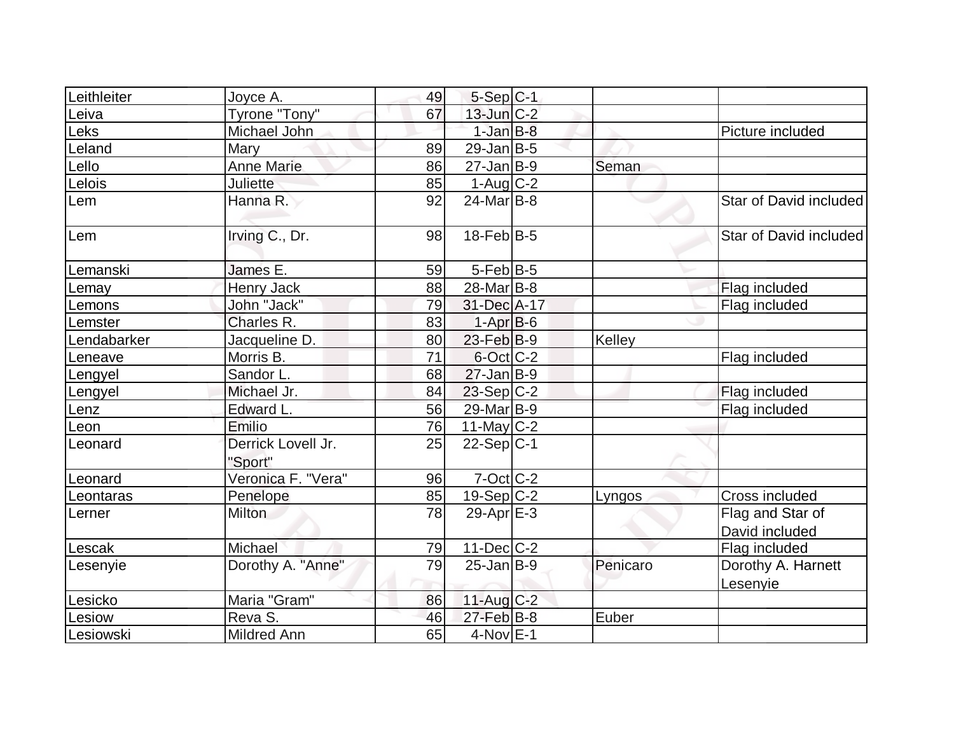| Leithleiter | Joyce A.                      | 49 | $5-Sep C-1$            |          |                                    |
|-------------|-------------------------------|----|------------------------|----------|------------------------------------|
| Leiva       | Tyrone "Tony"                 | 67 | $13$ -Jun $C-2$        |          |                                    |
| Leks        | Michael John                  |    | $1$ -Jan $B$ -8        |          | Picture included                   |
| Leland      | Mary                          | 89 | $29$ -Jan B-5          |          |                                    |
| Lello       | <b>Anne Marie</b>             | 86 | $27$ -Jan B-9          | Seman    |                                    |
| Lelois      | <b>Juliette</b>               | 85 | $1-Aug C-2$            |          |                                    |
| Lem         | Hanna R.                      | 92 | $24$ -Mar $ B-8 $      |          | Star of David included             |
| Lem         | Irving C., Dr.                | 98 | $18$ -Feb $ B-5 $      |          | Star of David included             |
| Lemanski    | James E.                      | 59 | $5$ -Feb $ B-5 $       |          |                                    |
| Lemay       | Henry Jack                    | 88 | 28-Mar <sub>B</sub> -8 |          | Flag included                      |
| Lemons      | John "Jack"                   | 79 | 31-Dec A-17            |          | Flag included                      |
| Lemster     | Charles R.                    | 83 | $1-Apr$ B-6            |          |                                    |
| Lendabarker | Jacqueline D.                 | 80 | $23$ -Feb $ B-9 $      | Kelley   |                                    |
| Leneave     | Morris B.                     | 71 | 6-Oct C-2              |          | Flag included                      |
| Lengyel     | Sandor L.                     | 68 | $27$ -Jan B-9          |          |                                    |
| Lengyel     | Michael Jr.                   | 84 | $23-Sep C-2$           |          | Flag included                      |
| Lenz        | Edward L.                     | 56 | 29-Mar B-9             |          | Flag included                      |
| Leon        | Emilio                        | 76 | 11-May $C-2$           |          |                                    |
| Leonard     | Derrick Lovell Jr.<br>"Sport" | 25 | $22-Sep C-1$           |          |                                    |
| Leonard     | Veronica F. "Vera"            | 96 | $7-Oct$ $C-2$          |          |                                    |
| Leontaras   | Penelope                      | 85 | $19-Sep C-2$           | Lyngos   | Cross included                     |
| Lerner      | <b>Milton</b>                 | 78 | 29-Apr $E-3$           |          | Flag and Star of<br>David included |
| Lescak      | Michael                       | 79 | $11 - \text{Dec} C-2$  |          | Flag included                      |
| Lesenyie    | Dorothy A. "Anne"             | 79 | $25$ -Jan $ B-9 $      | Penicaro | Dorothy A. Harnett<br>Lesenyie     |
| Lesicko     | Maria "Gram"                  | 86 | $11$ -Aug $C-2$        |          |                                    |
| Lesiow      | Reva S.                       | 46 | $27$ -Feb $B$ -8       | Euber    |                                    |
| Lesiowski   | <b>Mildred Ann</b>            | 65 | $4$ -Nov $E-1$         |          |                                    |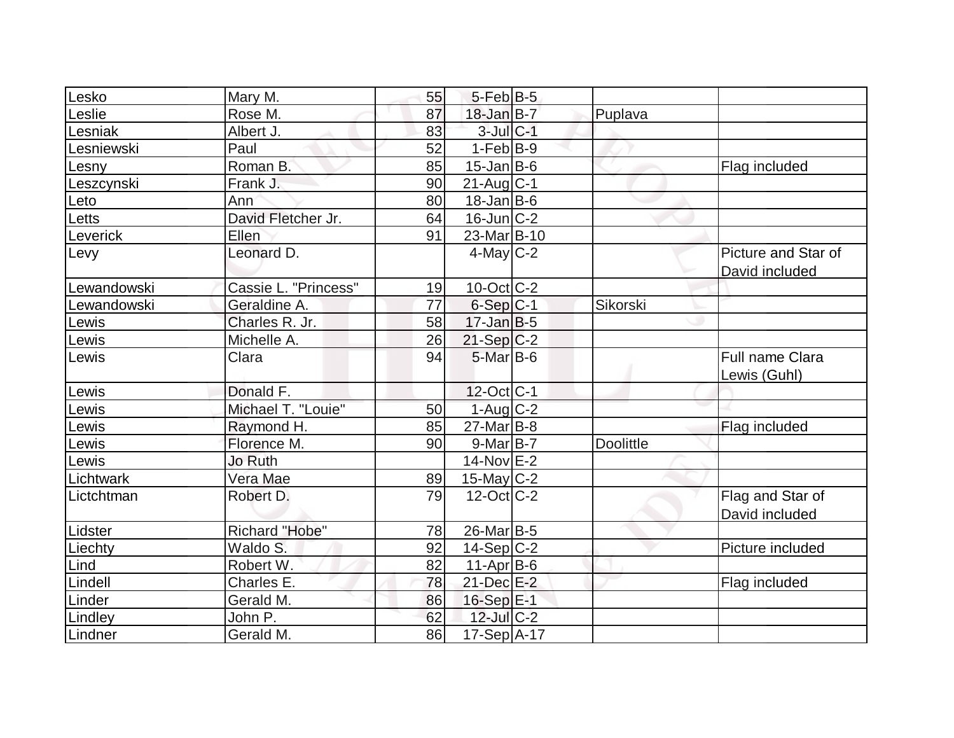| Lesko       | Mary M.              | 55 | $5$ -Feb $ B-5$   |                  |                                 |
|-------------|----------------------|----|-------------------|------------------|---------------------------------|
| Leslie      | Rose M.              | 87 | $18$ -Jan B-7     | Puplava          |                                 |
| Lesniak     | Albert J.            | 83 | $3$ -Jul $C-1$    |                  |                                 |
| Lesniewski  | Paul                 | 52 | $1-Feb B-9$       |                  |                                 |
| Lesny       | Roman B.             | 85 | $15$ -Jan $B$ -6  |                  | Flag included                   |
| Leszcynski  | Frank J.             | 90 | $21$ -Aug $C-1$   |                  |                                 |
| Leto        | Ann                  | 80 | $18$ -Jan B-6     |                  |                                 |
| Letts       | David Fletcher Jr.   | 64 | $16$ -Jun $ C-2 $ |                  |                                 |
| Leverick    | Ellen                | 91 | 23-Mar B-10       |                  |                                 |
| Levy        | Leonard D.           |    | $4$ -May C-2      |                  | Picture and Star of             |
|             |                      |    |                   |                  | David included                  |
| Lewandowski | Cassie L. "Princess" | 19 | $10$ -Oct $ C-2 $ |                  |                                 |
| Lewandowski | Geraldine A.         | 77 | $6-Sep C-1$       | <b>Sikorski</b>  |                                 |
| Lewis       | Charles R. Jr.       | 58 | $17$ -Jan B-5     |                  |                                 |
| Lewis       | Michelle A.          | 26 | $21-Sep C-2$      |                  |                                 |
| Lewis       | Clara                | 94 | $5$ -Mar $B$ -6   |                  | Full name Clara<br>Lewis (Guhl) |
| Lewis       | Donald F.            |    | 12-Oct C-1        |                  |                                 |
| Lewis       | Michael T. "Louie"   | 50 | $1-Aug$ $C-2$     |                  |                                 |
| Lewis       | Raymond H.           | 85 | $27$ -Mar $B-8$   |                  | Flag included                   |
| Lewis       | Florence M.          | 90 | $9-Mar$ B-7       | <b>Doolittle</b> |                                 |
| Lewis       | <b>Jo Ruth</b>       |    | $14$ -Nov $E-2$   |                  |                                 |
| Lichtwark   | Vera Mae             | 89 | 15-May $C-2$      |                  |                                 |
| Lictchtman  | Robert D.            | 79 | $12$ -Oct $ C-2 $ |                  | Flag and Star of                |
|             |                      |    |                   |                  | David included                  |
| Lidster     | Richard "Hobe"       | 78 | 26-Mar B-5        |                  |                                 |
| Liechty     | Waldo S.             | 92 | $14-Sep C-2$      |                  | Picture included                |
| Lind        | Robert W.            | 82 | $11-Apr B-6$      |                  |                                 |
| Lindell     | Charles E.           | 78 | $21$ -Dec $E-2$   |                  | Flag included                   |
| Linder      | Gerald M.            | 86 | 16-Sep E-1        |                  |                                 |
| Lindley     | John P.              | 62 | $12$ -Jul $C-2$   |                  |                                 |
| Lindner     | Gerald M.            | 86 | 17-Sep A-17       |                  |                                 |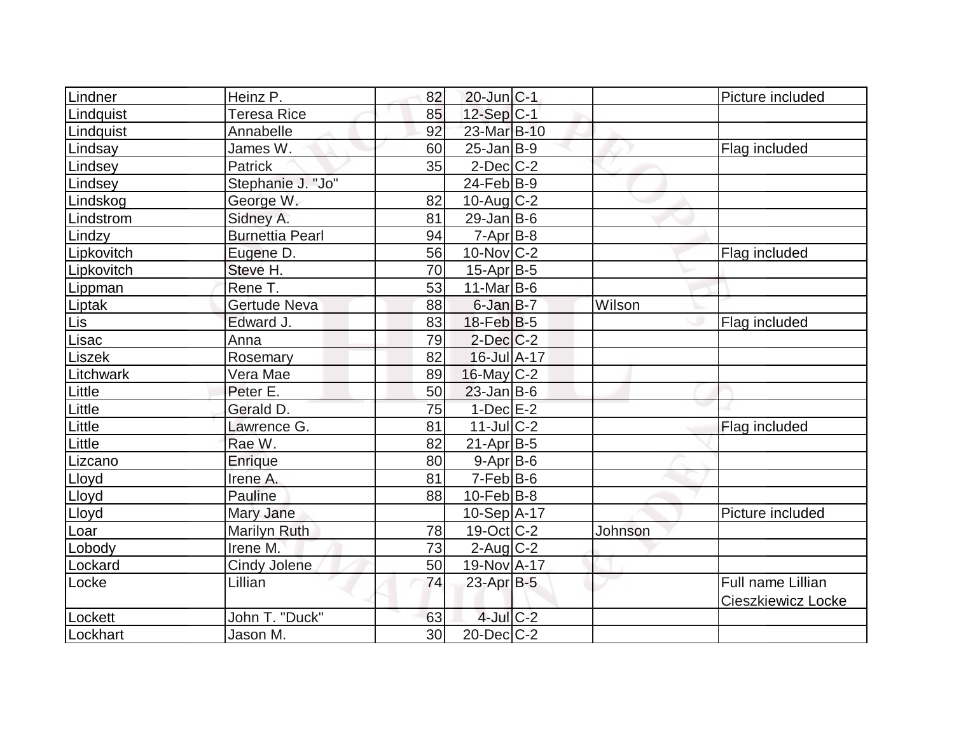| Lindner    | Heinz P.               | 82 | $20$ -Jun $ C-1 $ |         | Picture included   |
|------------|------------------------|----|-------------------|---------|--------------------|
| Lindquist  | Teresa Rice            | 85 | $12$ -Sep $ C-1 $ |         |                    |
| Lindquist  | Annabelle              | 92 | 23-Mar B-10       |         |                    |
| Lindsay    | James W.               | 60 | $25$ -Jan B-9     |         | Flag included      |
| Lindsey    | <b>Patrick</b>         | 35 | $2$ -Dec $C$ -2   |         |                    |
| Lindsey    | Stephanie J. "Jo"      |    | $24$ -Feb $B-9$   |         |                    |
| Lindskog   | George W.              | 82 | $10$ -Aug $C-2$   |         |                    |
| Lindstrom  | Sidney A.              | 81 | $29$ -Jan B-6     |         |                    |
| Lindzy     | <b>Burnettia Pearl</b> | 94 | $7 - Apr$ B-8     |         |                    |
| Lipkovitch | Eugene D.              | 56 | $10$ -Nov $ C-2 $ |         | Flag included      |
| Lipkovitch | Steve H.               | 70 | $15$ -Apr $ B-5 $ |         |                    |
| Lippman    | Rene T.                | 53 | $11$ -Mar $ B-6 $ |         |                    |
| Liptak     | Gertude Neva           | 88 | $6$ -Jan $B$ -7   | Wilson  |                    |
| Lis        | Edward J.              | 83 | $18$ -Feb $ B-5 $ |         | Flag included      |
| Lisac      | Anna                   | 79 | $2$ -Dec $C-2$    |         |                    |
| Liszek     | Rosemary               | 82 | 16-Jul A-17       |         |                    |
| Litchwark  | Vera Mae               | 89 | $16$ -May $C-2$   |         |                    |
| Little     | Peter E.               | 50 | $23$ -Jan B-6     |         |                    |
| Little     | Gerald D.              | 75 | $1-Dec$ E-2       |         |                    |
| Little     | Lawrence G.            | 81 | $11$ -Jul C-2     |         | Flag included      |
| Little     | Rae W.                 | 82 | $21-Apr B-5$      |         |                    |
| Lizcano    | Enrique                | 80 | $9 - Apr$ B-6     |         |                    |
| Lloyd      | Irene A.               | 81 | $7-Feb B-6$       |         |                    |
| Lloyd      | Pauline                | 88 | $10$ -Feb $ B-8 $ |         |                    |
| Lloyd      | Mary Jane              |    | $10-Sep$ A-17     |         | Picture included   |
| Loar       | <b>Marilyn Ruth</b>    | 78 | 19-Oct C-2        | Johnson |                    |
| Lobody     | Irene M.               | 73 | $2$ -Aug $C-2$    |         |                    |
| Lockard    | <b>Cindy Jolene</b>    | 50 | 19-Nov A-17       |         |                    |
| Locke      | Lillian                | 74 | 23-Apr B-5        |         | Full name Lillian  |
|            |                        |    |                   |         | Cieszkiewicz Locke |
| Lockett    | John T. "Duck"         | 63 | $4$ -Jul $C-2$    |         |                    |
| Lockhart   | Jason M.               | 30 | $20$ -Dec $C$ -2  |         |                    |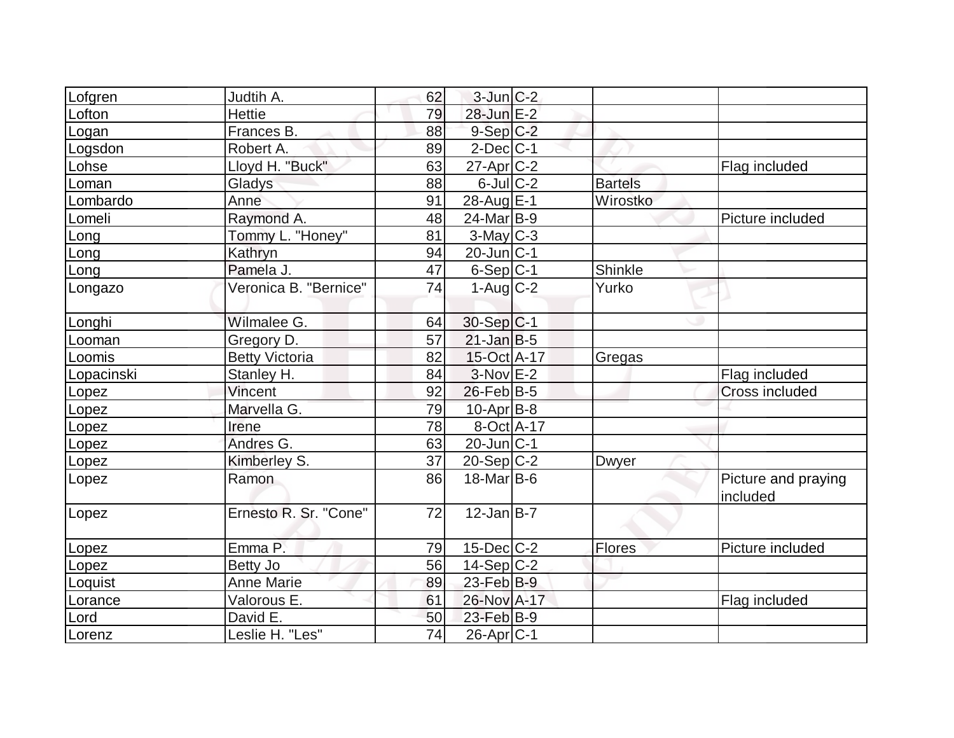| Lofgren    | Judtih A.             | 62 | $3$ -Jun $ C-2 $  |                |                                 |
|------------|-----------------------|----|-------------------|----------------|---------------------------------|
| Lofton     | <b>Hettie</b>         | 79 | 28-Jun E-2        |                |                                 |
| Logan      | Frances B.            | 88 | $9-Sep C-2$       |                |                                 |
| Logsdon    | Robert A.             | 89 | $2$ -Dec $ C-1 $  |                |                                 |
| Lohse      | Lloyd H. "Buck"       | 63 | $27$ -Apr $C-2$   |                | Flag included                   |
| Loman      | Gladys                | 88 | $6$ -Jul $C-2$    | <b>Bartels</b> |                                 |
| Lombardo   | Anne                  | 91 | 28-Aug E-1        | Wirostko       |                                 |
| Lomeli     | Raymond A.            | 48 | 24-Mar B-9        |                | Picture included                |
| Long       | Tommy L. "Honey"      | 81 | $3$ -May C-3      |                |                                 |
| Long       | Kathryn               | 94 | $20$ -Jun $ C-1$  |                |                                 |
| Long       | Pamela J.             | 47 | $6-Sep C-1$       | Shinkle        |                                 |
| Longazo    | Veronica B. "Bernice" | 74 | $1-Aug$ $C-2$     | Yurko          |                                 |
| Longhi     | Wilmalee G.           | 64 | $30-Sep C-1$      |                |                                 |
| Looman     | Gregory D.            | 57 | $21$ -Jan B-5     |                |                                 |
| Loomis     | <b>Betty Victoria</b> | 82 | 15-Oct A-17       | Gregas         |                                 |
| Lopacinski | Stanley H.            | 84 | $3-Nov$ E-2       |                | Flag included                   |
| Lopez      | Vincent               | 92 | $26$ -Feb $ B-5 $ |                | <b>Cross included</b>           |
| Lopez      | Marvella G.           | 79 | $10$ -Apr $ B-8 $ |                |                                 |
| Lopez      | Irene                 | 78 | 8-Oct A-17        |                |                                 |
| Lopez      | Andres G.             | 63 | $20$ -Jun $ C-1$  |                |                                 |
| Lopez      | Kimberley S.          | 37 | $20-Sep C-2$      | <b>Dwyer</b>   |                                 |
| Lopez      | Ramon                 | 86 | $18$ -Mar $ B-6$  |                | Picture and praying<br>included |
| Lopez      | Ernesto R. Sr. "Cone" | 72 | $12$ -Jan B-7     |                |                                 |
| Lopez      | Emma P.               | 79 | $15$ -Dec $C$ -2  | Flores         | Picture included                |
| Lopez      | Betty Jo              | 56 | $14-Sep C-2$      |                |                                 |
| Loquist    | <b>Anne Marie</b>     | 89 | $23$ -Feb $B-9$   |                |                                 |
| Lorance    | Valorous E.           | 61 | 26-Nov A-17       |                | Flag included                   |
| Lord       | David E.              | 50 | 23-Feb B-9        |                |                                 |
| Lorenz     | Leslie H. "Les"       | 74 | $26$ -Apr $C-1$   |                |                                 |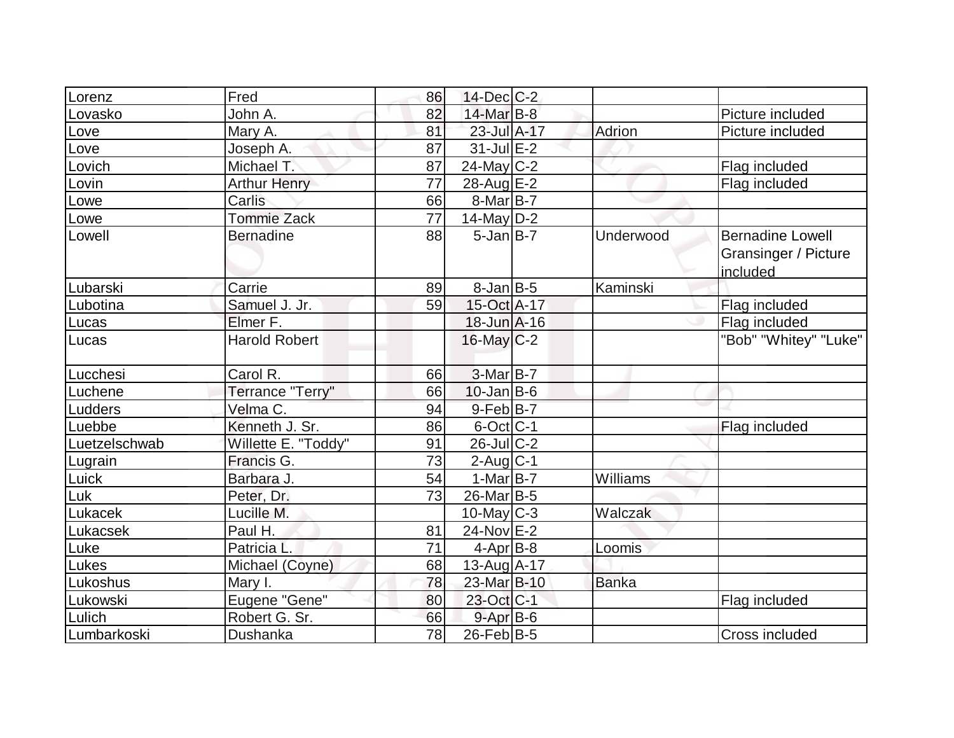| Lorenz        | Fred                 | 86 | 14-Dec C-2            |              |                         |
|---------------|----------------------|----|-----------------------|--------------|-------------------------|
| Lovasko       | John A.              | 82 | 14-Mar B-8            |              | Picture included        |
| Love          | Mary A.              | 81 | 23-Jul A-17           | Adrion       | Picture included        |
| Love          | Joseph A.            | 87 | $31$ -Jul $E-2$       |              |                         |
| Lovich        | Michael T.           | 87 | $24$ -May C-2         |              | Flag included           |
| Lovin         | <b>Arthur Henry</b>  | 77 | 28-Aug E-2            |              | Flag included           |
| Lowe          | Carlis               | 66 | $8-Mar B-7$           |              |                         |
| Lowe          | <b>Tommie Zack</b>   | 77 | $14$ -May D-2         |              |                         |
| Lowell        | <b>Bernadine</b>     | 88 | $5$ -Jan $B$ -7       | Underwood    | <b>Bernadine Lowell</b> |
|               |                      |    |                       |              | Gransinger / Picture    |
|               |                      |    |                       |              | included                |
| Lubarski      | Carrie               | 89 | $8$ -Jan $B$ -5       | Kaminski     |                         |
| Lubotina      | Samuel J. Jr.        | 59 | 15-Oct A-17           |              | Flag included           |
| Lucas         | Elmer F.             |    | $18 - Jun$ A-16       |              | Flag included           |
| Lucas         | <b>Harold Robert</b> |    | 16-May C-2            |              | "Bob" "Whitey" "Luke"   |
|               |                      |    |                       |              |                         |
| Lucchesi      | Carol R.             | 66 | $3-Mar$ B-7           |              |                         |
| Luchene       | Terrance "Terry"     | 66 | $10$ -Jan $ B-6 $     |              |                         |
| Ludders       | Velma C.             | 94 | $9-Feb B-7$           |              |                         |
| Luebbe        | Kenneth J. Sr.       | 86 | $6$ -Oct $C$ -1       |              | Flag included           |
| Luetzelschwab | Willette E. "Toddy"  | 91 | $26$ -Jul $C-2$       |              |                         |
| Lugrain       | Francis G.           | 73 | $2$ -Aug $C-1$        |              |                         |
| Luick         | Barbara J.           | 54 | $1-MarB-7$            | Williams     |                         |
| Luk           | Peter, Dr.           | 73 | 26-Mar <sub>B-5</sub> |              |                         |
| Lukacek       | Lucille M.           |    | $10$ -May C-3         | Walczak      |                         |
| Lukacsek      | Paul H.              | 81 | 24-Nov E-2            |              |                         |
| Luke          | Patricia L.          | 71 | $4-Apr$ B-8           | Loomis       |                         |
| Lukes         | Michael (Coyne)      | 68 | $13$ -Aug A-17        |              |                         |
| Lukoshus      | Mary I.              | 78 | 23-Mar B-10           | <b>Banka</b> |                         |
| Lukowski      | Eugene "Gene"        | 80 | 23-Oct C-1            |              | Flag included           |
| Lulich        | Robert G. Sr.        | 66 | $9$ -Apr $B$ -6       |              |                         |
| Lumbarkoski   | Dushanka             | 78 | $26$ -Feb $ B-5 $     |              | Cross included          |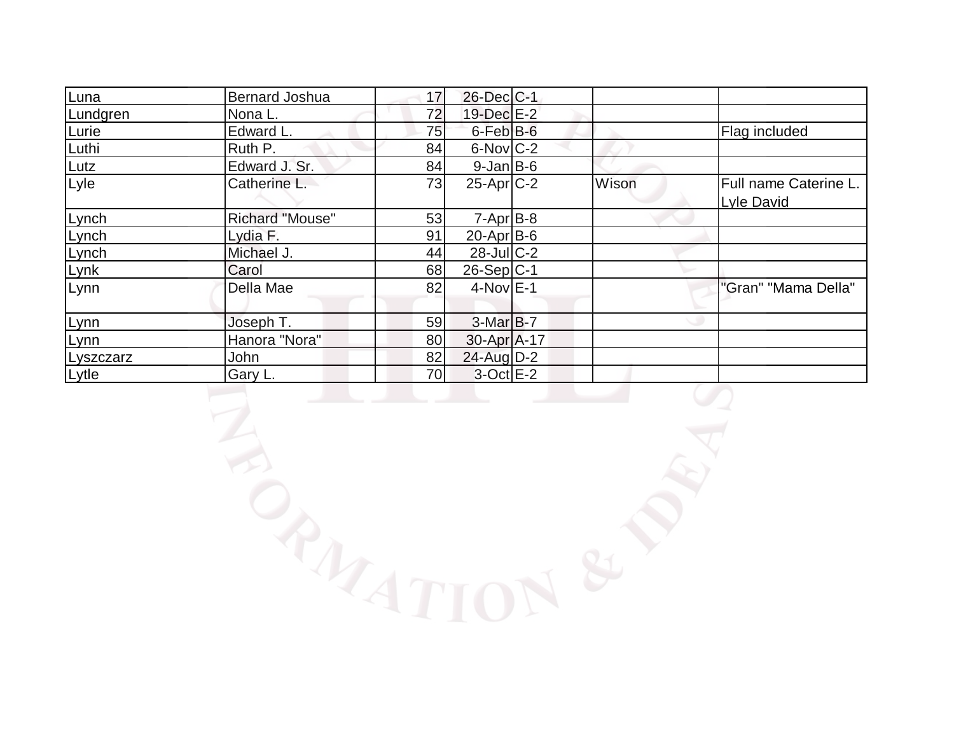| Luna      | <b>Bernard Joshua</b>  | 17 | $26$ -Dec $C$ -1 |       |                                     |
|-----------|------------------------|----|------------------|-------|-------------------------------------|
| Lundgren  | Nona L.                | 72 | 19-Dec E-2       |       |                                     |
| Lurie     | Edward L.              | 75 | $6$ -Feb $B$ -6  |       | Flag included                       |
| Luthi     | Ruth P.                | 84 | $6$ -Nov $C-2$   |       |                                     |
| Lutz      | Edward J. Sr.          | 84 | $9$ -Jan $ B$ -6 |       |                                     |
| Lyle      | Catherine L.           | 73 | $25$ -Apr $C-2$  | Wison | Full name Caterine L.<br>Lyle David |
| Lynch     | <b>Richard "Mouse"</b> | 53 | $7 - Apr$ $B-8$  |       |                                     |
| Lynch     | Lydia F.               | 91 | $20$ -Apr $B$ -6 |       |                                     |
| Lynch     | Michael J.             | 44 | $28$ -Jul $C-2$  |       |                                     |
| Lynk      | Carol                  | 68 | $26-Sep C-1$     |       |                                     |
| Lynn      | Della Mae              | 82 | $4-Nov$ E-1      |       | "Gran" "Mama Della"                 |
| Lynn      | Joseph T.              | 59 | $3-Mar$ B-7      |       |                                     |
| Lynn      | Hanora "Nora"          | 80 | 30-Apr A-17      |       |                                     |
| Lyszczarz | John                   | 82 | 24-Aug D-2       |       |                                     |
| Lytle     | Gary L.                | 70 | $3-Oct$ $E-2$    |       |                                     |
|           |                        |    |                  |       |                                     |

LIGATION & P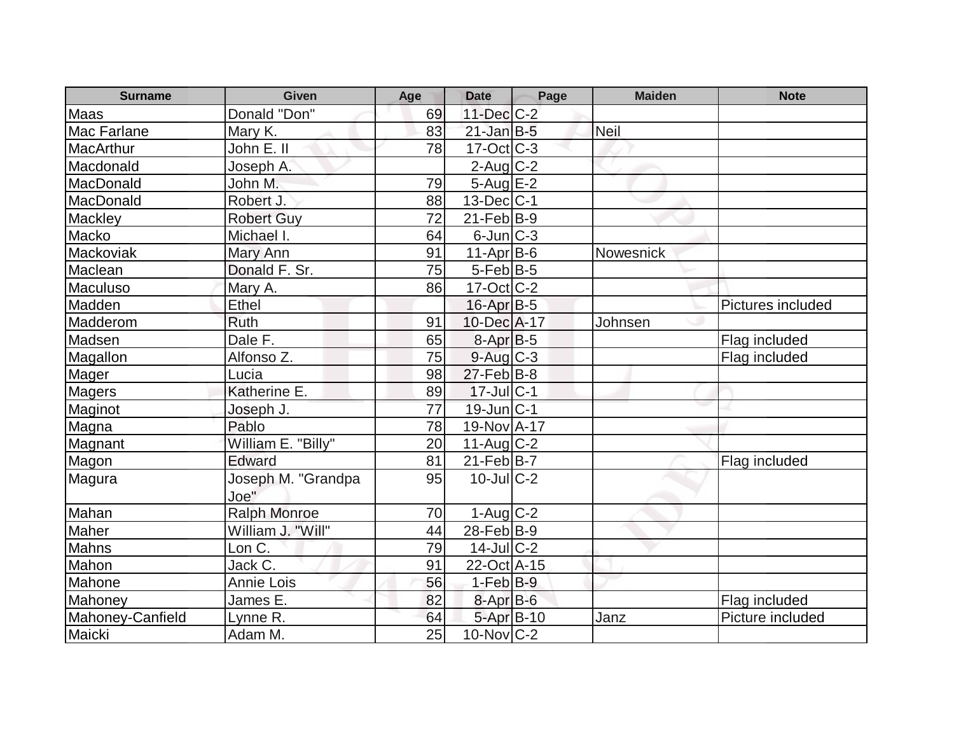| <b>Surname</b>     | <b>Given</b>        | Age | <b>Date</b>             | Page | <b>Maiden</b> | <b>Note</b>       |
|--------------------|---------------------|-----|-------------------------|------|---------------|-------------------|
| <b>Maas</b>        | Donald "Don"        | 69  | 11-Dec C-2              |      |               |                   |
| <b>Mac Farlane</b> | Mary K.             | 83  | $21$ -Jan $B-5$         |      | Neil          |                   |
| <b>MacArthur</b>   | John E. II          | 78  | $17-Oct$ $C-3$          |      |               |                   |
| Macdonald          | Joseph A.           |     | $2$ -Aug $C-2$          |      |               |                   |
| MacDonald          | John M.             | 79  | 5-Aug E-2               |      |               |                   |
| MacDonald          | Robert J.           | 88  | $13$ -Dec $ C-1$        |      |               |                   |
| Mackley            | <b>Robert Guy</b>   | 72  | $21$ -Feb $ B-9 $       |      |               |                   |
| Macko              | Michael I.          | 64  | $6$ -Jun $ C-3 $        |      |               |                   |
| Mackoviak          | Mary Ann            | 91  | $11-Apr B-6$            |      | Nowesnick     |                   |
| Maclean            | Donald F. Sr.       | 75  | $5$ -Feb $ B-5 $        |      |               |                   |
| Maculuso           | Mary A.             | 86  | $17-Oct$ $C-2$          |      |               |                   |
| Madden             | Ethel               |     | $16$ -Apr $B$ -5        |      |               | Pictures included |
| Madderom           | <b>Ruth</b>         | 91  | 10-Dec A-17             |      | Johnsen       |                   |
| Madsen             | Dale F.             | 65  | $8-AprB-5$              |      |               | Flag included     |
| Magallon           | Alfonso Z.          | 75  | $9$ -Aug $C-3$          |      |               | Flag included     |
| Mager              | Lucia               | 98  | $27$ -Feb $ B-8 $       |      |               |                   |
| <b>Magers</b>      | Katherine E.        | 89  | $17$ -Jul $C-1$         |      |               |                   |
| Maginot            | Joseph J.           | 77  | $19$ -Jun $ C-1$        |      |               |                   |
| Magna              | Pablo               | 78  | 19-Nov A-17             |      |               |                   |
| Magnant            | William E. "Billy"  | 20  | $11-Aug$ <sub>C-2</sub> |      |               |                   |
| Magon              | Edward              | 81  | $21$ -Feb $ B-7 $       |      |               | Flag included     |
| Magura             | Joseph M. "Grandpa  | 95  | $10$ -Jul $C-2$         |      |               |                   |
|                    | Joe"                |     |                         |      |               |                   |
| Mahan              | <b>Ralph Monroe</b> | 70  | $1-Auq$ $C-2$           |      |               |                   |
| Maher              | William J. "Will"   | 44  | $28$ -Feb $ B-9 $       |      |               |                   |
| Mahns              | Lon C.              | 79  | $14$ -Jul C-2           |      |               |                   |
| Mahon              | Jack C.             | 91  | 22-Oct A-15             |      |               |                   |
| Mahone             | <b>Annie Lois</b>   | 56  | $1-Feb$ B-9             |      |               |                   |
| Mahoney            | James E.            | 82  | 8-Apr B-6               |      |               | Flag included     |
| Mahoney-Canfield   | Lynne R.            | 64  | 5-Apr B-10              |      | Janz          | Picture included  |
| Maicki             | Adam M.             | 25  | $10$ -Nov $ C-2 $       |      |               |                   |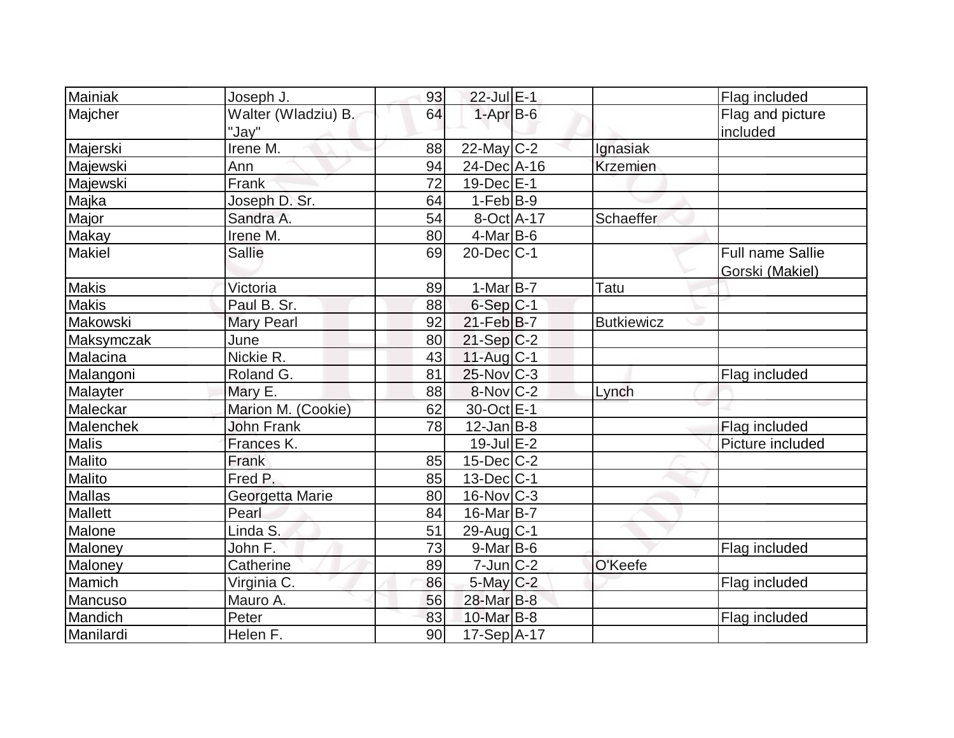| Mainiak        | Joseph J.           | 93 | 22-Jul E-1            |                   | Flag included           |
|----------------|---------------------|----|-----------------------|-------------------|-------------------------|
| Majcher        | Walter (Wladziu) B. | 64 | $1-Apr$ B-6           |                   | Flag and picture        |
|                | "Jav"               |    |                       |                   | included                |
| Majerski       | Irene M.            | 88 | $22$ -May C-2         | Ignasiak          |                         |
| Majewski       | Ann                 | 94 | 24-Dec A-16           | <b>Krzemien</b>   |                         |
| Majewski       | Frank               | 72 | $19$ -Dec $E-1$       |                   |                         |
| Majka          | Joseph D. Sr.       | 64 | $1-Feb B-9$           |                   |                         |
| Major          | Sandra A.           | 54 | 8-Oct A-17            | Schaeffer         |                         |
| <b>Makay</b>   | Irene M.            | 80 | $4$ -Mar $B$ -6       |                   |                         |
| <b>Makiel</b>  | <b>Sallie</b>       | 69 | $20$ -Dec $C-1$       |                   | <b>Full name Sallie</b> |
|                |                     |    |                       |                   | Gorski (Makiel)         |
| <b>Makis</b>   | Victoria            | 89 | $1-Mar$ B-7           | Tatu              |                         |
| <b>Makis</b>   | Paul B. Sr.         | 88 | $6-Sep C-1$           |                   |                         |
| Makowski       | <b>Mary Pearl</b>   | 92 | $21$ -Feb $ B-7$      | <b>Butkiewicz</b> |                         |
| Maksymczak     | June                | 80 | $21-Sep C-2$          |                   |                         |
| Malacina       | Nickie R.           | 43 | $11$ -Aug $C-1$       |                   |                         |
| Malangoni      | Roland G.           | 81 | $25$ -Nov $ C-3 $     |                   | Flag included           |
| Malayter       | Mary E.             | 88 | $8-Nov$ C-2           | Lynch             |                         |
| Maleckar       | Marion M. (Cookie)  | 62 | 30-Oct E-1            |                   |                         |
| Malenchek      | <b>John Frank</b>   | 78 | $12$ -Jan B-8         |                   | Flag included           |
| <b>Malis</b>   | Frances K.          |    | $19$ -Jul $E-2$       |                   | Picture included        |
| Malito         | Frank               | 85 | $15$ -Dec $ C-2 $     |                   |                         |
| Malito         | Fred P.             | 85 | $13$ -Dec $ C-1 $     |                   |                         |
| Mallas         | Georgetta Marie     | 80 | $16$ -Nov $C-3$       |                   |                         |
| <b>Mallett</b> | Pearl               | 84 | 16-Mar <sub>B-7</sub> |                   |                         |
| Malone         | Linda S.            | 51 | 29-Aug C-1            |                   |                         |
| Maloney        | John F.             | 73 | $9$ -Mar $ B$ -6      |                   | Flag included           |
| Maloney        | Catherine           | 89 | $7$ -Jun $ C-2 $      | O'Keefe           |                         |
| Mamich         | Virginia C.         | 86 | 5-May C-2             |                   | Flag included           |
| Mancuso        | Mauro A.            | 56 | 28-Mar B-8            |                   |                         |
| Mandich        | Peter               | 83 | $10$ -Mar $B$ -8      |                   | Flag included           |
| Manilardi      | Helen F.            | 90 | 17-Sep A-17           |                   |                         |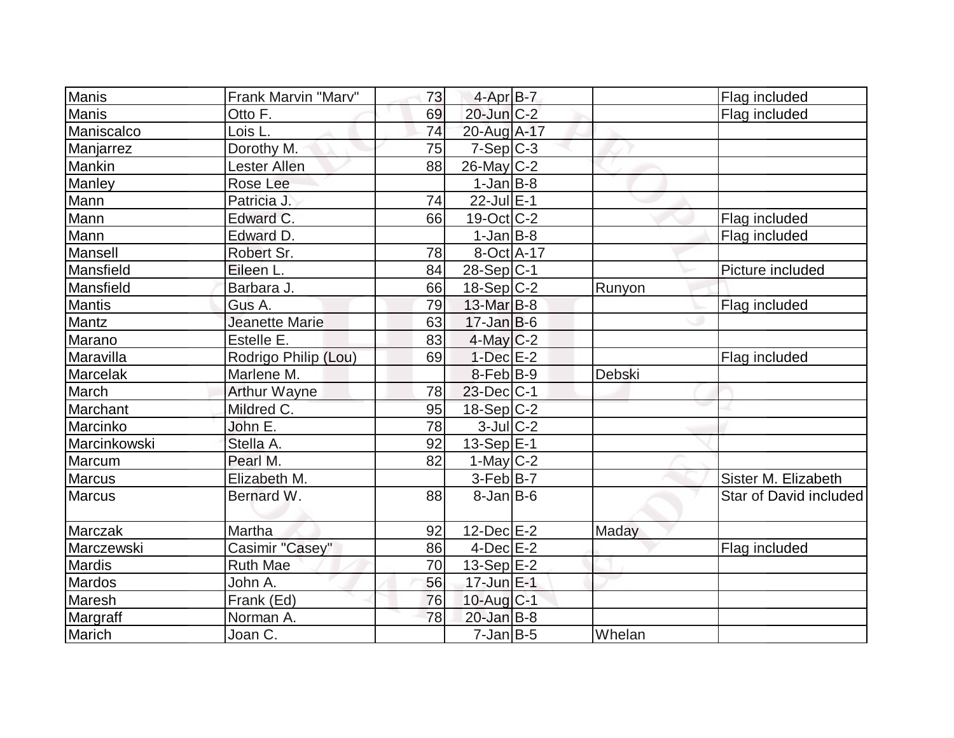| <b>Manis</b>  | Frank Marvin "Marv"  | 73 | $4$ -Apr $B$ -7         |               | Flag included          |
|---------------|----------------------|----|-------------------------|---------------|------------------------|
| <b>Manis</b>  | Otto F.              | 69 | $20$ -Jun $C-2$         |               | Flag included          |
| Maniscalco    | Lois L.              | 74 | 20-Aug A-17             |               |                        |
| Manjarrez     | Dorothy M.           | 75 | $7-Sep C-3$             |               |                        |
| Mankin        | Lester Allen         | 88 | $26$ -May $ C-2 $       |               |                        |
| Manley        | Rose Lee             |    | $1-Jan$ B-8             |               |                        |
| Mann          | Patricia J.          | 74 | $22$ -Jul $E-1$         |               |                        |
| Mann          | Edward C.            | 66 | $19-Oct$ $C-2$          |               | Flag included          |
| Mann          | Edward D.            |    | $1-Jan$ B-8             |               | Flag included          |
| Mansell       | Robert Sr.           | 78 | 8-Oct A-17              |               |                        |
| Mansfield     | Eileen L.            | 84 | $28-Sep C-1$            |               | Picture included       |
| Mansfield     | Barbara J.           | 66 | $18-Sep C-2$            | Runyon        |                        |
| <b>Mantis</b> | Gus A.               | 79 | 13-Mar B-8              |               | Flag included          |
| Mantz         | Jeanette Marie       | 63 | $17 - Jan$ $B-6$        |               |                        |
| Marano        | Estelle E.           | 83 | $4$ -May C-2            |               |                        |
| Maravilla     | Rodrigo Philip (Lou) | 69 | $1-Dec$ $E-2$           |               | Flag included          |
| Marcelak      | Marlene M.           |    | $8$ -Feb $ B-9 $        | <b>Debski</b> |                        |
| March         | <b>Arthur Wayne</b>  | 78 | $23$ -Dec $ C-1 $       |               |                        |
| Marchant      | Mildred C.           | 95 | $18-Sep C-2$            |               |                        |
| Marcinko      | John E.              | 78 | $3$ -Jul $C-2$          |               |                        |
| Marcinkowski  | Stella A.            | 92 | 13-Sep $E-1$            |               |                        |
| Marcum        | Pearl M.             | 82 | $1-May$ <sub>C</sub> -2 |               |                        |
| <b>Marcus</b> | Elizabeth M.         |    | $3-Feb B-7$             |               | Sister M. Elizabeth    |
| <b>Marcus</b> | Bernard W.           | 88 | $8$ -Jan B-6            |               | Star of David included |
| Marczak       | Martha               | 92 | $12$ -Dec $E-2$         | Maday         |                        |
| Marczewski    | Casimir "Casey"      | 86 | $4$ -Dec $E-2$          |               | Flag included          |
| <b>Mardis</b> | <b>Ruth Mae</b>      | 70 | $13-Sep$ E-2            |               |                        |
| Mardos        | John A.              | 56 | $17$ -Jun $E-1$         |               |                        |
| Maresh        | Frank (Ed)           | 76 | 10-Aug C-1              |               |                        |
| Margraff      | Norman A.            | 78 | $20$ -Jan $B-8$         |               |                        |
| Marich        | Joan C.              |    | $7$ -Jan $ B-5 $        | Whelan        |                        |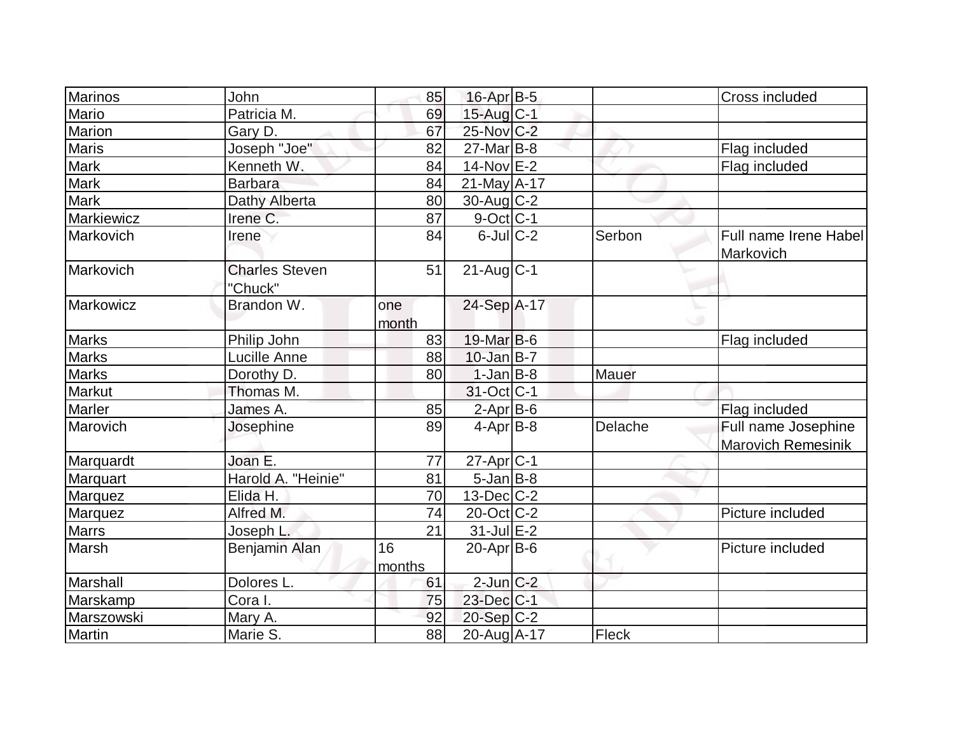| Marinos      | John                             | 85           | 16-Apr B-5        |              | Cross included                                   |
|--------------|----------------------------------|--------------|-------------------|--------------|--------------------------------------------------|
| Mario        | Patricia M.                      | 69           | 15-Aug C-1        |              |                                                  |
| Marion       | Gary D.                          | 67           | 25-Nov C-2        |              |                                                  |
| <b>Maris</b> | Joseph "Joe"                     | 82           | $27$ -Mar $ B-8$  |              | Flag included                                    |
| Mark         | Kenneth W.                       | 84           | $14$ -Nov $E-2$   |              | Flag included                                    |
| <b>Mark</b>  | <b>Barbara</b>                   | 84           | $21$ -May $A-17$  |              |                                                  |
| <b>Mark</b>  | Dathy Alberta                    | 80           | $30$ -Aug C-2     |              |                                                  |
| Markiewicz   | Irene C.                         | 87           | $9$ -Oct $C$ -1   |              |                                                  |
| Markovich    | Irene                            | 84           | $6$ -JulC-2       | Serbon       | Full name Irene Habel<br>Markovich               |
| Markovich    | <b>Charles Steven</b><br>"Chuck" | 51           | $21$ -Aug $C-1$   |              |                                                  |
| Markowicz    | Brandon W.                       | one<br>month | 24-Sep A-17       |              |                                                  |
| <b>Marks</b> | Philip John                      | 83           | $19$ -Mar $ B-6$  |              | Flag included                                    |
| <b>Marks</b> | <b>Lucille Anne</b>              | 88           | $10$ -Jan $B$ -7  |              |                                                  |
| <b>Marks</b> | Dorothy D.                       | 80           | $1-Jan$ B-8       | <b>Mauer</b> |                                                  |
| Markut       | Thomas M.                        |              | 31-Oct C-1        |              |                                                  |
| Marler       | James A.                         | 85           | $2$ -Apr $B$ -6   |              | Flag included                                    |
| Marovich     | Josephine                        | 89           | $4-Apr$ B-8       | Delache      | Full name Josephine<br><b>Marovich Remesinik</b> |
| Marquardt    | Joan E.                          | 77           | 27-Apr C-1        |              |                                                  |
| Marquart     | Harold A. "Heinie"               | 81           | $5$ -Jan $B$ -8   |              |                                                  |
| Marquez      | Elida H.                         | 70           | $13$ -Dec $C-2$   |              |                                                  |
| Marquez      | Alfred M.                        | 74           | $20$ -Oct $ C-2 $ |              | Picture included                                 |
| <b>Marrs</b> | Joseph L.                        | 21           | $31$ -Jul $E-2$   |              |                                                  |
| Marsh        | Benjamin Alan                    | 16<br>months | $20$ -Apr $ B-6 $ |              | Picture included                                 |
| Marshall     | Dolores L.                       | 61           | $2$ -Jun $C-2$    |              |                                                  |
| Marskamp     | Cora I.                          | 75           | 23-Dec C-1        |              |                                                  |
| Marszowski   | Mary A.                          | 92           | $20-Sep C-2$      |              |                                                  |
| Martin       | Marie S.                         | 88           | 20-Aug A-17       | Fleck        |                                                  |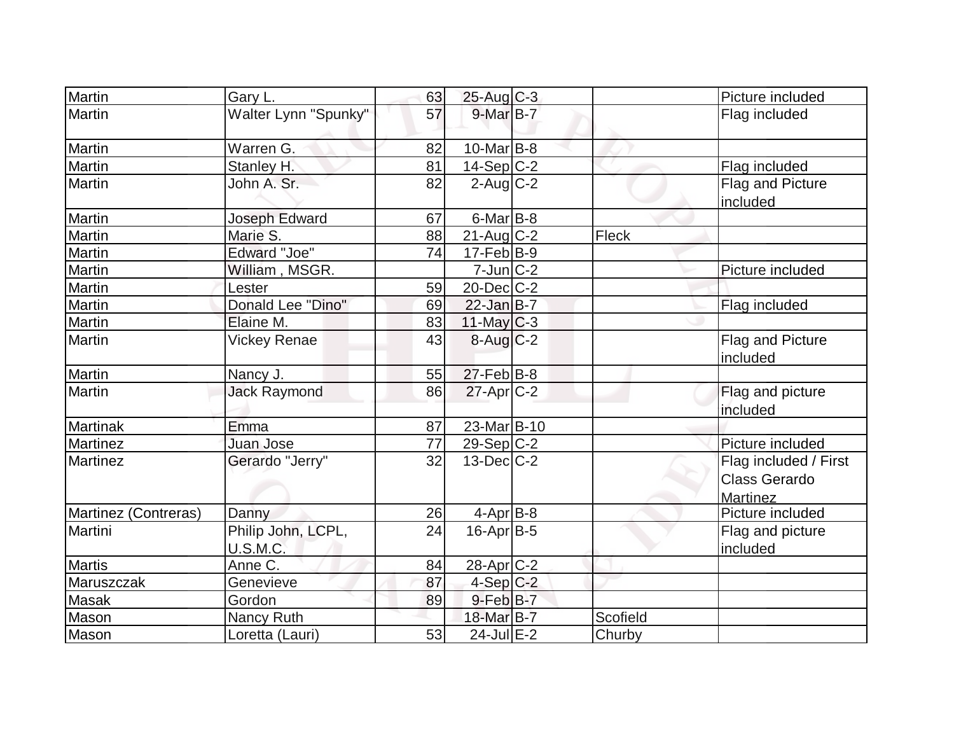| Martin               | Gary L.                               | 63 | $25-Aug$ <sub>C-3</sub>   |              | Picture included                                                 |
|----------------------|---------------------------------------|----|---------------------------|--------------|------------------------------------------------------------------|
| Martin               | Walter Lynn "Spunky"                  | 57 | 9-Mar B-7                 |              | Flag included                                                    |
| Martin               | Warren G.                             | 82 | $10$ -Mar $ B-8 $         |              |                                                                  |
| Martin               | Stanley H.                            | 81 | $14-Sep$ C-2              |              | Flag included                                                    |
| Martin               | John A. Sr.                           | 82 | $2$ -Aug $\overline{C-2}$ |              | Flag and Picture<br>included                                     |
| Martin               | Joseph Edward                         | 67 | $6$ -Mar $ B-8 $          |              |                                                                  |
| Martin               | Marie S.                              | 88 | $21$ -Aug C-2             | <b>Fleck</b> |                                                                  |
| Martin               | <b>Edward "Joe"</b>                   | 74 | $17-Feb B-9$              |              |                                                                  |
| Martin               | William, MSGR.                        |    | $7$ -Jun $ C-2 $          |              | Picture included                                                 |
| Martin               | Lester                                | 59 | $20$ -Dec $ C-2 $         |              |                                                                  |
| Martin               | Donald Lee "Dino"                     | 69 | $22$ -Jan B-7             |              | Flag included                                                    |
| Martin               | Elaine M.                             | 83 | $11$ -May C-3             |              |                                                                  |
| Martin               | <b>Vickey Renae</b>                   | 43 | $8$ -Aug $C$ -2           |              | Flag and Picture<br>included                                     |
| Martin               | Nancy J.                              | 55 | $27$ -Feb $ B-8 $         |              |                                                                  |
| Martin               | <b>Jack Raymond</b>                   | 86 | $27$ -Apr $C-2$           |              | Flag and picture<br>included                                     |
| <b>Martinak</b>      | Emma                                  | 87 | 23-Mar B-10               |              |                                                                  |
| <b>Martinez</b>      | Juan Jose                             | 77 | 29-Sep C-2                |              | Picture included                                                 |
| Martinez             | Gerardo "Jerry"                       | 32 | $13$ -Dec $C-2$           |              | Flag included / First<br><b>Class Gerardo</b><br><b>Martinez</b> |
| Martinez (Contreras) | Danny                                 | 26 | $4-Apr$ B-8               |              | Picture included                                                 |
| Martini              | Philip John, LCPL,<br><b>U.S.M.C.</b> | 24 | $16$ -Apr $ B-5 $         |              | Flag and picture<br>included                                     |
| <b>Martis</b>        | Anne C.                               | 84 | 28-Apr <sub>C-2</sub>     |              |                                                                  |
| Maruszczak           | Genevieve                             | 87 | $4-Sep$ C-2               |              |                                                                  |
| Masak                | Gordon                                | 89 | $9$ -Feb $B$ -7           |              |                                                                  |
| Mason                | Nancy Ruth                            |    | 18-Mar B-7                | Scofield     |                                                                  |
| Mason                | Loretta (Lauri)                       | 53 | 24-Jul E-2                | Churby       |                                                                  |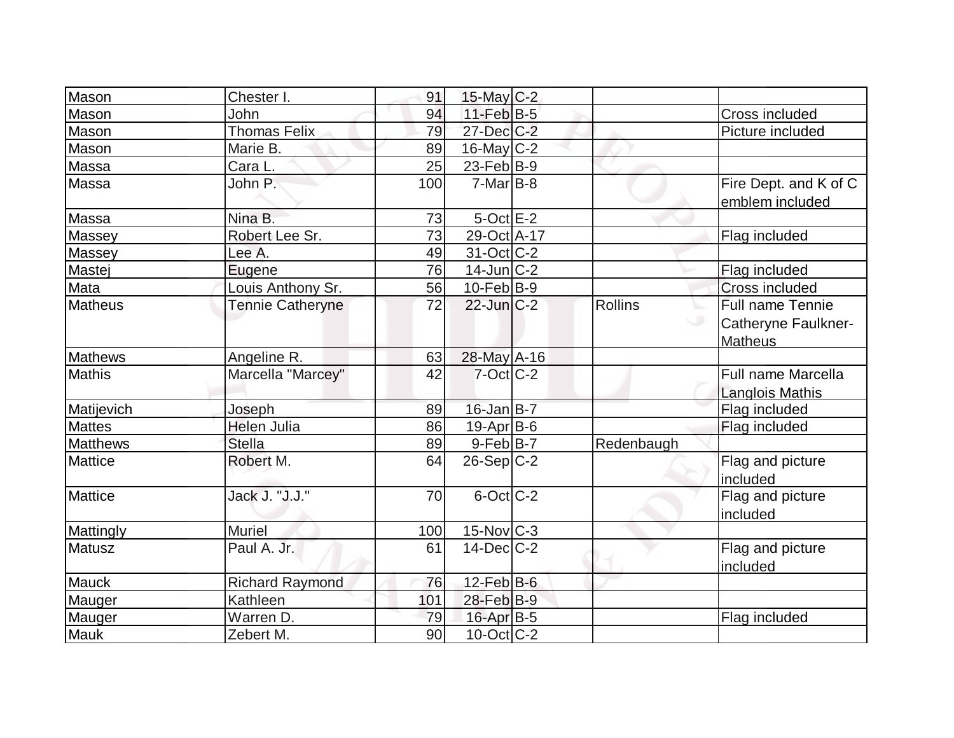| John                    | 94                                                                                                                                                               |                            |                                                                                                                                                                                                                                                                                                                                                                                                                                                           | Cross included                           |
|-------------------------|------------------------------------------------------------------------------------------------------------------------------------------------------------------|----------------------------|-----------------------------------------------------------------------------------------------------------------------------------------------------------------------------------------------------------------------------------------------------------------------------------------------------------------------------------------------------------------------------------------------------------------------------------------------------------|------------------------------------------|
|                         | 79                                                                                                                                                               |                            |                                                                                                                                                                                                                                                                                                                                                                                                                                                           | Picture included                         |
| Marie B.                | 89                                                                                                                                                               |                            |                                                                                                                                                                                                                                                                                                                                                                                                                                                           |                                          |
|                         | 25                                                                                                                                                               |                            |                                                                                                                                                                                                                                                                                                                                                                                                                                                           |                                          |
| John P.                 | 100                                                                                                                                                              |                            |                                                                                                                                                                                                                                                                                                                                                                                                                                                           | Fire Dept. and K of C<br>emblem included |
| Nina B.                 |                                                                                                                                                                  |                            |                                                                                                                                                                                                                                                                                                                                                                                                                                                           |                                          |
| Robert Lee Sr.          | 73                                                                                                                                                               |                            |                                                                                                                                                                                                                                                                                                                                                                                                                                                           | Flag included                            |
| Lee A.                  | 49                                                                                                                                                               |                            |                                                                                                                                                                                                                                                                                                                                                                                                                                                           |                                          |
|                         |                                                                                                                                                                  |                            |                                                                                                                                                                                                                                                                                                                                                                                                                                                           | Flag included                            |
|                         | 56                                                                                                                                                               |                            |                                                                                                                                                                                                                                                                                                                                                                                                                                                           | Cross included                           |
| <b>Tennie Catheryne</b> | 72                                                                                                                                                               |                            | Rollins                                                                                                                                                                                                                                                                                                                                                                                                                                                   | Full name Tennie                         |
|                         |                                                                                                                                                                  |                            | ◡                                                                                                                                                                                                                                                                                                                                                                                                                                                         | Catheryne Faulkner-                      |
|                         |                                                                                                                                                                  |                            |                                                                                                                                                                                                                                                                                                                                                                                                                                                           | <b>Matheus</b>                           |
|                         |                                                                                                                                                                  |                            |                                                                                                                                                                                                                                                                                                                                                                                                                                                           |                                          |
|                         | 42                                                                                                                                                               |                            |                                                                                                                                                                                                                                                                                                                                                                                                                                                           | <b>Full name Marcella</b>                |
|                         |                                                                                                                                                                  |                            |                                                                                                                                                                                                                                                                                                                                                                                                                                                           | Langlois Mathis                          |
|                         | 89                                                                                                                                                               |                            |                                                                                                                                                                                                                                                                                                                                                                                                                                                           | Flag included                            |
|                         |                                                                                                                                                                  |                            |                                                                                                                                                                                                                                                                                                                                                                                                                                                           | Flag included                            |
| <b>Stella</b>           | 89                                                                                                                                                               |                            | Redenbaugh                                                                                                                                                                                                                                                                                                                                                                                                                                                |                                          |
|                         | 64                                                                                                                                                               |                            |                                                                                                                                                                                                                                                                                                                                                                                                                                                           | Flag and picture                         |
|                         |                                                                                                                                                                  |                            |                                                                                                                                                                                                                                                                                                                                                                                                                                                           | included                                 |
| Jack J. "J.J."          | 70                                                                                                                                                               |                            |                                                                                                                                                                                                                                                                                                                                                                                                                                                           | Flag and picture                         |
|                         |                                                                                                                                                                  |                            |                                                                                                                                                                                                                                                                                                                                                                                                                                                           | included                                 |
| <b>Muriel</b>           | 100                                                                                                                                                              |                            |                                                                                                                                                                                                                                                                                                                                                                                                                                                           |                                          |
| Paul A. Jr.             | 61                                                                                                                                                               |                            |                                                                                                                                                                                                                                                                                                                                                                                                                                                           | Flag and picture                         |
|                         |                                                                                                                                                                  |                            |                                                                                                                                                                                                                                                                                                                                                                                                                                                           | included                                 |
| <b>Richard Raymond</b>  | 76                                                                                                                                                               |                            |                                                                                                                                                                                                                                                                                                                                                                                                                                                           |                                          |
| Kathleen                | 101                                                                                                                                                              |                            |                                                                                                                                                                                                                                                                                                                                                                                                                                                           |                                          |
| Warren D.               | 79                                                                                                                                                               |                            |                                                                                                                                                                                                                                                                                                                                                                                                                                                           | Flag included                            |
| Zebert M.               | 90                                                                                                                                                               |                            |                                                                                                                                                                                                                                                                                                                                                                                                                                                           |                                          |
|                         | Chester I.<br>Thomas Felix<br>Cara <sub>L.</sub><br>Eugene<br>Louis Anthony Sr.<br>Angeline R.<br>Marcella "Marcey"<br>Joseph<br><b>Helen Julia</b><br>Robert M. | 91<br>73<br>76<br>63<br>86 | $15$ -May C-2<br>$11$ -Feb $ B-5 $<br>27-Dec C-2<br>$16$ -May C-2<br>23-Feb $ B-9 $<br>$7-Mar$ B-8<br>$5$ -Oct $E-2$<br>29-Oct A-17<br>$31-Oct$ $C-2$<br>$14$ -Jun $C-2$<br>$10$ -Feb $ B-9 $<br>$22$ -Jun $C-2$<br>28-May A-16<br>$7$ -Oct $ C-2 $<br>$16$ -Jan B-7<br>$19-Apr B-6$<br>$9$ -Feb $ B-7 $<br>$26-Sep C-2$<br>$6$ -Oct $C$ -2<br>$15$ -Nov $ C-3 $<br>$14$ -Dec $C-2$<br>$12$ -Feb $ B-6 $<br>28-Feb B-9<br>16-Apr B-5<br>$10$ -Oct $ C-2 $ |                                          |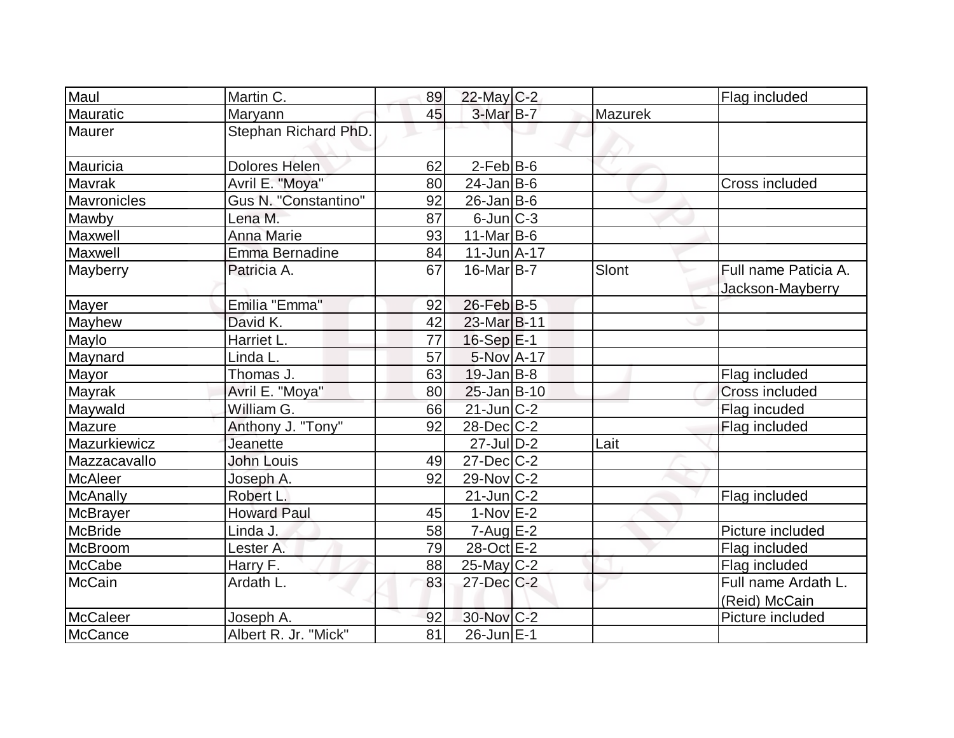| Maul            | Martin C.            | 89 | $22$ -May C-2       |                | Flag included                            |
|-----------------|----------------------|----|---------------------|----------------|------------------------------------------|
| Mauratic        | Maryann              | 45 | 3-Mar B-7           | <b>Mazurek</b> |                                          |
| Maurer          | Stephan Richard PhD. |    |                     |                |                                          |
| Mauricia        | <b>Dolores Helen</b> | 62 | $2-FebB-6$          |                |                                          |
| Mavrak          | Avril E. "Moya"      | 80 | $24$ -Jan B-6       |                | Cross included                           |
| Mavronicles     | Gus N. "Constantino" | 92 | $26$ -Jan $ B-6$    |                |                                          |
| Mawby           | Lena M.              | 87 | $6$ -Jun $ C-3 $    |                |                                          |
| Maxwell         | <b>Anna Marie</b>    | 93 | $11$ -Mar $ B-6$    |                |                                          |
| Maxwell         | Emma Bernadine       | 84 | $11 - Jun  A - 17 $ |                |                                          |
| Mayberry        | Patricia A.          | 67 | $16$ -Mar $ B-7 $   | Slont          | Full name Paticia A.<br>Jackson-Mayberry |
| Mayer           | Emilia "Emma"        | 92 | 26-Feb B-5          |                |                                          |
| <b>Mayhew</b>   | David K.             | 42 | 23-Mar B-11         |                |                                          |
| Maylo           | Harriet L.           | 77 | $16-Sep$ $E-1$      |                |                                          |
| Maynard         | Linda L.             | 57 | 5-Nov A-17          |                |                                          |
| Mayor           | Thomas J.            | 63 | $19$ -Jan B-8       |                | Flag included                            |
| Mayrak          | Avril E. "Moya"      | 80 | $25$ -Jan $B-10$    |                | <b>Cross included</b>                    |
| Maywald         | William G.           | 66 | $21$ -Jun $ C-2 $   |                | Flag incuded                             |
| Mazure          | Anthony J. "Tony"    | 92 | $28$ -Dec $C$ -2    |                | Flag included                            |
| Mazurkiewicz    | <b>Jeanette</b>      |    | $27$ -Jul $D-2$     | Lait           |                                          |
| Mazzacavallo    | <b>John Louis</b>    | 49 | $27 - Dec$ $C-2$    |                |                                          |
| <b>McAleer</b>  | Joseph A.            | 92 | $29$ -Nov $ C-2 $   |                |                                          |
| McAnally        | Robert L.            |    | $21$ -Jun $C-2$     |                | Flag included                            |
| <b>McBrayer</b> | <b>Howard Paul</b>   | 45 | $1-Nov$ E-2         |                |                                          |
| <b>McBride</b>  | Linda J.             | 58 | $7 - Aug$ E-2       |                | Picture included                         |
| McBroom         | Lester A.            | 79 | 28-Oct E-2          |                | Flag included                            |
| <b>McCabe</b>   | Harry F.             | 88 | $25$ -May C-2       |                | Flag included                            |
| <b>McCain</b>   | Ardath L.            | 83 | $27 - Dec$ $C-2$    |                | Full name Ardath L.<br>(Reid) McCain     |
| <b>McCaleer</b> | Joseph A.            | 92 | 30-Nov C-2          |                | Picture included                         |
| McCance         | Albert R. Jr. "Mick" | 81 | 26-Jun E-1          |                |                                          |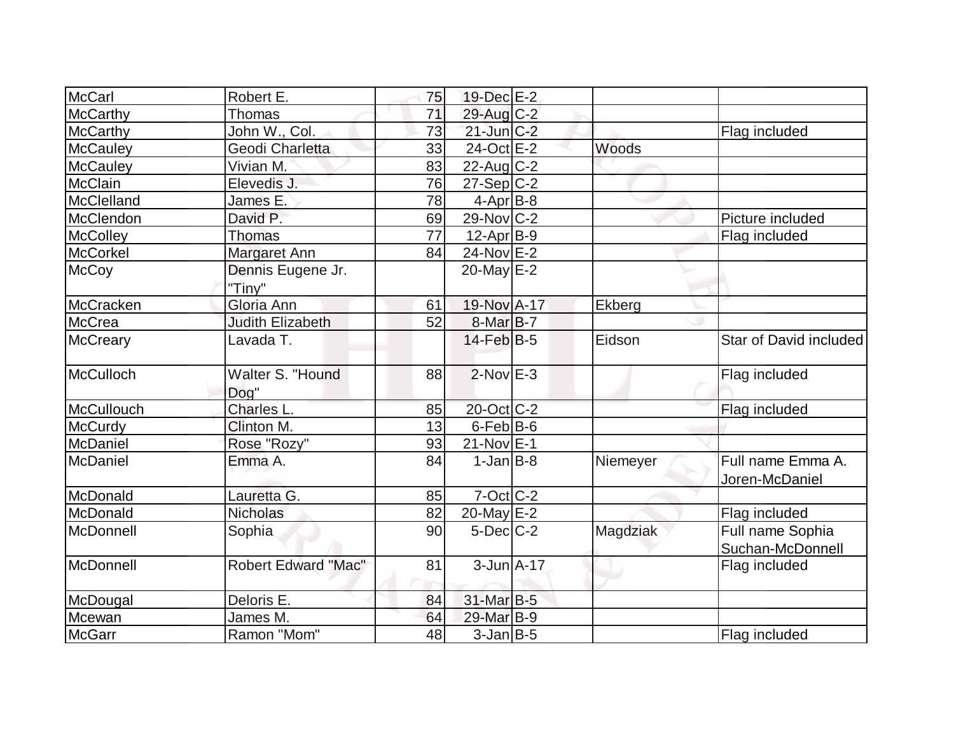| McCarl            | Robert E.                  | 75 | 19-Dec E-2        |          |                                      |
|-------------------|----------------------------|----|-------------------|----------|--------------------------------------|
| McCarthy          | <b>Thomas</b>              | 71 | $29$ -Aug C-2     |          |                                      |
| <b>McCarthy</b>   | John W., Col.              | 73 | $21$ -Jun $C-2$   |          | Flag included                        |
| <b>McCauley</b>   | Geodi Charletta            | 33 | 24-Oct E-2        | Woods    |                                      |
| <b>McCauley</b>   | Vivian M.                  | 83 | $22$ -Aug C-2     |          |                                      |
| <b>McClain</b>    | Elevedis J.                | 76 | $27-Sep C-2$      |          |                                      |
| McClelland        | James E.                   | 78 | $4$ -Apr $B$ -8   |          |                                      |
| McClendon         | David P.                   | 69 | $29$ -Nov $ C-2 $ |          | Picture included                     |
| <b>McColley</b>   | Thomas                     | 77 | $12$ -Apr $B-9$   |          | Flag included                        |
| McCorkel          | Margaret Ann               | 84 | 24-Nov E-2        |          |                                      |
| <b>McCoy</b>      | Dennis Eugene Jr.          |    | 20-May $E-2$      |          |                                      |
|                   | "Tiny"                     |    |                   |          |                                      |
| McCracken         | Gloria Ann                 | 61 | 19-Nov A-17       | Ekberg   |                                      |
| McCrea            | <b>Judith Elizabeth</b>    | 52 | $8-Mar$ B-7       |          |                                      |
| <b>McCreary</b>   | Lavada T.                  |    | $14$ -Feb $ B-5 $ | Eidson   | Star of David included               |
| McCulloch         | Walter S. "Hound<br>Dog"   | 88 | $2$ -Nov $E-3$    |          | Flag included                        |
| <b>McCullouch</b> | Charles L.                 | 85 | 20-Oct C-2        |          | Flag included                        |
| <b>McCurdy</b>    | Clinton M.                 | 13 | $6-FebB-6$        |          |                                      |
| <b>McDaniel</b>   | Rose "Rozy"                | 93 | $21-Nov$ E-1      |          |                                      |
| McDaniel          | Emma A.                    | 84 | $1-Jan$ $B-8$     | Niemeyer | Full name Emma A.<br>Joren-McDaniel  |
| McDonald          | Lauretta G.                | 85 | $7-Oct$ $C-2$     |          |                                      |
| McDonald          | <b>Nicholas</b>            | 82 | 20-May $E-2$      |          | Flag included                        |
| McDonnell         | Sophia                     | 90 | $5$ -Dec $C-2$    | Magdziak | Full name Sophia<br>Suchan-McDonnell |
| McDonnell         | <b>Robert Edward "Mac"</b> | 81 | $3$ -Jun $A$ -17  |          | Flag included                        |
| McDougal          | Deloris E.                 | 84 | 31-Mar B-5        |          |                                      |
| Mcewan            | James M.                   | 64 | 29-Mar B-9        |          |                                      |
| <b>McGarr</b>     | Ramon "Mom"                | 48 | $3$ -Jan $B$ -5   |          | Flag included                        |
|                   |                            |    |                   |          |                                      |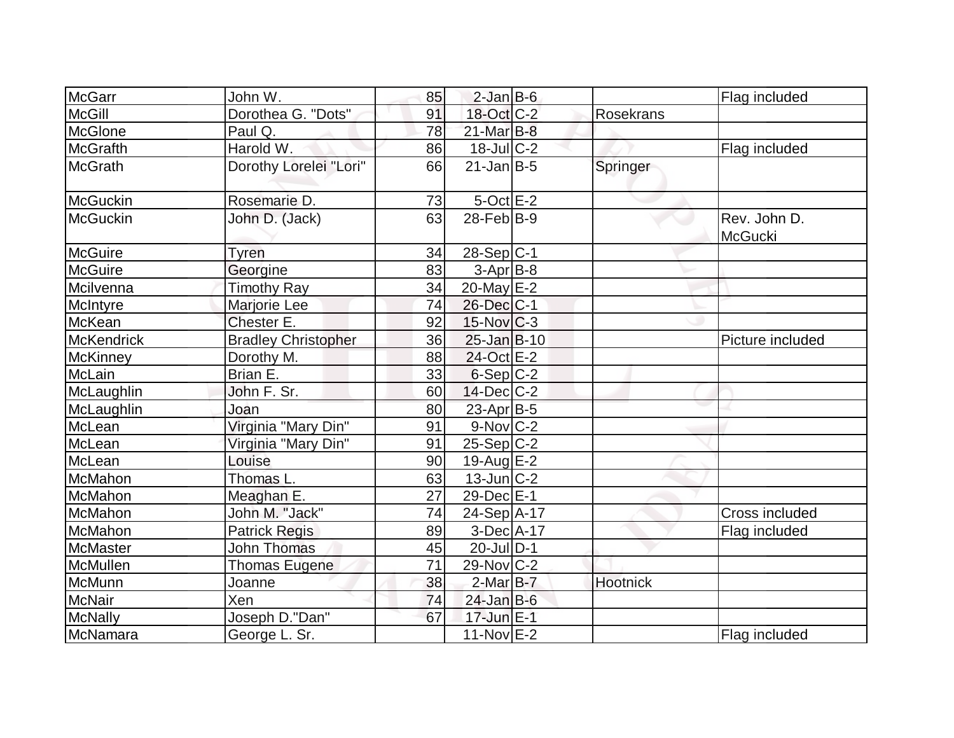| McGarr            | John W.                    | 85 | $2$ -Jan B-6      |                  | Flag included                  |
|-------------------|----------------------------|----|-------------------|------------------|--------------------------------|
| <b>McGill</b>     | Dorothea G. "Dots"         | 91 | 18-Oct C-2        | <b>Rosekrans</b> |                                |
| McGlone           | Paul Q.                    | 78 | $21$ -Mar $B-8$   |                  |                                |
| McGrafth          | Harold W.                  | 86 | $18$ -Jul $C-2$   |                  | Flag included                  |
| <b>McGrath</b>    | Dorothy Lorelei "Lori"     | 66 | $21$ -Jan $ B-5 $ | Springer         |                                |
| McGuckin          | Rosemarie D.               | 73 | $5$ -Oct $E-2$    |                  |                                |
| McGuckin          | John D. (Jack)             | 63 | $28$ -Feb $ B-9 $ |                  | Rev. John D.<br><b>McGucki</b> |
| McGuire           | Tyren                      | 34 | $28-Sep C-1$      |                  |                                |
| <b>McGuire</b>    | Georgine                   | 83 | $3-Apr$ B-8       |                  |                                |
| Mcilvenna         | <b>Timothy Ray</b>         | 34 | 20-May $E-2$      |                  |                                |
| McIntyre          | Marjorie Lee               | 74 | 26-Dec C-1        |                  |                                |
| McKean            | Chester E.                 | 92 | 15-Nov C-3        |                  |                                |
| <b>McKendrick</b> | <b>Bradley Christopher</b> | 36 | $25$ -Jan $B-10$  |                  | Picture included               |
| McKinney          | Dorothy M.                 | 88 | 24-Oct E-2        |                  |                                |
| McLain            | Brian E.                   | 33 | $6-Sep C-2$       |                  |                                |
| McLaughlin        | John F. Sr.                | 60 | $14$ -Dec $C$ -2  |                  |                                |
| McLaughlin        | Joan                       | 80 | $23$ -Apr $B$ -5  |                  |                                |
| McLean            | Virginia "Mary Din"        | 91 | $9-Nov$ C-2       |                  |                                |
| McLean            | Virginia "Mary Din"        | 91 | $25-Sep C-2$      |                  |                                |
| McLean            | Louise                     | 90 | $19$ -Aug $E-2$   |                  |                                |
| McMahon           | Thomas L.                  | 63 | $13$ -Jun $ C-2 $ |                  |                                |
| McMahon           | Meaghan E.                 | 27 | 29-Dec E-1        |                  |                                |
| McMahon           | John M. "Jack"             | 74 | 24-Sep A-17       |                  | Cross included                 |
| McMahon           | <b>Patrick Regis</b>       | 89 | $3-Dec$ $A-17$    |                  | Flag included                  |
| McMaster          | <b>John Thomas</b>         | 45 | $20$ -Jul $ D-1$  |                  |                                |
| McMullen          | Thomas Eugene              | 71 | 29-Nov C-2        |                  |                                |
| McMunn            | Joanne                     | 38 | $2$ -Mar $B-7$    | Hootnick         |                                |
| <b>McNair</b>     | Xen                        | 74 | $24$ -Jan B-6     |                  |                                |
| McNally           | Joseph D."Dan"             | 67 | 17-Jun E-1        |                  |                                |
| McNamara          | George L. Sr.              |    | $11-Nov$ E-2      |                  | Flag included                  |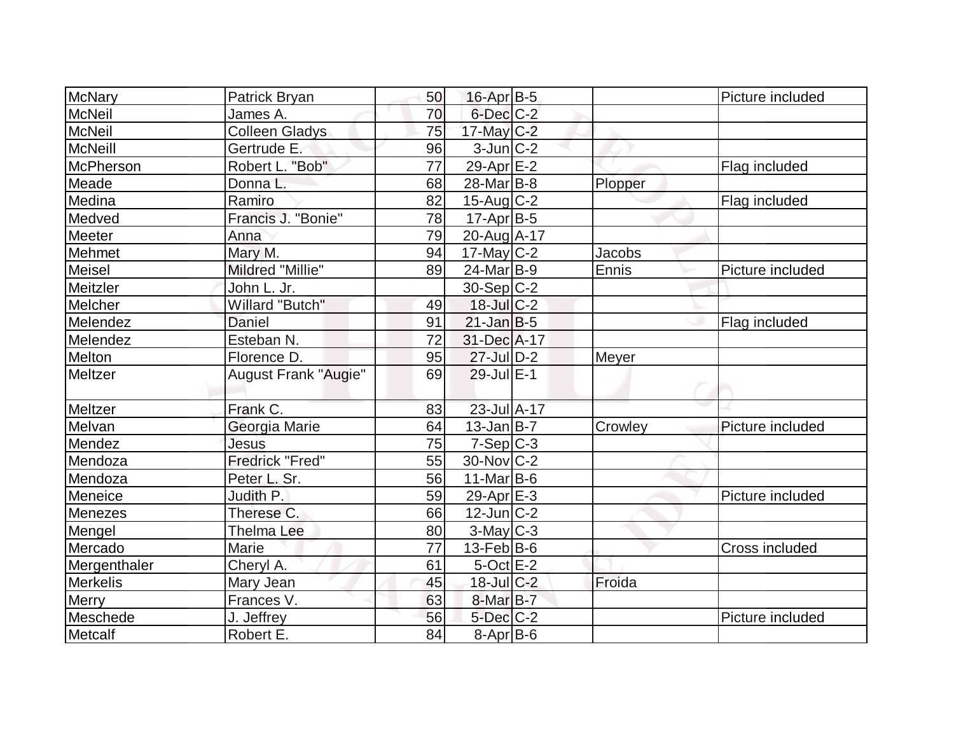| <b>McNary</b>   | Patrick Bryan               | 50 | $16$ -Apr $B$ -5      |         | Picture included |
|-----------------|-----------------------------|----|-----------------------|---------|------------------|
| <b>McNeil</b>   | James A.                    | 70 | $6$ -Dec $C$ -2       |         |                  |
| <b>McNeil</b>   | <b>Colleen Gladys</b>       | 75 | $17$ -May C-2         |         |                  |
| <b>McNeill</b>  | Gertrude E.                 | 96 | $3$ -Jun $ C-2 $      |         |                  |
| McPherson       | Robert L. "Bob"             | 77 | 29-Apr E-2            |         | Flag included    |
| Meade           | Donna L.                    | 68 | 28-Mar <sub>B-8</sub> | Plopper |                  |
| Medina          | Ramiro                      | 82 | $15$ -Aug C-2         |         | Flag included    |
| Medved          | Francis J. "Bonie"          | 78 | $17$ -Apr $ B-5 $     |         |                  |
| Meeter          | Anna                        | 79 | 20-Aug A-17           |         |                  |
| Mehmet          | Mary M.                     | 94 | $17$ -May C-2         | Jacobs  |                  |
| Meisel          | Mildred "Millie"            | 89 | $24$ -Mar $ B-9 $     | Ennis   | Picture included |
| Meitzler        | John L. Jr.                 |    | $30-Sep C-2$          |         |                  |
| Melcher         | Willard "Butch"             | 49 | $18$ -Jul $C-2$       |         |                  |
| Melendez        | Daniel                      | 91 | $21$ -Jan $ B-5 $     |         | Flag included    |
| Melendez        | Esteban N.                  | 72 | 31-Dec A-17           |         |                  |
| Melton          | Florence D.                 | 95 | $27 -$ Jul $D-2$      | Meyer   |                  |
| Meltzer         | <b>August Frank "Augie"</b> | 69 | $29$ -Jul $E-1$       |         |                  |
| Meltzer         | Frank C.                    | 83 | 23-Jul A-17           |         |                  |
| Melvan          | Georgia Marie               | 64 | $13$ -Jan B-7         | Crowley | Picture included |
| Mendez          | Jesus                       | 75 | $7-Sep C-3$           |         |                  |
| Mendoza         | <b>Fredrick "Fred"</b>      | 55 | 30-Nov C-2            |         |                  |
| Mendoza         | Peter L. Sr.                | 56 | $11$ -Mar $ B-6 $     |         |                  |
| Meneice         | Judith P.                   | 59 | $29$ -Apr $E-3$       |         | Picture included |
| <b>Menezes</b>  | Therese C.                  | 66 | $12$ -Jun $ C-2 $     |         |                  |
| Mengel          | <b>Thelma Lee</b>           | 80 | 3-May C-3             |         |                  |
| Mercado         | Marie                       | 77 | $13$ -Feb $ B$ -6     |         | Cross included   |
| Mergenthaler    | Cheryl A.                   | 61 | $5$ -Oct $E-2$        |         |                  |
| <b>Merkelis</b> | Mary Jean                   | 45 | $18$ -Jul $C-2$       | Froida  |                  |
| Merry           | Frances V.                  | 63 | 8-Mar B-7             |         |                  |
| Meschede        | J. Jeffrey                  | 56 | $5$ -Dec $C$ -2       |         | Picture included |
| Metcalf         | Robert E.                   | 84 | $8-Apr$ B-6           |         |                  |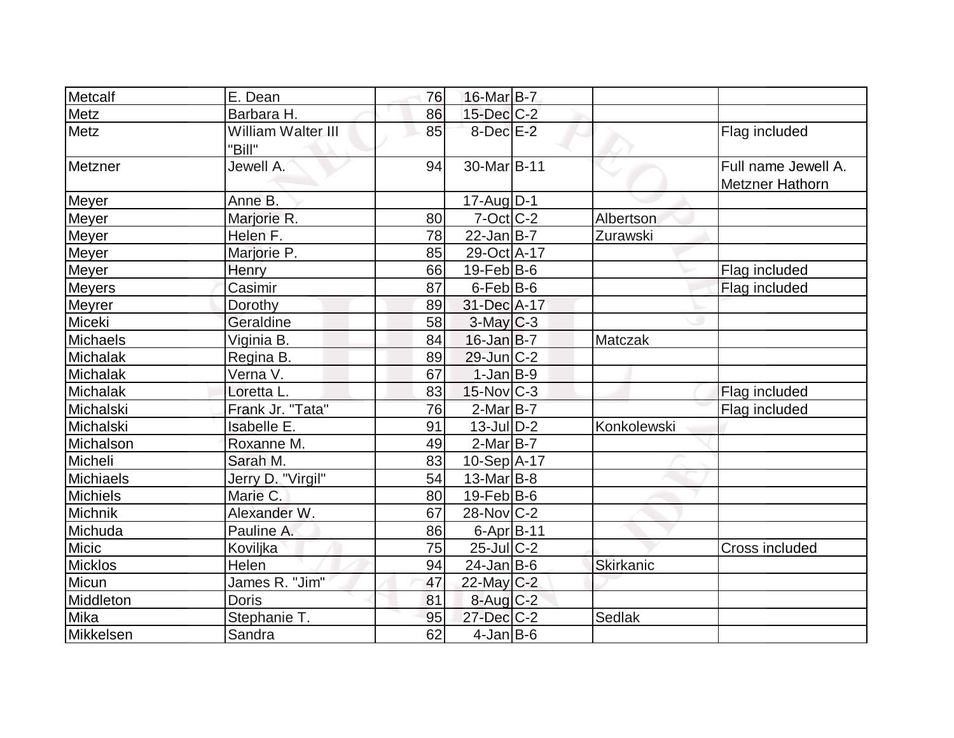| Metcalf         | E. Dean                      | 76 | 16-Mar B-7               |                  |                                               |
|-----------------|------------------------------|----|--------------------------|------------------|-----------------------------------------------|
| Metz            | Barbara H.                   | 86 | 15-Dec C-2               |                  |                                               |
| Metz            | William Walter III<br>"Bill" | 85 | $8$ -Dec $E-2$           |                  | Flag included                                 |
| Metzner         | Jewell A.                    | 94 | 30-Mar <sub>B-11</sub>   |                  | Full name Jewell A.<br><b>Metzner Hathorn</b> |
| Meyer           | Anne B.                      |    | $17$ -Aug $D-1$          |                  |                                               |
| <b>Meyer</b>    | Marjorie R.                  | 80 | $7-Oct$ $C-2$            | Albertson        |                                               |
| <b>Meyer</b>    | Helen F.                     | 78 | $22$ -Jan $B-7$          | Zurawski         |                                               |
| Meyer           | Marjorie P.                  | 85 | 29-Oct A-17              |                  |                                               |
| <b>Meyer</b>    | Henry                        | 66 | $19$ -Feb $ B$ -6        |                  | Flag included                                 |
| <b>Meyers</b>   | Casimir                      | 87 | $6$ -Feb $B$ -6          |                  | Flag included                                 |
| Meyrer          | Dorothy                      | 89 | 31-Dec A-17              |                  |                                               |
| Miceki          | Geraldine                    | 58 | $3$ -May $C-3$           |                  |                                               |
| <b>Michaels</b> | Viginia B.                   | 84 | $16$ -Jan B-7            | Matczak          |                                               |
| Michalak        | Regina B.                    | 89 | $29$ -Jun $C-2$          |                  |                                               |
| Michalak        | Verna V.                     | 67 | $1-Jan$ B-9              |                  |                                               |
| Michalak        | Loretta L.                   | 83 | $15$ -Nov $ C-3 $        |                  | Flag included                                 |
| Michalski       | Frank Jr. "Tata"             | 76 | $2$ -Mar $B$ -7          |                  | Flag included                                 |
| Michalski       | Isabelle E.                  | 91 | $13$ -JulD-2             | Konkolewski      |                                               |
| Michalson       | Roxanne M.                   | 49 | $2$ -Mar $B$ -7          |                  |                                               |
| Micheli         | Sarah M.                     | 83 | 10-Sep A-17              |                  |                                               |
| Michiaels       | Jerry D. "Virgil"            | 54 | $13$ -Mar $ B-8 $        |                  |                                               |
| <b>Michiels</b> | Marie C.                     | 80 | $19$ -Feb $ B$ -6        |                  |                                               |
| Michnik         | Alexander W.                 | 67 | $28-Nov$ <sub>C</sub> -2 |                  |                                               |
| Michuda         | Pauline A.                   | 86 | $6 - Apr$ B-11           |                  |                                               |
| Micic           | Koviljka                     | 75 | $25$ -JulC-2             |                  | Cross included                                |
| <b>Micklos</b>  | Helen                        | 94 | $24$ -Jan B-6            | <b>Skirkanic</b> |                                               |
| Micun           | James R. "Jim"               | 47 | $22$ -May C-2            |                  |                                               |
| Middleton       | <b>Doris</b>                 | 81 | $8$ -Aug $C-2$           |                  |                                               |
| Mika            | Stephanie T.                 | 95 | $27 - Dec$ $C-2$         | <b>Sedlak</b>    |                                               |
| Mikkelsen       | Sandra                       | 62 | $4$ -Jan B-6             |                  |                                               |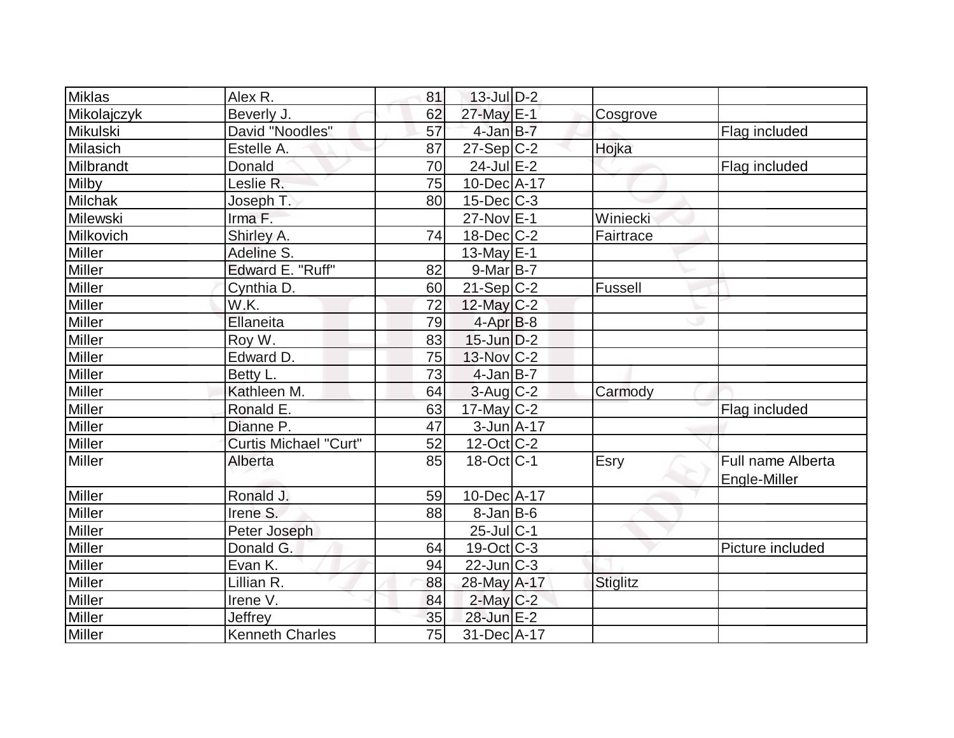| Miklas         | Alex R.                      | 81 | $13$ -Jul $D-2$          |                 |                                   |
|----------------|------------------------------|----|--------------------------|-----------------|-----------------------------------|
| Mikolajczyk    | Beverly J.                   | 62 | 27-May E-1               | Cosgrove        |                                   |
| Mikulski       | David "Noodles"              | 57 | $4$ -Jan $B-7$           |                 | Flag included                     |
| Milasich       | Estelle A.                   | 87 | $27-Sep C-2$             | Hojka           |                                   |
| Milbrandt      | Donald                       | 70 | $24$ -Jul $E-2$          |                 | Flag included                     |
| <b>Milby</b>   | Leslie R.                    | 75 | $10$ -Dec $ A-17$        |                 |                                   |
| <b>Milchak</b> | Joseph T.                    | 80 | $15$ -Dec $C$ -3         |                 |                                   |
| Milewski       | Irma F.                      |    | 27-Nov E-1               | Winiecki        |                                   |
| Milkovich      | Shirley A.                   | 74 | $18$ -Dec $C-2$          | Fairtrace       |                                   |
| <b>Miller</b>  | Adeline S.                   |    | 13-May $E-1$             |                 |                                   |
| Miller         | Edward E. "Ruff"             | 82 | $9-Mar$ B-7              |                 |                                   |
| <b>Miller</b>  | Cynthia D.                   | 60 | $21-Sep C-2$             | Fussell         |                                   |
| <b>Miller</b>  | W.K.                         | 72 | $12$ -May C-2            |                 |                                   |
| <b>Miller</b>  | Ellaneita                    | 79 | $4$ -Apr $B-8$           |                 |                                   |
| <b>Miller</b>  | Roy W.                       | 83 | $15$ -Jun $D-2$          |                 |                                   |
| <b>Miller</b>  | Edward D.                    | 75 | $13-Nov$ <sub>C</sub> -2 |                 |                                   |
| Miller         | Betty L.                     | 73 | $4$ -Jan B-7             |                 |                                   |
| Miller         | Kathleen M.                  | 64 | $3$ -Aug $C-2$           | Carmody         |                                   |
| <b>Miller</b>  | Ronald E.                    | 63 | $17$ -May C-2            |                 | Flag included                     |
| Miller         | Dianne P.                    | 47 | $3$ -Jun $A$ -17         |                 |                                   |
| <b>Miller</b>  | <b>Curtis Michael "Curt"</b> | 52 | $12$ -Oct C-2            |                 |                                   |
| <b>Miller</b>  | Alberta                      | 85 | $18-Oct$ <sub>C-1</sub>  | Esry            | Full name Alberta<br>Engle-Miller |
| <b>Miller</b>  | Ronald J.                    | 59 | 10-Dec A-17              |                 |                                   |
| <b>Miller</b>  | Irene S.                     | 88 | $8$ -Jan B-6             |                 |                                   |
| Miller         | Peter Joseph                 |    | $25$ -Jul $ C-1$         |                 |                                   |
| <b>Miller</b>  | Donald G.                    | 64 | $19-Oct$ $C-3$           |                 | Picture included                  |
| <b>Miller</b>  | Evan K.                      | 94 | $22$ -Jun $ C-3 $        |                 |                                   |
| <b>Miller</b>  | Lillian R.                   | 88 | 28-May A-17              | <b>Stiglitz</b> |                                   |
| <b>Miller</b>  | Irene V.                     | 84 | $2$ -May $C-2$           |                 |                                   |
| <b>Miller</b>  | Jeffrey                      | 35 | 28-Jun E-2               |                 |                                   |
| Miller         | <b>Kenneth Charles</b>       | 75 | 31-Dec A-17              |                 |                                   |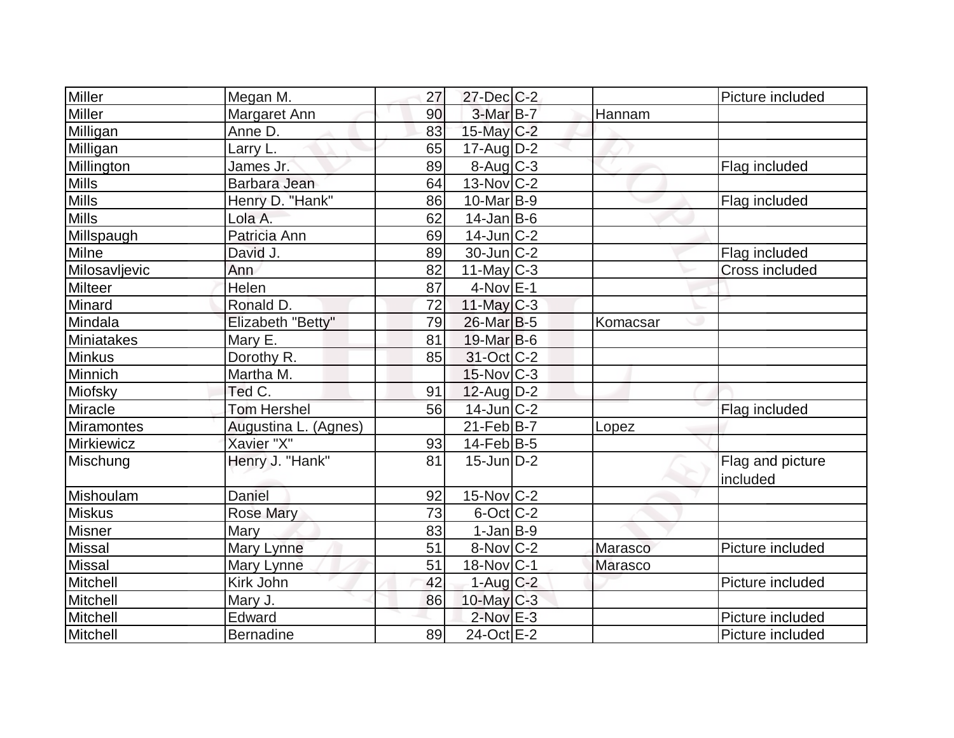| Miller        | Megan M.             | 27 | $27 - Dec$ C-2         |                | Picture included             |
|---------------|----------------------|----|------------------------|----------------|------------------------------|
| Miller        | Margaret Ann         | 90 | $3-MarB-7$             | Hannam         |                              |
| Milligan      | Anne D.              | 83 | $15$ -May C-2          |                |                              |
| Milligan      | Larry L.             | 65 | $17$ -Aug $D-2$        |                |                              |
| Millington    | James Jr.            | 89 | $8-Aug$ $C-3$          |                | Flag included                |
| Mills         | Barbara Jean         | 64 | $13-Nov$ C-2           |                |                              |
| <b>Mills</b>  | Henry D. "Hank"      | 86 | $10$ -Mar $ B-9 $      |                | Flag included                |
| <b>Mills</b>  | Lola A.              | 62 | $14$ -Jan $ B-6 $      |                |                              |
| Millspaugh    | Patricia Ann         | 69 | $14$ -Jun $ C-2 $      |                |                              |
| Milne         | David J.             | 89 | $30$ -Jun $ C-2 $      |                | Flag included                |
| Milosavljevic | Ann                  | 82 | $11$ -May C-3          |                | Cross included               |
| Milteer       | Helen                | 87 | $4$ -Nov $E-1$         |                |                              |
| Minard        | Ronald D.            | 72 | $11$ -May C-3          |                |                              |
| Mindala       | Elizabeth "Betty"    | 79 | 26-Mar <sub>B-5</sub>  | Komacsar       |                              |
| Miniatakes    | Mary E.              | 81 | $19$ -Mar $ B-6$       |                |                              |
| <b>Minkus</b> | Dorothy R.           | 85 | 31-Oct C-2             |                |                              |
| Minnich       | Martha M.            |    | $15$ -Nov $ C-3 $      |                |                              |
| Miofsky       | Ted C.               | 91 | $12$ -Aug $D-2$        |                |                              |
| Miracle       | Tom Hershel          | 56 | 14-Jun C-2             |                | Flag included                |
| Miramontes    | Augustina L. (Agnes) |    | $21$ -Feb $B$ -7       | Lopez          |                              |
| Mirkiewicz    | Xavier "X"           | 93 | $14$ -Feb $ B-5 $      |                |                              |
| Mischung      | Henry J. "Hank"      | 81 | $15$ -Jun $ D-2 $      |                | Flag and picture<br>included |
| Mishoulam     | Daniel               | 92 | $15$ -Nov $ C-2 $      |                |                              |
| <b>Miskus</b> | <b>Rose Mary</b>     | 73 | $6$ -Oct $ C$ -2       |                |                              |
| <b>Misner</b> | Mary                 | 83 | $1-Jan$ B-9            |                |                              |
| <b>Missal</b> | Mary Lynne           | 51 | $8-Nov$ <sub>C-2</sub> | Marasco        | Picture included             |
| <b>Missal</b> | Mary Lynne           | 51 | $18-Nov C-1$           | <b>Marasco</b> |                              |
| Mitchell      | Kirk John            | 42 | $1-Aug$ $C-2$          |                | Picture included             |
| Mitchell      | Mary J.              | 86 | $10$ -May C-3          |                |                              |
| Mitchell      | Edward               |    | $2$ -Nov $E-3$         |                | Picture included             |
| Mitchell      | <b>Bernadine</b>     | 89 | 24-Oct E-2             |                | Picture included             |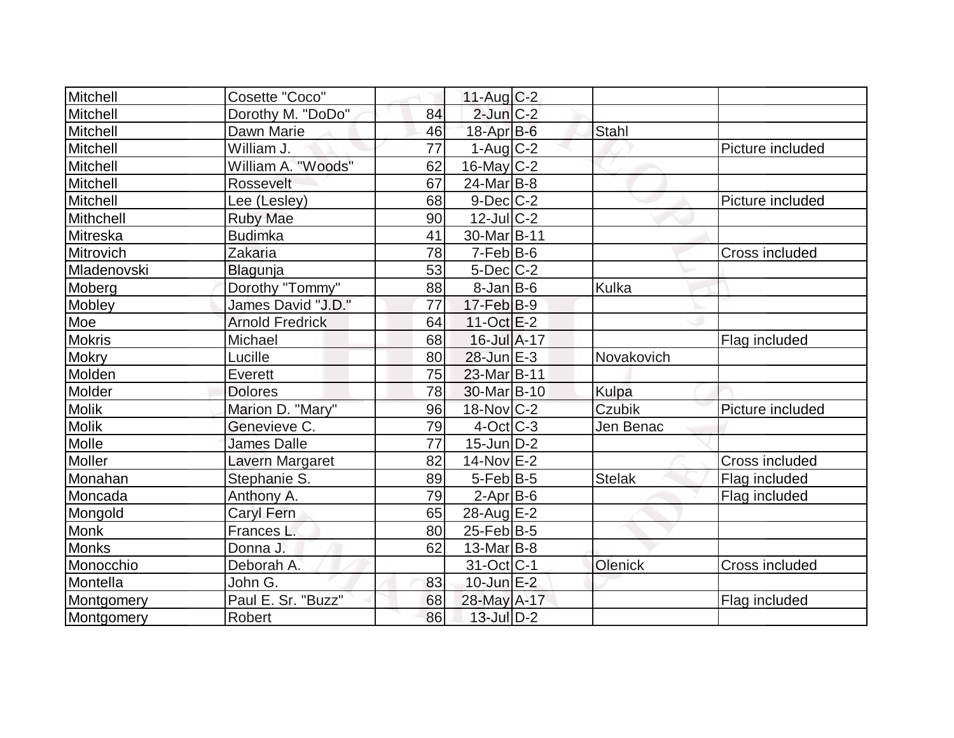| Mitchell      | Cosette "Coco"         |    | $11-Aug$ <sub>C-2</sub> |              |                       |
|---------------|------------------------|----|-------------------------|--------------|-----------------------|
| Mitchell      | Dorothy M. "DoDo"      | 84 | $2$ -Jun $C-2$          |              |                       |
| Mitchell      | Dawn Marie             | 46 | 18-Apr B-6              | Stahl        |                       |
| Mitchell      | William J.             | 77 | $1-Aug$ <sub>C</sub> -2 |              | Picture included      |
| Mitchell      | William A. "Woods"     | 62 | $16$ -May C-2           |              |                       |
| Mitchell      | Rossevelt              | 67 | $24$ -Mar $ B-8 $       |              |                       |
| Mitchell      | Lee (Lesley)           | 68 | $9$ -Dec $C$ -2         |              | Picture included      |
| Mithchell     | <b>Ruby Mae</b>        | 90 | $12$ -JulC-2            |              |                       |
| Mitreska      | <b>Budimka</b>         | 41 | 30-Mar <sub>B-11</sub>  |              |                       |
| Mitrovich     | Zakaria                | 78 | $7-Feb B-6$             |              | <b>Cross included</b> |
| Mladenovski   | Blagunja               | 53 | $5$ -Dec $C$ -2         |              |                       |
| Moberg        | Dorothy "Tommy"        | 88 | $8$ -Jan B-6            | Kulka        |                       |
| Mobley        | James David "J.D."     | 77 | $17-Feb$ B-9            |              |                       |
| Moe           | <b>Arnold Fredrick</b> | 64 | $11-Oct$ $E-2$          |              |                       |
| <b>Mokris</b> | Michael                | 68 | 16-Jul A-17             |              | Flag included         |
| <b>Mokry</b>  | Lucille                | 80 | $28$ -Jun $E-3$         | Novakovich   |                       |
| Molden        | Everett                | 75 | 23-Mar B-11             |              |                       |
| Molder        | <b>Dolores</b>         | 78 | 30-Mar B-10             | <b>Kulpa</b> |                       |
| <b>Molik</b>  | Marion D. "Mary"       | 96 | $18$ -Nov $C-2$         | Czubik       | Picture included      |
| <b>Molik</b>  | Genevieve C.           | 79 | $4$ -Oct C-3            | Jen Benac    |                       |
| Molle         | <b>James Dalle</b>     | 77 | $15$ -Jun $D-2$         |              |                       |
| Moller        | Lavern Margaret        | 82 | 14-Nov E-2              |              | <b>Cross included</b> |
| Monahan       | Stephanie S.           | 89 | $5-Feb$ B-5             | Stelak       | Flag included         |
| Moncada       | Anthony A.             | 79 | $2$ -Apr $B$ -6         |              | Flag included         |
| Mongold       | <b>Caryl Fern</b>      | 65 | 28-Aug E-2              |              |                       |
| Monk          | Frances L.             | 80 | $25$ -Feb $ B-5 $       |              |                       |
| Monks         | Donna J.               | 62 | $13$ -Mar $ B-8$        |              |                       |
| Monocchio     | Deborah A.             |    | 31-Oct C-1              | Olenick      | <b>Cross included</b> |
| Montella      | John G.                | 83 | $10$ -Jun $E-2$         |              |                       |
| Montgomery    | Paul E. Sr. "Buzz"     | 68 | 28-May A-17             |              | Flag included         |
| Montgomery    | Robert                 | 86 | 13-Jul D-2              |              |                       |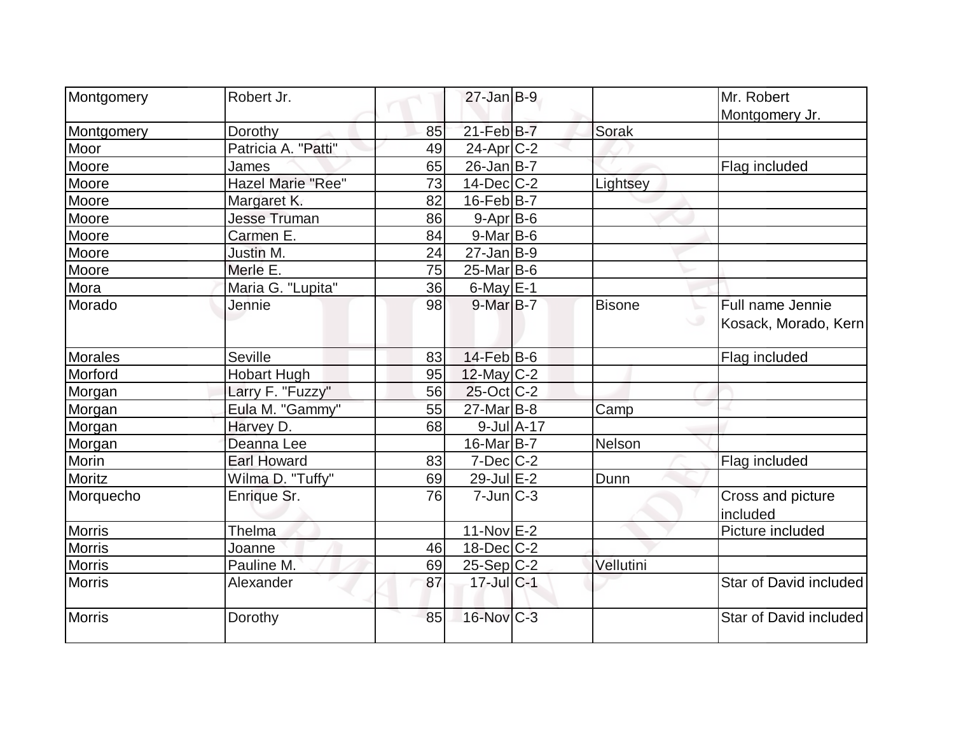| Montgomery    | Robert Jr.               |    | $27$ -Jan B-9     |                  |               | Mr. Robert             |
|---------------|--------------------------|----|-------------------|------------------|---------------|------------------------|
|               |                          |    |                   |                  |               | Montgomery Jr.         |
| Montgomery    | Dorothy                  | 85 | 21-Feb B-7        |                  | Sorak         |                        |
| Moor          | Patricia A. "Patti"      | 49 | $24$ -Apr $ C-2$  |                  |               |                        |
| Moore         | James                    | 65 | $26$ -Jan $B$ -7  |                  |               | Flag included          |
| Moore         | <b>Hazel Marie "Ree"</b> | 73 | $14$ -Dec $ C-2 $ |                  | Lightsey      |                        |
| Moore         | Margaret K.              | 82 | $16$ -Feb $ B-7$  |                  |               |                        |
| Moore         | <b>Jesse Truman</b>      | 86 | $9-Apr$ B-6       |                  |               |                        |
| Moore         | Carmen E.                | 84 | 9-Mar B-6         |                  |               |                        |
| Moore         | Justin M.                | 24 | $27$ -Jan $ B-9 $ |                  |               |                        |
| Moore         | Merle E.                 | 75 | $25$ -Mar $ B-6$  |                  |               |                        |
| Mora          | Maria G. "Lupita"        | 36 | 6-May $E-1$       |                  |               |                        |
| Morado        | Jennie                   | 98 | $9$ -Mar $B$ -7   |                  | <b>Bisone</b> | Full name Jennie       |
|               |                          |    |                   |                  |               | Kosack, Morado, Kern   |
| Morales       | <b>Seville</b>           | 83 | $14$ -Feb $B$ -6  |                  |               | Flag included          |
| Morford       | <b>Hobart Hugh</b>       | 95 | $12$ -May C-2     |                  |               |                        |
| Morgan        | Larry F. "Fuzzy"         | 56 | $25$ -Oct $ C-2 $ |                  |               |                        |
| Morgan        | Eula M. "Gammy"          | 55 | $27$ -Mar $B$ -8  |                  | Camp          |                        |
| Morgan        | Harvey D.                | 68 |                   | $9$ -Jul $A$ -17 |               |                        |
| Morgan        | Deanna Lee               |    | $16$ -Mar $ B-7 $ |                  | Nelson        |                        |
| Morin         | <b>Earl Howard</b>       | 83 | $7$ -Dec $ C-2 $  |                  |               | Flag included          |
| Moritz        | Wilma D. "Tuffy"         | 69 | 29-Jul E-2        |                  | Dunn          |                        |
| Morquecho     | Enrique Sr.              | 76 | $7$ -Jun $ C-3 $  |                  |               | Cross and picture      |
|               |                          |    |                   |                  |               | included               |
| <b>Morris</b> | Thelma                   |    | $11-Nov$ E-2      |                  |               | Picture included       |
| <b>Morris</b> | Joanne                   | 46 | $18$ -Dec $ C-2 $ |                  |               |                        |
| <b>Morris</b> | Pauline M.               | 69 | $25-Sep C-2$      |                  | Vellutini     |                        |
| <b>Morris</b> | Alexander                | 87 | 17-Jul C-1        |                  |               | Star of David included |
| Morris        | Dorothy                  | 85 | 16-Nov C-3        |                  |               | Star of David included |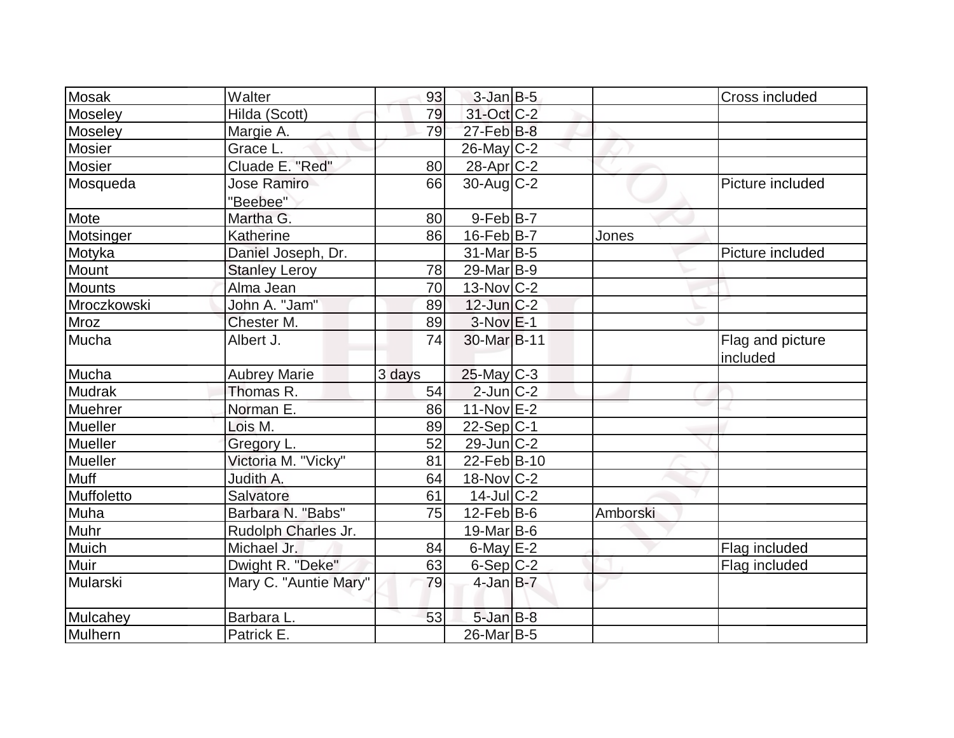| Mosak                        | Walter                | 93     | $3$ -Jan B-5            |          | Cross included               |
|------------------------------|-----------------------|--------|-------------------------|----------|------------------------------|
| Moseley                      | Hilda (Scott)         | 79     | 31-Oct C-2              |          |                              |
| <b>Moseley</b>               | Margie A.             | 79     | $27$ -Feb $B$ -8        |          |                              |
| Mosier                       | Grace L.              |        | $26$ -May C-2           |          |                              |
| Mosier                       | Cluade E. "Red"       | 80     | 28-Apr C-2              |          |                              |
| Mosqueda                     | <b>Jose Ramiro</b>    | 66     | 30-Aug C-2              |          | Picture included             |
|                              | "Beebee"              |        |                         |          |                              |
| Mote                         | Martha G.             | 80     | $9-FebB-7$              |          |                              |
| Motsinger                    | Katherine             | 86     | $16$ -Feb $ B-7 $       | Jones    |                              |
| Motyka                       | Daniel Joseph, Dr.    |        | $31$ -Mar $ B-5 $       |          | Picture included             |
| Mount                        | <b>Stanley Leroy</b>  | 78     | 29-Mar <sub>B-9</sub>   |          |                              |
| Mounts                       | Alma Jean             | 70     | $13-Nov$ $C-2$          |          |                              |
| Mroczkowski                  | John A. "Jam"         | 89     | $12$ -Jun $C-2$         |          |                              |
| Mroz                         | Chester M.            | 89     | $3-Nov$ $E-1$           |          |                              |
| Mucha                        | Albert J.             | 74     | 30-Mar <sub>B</sub> -11 |          | Flag and picture<br>included |
| Mucha                        | <b>Aubrey Marie</b>   | 3 days | $25$ -May C-3           |          |                              |
| Mudrak                       | Thomas R.             | 54     | $2$ -Jun $ C-2 $        |          |                              |
| Muehrer                      | Norman E.             | 86     | $11-Nov$ E-2            |          |                              |
| Mueller                      | Lois M.               | 89     | $22-Sep C-1$            |          |                              |
| Mueller                      |                       |        |                         |          |                              |
|                              | Gregory L.            | 52     | $29$ -Jun $ C-2 $       |          |                              |
| Mueller                      | Victoria M. "Vicky"   | 81     | 22-Feb B-10             |          |                              |
| Muff                         | Judith A.             | 64     | $18-Nov$ C-2            |          |                              |
| Muffoletto                   | Salvatore             | 61     | $14$ -Jul $C-2$         |          |                              |
| Muha                         | Barbara N. "Babs"     | 75     | $12-Feb B-6$            | Amborski |                              |
| Muhr                         | Rudolph Charles Jr.   |        | 19-Mar B-6              |          |                              |
| Muich                        | Michael Jr.           | 84     | 6-May $E-2$             |          | Flag included                |
|                              | Dwight R. "Deke"      | 63     | $6-Sep C-2$             |          | Flag included                |
|                              | Mary C. "Auntie Mary" | 79     | $4$ -Jan $B$ -7         |          |                              |
| Muir<br>Mularski<br>Mulcahey | Barbara L.            | 53     | $5$ -Jan B-8            |          |                              |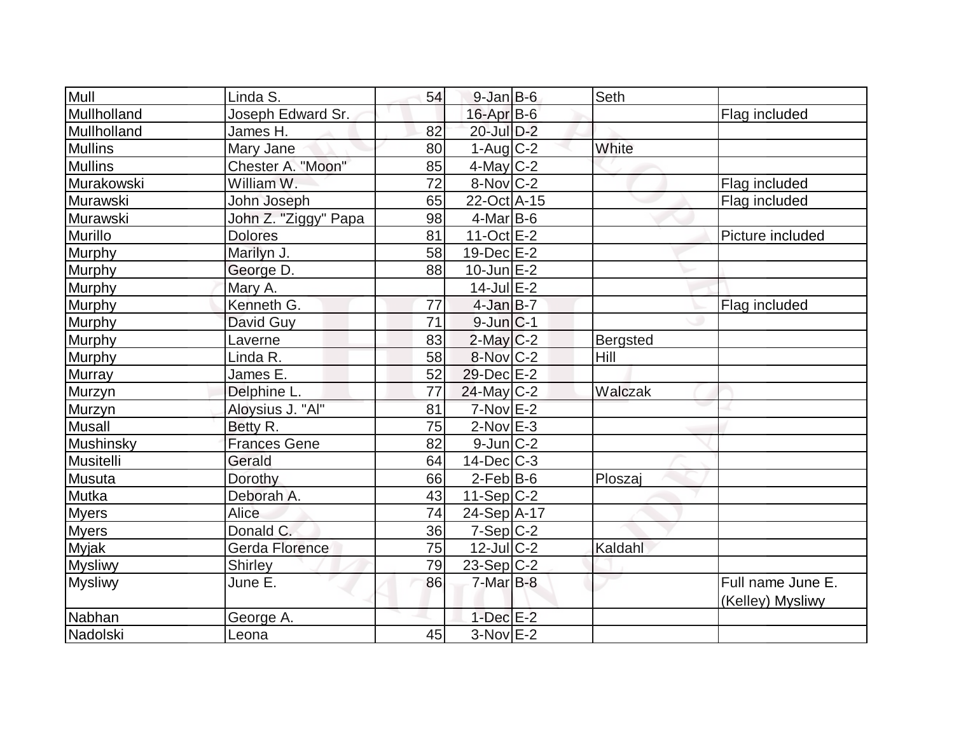| Mull             | Linda S.             | 54 | $9$ -Jan B-6            | Seth            |                                       |
|------------------|----------------------|----|-------------------------|-----------------|---------------------------------------|
| Mullholland      | Joseph Edward Sr.    |    | 16-Apr B-6              |                 | Flag included                         |
| Mullholland      | James H.             | 82 | 20-Jul D-2              |                 |                                       |
| <b>Mullins</b>   | Mary Jane            | 80 | $1-Aug$ <sub>C</sub> -2 | White           |                                       |
| <b>Mullins</b>   | Chester A. "Moon"    | 85 | $4$ -May C-2            |                 |                                       |
| Murakowski       | William W.           | 72 | 8-Nov C-2               |                 | Flag included                         |
| Murawski         | John Joseph          | 65 | 22-Oct A-15             |                 | Flag included                         |
| Murawski         | John Z. "Ziggy" Papa | 98 | $4$ -Mar $ B-6$         |                 |                                       |
| Murillo          | <b>Dolores</b>       | 81 | $11-Oct$ E-2            |                 | Picture included                      |
| Murphy           | Marilyn J.           | 58 | $19$ -Dec $E-2$         |                 |                                       |
| Murphy           | George D.            | 88 | $10$ -Jun $E-2$         |                 |                                       |
| Murphy           | Mary A.              |    | $14$ -Jul $E$ -2        |                 |                                       |
| Murphy           | Kenneth G.           | 77 | 4-Jan B-7               |                 | Flag included                         |
| Murphy           | David Guy            | 71 | $9$ -Jun $ C-1$         |                 |                                       |
| <b>Murphy</b>    | Laverne              | 83 | $2$ -May C-2            | <b>Bergsted</b> |                                       |
| Murphy           | Linda R.             | 58 | 8-Nov C-2               | Hill            |                                       |
| Murray           | James E.             | 52 | 29-Dec E-2              |                 |                                       |
| Murzyn           | Delphine L.          | 77 | $24$ -May C-2           | Walczak         |                                       |
| Murzyn           | Aloysius J. "Al"     | 81 | $7-Nov$ $E-2$           |                 |                                       |
| <b>Musall</b>    | Betty R.             | 75 | $2$ -Nov $E-3$          |                 |                                       |
| <b>Mushinsky</b> | <b>Frances Gene</b>  | 82 | $9$ -Jun $C-2$          |                 |                                       |
| Musitelli        | Gerald               | 64 | $14$ -Dec $C-3$         |                 |                                       |
| Musuta           | Dorothy              | 66 | $2$ -Feb $ B-6 $        | Ploszaj         |                                       |
| Mutka            | Deborah A.           | 43 | $11-Sep C-2$            |                 |                                       |
| <b>Myers</b>     | Alice                | 74 | $24-Sep$ A-17           |                 |                                       |
| <b>Myers</b>     | Donald C.            | 36 | $7-Sep C-2$             |                 |                                       |
| <b>Myjak</b>     | Gerda Florence       | 75 | $12$ -Jul $C-2$         | Kaldahl         |                                       |
| <b>Mysliwy</b>   | Shirley              | 79 | $23-Sep C-2$            |                 |                                       |
| <b>Mysliwy</b>   | June E.              | 86 | $7-Mar$ B-8             |                 | Full name June E.<br>(Kelley) Mysliwy |
| Nabhan           | George A.            |    | $1$ -Dec $E-2$          |                 |                                       |
| Nadolski         | Leona                | 45 | $3-Nov$ E-2             |                 |                                       |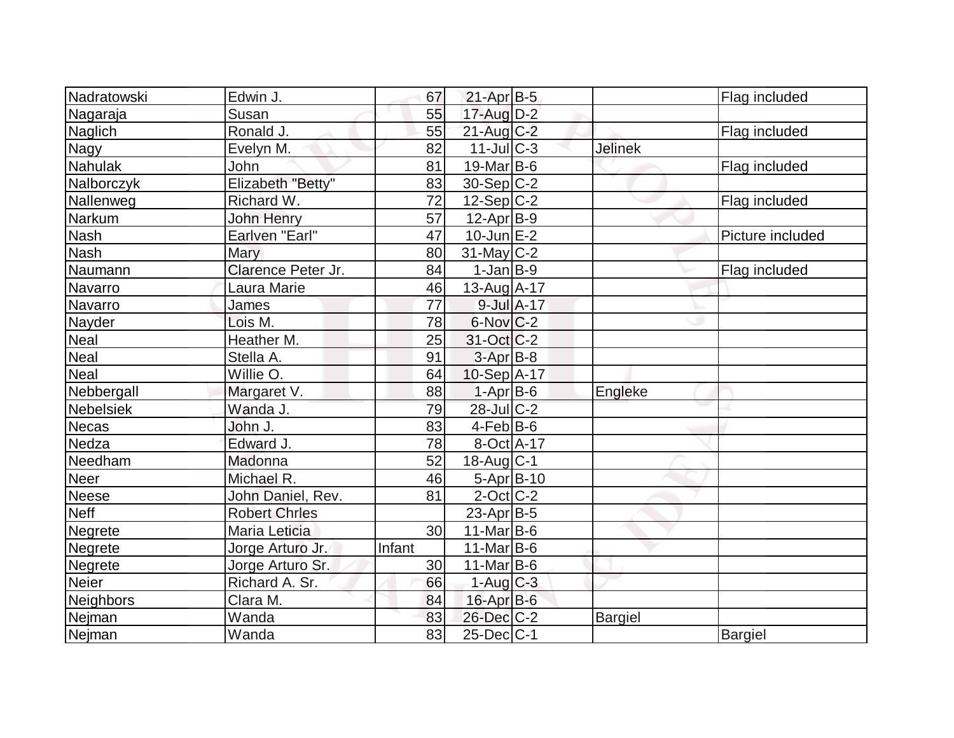| Nadratowski      | Edwin J.             | 67              | $21-Apr$ B-5           |            |                | Flag included    |
|------------------|----------------------|-----------------|------------------------|------------|----------------|------------------|
| Nagaraja         | Susan                | 55              | 17-Aug D-2             |            |                |                  |
| Naglich          | Ronald J.            | 55              | $21$ -Aug C-2          |            |                | Flag included    |
| <b>Nagy</b>      | Evelyn M.            | 82              | $11$ -JulC-3           |            | <b>Jelinek</b> |                  |
| Nahulak          | John                 | 81              | $19$ -Mar B-6          |            |                | Flag included    |
| Nalborczyk       | Elizabeth "Betty"    | 83              | $30-Sep C-2$           |            |                |                  |
| Nallenweg        | Richard W.           | 72              | $12-Sep C-2$           |            |                | Flag included    |
| Narkum           | John Henry           | $\overline{57}$ | $12$ -Apr $ B-9 $      |            |                |                  |
| Nash             | Earlven "Earl"       | 47              | $10$ -Jun $E-2$        |            |                | Picture included |
| <b>Nash</b>      | Mary                 | 80              | $31$ -May C-2          |            |                |                  |
| Naumann          | Clarence Peter Jr.   | 84              | $1-Jan$ B-9            |            |                | Flag included    |
| Navarro          | Laura Marie          | 46              | $13$ -Aug $A$ -17      |            |                |                  |
| Navarro          | James                | 77              |                        | 9-Jul A-17 |                |                  |
| Nayder           | Lois M.              | 78              | $6$ -Nov $C-2$         |            |                |                  |
| Neal             | Heather M.           | 25              | 31-Oct C-2             |            |                |                  |
| <b>Neal</b>      | Stella A.            | 91              | $3-Apr$ B-8            |            |                |                  |
| <b>Neal</b>      | Willie O.            | 64              | $10-Sep$ A-17          |            |                |                  |
| Nebbergall       | Margaret V.          | 88              | $1-Apr$ B-6            |            | Engleke        |                  |
| <b>Nebelsiek</b> | Wanda J.             | 79              | 28-Jul C-2             |            |                |                  |
| <b>Necas</b>     | John J.              | 83              | $4-Feb$ B-6            |            |                |                  |
| Nedza            | Edward J.            | 78              | 8-Oct A-17             |            |                |                  |
| Needham          | Madonna              | 52              | $18$ -Aug $C-1$        |            |                |                  |
| <b>Neer</b>      | Michael R.           | 46              | $5-Apr B-10$           |            |                |                  |
| Neese            | John Daniel, Rev.    | 81              | $2$ -Oct $C-2$         |            |                |                  |
| Neff             | <b>Robert Chrles</b> |                 | $23$ -Apr $ B-5 $      |            |                |                  |
| <b>Negrete</b>   | Maria Leticia        | 30              | $11$ -Mar $ B-6$       |            |                |                  |
| Negrete          | Jorge Arturo Jr.     | Infant          | $11-Mar$ B-6           |            |                |                  |
| Negrete          | Jorge Arturo Sr.     | 30              | $11$ -Mar $ B-6$       |            |                |                  |
| <b>Neier</b>     | Richard A. Sr.       | 66              | $1-Aug$ <sub>C-3</sub> |            |                |                  |
| Neighbors        | Clara M.             | 84              | 16-Apr B-6             |            |                |                  |
| Nejman           | Wanda                | 83              | $26$ -Dec $C-2$        |            | <b>Bargiel</b> |                  |
| Nejman           | Wanda                | 83              | $25$ -Dec $ C-1 $      |            |                | <b>Bargiel</b>   |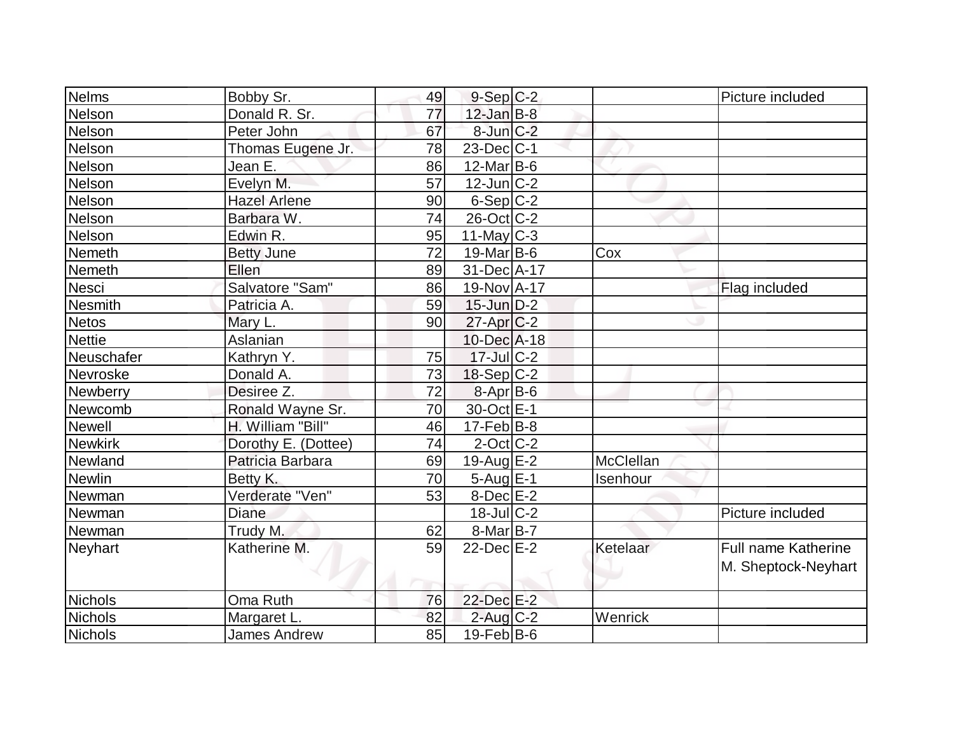| Nelms           | Bobby Sr.           | 49 | $9-Sep C-2$       |           | Picture included    |
|-----------------|---------------------|----|-------------------|-----------|---------------------|
| Nelson          | Donald R. Sr.       | 77 | $12$ -Jan $B-8$   |           |                     |
| Nelson          | Peter John          | 67 | $8$ -Jun $C-2$    |           |                     |
| Nelson          | Thomas Eugene Jr.   | 78 | $23$ -Dec $ C-1$  |           |                     |
| Nelson          | Jean E.             | 86 | $12$ -Mar $ B-6$  |           |                     |
| Nelson          | Evelyn M.           | 57 | $12$ -Jun $ C-2 $ |           |                     |
| Nelson          | <b>Hazel Arlene</b> | 90 | $6-Sep C-2$       |           |                     |
| Nelson          | Barbara W.          | 74 | $26$ -Oct C-2     |           |                     |
| Nelson          | Edwin R.            | 95 | 11-May $C-3$      |           |                     |
| Nemeth          | <b>Betty June</b>   | 72 | $19$ -Mar $ B-6$  | Cox       |                     |
| <b>Nemeth</b>   | Ellen               | 89 | 31-Dec A-17       |           |                     |
| Nesci           | Salvatore "Sam"     | 86 | 19-Nov A-17       |           | Flag included       |
| <b>Nesmith</b>  | Patricia A.         | 59 | $15$ -Jun $D-2$   |           |                     |
| <b>Netos</b>    | Mary L.             | 90 | $27$ -Apr $C-2$   |           |                     |
| <b>Nettie</b>   | Aslanian            |    | 10-Dec A-18       |           |                     |
| Neuschafer      | Kathryn Y.          | 75 | $17 -$ JulC-2     |           |                     |
| Nevroske        | Donald A.           | 73 | $18-Sep C-2$      |           |                     |
| <b>Newberry</b> | Desiree Z.          | 72 | $8-Apr B-6$       |           |                     |
| Newcomb         | Ronald Wayne Sr.    | 70 | 30-Oct E-1        |           |                     |
| Newell          | H. William "Bill"   | 46 | $17-Feb B-8$      |           |                     |
| <b>Newkirk</b>  | Dorothy E. (Dottee) | 74 | $2$ -Oct C-2      |           |                     |
| Newland         | Patricia Barbara    | 69 | $19$ -Aug $E-2$   | McClellan |                     |
| <b>Newlin</b>   | Betty K.            | 70 | $5-Aug$ $E-1$     | Isenhour  |                     |
| Newman          | Verderate "Ven"     | 53 | $8$ -Dec $E-2$    |           |                     |
| Newman          | <b>Diane</b>        |    | $18$ -Jul $C-2$   |           | Picture included    |
| Newman          | Trudy M.            | 62 | $8-Mar$ B-7       |           |                     |
| <b>Neyhart</b>  | Katherine M.        | 59 | $22$ -Dec $E-2$   | Ketelaar  | Full name Katherine |
|                 |                     |    |                   |           | M. Sheptock-Neyhart |
|                 |                     |    |                   |           |                     |
| Nichols         | Oma Ruth            | 76 | 22-Dec E-2        |           |                     |
| <b>Nichols</b>  | Margaret L.         | 82 | $2$ -Aug C-2      | Wenrick   |                     |
| Nichols         | <b>James Andrew</b> | 85 | $19$ -Feb $ B$ -6 |           |                     |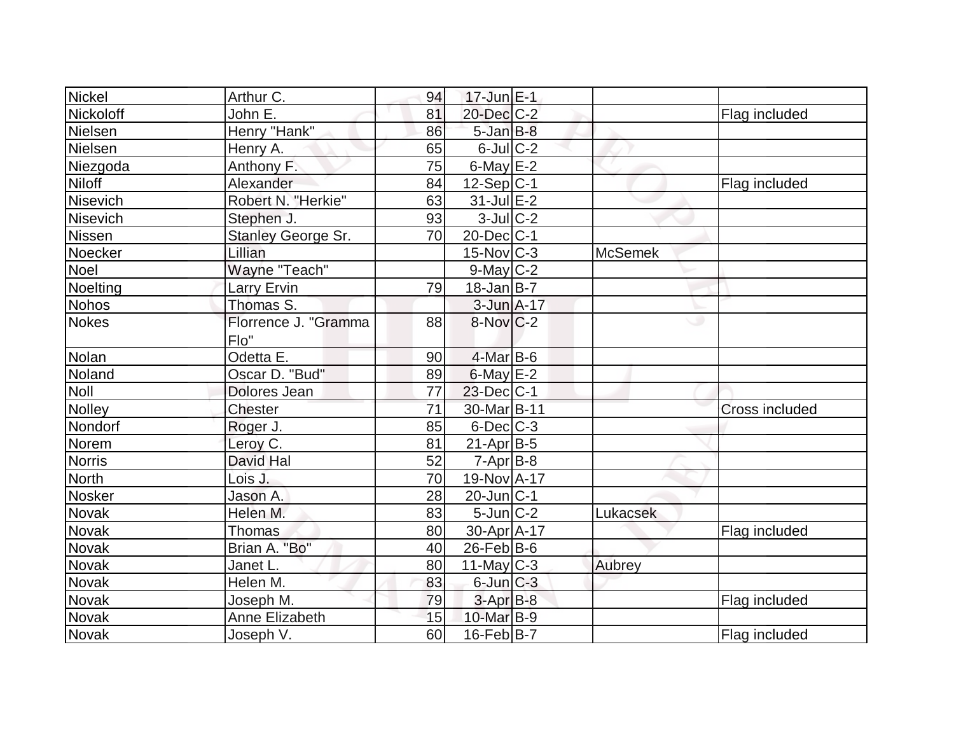| Nickel        | Arthur C.            | 94 | $17$ -Jun $E-1$   |                |                |
|---------------|----------------------|----|-------------------|----------------|----------------|
| Nickoloff     | John E.              | 81 | 20-Dec C-2        |                | Flag included  |
| Nielsen       | Henry "Hank"         | 86 | $5$ -Jan $B$ -8   |                |                |
| Nielsen       | Henry A.             | 65 | $6$ -Jul $C$ -2   |                |                |
| Niezgoda      | Anthony F.           | 75 | $6$ -May $E-2$    |                |                |
| <b>Niloff</b> | Alexander            | 84 | $12-Sep C-1$      |                | Flag included  |
| Nisevich      | Robert N. "Herkie"   | 63 | $31$ -Jul $E-2$   |                |                |
| Nisevich      | Stephen J.           | 93 | $3$ -Jul $C-2$    |                |                |
| Nissen        | Stanley George Sr.   | 70 | $20$ -Dec $ C-1 $ |                |                |
| Noecker       | Lillian              |    | $15$ -Nov $ C-3 $ | <b>McSemek</b> |                |
| Noel          | Wayne "Teach"        |    | $9$ -May C-2      |                |                |
| Noelting      | Larry Ervin          | 79 | $18 - Jan$ B-7    |                |                |
| <b>Nohos</b>  | Thomas S.            |    | 3-Jun A-17        |                |                |
| Nokes         | Florrence J. "Gramma | 88 | $8-Nov$ $C-2$     |                | w              |
|               | Flo"                 |    |                   |                |                |
| Nolan         | Odetta E.            | 90 | $4$ -Mar B-6      |                |                |
| Noland        | Oscar D. "Bud"       | 89 | $6$ -May $E-2$    |                |                |
| Noll          | Dolores Jean         | 77 | $23$ -Dec $ C-1 $ |                |                |
| Nolley        | Chester              | 71 | 30-Mar B-11       |                | Cross included |
| Nondorf       | Roger J.             | 85 | $6$ -Dec $C-3$    |                |                |
| Norem         | Leroy C.             | 81 | $21-Apr B-5$      |                |                |
| <b>Norris</b> | David Hal            | 52 | $7 - Apr$ B-8     |                |                |
| North         | Lois J.              | 70 | 19-Nov A-17       |                |                |
| <b>Nosker</b> | Jason A.             | 28 | $20$ -Jun $ C-1$  |                |                |
| Novak         | Helen M.             | 83 | $5$ -Jun $C-2$    | Lukacsek       |                |
| Novak         | Thomas               | 80 | 30-Apr A-17       |                | Flag included  |
| <b>Novak</b>  | Brian A. "Bo"        | 40 | $26$ -Feb $ B$ -6 |                |                |
| Novak         | Janet L.             | 80 | $11$ -May C-3     | Aubrey         |                |
| Novak         | Helen M.             | 83 | $6$ -Jun $C-3$    |                |                |
| Novak         | Joseph M.            | 79 | $3-AprB-8$        |                | Flag included  |
| <b>Novak</b>  | Anne Elizabeth       | 15 | 10-Mar B-9        |                |                |
| Novak         | Joseph V.            | 60 | $16$ -Feb $ B-7 $ |                | Flag included  |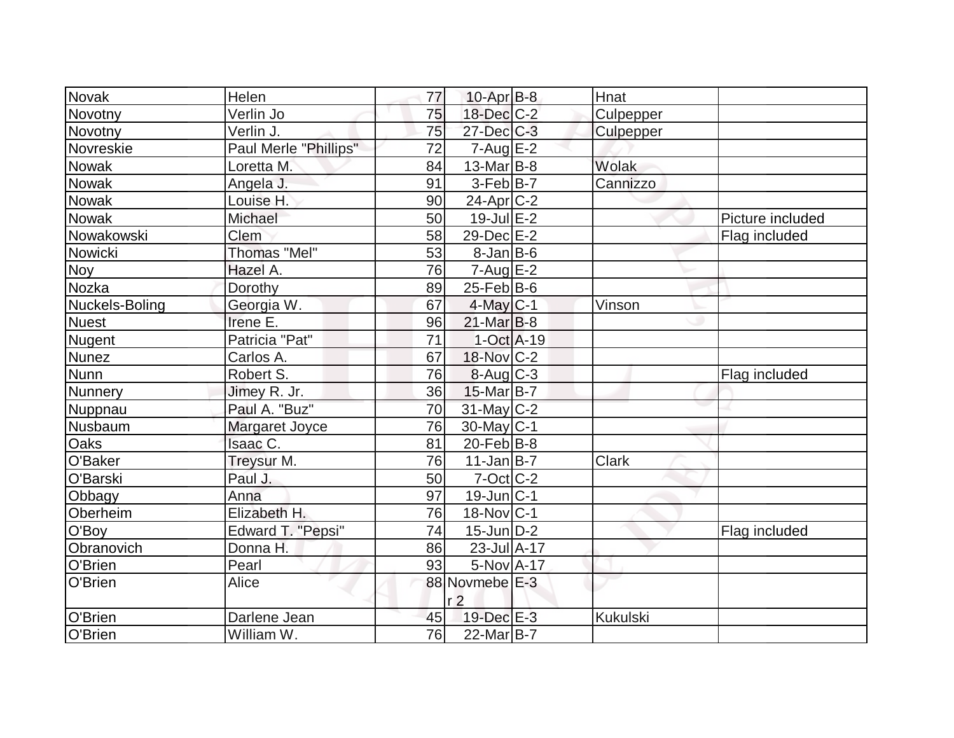| Novak          | Helen                 | 77              | $10$ -Apr $ B-8 $                | Hnat            |                  |
|----------------|-----------------------|-----------------|----------------------------------|-----------------|------------------|
| Novotny        | Verlin Jo             | 75              | 18-Dec C-2                       | Culpepper       |                  |
| Novotny        | Verlin J.             | 75              | 27-Dec C-3                       | Culpepper       |                  |
| Novreskie      | Paul Merle "Phillips" | 72              | $7 - Aug$ E-2                    |                 |                  |
| <b>Nowak</b>   | Loretta M.            | 84              | $13$ -Mar $ B-8 $                | Wolak           |                  |
| <b>Nowak</b>   | Angela J.             | 91              | $3-Feb B-7$                      | Cannizzo        |                  |
| <b>Nowak</b>   | Louise H.             | 90              | $24$ -Apr $ C-2 $                |                 |                  |
| Nowak          | Michael               | 50              | $19$ -Jul $E-2$                  |                 | Picture included |
| Nowakowski     | <b>Clem</b>           | 58              | 29-Dec E-2                       |                 | Flag included    |
| Nowicki        | <b>Thomas "Mel"</b>   | 53              | $8$ -Jan B-6                     |                 |                  |
| <b>Noy</b>     | Hazel A.              | 76              | $7 - Aug$ $E-2$                  |                 |                  |
| Nozka          | Dorothy               | 89              | $25$ -Feb $ B$ -6                |                 |                  |
| Nuckels-Boling | Georgia W.            | 67              | $4$ -May C-1                     | Vinson          |                  |
| <b>Nuest</b>   | Irene E.              | 96              | $21$ -Mar $ B-8 $                |                 |                  |
| Nugent         | Patricia "Pat"        | $\overline{71}$ | $1-Oct$ A-19                     |                 |                  |
| <b>Nunez</b>   | Carlos A.             | 67              | 18-Nov C-2                       |                 |                  |
| <b>Nunn</b>    | Robert S.             | 76              | $8 - Aug   C-3$                  |                 | Flag included    |
| Nunnery        | Jimey R. Jr.          | 36              | $15$ -Mar $ B-7 $                |                 |                  |
| Nuppnau        | Paul A. "Buz"         | 70              | 31-May C-2                       |                 |                  |
| Nusbaum        | Margaret Joyce        | 76              | $30$ -May C-1                    |                 |                  |
| <b>Oaks</b>    | Isaac C.              | 81              | $20$ -Feb $ B-8$                 |                 |                  |
| O'Baker        | Treysur M.            | 76              | $11$ -Jan $B$ -7                 | <b>Clark</b>    |                  |
| O'Barski       | Paul J.               | 50              | $7$ -Oct $C$ -2                  |                 |                  |
| Obbagy         | Anna                  | 97              | $19$ -Jun $ C-1 $                |                 |                  |
| Oberheim       | Elizabeth H.          | 76              | $18-Nov C-1$                     |                 |                  |
| O'Boy          | Edward T. "Pepsi"     | 74              | $15$ -Jun $ D-2 $                |                 | Flag included    |
| Obranovich     | Donna H.              | 86              | $23$ -Jul $A-17$                 |                 |                  |
| O'Brien        | Pearl                 | 93              | 5-Nov A-17                       |                 |                  |
| O'Brien        | Alice                 |                 | 88 Novmebe E-3<br>r <sub>2</sub> |                 |                  |
| O'Brien        | Darlene Jean          | 45              | $19$ -Dec $E-3$                  | <b>Kukulski</b> |                  |
| O'Brien        | William W.            | 76              | $22$ -Mar $ B-7 $                |                 |                  |
|                |                       |                 |                                  |                 |                  |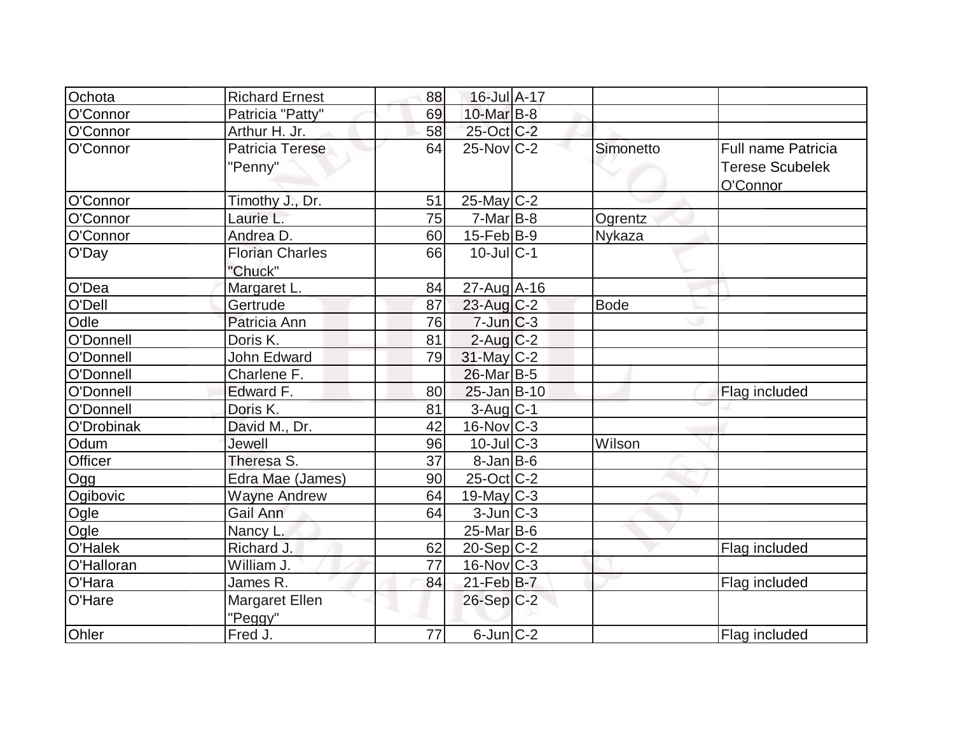| Ochota     | <b>Richard Ernest</b>      | 88 | 16-Jul A-17                |               |                                                          |
|------------|----------------------------|----|----------------------------|---------------|----------------------------------------------------------|
| O'Connor   | Patricia "Patty"           | 69 | 10-Mar B-8                 |               |                                                          |
| O'Connor   | Arthur H. Jr.              | 58 | 25-Oct C-2                 |               |                                                          |
| O'Connor   | Patricia Terese<br>"Penny" | 64 | $25$ -Nov $ C-2 $          | Simonetto     | Full name Patricia<br><b>Terese Scubelek</b><br>O'Connor |
| O'Connor   | Timothy J., Dr.            | 51 | $25$ -May C-2              |               |                                                          |
| O'Connor   | Laurie L.                  | 75 | $7-Mar$ B-8                | Ogrentz       |                                                          |
| O'Connor   | Andrea D.                  | 60 | $15$ -Feb $ B-9 $          | <b>Nykaza</b> |                                                          |
| O'Day      | Florian Charles<br>"Chuck" | 66 | $10$ -JullC-1              |               |                                                          |
| O'Dea      | Margaret L.                | 84 | 27-Aug A-16                |               |                                                          |
| O'Dell     | Gertrude                   | 87 | $23$ -Aug C-2              | <b>Bode</b>   |                                                          |
| Odle       | Patricia Ann               | 76 | $7 - Jim C - 3$            |               |                                                          |
| O'Donnell  | Doris K.                   | 81 | $2$ -Aug $C-2$             |               |                                                          |
| O'Donnell  | John Edward                | 79 | 31-May C-2                 |               |                                                          |
| O'Donnell  | Charlene F.                |    | $26$ -Mar $ B-5$           |               |                                                          |
| O'Donnell  | Edward F.                  | 80 | $25$ -Jan $B-10$           |               | Flag included                                            |
| O'Donnell  | Doris K.                   | 81 | 3-Aug C-1                  |               |                                                          |
| O'Drobinak | David M., Dr.              | 42 | $16$ -Nov $ C-3 $          |               |                                                          |
| Odum       | Jewell                     | 96 | $10$ -JulC-3               | Wilson        |                                                          |
| Officer    | Theresa S.                 | 37 | $8$ -Jan B-6               |               |                                                          |
| Ogg        | Edra Mae (James)           | 90 | $25$ -Oct $ C-2 $          |               |                                                          |
| Ogibovic   | <b>Wayne Andrew</b>        | 64 | $19$ -May C-3              |               |                                                          |
| Ogle       | Gail Ann                   | 64 | $3$ -Jun $C-3$             |               |                                                          |
| Ogle       | Nancy L.                   |    | $25$ -Mar $B$ -6           |               |                                                          |
| O'Halek    | Richard J.                 | 62 | $20-Sep C-2$               |               | Flag included                                            |
| O'Halloran | William J.                 | 77 | $16$ -Nov $ C-3 $          |               |                                                          |
| O'Hara     | James R.                   | 84 | $21$ -Feb $B$ -7           |               | Flag included                                            |
| O'Hare     | Margaret Ellen<br>"Peggy"  |    | $26-Sep C-2$               |               |                                                          |
| Ohler      | Fred J.                    | 77 | $6$ -Jun $\overline{C}$ -2 |               | Flag included                                            |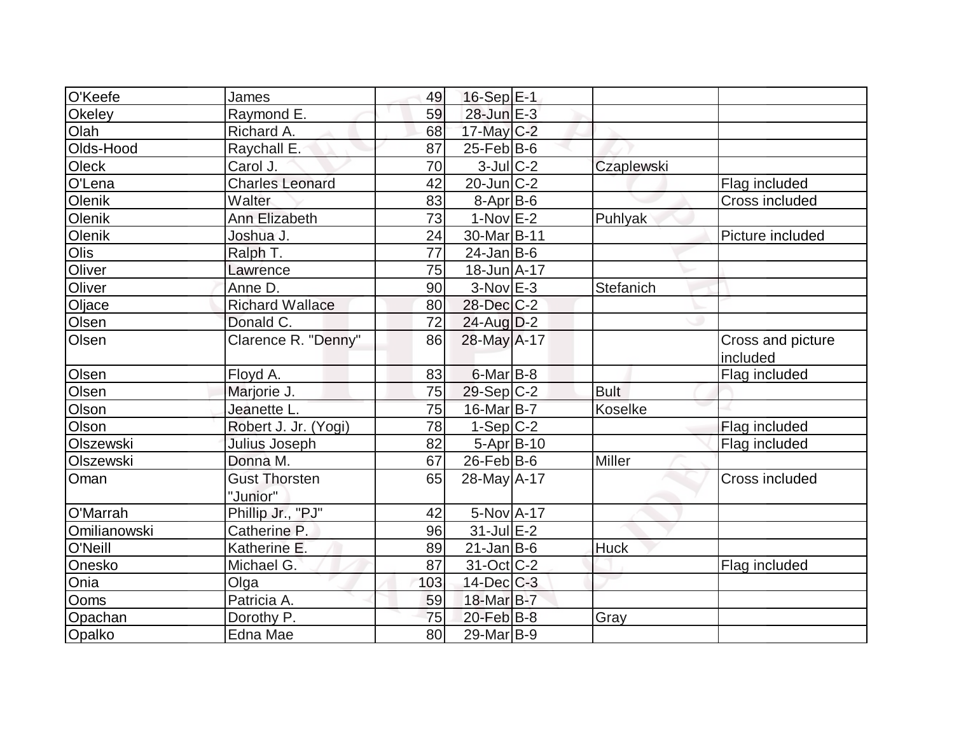| O'Keefe       | James                  | 49  | $16-Sep$ $E-1$    |               |                   |
|---------------|------------------------|-----|-------------------|---------------|-------------------|
| Okeley        | Raymond E.             | 59  | $28$ -Jun $E-3$   |               |                   |
| Olah          | Richard A.             | 68  | $17$ -May C-2     |               |                   |
| Olds-Hood     | Raychall E.            | 87  | $25$ -Feb $ B$ -6 |               |                   |
| <b>Oleck</b>  | Carol J.               | 70  | $3$ -Jul $C-2$    | Czaplewski    |                   |
| O'Lena        | <b>Charles Leonard</b> | 42  | $20$ -Jun $C-2$   |               | Flag included     |
| <b>Olenik</b> | Walter                 | 83  | 8-Apr B-6         |               | Cross included    |
| Olenik        | Ann Elizabeth          | 73  | $1-Nov$ E-2       | Puhlyak       |                   |
| <b>Olenik</b> | Joshua J.              | 24  | 30-Mar B-11       |               | Picture included  |
| Olis          | Ralph T.               | 77  | $24$ -Jan B-6     |               |                   |
| Oliver        | Lawrence               | 75  | $18$ -Jun $A$ -17 |               |                   |
| Oliver        | Anne D.                | 90  | $3-Nov$ $E-3$     | Stefanich     |                   |
| Oljace        | <b>Richard Wallace</b> | 80  | 28-Dec C-2        |               |                   |
| Olsen         | Donald C.              | 72  | 24-Aug D-2        |               |                   |
| Olsen         | Clarence R. "Denny"    | 86  | 28-May A-17       |               | Cross and picture |
|               |                        |     |                   |               | included          |
| Olsen         | Floyd A.               | 83  | $6$ -Mar $B$ -8   |               | Flag included     |
| Olsen         | Marjorie J.            | 75  | $29-Sep C-2$      | <b>Bult</b>   |                   |
| Olson         | Jeanette L.            | 75  | $16$ -Mar $B$ -7  | Koselke       |                   |
| Olson         | Robert J. Jr. (Yogi)   | 78  | $1-Sep C-2$       |               | Flag included     |
| Olszewski     | Julius Joseph          | 82  | $5-Apr B-10$      |               | Flag included     |
| Olszewski     | Donna M.               | 67  | $26$ -Feb $ B$ -6 | <b>Miller</b> |                   |
| Oman          | <b>Gust Thorsten</b>   | 65  | 28-May A-17       |               | Cross included    |
|               | "Junior"               |     |                   |               |                   |
| O'Marrah      | Phillip Jr., "PJ"      | 42  | 5-Nov A-17        |               |                   |
| Omilianowski  | Catherine P.           | 96  | 31-Jul E-2        |               |                   |
| O'Neill       | Katherine E.           | 89  | $21$ -Jan B-6     | <b>Huck</b>   |                   |
| Onesko        | Michael G.             | 87  | 31-Oct C-2        |               | Flag included     |
| Onia          | Olga                   | 103 | $14$ -Dec $C$ -3  |               |                   |
| Ooms          | Patricia A.            | 59  | 18-Mar B-7        |               |                   |
| Opachan       | Dorothy P.             | 75  | $20$ -Feb $B$ -8  | Gray          |                   |
| Opalko        | Edna Mae               | 80  | $29$ -Mar $ B-9 $ |               |                   |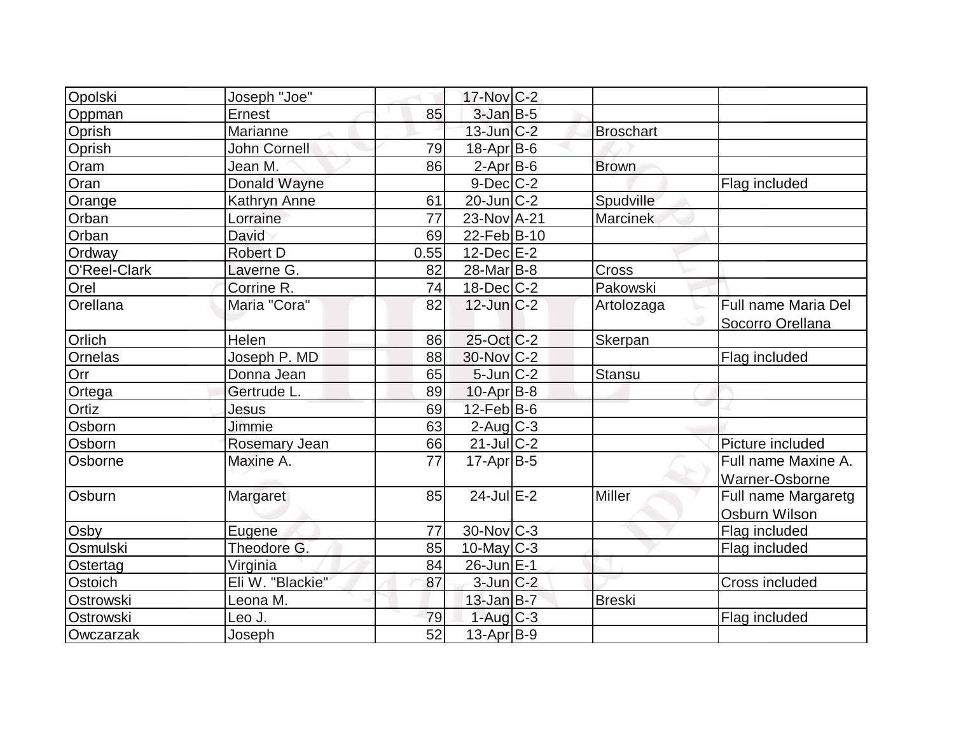| Opolski       | Joseph "Joe"     |                 | 17-Nov C-2             |                  |                     |
|---------------|------------------|-----------------|------------------------|------------------|---------------------|
| Oppman        | <b>Ernest</b>    | 85              | $3$ -Jan $B-5$         |                  |                     |
| Oprish        | Marianne         |                 | $13$ -Jun $C-2$        | <b>Broschart</b> |                     |
| Oprish        | John Cornell     | 79              | $18$ -Apr $ B$ -6      |                  |                     |
| Oram          | Jean M.          | 86              | $2-Apr$ B-6            | <b>Brown</b>     |                     |
| Oran          | Donald Wayne     |                 | $9$ -Dec $C$ -2        |                  | Flag included       |
| Orange        | Kathryn Anne     | 61              | $20$ -Jun $C-2$        | Spudville        |                     |
| Orban         | Lorraine         | $\overline{77}$ | 23-Nov A-21            | Marcinek         |                     |
| Orban         | David            | 69              | 22-Feb B-10            |                  |                     |
| Ordway        | <b>Robert D</b>  | 0.55            | $12$ -Dec $E-2$        |                  |                     |
| O'Reel-Clark  | Laverne G.       | 82              | 28-Mar B-8             | Cross            |                     |
| Orel          | Corrine R.       | 74              | $18$ -Dec $ C-2 $      | Pakowski         |                     |
| Orellana      | Maria "Cora"     | 82              | $12$ -Jun $ C-2 $      | Artolozaga       | Full name Maria Del |
|               |                  |                 |                        |                  | Socorro Orellana    |
| Orlich        | Helen            | 86              | $25$ -Oct $ C-2 $      | Skerpan          |                     |
| Ornelas       | Joseph P. MD     | 88              | 30-Nov C-2             |                  | Flag included       |
| Orr           | Donna Jean       | 65              | $5$ -Jun $C-2$         | <b>Stansu</b>    |                     |
| Ortega        | Gertrude L.      | 89              | $10$ -Apr $ B-8 $      |                  |                     |
| Ortiz         | Jesus            | 69              | $12$ -Feb $ B-6 $      |                  |                     |
| Osborn        | <b>Jimmie</b>    | 63              | $2$ -Aug $C-3$         |                  |                     |
| Osborn        | Rosemary Jean    | 66              | $21$ -Jul $C-2$        |                  | Picture included    |
| Osborne       | Maxine A.        | 77              | $17$ -Apr $ B-5 $      |                  | Full name Maxine A. |
|               |                  |                 |                        |                  | Warner-Osborne      |
| <b>Osburn</b> | Margaret         | 85              | $24$ -Jul $E-2$        | Miller           | Full name Margaretg |
|               |                  |                 |                        |                  | Osburn Wilson       |
| Osby          | Eugene           | 77              | 30-Nov C-3             |                  | Flag included       |
| Osmulski      | Theodore G.      | 85              | $10$ -May C-3          |                  | Flag included       |
| Ostertag      | Virginia         | 84              | 26-Jun E-1             |                  |                     |
| Ostoich       | Eli W. "Blackie" | 87              | $3$ -Jun $C-2$         |                  | Cross included      |
| Ostrowski     | Leona M.         |                 | $13$ -Jan $B-7$        | <b>Breski</b>    |                     |
| Ostrowski     | Leo J.           | 79              | $1-Aug$ <sub>C-3</sub> |                  | Flag included       |
| Owczarzak     | Joseph           | 52              | $13$ -Apr $ B-9 $      |                  |                     |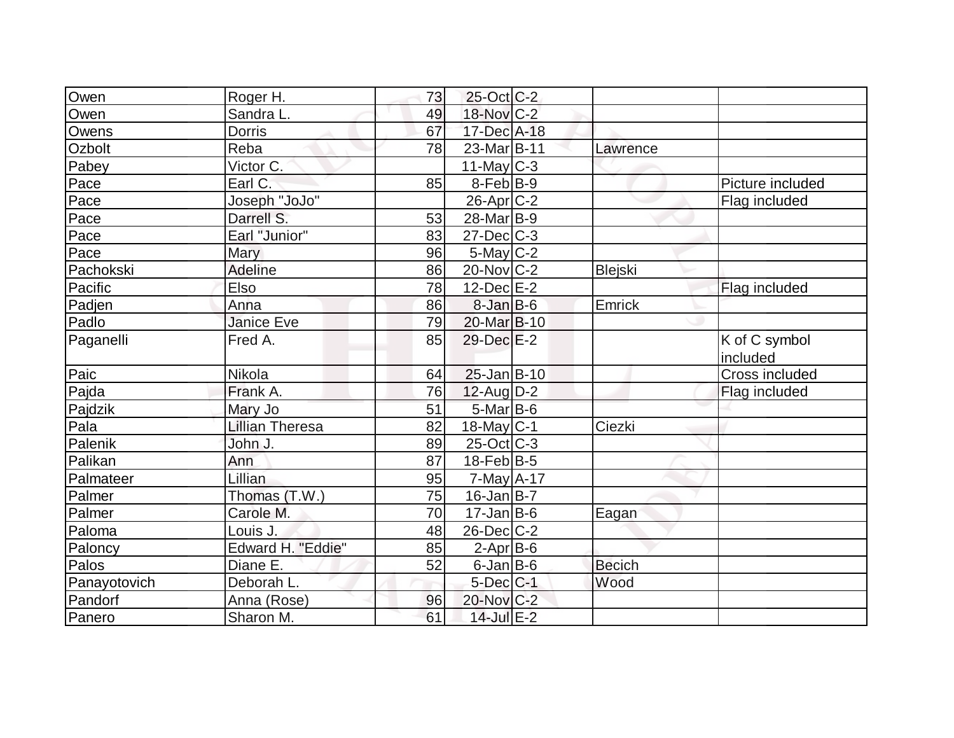| Owen         | Roger H.               | 73 | $25$ -Oct C-2           |               |                  |
|--------------|------------------------|----|-------------------------|---------------|------------------|
| Owen         | Sandra <sub>L.</sub>   | 49 | $18-Nov$ <sub>C-2</sub> |               |                  |
| Owens        | <b>Dorris</b>          | 67 | 17-Dec A-18             |               |                  |
| Ozbolt       | Reba                   | 78 | 23-Mar B-11             | Lawrence      |                  |
| Pabey        | Victor C.              |    | $11$ -May C-3           |               |                  |
| Pace         | Earl C.                | 85 | 8-Feb <sup>B-9</sup>    |               | Picture included |
| Pace         | Joseph "JoJo"          |    | $26$ -Apr $C-2$         |               | Flag included    |
| Pace         | Darrell S.             | 53 | 28-Mar B-9              |               |                  |
| Pace         | Earl "Junior"          | 83 | $27 - Dec$ $C-3$        |               |                  |
| Pace         | <b>Mary</b>            | 96 | 5-May C-2               |               |                  |
| Pachokski    | Adeline                | 86 | $20$ -Nov $ C-2 $       | Blejski       |                  |
| Pacific      | Elso                   | 78 | $12$ -Dec $E-2$         |               | Flag included    |
| Padjen       | Anna                   | 86 | $8 - Jan$ $B - 6$       | Emrick        |                  |
| Padlo        | <b>Janice Eve</b>      | 79 | 20-Mar B-10             |               |                  |
| Paganelli    | Fred A.                | 85 | $29$ -Dec $E-2$         |               | K of C symbol    |
|              |                        |    |                         |               | included         |
| Paic         | Nikola                 | 64 | $25$ -Jan $B-10$        |               | Cross included   |
| Pajda        | Frank A.               | 76 | $12$ -Aug $D-2$         |               | Flag included    |
| Pajdzik      | Mary Jo                | 51 | $5$ -Mar $B$ -6         |               |                  |
| Pala         | <b>Lillian Theresa</b> | 82 | $18$ -May C-1           | Ciezki        |                  |
| Palenik      | John J.                | 89 | $25$ -Oct C-3           |               |                  |
| Palikan      | Ann                    | 87 | $18$ -Feb $ B-5 $       |               |                  |
| Palmateer    | Lillian                | 95 | $7$ -May $A$ -17        |               |                  |
| Palmer       | Thomas (T.W.)          | 75 | $16$ -Jan B-7           |               |                  |
| Palmer       | Carole M.              | 70 | $17 - Jan$ B-6          | Eagan         |                  |
| Paloma       | Louis J.               | 48 | $26$ -Dec $C$ -2        |               |                  |
| Paloncy      | Edward H. "Eddie"      | 85 | $2$ -Apr $B$ -6         |               |                  |
| Palos        | Diane E.               | 52 | $6$ -Jan $B$ -6         | <b>Becich</b> |                  |
| Panayotovich | Deborah L.             |    | $5$ -Dec $C$ -1         | Wood          |                  |
| Pandorf      | Anna (Rose)            | 96 | 20-Nov C-2              |               |                  |
| Panero       | Sharon M.              | 61 | 14-Jul E-2              |               |                  |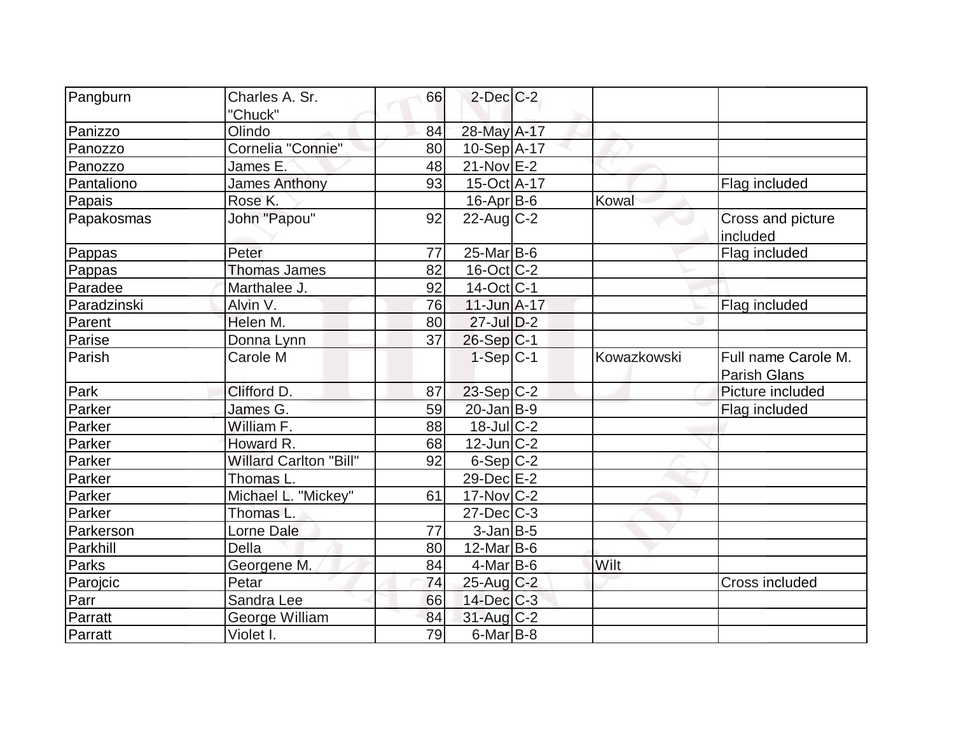| Pangburn    | Charles A. Sr.                | 66 | $2$ -Dec $C-2$          |             |                                            |
|-------------|-------------------------------|----|-------------------------|-------------|--------------------------------------------|
|             | "Chuck"                       |    |                         |             |                                            |
| Panizzo     | Olindo                        | 84 | 28-May A-17             |             |                                            |
| Panozzo     | Cornelia "Connie"             | 80 | $10-Sep$ A-17           |             |                                            |
| Panozzo     | James E.                      | 48 | $21$ -Nov $E-2$         |             |                                            |
| Pantaliono  | <b>James Anthony</b>          | 93 | 15-Oct A-17             |             | Flag included                              |
| Papais      | Rose K.                       |    | 16-Apr B-6              | Kowal       |                                            |
| Papakosmas  | John "Papou"                  | 92 | $22$ -Aug $C-2$         |             | Cross and picture                          |
|             |                               |    |                         |             | included                                   |
| Pappas      | Peter                         | 77 | $25$ -Mar $ B$ -6       |             | Flag included                              |
| Pappas      | <b>Thomas James</b>           | 82 | $16$ -Oct $ C-2 $       |             |                                            |
| Paradee     | Marthalee J.                  | 92 | $14-Oct$ <sub>C-1</sub> |             |                                            |
| Paradzinski | Alvin V.                      | 76 | $11$ -Jun $A-17$        |             | Flag included                              |
| Parent      | Helen M.                      | 80 | $27$ -Jul $D-2$         |             |                                            |
| Parise      | Donna Lynn                    | 37 | $26-Sep C-1$            |             |                                            |
| Parish      | Carole M                      |    | $1-Sep C-1$             | Kowazkowski | Full name Carole M.<br><b>Parish Glans</b> |
| Park        | Clifford D.                   | 87 | $23-Sep C-2$            |             | Picture included                           |
| Parker      | James G.                      | 59 | $20$ -Jan B-9           |             | Flag included                              |
| Parker      | William F.                    | 88 | $18$ -JulC-2            |             |                                            |
| Parker      | Howard R.                     | 68 | $12$ -Jun $ C-2 $       |             |                                            |
| Parker      | <b>Willard Carlton "Bill"</b> | 92 | $6-Sep C-2$             |             |                                            |
| Parker      | Thomas L.                     |    | 29-Dec E-2              |             |                                            |
| Parker      | Michael L. "Mickey"           | 61 | $17$ -Nov $ C-2 $       |             |                                            |
| Parker      | Thomas L.                     |    | $27 - Dec$ $C-3$        |             |                                            |
| Parkerson   | <b>Lorne Dale</b>             | 77 | $3$ -Jan $B$ -5         |             |                                            |
| Parkhill    | Della                         | 80 | $12$ -Mar $ B-6 $       |             |                                            |
| Parks       | Georgene M.                   | 84 | $4$ -Mar $ B-6$         | Wilt        |                                            |
| Parojcic    | Petar                         | 74 | 25-Aug C-2              |             | <b>Cross included</b>                      |
| Parr        | Sandra Lee                    | 66 | 14-Dec C-3              |             |                                            |
| Parratt     | George William                | 84 | $31$ -Aug C-2           |             |                                            |
| Parratt     | Violet I.                     | 79 | $6$ -Mar $ B-8 $        |             |                                            |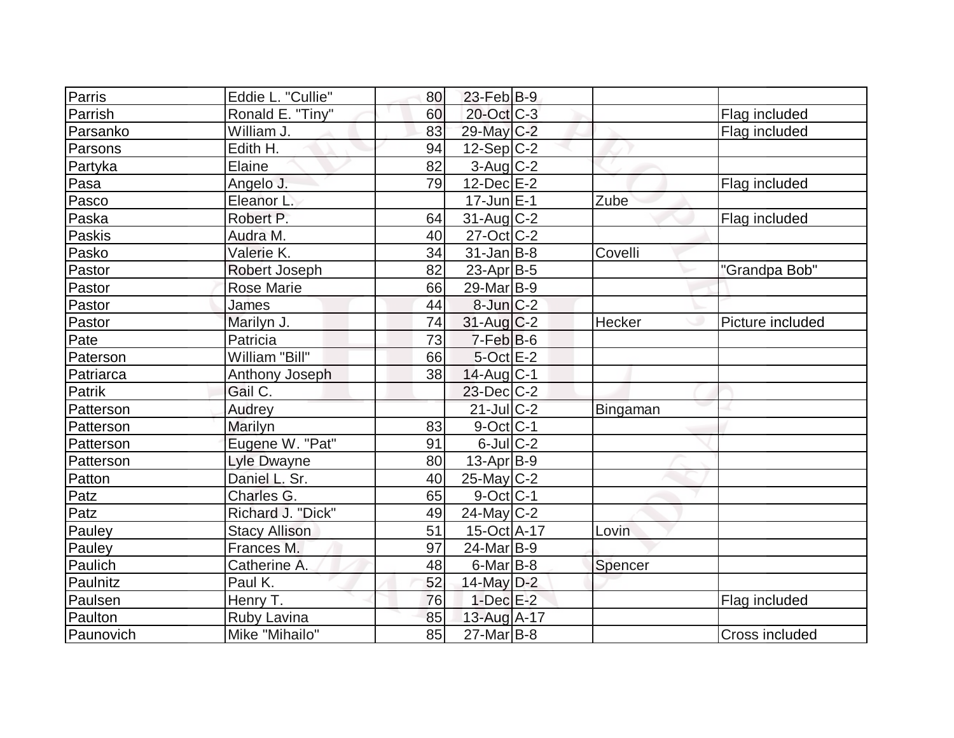| Parris    | Eddie L. "Cullie"    | 80 | $23$ -Feb $ B-9 $ |          |                  |
|-----------|----------------------|----|-------------------|----------|------------------|
| Parrish   | Ronald E. "Tiny"     | 60 | 20-Oct C-3        |          | Flag included    |
| Parsanko  | William J.           | 83 | 29-May C-2        |          | Flag included    |
| Parsons   | Edith H.             | 94 | 12-Sep C-2        |          |                  |
| Partyka   | Elaine               | 82 | $3$ -Aug $C-2$    |          |                  |
| Pasa      | Angelo J.            | 79 | $12$ -Dec $E-2$   |          | Flag included    |
| Pasco     | Eleanor L.           |    | $17$ -Jun $E-1$   | Zube     |                  |
| Paska     | Robert P.            | 64 | $31$ -Aug C-2     |          | Flag included    |
| Paskis    | Audra M.             | 40 | $27$ -Oct C-2     |          |                  |
| Pasko     | Valerie K.           | 34 | $31$ -Jan $ B-8 $ | Covelli  |                  |
| Pastor    | Robert Joseph        | 82 | $23$ -Apr $ B-5 $ |          | "Grandpa Bob"    |
| Pastor    | <b>Rose Marie</b>    | 66 | $29$ -Mar $ B-9 $ |          |                  |
| Pastor    | James                | 44 | $8$ -Jun $C-2$    |          |                  |
| Pastor    | Marilyn J.           | 74 | $31$ -Aug C-2     | Hecker   | Picture included |
| Pate      | Patricia             | 73 | $7-Feb B-6$       |          |                  |
| Paterson  | William "Bill"       | 66 | $5$ -Oct $E-2$    |          |                  |
| Patriarca | Anthony Joseph       | 38 | $14$ -Aug $C-1$   |          |                  |
| Patrik    | Gail C.              |    | $23$ -Dec $C-2$   |          |                  |
| Patterson | Audrey               |    | $21$ -Jul $C-2$   | Bingaman |                  |
| Patterson | Marilyn              | 83 | $9$ -Oct C-1      |          |                  |
| Patterson | Eugene W. "Pat"      | 91 | $6$ -Jul $C$ -2   |          |                  |
| Patterson | <b>Lyle Dwayne</b>   | 80 | 13-Apr B-9        |          |                  |
| Patton    | Daniel L. Sr.        | 40 | $25$ -May C-2     |          |                  |
| Patz      | Charles G.           | 65 | $9$ -Oct C-1      |          |                  |
| Patz      | Richard J. "Dick"    | 49 | $24$ -May C-2     |          |                  |
| Pauley    | <b>Stacy Allison</b> | 51 | 15-Oct A-17       | Lovin    |                  |
| Pauley    | Frances M.           | 97 | $24$ -Mar $ B-9 $ |          |                  |
| Paulich   | Catherine A.         | 48 | $6$ -Mar $ B-8 $  | Spencer  |                  |
| Paulnitz  | Paul K.              | 52 | 14-May $D-2$      |          |                  |
| Paulsen   | Henry T.             | 76 | $1-Dec$ $E-2$     |          | Flag included    |
| Paulton   | Ruby Lavina          | 85 | $13$ -Aug A-17    |          |                  |
| Paunovich | Mike "Mihailo"       | 85 | $27$ -Mar $B$ -8  |          | Cross included   |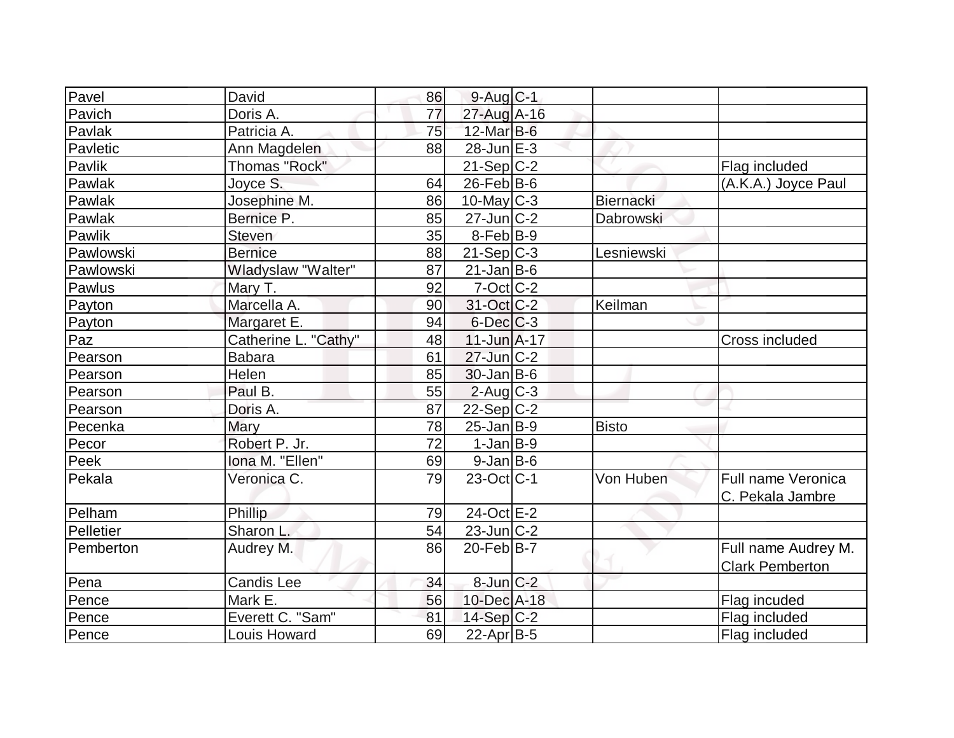| Pavel     | David                | 86 | $9$ -Aug $C-1$          |              |                        |
|-----------|----------------------|----|-------------------------|--------------|------------------------|
| Pavich    | Doris A.             | 77 | 27-Aug A-16             |              |                        |
| Pavlak    | Patricia A.          | 75 | $12$ -Mar $B$ -6        |              |                        |
| Pavletic  | Ann Magdelen         | 88 | $28$ -Jun $E-3$         |              |                        |
| Pavlik    | Thomas "Rock"        |    | $21-Sep C-2$            |              | Flag included          |
| Pawlak    | Joyce S.             | 64 | $26$ -Feb $ B-6 $       |              | (A.K.A.) Joyce Paul    |
| Pawlak    | Josephine M.         | 86 | $10$ -May C-3           | Biernacki    |                        |
| Pawlak    | Bernice P.           | 85 | $27$ -Jun $ C-2 $       | Dabrowski    |                        |
| Pawlik    | Steven               | 35 | $8-Feb B-9$             |              |                        |
| Pawlowski | <b>Bernice</b>       | 88 | $21-Sep C-3$            | Lesniewski   |                        |
| Pawlowski | Wladyslaw "Walter"   | 87 | $21$ -Jan B-6           |              |                        |
| Pawlus    | Mary T.              | 92 | $7-Oct$ $C-2$           |              |                        |
| Payton    | Marcella A.          | 90 | 31-Oct C-2              | Keilman      |                        |
| Payton    | Margaret E.          | 94 | $6$ -Dec $C$ -3         |              |                        |
| Paz       | Catherine L. "Cathy" | 48 | $11$ -Jun $A$ -17       |              | Cross included         |
| Pearson   | <b>Babara</b>        | 61 | $27$ -Jun $C-2$         |              |                        |
| Pearson   | Helen                | 85 | $30 - Jan$ B-6          |              |                        |
| Pearson   | Paul B.              | 55 | $2$ -Aug C-3            |              |                        |
| Pearson   | Doris A.             | 87 | $22-Sep C-2$            |              |                        |
| Pecenka   | Mary                 | 78 | $25$ -Jan $ B-9 $       | <b>Bisto</b> |                        |
| Pecor     | Robert P. Jr.        | 72 | $1-Jan$ B-9             |              |                        |
| Peek      | Iona M. "Ellen"      | 69 | $9$ -Jan B-6            |              |                        |
| Pekala    | Veronica C.          | 79 | $23-Oct$ <sub>C-1</sub> | Von Huben    | Full name Veronica     |
|           |                      |    |                         |              | C. Pekala Jambre       |
| Pelham    | Phillip              | 79 | 24-Oct E-2              |              |                        |
| Pelletier | Sharon L.            | 54 | $23$ -Jun $C-2$         |              |                        |
| Pemberton | Audrey M.            | 86 | $20$ -Feb $ B-7 $       |              | Full name Audrey M.    |
|           |                      |    |                         |              | <b>Clark Pemberton</b> |
| Pena      | Candis Lee           | 34 | $8$ -Jun $C-2$          |              |                        |
| Pence     | Mark E.              | 56 | 10-Dec A-18             |              | Flag incuded           |
| Pence     | Everett C. "Sam"     | 81 | 14-Sep $C-2$            |              | Flag included          |
| Pence     | Louis Howard         | 69 | $22$ -Apr $ B-5 $       |              | Flag included          |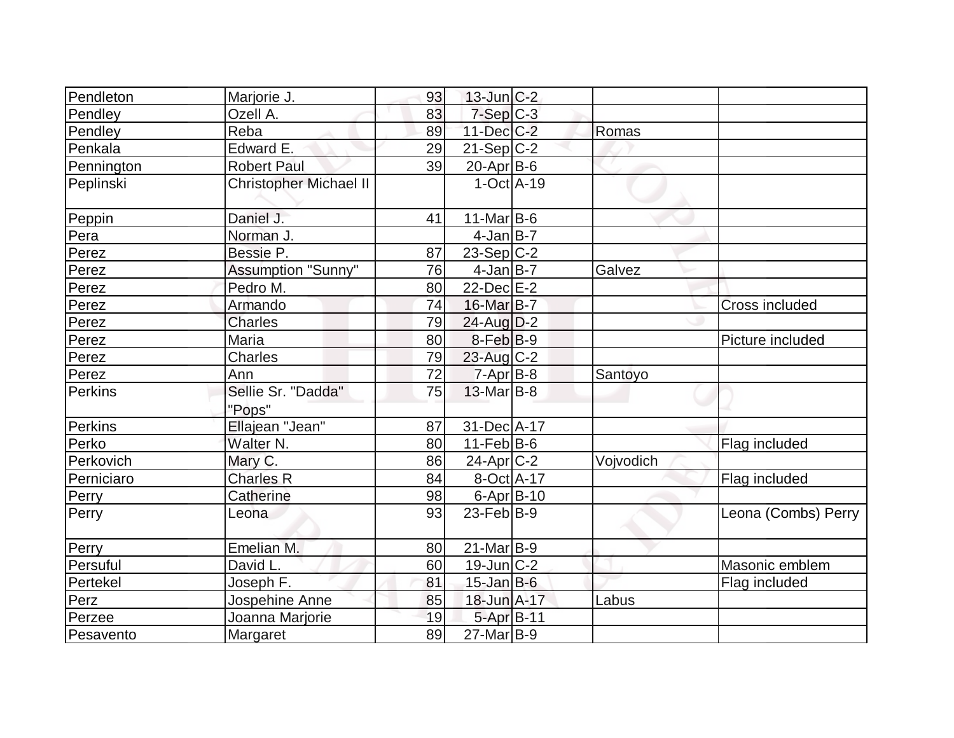| Pendleton  | Marjorie J.                   | 93 | $13$ -Jun $ C-2 $ |           |                     |
|------------|-------------------------------|----|-------------------|-----------|---------------------|
| Pendley    | Ozell A.                      | 83 | $7-Sep$ $C-3$     |           |                     |
| Pendley    | Reba                          | 89 | $11$ -Dec $ C-2 $ | Romas     |                     |
| Penkala    | Edward E.                     | 29 | $21-Sep C-2$      |           |                     |
| Pennington | <b>Robert Paul</b>            | 39 | $20$ -Apr $B$ -6  |           |                     |
| Peplinski  | <b>Christopher Michael II</b> |    | $1-Oct$ $A-19$    |           |                     |
| Peppin     | Daniel J.                     | 41 | $11$ -Mar $B$ -6  |           |                     |
| Pera       | Norman J.                     |    | $4$ -Jan B-7      |           |                     |
| Perez      | Bessie P.                     | 87 | $23-Sep C-2$      |           |                     |
| Perez      | <b>Assumption "Sunny"</b>     | 76 | $4$ -Jan B-7      | Galvez    |                     |
| Perez      | Pedro M.                      | 80 | $22$ -Dec $E-2$   |           |                     |
| Perez      | Armando                       | 74 | 16-Mar B-7        |           | Cross included      |
| Perez      | <b>Charles</b>                | 79 | $24$ -Aug $D-2$   |           |                     |
| Perez      | Maria                         | 80 | $8-Feb B-9$       |           | Picture included    |
| Perez      | <b>Charles</b>                | 79 | $23$ -Aug C-2     |           |                     |
| Perez      | Ann                           | 72 | $7 - Apr$ B-8     | Santoyo   |                     |
| Perkins    | Sellie Sr. "Dadda"            | 75 | $13$ -Mar $ B-8 $ |           |                     |
|            | "Pops"                        |    |                   |           |                     |
| Perkins    | Ellajean "Jean"               | 87 | 31-Dec A-17       |           |                     |
| Perko      | Walter N.                     | 80 | $11-Feb B-6$      |           | Flag included       |
| Perkovich  | Mary C.                       | 86 | $24$ -Apr $C-2$   | Vojvodich |                     |
| Perniciaro | <b>Charles R</b>              | 84 | 8-Oct A-17        |           | Flag included       |
| Perry      | <b>Catherine</b>              | 98 | $6$ -Apr $ B-10$  |           |                     |
| Perry      | Leona                         | 93 | $23$ -Feb $ B-9 $ |           | Leona (Combs) Perry |
| Perry      | Emelian M.                    | 80 | $21$ -Mar $ B-9 $ |           |                     |
| Persuful   | David L.                      | 60 | $19$ -Jun $ C-2 $ |           | Masonic emblem      |
| Pertekel   | Joseph F.                     | 81 | $15$ -Jan B-6     |           | Flag included       |
| Perz       | Jospehine Anne                | 85 | 18-Jun A-17       | Labus     |                     |
| Perzee     | Joanna Marjorie               | 19 | 5-Apr B-11        |           |                     |
| Pesavento  | Margaret                      | 89 | $27$ -Mar $B-9$   |           |                     |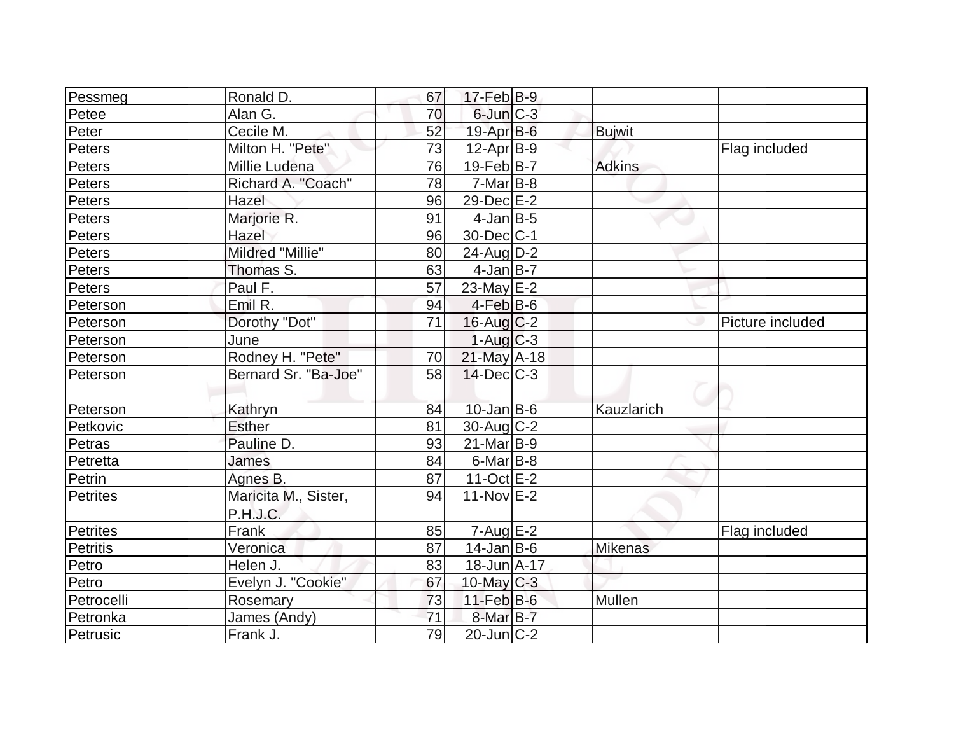| Pessmeg    | Ronald D.            | 67 | 17-Feb B-9        |                |                  |
|------------|----------------------|----|-------------------|----------------|------------------|
| Petee      | Alan G.              | 70 | $6$ -Jun $C-3$    |                |                  |
| Peter      | Cecile M.            | 52 | $19$ -Apr $B$ -6  | <b>Bujwit</b>  |                  |
| Peters     | Milton H. "Pete"     | 73 | $12-Apr B-9$      |                | Flag included    |
| Peters     | Millie Ludena        | 76 | $19$ -Feb $ B-7 $ | <b>Adkins</b>  |                  |
| Peters     | Richard A. "Coach"   | 78 | $7-Mar$ B-8       |                |                  |
| Peters     | Hazel                | 96 | 29-Dec E-2        |                |                  |
| Peters     | Marjorie R.          | 91 | $4$ -Jan $B-5$    |                |                  |
| Peters     | Hazel                | 96 | 30-Dec C-1        |                |                  |
| Peters     | Mildred "Millie"     | 80 | $24$ -Aug $D-2$   |                |                  |
| Peters     | Thomas S.            | 63 | $4$ -Jan $B$ -7   |                |                  |
| Peters     | Paul F.              | 57 | 23-May $E-2$      |                |                  |
| Peterson   | Emil R.              | 94 | $4-Feb B-6$       |                |                  |
| Peterson   | Dorothy "Dot"        | 71 | $16$ -Aug $C-2$   |                | Picture included |
| Peterson   | June                 |    | $1-Auq$ $C-3$     |                |                  |
| Peterson   | Rodney H. "Pete"     | 70 | $21$ -May A-18    |                |                  |
| Peterson   | Bernard Sr. "Ba-Joe" | 58 | $14$ -Dec $C-3$   |                |                  |
|            |                      |    |                   |                |                  |
| Peterson   | Kathryn              | 84 | $10 - Jan$ B-6    | Kauzlarich     |                  |
| Petkovic   | <b>Esther</b>        | 81 | $30$ -Aug C-2     |                |                  |
| Petras     | Pauline D.           | 93 | $21$ -Mar $ B-9 $ |                |                  |
| Petretta   | James                | 84 | $6$ -Mar $ B-8 $  |                |                  |
| Petrin     | Agnes B.             | 87 | $11-Oct$ $E-2$    |                |                  |
| Petrites   | Maricita M., Sister, | 94 | $11-NovIE-2$      |                |                  |
|            | P.H.J.C.             |    |                   |                |                  |
| Petrites   | Frank                | 85 | $7 - Aug$ E-2     |                | Flag included    |
| Petritis   | Veronica             | 87 | $14$ -Jan $ B-6 $ | <b>Mikenas</b> |                  |
| Petro      | Helen J.             | 83 | 18-Jun A-17       |                |                  |
| Petro      | Evelyn J. "Cookie"   | 67 | 10-May $C-3$      |                |                  |
| Petrocelli | Rosemary             | 73 | $11$ -Feb $B$ -6  | Mullen         |                  |
| Petronka   | James (Andy)         | 71 | $8-MarB-7$        |                |                  |
| Petrusic   | Frank J.             | 79 | $20$ -Jun $C-2$   |                |                  |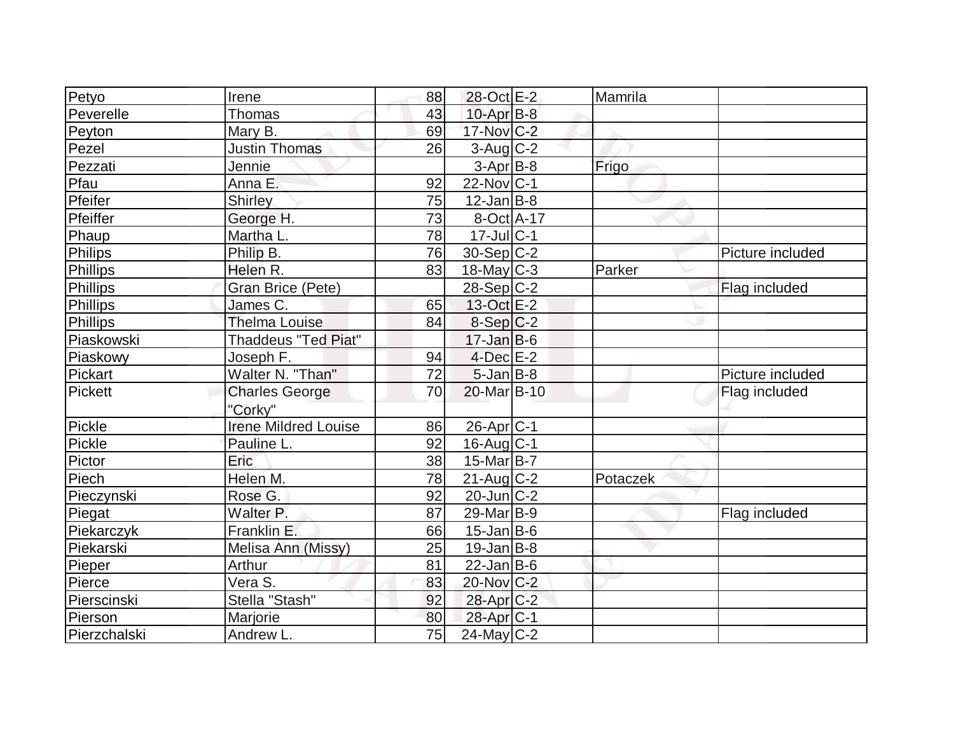| Petyo        | Irene                       | 88 | 28-Oct E-2             | Mamrila  |                  |
|--------------|-----------------------------|----|------------------------|----------|------------------|
| Peverelle    | Thomas                      | 43 | $10$ -Apr $B$ -8       |          |                  |
| Peyton       | Mary B.                     | 69 | 17-Nov C-2             |          |                  |
| Pezel        | <b>Justin Thomas</b>        | 26 | $3$ -Aug $C-2$         |          |                  |
| Pezzati      | Jennie                      |    | $3-Apr$ B-8            | Frigo    |                  |
| Pfau         | Anna E.                     | 92 | $22$ -Nov $ C-1$       |          |                  |
| Pfeifer      | <b>Shirley</b>              | 75 | $12$ -Jan B-8          |          |                  |
| Pfeiffer     | George H.                   | 73 | 8-Oct A-17             |          |                  |
| Phaup        | Martha L.                   | 78 | $17$ -Jul C-1          |          |                  |
| Philips      | Philip B.                   | 76 | $30-Sep C-2$           |          | Picture included |
| Phillips     | Helen R.                    | 83 | $18$ -May C-3          | Parker   |                  |
| Phillips     | Gran Brice (Pete)           |    | $28-Sep C-2$           |          | Flag included    |
| Phillips     | James C.                    | 65 | 13-Oct E-2             |          |                  |
| Phillips     | <b>Thelma Louise</b>        | 84 | $8-Sep C-2$            |          |                  |
| Piaskowski   | <b>Thaddeus "Ted Piat"</b>  |    | $17 - Jan$ B-6         |          |                  |
| Piaskowy     | Joseph F.                   | 94 | $4$ -Dec $E-2$         |          |                  |
| Pickart      | Walter N. "Than"            | 72 | $5$ -Jan $B$ -8        |          | Picture included |
| Pickett      | <b>Charles George</b>       | 70 | 20-Mar B-10            |          | Flag included    |
|              | "Corky"                     |    |                        |          |                  |
| Pickle       | <b>Irene Mildred Louise</b> | 86 | 26-Apr <sub>C-1</sub>  |          |                  |
| Pickle       | Pauline L.                  | 92 | 16-Aug C-1             |          |                  |
| Pictor       | Eric                        | 38 | $15$ -Mar $ B-7 $      |          |                  |
| Piech        | Helen M.                    | 78 | $21$ -Aug C-2          | Potaczek |                  |
| Pieczynski   | Rose G.                     | 92 | $20$ -Jun $C-2$        |          |                  |
| Piegat       | Walter P.                   | 87 | 29-Mar <sub>B-9</sub>  |          | Flag included    |
| Piekarczyk   | Franklin E.                 | 66 | $15$ -Jan B-6          |          |                  |
| Piekarski    | Melisa Ann (Missy)          | 25 | $19$ -Jan B-8          |          |                  |
| Pieper       | Arthur                      | 81 | $22$ -Jan B-6          |          |                  |
| Pierce       | Vera S.                     | 83 | 20-Nov C-2             |          |                  |
| Pierscinski  | Stella "Stash"              | 92 | 28-Apr <sub>C-2</sub>  |          |                  |
| Pierson      | Marjorie                    | 80 | 28-Apr <sub>IC-1</sub> |          |                  |
| Pierzchalski | Andrew L.                   | 75 | $24$ -May C-2          |          |                  |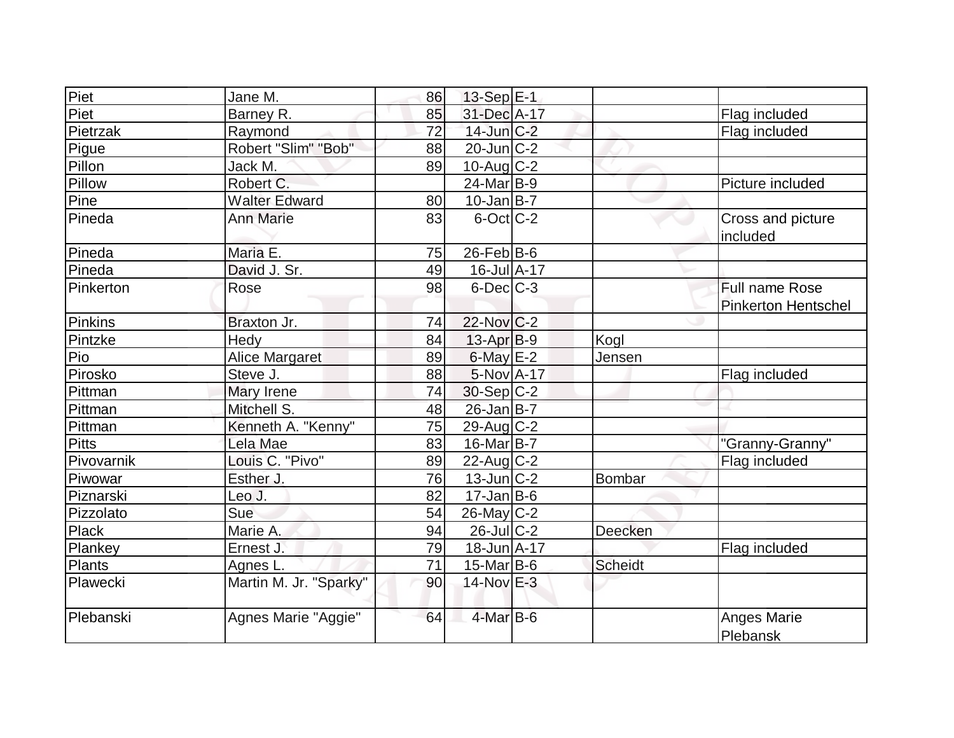| Piet         | Jane M.                | 86 | $13-Sep$ $E-1$    |         |                            |
|--------------|------------------------|----|-------------------|---------|----------------------------|
| Piet         | Barney R.              | 85 | 31-Dec A-17       |         | Flag included              |
| Pietrzak     | Raymond                | 72 | $14$ -Jun $C-2$   |         | Flag included              |
| Pigue        | Robert "Slim" "Bob"    | 88 | $20$ -Jun $C-2$   |         |                            |
| Pillon       | Jack M.                | 89 | $10$ -Aug $C-2$   |         |                            |
| Pillow       | Robert C.              |    | $24$ -Mar $B-9$   |         | Picture included           |
| Pine         | <b>Walter Edward</b>   | 80 | $10$ -Jan $ B-7 $ |         |                            |
| Pineda       | <b>Ann Marie</b>       | 83 | $6$ -Oct $ C-2 $  |         | Cross and picture          |
|              |                        |    |                   |         | included                   |
| Pineda       | Maria E.               | 75 | $26$ -Feb $ B$ -6 |         |                            |
| Pineda       | David J. Sr.           | 49 | 16-Jul A-17       |         |                            |
| Pinkerton    | Rose                   | 98 | $6$ -Dec $C-3$    |         | Full name Rose             |
|              |                        |    |                   |         | <b>Pinkerton Hentschel</b> |
| Pinkins      | Braxton Jr.            | 74 | 22-Nov C-2        |         |                            |
| Pintzke      | Hedy                   | 84 | $13$ -Apr $ B-9 $ | Kogl    |                            |
| Pio          | Alice Margaret         | 89 | $6$ -May $E-2$    | Jensen  |                            |
| Pirosko      | Steve J.               | 88 | 5-Nov A-17        |         | Flag included              |
| Pittman      | Mary Irene             | 74 | $30-Sep C-2$      |         |                            |
| Pittman      | Mitchell S.            | 48 | $26$ -Jan B-7     |         |                            |
| Pittman      | Kenneth A. "Kenny"     | 75 | $29$ -Aug C-2     |         |                            |
| <b>Pitts</b> | Lela Mae               | 83 | $16$ -Mar $ B-7 $ |         | "Granny-Granny"            |
| Pivovarnik   | Louis C. "Pivo"        | 89 | $22$ -Aug $C-2$   |         | Flag included              |
| Piwowar      | Esther J.              | 76 | $13$ -Jun $ C-2 $ | Bombar  |                            |
| Piznarski    | Leo J.                 | 82 | $17 - Jan$ B-6    |         |                            |
| Pizzolato    | Sue                    | 54 | $26$ -May C-2     |         |                            |
| Plack        | Marie A.               | 94 | $26$ -JulC-2      | Deecken |                            |
| Plankey      | Ernest J.              | 79 | $18$ -Jun $A$ -17 |         | Flag included              |
| Plants       | Agnes L.               | 71 | $15$ -Mar $ B-6$  | Scheidt |                            |
| Plawecki     | Martin M. Jr. "Sparky" | 90 | 14-Nov E-3        |         |                            |
| Plebanski    | Agnes Marie "Aggie"    | 64 | $4$ -Mar B-6      |         | Anges Marie<br>Plebansk    |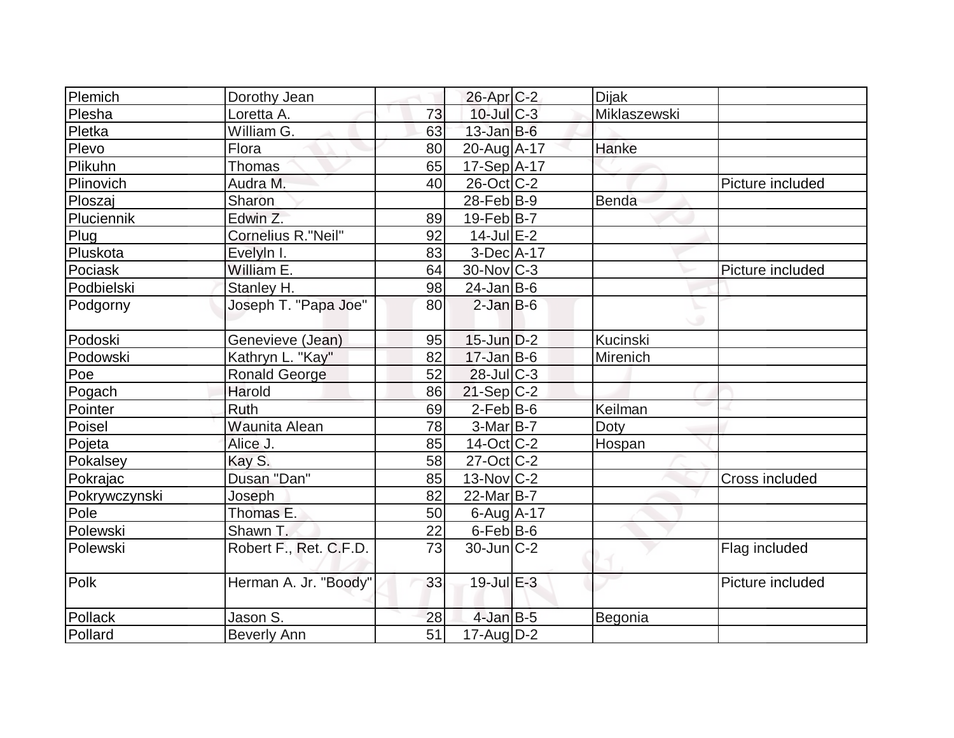| Plemich       | Dorothy Jean           |    | $26$ -Apr $C-2$        | <b>Dijak</b> |                  |
|---------------|------------------------|----|------------------------|--------------|------------------|
| Plesha        | Loretta A.             | 73 | $10$ -Jul $C-3$        | Miklaszewski |                  |
| Pletka        | William G.             | 63 | $13$ -Jan $B$ -6       |              |                  |
| Plevo         | Flora                  | 80 | 20-Aug A-17            | Hanke        |                  |
| Plikuhn       | Thomas                 | 65 | 17-Sep A-17            |              |                  |
| Plinovich     | Audra M.               | 40 | 26-Oct C-2             |              | Picture included |
| Ploszaj       | Sharon                 |    | $28$ -Feb $ B-9 $      | Benda        |                  |
| Pluciennik    | Edwin Z.               | 89 | $19-Feb B-7$           |              |                  |
| Plug          | Cornelius R."Neil"     | 92 | $14$ -Jul $E-2$        |              |                  |
| Pluskota      | Evelyln I.             | 83 | $3-Dec A-17$           |              |                  |
| Pociask       | William E.             | 64 | $30$ -Nov $ C-3 $      |              | Picture included |
| Podbielski    | Stanley H.             | 98 | $24$ -Jan B-6          |              |                  |
| Podgorny      | Joseph T. "Papa Joe"   | 80 | $2$ -Jan $B$ -6        |              |                  |
| Podoski       | Genevieve (Jean)       | 95 | $15$ -Jun $D-2$        | Kucinski     |                  |
| Podowski      | Kathryn L. "Kay"       | 82 | $17 - Jan$ B-6         | Mirenich     |                  |
| Poe           | <b>Ronald George</b>   | 52 | $28$ -Jul $C-3$        |              |                  |
| Pogach        | Harold                 | 86 | $21-Sep C-2$           |              |                  |
| Pointer       | Ruth                   | 69 | $2-Feb B-6$            | Keilman      |                  |
| Poisel        | <b>Waunita Alean</b>   | 78 | $3-Mar$ B-7            | Doty         |                  |
| Pojeta        | Alice J.               | 85 | 14-Oct C-2             | Hospan       |                  |
| Pokalsey      | Kay S.                 | 58 | $27$ -Oct $ C-2 $      |              |                  |
| Pokrajac      | Dusan "Dan"            | 85 | $13-Nov$ C-2           |              | Cross included   |
| Pokrywczynski | Joseph                 | 82 | 22-Mar <sub>B</sub> -7 |              |                  |
| Pole          | Thomas E.              | 50 | $6$ -Aug $A$ -17       |              |                  |
| Polewski      | Shawn T.               | 22 | 6-Feb B-6              |              |                  |
| Polewski      | Robert F., Ret. C.F.D. | 73 | $30$ -Jun $C-2$        |              | Flag included    |
| Polk          | Herman A. Jr. "Boody"  | 33 | $19$ -Jul $E-3$        |              | Picture included |
| Pollack       | Jason S.               | 28 | $4$ -Jan $B-5$         | Begonia      |                  |
| Pollard       | <b>Beverly Ann</b>     | 51 | 17-Aug D-2             |              |                  |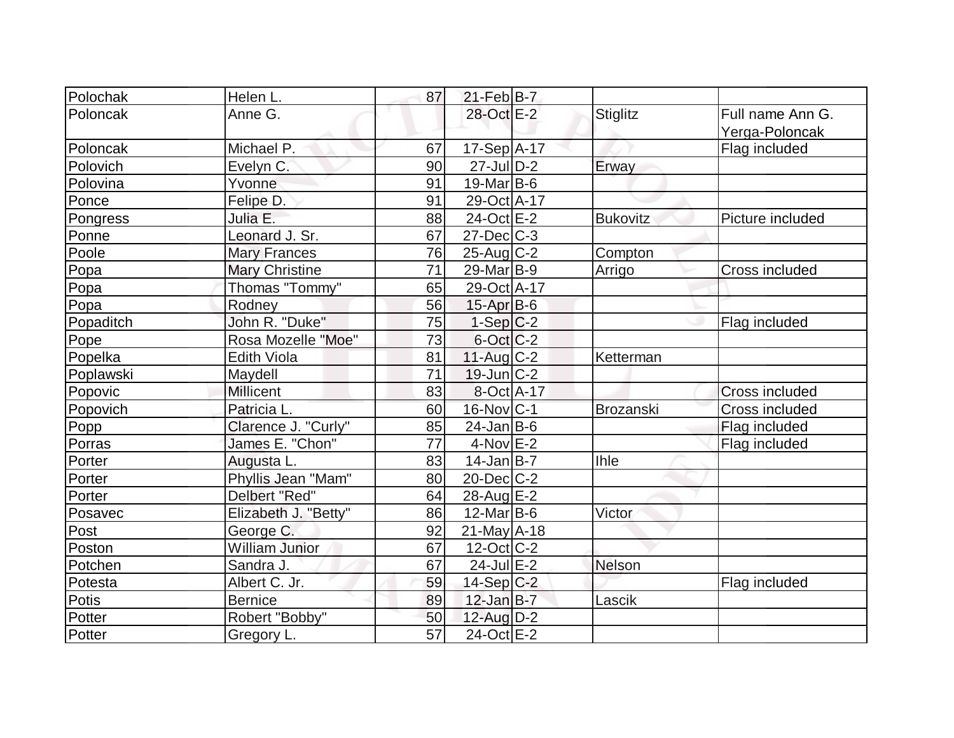| Polochak  | Helen L.              | 87 | $21$ -Feb $ B-7 $        |                  |                                    |
|-----------|-----------------------|----|--------------------------|------------------|------------------------------------|
| Poloncak  | Anne G.               |    | 28-Oct E-2               | <b>Stiglitz</b>  | Full name Ann G.<br>Yerga-Poloncak |
| Poloncak  | Michael P.            | 67 | $17-Sep$ $A-17$          |                  | Flag included                      |
| Polovich  | Evelyn C.             | 90 | $27$ -JulD-2             | Erway            |                                    |
| Polovina  | Yvonne                | 91 | $19$ -Mar $B$ -6         |                  |                                    |
| Ponce     | Felipe D.             | 91 | 29-Oct A-17              |                  |                                    |
| Pongress  | Julia E.              | 88 | 24-Oct E-2               | <b>Bukovitz</b>  | Picture included                   |
| Ponne     | Leonard J. Sr.        | 67 | $27 - Dec$ $C-3$         |                  |                                    |
| Poole     | <b>Mary Frances</b>   | 76 | $25-Aug$ <sub>C-2</sub>  | Compton          |                                    |
| Popa      | <b>Mary Christine</b> | 71 | $29$ -Mar $ B-9 $        | Arrigo           | Cross included                     |
| Popa      | Thomas "Tommy"        | 65 | 29-Oct A-17              |                  |                                    |
| Popa      | Rodney                | 56 | $15$ -Apr $B$ -6         |                  |                                    |
| Popaditch | John R. "Duke"        | 75 | $1-Sep C-2$              |                  | Flag included                      |
| Pope      | Rosa Mozelle "Moe"    | 73 | $6$ -Oct $ C$ -2         |                  |                                    |
| Popelka   | <b>Edith Viola</b>    | 81 | $11$ -Aug C-2            | Ketterman        |                                    |
| Poplawski | Maydell               | 71 | $19$ -Jun $C-2$          |                  |                                    |
| Popovic   | <b>Millicent</b>      | 83 | 8-Oct A-17               |                  | <b>Cross included</b>              |
| Popovich  | Patricia L.           | 60 | 16-Nov C-1               | <b>Brozanski</b> | <b>Cross included</b>              |
| Popp      | Clarence J. "Curly"   | 85 | $24$ -Jan B-6            |                  | Flag included                      |
| Porras    | James E. "Chon"       | 77 | $4$ -Nov $E-2$           |                  | Flag included                      |
| Porter    | Augusta L.            | 83 | $14$ -Jan $B$ -7         | <b>Ihle</b>      |                                    |
| Porter    | Phyllis Jean "Mam"    | 80 | $20$ -Dec $C$ -2         |                  |                                    |
| Porter    | Delbert "Red"         | 64 | 28-Aug E-2               |                  |                                    |
| Posavec   | Elizabeth J. "Betty"  | 86 | $12$ -Mar $B$ -6         | Victor           |                                    |
| Post      | George C.             | 92 | $21$ -May A-18           |                  |                                    |
| Poston    | <b>William Junior</b> | 67 | $12-Oct$ <sub>C</sub> -2 |                  |                                    |
| Potchen   | Sandra J.             | 67 | $24$ -Jul $E-2$          | Nelson           |                                    |
| Potesta   | Albert C. Jr.         | 59 | $14-Sep C-2$             |                  | Flag included                      |
| Potis     | Bernice               | 89 | $12$ -Jan B-7            | Lascik           |                                    |
| Potter    | Robert "Bobby"        | 50 | 12-Aug D-2               |                  |                                    |
| Potter    | Gregory L.            | 57 | $24$ -Oct $E$ -2         |                  |                                    |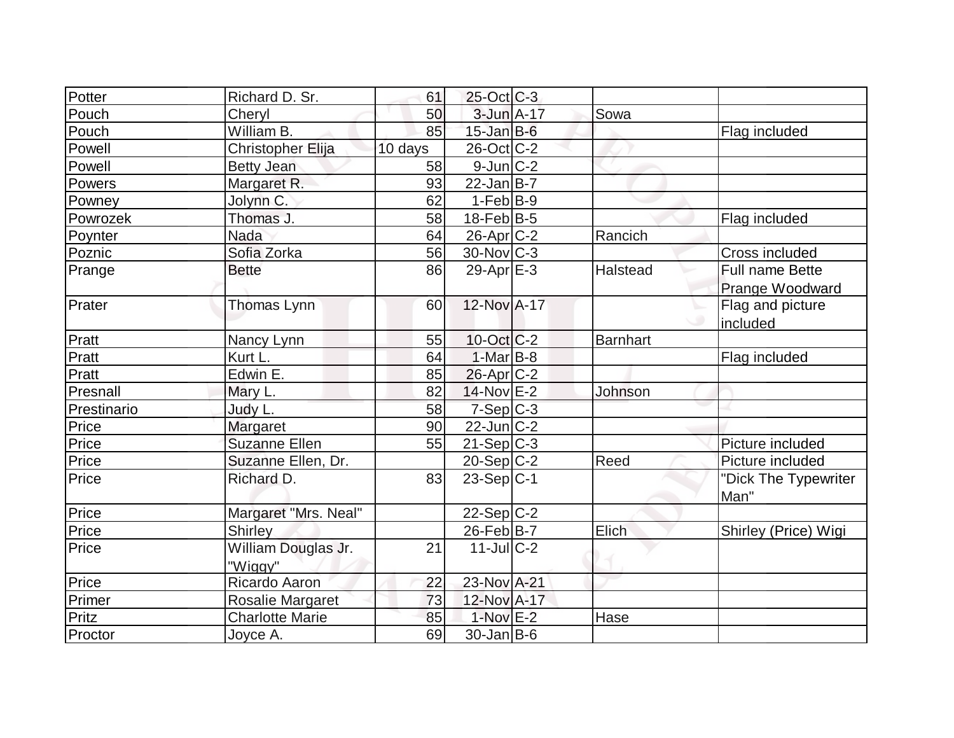| Potter      | Richard D. Sr.         | 61      | $25$ -Oct C-3     |          |                      |
|-------------|------------------------|---------|-------------------|----------|----------------------|
| Pouch       | Cheryl                 | 50      | $3$ -Jun $A-17$   | Sowa     |                      |
| Pouch       | William B.             | 85      | $15$ -Jan $B$ -6  |          | Flag included        |
| Powell      | Christopher Elija      | 10 days | 26-Oct C-2        |          |                      |
| Powell      | <b>Betty Jean</b>      | 58      | $9$ -Jun $C-2$    |          |                      |
| Powers      | Margaret R.            | 93      | $22$ -Jan B-7     |          |                      |
| Powney      | Jolynn C.              | 62      | $1-Feb B-9$       |          |                      |
| Powrozek    | Thomas J.              | 58      | $18$ -Feb $B$ -5  |          | Flag included        |
| Poynter     | <b>Nada</b>            | 64      | 26-Apr C-2        | Rancich  |                      |
| Poznic      | Sofia Zorka            | 56      | $30$ -Nov $ C-3 $ |          | Cross included       |
| Prange      | <b>Bette</b>           | 86      | $29$ -Apr $E-3$   | Halstead | Full name Bette      |
|             |                        |         |                   |          | Prange Woodward      |
| Prater      | Thomas Lynn            | 60      | 12-Nov A-17       |          | Flag and picture     |
|             |                        |         |                   |          | included             |
| Pratt       | Nancy Lynn             | 55      | $10$ -Oct $C-2$   | Barnhart |                      |
| Pratt       | Kurt L.                | 64      | $1-Mar$ B-8       |          | Flag included        |
| Pratt       | Edwin E.               | 85      | $26$ -Apr $C-2$   |          |                      |
| Presnall    | Mary L.                | 82      | $14$ -Nov $E-2$   | Johnson  |                      |
| Prestinario | Judy L.                | 58      | $7-Sep$ $C-3$     |          |                      |
| Price       | Margaret               | 90      | $22$ -Jun $ C-2 $ |          |                      |
| Price       | <b>Suzanne Ellen</b>   | 55      | $21-Sep C-3$      |          | Picture included     |
| Price       | Suzanne Ellen, Dr.     |         | $20-Sep C-2$      | Reed     | Picture included     |
| Price       | Richard D.             | 83      | $23-Sep C-1$      |          | "Dick The Typewriter |
|             |                        |         |                   |          | Man"                 |
| Price       | Margaret "Mrs. Neal"   |         | 22-Sep C-2        |          |                      |
| Price       | <b>Shirley</b>         |         | 26-Feb B-7        | Elich    | Shirley (Price) Wigi |
| Price       | William Douglas Jr.    | 21      | $11$ -JulC-2      |          |                      |
|             | "Wiggy"                |         |                   |          |                      |
| Price       | Ricardo Aaron          | 22      | 23-Nov A-21       |          |                      |
| Primer      | Rosalie Margaret       | 73      | 12-Nov A-17       |          |                      |
| Pritz       | <b>Charlotte Marie</b> | 85      | $1-Nov$ E-2       | Hase     |                      |
| Proctor     | Joyce A.               | 69      | 30-Jan B-6        |          |                      |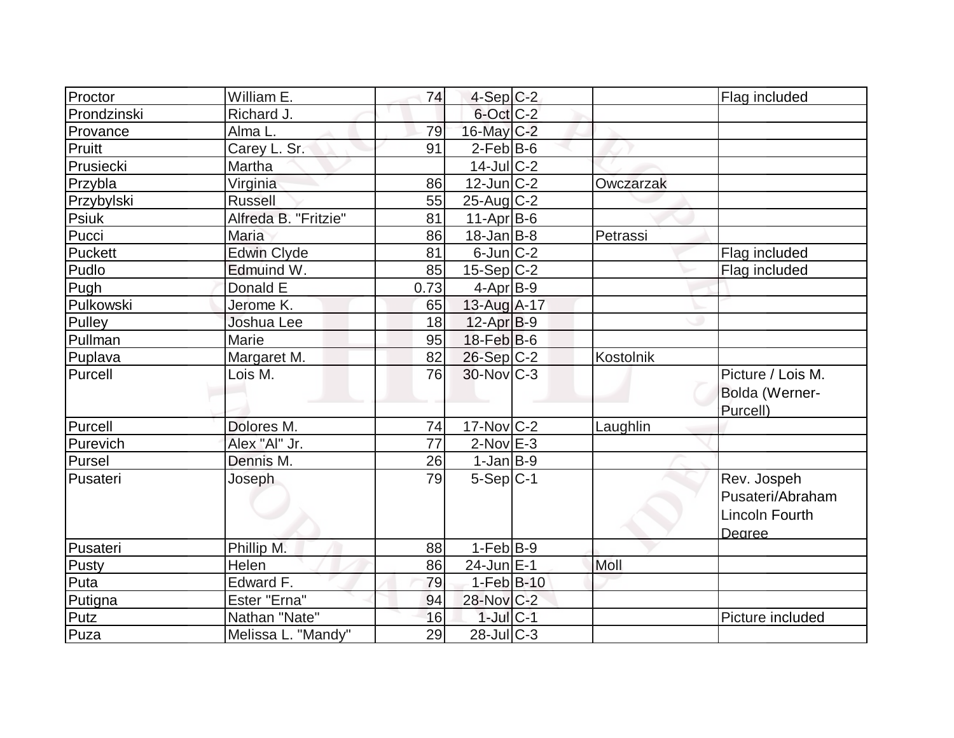| Proctor     | William E.           | 74   | $4-Sep C-2$       |           | Flag included         |
|-------------|----------------------|------|-------------------|-----------|-----------------------|
| Prondzinski | Richard J.           |      | 6-Oct C-2         |           |                       |
| Provance    | Alma L.              | 79   | 16-May C-2        |           |                       |
| Pruitt      | Carey L. Sr.         | 91   | $2$ -Feb $ B-6 $  |           |                       |
| Prusiecki   | Martha               |      | $14$ -Jul $C-2$   |           |                       |
| Przybla     | Virginia             | 86   | $12$ -Jun $C-2$   | Owczarzak |                       |
| Przybylski  | <b>Russell</b>       | 55   | $25$ -Aug $C-2$   |           |                       |
| Psiuk       | Alfreda B. "Fritzie" | 81   | $11-Apr$ B-6      |           |                       |
| Pucci       | <b>Maria</b>         | 86   | $18 - Jan$ $B-8$  | Petrassi  |                       |
| Puckett     | Edwin Clyde          | 81   | $6$ -Jun $C-2$    |           | Flag included         |
| Pudlo       | Edmuind W.           | 85   | $15-Sep C-2$      |           | Flag included         |
| Pugh        | Donald E             | 0.73 | $4-Apr$ B-9       |           |                       |
| Pulkowski   | Jerome K.            | 65   | 13-Aug A-17       |           |                       |
| Pulley      | Joshua Lee           | 18   | $12-Apr B-9$      |           |                       |
| Pullman     | Marie                | 95   | $18$ -Feb $ B$ -6 |           |                       |
| Puplava     | Margaret M.          | 82   | $26-Sep C-2$      | Kostolnik |                       |
| Purcell     | Lois M.              | 76   | $30$ -Nov $ C-3 $ |           | Picture / Lois M.     |
|             |                      |      |                   |           | Bolda (Werner-        |
|             |                      |      |                   |           | Purcell)              |
| Purcell     | Dolores M.           | 74   | $17$ -Nov $ C-2 $ | Laughlin  |                       |
| Purevich    | Alex "Al" Jr.        | 77   | $2$ -Nov $E-3$    |           |                       |
| Pursel      | Dennis M.            | 26   | $1-Jan$ B-9       |           |                       |
| Pusateri    | Joseph               | 79   | $5-Sep C-1$       |           | Rev. Jospeh           |
|             |                      |      |                   |           | Pusateri/Abraham      |
|             |                      |      |                   |           | <b>Lincoln Fourth</b> |
|             |                      |      |                   |           | Dearee                |
| Pusateri    | Phillip M.           | 88   | $1-Feb B-9$       |           |                       |
| Pusty       | Helen                | 86   | 24-Jun E-1        | Moll      |                       |
| Puta        | Edward <sub>F.</sub> | 79   | $1-Feb$ B-10      |           |                       |
| Putigna     | Ester "Erna"         | 94   | 28-Nov C-2        |           |                       |
| Putz        | Nathan "Nate"        | 16   | $1$ -Jul $C-1$    |           | Picture included      |
| Puza        | Melissa L. "Mandy"   | 29   | $28$ -JulC-3      |           |                       |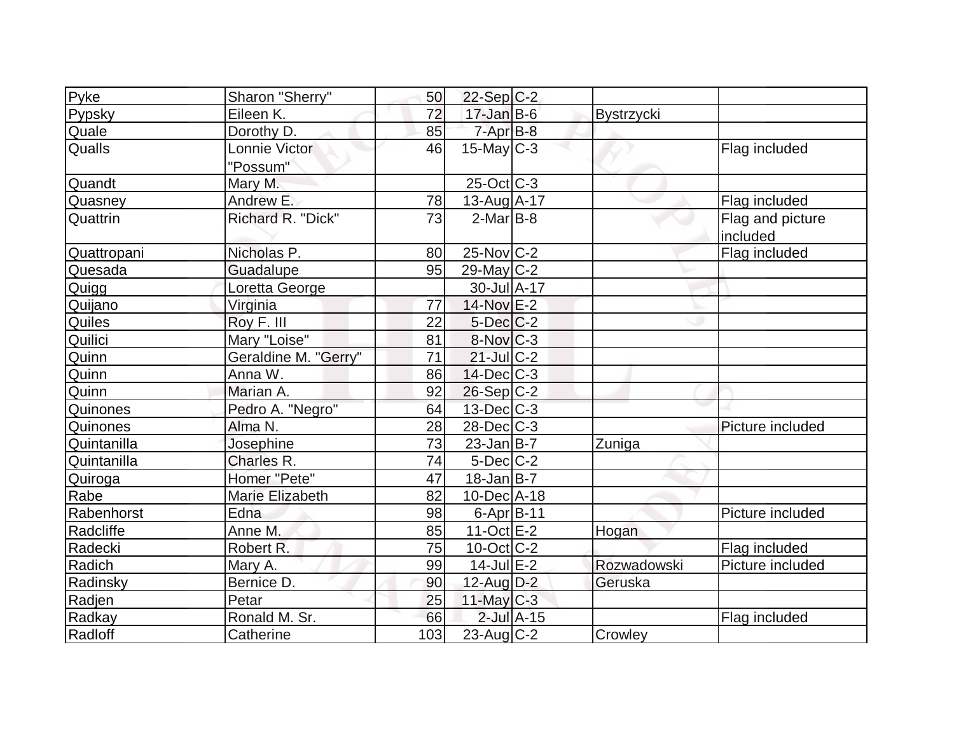| Pyke            | Sharon "Sherry"      | 50  | $22-Sep$ C-2           |                 |                   |                  |
|-----------------|----------------------|-----|------------------------|-----------------|-------------------|------------------|
| Pypsky          | Eileen K.            | 72  | $17$ -Jan $B$ -6       |                 | <b>Bystrzycki</b> |                  |
| Quale           | Dorothy D.           | 85  | $7 - Apr$ $B-8$        |                 |                   |                  |
| <b>Qualls</b>   | Lonnie Victor        | 46  | $15$ -May C-3          |                 |                   | Flag included    |
|                 | "Possum"             |     |                        |                 |                   |                  |
| Quandt          | Mary M.              |     | $25$ -Oct $ C-3 $      |                 |                   |                  |
| Quasney         | Andrew E.            | 78  | 13-Aug A-17            |                 |                   | Flag included    |
| Quattrin        | Richard R. "Dick"    | 73  | $2$ -Mar $ B-8 $       |                 |                   | Flag and picture |
|                 |                      |     |                        |                 |                   | included         |
| Quattropani     | Nicholas P.          | 80  | 25-Nov C-2             |                 |                   | Flag included    |
| Quesada         | Guadalupe            | 95  | $29$ -May C-2          |                 |                   |                  |
| Quigg           | Loretta George       |     | 30-Jul A-17            |                 |                   |                  |
| Quijano         | Virginia             | 77  | 14-Nov E-2             |                 |                   |                  |
| Quiles          | Roy F. III           | 22  | $5$ -Dec $C$ -2        |                 |                   |                  |
| Quilici         | Mary "Loise"         | 81  | $8-Nov$ <sub>C-3</sub> |                 |                   |                  |
| Quinn           | Geraldine M. "Gerry" | 71  | $21$ -JulC-2           |                 |                   |                  |
| Quinn           | Anna W.              | 86  | $14$ -Dec $C-3$        |                 |                   |                  |
| Quinn           | Marian A.            | 92  | 26-Sep C-2             |                 |                   |                  |
| <b>Quinones</b> | Pedro A. "Negro"     | 64  | $13$ -Dec $C-3$        |                 |                   |                  |
| Quinones        | Alma N.              | 28  | $28$ -Dec $C-3$        |                 |                   | Picture included |
| Quintanilla     | Josephine            | 73  | $23$ -Jan B-7          |                 | Zuniga            |                  |
| Quintanilla     | Charles R.           | 74  | $5$ -Dec $C$ -2        |                 |                   |                  |
| Quiroga         | Homer "Pete"         | 47  | $18$ -Jan B-7          |                 |                   |                  |
| Rabe            | Marie Elizabeth      | 82  | $10$ -Dec $ A-18$      |                 |                   |                  |
| Rabenhorst      | Edna                 | 98  | $6 - Apr$ $B-11$       |                 |                   | Picture included |
| Radcliffe       | Anne M.              | 85  | $11-Oct$ $E-2$         |                 | Hogan             |                  |
| Radecki         | Robert R.            | 75  | $10$ -Oct $C-2$        |                 |                   | Flag included    |
| Radich          | Mary A.              | 99  | $14$ -Jul E-2          |                 | Rozwadowski       | Picture included |
| Radinsky        | Bernice D.           | 90  | $12$ -Aug $D-2$        |                 | Geruska           |                  |
| Radjen          | Petar                | 25  | $11$ -May C-3          |                 |                   |                  |
| Radkay          | Ronald M. Sr.        | 66  |                        | $2$ -Jul $A-15$ |                   | Flag included    |
| Radloff         | Catherine            | 103 | $23$ -Aug C-2          |                 | Crowley           |                  |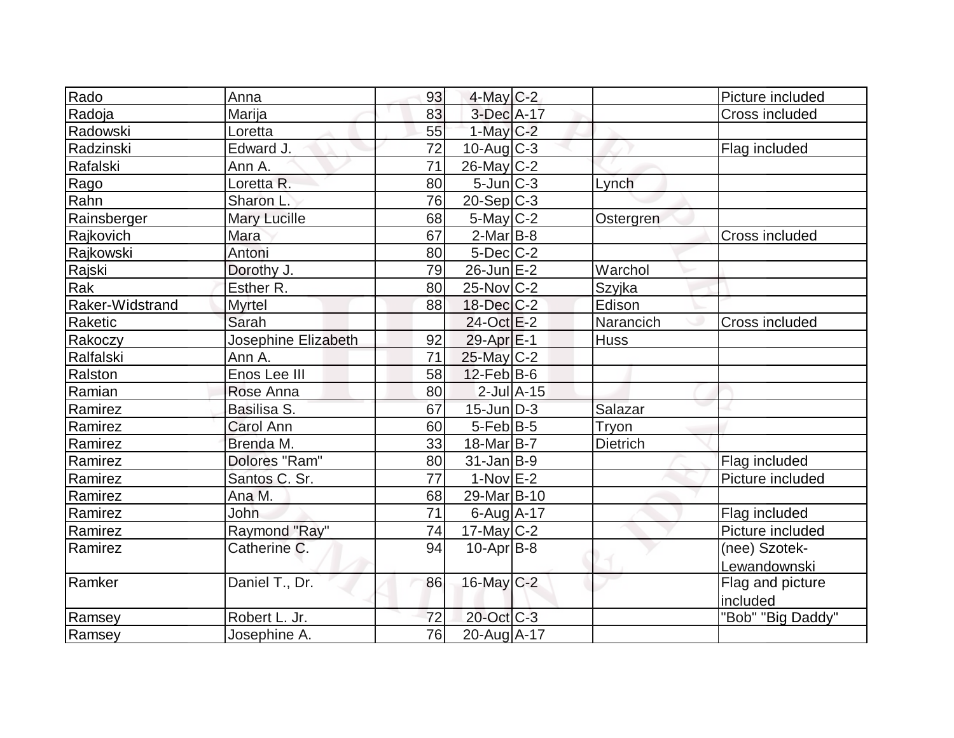| Rado            | Anna                | 93              | $4$ -May C-2      |                 | Picture included  |
|-----------------|---------------------|-----------------|-------------------|-----------------|-------------------|
| Radoja          | Marija              | 83              | 3-Dec A-17        |                 | Cross included    |
| Radowski        | Loretta             | 55              | $1$ -May $C-2$    |                 |                   |
| Radzinski       | Edward J.           | 72              | $10$ -Aug $C-3$   |                 | Flag included     |
| Rafalski        | Ann A.              | 71              | $26$ -May C-2     |                 |                   |
| Rago            | Loretta R.          | 80              | $5$ -Jun $C-3$    | Lynch           |                   |
| Rahn            | Sharon L            | 76              | $20-Sep C-3$      |                 |                   |
| Rainsberger     | <b>Mary Lucille</b> | 68              | $5$ -May $C-2$    | Ostergren       |                   |
| Rajkovich       | Mara                | 67              | $2-MarB-8$        |                 | Cross included    |
| Rajkowski       | Antoni              | 80              | $5$ -Dec $C$ -2   |                 |                   |
| Rajski          | Dorothy J.          | 79              | $26$ -Jun $E-2$   | Warchol         |                   |
| Rak             | Esther R.           | 80              | $25$ -Nov $ C-2 $ | Szyjka          |                   |
| Raker-Widstrand | <b>Myrtel</b>       | 88              | 18-Dec C-2        | Edison          |                   |
| Raketic         | Sarah               |                 | 24-Oct E-2        | Narancich       | Cross included    |
| Rakoczy         | Josephine Elizabeth | 92              | 29-Apr E-1        | <b>Huss</b>     |                   |
| Ralfalski       | Ann A.              | 71              | 25-May C-2        |                 |                   |
| Ralston         | Enos Lee III        | 58              | $12$ -Feb $ B-6 $ |                 |                   |
| Ramian          | Rose Anna           | 80              | $2$ -Jul $A-15$   |                 |                   |
| Ramirez         | Basilisa S.         | 67              | $15$ -Jun $D-3$   | Salazar         |                   |
| Ramirez         | Carol Ann           | 60              | $5$ -Feb $ B-5 $  | Tryon           |                   |
| Ramirez         | Brenda M.           | 33              | 18-Mar B-7        | <b>Dietrich</b> |                   |
| Ramirez         | Dolores "Ram"       | 80              | $31$ -Jan B-9     |                 | Flag included     |
| Ramirez         | Santos C. Sr.       | 77              | $1-Nov$ E-2       |                 | Picture included  |
| Ramirez         | Ana M.              | 68              | 29-Mar B-10       |                 |                   |
| Ramirez         | <b>John</b>         | $\overline{71}$ | $6$ -Aug $A$ -17  |                 | Flag included     |
| Ramirez         | Raymond "Ray"       | 74              | $17$ -May C-2     |                 | Picture included  |
| Ramirez         | Catherine C.        | 94              | $10$ -Apr $ B-8 $ |                 | (nee) Szotek-     |
|                 |                     |                 |                   |                 | Lewandownski      |
| Ramker          | Daniel T., Dr.      | 86              | 16-May C-2        |                 | Flag and picture  |
|                 |                     |                 |                   |                 | included          |
| Ramsey          | Robert L. Jr.       | 72              | 20-Oct C-3        |                 | "Bob" "Big Daddy" |
| Ramsey          | Josephine A.        | 76              | 20-Aug A-17       |                 |                   |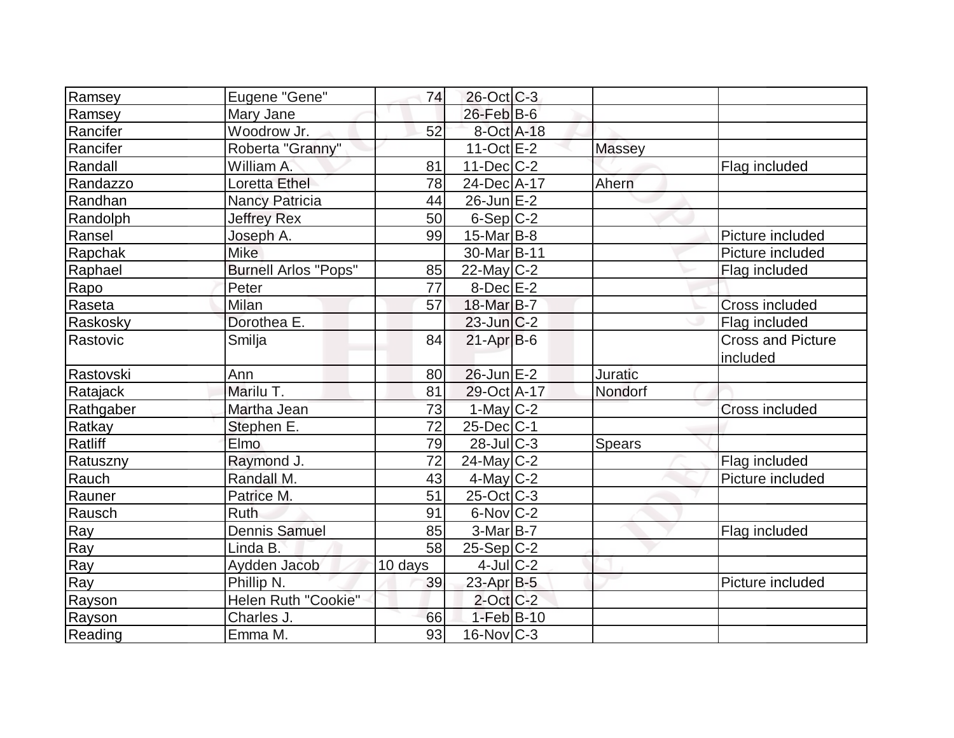| Ramsey    | Eugene "Gene"               | 74      | 26-Oct C-3              |               |                                      |
|-----------|-----------------------------|---------|-------------------------|---------------|--------------------------------------|
| Ramsey    | Mary Jane                   |         | $26$ -Feb $B$ -6        |               |                                      |
| Rancifer  | Woodrow Jr.                 | 52      | 8-Oct A-18              |               |                                      |
| Rancifer  | Roberta "Granny"            |         | $11-Oct$ <sub>E-2</sub> | <b>Massey</b> |                                      |
| Randall   | William A.                  | 81      | $11$ -Dec $ C-2 $       |               | Flag included                        |
| Randazzo  | Loretta Ethel               | 78      | 24-Dec A-17             | Ahern         |                                      |
| Randhan   | <b>Nancy Patricia</b>       | 44      | $26$ -Jun $E-2$         |               |                                      |
| Randolph  | <b>Jeffrey Rex</b>          | 50      | $6-Sep C-2$             |               |                                      |
| Ransel    | Joseph A.                   | 99      | $15$ -Mar $ B-8 $       |               | Picture included                     |
| Rapchak   | <b>Mike</b>                 |         | 30-Mar B-11             |               | Picture included                     |
| Raphael   | <b>Burnell Arlos "Pops"</b> | 85      | $22$ -May C-2           |               | Flag included                        |
| Rapo      | Peter                       | 77      | $8$ -Dec $E-2$          |               |                                      |
| Raseta    | Milan                       | 57      | 18-Mar B-7              |               | Cross included                       |
| Raskosky  | Dorothea E.                 |         | $23$ -Jun $C-2$         |               | Flag included                        |
| Rastovic  | Smilja                      | 84      | $21-Apr B-6$            |               | <b>Cross and Picture</b><br>included |
| Rastovski | Ann                         | 80      | $26$ -Jun $E-2$         | Juratic       |                                      |
| Ratajack  | Marilu T.                   | 81      | 29-Oct A-17             | Nondorf       |                                      |
| Rathgaber | Martha Jean                 | 73      | $1$ -May $C-2$          |               | <b>Cross included</b>                |
| Ratkay    | Stephen E.                  | 72      | $25$ -Dec $ C-1$        |               |                                      |
| Ratliff   | Elmo                        | 79      | $28$ -Jul $C-3$         | Spears        |                                      |
| Ratuszny  | Raymond J.                  | 72      | $24$ -May C-2           |               | Flag included                        |
| Rauch     | Randall M.                  | 43      | $4$ -May C-2            |               | Picture included                     |
| Rauner    | Patrice M.                  | 51      | $25$ -Oct $ C-3 $       |               |                                      |
| Rausch    | Ruth                        | 91      | $6$ -Nov $ C-2 $        |               |                                      |
| Ray       | <b>Dennis Samuel</b>        | 85      | $3-Mar$ B-7             |               | Flag included                        |
| Ray       | Linda B.                    | 58      | $25-Sep C-2$            |               |                                      |
| Ray       | Aydden Jacob                | 10 days | $4$ -Jul $C-2$          |               |                                      |
| Ray       | Phillip N.                  | 39      | 23-Apr B-5              |               | Picture included                     |
| Rayson    | Helen Ruth "Cookie"         |         | $2$ -Oct C-2            |               |                                      |
| Rayson    | Charles J.                  | 66      | $1-Feb$ B-10            |               |                                      |
| Reading   | Emma M.                     | 93      | $16$ -Nov $ C-3 $       |               |                                      |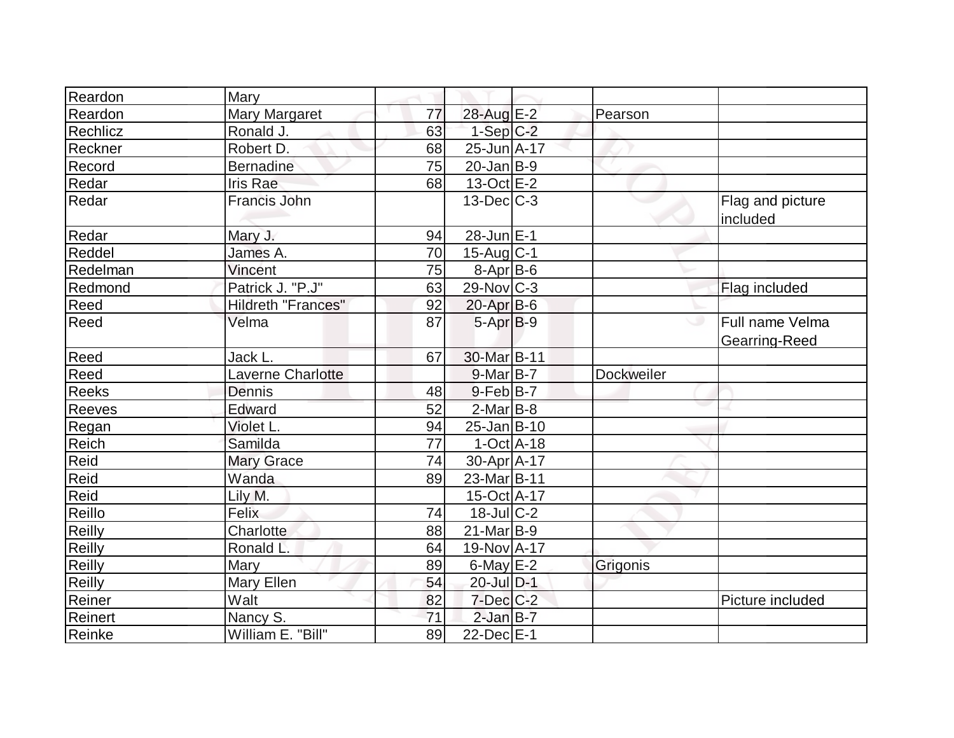| Reardon       | Mary                      |    |                    |                   |                                  |
|---------------|---------------------------|----|--------------------|-------------------|----------------------------------|
| Reardon       | Mary Margaret             | 77 | 28-Aug E-2         | Pearson           |                                  |
| Rechlicz      | Ronald J.                 | 63 | $1-Sep$ $C-2$      |                   |                                  |
| Reckner       | Robert D.                 | 68 | 25-Jun A-17        |                   |                                  |
| Record        | <b>Bernadine</b>          | 75 | $20$ -Jan B-9      |                   |                                  |
| Redar         | <b>Iris Rae</b>           | 68 | $13-Oct$ $E-2$     |                   |                                  |
| Redar         | <b>Francis John</b>       |    | $13$ -Dec $C-3$    |                   | Flag and picture<br>included     |
| Redar         | Mary J.                   | 94 | 28-Jun E-1         |                   |                                  |
| Reddel        | James A.                  | 70 | $15$ -Aug C-1      |                   |                                  |
| Redelman      | Vincent                   | 75 | $8-Apr$ B-6        |                   |                                  |
| Redmond       | Patrick J. "P.J"          | 63 | $29$ -Nov $ C-3 $  |                   | Flag included                    |
| Reed          | <b>Hildreth "Frances"</b> | 92 | $20$ -Apr $B$ -6   |                   |                                  |
| Reed          | Velma                     | 87 | $5-Apr B-9$        |                   | Full name Velma<br>Gearring-Reed |
| Reed          | Jack L.                   | 67 | 30-Mar B-11        |                   |                                  |
| Reed          | Laverne Charlotte         |    | $9$ -Mar $B$ -7    | <b>Dockweiler</b> |                                  |
| <b>Reeks</b>  | Dennis                    | 48 | $9$ -Feb $ B-7 $   |                   |                                  |
| Reeves        | Edward                    | 52 | 2-Mar B-8          |                   |                                  |
| Regan         | Violet L.                 | 94 | $25$ -Jan $B$ -10  |                   |                                  |
| Reich         | Samilda                   | 77 | $1-Oct$ A-18       |                   |                                  |
| Reid          | <b>Mary Grace</b>         | 74 | 30-Apr A-17        |                   |                                  |
| Reid          | Wanda                     | 89 | $23$ -Mar $ B-11 $ |                   |                                  |
| Reid          | Lily M.                   |    | 15-Oct A-17        |                   |                                  |
| Reillo        | Felix                     | 74 | $18$ -JulC-2       |                   |                                  |
| Reilly        | Charlotte                 | 88 | $21$ -Mar $ B-9 $  |                   |                                  |
| Reilly        | Ronald L.                 | 64 | 19-Nov A-17        |                   |                                  |
| <b>Reilly</b> | Mary                      | 89 | $6$ -May $E-2$     | Grigonis          |                                  |
| Reilly        | Mary Ellen                | 54 | 20-Jul D-1         |                   |                                  |
| Reiner        | Walt                      | 82 | $7$ -Dec $C$ -2    |                   | Picture included                 |
| Reinert       | Nancy S.                  | 71 | $2$ -Jan B-7       |                   |                                  |
| Reinke        | William E. "Bill"         | 89 | $22$ -Dec $E-1$    |                   |                                  |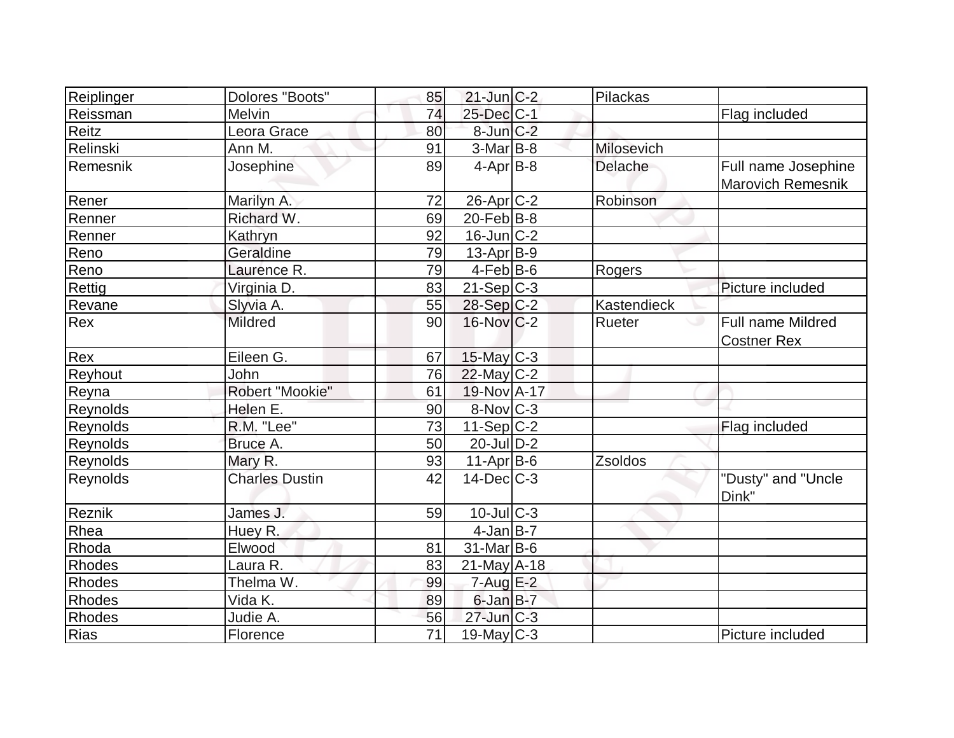| Reiplinger    | Dolores "Boots"       | 85              | $21$ -Jun $C-2$   | Pilackas    |                                                |
|---------------|-----------------------|-----------------|-------------------|-------------|------------------------------------------------|
| Reissman      | Melvin                | 74              | 25-Dec C-1        |             | Flag included                                  |
| Reitz         | Leora Grace           | 80              | $8$ -Jun $C-2$    |             |                                                |
| Relinski      | Ann M.                | 91              | $3-Mar$ B-8       | Milosevich  |                                                |
| Remesnik      | Josephine             | 89              | $4-Apr$ B-8       | Delache     | Full name Josephine<br>Marovich Remesnik       |
| Rener         | Marilyn A.            | 72              | 26-Apr C-2        | Robinson    |                                                |
| Renner        | Richard W.            | 69              | $20$ -Feb $B-8$   |             |                                                |
| Renner        | Kathryn               | 92              | $16$ -Jun $C-2$   |             |                                                |
| Reno          | Geraldine             | 79              | $13$ -Apr $ B-9 $ |             |                                                |
| Reno          | Laurence R.           | 79              | $4$ -Feb $ B-6$   | Rogers      |                                                |
| Rettig        | Virginia D.           | 83              | $21-Sep C-3$      |             | Picture included                               |
| Revane        | Slyvia A.             | 55              | 28-Sep C-2        | Kastendieck |                                                |
| Rex           | <b>Mildred</b>        | 90              | $16$ -Nov $ C-2 $ | Rueter      | <b>Full name Mildred</b><br><b>Costner Rex</b> |
| Rex           | Eileen G.             | 67              | 15-May C-3        |             |                                                |
| Reyhout       | John                  | 76              | $22$ -May C-2     |             |                                                |
| Reyna         | Robert "Mookie"       | 61              | 19-Nov A-17       |             |                                                |
| Reynolds      | Helen E.              | 90              | 8-Nov C-3         |             |                                                |
| Reynolds      | R.M. "Lee"            | 73              | $11-Sep C-2$      |             | Flag included                                  |
| Reynolds      | Bruce A.              | 50              | $20$ -JulD-2      |             |                                                |
| Reynolds      | Mary R.               | 93              | $11-Apr B-6$      | Zsoldos     |                                                |
| Reynolds      | <b>Charles Dustin</b> | 42              | $14$ -Dec $C-3$   |             | "Dusty" and "Uncle<br>Dink"                    |
| Reznik        | James J.              | 59              | $10$ -Jul $ C-3 $ |             |                                                |
| Rhea          | Huey R.               |                 | $4-Jan$ B-7       |             |                                                |
| Rhoda         | Elwood                | 81              | $31$ -Mar $ B-6$  |             |                                                |
| <b>Rhodes</b> | Laura R.              | 83              | $21$ -May A-18    |             |                                                |
| Rhodes        | Thelma W.             | 99              | $7 - Aug$ $E-2$   |             |                                                |
| <b>Rhodes</b> | Vida K.               | 89              | 6-Jan B-7         |             |                                                |
| Rhodes        | Judie A.              | 56              | $27$ -Jun $C-3$   |             |                                                |
| Rias          | Florence              | $\overline{71}$ | 19-May $C-3$      |             | Picture included                               |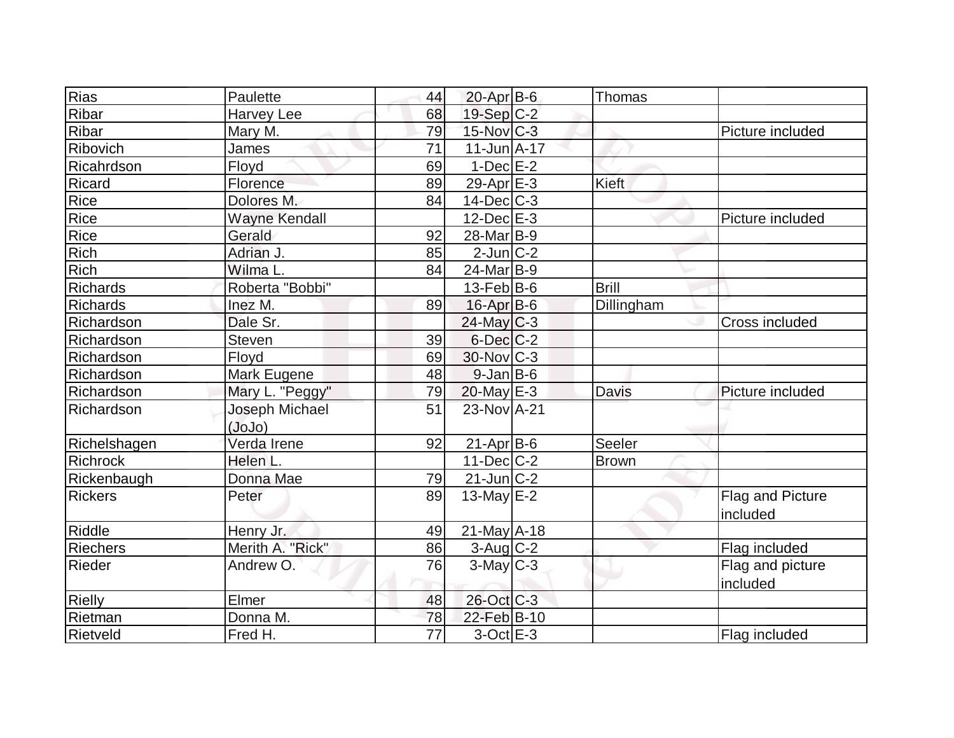| Rias            | Paulette             | 44              | $20$ -Apr $B$ -6    | <b>Thomas</b> |                  |
|-----------------|----------------------|-----------------|---------------------|---------------|------------------|
| Ribar           | <b>Harvey Lee</b>    | 68              | 19-Sep C-2          |               |                  |
| Ribar           | Mary M.              | 79              | 15-Nov C-3          |               | Picture included |
| Ribovich        | James                | 71              | $11 - Jun  A - 17 $ |               |                  |
| Ricahrdson      | Floyd                | 69              | $1-Dec$ $E-2$       |               |                  |
| Ricard          | Florence             | 89              | 29-Apr $E-3$        | Kieft         |                  |
| Rice            | Dolores M.           | 84              | $14$ -Dec $ C-3 $   |               |                  |
| Rice            | <b>Wayne Kendall</b> |                 | $12$ -Dec $E-3$     |               | Picture included |
| Rice            | Gerald               | 92              | 28-Mar B-9          |               |                  |
| Rich            | Adrian J.            | 85              | $2$ -Jun $ C-2 $    |               |                  |
| Rich            | Wilma L.             | 84              | 24-Mar B-9          |               |                  |
| <b>Richards</b> | Roberta "Bobbi"      |                 | $13$ -Feb $ B$ -6   | <b>Brill</b>  |                  |
| <b>Richards</b> | Inez M.              | 89              | $16$ -Apr $B$ -6    | Dillingham    |                  |
| Richardson      | Dale Sr.             |                 | $24$ -May C-3       |               | Cross included   |
| Richardson      | <b>Steven</b>        | 39              | $6$ -Dec $C$ -2     |               |                  |
| Richardson      | Floyd                | 69              | 30-Nov C-3          |               |                  |
| Richardson      | Mark Eugene          | 48              | $9$ -Jan B-6        |               |                  |
| Richardson      | Mary L. "Peggy"      | 79              | $20$ -May $E-3$     | <b>Davis</b>  | Picture included |
| Richardson      | Joseph Michael       | 51              | 23-Nov A-21         |               |                  |
|                 | (JoJo)               |                 |                     |               |                  |
| Richelshagen    | Verda Irene          | 92              | $21-Apr$ B-6        | Seeler        |                  |
| <b>Richrock</b> | Helen L.             |                 | $11 - Dec$ $C-2$    | <b>Brown</b>  |                  |
| Rickenbaugh     | Donna Mae            | 79              | $21$ -Jun $C-2$     |               |                  |
| <b>Rickers</b>  | Peter                | 89              | $13$ -May E-2       |               | Flag and Picture |
|                 |                      |                 |                     |               | included         |
| Riddle          | Henry Jr.            | 49              | $21$ -May $A-18$    |               |                  |
| <b>Riechers</b> | Merith A. "Rick"     | 86              | $3$ -Aug $C-2$      |               | Flag included    |
| Rieder          | Andrew O.            | 76              | $3$ -May $C-3$      |               | Flag and picture |
|                 |                      |                 |                     |               | included         |
| Rielly          | Elmer                | 48              | 26-Oct C-3          |               |                  |
| Rietman         | Donna M.             | 78              | 22-Feb B-10         |               |                  |
| Rietveld        | Fred H.              | $\overline{77}$ | $3-Oct$ $E-3$       |               | Flag included    |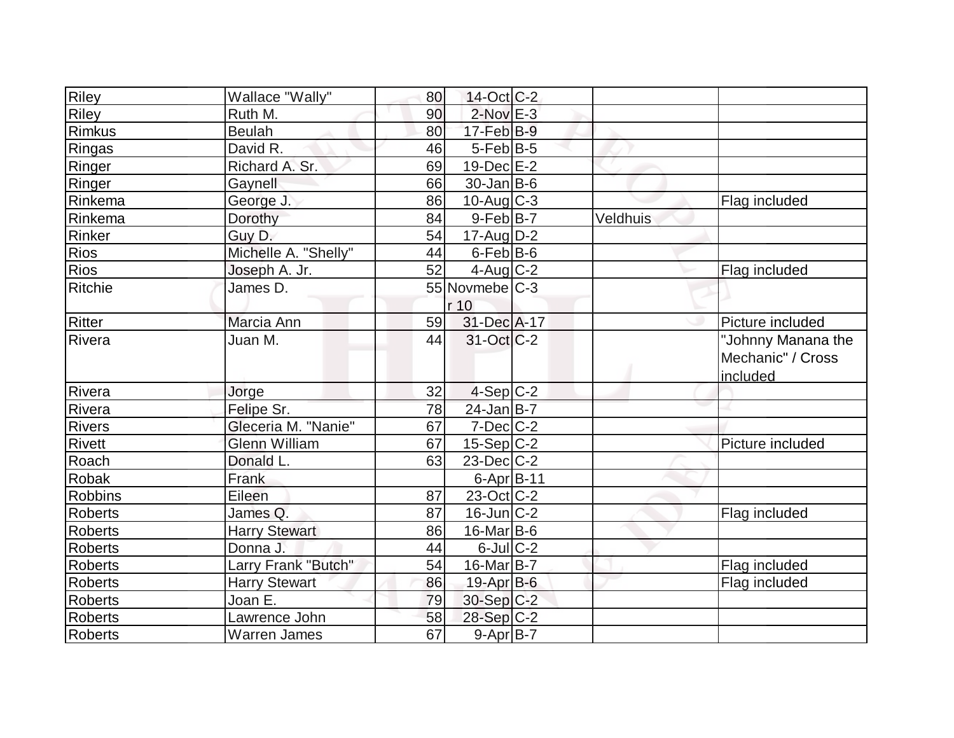| <b>Riley</b>   | Wallace "Wally"      | 80 | $14$ -Oct $ C-2 $          |          |                                                     |
|----------------|----------------------|----|----------------------------|----------|-----------------------------------------------------|
| <b>Riley</b>   | Ruth M.              | 90 | $2$ -Nov $E-3$             |          |                                                     |
| Rimkus         | <b>Beulah</b>        | 80 | $17-Feb B-9$               |          |                                                     |
| Ringas         | David R.             | 46 | $5$ -Feb $ B-5 $           |          |                                                     |
| Ringer         | Richard A. Sr.       | 69 | $19$ -Dec $E-2$            |          |                                                     |
| Ringer         | Gaynell              | 66 | $30$ -Jan B-6              |          |                                                     |
| Rinkema        | George J.            | 86 | $10$ -Aug $C-3$            |          | Flag included                                       |
| Rinkema        | Dorothy              | 84 | $9$ -Feb $ B-7 $           | Veldhuis |                                                     |
| Rinker         | Guy D.               | 54 | $17$ -Aug $ D-2 $          |          |                                                     |
| Rios           | Michelle A. "Shelly" | 44 | $6$ -Feb $ B$ -6           |          |                                                     |
| Rios           | Joseph A. Jr.        | 52 | $4$ -Aug C-2               |          | Flag included                                       |
| Ritchie        | James D.             |    | 55 Novmebe <sub>IC-3</sub> |          |                                                     |
|                |                      |    | r 10                       |          |                                                     |
| <b>Ritter</b>  | Marcia Ann           | 59 | 31-Dec A-17                |          | Picture included                                    |
| Rivera         | Juan M.              | 44 | $31-Oct$ $C-2$             |          | "Johnny Manana the<br>Mechanic" / Cross<br>included |
| Rivera         | Jorge                | 32 | $4-Sep C-2$                |          |                                                     |
| Rivera         | Felipe Sr.           | 78 | $24$ -Jan B-7              |          |                                                     |
| <b>Rivers</b>  | Gleceria M. "Nanie"  | 67 | $7$ -Dec $ C-2 $           |          |                                                     |
| <b>Rivett</b>  | <b>Glenn William</b> | 67 | $15-Sep C-2$               |          | Picture included                                    |
| Roach          | Donald L.            | 63 | $23$ -Dec $ C-2 $          |          |                                                     |
| Robak          | Frank                |    | $6$ -Apr $B$ -11           |          |                                                     |
| <b>Robbins</b> | Eileen               | 87 | $23-Oct$ <sub>C</sub> -2   |          |                                                     |
| <b>Roberts</b> | James Q.             | 87 | $16$ -Jun $ C-2 $          |          | Flag included                                       |
| <b>Roberts</b> | <b>Harry Stewart</b> | 86 | $16$ -Mar $ B-6 $          |          |                                                     |
| <b>Roberts</b> | Donna J.             | 44 | $6$ -Jul $C-2$             |          |                                                     |
| <b>Roberts</b> | Larry Frank "Butch"  | 54 | $16$ -Mar $ B-7 $          |          | Flag included                                       |
| <b>Roberts</b> | <b>Harry Stewart</b> | 86 | 19-Apr B-6                 |          | Flag included                                       |
| <b>Roberts</b> | Joan E.              | 79 | $30-Sep C-2$               |          |                                                     |
| <b>Roberts</b> | Lawrence John        | 58 | $28-Sep C-2$               |          |                                                     |
| Roberts        | <b>Warren James</b>  | 67 | $9-Apr$ B-7                |          |                                                     |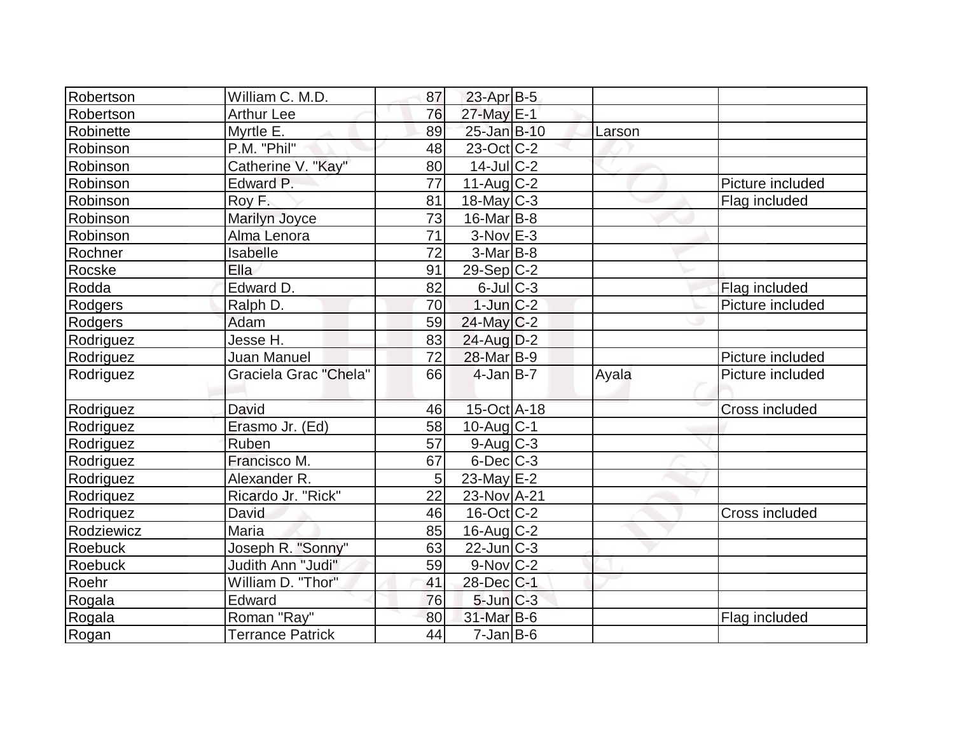| Robertson        | William C. M.D.       | 87 | $23$ -Apr $B-5$         |        |                  |
|------------------|-----------------------|----|-------------------------|--------|------------------|
| Robertson        | <b>Arthur Lee</b>     | 76 | 27-May E-1              |        |                  |
| Robinette        | Myrtle E.             | 89 | 25-Jan B-10             | Larson |                  |
| Robinson         | P.M. "Phil"           | 48 | 23-Oct C-2              |        |                  |
| Robinson         | Catherine V. "Kay"    | 80 | $14$ -JulC-2            |        |                  |
| Robinson         | Edward P.             | 77 | $11-Auq$ <sub>C-2</sub> |        | Picture included |
| Robinson         | Roy F.                | 81 | $18$ -May C-3           |        | Flag included    |
| Robinson         | Marilyn Joyce         | 73 | $16$ -Mar $ B-8 $       |        |                  |
| Robinson         | Alma Lenora           | 71 | $3-Nov$ $E-3$           |        |                  |
| Rochner          | Isabelle              | 72 | $3-Mar$ B-8             |        |                  |
| Rocske           | Ella                  | 91 | 29-Sep C-2              |        |                  |
| Rodda            | Edward D.             | 82 | $6$ -Jul $C$ -3         |        | Flag included    |
| Rodgers          | Ralph D.              | 70 | $1$ -Jun $C-2$          |        | Picture included |
| Rodgers          | Adam                  | 59 | $24$ -May C-2           |        |                  |
| Rodriguez        | Jesse H.              | 83 | $24$ -Aug $D-2$         |        |                  |
| Rodriguez        | Juan Manuel           | 72 | 28-Mar B-9              |        | Picture included |
|                  |                       |    |                         |        |                  |
| Rodriguez        | Graciela Grac "Chela" | 66 | $4$ -Jan B-7            | Ayala  | Picture included |
| Rodriguez        | David                 | 46 | 15-Oct A-18             |        | Cross included   |
| Rodriguez        | Erasmo Jr. (Ed)       | 58 | $10$ -Aug $C-1$         |        |                  |
| Rodriguez        | Ruben                 | 57 | $9$ -Aug $C$ -3         |        |                  |
| Rodriguez        | Francisco M.          | 67 | $6$ -Dec $C-3$          |        |                  |
| Rodriguez        | Alexander R.          | 5  | $23$ -May $E-2$         |        |                  |
| Rodriquez        | Ricardo Jr. "Rick"    | 22 | 23-Nov A-21             |        |                  |
| <b>Rodriquez</b> | David                 | 46 | $16$ -Oct $ C-2 $       |        | Cross included   |
| Rodziewicz       | Maria                 | 85 | $16$ -Aug $C-2$         |        |                  |
| Roebuck          | Joseph R. "Sonny"     | 63 | $22$ -Jun $C-3$         |        |                  |
| Roebuck          | Judith Ann "Judi"     | 59 | $9-Nov$ <sub>C-2</sub>  |        |                  |
| Roehr            | William D. "Thor"     | 41 | 28-Dec C-1              |        |                  |
| Rogala           | Edward                | 76 | $5$ -Jun $C-3$          |        |                  |
| Rogala           | Roman "Ray"           | 80 | 31-Mar B-6              |        | Flag included    |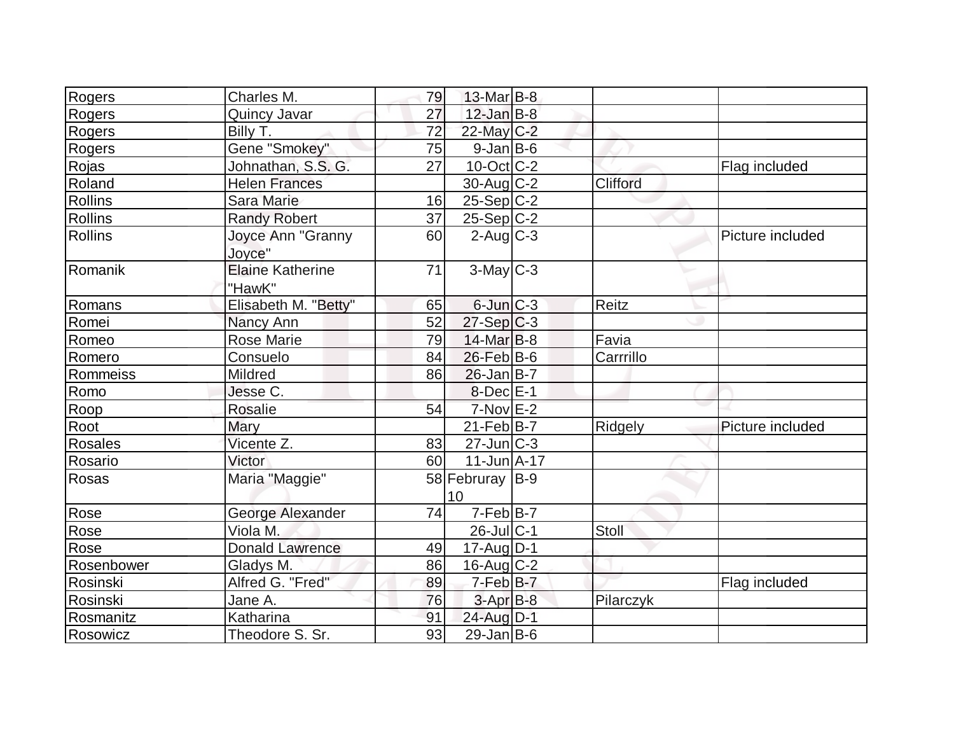| Rogers         | Charles M.              | 79 | $13$ -Mar $B$ -8            |              |                  |
|----------------|-------------------------|----|-----------------------------|--------------|------------------|
| Rogers         | Quincy Javar            | 27 | $12$ -Jan $B-8$             |              |                  |
| Rogers         | Billy T.                | 72 | 22-May C-2                  |              |                  |
| Rogers         | Gene "Smokey"           | 75 | $9$ -Jan B-6                |              |                  |
| Rojas          | Johnathan, S.S. G.      | 27 | $10$ -Oct $ C-2 $           |              | Flag included    |
| Roland         | <b>Helen Frances</b>    |    | $30$ -Aug $C-2$             | Clifford     |                  |
| <b>Rollins</b> | <b>Sara Marie</b>       | 16 | $25-Sep C-2$                |              |                  |
| <b>Rollins</b> | <b>Randy Robert</b>     | 37 | $25-Sep C-2$                |              |                  |
| <b>Rollins</b> | Joyce Ann "Granny       | 60 | $2$ -Aug $C - 3$            |              | Picture included |
|                | Joyce"                  |    |                             |              |                  |
| Romanik        | <b>Elaine Katherine</b> | 71 | $3-May$ $C-3$               |              |                  |
|                | "HawK"                  |    |                             |              |                  |
| Romans         | Elisabeth M. "Betty"    | 65 | $6$ -Jun $C-3$              | <b>Reitz</b> |                  |
| Romei          | Nancy Ann               | 52 | $27-Sep C-3$                |              |                  |
| Romeo          | <b>Rose Marie</b>       | 79 | $14$ -Mar $B-8$             | Favia        |                  |
| Romero         | Consuelo                | 84 | $26$ -Feb $ B-6$            | Carrrillo    |                  |
| Rommeiss       | Mildred                 | 86 | $26$ -Jan B-7               |              |                  |
| Romo           | Jesse C.                |    | $8$ -Dec $E-1$              |              |                  |
| Roop           | Rosalie                 | 54 | $7-Nov$ $E-2$               |              |                  |
| Root           | <b>Mary</b>             |    | $21-Feb B-7$                | Ridgely      | Picture included |
| <b>Rosales</b> | Vicente Z.              | 83 | $27$ -Jun $\overline{C}$ -3 |              |                  |
| Rosario        | Victor                  | 60 | $11$ -Jun $A$ -17           |              |                  |
| Rosas          | Maria "Maggie"          |    | 58 Februray B-9             |              |                  |
|                |                         |    | 10                          |              |                  |
| Rose           | George Alexander        | 74 | $7-Feb$ B-7                 |              |                  |
| Rose           | Viola M.                |    | $26$ -JulC-1                | Stoll        |                  |
| Rose           | <b>Donald Lawrence</b>  | 49 | $17$ -Aug $D-1$             |              |                  |
| Rosenbower     | Gladys M.               | 86 | $16$ -Aug C-2               |              |                  |
| Rosinski       | Alfred G. "Fred"        | 89 | 7-Feb B-7                   |              | Flag included    |
| Rosinski       | Jane A.                 | 76 | $3-AprB-8$                  | Pilarczyk    |                  |
| Rosmanitz      | Katharina               | 91 | 24-Aug D-1                  |              |                  |
| Rosowicz       | Theodore S. Sr.         | 93 | $29$ -Jan B-6               |              |                  |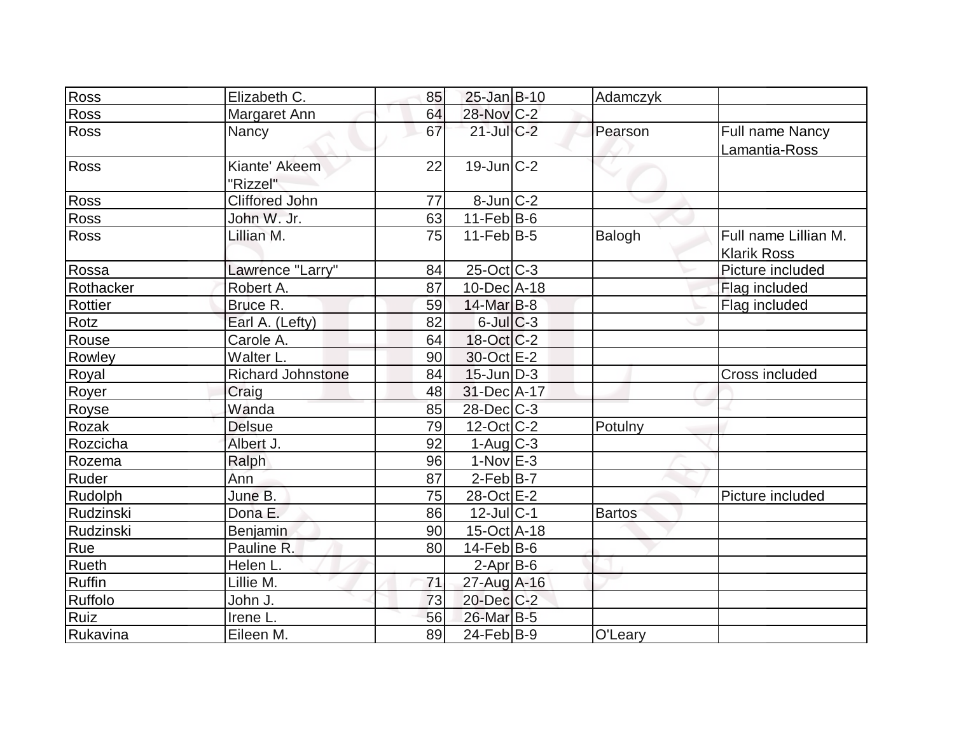| Ross          | Elizabeth C.              | 85 | $25$ -Jan B-10         | Adamczyk      |                                            |
|---------------|---------------------------|----|------------------------|---------------|--------------------------------------------|
| Ross          | Margaret Ann              | 64 | 28-Nov C-2             |               |                                            |
| Ross          | Nancy                     | 67 | $21$ -Jul $C-2$        | Pearson       | <b>Full name Nancy</b><br>Lamantia-Ross    |
| <b>Ross</b>   | Kiante' Akeem<br>"Rizzel" | 22 | $19$ -Jun $C-2$        |               |                                            |
| <b>Ross</b>   | <b>Cliffored John</b>     | 77 | $8$ -Jun $ C-2 $       |               |                                            |
| Ross          | John W. Jr.               | 63 | $11-Feb B-6$           |               |                                            |
| <b>Ross</b>   | Lillian M.                | 75 | $11$ -Feb $ B-5 $      | Balogh        | Full name Lillian M.<br><b>Klarik Ross</b> |
| Rossa         | Lawrence "Larry"          | 84 | $25$ -Oct C-3          |               | Picture included                           |
| Rothacker     | Robert A.                 | 87 | 10-Dec A-18            |               | Flag included                              |
| Rottier       | Bruce R.                  | 59 | 14-Mar B-8             |               | Flag included                              |
| Rotz          | Earl A. (Lefty)           | 82 | $6$ -Jul $C$ -3        |               |                                            |
| Rouse         | Carole A.                 | 64 | $18-Oct$ $C-2$         |               |                                            |
| Rowley        | Walter L.                 | 90 | 30-Oct E-2             |               |                                            |
| Royal         | <b>Richard Johnstone</b>  | 84 | $15$ -Jun $D-3$        |               | <b>Cross included</b>                      |
| Royer         | Craig                     | 48 | 31-Dec A-17            |               |                                            |
| Royse         | Wanda                     | 85 | 28-Dec C-3             |               |                                            |
| Rozak         | <b>Delsue</b>             | 79 | $12$ -Oct C-2          | Potulny       |                                            |
| Rozcicha      | Albert J.                 | 92 | $1-Aug$ <sub>C-3</sub> |               |                                            |
| Rozema        | Ralph                     | 96 | $1-Nov$ E-3            |               |                                            |
| Ruder         | Ann                       | 87 | $2-Feb B-7$            |               |                                            |
| Rudolph       | June B.                   | 75 | 28-Oct E-2             |               | Picture included                           |
| Rudzinski     | Dona E.                   | 86 | $12$ -Jul $C-1$        | <b>Bartos</b> |                                            |
| Rudzinski     | Benjamin                  | 90 | 15-Oct A-18            |               |                                            |
| Rue           | Pauline R.                | 80 | $14$ -Feb $ B-6$       |               |                                            |
| <b>Rueth</b>  | Helen L.                  |    | $2-Apr$ B-6            |               |                                            |
| <b>Ruffin</b> | Lillie M.                 | 71 | 27-Aug A-16            |               |                                            |
| Ruffolo       | John J.                   | 73 | 20-Dec C-2             |               |                                            |
| Ruiz          | Irene L.                  | 56 | 26-Mar B-5             |               |                                            |
| Rukavina      | Eileen M.                 | 89 | $24$ -Feb $ B-9$       | O'Leary       |                                            |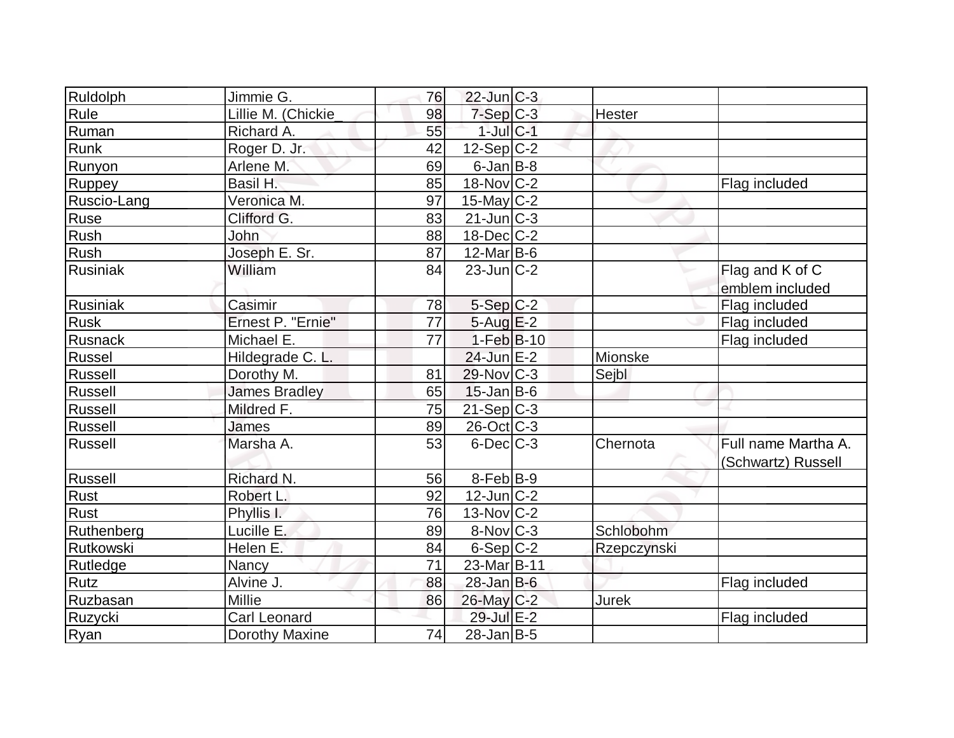| Ruldolph       | Jimmie G.            | 76 | $22$ -Jun $C-3$             |             |                     |
|----------------|----------------------|----|-----------------------------|-------------|---------------------|
| Rule           | Lillie M. (Chickie   | 98 | $7-Sep$ $C-3$               | Hester      |                     |
| Ruman          | Richard A.           | 55 | $1$ -Jul $ C-1 $            |             |                     |
| Runk           | Roger D. Jr.         | 42 | $12-Sep C-2$                |             |                     |
| Runyon         | Arlene M.            | 69 | $6$ -Jan $B$ -8             |             |                     |
| Ruppey         | Basil H.             | 85 | $18-Nov$ C-2                |             | Flag included       |
| Ruscio-Lang    | Veronica M.          | 97 | 15-May C-2                  |             |                     |
| Ruse           | Clifford G.          | 83 | $21$ -Jun $\overline{C}$ -3 |             |                     |
| Rush           | John                 | 88 | $18$ -Dec $ C-2 $           |             |                     |
| Rush           | Joseph E. Sr.        | 87 | $12$ -Mar B-6               |             |                     |
| Rusiniak       | William              | 84 | $23$ -Jun $ C-2 $           |             | Flag and K of C     |
|                |                      |    |                             |             | emblem included     |
| Rusiniak       | Casimir              | 78 | $5-Sep C-2$                 |             | Flag included       |
| <b>Rusk</b>    | Ernest P. "Ernie"    | 77 | $5-Aug$ $E-2$               |             | Flag included       |
| Rusnack        | Michael E.           | 77 | $1-Feb$ B-10                |             | Flag included       |
| Russel         | Hildegrade C. L.     |    | $24$ -Jun $E-2$             | Mionske     |                     |
| <b>Russell</b> | Dorothy M.           | 81 | $29$ -Nov $ C-3 $           | Sejbl       |                     |
| Russell        | <b>James Bradley</b> | 65 | $15$ -Jan B-6               |             |                     |
| Russell        | Mildred F.           | 75 | 21-Sep C-3                  |             |                     |
| Russell        | <b>James</b>         | 89 | $26$ -Oct $C$ -3            |             |                     |
| Russell        | Marsha A.            | 53 | $6$ -Dec $C-3$              | Chernota    | Full name Martha A. |
|                |                      |    |                             |             | (Schwartz) Russell  |
| Russell        | Richard N.           | 56 | $8-Feb B-9$                 |             |                     |
| Rust           | Robert L.            | 92 | $12$ -Jun $ C-2 $           |             |                     |
| Rust           | Phyllis I.           | 76 | $13-Nov$ C-2                |             |                     |
| Ruthenberg     | Lucille E.           | 89 | 8-Nov C-3                   | Schlobohm   |                     |
| Rutkowski      | Helen E.             | 84 | $6-Sep C-2$                 | Rzepczynski |                     |
| Rutledge       | Nancy                | 71 | 23-Mar <sub>B-11</sub>      |             |                     |
| Rutz           | Alvine J.            | 88 | $28$ -Jan B-6               |             | Flag included       |
| Ruzbasan       | <b>Millie</b>        | 86 | 26-May C-2                  | Jurek       |                     |
| Ruzycki        | <b>Carl Leonard</b>  |    | 29-Jul E-2                  |             | Flag included       |
| Ryan           | Dorothy Maxine       | 74 | $28$ -Jan B-5               |             |                     |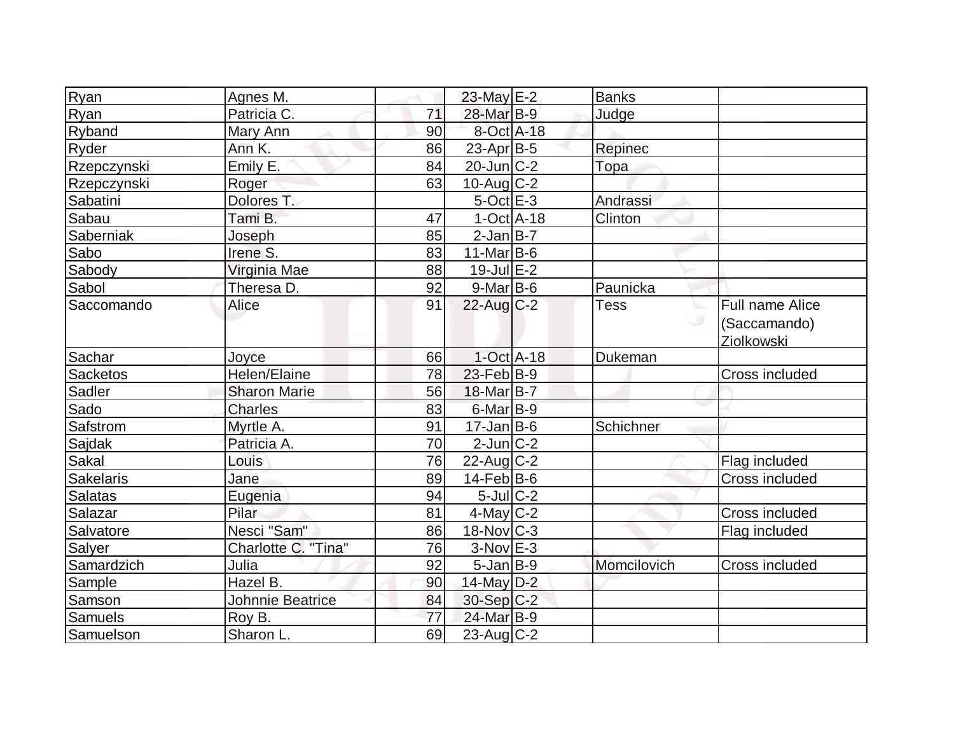| Ryan           | Agnes M.                |    | 23-May E-2        | <b>Banks</b> |                                               |
|----------------|-------------------------|----|-------------------|--------------|-----------------------------------------------|
| Ryan           | Patricia C.             | 71 | 28-Mar B-9        | Judge        |                                               |
| Ryband         | Mary Ann                | 90 | 8-Oct A-18        |              |                                               |
| Ryder          | Ann K.                  | 86 | $23$ -Apr $ B-5 $ | Repinec      |                                               |
| Rzepczynski    | Emily E.                | 84 | $20$ -Jun $C-2$   | Topa         |                                               |
| Rzepczynski    | Roger                   | 63 | $10$ -Aug C-2     |              |                                               |
| Sabatini       | Dolores T.              |    | $5$ -Oct $E - 3$  | Andrassi     |                                               |
| Sabau          | Tami B.                 | 47 | $1-Oct$ $A-18$    | Clinton      |                                               |
| Saberniak      | Joseph                  | 85 | $2-Jan$ B-7       |              |                                               |
| Sabo           | Irene S.                | 83 | 11-Mar $B$ -6     |              |                                               |
| Sabody         | Virginia Mae            | 88 | $19$ -Jul $E-2$   |              |                                               |
| Sabol          | Theresa D.              | 92 | $9$ -Mar $ B-6$   | Paunicka     |                                               |
| Saccomando     | Alice                   | 91 | 22-Aug C-2        | Tess<br>╰    | Full name Alice<br>(Saccamando)<br>Ziolkowski |
| Sachar         | Joyce                   | 66 | $1-Oct$ A-18      | Dukeman      |                                               |
| Sacketos       | Helen/Elaine            | 78 | $23$ -Feb $ B-9 $ |              | Cross included                                |
| Sadler         | <b>Sharon Marie</b>     | 56 | 18-Mar B-7        |              |                                               |
| Sado           | <b>Charles</b>          | 83 | $6$ -Mar $ B-9 $  |              |                                               |
| Safstrom       | Myrtle A.               | 91 | $17 - Jan$ B-6    | Schichner    |                                               |
| Sajdak         | Patricia A.             | 70 | $2$ -Jun $ C-2 $  |              |                                               |
| Sakal          | Louis                   | 76 | $22$ -Aug C-2     |              | Flag included                                 |
| Sakelaris      | Jane                    | 89 | $14$ -Feb $ B-6$  |              | <b>Cross included</b>                         |
| Salatas        | Eugenia                 | 94 | $5$ -Jul $C-2$    |              |                                               |
| Salazar        | Pilar                   | 81 | $4$ -May C-2      |              | Cross included                                |
| Salvatore      | Nesci "Sam"             | 86 | 18-Nov C-3        |              | Flag included                                 |
| Salyer         | Charlotte C. "Tina"     | 76 | $3-Nov$ $E-3$     |              |                                               |
| Samardzich     | Julia                   | 92 | $5$ -Jan $B-9$    | Momcilovich  | <b>Cross included</b>                         |
| Sample         | Hazel B.                | 90 | 14-May $D-2$      |              |                                               |
| Samson         | <b>Johnnie Beatrice</b> | 84 | 30-Sep C-2        |              |                                               |
| <b>Samuels</b> | Roy B.                  | 77 | 24-Mar B-9        |              |                                               |
| Samuelson      | Sharon L.               | 69 | $23$ -Aug C-2     |              |                                               |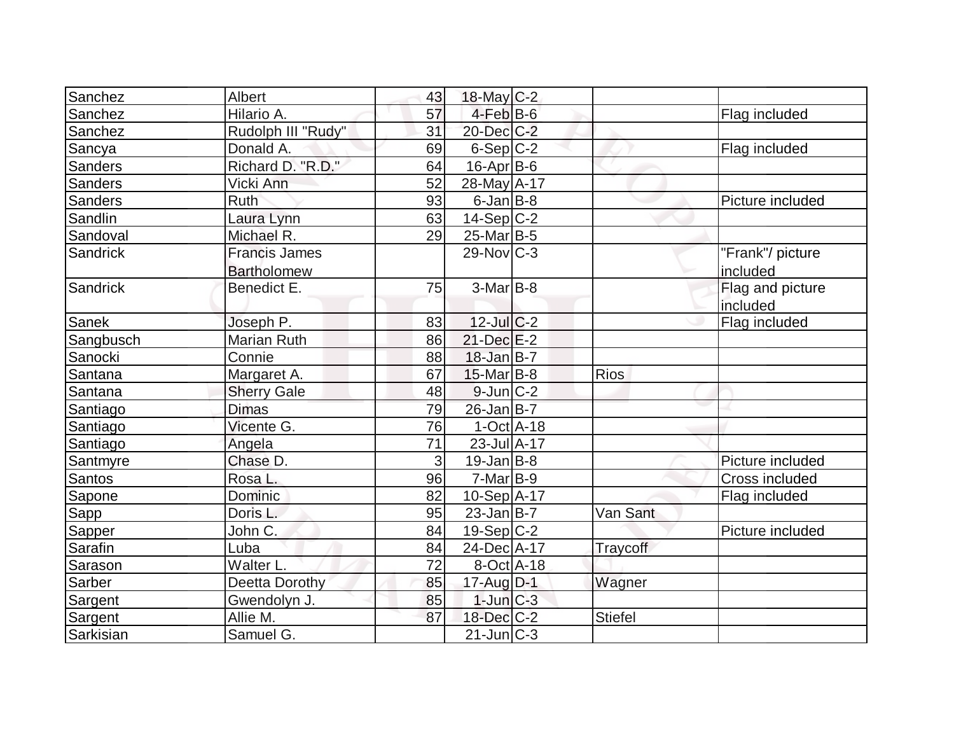| Sanchez         | Albert                                     | 43 | 18-May C-2        |                |                              |
|-----------------|--------------------------------------------|----|-------------------|----------------|------------------------------|
| Sanchez         | Hilario A.                                 | 57 | $4$ -Feb $B$ -6   |                | Flag included                |
| Sanchez         | Rudolph III "Rudy"                         | 31 | 20-Dec C-2        |                |                              |
| Sancya          | Donald A.                                  | 69 | $6-Sep C-2$       |                | Flag included                |
| <b>Sanders</b>  | Richard D. "R.D."                          | 64 | 16-Apr B-6        |                |                              |
| <b>Sanders</b>  | Vicki Ann                                  | 52 | 28-May A-17       |                |                              |
| <b>Sanders</b>  | <b>Ruth</b>                                | 93 | $6$ -Jan $B$ -8   |                | Picture included             |
| Sandlin         | Laura Lynn                                 | 63 | $14-Sep C-2$      |                |                              |
| Sandoval        | Michael R.                                 | 29 | 25-Mar B-5        |                |                              |
| <b>Sandrick</b> | <b>Francis James</b><br><b>Bartholomew</b> |    | $29-Novc-3$       |                | "Frank"/ picture<br>included |
| <b>Sandrick</b> | Benedict E.                                | 75 | $3-Mar$ B-8       |                | Flag and picture<br>included |
| Sanek           | Joseph P.                                  | 83 | $12$ -JulC-2      |                | Flag included                |
| Sangbusch       | <b>Marian Ruth</b>                         | 86 | $21$ -Dec $E-2$   |                |                              |
| Sanocki         | Connie                                     | 88 | $18$ -Jan B-7     |                |                              |
| Santana         | Margaret A.                                | 67 | $15$ -Mar $ B-8 $ | <b>Rios</b>    |                              |
| Santana         | <b>Sherry Gale</b>                         | 48 | $9$ -Jun $ C-2 $  |                |                              |
| Santiago        | <b>Dimas</b>                               | 79 | $26$ -Jan B-7     |                |                              |
| Santiago        | Vicente G.                                 | 76 | $1-Oct$ $A-18$    |                |                              |
| Santiago        | Angela                                     | 71 | 23-Jul A-17       |                |                              |
| Santmyre        | Chase D.                                   | 3  | $19$ -Jan $ B-8 $ |                | Picture included             |
| <b>Santos</b>   | Rosa L.                                    | 96 | $7-Mar$ B-9       |                | Cross included               |
| Sapone          | Dominic                                    | 82 | $10-Sep$ A-17     |                | Flag included                |
| Sapp            | Doris L.                                   | 95 | $23$ -Jan B-7     | Van Sant       |                              |
| Sapper          | John C.                                    | 84 | $19-Sep C-2$      |                | Picture included             |
| <b>Sarafin</b>  | Luba                                       | 84 | 24-Dec A-17       | Traycoff       |                              |
| Sarason         | Walter L.                                  | 72 | 8-Oct A-18        |                |                              |
| Sarber          | Deetta Dorothy                             | 85 | 17-Aug D-1        | Wagner         |                              |
| Sargent         | Gwendolyn J.                               | 85 | $1$ -Jun $C-3$    |                |                              |
| Sargent         | Allie M.                                   | 87 | 18-Dec C-2        | <b>Stiefel</b> |                              |
| Sarkisian       | Samuel G.                                  |    | $21$ -Jun $C-3$   |                |                              |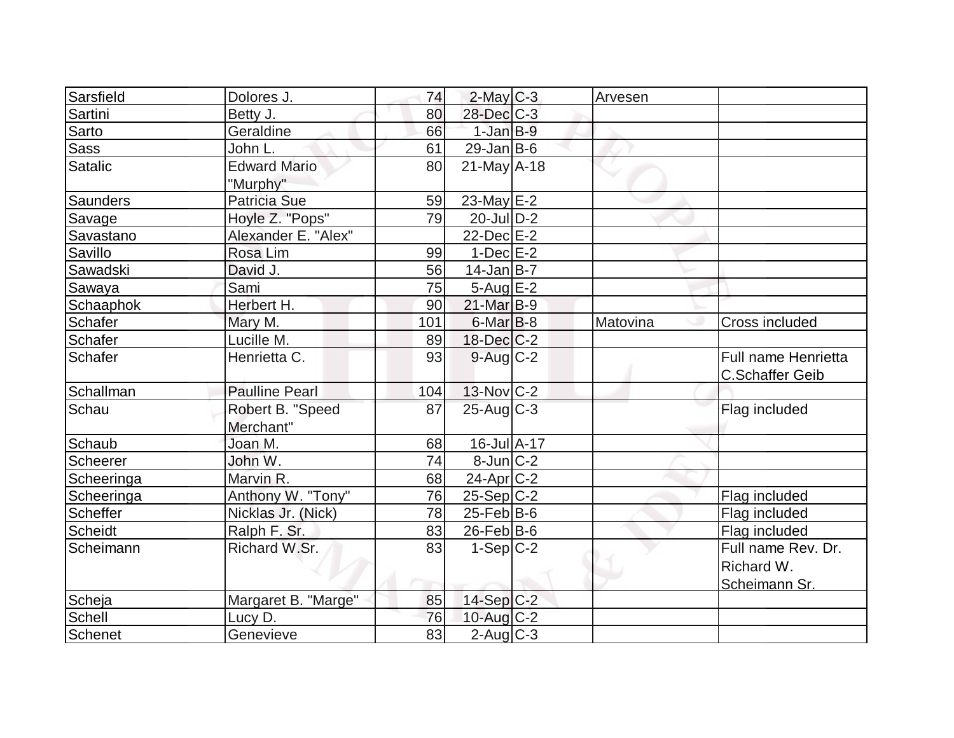| Sarsfield      | Dolores J.                    | 74  | $2$ -May C-3             | Arvesen  |                                               |
|----------------|-------------------------------|-----|--------------------------|----------|-----------------------------------------------|
| Sartini        | Betty J.                      | 80  | 28-Dec C-3               |          |                                               |
| Sarto          | Geraldine                     | 66  | $1$ -Jan $B-9$           |          |                                               |
| <b>Sass</b>    | John L.                       | 61  | $29$ -Jan B-6            |          |                                               |
| Satalic        | <b>Edward Mario</b>           | 80  | $21$ -May A-18           |          |                                               |
|                | "Murphy"                      |     |                          |          |                                               |
| Saunders       | <b>Patricia Sue</b>           | 59  | $23$ -May E-2            |          |                                               |
| Savage         | Hoyle Z. "Pops"               | 79  | $20$ -JulD-2             |          |                                               |
| Savastano      | Alexander E. "Alex"           |     | $22$ -Dec $E-2$          |          |                                               |
| Savillo        | Rosa Lim                      | 99  | $1-Dec$ $E-2$            |          |                                               |
| Sawadski       | David J.                      | 56  | $14$ -Jan B-7            |          |                                               |
| Sawaya         | Sami                          | 75  | $5-Aug$ $E-2$            |          |                                               |
| Schaaphok      | Herbert H.                    | 90  | $21$ -Mar $B-9$          |          |                                               |
| Schafer        | Mary M.                       | 101 | $6$ -Mar $B$ -8          | Matovina | Cross included                                |
| Schafer        | Lucille M.                    | 89  | $18$ -Dec $C-2$          |          |                                               |
| <b>Schafer</b> | Henrietta C.                  | 93  | $9$ -Aug $C$ -2          |          | Full name Henrietta<br><b>C.Schaffer Geib</b> |
| Schallman      | <b>Paulline Pearl</b>         | 104 | $13-Nov$ <sub>C</sub> -2 |          |                                               |
| Schau          | Robert B. "Speed<br>Merchant" | 87  | $25-Aug$ <sub>C-3</sub>  |          | Flag included                                 |
| Schaub         | Joan M.                       | 68  | 16-Jul A-17              |          |                                               |
| Scheerer       | John W.                       | 74  | $8$ -Jun $C-2$           |          |                                               |
| Scheeringa     | Marvin R.                     | 68  | $24$ -Apr $C-2$          |          |                                               |
| Scheeringa     | Anthony W. "Tony"             | 76  | $25-Sep C-2$             |          | Flag included                                 |
| Scheffer       | Nicklas Jr. (Nick)            | 78  | $25$ -Feb $ B$ -6        |          | Flag included                                 |
| <b>Scheidt</b> | Ralph F. Sr.                  | 83  | $26$ -Feb $ B$ -6        |          | Flag included                                 |
| Scheimann      | Richard W.Sr.                 | 83  | $1-Sep C-2$              |          | Full name Rev. Dr.                            |
|                |                               |     |                          |          | Richard W.                                    |
|                |                               |     |                          |          | Scheimann Sr.                                 |
| Scheja         | Margaret B. "Marge"           | 85  | $14-Sep C-2$             |          |                                               |
| Schell         | Lucy D.                       | 76  | 10-Aug $C-2$             |          |                                               |
| Schenet        | Genevieve                     | 83  | $2$ -Aug $C-3$           |          |                                               |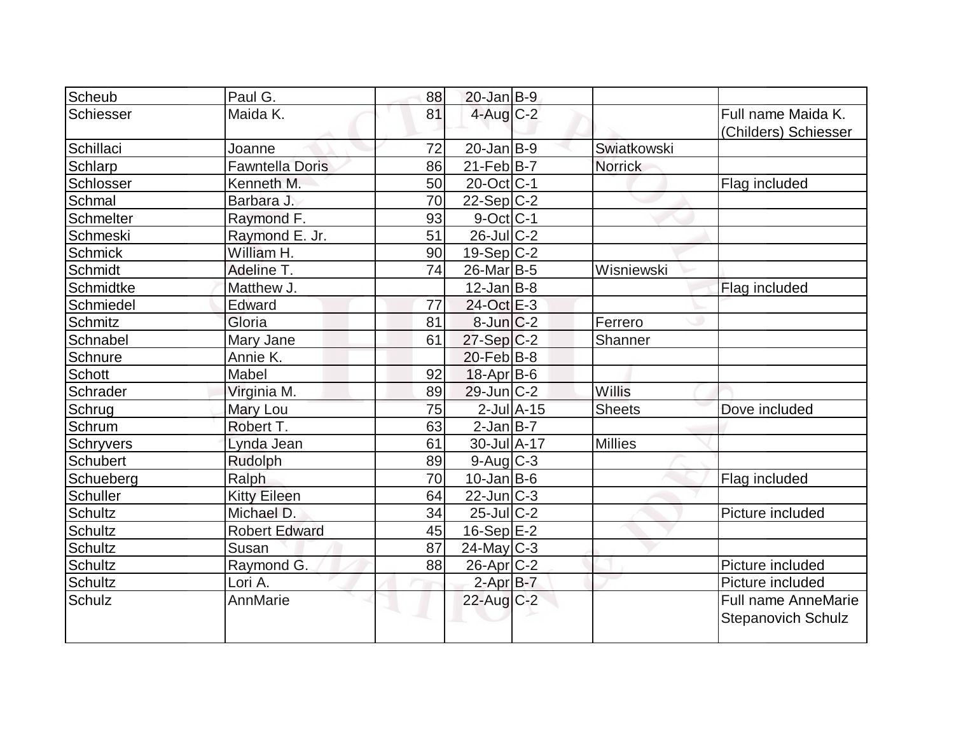| Scheub           | Paul G.                | 88 | $20$ -Jan $B-9$                   |                 |                |                                            |
|------------------|------------------------|----|-----------------------------------|-----------------|----------------|--------------------------------------------|
| <b>Schiesser</b> | Maida K.               | 81 | $4$ -Aug $C-2$                    |                 |                | Full name Maida K.<br>(Childers) Schiesser |
| Schillaci        | Joanne                 | 72 | $20$ -Jan $ B-9 $                 |                 | Swiatkowski    |                                            |
| Schlarp          | <b>Fawntella Doris</b> | 86 | $21$ -Feb $ B-7 $                 |                 | <b>Norrick</b> |                                            |
| Schlosser        | Kenneth M.             | 50 | $20$ -Oct $\overline{\text{C-1}}$ |                 |                | Flag included                              |
| Schmal           | Barbara J.             | 70 | $22-Sep C-2$                      |                 |                |                                            |
| <b>Schmelter</b> | Raymond F.             | 93 | $9$ -Oct C-1                      |                 |                |                                            |
| Schmeski         | Raymond E. Jr.         | 51 | $26$ -Jul $C-2$                   |                 |                |                                            |
| <b>Schmick</b>   | William H.             | 90 | $19-Sep$ $C-2$                    |                 |                |                                            |
| Schmidt          | Adeline T.             | 74 | $26$ -Mar $ B-5 $                 |                 | Wisniewski     |                                            |
| Schmidtke        | Matthew J.             |    | $12$ -Jan $ B-8 $                 |                 |                | Flag included                              |
| Schmiedel        | Edward                 | 77 | 24-Oct E-3                        |                 |                |                                            |
| <b>Schmitz</b>   | Gloria                 | 81 | $8$ -Jun $C-2$                    |                 | Ferrero        |                                            |
| Schnabel         | Mary Jane              | 61 | $27-Sep C-2$                      |                 | Shanner        |                                            |
| Schnure          | Annie K.               |    | 20-Feb B-8                        |                 |                |                                            |
| <b>Schott</b>    | Mabel                  | 92 | 18-Apr B-6                        |                 |                |                                            |
| Schrader         | Virginia M.            | 89 | $29$ -Jun $ C-2 $                 |                 | Willis         |                                            |
| Schrug           | Mary Lou               | 75 |                                   | $2$ -Jul $A-15$ | <b>Sheets</b>  | Dove included                              |
| Schrum           | Robert T.              | 63 | $2-Jan\overline{B-7}$             |                 |                |                                            |
| <b>Schryvers</b> | Lynda Jean             | 61 | 30-Jul A-17                       |                 | <b>Millies</b> |                                            |
| <b>Schubert</b>  | Rudolph                | 89 | $9$ -Aug $C$ -3                   |                 |                |                                            |
| Schueberg        | Ralph                  | 70 | $10$ -Jan B-6                     |                 |                | Flag included                              |
| <b>Schuller</b>  | <b>Kitty Eileen</b>    | 64 | $22$ -Jun $ C-3 $                 |                 |                |                                            |
| <b>Schultz</b>   | Michael D.             | 34 | 25-Jul C-2                        |                 |                | Picture included                           |
| <b>Schultz</b>   | <b>Robert Edward</b>   | 45 | $16-Sep$ E-2                      |                 |                |                                            |
| <b>Schultz</b>   | Susan                  | 87 | $24$ -May C-3                     |                 |                |                                            |
| <b>Schultz</b>   | Raymond G.             | 88 | $26$ -Apr $C-2$                   |                 |                | Picture included                           |
| <b>Schultz</b>   | Lori A.                |    | $2-Apr$ B-7                       |                 |                | Picture included                           |
| Schulz           | AnnMarie               |    | 22-Aug C-2                        |                 |                | Full name AnneMarie                        |
|                  |                        |    |                                   |                 |                | <b>Stepanovich Schulz</b>                  |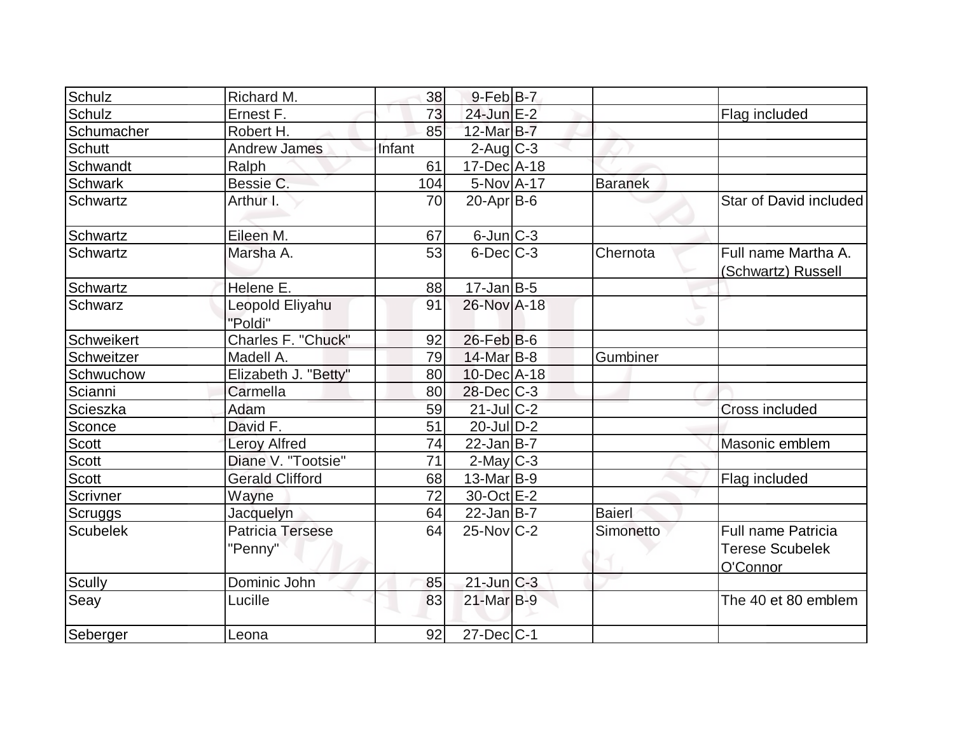| Schulz          | Richard M.                         | 38     | $9$ -Feb $ B-7 $  |                |                                                                 |
|-----------------|------------------------------------|--------|-------------------|----------------|-----------------------------------------------------------------|
| Schulz          | Ernest F.                          | 73     | 24-Jun E-2        |                | Flag included                                                   |
| Schumacher      | Robert H.                          | 85     | $12$ -Mar $B$ -7  |                |                                                                 |
| <b>Schutt</b>   | <b>Andrew James</b>                | Infant | $2$ -Aug $C-3$    |                |                                                                 |
| Schwandt        | Ralph                              | 61     | 17-Dec A-18       |                |                                                                 |
| <b>Schwark</b>  | Bessie C.                          | 104    | $5-NovA-17$       | <b>Baranek</b> |                                                                 |
| Schwartz        | Arthur I.                          | 70     | $20$ -Apr $ B-6 $ |                | Star of David included                                          |
| Schwartz        | Eileen M.                          | 67     | $6$ -Jun $ C-3 $  |                |                                                                 |
| Schwartz        | Marsha A.                          | 53     | $6$ -Dec $C-3$    | Chernota       | Full name Martha A.<br>(Schwartz) Russell                       |
| Schwartz        | Helene E.                          | 88     | $17 - Jan$ B-5    |                |                                                                 |
| Schwarz         | Leopold Eliyahu<br>"Poldi"         | 91     | 26-Nov A-18       |                |                                                                 |
| Schweikert      | Charles F. "Chuck"                 | 92     | $26$ -Feb $ B-6$  |                |                                                                 |
| Schweitzer      | Madell A.                          | 79     | 14-Mar B-8        | Gumbiner       |                                                                 |
| Schwuchow       | Elizabeth J. "Betty"               | 80     | $10$ -Dec $A$ -18 |                |                                                                 |
| Scianni         | Carmella                           | 80     | $28$ -Dec $C-3$   |                |                                                                 |
| Scieszka        | Adam                               | 59     | $21$ -Jul $C-2$   |                | Cross included                                                  |
| Sconce          | David F.                           | 51     | $20$ -JulD-2      |                |                                                                 |
| Scott           | <b>Leroy Alfred</b>                | 74     | $22$ -Jan B-7     |                | Masonic emblem                                                  |
| Scott           | Diane V. "Tootsie"                 | 71     | $2$ -May $C-3$    |                |                                                                 |
| Scott           | <b>Gerald Clifford</b>             | 68     | $13$ -Mar $ B-9 $ |                | Flag included                                                   |
| Scrivner        | Wayne                              | 72     | 30-Oct E-2        |                |                                                                 |
| <b>Scruggs</b>  | Jacquelyn                          | 64     | $22$ -Jan B-7     | Baierl         |                                                                 |
| <b>Scubelek</b> | <b>Patricia Tersese</b><br>"Penny" | 64     | $25$ -Nov $ C-2 $ | Simonetto      | <b>Full name Patricia</b><br><b>Terese Scubelek</b><br>O'Connor |
| <b>Scully</b>   | Dominic John                       | 85     | $21$ -Jun $C-3$   |                |                                                                 |
| Seay            | Lucille                            | 83     | $21$ -Mar $B-9$   |                | The 40 et 80 emblem                                             |
| Seberger        | Leona                              | 92     | $27$ -Dec $ C-1$  |                |                                                                 |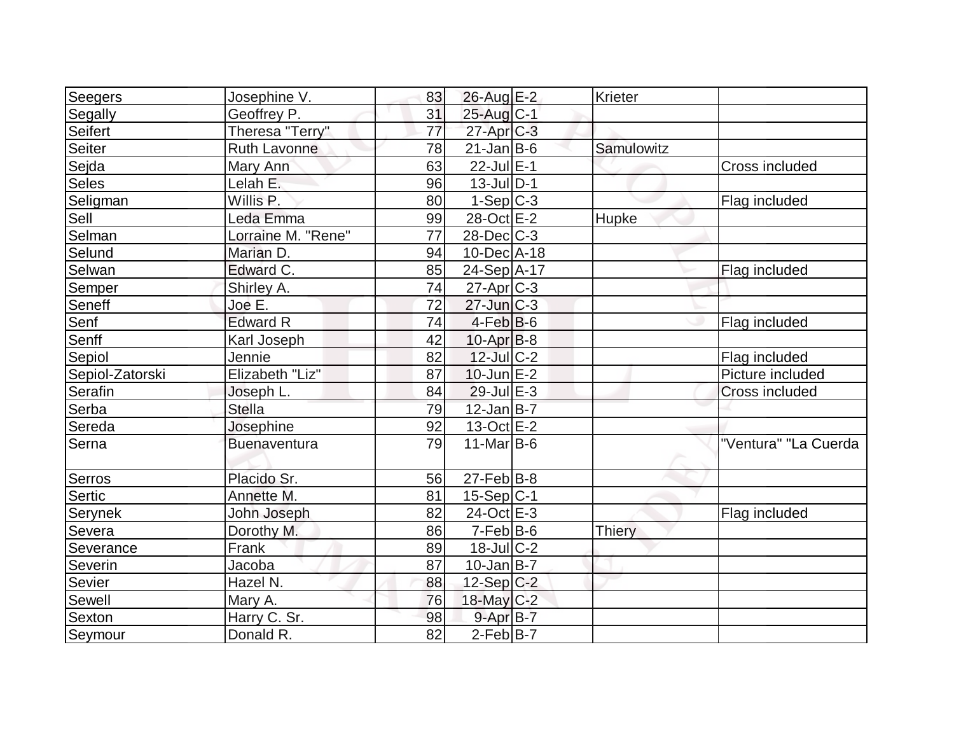| Seegers         | Josephine V.        | 83 | $26$ -Aug $E-2$   | Krieter       |                       |
|-----------------|---------------------|----|-------------------|---------------|-----------------------|
| Segally         | Geoffrey P.         | 31 | $25$ -Aug $C-1$   |               |                       |
| Seifert         | Theresa "Terry"     | 77 | $27$ -Apr $C-3$   |               |                       |
| <b>Seiter</b>   | <b>Ruth Lavonne</b> | 78 | $21$ -Jan $ B-6 $ | Samulowitz    |                       |
| Sejda           | Mary Ann            | 63 | $22$ -Jul $E-1$   |               | <b>Cross included</b> |
| Seles           | Lelah E.            | 96 | $13$ -Jul $ D-1$  |               |                       |
| Seligman        | Willis P.           | 80 | $1-Sep C-3$       |               | Flag included         |
| Sell            | Leda Emma           | 99 | 28-Oct E-2        | Hupke         |                       |
| Selman          | Lorraine M. "Rene"  | 77 | $28$ -Dec $C-3$   |               |                       |
| Selund          | Marian D.           | 94 | $10$ -Dec $ A-18$ |               |                       |
| Selwan          | Edward C.           | 85 | 24-Sep A-17       |               | Flag included         |
| Semper          | Shirley A.          | 74 | $27$ -Apr $C-3$   |               |                       |
| Seneff          | Joe E.              | 72 | $27$ -Jun $C-3$   |               |                       |
| Senf            | <b>Edward R</b>     | 74 | $4-Feb B-6$       |               | Flag included         |
| Senff           | Karl Joseph         | 42 | $10$ -Apr $ B-8 $ |               |                       |
| Sepiol          | Jennie              | 82 | $12$ -Jul $ C-2 $ |               | Flag included         |
| Sepiol-Zatorski | Elizabeth "Liz"     | 87 | $10$ -Jun $E-2$   |               | Picture included      |
| Serafin         | Joseph L.           | 84 | $29$ -Jul $E-3$   |               | <b>Cross included</b> |
| Serba           | <b>Stella</b>       | 79 | $12$ -Jan B-7     |               |                       |
| Sereda          | Josephine           | 92 | $13-Oct$ $E-2$    |               |                       |
| Serna           | Buenaventura        | 79 | $11$ -Mar $ B-6$  |               | "Ventura" "La Cuerda  |
| Serros          | Placido Sr.         | 56 | $27$ -Feb $ B-8 $ |               |                       |
| Sertic          | Annette M.          | 81 | $15-Sep C-1$      |               |                       |
| Serynek         | John Joseph         | 82 | 24-Oct E-3        |               | Flag included         |
| Severa          | Dorothy M.          | 86 | $7-Feb B-6$       | <b>Thiery</b> |                       |
| Severance       | Frank               | 89 | $18$ -Jul $C-2$   |               |                       |
| Severin         | Jacoba              | 87 | $10$ -Jan $ B-7 $ |               |                       |
| Sevier          | Hazel N.            | 88 | 12-Sep C-2        |               |                       |
| Sewell          | Mary A.             | 76 | $18$ -May C-2     |               |                       |
| Sexton          | Harry C. Sr.        | 98 | $9 - Apr$ $B - 7$ |               |                       |
| Seymour         | Donald R.           | 82 | $2-Feb B-7$       |               |                       |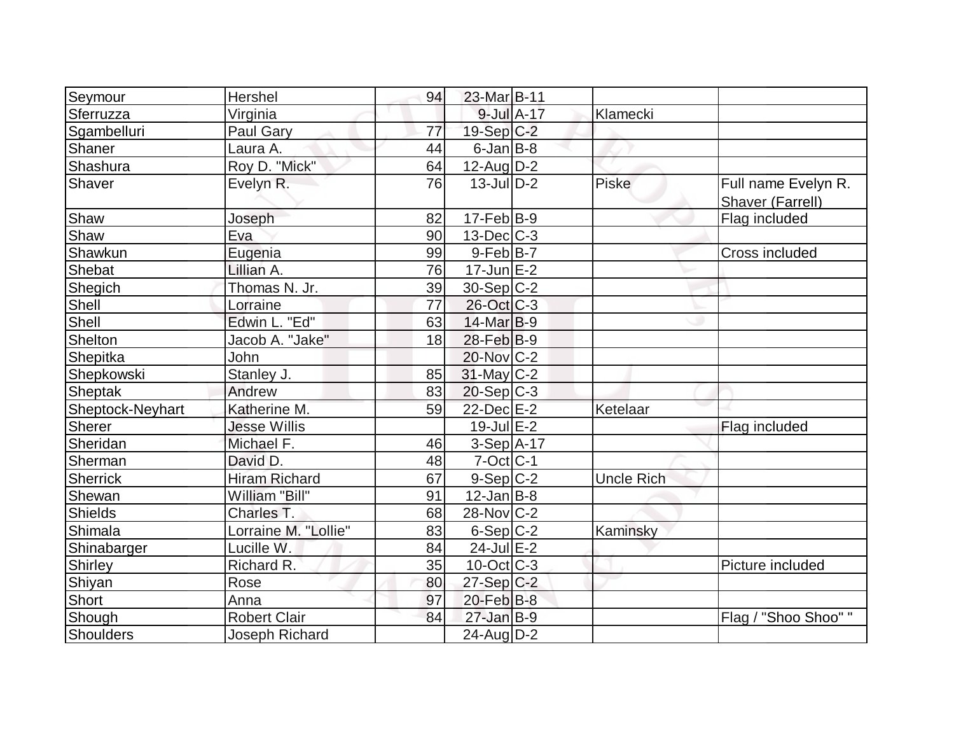| Seymour          | Hershel              | 94 | 23-Mar B-11       |                   |                                         |
|------------------|----------------------|----|-------------------|-------------------|-----------------------------------------|
| Sferruzza        | Virginia             |    | $9$ -Jul $A$ -17  | Klamecki          |                                         |
| Sgambelluri      | Paul Gary            | 77 | $19-Sep C-2$      |                   |                                         |
| Shaner           | Laura A.             | 44 | $6$ -Jan $B$ -8   |                   |                                         |
| Shashura         | Roy D. "Mick"        | 64 | $12$ -AugD-2      |                   |                                         |
| Shaver           | Evelyn R.            | 76 | $13$ -JulD-2      | <b>Piske</b>      | Full name Evelyn R.<br>Shaver (Farrell) |
| Shaw             | Joseph               | 82 | $17-Feb B-9$      |                   | Flag included                           |
| Shaw             | Eva                  | 90 | $13$ -Dec $C-3$   |                   |                                         |
| Shawkun          | Eugenia              | 99 | $9$ -Feb $ B-7 $  |                   | Cross included                          |
| Shebat           | Lillian A.           | 76 | $17$ -Jun $E-2$   |                   |                                         |
| Shegich          | Thomas N. Jr.        | 39 | $30-Sep C-2$      |                   |                                         |
| Shell            | Lorraine             | 77 | 26-Oct C-3        |                   |                                         |
| Shell            | Edwin L. "Ed"        | 63 | $14$ -Mar $B-9$   |                   |                                         |
| Shelton          | Jacob A. "Jake"      | 18 | $28$ -Feb $ B-9 $ |                   |                                         |
| Shepitka         | John                 |    | 20-Nov C-2        |                   |                                         |
| Shepkowski       | Stanley J.           | 85 | $31$ -May $ C-2 $ |                   |                                         |
| <b>Sheptak</b>   | Andrew               | 83 | $20 - Sep C-3$    |                   |                                         |
| Sheptock-Neyhart | Katherine M.         | 59 | 22-Dec E-2        | Ketelaar          |                                         |
| Sherer           | <b>Jesse Willis</b>  |    | $19$ -Jul $E-2$   |                   | Flag included                           |
| Sheridan         | Michael F.           | 46 | 3-Sep A-17        |                   |                                         |
| Sherman          | David D.             | 48 | $7$ -Oct $ C-1 $  |                   |                                         |
| Sherrick         | <b>Hiram Richard</b> | 67 | $9-Sep C-2$       | <b>Uncle Rich</b> |                                         |
| Shewan           | William "Bill"       | 91 | $12$ -Jan $B$ -8  |                   |                                         |
| <b>Shields</b>   | Charles T.           | 68 | 28-Nov C-2        |                   |                                         |
| Shimala          | Lorraine M. "Lollie" | 83 | $6-Sep C-2$       | Kaminsky          |                                         |
| Shinabarger      | Lucille W.           | 84 | $24$ -Jul $E-2$   |                   |                                         |
| <b>Shirley</b>   | Richard R.           | 35 | $10$ -Oct C-3     |                   | Picture included                        |
| Shiyan           | Rose                 | 80 | $27-Sep$ C-2      |                   |                                         |
| Short            | Anna                 | 97 | $20$ -Feb $B$ -8  |                   |                                         |
| Shough           | <b>Robert Clair</b>  | 84 | $27$ -Jan B-9     |                   | Flag / "Shoo Shoo" "                    |
| Shoulders        | Joseph Richard       |    | 24-Aug D-2        |                   |                                         |
|                  |                      |    |                   |                   |                                         |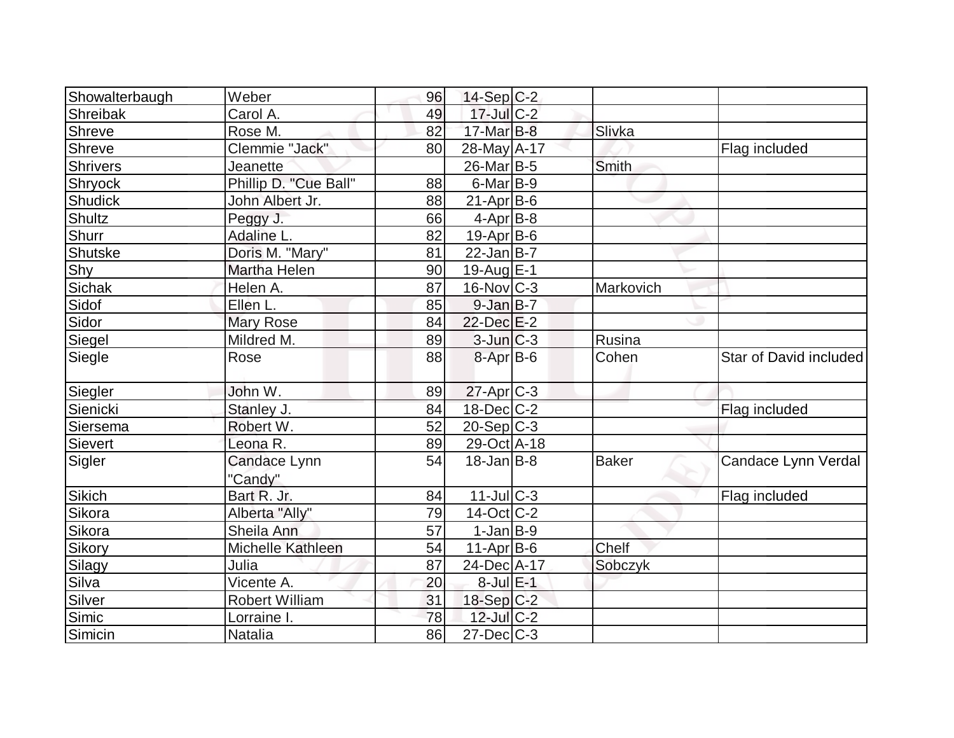| Showalterbaugh | Weber                   | 96 | $14-Sep C-2$      |              |                        |
|----------------|-------------------------|----|-------------------|--------------|------------------------|
| Shreibak       | Carol A.                | 49 | $17$ -Jul $C-2$   |              |                        |
| Shreve         | Rose M.                 | 82 | 17-Mar B-8        | Slivka       |                        |
| Shreve         | Clemmie "Jack"          | 80 | 28-May A-17       |              | Flag included          |
| Shrivers       | Jeanette                |    | $26$ -Mar $ B-5 $ | Smith        |                        |
| Shryock        | Phillip D. "Cue Ball"   | 88 | $6$ -Mar B-9      |              |                        |
| Shudick        | John Albert Jr.         | 88 | $21-Apr B-6$      |              |                        |
| Shultz         | Peggy J.                | 66 | $4-Apr$ B-8       |              |                        |
| Shurr          | Adaline L.              | 82 | $19-Apr B-6$      |              |                        |
| Shutske        | Doris M. "Mary"         | 81 | $22$ -Jan B-7     |              |                        |
| Shy            | Martha Helen            | 90 | 19-Aug E-1        |              |                        |
| Sichak         | Helen A.                | 87 | $16$ -Nov $ C-3 $ | Markovich    |                        |
| Sidof          | Ellen L.                | 85 | $9$ -Jan B-7      |              |                        |
| Sidor          | <b>Mary Rose</b>        | 84 | 22-Dec E-2        |              |                        |
| Siegel         | Mildred M.              | 89 | $3$ -Jun $C-3$    | Rusina       |                        |
| Siegle         | Rose                    | 88 | 8-Apr B-6         | Cohen        | Star of David included |
| Siegler        | John W.                 | 89 | $27$ -Apr $C-3$   |              |                        |
| Sienicki       | Stanley J.              | 84 | $18$ -Dec $C$ -2  |              | Flag included          |
| Siersema       | Robert W.               | 52 | $20-Sep C-3$      |              |                        |
| Sievert        | Leona R.                | 89 | 29-Oct A-18       |              |                        |
| Sigler         | Candace Lynn<br>"Candy" | 54 | $18$ -Jan $ B-8 $ | <b>Baker</b> | Candace Lynn Verdal    |
| Sikich         | Bart R. Jr.             | 84 | $11$ -Jul $C-3$   |              | Flag included          |
| Sikora         | Alberta "Ally"          | 79 | $14$ -Oct $ C-2 $ |              |                        |
| Sikora         | Sheila Ann              | 57 | $1-Jan$ B-9       |              |                        |
| Sikory         | Michelle Kathleen       | 54 | $11-Apr B-6$      | Chelf        |                        |
| Silagy         | Julia                   | 87 | 24-Dec A-17       | Sobczyk      |                        |
| Silva          | Vicente A.              | 20 | $8$ -Jul $E-1$    |              |                        |
| Silver         | <b>Robert William</b>   | 31 | 18-Sep C-2        |              |                        |
| Simic          | Lorraine I.             | 78 | $12$ -Jul $C-2$   |              |                        |
| Simicin        | <b>Natalia</b>          | 86 | $27$ -Dec $C$ -3  |              |                        |
|                |                         |    |                   |              |                        |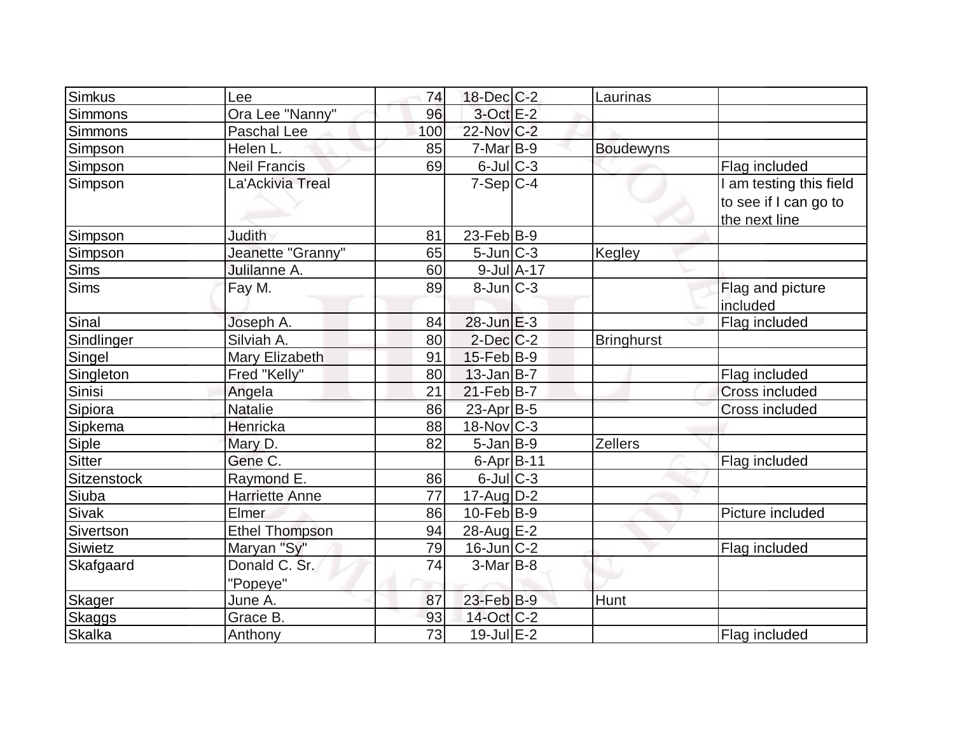| Simkus             | Lee                   | 74  | 18-Dec C-2            |                  | Laurinas          |                         |
|--------------------|-----------------------|-----|-----------------------|------------------|-------------------|-------------------------|
| Simmons            | Ora Lee "Nanny"       | 96  | $3$ -Oct $E-2$        |                  |                   |                         |
| <b>Simmons</b>     | Paschal Lee           | 100 | 22-Nov C-2            |                  |                   |                         |
| Simpson            | Helen L.              | 85  | $7-Mar$ B-9           |                  | <b>Boudewyns</b>  |                         |
| <b>Simpson</b>     | <b>Neil Francis</b>   | 69  | $6$ -Jul $C$ -3       |                  |                   | Flag included           |
| Simpson            | La'Ackivia Treal      |     | $7-Sep C-4$           |                  |                   | I am testing this field |
|                    |                       |     |                       |                  |                   | to see if I can go to   |
|                    |                       |     |                       |                  |                   | the next line           |
| Simpson            | Judith                | 81  | $23$ -Feb $ B-9 $     |                  |                   |                         |
| Simpson            | Jeanette "Granny"     | 65  | $5$ -Jun $ C-3 $      |                  | Kegley            |                         |
| Sims               | Julilanne A.          | 60  |                       | $9$ -Jul $A$ -17 |                   |                         |
| <b>Sims</b>        | Fay M.                | 89  | $8$ -Jun $C-3$        |                  |                   | Flag and picture        |
|                    |                       |     |                       |                  |                   | included                |
| Sinal              | Joseph A.             | 84  | 28-Jun E-3            |                  |                   | Flag included           |
| Sindlinger         | Silviah A.            | 80  | $2$ -Dec $C$ -2       |                  | <b>Bringhurst</b> |                         |
| Singel             | Mary Elizabeth        | 91  | $15$ -Feb $ B-9 $     |                  |                   |                         |
| Singleton          | Fred "Kelly"          | 80  | $13$ -Jan $ B-7 $     |                  |                   | Flag included           |
| Sinisi             | Angela                | 21  | $21$ -Feb $B$ -7      |                  |                   | Cross included          |
| Sipiora            | <b>Natalie</b>        | 86  | 23-Apr <sub>B-5</sub> |                  |                   | Cross included          |
| Sipkema            | Henricka              | 88  | $18-Nov$ C-3          |                  |                   |                         |
| Siple              | Mary D.               | 82  | $5$ -Jan $B-9$        |                  | <b>Zellers</b>    |                         |
| <b>Sitter</b>      | Gene C.               |     | $6$ -Apr $B$ -11      |                  |                   | Flag included           |
| <b>Sitzenstock</b> | Raymond E.            | 86  | $6$ -Jul $C$ -3       |                  |                   |                         |
| Siuba              | <b>Harriette Anne</b> | 77  | $17$ -AugD-2          |                  |                   |                         |
| Sivak              | Elmer                 | 86  | $10$ -Feb $ B-9 $     |                  |                   | Picture included        |
| Sivertson          | <b>Ethel Thompson</b> | 94  | 28-Aug E-2            |                  |                   |                         |
| Siwietz            | Maryan "Sy"           | 79  | $16$ -Jun $C-2$       |                  |                   | Flag included           |
| Skafgaard          | Donald C. Sr.         | 74  | $3-Mar$ B-8           |                  |                   |                         |
|                    | "Popeye"              |     |                       |                  |                   |                         |
| <b>Skager</b>      | June A.               | 87  | 23-Feb B-9            |                  | Hunt              |                         |
| <b>Skaggs</b>      | Grace B.              | 93  | 14-Oct C-2            |                  |                   |                         |
| <b>Skalka</b>      | Anthony               | 73  | 19-Jul E-2            |                  |                   | Flag included           |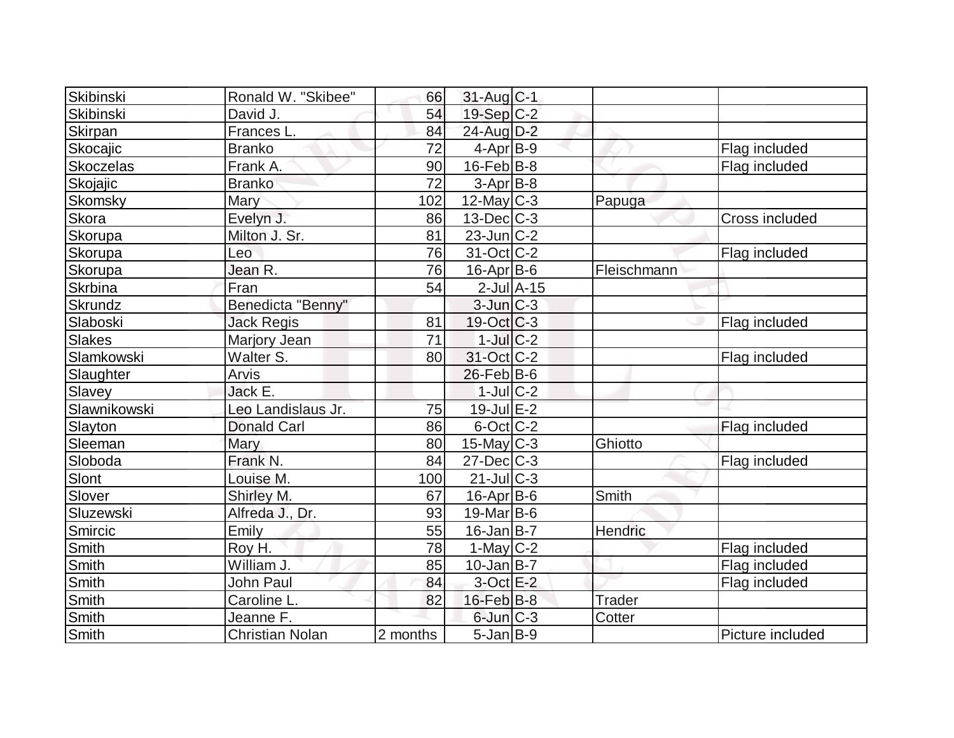| Skibinski      | Ronald W. "Skibee"     | 66       | 31-Aug C-1             |                 |               |                       |
|----------------|------------------------|----------|------------------------|-----------------|---------------|-----------------------|
| Skibinski      | David J.               | 54       | $19-Sep C-2$           |                 |               |                       |
| <b>Skirpan</b> | Frances L.             | 84       | 24-Aug D-2             |                 |               |                       |
| Skocajic       | <b>Branko</b>          | 72       | $4$ -Apr $ B-9 $       |                 |               | Flag included         |
| Skoczelas      | Frank A.               | 90       | $16$ -Feb $ B-8$       |                 |               | Flag included         |
| Skojajic       | <b>Branko</b>          | 72       | $3-Apr$ $B-8$          |                 |               |                       |
| <b>Skomsky</b> | Mary                   | 102      | $12$ -May C-3          |                 | Papuga        |                       |
| Skora          | Evelyn J.              | 86       | $13$ -Dec $ C-3 $      |                 |               | <b>Cross included</b> |
| Skorupa        | Milton J. Sr.          | 81       | $23$ -Jun $ C-2 $      |                 |               |                       |
| <b>Skorupa</b> | Leo                    | 76       | $31-Oct$ $C-2$         |                 |               | Flag included         |
| Skorupa        | Jean R.                | 76       | $16$ -Apr $ B-6 $      |                 | Fleischmann   |                       |
| <b>Skrbina</b> | Fran                   | 54       |                        | $2$ -Jul $A-15$ |               |                       |
| Skrundz        | Benedicta "Benny"      |          | $3$ -Jun $C-3$         |                 |               |                       |
| Slaboski       | <b>Jack Regis</b>      | 81       | $19-Oct$ $C-3$         |                 |               | Flag included         |
| Slakes         | Marjory Jean           | 71       | $1$ -Jul $C-2$         |                 |               |                       |
| Slamkowski     | Walter S.              | 80       | 31-Oct C-2             |                 |               | Flag included         |
| Slaughter      | <b>Arvis</b>           |          | $26$ -Feb $ B$ -6      |                 |               |                       |
| Slavey         | Jack E.                |          | $1$ -Jul $C-2$         |                 |               |                       |
| Slawnikowski   | Leo Landislaus Jr.     | 75       | $19$ -Jul $E-2$        |                 |               |                       |
| Slayton        | <b>Donald Carl</b>     | 86       | $6$ -Oct $C$ - $2$     |                 |               | Flag included         |
| Sleeman        | Mary                   | 80       | $15$ -May C-3          |                 | Ghiotto       |                       |
| Sloboda        | Frank N.               | 84       | $27 - Dec$ $C-3$       |                 |               | Flag included         |
| Slont          | Louise M.              | 100      | $21$ -JulC-3           |                 |               |                       |
| Slover         | Shirley M.             | 67       | 16-Apr B-6             |                 | Smith         |                       |
| Sluzewski      | Alfreda J., Dr.        | 93       | $19$ -Mar B-6          |                 |               |                       |
| Smircic        | Emily                  | 55       | $16$ -Jan $ B-7 $      |                 | Hendric       |                       |
| Smith          | Roy H.                 | 78       | $1-May$ <sub>C-2</sub> |                 |               | Flag included         |
| Smith          | William J.             | 85       | $10$ -Jan $ B-7 $      |                 |               | Flag included         |
| Smith          | <b>John Paul</b>       | 84       | $3$ -Oct $E-2$         |                 |               | Flag included         |
| Smith          | Caroline L.            | 82       | $16$ -Feb $B$ -8       |                 | <b>Trader</b> |                       |
| Smith          | Jeanne F.              |          | $6$ -Jun $C-3$         |                 | Cotter        |                       |
| Smith          | <b>Christian Nolan</b> | 2 months | $5$ -Jan $B-9$         |                 |               | Picture included      |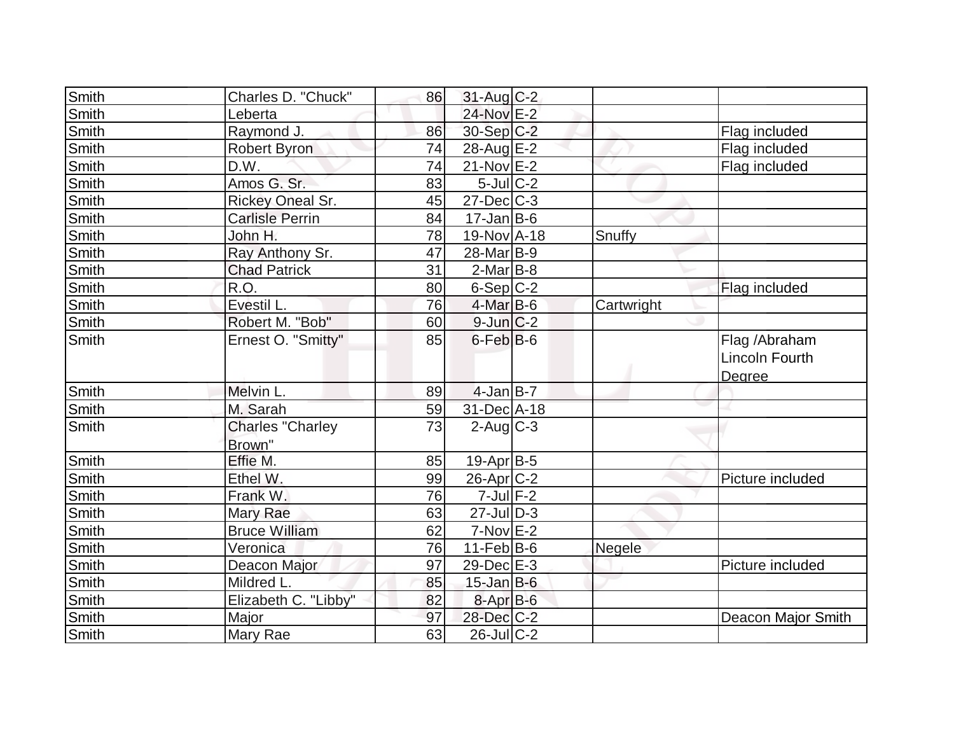| Smith        | Charles D. "Chuck"                | 86 | $31$ -Aug C-2            |            |                                                  |
|--------------|-----------------------------------|----|--------------------------|------------|--------------------------------------------------|
| Smith        | Leberta                           |    | 24-Nov E-2               |            |                                                  |
| Smith        | Raymond J.                        | 86 | 30-Sep C-2               |            | Flag included                                    |
| <b>Smith</b> | Robert Byron                      | 74 | 28-Aug E-2               |            | Flag included                                    |
| Smith        | D.W.                              | 74 | $21-Nov$ E-2             |            | Flag included                                    |
| Smith        | Amos G. Sr.                       | 83 | $5$ -Jul $C$ -2          |            |                                                  |
| Smith        | Rickey Oneal Sr.                  | 45 | $27 - Dec$ C-3           |            |                                                  |
| Smith        | <b>Carlisle Perrin</b>            | 84 | $17$ -Jan B-6            |            |                                                  |
| <b>Smith</b> | John H.                           | 78 | $19-Nov$ A-18            | Snuffy     |                                                  |
| Smith        | Ray Anthony Sr.                   | 47 | 28-Mar <sub>B-9</sub>    |            |                                                  |
| Smith        | <b>Chad Patrick</b>               | 31 | $2$ -Mar $B$ -8          |            |                                                  |
| Smith        | R.O.                              | 80 | $6-Sep$ $C-2$            |            | Flag included                                    |
| <b>Smith</b> | Evestil L.                        | 76 | $4$ -Mar $B$ -6          | Cartwright |                                                  |
| Smith        | Robert M. "Bob"                   | 60 | $9$ -Jun $ C-2 $         |            |                                                  |
| Smith        | Ernest O. "Smitty"                | 85 | $6$ -Feb $B$ -6          |            | Flag /Abraham<br><b>Lincoln Fourth</b><br>Degree |
| Smith        | Melvin L.                         | 89 | $4$ -Jan $B$ -7          |            |                                                  |
| Smith        | M. Sarah                          | 59 | 31-Dec A-18              |            |                                                  |
| Smith        | <b>Charles "Charley</b><br>Brown" | 73 | $2$ -Aug $C - 3$         |            |                                                  |
| Smith        | Effie M.                          | 85 | 19-Apr B-5               |            |                                                  |
| Smith        | Ethel W.                          | 99 | 26-Apr <sub>C-2</sub>    |            | Picture included                                 |
| Smith        | Frank W.                          | 76 | $7$ -Jul $F-2$           |            |                                                  |
| Smith        | Mary Rae                          | 63 | $27$ -Jul $D-3$          |            |                                                  |
| <b>Smith</b> | <b>Bruce William</b>              | 62 | $7-Nov$ E-2              |            |                                                  |
| <b>Smith</b> | Veronica                          | 76 | $11-Feb$ B-6             | Negele     |                                                  |
| <b>Smith</b> | Deacon Major                      | 97 | 29-Dec E-3               |            | Picture included                                 |
| Smith        | Mildred L.                        | 85 | $15$ -Jan B-6            |            |                                                  |
| Smith        | Elizabeth C. "Libby"              | 82 | 8-Apr B-6                |            |                                                  |
| Smith        | Major                             | 97 | 28-Dec C-2               |            | Deacon Major Smith                               |
| Smith        | Mary Rae                          | 63 | $\overline{26}$ -Jul C-2 |            |                                                  |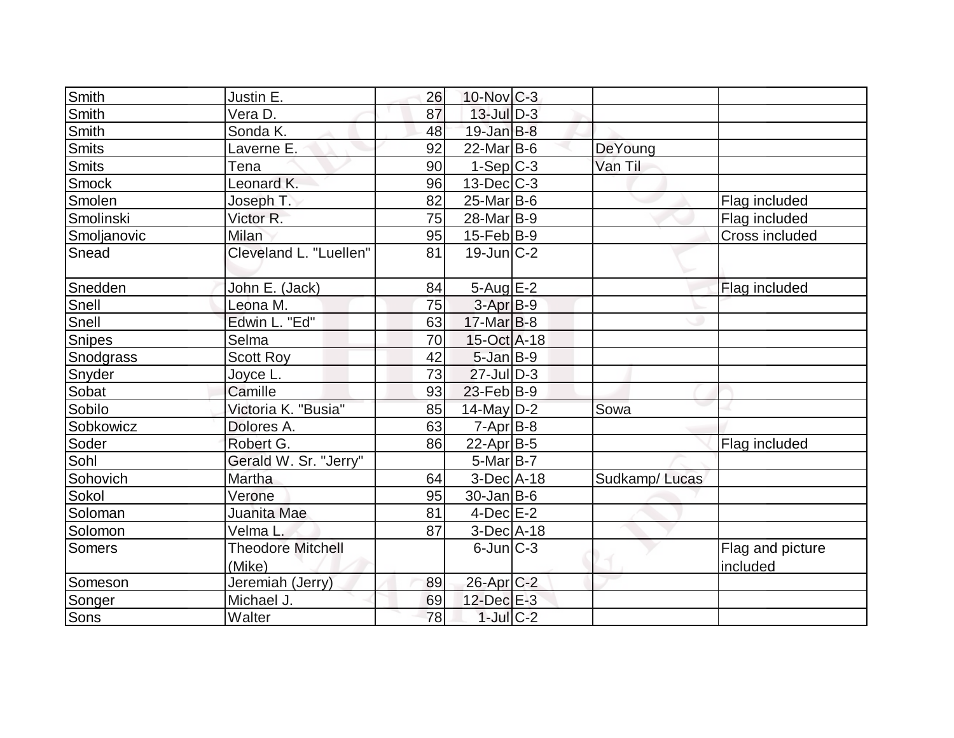| Smith        | Justin E.                | 26 | $10$ -Nov $C-3$            |               |                  |
|--------------|--------------------------|----|----------------------------|---------------|------------------|
| <b>Smith</b> | Vera D.                  | 87 | $13$ -Jul $ D-3 $          |               |                  |
| Smith        | Sonda K.                 | 48 | $19$ -Jan $B$ -8           |               |                  |
| Smits        | Laverne E.               | 92 | $22$ -Mar $ B-6 $          | DeYoung       |                  |
| <b>Smits</b> | Tena                     | 90 | $1-Sep C-3$                | Van Til       |                  |
| Smock        | Leonard K.               | 96 | $13$ -Dec $C-3$            |               |                  |
| Smolen       | Joseph T.                | 82 | $25$ -Mar $ B-6 $          |               | Flag included    |
| Smolinski    | Victor R.                | 75 | 28-Mar B-9                 |               | Flag included    |
| Smoljanovic  | <b>Milan</b>             | 95 | $15$ -Feb $ B-9 $          |               | Cross included   |
| Snead        | Cleveland L. "Luellen"   | 81 | $19$ -Jun $\overline{C-2}$ |               |                  |
| Snedden      | John E. (Jack)           | 84 | $5 - Aug$ E-2              |               | Flag included    |
| Snell        | Leona M.                 | 75 | 3-Apr <sub>B-9</sub>       |               |                  |
| Snell        | Edwin L. "Ed"            | 63 | $17$ -Mar $ B-8 $          |               |                  |
| Snipes       | Selma                    | 70 | $15-Oct$ A-18              |               |                  |
| Snodgrass    | <b>Scott Roy</b>         | 42 | $5$ -Jan $B-9$             |               |                  |
| Snyder       | Joyce L                  | 73 | $27$ -JulD-3               |               |                  |
| Sobat        | Camille                  | 93 | $23$ -Feb $ B-9 $          |               |                  |
| Sobilo       | Victoria K. "Busia"      | 85 | $14$ -May D-2              | Sowa          |                  |
| Sobkowicz    | Dolores A.               | 63 | $7 - Apr$ B-8              |               |                  |
| Soder        | Robert G.                | 86 | 22-Apr B-5                 |               | Flag included    |
| Sohl         | Gerald W. Sr. "Jerry"    |    | $5$ -Mar $ B-7 $           |               |                  |
| Sohovich     | Martha                   | 64 | $3-Dec A-18$               | Sudkamp/Lucas |                  |
| Sokol        | Verone                   | 95 | $30 - Jan$ B-6             |               |                  |
| Soloman      | Juanita Mae              | 81 | $4$ -Dec $E-2$             |               |                  |
| Solomon      | Velma L                  | 87 | $3-Dec$ A-18               |               |                  |
| Somers       | <b>Theodore Mitchell</b> |    | $6$ -Jun $ C-3 $           |               | Flag and picture |
|              | (Mike)                   |    |                            |               | included         |
| Someson      | Jeremiah (Jerry)         | 89 | 26-Apr C-2                 |               |                  |
| Songer       | Michael J.               | 69 | $12$ -Dec $E-3$            |               |                  |
| Sons         | Walter                   | 78 | $1$ -Jul $C-2$             |               |                  |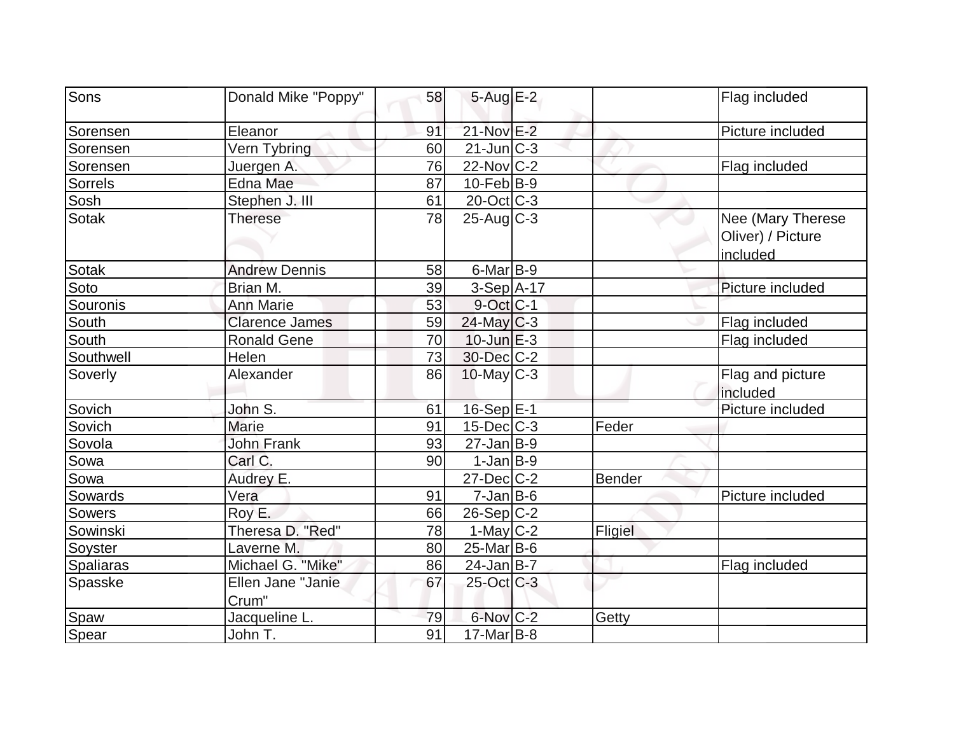| Sons             | Donald Mike "Poppy"        | 58 | $5-AugE-2$                  |         | Flag included                          |
|------------------|----------------------------|----|-----------------------------|---------|----------------------------------------|
| Sorensen         | Eleanor                    | 91 | 21-Nov E-2                  |         | Picture included                       |
| Sorensen         | Vern Tybring               | 60 | $21$ -Jun $\overline{C}$ -3 |         |                                        |
| Sorensen         | Juergen A.                 | 76 | 22-Nov C-2                  |         | Flag included                          |
| Sorrels          | Edna Mae                   | 87 | $10$ -Feb $ B-9 $           |         |                                        |
| Sosh             | Stephen J. III             | 61 | $20$ -Oct $C-3$             |         |                                        |
| <b>Sotak</b>     | <b>Therese</b>             | 78 | $25$ -Aug $C$ -3            |         | Nee (Mary Therese<br>Oliver) / Picture |
|                  |                            |    |                             |         | included                               |
| Sotak            | <b>Andrew Dennis</b>       | 58 | $6$ -Mar $B$ -9             |         |                                        |
| Soto             | Brian M.                   | 39 | $3-Sep$ A-17                |         | Picture included                       |
| Souronis         | <b>Ann Marie</b>           | 53 | $9$ -Oct $ C-1 $            |         |                                        |
| <b>South</b>     | <b>Clarence James</b>      | 59 | $24$ -May C-3               |         | Flag included                          |
| South            | <b>Ronald Gene</b>         | 70 | $10$ -Jun $E-3$             |         | Flag included                          |
| Southwell        | Helen                      | 73 | 30-Dec C-2                  |         |                                        |
| Soverly          | Alexander                  | 86 | $10$ -May C-3               |         | Flag and picture<br>included           |
| Sovich           | John S.                    | 61 | $16-Sep \tE-1$              |         | Picture included                       |
| Sovich           | Marie                      | 91 | $15$ -Dec $ C-3 $           | Feder   |                                        |
| Sovola           | <b>John Frank</b>          | 93 | $27$ -Jan $ B-9 $           |         |                                        |
| Sowa             | Carl C.                    | 90 | $1-Jan B-9$                 |         |                                        |
| Sowa             | Audrey E.                  |    | $27$ -Dec $ C-2 $           | Bender  |                                        |
| Sowards          | Vera                       | 91 | $7$ -Jan $ B$ -6            |         | Picture included                       |
| <b>Sowers</b>    | Roy E.                     | 66 | $26-Sep C-2$                |         |                                        |
| Sowinski         | Theresa D. "Red"           | 78 | $1$ -May $C-2$              | Fligiel |                                        |
| Soyster          | Laverne M.                 | 80 | $25$ -Mar $ B-6$            |         |                                        |
| <b>Spaliaras</b> | Michael G. "Mike"          | 86 | $24$ -Jan B-7               |         | Flag included                          |
| Spasske          | Ellen Jane "Janie<br>Crum" | 67 | $25$ -Oct C-3               |         |                                        |
| Spaw             | Jacqueline L.              | 79 | 6-Nov C-2                   | Getty   |                                        |
| Spear            | John T.                    | 91 | $17-Mar$ B-8                |         |                                        |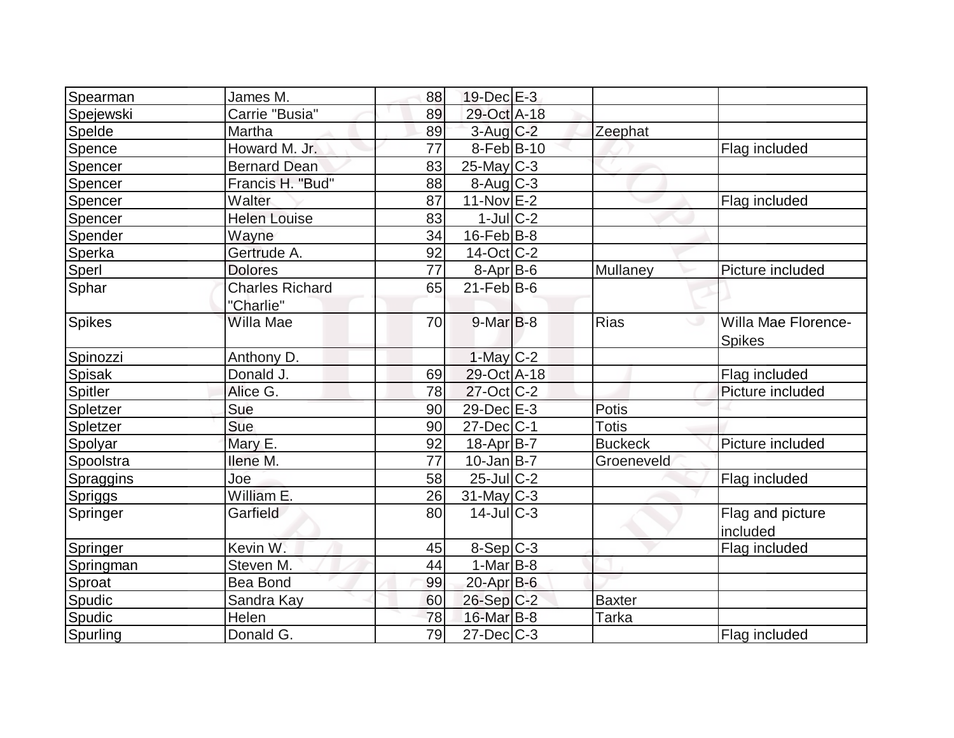| Spearman       | James M.               | 88 | $19$ -Dec $E-3$          |                |                     |
|----------------|------------------------|----|--------------------------|----------------|---------------------|
| Spejewski      | Carrie "Busia"         | 89 | 29-Oct A-18              |                |                     |
| Spelde         | Martha                 | 89 | $3$ -Aug C-2             | Zeephat        |                     |
| Spence         | Howard M. Jr.          | 77 | $8-Feb B-10$             |                | Flag included       |
| Spencer        | <b>Bernard Dean</b>    | 83 | $25$ -May C-3            |                |                     |
| Spencer        | Francis H. "Bud"       | 88 | $8$ -Aug $C$ -3          |                |                     |
| Spencer        | Walter                 | 87 | 11-Nov E-2               |                | Flag included       |
| Spencer        | <b>Helen Louise</b>    | 83 | $1$ -JulC-2              |                |                     |
| Spender        | Wayne                  | 34 | $16$ -Feb $ B-8$         |                |                     |
| Sperka         | Gertrude A.            | 92 | $14-Oct$ <sub>C</sub> -2 |                |                     |
| Sperl          | <b>Dolores</b>         | 77 | 8-Apr B-6                | Mullaney       | Picture included    |
| Sphar          | <b>Charles Richard</b> | 65 | $21$ -Feb $ B-6$         |                |                     |
|                | "Charlie"              |    |                          |                |                     |
| Spikes         | Willa Mae              | 70 | $9$ -Mar $B$ -8          | <b>Rias</b>    | Willa Mae Florence- |
|                |                        |    |                          |                | <b>Spikes</b>       |
| Spinozzi       | Anthony D.             |    | $1$ -May $C-2$           |                |                     |
| <b>Spisak</b>  | Donald J.              | 69 | 29-Oct A-18              |                | Flag included       |
| <b>Spitler</b> | Alice G.               | 78 | $27$ -Oct C-2            |                | Picture included    |
| Spletzer       | Sue                    | 90 | 29-Dec E-3               | Potis          |                     |
| Spletzer       | Sue                    | 90 | $27 - Dec$ $C-1$         | <b>Totis</b>   |                     |
| Spolyar        | Mary E.                | 92 | 18-Apr B-7               | <b>Buckeck</b> | Picture included    |
| Spoolstra      | Ilene M.               | 77 | $10 - Jan$ B-7           | Groeneveld     |                     |
| Spraggins      | Joe                    | 58 | $25$ -Jul $C-2$          |                | Flag included       |
| Spriggs        | William E.             | 26 | $31$ -May C-3            |                |                     |
| Springer       | Garfield               | 80 | $14$ -Jul $C-3$          |                | Flag and picture    |
|                |                        |    |                          |                | included            |
| Springer       | Kevin W.               | 45 | $8-Sep C-3$              |                | Flag included       |
| Springman      | Steven M.              | 44 | $1-Mar$ B-8              |                |                     |
| Sproat         | <b>Bea Bond</b>        | 99 | $20$ -Apr $B$ -6         |                |                     |
| Spudic         | Sandra Kay             | 60 | $26-Sep C-2$             | <b>Baxter</b>  |                     |
| Spudic         | Helen                  | 78 | 16-Mar B-8               | Tarka          |                     |
| Spurling       | Donald G.              | 79 | $27 - Dec$ $C-3$         |                | Flag included       |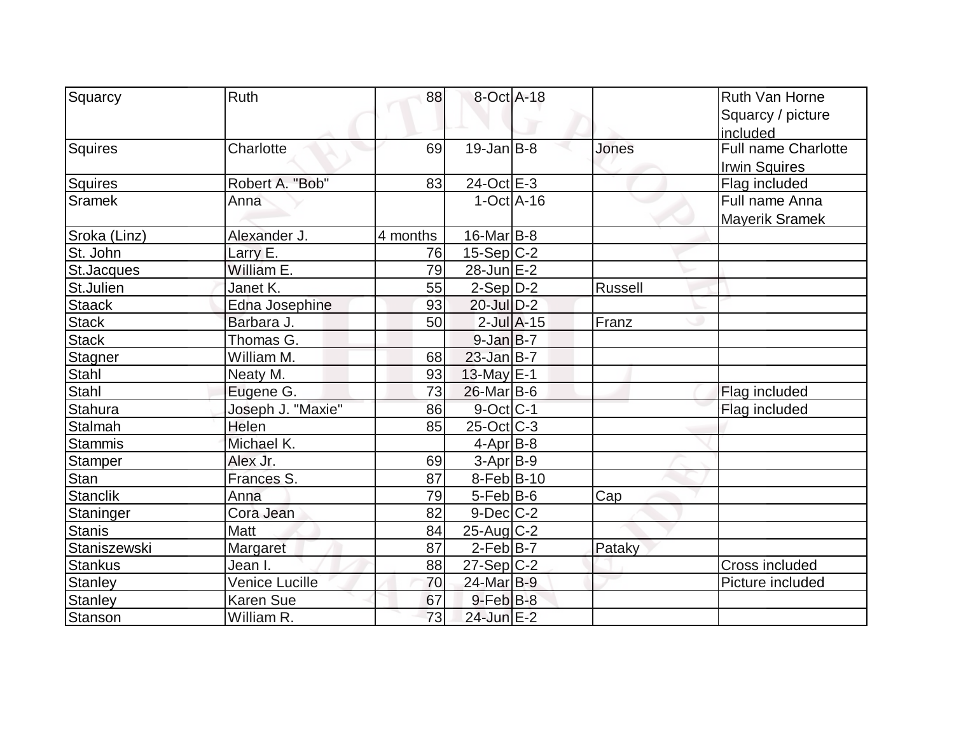| Squarcy         | Ruth              | 88       | 8-Oct A-18        |         | Ruth Van Horne        |
|-----------------|-------------------|----------|-------------------|---------|-----------------------|
|                 |                   |          |                   |         | Squarcy / picture     |
|                 |                   |          |                   |         | included              |
| Squires         | Charlotte         | 69       | $19$ -Jan $ B-8 $ | Jones   | Full name Charlotte   |
|                 |                   |          |                   |         | <b>Irwin Squires</b>  |
| Squires         | Robert A. "Bob"   | 83       | 24-Oct E-3        |         | Flag included         |
| Sramek          | Anna              |          | $1-Oct$ $A-16$    |         | Full name Anna        |
|                 |                   |          |                   |         | Mayerik Sramek        |
| Sroka (Linz)    | Alexander J.      | 4 months | $16$ -Mar $ B-8 $ |         |                       |
| St. John        | Larry E.          | 76       | $15-Sep C-2$      |         |                       |
| St.Jacques      | William E.        | 79       | 28-Jun E-2        |         |                       |
| St.Julien       | Janet K.          | 55       | $2-Sep D-2$       | Russell |                       |
| <b>Staack</b>   | Edna Josephine    | 93       | $20$ -Jul $D-2$   |         |                       |
| <b>Stack</b>    | Barbara J.        | 50       | $2$ -Jul $A-15$   | Franz   |                       |
| Stack           | Thomas G.         |          | $9$ -Jan $B$ -7   |         |                       |
| Stagner         | William M.        | 68       | $23$ -Jan B-7     |         |                       |
| <b>Stahl</b>    | Neaty M.          | 93       | $13$ -May E-1     |         |                       |
| Stahl           | Eugene G.         | 73       | 26-Mar B-6        |         | Flag included         |
| <b>Stahura</b>  | Joseph J. "Maxie" | 86       | $9$ -Oct $ C-1$   |         | Flag included         |
| Stalmah         | Helen             | 85       | $25$ -Oct $ C-3 $ |         |                       |
| <b>Stammis</b>  | Michael K.        |          | $4-Apr$ B-8       |         |                       |
| <b>Stamper</b>  | Alex Jr.          | 69       | $3-Apr$ B-9       |         |                       |
| Stan            | Frances S.        | 87       | $8-Feb B-10$      |         |                       |
| <b>Stanclik</b> | Anna              | 79       | $5$ -Feb $ B$ -6  | Cap     |                       |
| Staninger       | Cora Jean         | 82       | $9$ -Dec $C-2$    |         |                       |
| <b>Stanis</b>   | <b>Matt</b>       | 84       | $25$ -Aug C-2     |         |                       |
| Staniszewski    | <b>Margaret</b>   | 87       | $2-Feb B-7$       | Pataky  |                       |
| <b>Stankus</b>  | Jean I.           | 88       | $27-Sep C-2$      |         | <b>Cross included</b> |
| <b>Stanley</b>  | Venice Lucille    | 70       | 24-Mar B-9        |         | Picture included      |
| <b>Stanley</b>  | <b>Karen Sue</b>  | 67       | $9$ -Feb $B$ -8   |         |                       |
| Stanson         | William R.        | 73       | 24-Jun E-2        |         |                       |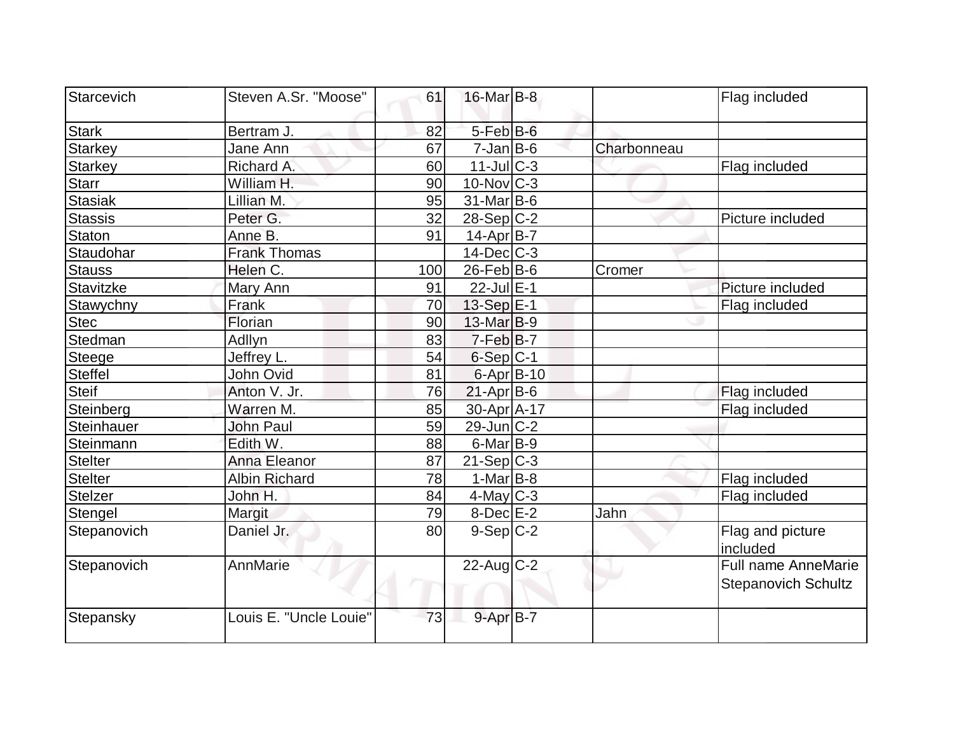| Starcevich     | Steven A.Sr. "Moose"   | 61  | $16$ -Mar $B$ -8  |             | Flag included                                     |
|----------------|------------------------|-----|-------------------|-------------|---------------------------------------------------|
| <b>Stark</b>   | Bertram J.             | 82  | $5-FebB-6$        |             |                                                   |
| <b>Starkey</b> | Jane Ann               | 67  | $7$ -Jan $B$ -6   | Charbonneau |                                                   |
| <b>Starkey</b> | Richard A.             | 60  | $11$ -JulC-3      |             | Flag included                                     |
| <b>Starr</b>   | William H.             | 90  | $10$ -Nov $ C-3 $ |             |                                                   |
| <b>Stasiak</b> | Lillian M.             | 95  | $31$ -Mar $ B-6$  |             |                                                   |
| <b>Stassis</b> | Peter G.               | 32  | 28-Sep C-2        |             | Picture included                                  |
| <b>Staton</b>  | Anne B.                | 91  | 14-Apr B-7        |             |                                                   |
| Staudohar      | <b>Frank Thomas</b>    |     | $14$ -Dec $C$ -3  |             |                                                   |
| <b>Stauss</b>  | Helen C.               | 100 | $26$ -Feb $ B$ -6 | Cromer      |                                                   |
| Stavitzke      | Mary Ann               | 91  | 22-Jul E-1        |             | Picture included                                  |
| Stawychny      | Frank                  | 70  | $13-Sep$ $E-1$    |             | Flag included                                     |
| <b>Stec</b>    | Florian                | 90  | 13-Mar B-9        |             |                                                   |
| Stedman        | Adllyn                 | 83  | $7-Feb$ B-7       |             |                                                   |
| <b>Steege</b>  | Jeffrey L.             | 54  | $6-Sep C-1$       |             |                                                   |
| <b>Steffel</b> | John Ovid              | 81  | 6-Apr B-10        |             |                                                   |
| <b>Steif</b>   | Anton V. Jr.           | 76  | $21-Apr B-6$      |             | Flag included                                     |
| Steinberg      | Warren M.              | 85  | 30-Apr A-17       |             | Flag included                                     |
| Steinhauer     | John Paul              | 59  | $29$ -Jun $C-2$   |             |                                                   |
| Steinmann      | Edith W.               | 88  | $6$ -Mar $B$ -9   |             |                                                   |
| <b>Stelter</b> | Anna Eleanor           | 87  | $21-Sep C-3$      |             |                                                   |
| <b>Stelter</b> | <b>Albin Richard</b>   | 78  | $1-Mar$ B-8       |             | Flag included                                     |
| <b>Stelzer</b> | John H.                | 84  | $4$ -May C-3      |             | Flag included                                     |
| Stengel        | Margit                 | 79  | $8$ -Dec $E-2$    | Jahn        |                                                   |
| Stepanovich    | Daniel Jr.             | 80  | $9-Sep C-2$       |             | Flag and picture<br>included                      |
| Stepanovich    | AnnMarie               |     | $22$ -Aug $C-2$   |             | Full name AnneMarie<br><b>Stepanovich Schultz</b> |
| Stepansky      | Louis E. "Uncle Louie" | 73  | $9 - Apr$ B-7     |             |                                                   |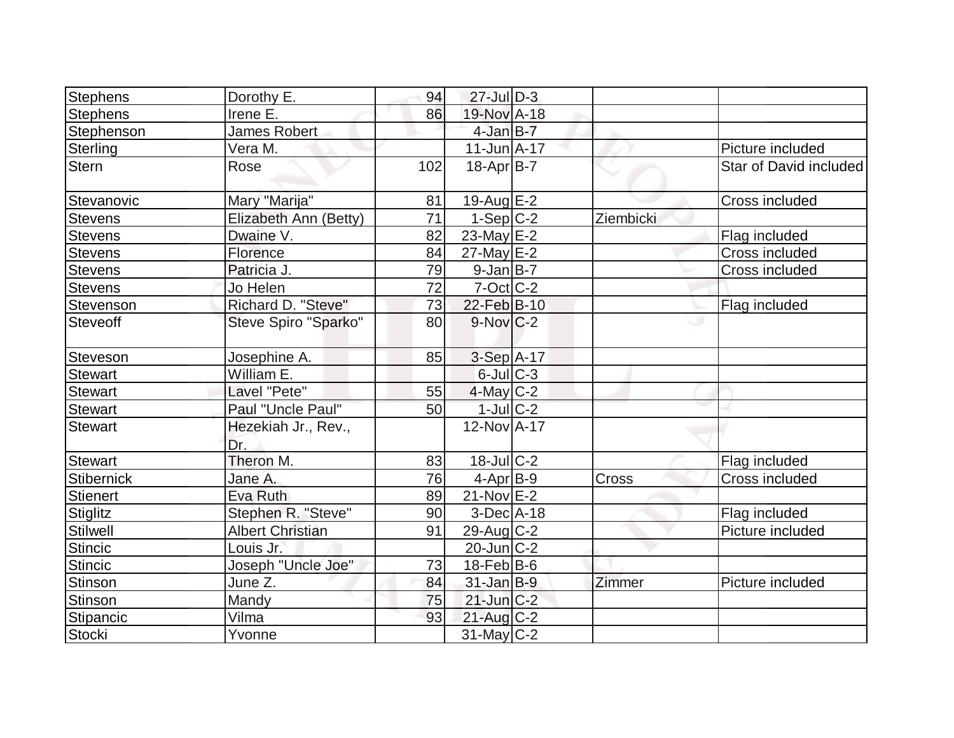| <b>Stephens</b>   | Dorothy E.                 | 94  | $27$ -Jul $D-3$        |           |                        |
|-------------------|----------------------------|-----|------------------------|-----------|------------------------|
| <b>Stephens</b>   | Irene E.                   | 86  | 19-Nov A-18            |           |                        |
| Stephenson        | James Robert               |     | $4$ -Jan $B-7$         |           |                        |
| Sterling          | Vera M.                    |     | $11$ -Jun $A$ -17      |           | Picture included       |
| <b>Stern</b>      | Rose                       | 102 | $18-Apr B-7$           |           | Star of David included |
| Stevanovic        | Mary "Marija"              | 81  | $19$ -Aug $E-2$        |           | Cross included         |
| <b>Stevens</b>    | Elizabeth Ann (Betty)      | 71  | $1-Sep C-2$            | Ziembicki |                        |
| <b>Stevens</b>    | Dwaine V.                  | 82  | $23$ -May E-2          |           | Flag included          |
| <b>Stevens</b>    | Florence                   | 84  | $27$ -May E-2          |           | Cross included         |
| <b>Stevens</b>    | Patricia J.                | 79  | $9$ -Jan B-7           |           | Cross included         |
| <b>Stevens</b>    | Jo Helen                   | 72  | $7-Cct$ $C-2$          |           |                        |
| Stevenson         | Richard D. "Steve"         | 73  | $22$ -Feb $ B-10$      |           | Flag included          |
| <b>Steveoff</b>   | Steve Spiro "Sparko"       | 80  | $9-Nov$ <sub>C-2</sub> |           | ە                      |
| Steveson          | Josephine A.               | 85  | $3-Sep$ A-17           |           |                        |
| <b>Stewart</b>    | William E.                 |     | $6$ -Jul $C$ -3        |           |                        |
| <b>Stewart</b>    | Lavel "Pete"               | 55  | $4$ -May C-2           |           |                        |
| <b>Stewart</b>    | Paul "Uncle Paul"          | 50  | $1$ -Jul $C-2$         |           |                        |
| <b>Stewart</b>    | Hezekiah Jr., Rev.,<br>Dr. |     | 12-Nov A-17            |           |                        |
| <b>Stewart</b>    | Theron M.                  | 83  | $18$ -Jul $C-2$        |           | Flag included          |
| <b>Stibernick</b> | Jane A.                    | 76  | $4-Apr$ B-9            | Cross     | Cross included         |
| <b>Stienert</b>   | Eva Ruth                   | 89  | $21-Nov$ E-2           |           |                        |
| Stiglitz          | Stephen R. "Steve"         | 90  | $3-Dec A-18$           |           | Flag included          |
| Stilwell          | <b>Albert Christian</b>    | 91  | $29$ -Aug C-2          |           | Picture included       |
| <b>Stincic</b>    | Louis Jr.                  |     | $20$ -Jun $C-2$        |           |                        |
| <b>Stincic</b>    | Joseph "Uncle Joe"         | 73  | $18$ -Feb $ B$ -6      |           |                        |
| Stinson           | June Z.                    | 84  | $31$ -Jan B-9          | Zimmer    | Picture included       |
| <b>Stinson</b>    | Mandy                      | 75  | $21$ -Jun $C-2$        |           |                        |
| Stipancic         | Vilma                      | 93  | $21$ -Aug $C-2$        |           |                        |
| Stocki            | Yvonne                     |     | $31$ -May C-2          |           |                        |
|                   |                            |     |                        |           |                        |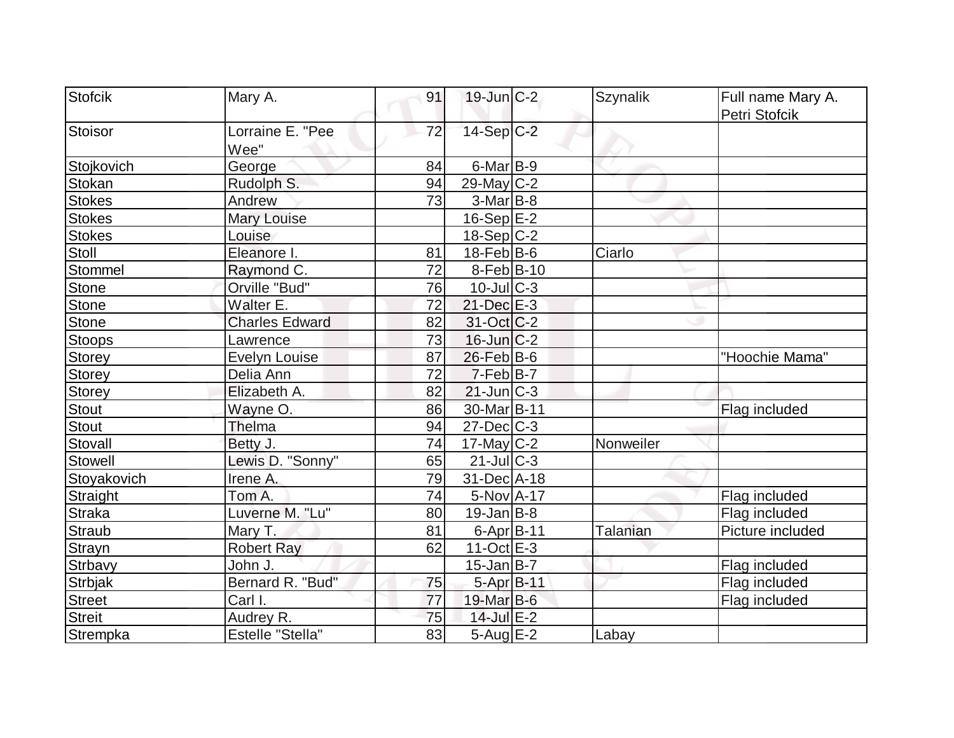| Stofcik        | Mary A.                 | 91 | $19$ -Jun $ C-2 $      | <b>Szynalik</b> | Full name Mary A. |
|----------------|-------------------------|----|------------------------|-----------------|-------------------|
|                |                         |    |                        |                 | Petri Stofcik     |
| Stoisor        | Lorraine E. "Pee        | 72 | 14-Sep C-2             |                 |                   |
|                | Wee"                    |    |                        |                 |                   |
| Stojkovich     | George                  | 84 | $6$ -Mar $B$ -9        |                 |                   |
| Stokan         | Rudolph S.              | 94 | $29$ -May C-2          |                 |                   |
| <b>Stokes</b>  | Andrew                  | 73 | $3-Mar$ B-8            |                 |                   |
| <b>Stokes</b>  | <b>Mary Louise</b>      |    | $16-Sep$ $E-2$         |                 |                   |
| <b>Stokes</b>  | Louise                  |    | $18-Sep C-2$           |                 |                   |
| Stoll          | Eleanore I.             | 81 | $18$ -Feb $ B$ -6      | Ciarlo          |                   |
| Stommel        | Raymond C.              | 72 | $8-Feb B-10$           |                 |                   |
| <b>Stone</b>   | Orville "Bud"           | 76 | $10$ -JulC-3           |                 |                   |
| <b>Stone</b>   | Walter E.               | 72 | $21$ -Dec $E-3$        |                 |                   |
| <b>Stone</b>   | <b>Charles Edward</b>   | 82 | $31-Oct$ $C-2$         |                 |                   |
| <b>Stoops</b>  | Lawrence                | 73 | $16$ -Jun $C-2$        |                 |                   |
| <b>Storey</b>  | <b>Evelyn Louise</b>    | 87 | $26$ -Feb $B$ -6       |                 | "Hoochie Mama"    |
| Storey         | Delia Ann               | 72 | $7-Feb B-7$            |                 |                   |
| <b>Storey</b>  | Elizabeth A.            | 82 | $21$ -Jun $ C-3 $      |                 |                   |
| <b>Stout</b>   | Wayne O.                | 86 | 30-Mar <sub>B-11</sub> |                 | Flag included     |
| <b>Stout</b>   | <b>Thelma</b>           | 94 | $27 - Dec$ C-3         |                 |                   |
| Stovall        | Betty J.                | 74 | $17$ -May C-2          | Nonweiler       |                   |
| <b>Stowell</b> | Lewis D. "Sonny"        | 65 | $21$ -JulC-3           |                 |                   |
| Stoyakovich    | Irene A.                | 79 | 31-Dec A-18            |                 |                   |
| Straight       | Tom A.                  | 74 | 5-Nov A-17             |                 | Flag included     |
| <b>Straka</b>  | Luverne M. "Lu"         | 80 | $19$ -Jan B-8          |                 | Flag included     |
| <b>Straub</b>  | Mary T.                 | 81 | 6-Apr B-11             | <b>Talanian</b> | Picture included  |
| <b>Strayn</b>  | <b>Robert Ray</b>       | 62 | $11-Oct$ $E-3$         |                 |                   |
| Strbavy        | John J.                 |    | $15$ -Jan $ B-7 $      |                 | Flag included     |
| <b>Strbjak</b> | Bernard R. "Bud"        | 75 | 5-Apr B-11             |                 | Flag included     |
| <b>Street</b>  | Carl I.                 | 77 | 19-Mar B-6             |                 | Flag included     |
| <b>Streit</b>  | Audrey R.               | 75 | 14-Jul E-2             |                 |                   |
| Strempka       | <b>Estelle "Stella"</b> | 83 | $5-Aug$ $E-2$          | Labay           |                   |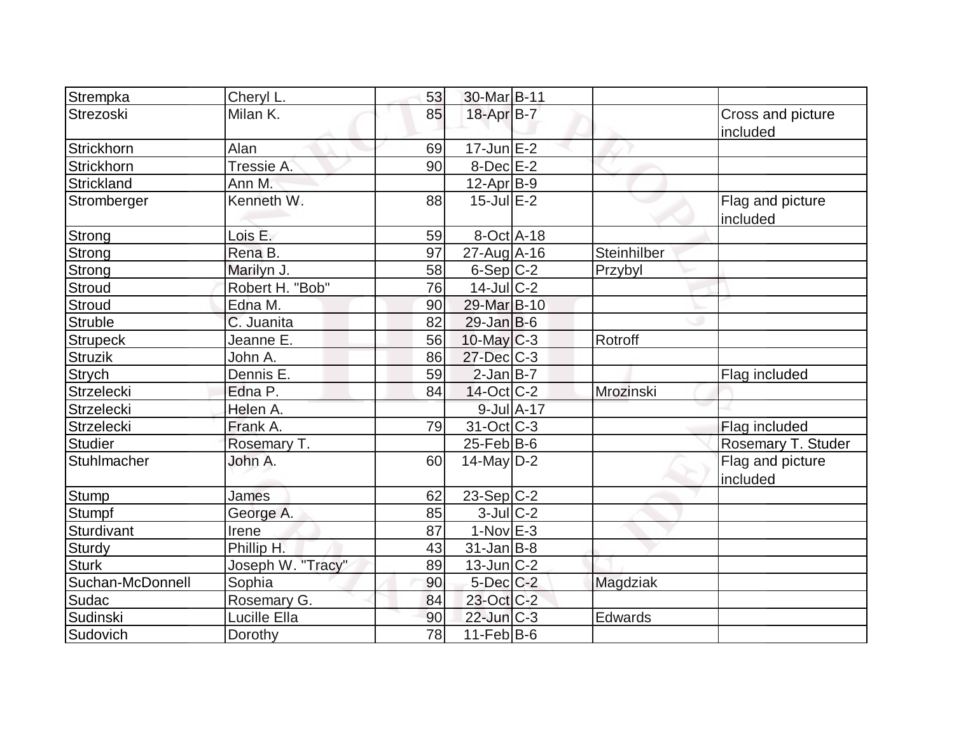| Strempka          | Cheryl L.         | 53 | 30-Mar B-11       |             |                               |
|-------------------|-------------------|----|-------------------|-------------|-------------------------------|
| Strezoski         | Milan K.          | 85 | 18-Apr B-7        |             | Cross and picture<br>included |
| Strickhorn        | Alan              | 69 | $17$ -Jun $E-2$   |             |                               |
| Strickhorn        | Tressie A.        | 90 | $8$ -Dec $E-2$    |             |                               |
| Strickland        | Ann M.            |    | 12-Apr B-9        |             |                               |
| Stromberger       | Kenneth W.        | 88 | $15$ -Jul $E-2$   |             | Flag and picture<br>included  |
| <b>Strong</b>     | Lois E.           | 59 | $8-Oct$ A-18      |             |                               |
| Strong            | Rena B.           | 97 | $27$ -Aug A-16    | Steinhilber |                               |
| <b>Strong</b>     | Marilyn J.        | 58 | $6-Sep C-2$       | Przybyl     |                               |
| <b>Stroud</b>     | Robert H. "Bob"   | 76 | $14$ -Jul $ C-2 $ |             |                               |
| <b>Stroud</b>     | Edna M.           | 90 | 29-Mar B-10       |             |                               |
| <b>Struble</b>    | C. Juanita        | 82 | $29$ -Jan B-6     |             |                               |
| <b>Strupeck</b>   | Jeanne E.         | 56 | $10$ -May $ C-3 $ | Rotroff     |                               |
| <b>Struzik</b>    | John A.           | 86 | 27-Dec C-3        |             |                               |
| <b>Strych</b>     | Dennis E.         | 59 | $2$ -Jan $B$ -7   |             | Flag included                 |
| Strzelecki        | Edna P.           | 84 | $14$ -Oct $ C-2 $ | Mrozinski   |                               |
| <b>Strzelecki</b> | Helen A.          |    | $9$ -Jul $A-17$   |             |                               |
| Strzelecki        | Frank A.          | 79 | $31-Oct$ $C-3$    |             | Flag included                 |
| <b>Studier</b>    | Rosemary T.       |    | $25$ -Feb $ B$ -6 |             | Rosemary T. Studer            |
| Stuhlmacher       | John A.           | 60 | $14$ -May D-2     |             | Flag and picture<br>included  |
| <b>Stump</b>      | James             | 62 | $23-Sep C-2$      |             |                               |
| <b>Stumpf</b>     | George A.         | 85 | $3$ -Jul $C-2$    |             |                               |
| Sturdivant        | Irene             | 87 | $1-Nov$ $E-3$     |             |                               |
| Sturdy            | Phillip H.        | 43 | $31$ -Jan $ B-8 $ |             |                               |
| <b>Sturk</b>      | Joseph W. "Tracy" | 89 | 13-Jun C-2        |             |                               |
| Suchan-McDonnell  | Sophia            | 90 | $5$ -Dec $C$ -2   | Magdziak    |                               |
| Sudac             | Rosemary G.       | 84 | 23-Oct C-2        |             |                               |
| Sudinski          | Lucille Ella      | 90 | 22-Jun C-3        | Edwards     |                               |
| Sudovich          | Dorothy           | 78 | $11-Feb B-6$      |             |                               |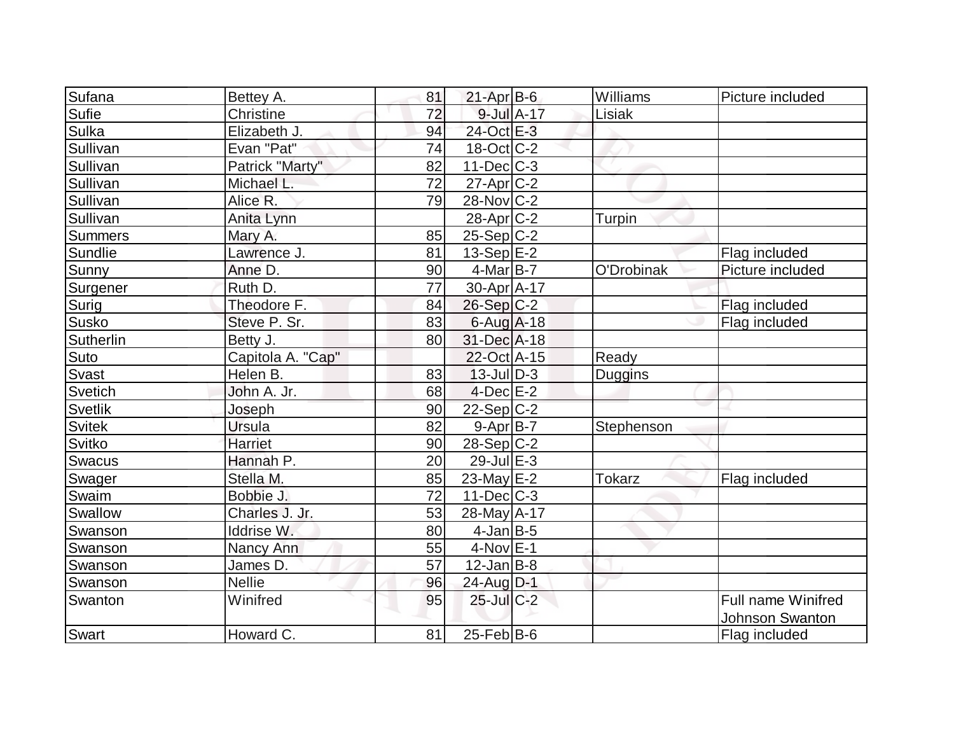| Sufana         | Bettey A.         | 81 | $21-Apr$ B-6             | Williams      | Picture included   |
|----------------|-------------------|----|--------------------------|---------------|--------------------|
| Sufie          | Christine         | 72 | 9-Jul A-17               | Lisiak        |                    |
| Sulka          | Elizabeth J.      | 94 | 24-Oct E-3               |               |                    |
| Sullivan       | Evan "Pat"        | 74 | $18-Oct$ <sub>C</sub> -2 |               |                    |
| Sullivan       | Patrick "Marty"   | 82 | $11$ -Dec $C$ -3         |               |                    |
| Sullivan       | Michael L.        | 72 | $27$ -Apr $C-2$          |               |                    |
| Sullivan       | Alice R.          | 79 | $28$ -Nov $ C-2 $        |               |                    |
| Sullivan       | Anita Lynn        |    | $28$ -Apr $C-2$          | Turpin        |                    |
| <b>Summers</b> | Mary A.           | 85 | $25-Sep C-2$             |               |                    |
| Sundlie        | Lawrence J.       | 81 | $13-Sep$ $E-2$           |               | Flag included      |
| Sunny          | Anne D.           | 90 | $4$ -Mar $ B-7 $         | O'Drobinak    | Picture included   |
| Surgener       | Ruth D.           | 77 | $30$ -Apr $ A-17$        |               |                    |
| Surig          | Theodore F.       | 84 | $26-Sep C-2$             |               | Flag included      |
| <b>Susko</b>   | Steve P. Sr.      | 83 | $6$ -Aug $A$ -18         |               | Flag included      |
| Sutherlin      | Betty J.          | 80 | 31-Dec A-18              |               |                    |
| Suto           | Capitola A. "Cap" |    | 22-Oct A-15              | Ready         |                    |
| <b>Svast</b>   | Helen B.          | 83 | $13$ -JulD-3             | Duggins       |                    |
| Svetich        | John A. Jr.       | 68 | $4$ -Dec $E-2$           |               |                    |
| <b>Svetlik</b> | Joseph            | 90 | $22-Sep C-2$             |               |                    |
| <b>Svitek</b>  | Ursula            | 82 | $9 - Apr$ B-7            | Stephenson    |                    |
| Svitko         | Harriet           | 90 | $28-Sep C-2$             |               |                    |
| <b>Swacus</b>  | Hannah P.         | 20 | $29$ -Jul $E-3$          |               |                    |
| Swager         | Stella M.         | 85 | $23$ -May $E-2$          | <b>Tokarz</b> | Flag included      |
| Swaim          | Bobbie J.         | 72 | $11$ -Dec $ C-3 $        |               |                    |
| Swallow        | Charles J. Jr.    | 53 | 28-May A-17              |               |                    |
| Swanson        | Iddrise W.        | 80 | $4$ -Jan $B$ -5          |               |                    |
| Swanson        | Nancy Ann         | 55 | $4$ -Nov $E-1$           |               |                    |
| Swanson        | James D.          | 57 | $12$ -Jan $ B-8 $        |               |                    |
| <b>Swanson</b> | <b>Nellie</b>     | 96 | 24-Aug D-1               |               |                    |
| Swanton        | Winifred          | 95 | $25$ -Jul $C-2$          |               | Full name Winifred |
|                |                   |    |                          |               | Johnson Swanton    |
| Swart          | Howard C.         | 81 | $25$ -Feb $ B$ -6        |               | Flag included      |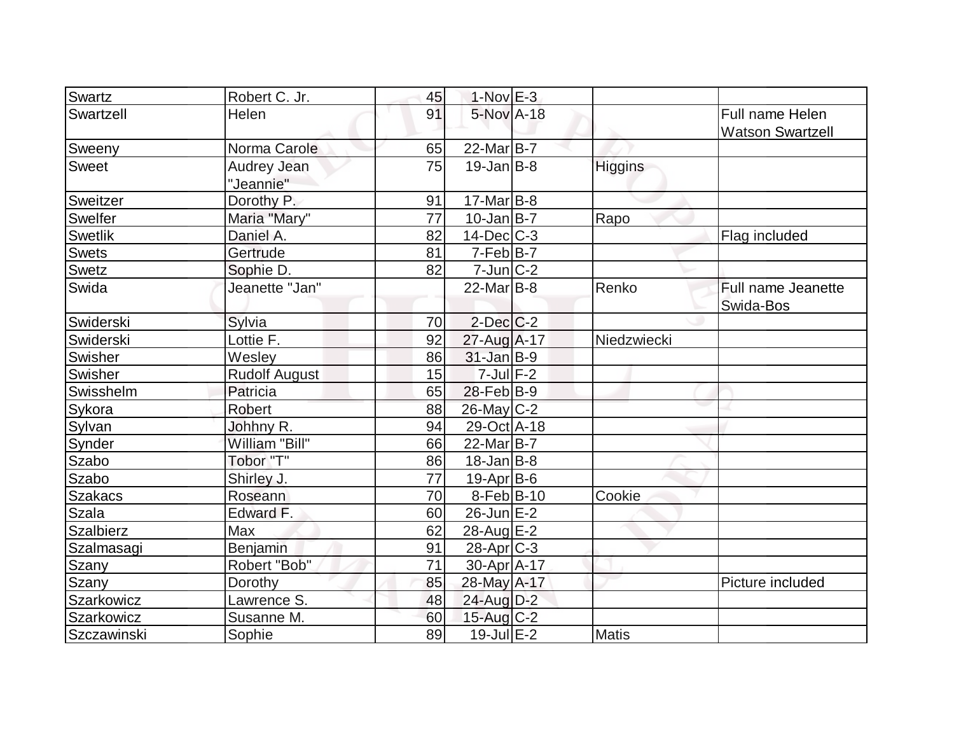| Swartz           | Robert C. Jr.                   | 45 | $1-Nov$ E-3       |                |                                            |
|------------------|---------------------------------|----|-------------------|----------------|--------------------------------------------|
| Swartzell        | Helen                           | 91 | 5-Nov A-18        |                | Full name Helen<br><b>Watson Swartzell</b> |
| Sweeny           | Norma Carole                    | 65 | $22$ -Mar $ B-7 $ |                |                                            |
| <b>Sweet</b>     | <b>Audrey Jean</b><br>"Jeannie" | 75 | $19$ -Jan $ B-8 $ | <b>Higgins</b> |                                            |
| Sweitzer         | Dorothy P.                      | 91 | $17$ -Mar $ B-8 $ |                |                                            |
| Swelfer          | Maria "Mary"                    | 77 | $10$ -Jan $ B-7 $ | Rapo           |                                            |
| <b>Swetlik</b>   | Daniel A.                       | 82 | $14$ -Dec $ C-3 $ |                | Flag included                              |
| <b>Swets</b>     | Gertrude                        | 81 | $7-Feb B-7$       |                |                                            |
| Swetz            | Sophie D.                       | 82 | $7$ -Jun $ C-2 $  |                |                                            |
| Swida            | Jeanette "Jan"                  |    | $22$ -Mar $ B-8 $ | Renko          | Full name Jeanette<br>Swida-Bos            |
| Swiderski        | Sylvia                          | 70 | $2$ -Dec $C$ -2   |                |                                            |
| Swiderski        | Lottie F.                       | 92 | 27-Aug A-17       | Niedzwiecki    |                                            |
| <b>Swisher</b>   | Wesley                          | 86 | $31$ -Jan B-9     |                |                                            |
| Swisher          | <b>Rudolf August</b>            | 15 | $7$ -Jul $F-2$    |                |                                            |
| Swisshelm        | Patricia                        | 65 | $28$ -Feb $ B-9 $ |                |                                            |
| Sykora           | Robert                          | 88 | $26$ -May $ C-2 $ |                |                                            |
| Sylvan           | Johhny R.                       | 94 | 29-Oct A-18       |                |                                            |
| Synder           | William "Bill"                  | 66 | 22-Mar B-7        |                |                                            |
| Szabo            | Tobor "T"                       | 86 | $18$ -Jan B-8     |                |                                            |
| Szabo            | Shirley J.                      | 77 | $19-Apr$ B-6      |                |                                            |
| <b>Szakacs</b>   | Roseann                         | 70 | $8-Feb B-10$      | Cookie         |                                            |
| <b>Szala</b>     | Edward F.                       | 60 | $26$ -Jun $E-2$   |                |                                            |
| <b>Szalbierz</b> | Max                             | 62 | $28$ -Aug $E-2$   |                |                                            |
| Szalmasagi       | Benjamin                        | 91 | $28-Apr$ $C-3$    |                |                                            |
| Szany            | Robert "Bob"                    | 71 | 30-Apr A-17       |                |                                            |
| Szany            | Dorothy                         | 85 | 28-May A-17       |                | Picture included                           |
| Szarkowicz       | Lawrence S.                     | 48 | $24$ -Aug $D-2$   |                |                                            |
| Szarkowicz       | Susanne M.                      | 60 | $15$ -Aug C-2     |                |                                            |
| Szczawinski      | Sophie                          | 89 | $19$ -Jul $E-2$   | Matis          |                                            |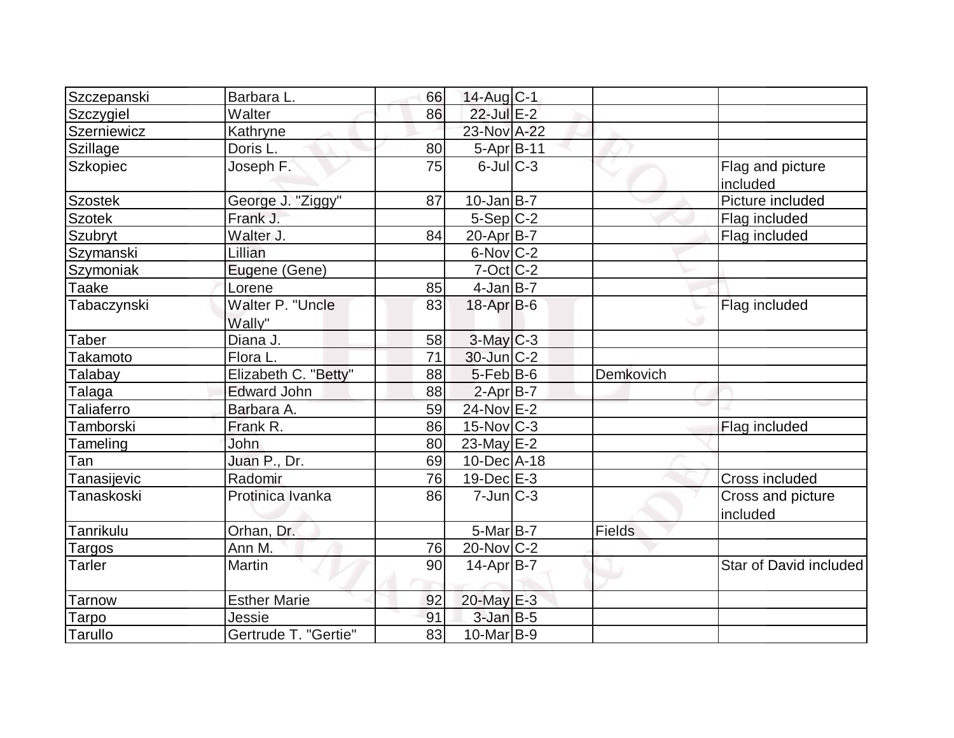| Szczepanski       | Barbara L.                 | 66 | $14$ -Aug C-1     |           |                               |
|-------------------|----------------------------|----|-------------------|-----------|-------------------------------|
| Szczygiel         | Walter                     | 86 | 22-Jul E-2        |           |                               |
| Szerniewicz       | Kathryne                   |    | 23-Nov A-22       |           |                               |
| Szillage          | Doris L.                   | 80 | 5-Apr B-11        |           |                               |
| Szkopiec          | Joseph F.                  | 75 | $6$ -Jul $C$ -3   |           | Flag and picture<br>included  |
| <b>Szostek</b>    | George J. "Ziggy"          | 87 | $10$ -Jan B-7     |           | Picture included              |
| <b>Szotek</b>     | Frank J.                   |    | $5-Sep C-2$       |           | Flag included                 |
| Szubryt           | Walter J.                  | 84 | 20-Apr B-7        |           | Flag included                 |
| Szymanski         | Lillian                    |    | $6$ -Nov $ C-2 $  |           |                               |
| Szymoniak         | Eugene (Gene)              |    | $7$ -Oct $ C$ -2  |           |                               |
| Taake             | Lorene                     | 85 | $4-Jan$ B-7       |           |                               |
| Tabaczynski       | Walter P. "Uncle<br>Wally" | 83 | $18$ -Apr $B$ -6  |           | Flag included                 |
| <b>Taber</b>      | Diana J.                   | 58 | $3$ -May $C-3$    |           |                               |
| Takamoto          | Flora L.                   | 71 | 30-Jun C-2        |           |                               |
| <b>Talabay</b>    | Elizabeth C. "Betty"       | 88 | $5$ -Feb $B$ -6   | Demkovich |                               |
| Talaga            | Edward John                | 88 | $2-Apr$ B-7       |           |                               |
| <b>Taliaferro</b> | Barbara A.                 | 59 | $24$ -Nov $E$ -2  |           |                               |
| <b>Tamborski</b>  | Frank R.                   | 86 | $15$ -Nov $C-3$   |           | Flag included                 |
| Tameling          | John                       | 80 | $23$ -May $E-2$   |           |                               |
| Tan               | Juan P., Dr.               | 69 | $10$ -Dec $ A-18$ |           |                               |
| Tanasijevic       | Radomir                    | 76 | $19$ -Dec $E-3$   |           | Cross included                |
| Tanaskoski        | Protinica Ivanka           | 86 | $7$ -Jun $ C-3 $  |           | Cross and picture<br>included |
| <b>Tanrikulu</b>  | Orhan, Dr.                 |    | $5$ -Mar $B$ -7   | Fields    |                               |
| Targos            | Ann M.                     | 76 | 20-Nov C-2        |           |                               |
| Tarler            | Martin                     | 90 | $14$ -Apr $ B-7 $ |           | Star of David included        |
| <b>Tarnow</b>     | <b>Esther Marie</b>        | 92 | 20-May E-3        |           |                               |
| Tarpo             | Jessie                     | 91 | $3$ -Jan B-5      |           |                               |
| Tarullo           | Gertrude T. "Gertie"       | 83 | $10$ -Mar $ B-9 $ |           |                               |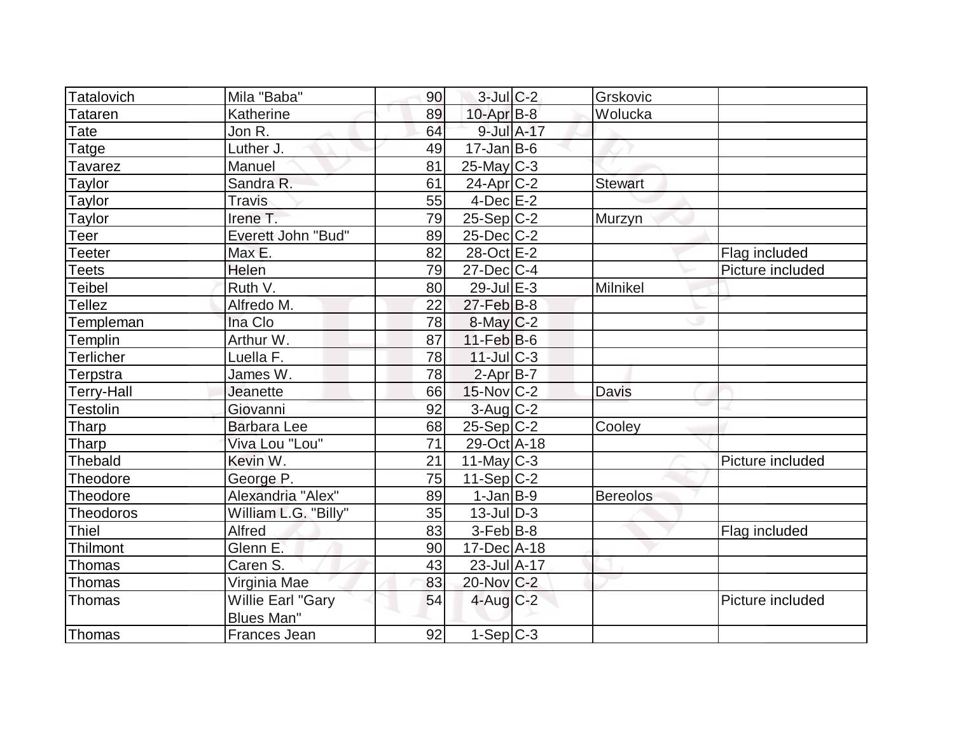| Tatalovich       | Mila "Baba"               | 90 | $3$ -Jul $C-2$    | Grskovic        |                  |
|------------------|---------------------------|----|-------------------|-----------------|------------------|
| Tataren          | Katherine                 | 89 | $10$ -Apr $B$ -8  | Wolucka         |                  |
| Tate             | Jon R.                    | 64 | 9-Jul A-17        |                 |                  |
| Tatge            | Luther J.                 | 49 | $17 - Jan$ B-6    |                 |                  |
| Tavarez          | Manuel                    | 81 | $25$ -May $C-3$   |                 |                  |
| Taylor           | Sandra R.                 | 61 | $24$ -Apr $C-2$   | <b>Stewart</b>  |                  |
| Taylor           | <b>Travis</b>             | 55 | $4$ -Dec $E-2$    |                 |                  |
| Taylor           | Irene T.                  | 79 | $25-Sep C-2$      | Murzyn          |                  |
| Teer             | <b>Everett John "Bud"</b> | 89 | $25$ -Dec $ C-2 $ |                 |                  |
| Teeter           | Max E.                    | 82 | 28-Oct E-2        |                 | Flag included    |
| Teets            | Helen                     | 79 | $27 - Dec$ C-4    |                 | Picture included |
| <b>Teibel</b>    | Ruth V.                   | 80 | $29$ -Jul $E-3$   | Milnikel        |                  |
| Tellez           | Alfredo M.                | 22 | $27$ -Feb $B$ -8  |                 |                  |
| Templeman        | Ina Clo                   | 78 | $8$ -May $C$ -2   |                 |                  |
| <b>Templin</b>   | Arthur W.                 | 87 | $11-Feb B-6$      |                 |                  |
| <b>Terlicher</b> | Luella F.                 | 78 | $11$ -JulC-3      |                 |                  |
| Terpstra         | James W.                  | 78 | $2-Apr B-7$       |                 |                  |
| Terry-Hall       | Jeanette                  | 66 | $15$ -Nov $ C-2 $ | <b>Davis</b>    |                  |
| Testolin         | Giovanni                  | 92 | 3-Aug C-2         |                 |                  |
| Tharp            | <b>Barbara Lee</b>        | 68 | $25-Sep C-2$      | Cooley          |                  |
| Tharp            | Viva Lou "Lou"            | 71 | 29-Oct A-18       |                 |                  |
| <b>Thebald</b>   | Kevin W.                  | 21 | $11$ -May C-3     |                 | Picture included |
| Theodore         | George P.                 | 75 | $11-Sep C-2$      |                 |                  |
| Theodore         | Alexandria "Alex"         | 89 | $1-Jan$ B-9       | <b>Bereolos</b> |                  |
| Theodoros        | William L.G. "Billy"      | 35 | $13$ -JulD-3      |                 |                  |
| <b>Thiel</b>     | Alfred                    | 83 | $3-Feb B-8$       |                 | Flag included    |
| Thilmont         | Glenn E.                  | 90 | 17-Dec A-18       |                 |                  |
| <b>Thomas</b>    | Caren S.                  | 43 | $23$ -Jul $A-17$  |                 |                  |
| Thomas           | Virginia Mae              | 83 | 20-Nov C-2        |                 |                  |
| Thomas           | Willie Earl "Gary         | 54 | $4$ -Aug $C-2$    |                 | Picture included |
|                  | <b>Blues Man"</b>         |    |                   |                 |                  |
| Thomas           | Frances Jean              | 92 | $1-Sep C-3$       |                 |                  |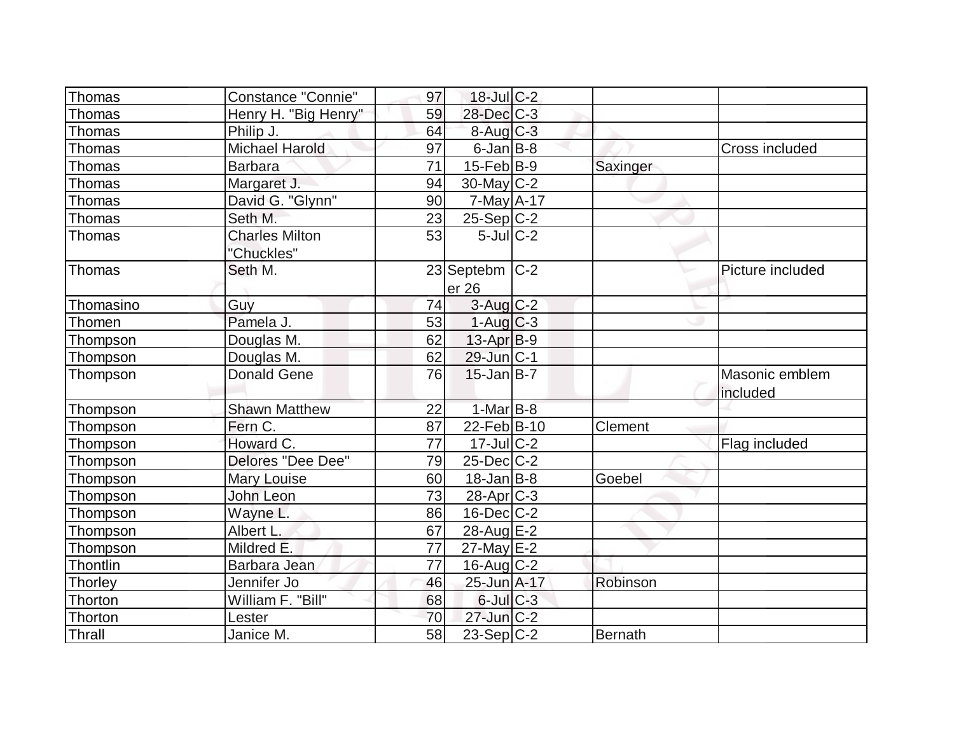| Thomas    | <b>Constance "Connie"</b> | 97 | $18$ -Jul C-2     |          |                       |
|-----------|---------------------------|----|-------------------|----------|-----------------------|
| Thomas    | Henry H. "Big Henry"      | 59 | $28$ -Dec $C-3$   |          |                       |
| Thomas    | Philip J.                 | 64 | $8$ -Aug $C-3$    |          |                       |
| Thomas    | Michael Harold            | 97 | $6$ -Jan $B$ -8   |          | <b>Cross included</b> |
| Thomas    | <b>Barbara</b>            | 71 | $15$ -Feb $B$ -9  | Saxinger |                       |
| Thomas    | Margaret J.               | 94 | $30$ -May $ C-2 $ |          |                       |
| Thomas    | David G. "Glynn"          | 90 | 7-May A-17        |          |                       |
| Thomas    | Seth M.                   | 23 | $25-Sep C-2$      |          |                       |
| Thomas    | <b>Charles Milton</b>     | 53 | $5$ -Jul $C-2$    |          |                       |
|           | "Chuckles"                |    |                   |          |                       |
| Thomas    | Seth M.                   |    | 23 Septebm C-2    |          | Picture included      |
|           |                           |    | er 26             |          |                       |
| Thomasino | Guy                       | 74 | $3$ -Aug $C-2$    |          |                       |
| Thomen    | Pamela J.                 | 53 | $1-Aug$ $C-3$     |          |                       |
| Thompson  | Douglas M.                | 62 | $13$ -Apr $ B-9 $ |          |                       |
| Thompson  | Douglas M.                | 62 | $29$ -Jun $ C-1 $ |          |                       |
| Thompson  | <b>Donald Gene</b>        | 76 | $15$ -Jan $ B-7 $ |          | Masonic emblem        |
|           |                           |    |                   |          | included              |
| Thompson  | <b>Shawn Matthew</b>      | 22 | $1-MarB-8$        |          |                       |
| Thompson  | Fern C.                   | 87 | 22-Feb B-10       | Clement  |                       |
| Thompson  | Howard C.                 | 77 | $17$ -Jul $C-2$   |          | Flag included         |
| Thompson  | Delores "Dee Dee"         | 79 | $25$ -Dec $ C-2 $ |          |                       |
| Thompson  | <b>Mary Louise</b>        | 60 | $18$ -Jan B-8     | Goebel   |                       |
| Thompson  | John Leon                 | 73 | $28$ -Apr $ C-3 $ |          |                       |
| Thompson  | Wayne L.                  | 86 | $16$ -Dec $C$ -2  |          |                       |
| Thompson  | Albert L.                 | 67 | 28-Aug E-2        |          |                       |
| Thompson  | Mildred E.                | 77 | $27$ -May $E-2$   |          |                       |
| Thontlin  | Barbara Jean              | 77 | $16$ -Aug $C-2$   |          |                       |
| Thorley   | Jennifer Jo               | 46 | 25-Jun A-17       | Robinson |                       |
| Thorton   | William F. "Bill"         | 68 | $6$ -Jul $C$ -3   |          |                       |
| Thorton   | Lester                    | 70 | $27$ -Jun $C-2$   |          |                       |
| Thrall    | Janice M.                 | 58 | $23-Sep C-2$      | Bernath  |                       |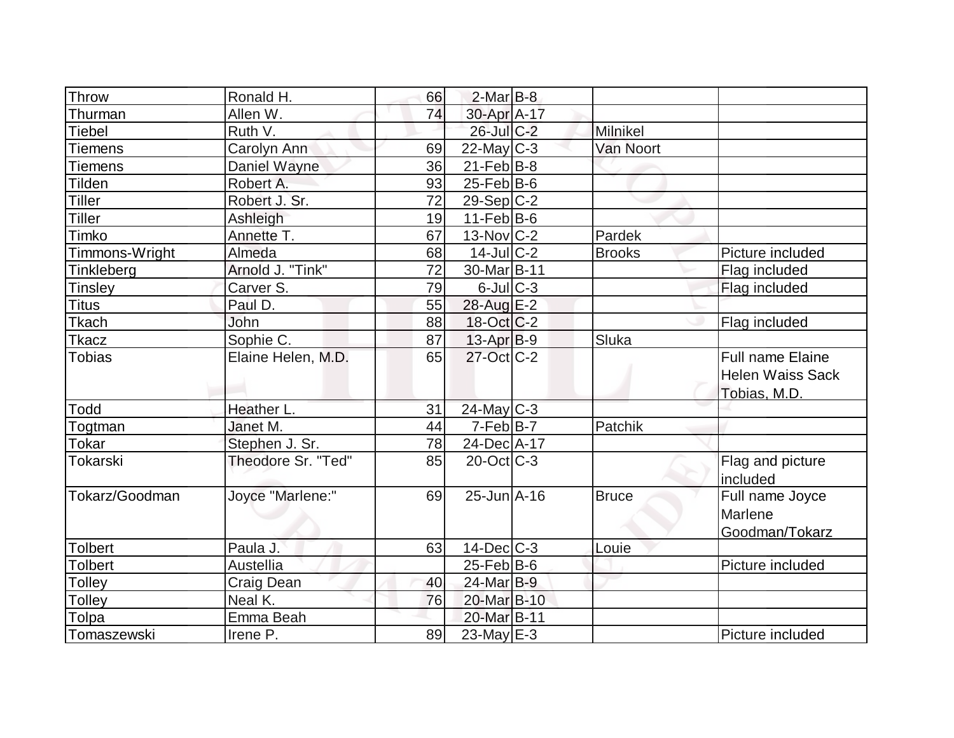| Throw                    | Ronald H.          | 66 | $2$ -Mar $B-8$                 |               |                                                                    |
|--------------------------|--------------------|----|--------------------------------|---------------|--------------------------------------------------------------------|
|                          | Allen W.           | 74 |                                |               |                                                                    |
| Thurman<br><b>Tiebel</b> | Ruth V.            |    | 30-Apr A-17<br>$26$ -Jul $C-2$ | Milnikel      |                                                                    |
|                          |                    |    |                                |               |                                                                    |
| <b>Tiemens</b>           | Carolyn Ann        | 69 | $22$ -May C-3                  | Van Noort     |                                                                    |
| <b>Tiemens</b>           | Daniel Wayne       | 36 | $21$ -Feb $ B-8 $              |               |                                                                    |
| <b>Tilden</b>            | Robert A.          | 93 | $25$ -Feb $ B$ -6              |               |                                                                    |
| <b>Tiller</b>            | Robert J. Sr.      | 72 | $29-Sep C-2$                   |               |                                                                    |
| Tiller                   | Ashleigh           | 19 | $11-Feb B-6$                   |               |                                                                    |
| Timko                    | Annette T.         | 67 | $13$ -Nov $ C-2 $              | Pardek        |                                                                    |
| Timmons-Wright           | Almeda             | 68 | $14$ -JulC-2                   | <b>Brooks</b> | Picture included                                                   |
| Tinkleberg               | Arnold J. "Tink"   | 72 | 30-Mar B-11                    |               | Flag included                                                      |
| Tinsley                  | Carver S.          | 79 | $6$ -Jul $C$ -3                |               | Flag included                                                      |
| <b>Titus</b>             | Paul D.            | 55 | 28-Aug E-2                     |               |                                                                    |
| Tkach                    | John               | 88 | 18-Oct C-2                     |               | Flag included                                                      |
| Tkacz                    | Sophie C.          | 87 | $13-Apr B-9$                   | Sluka         |                                                                    |
| <b>Tobias</b>            | Elaine Helen, M.D. | 65 | $27$ -Oct $C-2$                |               | <b>Full name Elaine</b><br><b>Helen Waiss Sack</b><br>Tobias, M.D. |
| Todd                     | Heather L.         | 31 | 24-May C-3                     |               |                                                                    |
| Togtman                  | Janet M.           | 44 | $7-Feb B-7$                    | Patchik       |                                                                    |
| Tokar                    | Stephen J. Sr.     | 78 | 24-Dec A-17                    |               |                                                                    |
| Tokarski                 | Theodore Sr. "Ted" | 85 | $20$ -Oct C-3                  |               | Flag and picture<br>included                                       |
| Tokarz/Goodman           | Joyce "Marlene:"   | 69 | $25$ -Jun $A$ -16              | <b>Bruce</b>  | Full name Joyce<br>Marlene<br>Goodman/Tokarz                       |
| <b>Tolbert</b>           | Paula J.           | 63 | $14$ -Dec $C-3$                | Louie         |                                                                    |
| <b>Tolbert</b>           | Austellia          |    | $25$ -Feb $ B$ -6              |               | Picture included                                                   |
| Tolley                   | <b>Craig Dean</b>  | 40 | $24$ -Mar $B-9$                |               |                                                                    |
| Tolley                   | Neal K.            | 76 | 20-Mar B-10                    |               |                                                                    |
| Tolpa                    | Emma Beah          |    | 20-Mar B-11                    |               |                                                                    |
| Tomaszewski              | Irene P.           | 89 | $23$ -May $E-3$                |               | Picture included                                                   |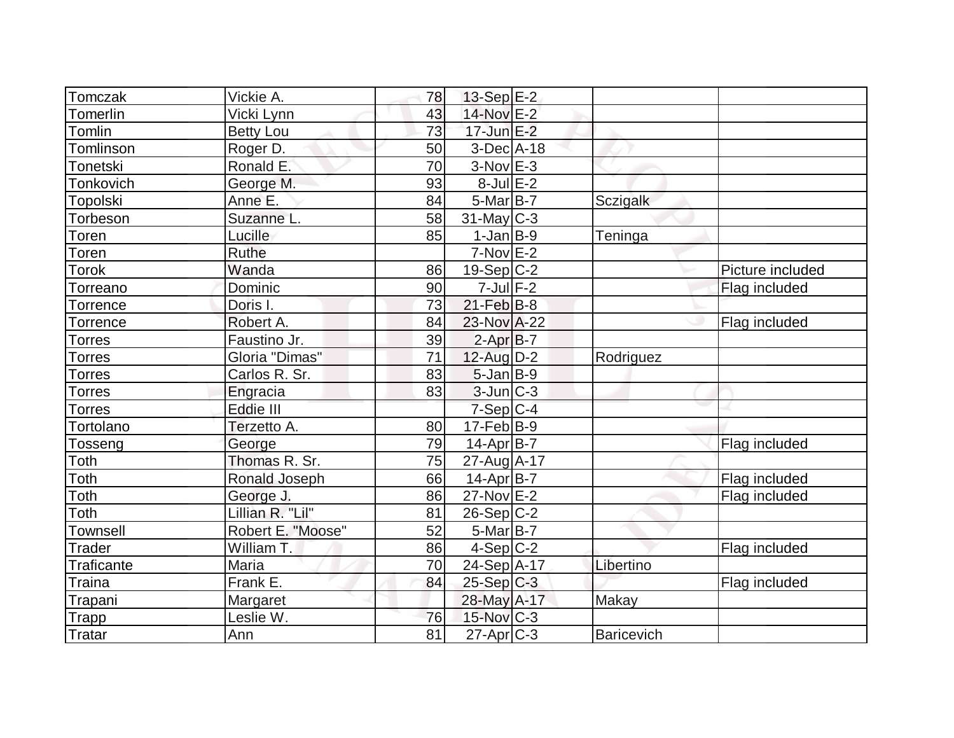| Tomczak           | Vickie A.         | 78              | 13-Sep E-2        |                 |                  |
|-------------------|-------------------|-----------------|-------------------|-----------------|------------------|
| Tomerlin          | Vicki Lynn        | 43              | 14-Nov E-2        |                 |                  |
| Tomlin            | <b>Betty Lou</b>  | 73              | $17$ -Jun $E-2$   |                 |                  |
| Tomlinson         | Roger D.          | 50              | $3-Dec A-18$      |                 |                  |
| Tonetski          | Ronald E.         | 70              | $3-Nov$ E-3       |                 |                  |
| Tonkovich         | George M.         | 93              | $8$ -Jul $E-2$    |                 |                  |
| Topolski          | Anne E.           | 84              | $5$ -Mar $B$ -7   | <b>Sczigalk</b> |                  |
| Torbeson          | Suzanne L.        | 58              | $31$ -May C-3     |                 |                  |
| Toren             | Lucille           | 85              | $1-Jan$ B-9       | Teninga         |                  |
| Toren             | <b>Ruthe</b>      |                 | $7-Nov$ $E-2$     |                 |                  |
| Torok             | Wanda             | 86              | $19-Sep C-2$      |                 | Picture included |
| Torreano          | Dominic           | 90              | $7$ -Jul $F-2$    |                 | Flag included    |
| Torrence          | Doris I.          | 73              | $21$ -Feb $ B-8$  |                 |                  |
| Torrence          | Robert A.         | 84              | 23-Nov A-22       |                 | Flag included    |
| Torres            | Faustino Jr.      | 39              | $2-AprB-7$        |                 |                  |
| Torres            | Gloria "Dimas"    | 71              | 12-Aug D-2        | Rodriguez       |                  |
| Torres            | Carlos R. Sr.     | 83              | $5$ -Jan $B-9$    |                 |                  |
| <b>Torres</b>     | Engracia          | 83              | $3$ -Jun $ C-3 $  |                 |                  |
| Torres            | Eddie III         |                 | $7-Sep$ $C-4$     |                 |                  |
| Tortolano         | Terzetto A.       | 80              | $17-Feb$ B-9      |                 |                  |
| Tosseng           | George            | 79              | $14$ -Apr $ B-7 $ |                 | Flag included    |
| Toth              | Thomas R. Sr.     | 75              | 27-Aug A-17       |                 |                  |
| Toth              | Ronald Joseph     | 66              | $14$ -Apr $ B-7 $ |                 | Flag included    |
| Toth              | George J.         | 86              | $27$ -Nov $E-2$   |                 | Flag included    |
| Toth              | Lillian R. "Lil"  | 81              | $26-Sep C-2$      |                 |                  |
| <b>Townsell</b>   | Robert E. "Moose" | 52              | $5-Mar$ B-7       |                 |                  |
| <b>Trader</b>     | William T.        | 86              | $4-Sep C-2$       |                 | Flag included    |
| <b>Traficante</b> | Maria             | 70              | 24-Sep A-17       | Libertino       |                  |
| <b>Traina</b>     | Frank E.          | 84              | $25-Sep$ C-3      |                 | Flag included    |
| Trapani           | Margaret          |                 | 28-May A-17       | Makay           |                  |
| <b>Trapp</b>      | Leslie W.         | 76              | $15$ -Nov $C-3$   |                 |                  |
| Tratar            | Ann               | $\overline{81}$ | $27$ -Apr $C-3$   | Baricevich      |                  |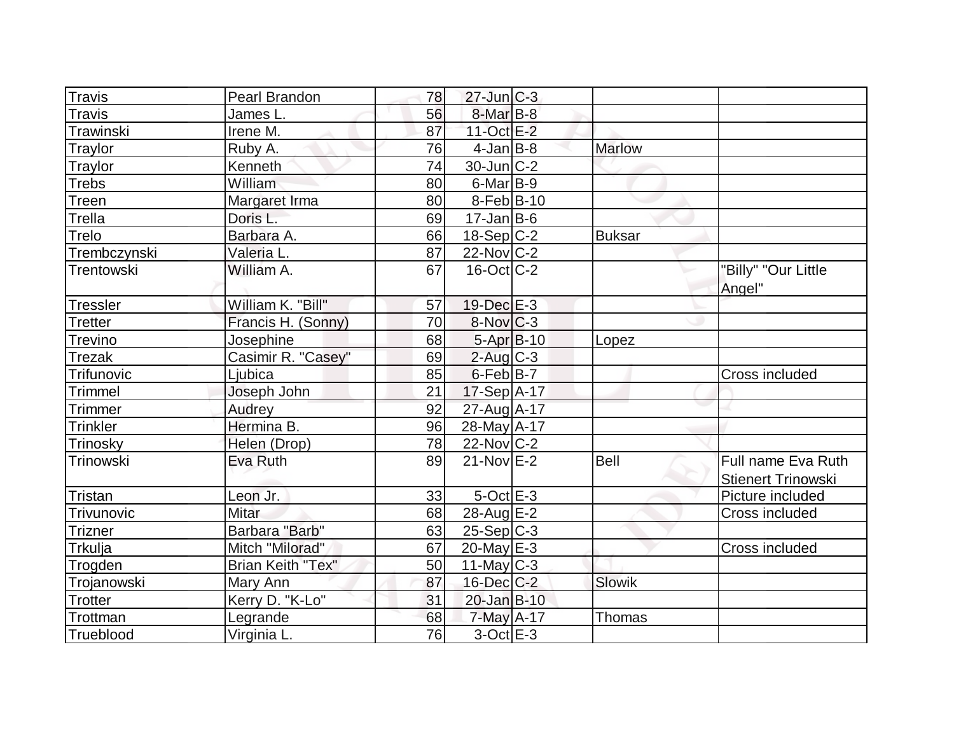| <b>Travis</b>   | Pearl Brandon            | 78 | $27$ -Jun $ C-3 $      |               |                                                 |
|-----------------|--------------------------|----|------------------------|---------------|-------------------------------------------------|
| <b>Travis</b>   | James L.                 | 56 | 8-Mar B-8              |               |                                                 |
| Trawinski       | Irene M.                 | 87 | 11-Oct E-2             |               |                                                 |
| Traylor         | Ruby A.                  | 76 | $4$ -Jan $B$ -8        | <b>Marlow</b> |                                                 |
| Traylor         | Kenneth                  | 74 | $30$ -Jun $ C-2 $      |               |                                                 |
| <b>Trebs</b>    | William                  | 80 | $6$ -Mar $ B-9 $       |               |                                                 |
| Treen           | Margaret Irma            | 80 | $8-Feb B-10$           |               |                                                 |
| Trella          | Doris L.                 | 69 | $17 - Jan$ B-6         |               |                                                 |
| Trelo           | Barbara A.               | 66 | $18-Sep C-2$           | <b>Buksar</b> |                                                 |
| Trembczynski    | Valeria L.               | 87 | $22$ -Nov $ C-2 $      |               |                                                 |
| Trentowski      | William A.               | 67 | $16$ -Oct $ C-2 $      |               | "Billy" "Our Little<br>Angel"                   |
| <b>Tressler</b> | William K. "Bill"        | 57 | 19-Dec E-3             |               |                                                 |
| Tretter         | Francis H. (Sonny)       | 70 | $8-Nov$ <sub>C-3</sub> |               |                                                 |
| <b>Trevino</b>  | Josephine                | 68 | $5 - Apr$ $B-10$       | Lopez         |                                                 |
| <b>Trezak</b>   | Casimir R. "Casey"       | 69 | $2$ -Aug $C-3$         |               |                                                 |
| Trifunovic      | -jubica                  | 85 | $6$ -Feb $ B-7 $       |               | Cross included                                  |
| Trimmel         | Joseph John              | 21 | $17-Sep$ A-17          |               |                                                 |
| Trimmer         | Audrey                   | 92 | 27-Aug A-17            |               |                                                 |
| <b>Trinkler</b> | Hermina B.               | 96 | $28$ -May $A$ -17      |               |                                                 |
| Trinosky        | Helen (Drop)             | 78 | $22$ -Nov $ C-2 $      |               |                                                 |
| Trinowski       | Eva Ruth                 | 89 | $21-Nov$ E-2           | Bell          | Full name Eva Ruth<br><b>Stienert Trinowski</b> |
| Tristan         | Leon Jr.                 | 33 | $5$ -Oct $E-3$         |               | Picture included                                |
| Trivunovic      | <b>Mitar</b>             | 68 | 28-Aug $E-2$           |               | Cross included                                  |
| <b>Trizner</b>  | Barbara "Barb"           | 63 | $25-Sep C-3$           |               |                                                 |
| Trkulja         | Mitch "Milorad"          | 67 | $20$ -May $E-3$        |               | Cross included                                  |
| Trogden         | <b>Brian Keith "Tex"</b> | 50 | 11-May $C-3$           |               |                                                 |
| Trojanowski     | Mary Ann                 | 87 | $16$ -Dec $C$ -2       | Slowik        |                                                 |
| Trotter         | Kerry D. "K-Lo"          | 31 | 20-Jan B-10            |               |                                                 |
| Trottman        | Legrande                 | 68 | $7$ -May A-17          | Thomas        |                                                 |
| Trueblood       | Virginia L.              | 76 | $3$ -Oct $E$ -3        |               |                                                 |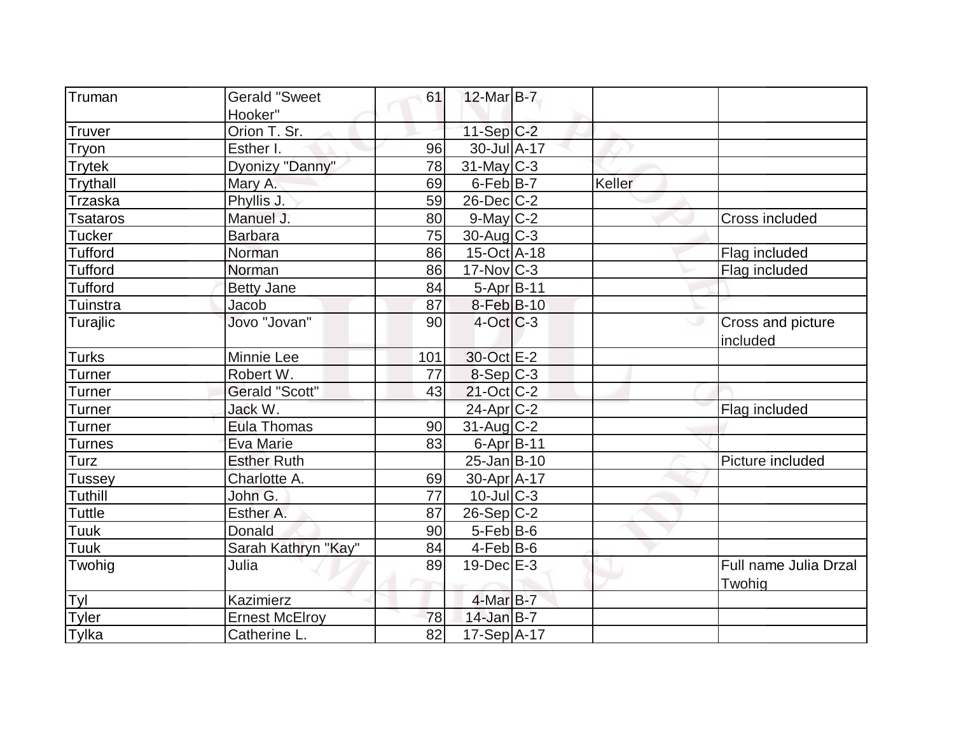| Truman          | <b>Gerald "Sweet</b>  | 61  | $12$ -Mar $B$ -7  |        |                                 |
|-----------------|-----------------------|-----|-------------------|--------|---------------------------------|
|                 | Hooker"               |     |                   |        |                                 |
| <b>Truver</b>   | Orion T. Sr.          |     | $11-Sep C-2$      |        |                                 |
| Tryon           | Esther I.             | 96  | 30-Jul A-17       |        |                                 |
| <b>Trytek</b>   | Dyonizy "Danny"       | 78  | $31$ -May C-3     |        |                                 |
| Trythall        | Mary A.               | 69  | $6$ -Feb $B$ -7   | Keller |                                 |
| <b>Trzaska</b>  | Phyllis J.            | 59  | $26$ -Dec $C-2$   |        |                                 |
| <b>Tsataros</b> | Manuel J.             | 80  | $9$ -May $C-2$    |        | Cross included                  |
| <b>Tucker</b>   | <b>Barbara</b>        | 75  | $30$ -Aug C-3     |        |                                 |
| <b>Tufford</b>  | Norman                | 86  | $15$ -Oct A-18    |        | Flag included                   |
| <b>Tufford</b>  | Norman                | 86  | $17$ -Nov $ C-3 $ |        | Flag included                   |
| <b>Tufford</b>  | <b>Betty Jane</b>     | 84  | $5-Apr B-11$      |        |                                 |
| Tuinstra        | Jacob                 | 87  | 8-Feb B-10        |        |                                 |
| Turajlic        | Jovo "Jovan"          | 90  | $4-Oct$ $C-3$     |        | Cross and picture<br>included   |
| <b>Turks</b>    | Minnie Lee            | 101 | 30-Oct E-2        |        |                                 |
| Turner          | Robert W.             | 77  | $8-Sep C-3$       |        |                                 |
| Turner          | Gerald "Scott"        | 43  | $21$ -Oct C-2     |        |                                 |
| Turner          | Jack W.               |     | $24$ -Apr $C-2$   |        | Flag included                   |
| <b>Turner</b>   | <b>Eula Thomas</b>    | 90  | $31$ -Aug C-2     |        |                                 |
| Turnes          | Eva Marie             | 83  | $6$ -Apr $B$ -11  |        |                                 |
| Turz            | <b>Esther Ruth</b>    |     | $25$ -Jan $B$ -10 |        | Picture included                |
| <b>Tussey</b>   | Charlotte A.          | 69  | 30-Apr A-17       |        |                                 |
| Tuthill         | John G.               | 77  | $10$ -JulC-3      |        |                                 |
| <b>Tuttle</b>   | Esther A.             | 87  | $26-Sep C-2$      |        |                                 |
| Tuuk            | Donald                | 90  | 5-Feb B-6         |        |                                 |
| Tuuk            | Sarah Kathryn "Kay"   | 84  | $4-Feb B-6$       |        |                                 |
| Twohig          | Julia                 | 89  | $19$ -Dec $E-3$   |        | Full name Julia Drzal<br>Twohig |
| Tyl             | Kazimierz             |     | $4$ -Mar $B$ -7   |        |                                 |
| <b>Tyler</b>    | <b>Ernest McElroy</b> | 78  | $14$ -Jan B-7     |        |                                 |
| Tylka           | Catherine L.          | 82  | 17-Sep A-17       |        |                                 |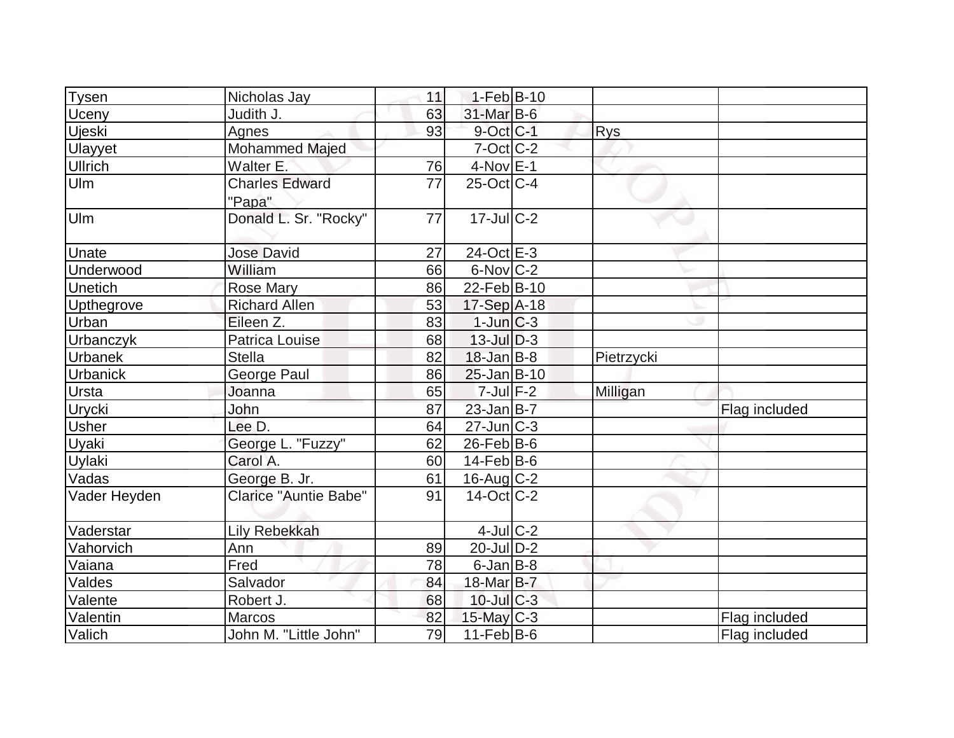|                 |                                 |    | $1-Feb B-10$                       |            |               |
|-----------------|---------------------------------|----|------------------------------------|------------|---------------|
| <b>Tysen</b>    | Nicholas Jay                    | 11 |                                    |            |               |
| <b>Uceny</b>    | Judith J.                       | 63 | $31$ -Mar $B$ -6<br>$9$ -Oct $C-1$ |            |               |
| Ujeski          | Agnes                           | 93 |                                    | <b>Rys</b> |               |
| Ulayyet         | Mohammed Majed                  |    | $7-Cct$ $C-2$                      |            |               |
| <b>Ullrich</b>  | Walter E.                       | 76 | $4-NovE-1$                         |            |               |
| Ulm             | <b>Charles Edward</b><br>"Papa" | 77 | $25$ -Oct C-4                      |            |               |
| Ulm             | Donald L. Sr. "Rocky"           | 77 | $17 -$ Jul C-2                     |            |               |
| Unate           | <b>Jose David</b>               | 27 | $24$ -Oct $E-3$                    |            |               |
| Underwood       | William                         | 66 | $6$ -Nov $C-2$                     |            |               |
| <b>Unetich</b>  | <b>Rose Mary</b>                | 86 | 22-Feb B-10                        |            |               |
| Upthegrove      | <b>Richard Allen</b>            | 53 | 17-Sep A-18                        |            |               |
| <b>Urban</b>    | Eileen Z.                       | 83 | $1$ -Jun $C-3$                     |            |               |
| Urbanczyk       | Patrica Louise                  | 68 | $13$ -Jul $D-3$                    |            |               |
| <b>Urbanek</b>  | <b>Stella</b>                   | 82 | $18$ -Jan B-8                      | Pietrzycki |               |
| <b>Urbanick</b> | <b>George Paul</b>              | 86 | $25$ -Jan $B$ -10                  |            |               |
| Ursta           | Joanna                          | 65 | $7$ -Jul $F-2$                     | Milligan   |               |
| <b>Urycki</b>   | John                            | 87 | $23$ -Jan B-7                      |            | Flag included |
| <b>Usher</b>    | Lee D.                          | 64 | $27$ -Jun $C-3$                    |            |               |
| <b>Uyaki</b>    | George L. "Fuzzy"               | 62 | $26$ -Feb $ B$ -6                  |            |               |
| <b>Uylaki</b>   | Carol A.                        | 60 | $14$ -Feb $ B-6$                   |            |               |
| Vadas           | George B. Jr.                   | 61 | $16$ -Aug $C-2$                    |            |               |
| Vader Heyden    | <b>Clarice "Auntie Babe"</b>    | 91 | $14-Oct$ <sub>C</sub> -2           |            |               |
| Vaderstar       | <b>Lily Rebekkah</b>            |    | 4-Jul C-2                          |            |               |
| Vahorvich       | Ann                             | 89 | $20$ -JulD-2                       |            |               |
| Vaiana          | Fred                            | 78 | $6$ -Jan $B$ -8                    |            |               |
| Valdes          | Salvador                        | 84 | 18-Mar B-7                         |            |               |
| Valente         | Robert J.                       | 68 | $10$ -Jul $C-3$                    |            |               |
| Valentin        | Marcos                          | 82 | $15$ -May C-3                      |            | Flag included |
| Valich          | John M. "Little John"           | 79 | $11-Feb$ B-6                       |            | Flag included |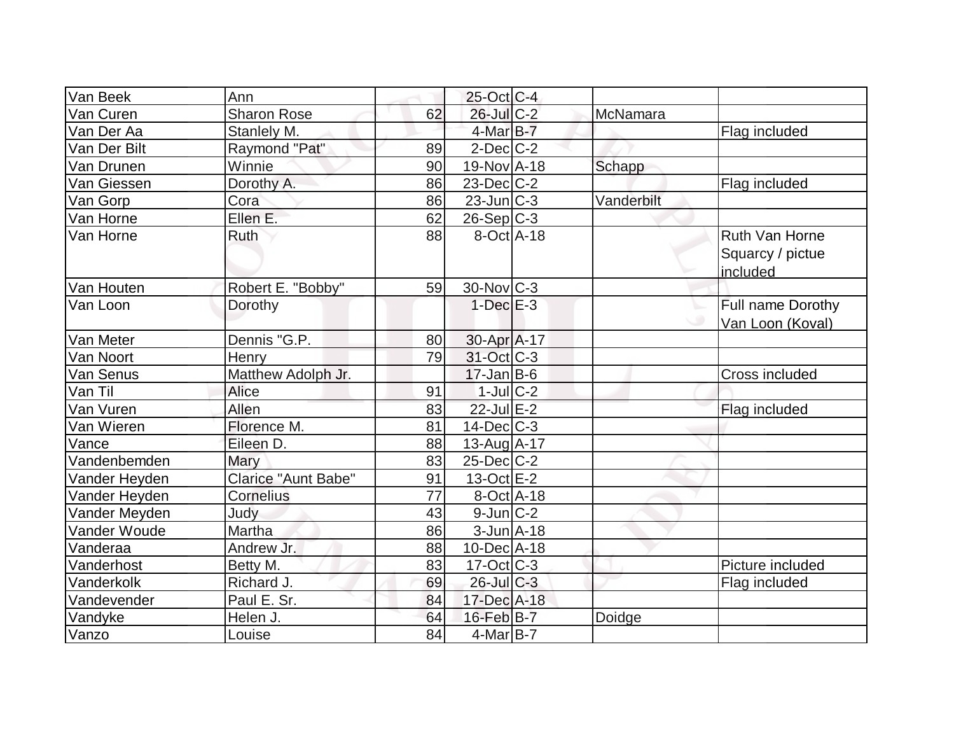| Van Beek       | Ann                        |    | 25-Oct C-4               |            |                       |
|----------------|----------------------------|----|--------------------------|------------|-----------------------|
| Van Curen      | <b>Sharon Rose</b>         | 62 | 26-Jul C-2               | McNamara   |                       |
| Van Der Aa     | Stanlely M.                |    | $4$ -Mar $B-7$           |            | Flag included         |
| Van Der Bilt   | Raymond "Pat"              | 89 | $2$ -Dec $C-2$           |            |                       |
| Van Drunen     | Winnie                     | 90 | 19-Nov A-18              | Schapp     |                       |
| Van Giessen    | Dorothy A.                 | 86 | $23$ -Dec $C-2$          |            | Flag included         |
| Van Gorp       | Cora                       | 86 | $23$ -Jun $ C-3 $        | Vanderbilt |                       |
| Van Horne      | Ellen E.                   | 62 | $26-Sep C-3$             |            |                       |
| Van Horne      | <b>Ruth</b>                | 88 | $\overline{8}$ -Oct A-18 |            | Ruth Van Horne        |
|                |                            |    |                          |            | Squarcy / pictue      |
|                |                            |    |                          |            | included              |
| Van Houten     | Robert E. "Bobby"          | 59 | $30$ -Nov $ C-3 $        |            |                       |
| Van Loon       | Dorothy                    |    | $1-Dec$ $E-3$            |            | Full name Dorothy     |
|                |                            |    |                          |            | Van Loon (Koval)      |
| Van Meter      | Dennis "G.P.               | 80 | 30-Apr A-17              |            |                       |
| Van Noort      | Henry                      | 79 | 31-Oct C-3               |            |                       |
| Van Senus      | Matthew Adolph Jr.         |    | $17 - Jan$ B-6           |            | <b>Cross included</b> |
| Van Til        | Alice                      | 91 | $1$ -Jul $C-2$           |            |                       |
| Van Vuren      | Allen                      | 83 | $22$ -Jul $E-2$          |            | Flag included         |
| Van Wieren     | Florence M.                | 81 | $14$ -Dec $ C-3 $        |            |                       |
| Vance          | Eileen D.                  | 88 | 13-Aug A-17              |            |                       |
| Vandenbemden   | Mary                       | 83 | $25$ -Dec $ C-2 $        |            |                       |
| Vander Heyden  | <b>Clarice "Aunt Babe"</b> | 91 | $13-Oct$ E-2             |            |                       |
| Vander Heyden  | <b>Cornelius</b>           | 77 | $8$ -Oct $A$ -18         |            |                       |
| Vander Meyden  | Judy                       | 43 | $9$ -Jun $C-2$           |            |                       |
| Vander Woude   | Martha                     | 86 | $3$ -Jun $A$ -18         |            |                       |
| Vanderaa       | Andrew Jr.                 | 88 | 10-Dec A-18              |            |                       |
| Vanderhost     | Betty M.                   | 83 | $17-Oct$ $C-3$           |            | Picture included      |
| Vanderkolk     | Richard J.                 | 69 | $26$ -Jul $C-3$          |            | Flag included         |
| Vandevender    | Paul E. Sr.                | 84 | 17-Dec A-18              |            |                       |
| <b>Vandyke</b> | Helen J.                   | 64 | $16$ -Feb $B$ -7         | Doidge     |                       |
| Vanzo          | Louise                     | 84 | $4$ -Mar $ B-7 $         |            |                       |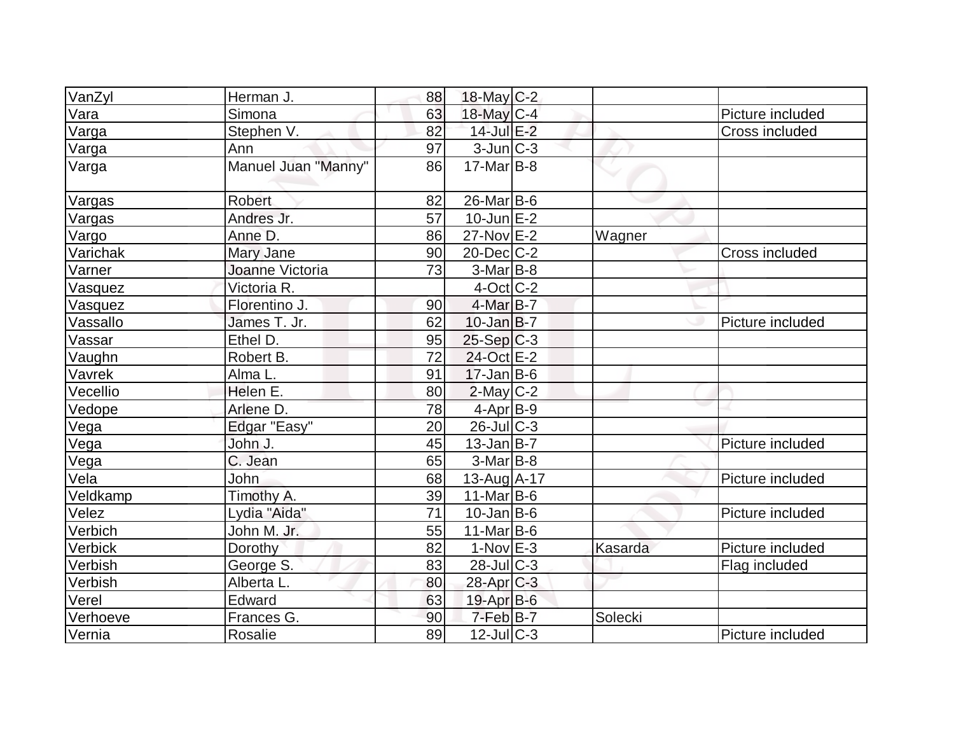| VanZyl   | Herman J.           | 88 | $18$ -May C-2     |         |                  |
|----------|---------------------|----|-------------------|---------|------------------|
| Vara     | Simona              | 63 | $18$ -May C-4     |         | Picture included |
| Varga    | Stephen V.          | 82 | 14-Jul E-2        |         | Cross included   |
| Varga    | Ann                 | 97 | $3$ -Jun $ C-3 $  |         |                  |
| Varga    | Manuel Juan "Manny" | 86 | $17-Mar$ B-8      |         |                  |
| Vargas   | <b>Robert</b>       | 82 | $26$ -Mar $B$ -6  |         |                  |
| Vargas   | Andres Jr.          | 57 | $10$ -Jun $E-2$   |         |                  |
| Vargo    | Anne D.             | 86 | 27-Nov E-2        | Wagner  |                  |
| Varichak | Mary Jane           | 90 | $20$ -Dec $C$ -2  |         | Cross included   |
| Varner   | Joanne Victoria     | 73 | $3-Mar$ B-8       |         |                  |
| Vasquez  | Victoria R.         |    | $4$ -Oct $ C-2 $  |         |                  |
| Vasquez  | Florentino J.       | 90 | $4$ -Mar $B$ -7   |         |                  |
| Vassallo | James T. Jr.        | 62 | $10$ -Jan $ B-7 $ |         | Picture included |
| Vassar   | Ethel D.            | 95 | $25-Sep C-3$      |         |                  |
| Vaughn   | Robert B.           | 72 | 24-Oct E-2        |         |                  |
| Vavrek   | Alma L.             | 91 | $17$ -Jan B-6     |         |                  |
| Vecellio | Helen E.            | 80 | $2$ -May $C-2$    |         |                  |
| Vedope   | Arlene D.           | 78 | $4$ -Apr $ B-9 $  |         |                  |
| Vega     | Edgar "Easy"        | 20 | $26$ -JulC-3      |         |                  |
| Vega     | John J.             | 45 | $13$ -Jan $ B-7 $ |         | Picture included |
| Vega     | C. Jean             | 65 | $3-Mar$ B-8       |         |                  |
| Vela     | John                | 68 | $13$ -Aug $A$ -17 |         | Picture included |
| Veldkamp | Timothy A.          | 39 | $11-Mar$ B-6      |         |                  |
| Velez    | Lydia "Aida"        | 71 | $10$ -Jan $ B-6 $ |         | Picture included |
| Verbich  | John M. Jr.         | 55 | 11-Mar $ B-6 $    |         |                  |
| Verbick  | Dorothy             | 82 | $1-Nov$ $E-3$     | Kasarda | Picture included |
| Verbish  | George S.           | 83 | $28$ -Jul $C-3$   |         | Flag included    |
| Verbish  | Alberta L.          | 80 | $28$ -Apr $C-3$   |         |                  |
| Verel    | Edward              | 63 | $19$ -Apr $B$ -6  |         |                  |
| Verhoeve | Frances G.          | 90 | $7$ -Feb $B$ -7   | Solecki |                  |
| Vernia   | Rosalie             | 89 | $12$ -JulC-3      |         | Picture included |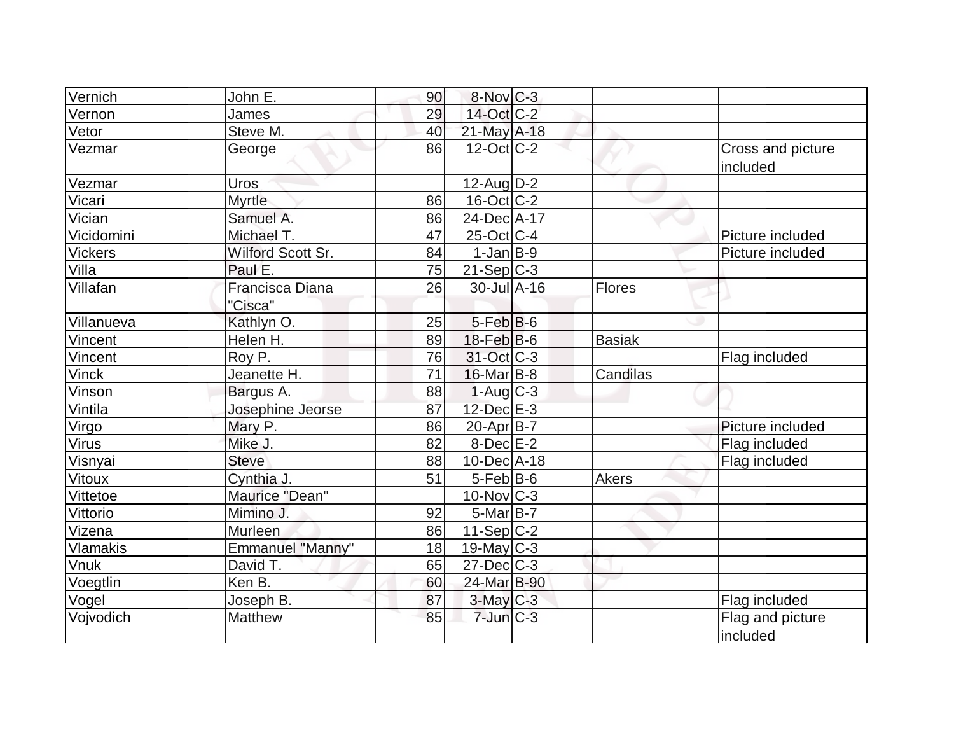| Vernich         | John E.                    | 90 | $8-Nov$ <sub>C-3</sub> |               |                               |
|-----------------|----------------------------|----|------------------------|---------------|-------------------------------|
| Vernon          | James                      | 29 | 14-Oct C-2             |               |                               |
| Vetor           | Steve M.                   | 40 | 21-May A-18            |               |                               |
| Vezmar          | George                     | 86 | $12$ -Oct $ C-2 $      |               | Cross and picture<br>included |
| Vezmar          | Uros                       |    | $12$ -Aug $D-2$        |               |                               |
| Vicari          | Myrtle                     | 86 | $16$ -Oct $ C-2 $      |               |                               |
| Vician          | Samuel A.                  | 86 | 24-Dec A-17            |               |                               |
| Vicidomini      | Michael T.                 | 47 | $25$ -Oct $ C-4 $      |               | Picture included              |
| <b>Vickers</b>  | Wilford Scott Sr.          | 84 | $1-Jan B-9$            |               | Picture included              |
| Villa           | Paul E.                    | 75 | $21-Sep C-3$           |               |                               |
| Villafan        | Francisca Diana<br>"Cisca" | 26 | $30 -$ Jul $A - 16$    | Flores        |                               |
| Villanueva      | Kathlyn O.                 | 25 | $5$ -Feb $B$ -6        |               |                               |
| Vincent         | Helen H.                   | 89 | $18$ -Feb $ B$ -6      | <b>Basiak</b> |                               |
| Vincent         | Roy P.                     | 76 | 31-Oct C-3             |               | Flag included                 |
| <b>Vinck</b>    | Jeanette H.                | 71 | $16$ -Mar $ B-8 $      | Candilas      |                               |
| Vinson          | Bargus A.                  | 88 | $1-Aug$ $C-3$          |               |                               |
| Vintila         | Josephine Jeorse           | 87 | $12$ -Dec $E-3$        |               |                               |
| Virgo           | Mary P.                    | 86 | $20$ -Apr $ B-7 $      |               | Picture included              |
| Virus           | Mike J.                    | 82 | $8-Dec$ $E-2$          |               | Flag included                 |
| Visnyai         | <b>Steve</b>               | 88 | 10-Dec A-18            |               | Flag included                 |
| Vitoux          | Cynthia J.                 | 51 | $5-Feb B-6$            | <b>Akers</b>  |                               |
| Vittetoe        | Maurice "Dean"             |    | $10$ -Nov $ C-3 $      |               |                               |
| Vittorio        | Mimino J.                  | 92 | $5$ -Mar $B$ -7        |               |                               |
| Vizena          | Murleen                    | 86 | $11-Sep C-2$           |               |                               |
| <b>Vlamakis</b> | <b>Emmanuel "Manny"</b>    | 18 | $19$ -May C-3          |               |                               |
| <b>Vnuk</b>     | David T.                   | 65 | $27 - Dec$ $C-3$       |               |                               |
| Voegtlin        | Ken B.                     | 60 | 24-Mar B-90            |               |                               |
| Vogel           | Joseph B.                  | 87 | $3$ -May $C-3$         |               | Flag included                 |
| Vojvodich       | <b>Matthew</b>             | 85 | $7$ -Jun $C-3$         |               | Flag and picture<br>included  |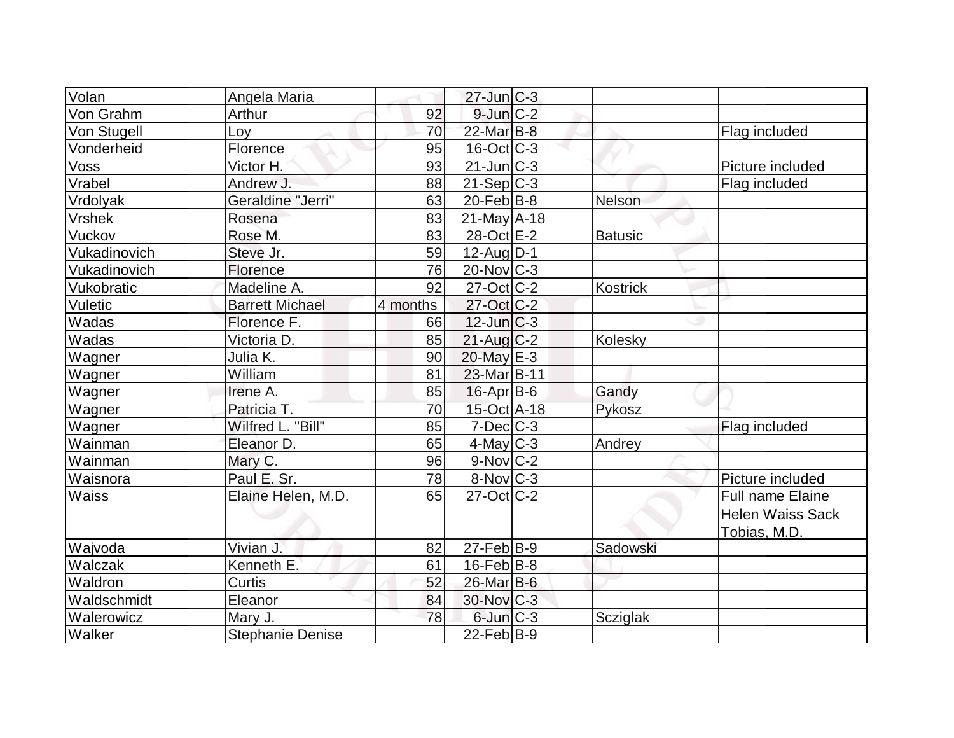| Volan         | Angela Maria            |          | $27$ -Jun $ C-3 $      |                 |                     |
|---------------|-------------------------|----------|------------------------|-----------------|---------------------|
| Von Grahm     | Arthur                  | 92       | $9$ -Jun $C-2$         |                 |                     |
| Von Stugell   | Loy                     | 70       | 22-Mar B-8             |                 | Flag included       |
| Vonderheid    | Florence                | 95       | $16$ -Oct $ C-3 $      |                 |                     |
| Voss          | Victor H.               | 93       | $21$ -Jun $C-3$        |                 | Picture included    |
| Vrabel        | Andrew J.               | 88       | $21-Sep C-3$           |                 | Flag included       |
| Vrdolyak      | Geraldine "Jerri"       | 63       | $20$ -Feb $ B-8$       | Nelson          |                     |
| <b>Vrshek</b> | Rosena                  | 83       | $21$ -May A-18         |                 |                     |
| Vuckov        | Rose M.                 | 83       | 28-Oct E-2             | <b>Batusic</b>  |                     |
| Vukadinovich  | Steve Jr.               | 59       | $12$ -Aug $D-1$        |                 |                     |
| Vukadinovich  | Florence                | 76       | $20$ -Nov $ C-3 $      |                 |                     |
| Vukobratic    | Madeline A.             | 92       | $27$ -Oct $ C-2 $      | <b>Kostrick</b> |                     |
| Vuletic       | <b>Barrett Michael</b>  | 4 months | 27-Oct C-2             |                 |                     |
| Wadas         | Florence F.             | 66       | $12$ -Jun $ C-3 $      |                 |                     |
| Wadas         | Victoria D.             | 85       | $21$ -Aug C-2          | Kolesky         |                     |
| Wagner        | Julia K.                | 90       | 20-May E-3             |                 |                     |
| Wagner        | William                 | 81       | 23-Mar B-11            |                 |                     |
| Wagner        | Irene A.                | 85       | $16$ -Apr $ B-6$       | Gandy           |                     |
| Wagner        | Patricia T.             | 70       | 15-Oct A-18            | Pykosz          |                     |
| Wagner        | Wilfred L. "Bill"       | 85       | $7$ -Dec $C$ -3        |                 | Flag included       |
| Wainman       | Eleanor D.              | 65       | $4$ -May C-3           | Andrey          |                     |
| Wainman       | Mary C.                 | 96       | $9-Nov$ <sub>C-2</sub> |                 |                     |
| Waisnora      | Paul E. Sr.             | 78       | $8-Nov$ <sub>C-3</sub> |                 | Picture included    |
| <b>Waiss</b>  | Elaine Helen, M.D.      | 65       | $27$ -Oct C-2          |                 | Full name Elaine    |
|               |                         |          |                        |                 | Helen Waiss Sack    |
|               |                         |          |                        |                 | <u>Tobias, M.D.</u> |
| Wajvoda       | Vivian J.               | 82       | $27$ -Feb $ B-9 $      | Sadowski        |                     |
| Walczak       | Kenneth E.              | 61       | $16$ -Feb $ B-8$       |                 |                     |
| Waldron       | Curtis                  | 52       | $26$ -Mar $B$ -6       |                 |                     |
| Waldschmidt   | Eleanor                 | 84       | $30$ -Nov $ C-3 $      |                 |                     |
| Walerowicz    | Mary J.                 | 78       | $6$ -Jun $C-3$         | Scziglak        |                     |
| Walker        | <b>Stephanie Denise</b> |          | $22$ -Feb $ B-9 $      |                 |                     |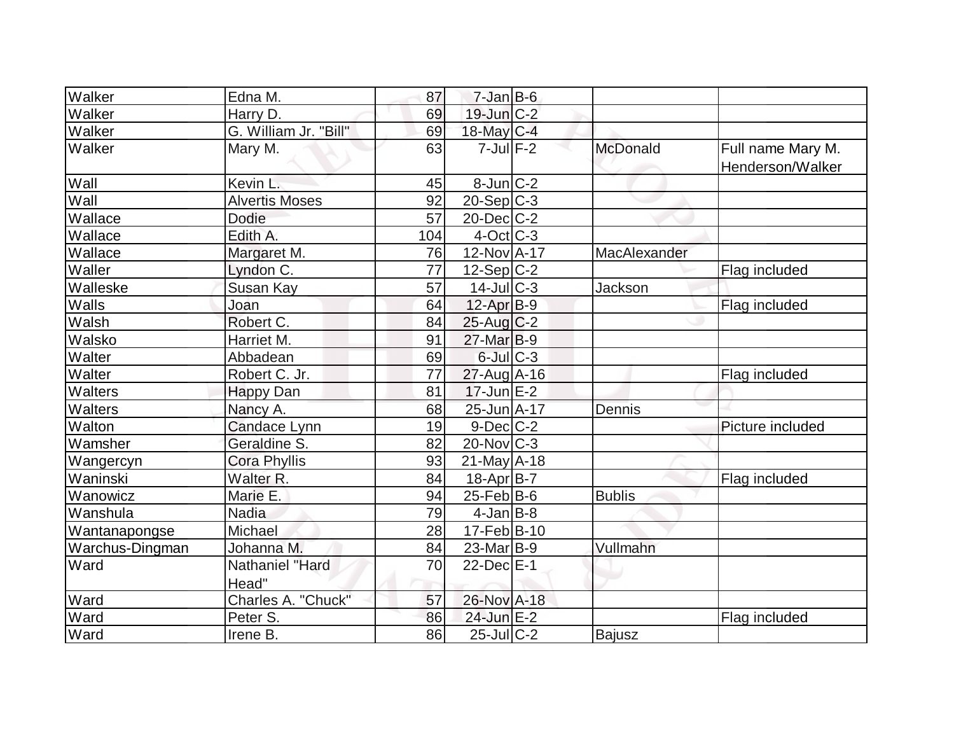| Walker          | Edna M.                  | 87  | $7 - Jan$ $B - 6$     |               |                                       |
|-----------------|--------------------------|-----|-----------------------|---------------|---------------------------------------|
| Walker          | Harry D.                 | 69  | 19-Jun C-2            |               |                                       |
| Walker          | G. William Jr. "Bill"    | 69  | 18-May C-4            |               |                                       |
| Walker          | Mary M.                  | 63  | $7$ -Jul $F-2$        | McDonald      | Full name Mary M.<br>Henderson/Walker |
| Wall            | Kevin L.                 | 45  | $8$ -Jun $ C-2 $      |               |                                       |
| Wall            | <b>Alvertis Moses</b>    | 92  | $20-Sep C-3$          |               |                                       |
| Wallace         | Dodie                    | 57  | $20$ -Dec $C-2$       |               |                                       |
| Wallace         | Edith A.                 | 104 | $4$ -Oct C-3          |               |                                       |
| Wallace         | Margaret M.              | 76  | 12-Nov A-17           | MacAlexander  |                                       |
| Waller          | Lyndon C.                | 77  | $12-Sep C-2$          |               | Flag included                         |
| Walleske        | Susan Kay                | 57  | $14$ -JulC-3          | Jackson       |                                       |
| Walls           | Joan                     | 64  | $12$ -Apr $B-9$       |               | Flag included                         |
| Walsh           | Robert C.                | 84  | $25$ -Aug C-2         |               |                                       |
| Walsko          | Harriet M.               | 91  | 27-Mar B-9            |               |                                       |
| Walter          | Abbadean                 | 69  | $6$ -Jul $C$ -3       |               |                                       |
| Walter          | Robert C. Jr.            | 77  | $27$ -Aug $A$ -16     |               | Flag included                         |
| Walters         | <b>Happy Dan</b>         | 81  | $17$ -Jun $E-2$       |               |                                       |
| Walters         | Nancy A.                 | 68  | 25-Jun A-17           | Dennis        |                                       |
| Walton          | Candace Lynn             | 19  | $9$ -Dec $C$ -2       |               | Picture included                      |
| Wamsher         | Geraldine S.             | 82  | $20$ -Nov $ C-3 $     |               |                                       |
| Wangercyn       | <b>Cora Phyllis</b>      | 93  | $21$ -May A-18        |               |                                       |
| Waninski        | Walter R.                | 84  | $18-Apr B-7$          |               | Flag included                         |
| Wanowicz        | Marie E.                 | 94  | $25$ -Feb $ B$ -6     | <b>Bublis</b> |                                       |
| Wanshula        | <b>Nadia</b>             | 79  | $4$ -Jan $B$ -8       |               |                                       |
| Wantanapongse   | Michael                  | 28  | $17-Feb B-10$         |               |                                       |
| Warchus-Dingman | Johanna M.               | 84  | 23-Mar <sub>B-9</sub> | Vullmahn      |                                       |
| Ward            | Nathaniel "Hard<br>Head" | 70  | $22$ -Dec $E-1$       |               |                                       |
| Ward            | Charles A. "Chuck"       | 57  | 26-Nov A-18           |               |                                       |
| Ward            | Peter S.                 | 86  | $24$ -Jun $E-2$       |               | Flag included                         |
| Ward            | Irene B.                 | 86  | $25$ -Jul $ C-2 $     | Bajusz        |                                       |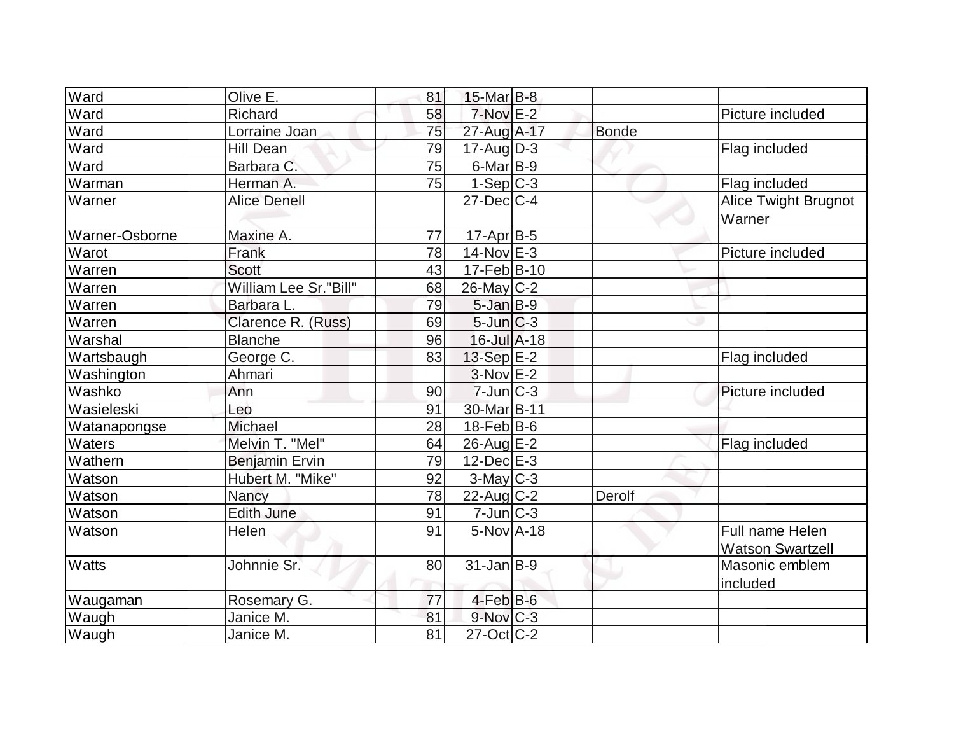| Ward           | Olive E.              | 81 | $15$ -Mar $B$ -8       |              |                                            |
|----------------|-----------------------|----|------------------------|--------------|--------------------------------------------|
| Ward           | Richard               | 58 | 7-Nov E-2              |              | Picture included                           |
| Ward           | Lorraine Joan         | 75 | 27-Aug A-17            | <b>Bonde</b> |                                            |
| Ward           | <b>Hill Dean</b>      | 79 | $17$ -Aug $D-3$        |              | Flag included                              |
| Ward           | Barbara C.            | 75 | $6$ -Mar $ B-9 $       |              |                                            |
| Warman         | Herman A.             | 75 | $1-Sep C-3$            |              | Flag included                              |
| Warner         | <b>Alice Denell</b>   |    | $27$ -Dec $C-4$        |              | Alice Twight Brugnot<br>Warner             |
| Warner-Osborne | Maxine A.             | 77 | $17$ -Apr $ B-5 $      |              |                                            |
| Warot          | Frank                 | 78 | $14$ -Nov $E-3$        |              | Picture included                           |
| Warren         | Scott                 | 43 | $17$ -Feb $ B-10$      |              |                                            |
| Warren         | William Lee Sr."Bill" | 68 | $26$ -May C-2          |              |                                            |
| Warren         | Barbara L.            | 79 | $5$ -Jan $B-9$         |              |                                            |
| Warren         | Clarence R. (Russ)    | 69 | $5$ -Jun $C-3$         |              |                                            |
| Warshal        | <b>Blanche</b>        | 96 | $16$ -Jul $A-18$       |              |                                            |
| Wartsbaugh     | George C.             | 83 | $13-Sep$ E-2           |              | Flag included                              |
| Washington     | Ahmari                |    | $3-Nov$ $E-2$          |              |                                            |
| Washko         | Ann                   | 90 | $7$ -Jun $ C-3 $       |              | Picture included                           |
| Wasieleski     | Leo                   | 91 | 30-Mar B-11            |              |                                            |
| Watanapongse   | <b>Michael</b>        | 28 | $18$ -Feb $ B$ -6      |              |                                            |
| Waters         | Melvin T. "Mel"       | 64 | 26-Aug E-2             |              | Flag included                              |
| Wathern        | <b>Benjamin Ervin</b> | 79 | $12$ -Dec $E-3$        |              |                                            |
| Watson         | Hubert M. "Mike"      | 92 | $3$ -May $C-3$         |              |                                            |
| Watson         | Nancy                 | 78 | $22$ -Aug C-2          | Derolf       |                                            |
| Watson         | <b>Edith June</b>     | 91 | $7$ -Jun $ C-3 $       |              |                                            |
| Watson         | Helen                 | 91 | $5-NovA-18$            |              | Full name Helen<br><b>Watson Swartzell</b> |
| <b>Watts</b>   | Johnnie Sr.           | 80 | $31$ -Jan B-9          |              | Masonic emblem<br>included                 |
| Waugaman       | Rosemary G.           | 77 | $4$ -Feb $B$ -6        |              |                                            |
| Waugh          | Janice M.             | 81 | $9-Nov$ <sub>C-3</sub> |              |                                            |
| Waugh          | Janice M.             | 81 | $27$ -Oct C-2          |              |                                            |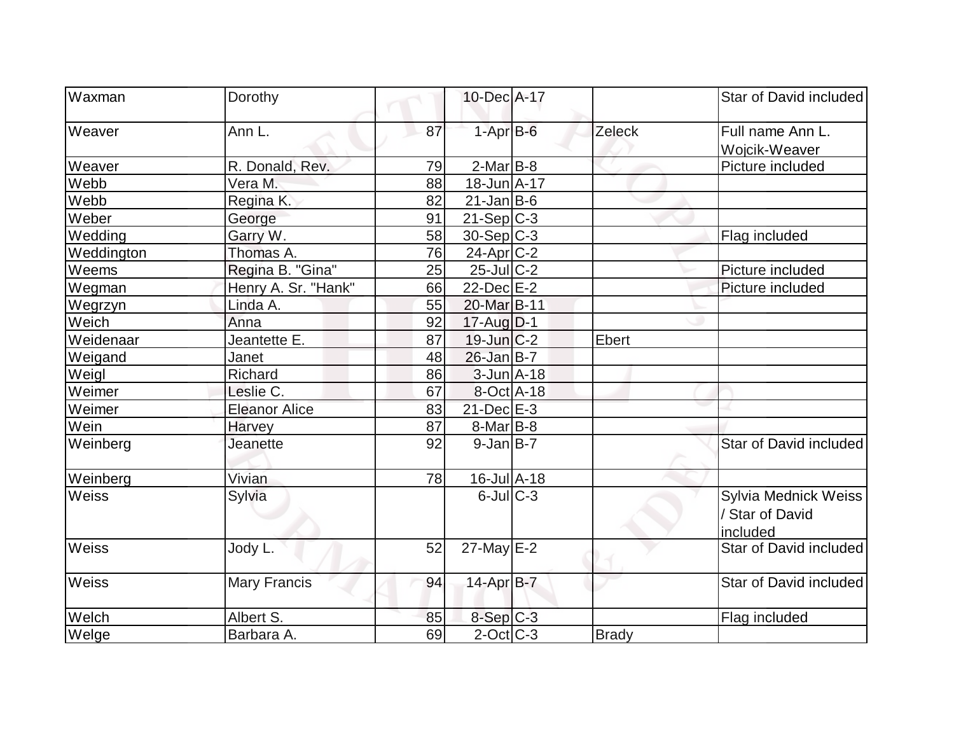| Waxman       | Dorothy              |    | 10-Dec A-17                  |              | Star of David included                              |
|--------------|----------------------|----|------------------------------|--------------|-----------------------------------------------------|
| Weaver       | Ann L.               | 87 | $1-AprB-6$                   | Zeleck       | Full name Ann L.<br>Wojcik-Weaver                   |
| Weaver       | R. Donald, Rev.      | 79 | $2$ -Mar $B$ -8              |              | Picture included                                    |
| Webb         | Vera M.              | 88 | $18$ -Jun $A$ -17            |              |                                                     |
| Webb         | Regina K.            | 82 | $21$ -Jan B-6                |              |                                                     |
| Weber        | George               | 91 | $21-Sep C-3$                 |              |                                                     |
| Wedding      | Garry W.             | 58 | $30-Sep$ C-3                 |              | Flag included                                       |
| Weddington   | Thomas A.            | 76 | $24$ -Apr $ C-2 $            |              |                                                     |
| Weems        | Regina B. "Gina"     | 25 | $25$ -Jul $C-2$              |              | Picture included                                    |
| Wegman       | Henry A. Sr. "Hank"  | 66 | $22$ -Dec $E-2$              |              | Picture included                                    |
| Wegrzyn      | Linda A.             | 55 | 20-Mar B-11                  |              |                                                     |
| Weich        | Anna                 | 92 | $17$ -Aug $D-1$              |              |                                                     |
| Weidenaar    | Jeantette E.         | 87 | $19$ -Jun $ C-2 $            | Ebert        |                                                     |
| Weigand      | Janet                | 48 | $26$ -Jan B-7                |              |                                                     |
| Weigl        | Richard              | 86 | $3$ -Jun $A$ -18             |              |                                                     |
| Weimer       | Leslie C.            | 67 | 8-Oct A-18                   |              |                                                     |
| Weimer       | <b>Eleanor Alice</b> | 83 | $21$ -Dec $E-3$              |              |                                                     |
| Wein         | Harvey               | 87 | $8$ -Mar $ B-8 $             |              |                                                     |
| Weinberg     | Jeanette             | 92 | $9$ -Jan B-7                 |              | Star of David included                              |
| Weinberg     | Vivian               | 78 | $16$ -Jul $\overline{A}$ -18 |              |                                                     |
| <b>Weiss</b> | Sylvia               |    | $6$ -Jul $C-3$               |              | Sylvia Mednick Weiss<br>/ Star of David<br>included |
| Weiss        | Jody L.              | 52 | $27$ -May $E-2$              |              | Star of David included                              |
| <b>Weiss</b> | <b>Mary Francis</b>  | 94 | $14$ -Apr $B$ -7             |              | Star of David included                              |
| Welch        | Albert S.            | 85 | $8-Sep C-3$                  |              | Flag included                                       |
| Welge        | Barbara A.           | 69 | $2$ -Oct $ C-3 $             | <b>Brady</b> |                                                     |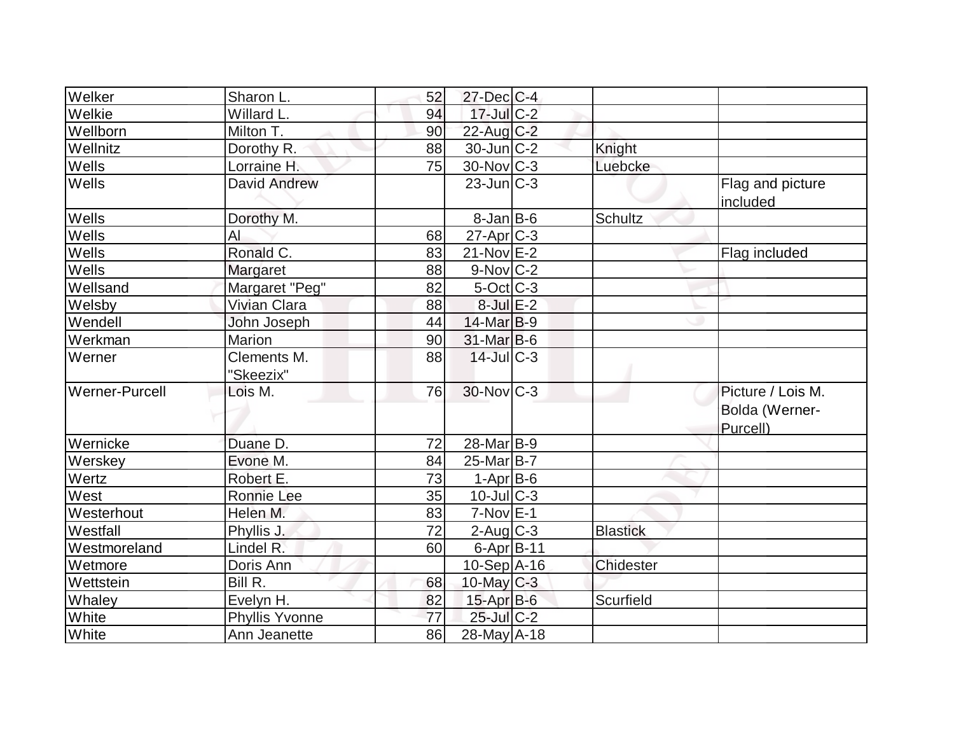| Welker         | Sharon L.                | 52 | $27$ -Dec $C$ -4       |                 |                                                 |
|----------------|--------------------------|----|------------------------|-----------------|-------------------------------------------------|
| Welkie         | Willard L.               | 94 | $17$ -Jul C-2          |                 |                                                 |
| Wellborn       | Milton T.                | 90 | 22-Aug C-2             |                 |                                                 |
| Wellnitz       | Dorothy R.               | 88 | $30$ -Jun $ C-2 $      | Knight          |                                                 |
| Wells          | Lorraine H.              | 75 | $30$ -Nov $ C-3 $      | Luebcke         |                                                 |
| Wells          | David Andrew             |    | $23$ -Jun $C-3$        |                 | Flag and picture<br>included                    |
| Wells          | Dorothy M.               |    | $8$ -Jan B-6           | <b>Schultz</b>  |                                                 |
| Wells          | AI                       | 68 | $27$ -Apr $C-3$        |                 |                                                 |
| Wells          | Ronald C.                | 83 | $21-Nov$ E-2           |                 | Flag included                                   |
| Wells          | Margaret                 | 88 | $9-Nov$ <sub>C-2</sub> |                 |                                                 |
| Wellsand       | Margaret "Peg"           | 82 | $5$ -Oct $ C-3 $       |                 |                                                 |
| Welsby         | <b>Vivian Clara</b>      | 88 | $8$ -Jul $E-2$         |                 |                                                 |
| Wendell        | John Joseph              | 44 | 14-Mar B-9             |                 |                                                 |
| Werkman        | <b>Marion</b>            | 90 | 31-Mar B-6             |                 |                                                 |
| Werner         | Clements M.<br>"Skeezix" | 88 | $14$ -JulC-3           |                 |                                                 |
| Werner-Purcell | Lois M.                  | 76 | $30$ -Nov $C-3$        |                 | Picture / Lois M.<br>Bolda (Werner-<br>Purcell) |
| Wernicke       | Duane D.                 | 72 | 28-Mar B-9             |                 |                                                 |
| Werskey        | Evone M.                 | 84 | $25$ -Mar $ B-7 $      |                 |                                                 |
| Wertz          | Robert E.                | 73 | $1-Apr$ B-6            |                 |                                                 |
| West           | Ronnie Lee               | 35 | $10$ -JulC-3           |                 |                                                 |
| Westerhout     | Helen M.                 | 83 | $7-Nov$ E-1            |                 |                                                 |
| Westfall       | Phyllis J.               | 72 | $2$ -Aug $C-3$         | <b>Blastick</b> |                                                 |
| Westmoreland   | Lindel R.                | 60 | $6$ -Apr $B$ -11       |                 |                                                 |
| Wetmore        | Doris Ann                |    | $10-Sep$ $A-16$        | Chidester       |                                                 |
| Wettstein      | Bill R.                  | 68 | 10-May $C-3$           |                 |                                                 |
| Whaley         | Evelyn H.                | 82 | $15$ -Apr $B$ -6       | Scurfield       |                                                 |
| White          | <b>Phyllis Yvonne</b>    | 77 | 25-Jul C-2             |                 |                                                 |
| White          | Ann Jeanette             | 86 | 28-May A-18            |                 |                                                 |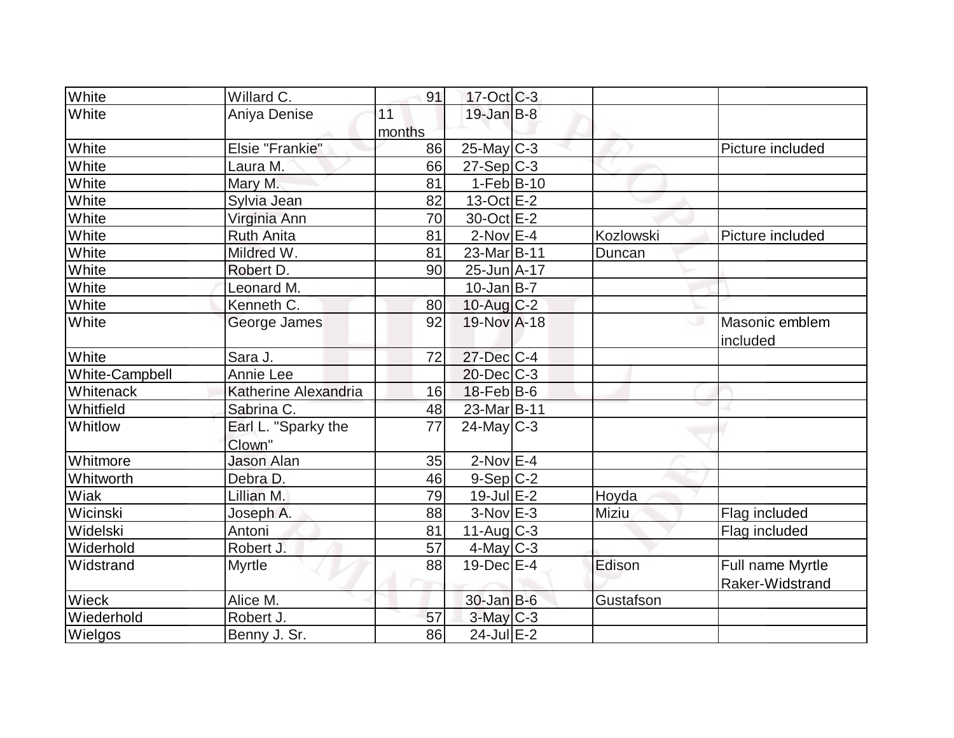| White          | Willard C.                    | 91              | $17-Oct$ $C-3$    |                  |                                     |
|----------------|-------------------------------|-----------------|-------------------|------------------|-------------------------------------|
| White          | Aniya Denise                  | 11              | $19$ -Jan B-8     |                  |                                     |
| White          | Elsie "Frankie"               | months<br>86    | $25$ -May C-3     |                  | Picture included                    |
| White          | Laura M.                      | 66              | $27-Sep C-3$      |                  |                                     |
| White          | Mary M.                       | 81              | $1-Feb B-10$      |                  |                                     |
| White          | Sylvia Jean                   | 82              | $13-Oct$ E-2      |                  |                                     |
| White          | Virginia Ann                  | 70              | 30-Oct E-2        |                  |                                     |
| White          | <b>Ruth Anita</b>             | 81              | $2-Nov$ $E-4$     | <b>Kozlowski</b> | Picture included                    |
| White          | Mildred W.                    | 81              | 23-Mar B-11       | Duncan           |                                     |
| White          | Robert D.                     | 90              | 25-Jun A-17       |                  |                                     |
| White          | Leonard M.                    |                 | $10$ -Jan B-7     |                  |                                     |
| White          | Kenneth C.                    | 80              | 10-Aug $C-2$      |                  |                                     |
| White          | George James                  | 92              | 19-Nov A-18       | ى                | Masonic emblem<br>included          |
| White          | Sara J.                       | 72              | 27-Dec C-4        |                  |                                     |
| White-Campbell | Annie Lee                     |                 | $20$ -Dec $ C-3 $ |                  |                                     |
| Whitenack      | Katherine Alexandria          | 16              | $18$ -Feb $ B$ -6 |                  |                                     |
| Whitfield      | Sabrina C.                    | 48              | 23-Mar B-11       |                  |                                     |
| Whitlow        | Earl L. "Sparky the<br>Clown" | $\overline{77}$ | $24$ -May C-3     |                  |                                     |
| Whitmore       | <b>Jason Alan</b>             | 35              | $2$ -Nov $E-4$    |                  |                                     |
| Whitworth      | Debra D.                      | 46              | $9-Sep C-2$       |                  |                                     |
| Wiak           | Lillian M.                    | 79              | $19$ -Jul $E-2$   | Hoyda            |                                     |
| Wicinski       | Joseph A.                     | 88              | $3-Nov$ E-3       | Miziu            | Flag included                       |
| Widelski       | Antoni                        | 81              | $11-Aug$ $C-3$    |                  | Flag included                       |
| Widerhold      | Robert J.                     | 57              | $4$ -May C-3      |                  |                                     |
| Widstrand      | <b>Myrtle</b>                 | 88              | $19$ -Dec $E-4$   | Edison           | Full name Myrtle<br>Raker-Widstrand |
| Wieck          | Alice M.                      |                 | $30 - Jan$ $B-6$  | Gustafson        |                                     |
| Wiederhold     | Robert J.                     | 57              | $3$ -May $C-3$    |                  |                                     |
| Wielgos        | Benny J. Sr.                  | 86              | $24$ -Jul $E-2$   |                  |                                     |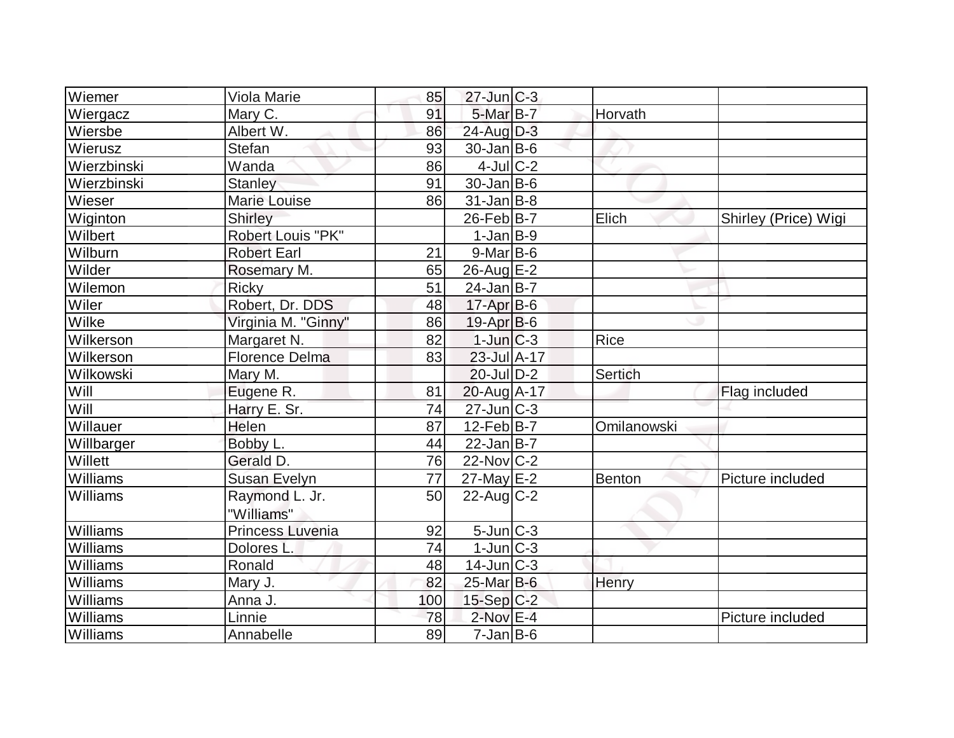| Wiemer          | Viola Marie              | 85              | $27$ -Jun $ C-3 $ |             |                      |
|-----------------|--------------------------|-----------------|-------------------|-------------|----------------------|
| Wiergacz        | Mary C.                  | 91              | $5$ -Mar $B$ -7   | Horvath     |                      |
| Wiersbe         | Albert W.                | 86              | 24-Aug D-3        |             |                      |
| Wierusz         | <b>Stefan</b>            | 93              | $30 - Jan$ B-6    |             |                      |
| Wierzbinski     | Wanda                    | 86              | $4$ -Jul $C$ -2   |             |                      |
| Wierzbinski     | <b>Stanley</b>           | 91              | $30 - Jan$ B-6    |             |                      |
| Wieser          | <b>Marie Louise</b>      | 86              | $31$ -Jan $ B-8 $ |             |                      |
| Wiginton        | Shirley                  |                 | $26$ -Feb $ B-7 $ | Elich       | Shirley (Price) Wigi |
| Wilbert         | <b>Robert Louis "PK"</b> |                 | $1-Jan$ B-9       |             |                      |
| Wilburn         | <b>Robert Earl</b>       | 21              | $9$ -Mar $ B-6$   |             |                      |
| Wilder          | Rosemary M.              | 65              | 26-Aug E-2        |             |                      |
| Wilemon         | <b>Ricky</b>             | 51              | $24$ -Jan $ B-7 $ |             |                      |
| Wiler           | Robert, Dr. DDS          | 48              | $17$ -Apr $B$ -6  |             |                      |
| Wilke           | Virginia M. "Ginny"      | 86              | $19-Apr B-6$      |             |                      |
| Wilkerson       | Margaret N.              | 82              | $1$ -Jun $C-3$    | Rice        |                      |
| Wilkerson       | <b>Florence Delma</b>    | 83              | $23$ -Jul $A-17$  |             |                      |
| Wilkowski       | Mary M.                  |                 | $20$ -JulD-2      | Sertich     |                      |
| Will            | Eugene R.                | 81              | $20$ -Aug A-17    |             | Flag included        |
| Will            | Harry E. Sr.             | 74              | $27$ -Jun $ C-3 $ |             |                      |
| Willauer        | Helen                    | 87              | $12$ -Feb $B$ -7  | Omilanowski |                      |
| Willbarger      | Bobby L.                 | 44              | $22$ -Jan B-7     |             |                      |
| Willett         | Gerald D.                | 76              | $22$ -Nov $ C-2 $ |             |                      |
| Williams        | <b>Susan Evelyn</b>      | 77              | $27$ -May E-2     | Benton      | Picture included     |
| <b>Williams</b> | Raymond L. Jr.           | 50              | $22$ -Aug $C-2$   |             |                      |
|                 | "Williams"               |                 |                   |             |                      |
| Williams        | Princess Luvenia         | 92              | 5-Jun C-3         |             |                      |
| Williams        | Dolores <sub>L.</sub>    | $\overline{74}$ | $1$ -Jun $ C-3 $  |             |                      |
| Williams        | Ronald                   | 48              | $14$ -Jun $ C-3 $ |             |                      |
| Williams        | Mary J.                  | 82              | 25-Mar B-6        | Henry       |                      |
| Williams        | Anna J.                  | 100             | $15-Sep C-2$      |             |                      |
| Williams        | Linnie                   | 78              | $2$ -Nov $E-4$    |             | Picture included     |
| Williams        | Annabelle                | 89              | $7$ -Jan $ B-6$   |             |                      |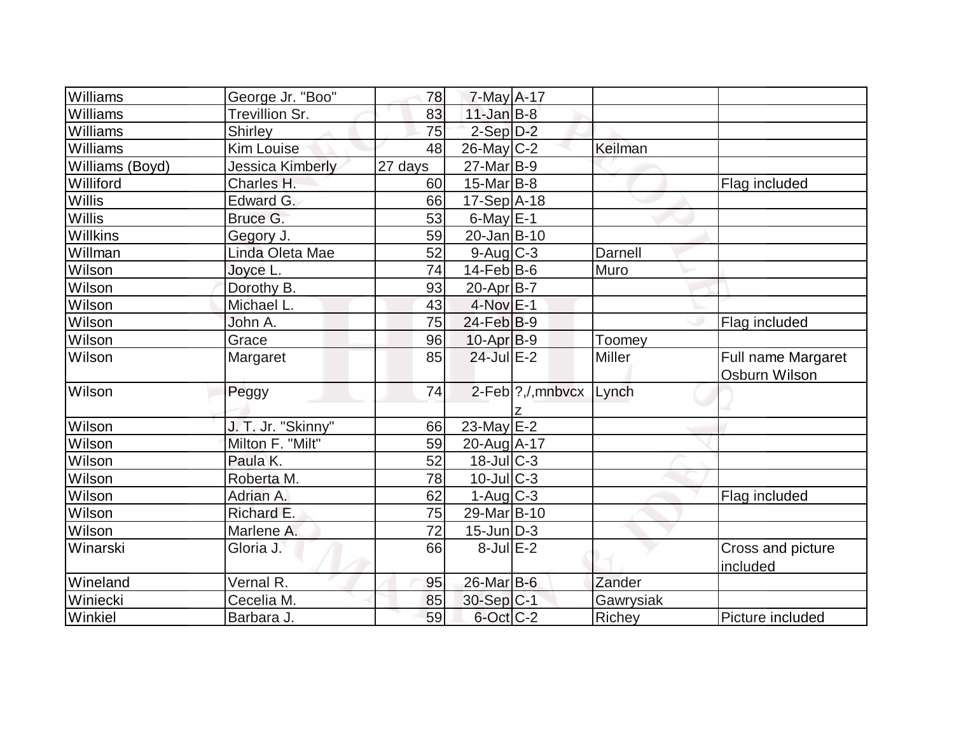| Williams         | George Jr. "Boo"       | 78              | $7$ -May A-17               |                    |           |                                     |
|------------------|------------------------|-----------------|-----------------------------|--------------------|-----------|-------------------------------------|
| Williams         | Trevillion Sr.         | 83              | $11$ -Jan $B-8$             |                    |           |                                     |
| Williams         | <b>Shirley</b>         | 75              | $2-Sep D-2$                 |                    |           |                                     |
| Williams         | <b>Kim Louise</b>      | 48              | $26$ -May $C-2$             |                    | Keilman   |                                     |
| Williams (Boyd)  | Jessica Kimberly       | 27 days         | $27$ -Mar $ B-9 $           |                    |           |                                     |
| Williford        | Charles H.             | 60              | $15$ -Mar $ B-8 $           |                    |           | Flag included                       |
| Willis           | Edward G.              | 66              | 17-Sep A-18                 |                    |           |                                     |
| <b>Willis</b>    | Bruce G.               | 53              | $6$ -May $E-1$              |                    |           |                                     |
| Willkins         | Gegory J.              | 59              | $20 - Jan$ B-10             |                    |           |                                     |
| Willman          | Linda Oleta Mae        | 52              | $9$ -Aug $C$ -3             |                    | Darnell   |                                     |
| Wilson           | Joyce L.               | 74              | $14$ -Feb $ B-6$            |                    | Muro      |                                     |
| Wilson           | Dorothy B.             | 93              | $20$ -Apr $ B-7 $           |                    |           |                                     |
| Wilson           | Michael L.             | 43              | $4$ -Nov $E-1$              |                    |           |                                     |
| Wilson           | John A.                | 75              | $24$ -Feb $ B-9 $           |                    |           | Flag included                       |
| Wilson           | Grace                  | 96              | $10$ -Apr $ B-9 $           |                    | Toomey    |                                     |
| Wilson           | Margaret               | 85              | $24$ -Jul $E-2$             |                    | Miller    | Full name Margaret<br>Osburn Wilson |
| Wilson           | Peggy                  | 74              |                             | 2-Feb ?, /, mnbvcx | Lynch     |                                     |
|                  |                        |                 | $23$ -May E-2               |                    |           |                                     |
| Wilson           | J. T. Jr. "Skinny"     | 66              |                             |                    |           |                                     |
| Wilson           | Milton F. "Milt"       | 59<br>52        | 20-Aug A-17<br>$18$ -JulC-3 |                    |           |                                     |
| Wilson<br>Wilson | Paula K.<br>Roberta M. | 78              | $10$ -JulC-3                |                    |           |                                     |
|                  |                        |                 | $1-Aug$ $C-3$               |                    |           |                                     |
| Wilson           | Adrian A.              | 62              |                             |                    |           | Flag included                       |
| Wilson           | Richard E.             | 75              | 29-Mar B-10                 |                    |           |                                     |
| Wilson           | Marlene A.             | $\overline{72}$ | $15$ -Jun $ D-3 $           |                    |           |                                     |
| Winarski         | Gloria J.              | 66              | $8$ -Jul $E-2$              |                    |           | Cross and picture<br>included       |
| Wineland         | Vernal R.              | 95              | 26-Mar B-6                  |                    | Zander    |                                     |
| Winiecki         | Cecelia M.             | 85              | 30-Sep C-1                  |                    | Gawrysiak |                                     |
| Winkiel          | Barbara J.             | 59              | 6-Oct C-2                   |                    | Richey    | Picture included                    |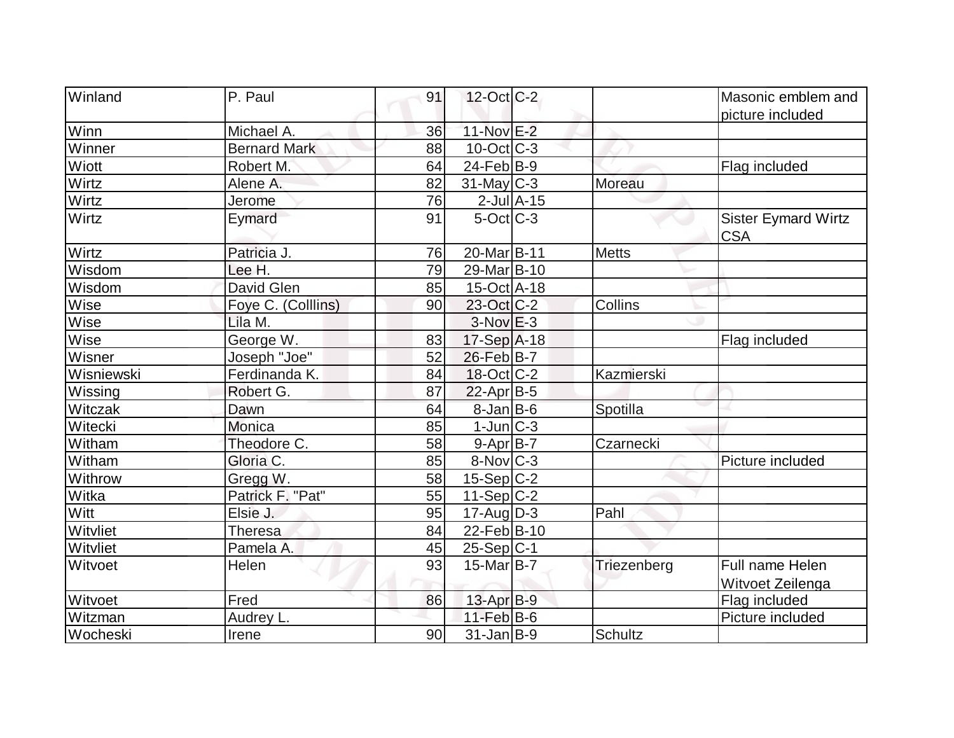| Winland      | P. Paul             | 91 | $12$ -Oct $ C-2 $      |                 |             | Masonic emblem and                         |
|--------------|---------------------|----|------------------------|-----------------|-------------|--------------------------------------------|
|              |                     |    |                        |                 |             | picture included                           |
| Winn         | Michael A.          | 36 | 11-Nov E-2             |                 |             |                                            |
| Winner       | <b>Bernard Mark</b> | 88 | $10$ -Oct $ C-3 $      |                 |             |                                            |
| <b>Wiott</b> | Robert M.           | 64 | $24$ -Feb $ B-9 $      |                 |             | Flag included                              |
| Wirtz        | Alene A.            | 82 | $31$ -May C-3          |                 | Moreau      |                                            |
| Wirtz        | Jerome              | 76 |                        | $2$ -Jul $A-15$ |             |                                            |
| Wirtz        | Eymard              | 91 | $5-Oct$ $C-3$          |                 |             | <b>Sister Eymard Wirtz</b><br><b>CSA</b>   |
| Wirtz        | Patricia J.         | 76 | 20-Mar <sub>B-11</sub> |                 | Metts       |                                            |
| Wisdom       | Lee H.              | 79 | 29-Mar B-10            |                 |             |                                            |
| Wisdom       | David Glen          | 85 | 15-Oct A-18            |                 |             |                                            |
| Wise         | Foye C. (Colllins)  | 90 | 23-Oct C-2             |                 | Collins     |                                            |
| Wise         | Lila M.             |    | $3-Nov$ $E-3$          |                 |             |                                            |
| Wise         | George W.           | 83 | $17-Sep$ A-18          |                 |             | Flag included                              |
| Wisner       | Joseph "Joe"        | 52 | 26-Feb B-7             |                 |             |                                            |
| Wisniewski   | Ferdinanda K.       | 84 | $18$ -Oct $ C-2 $      |                 | Kazmierski  |                                            |
| Wissing      | Robert G.           | 87 | 22-Apr B-5             |                 |             |                                            |
| Witczak      | Dawn                | 64 | $8$ -Jan B-6           |                 | Spotilla    |                                            |
| Witecki      | <b>Monica</b>       | 85 | $1$ -Jun $ C-3 $       |                 |             |                                            |
| Witham       | Theodore C.         | 58 | $9-Apr$ B-7            |                 | Czarnecki   |                                            |
| Witham       | Gloria C.           | 85 | $8-Nov$ <sub>C-3</sub> |                 |             | Picture included                           |
| Withrow      | Gregg W.            | 58 | $15-Sep C-2$           |                 |             |                                            |
| Witka        | Patrick F. "Pat"    | 55 | $11-Sep C-2$           |                 |             |                                            |
| Witt         | Elsie J.            | 95 | $17$ -Aug $D-3$        |                 | Pahl        |                                            |
| Witvliet     | Theresa             | 84 | 22-Feb B-10            |                 |             |                                            |
| Witvliet     | Pamela A.           | 45 | $25-Sep C-1$           |                 |             |                                            |
| Witvoet      | Helen               | 93 | $15$ -Mar $ B-7 $      |                 | Triezenberg | <b>Full name Helen</b><br>Witvoet Zeilenga |
| Witvoet      | Fred                | 86 | $13$ -Apr $B-9$        |                 |             | Flag included                              |
| Witzman      | Audrey L.           |    | $11-Feb$ B-6           |                 |             | Picture included                           |
| Wocheski     | Irene               | 90 | $31$ -Jan $ B-9 $      |                 | Schultz     |                                            |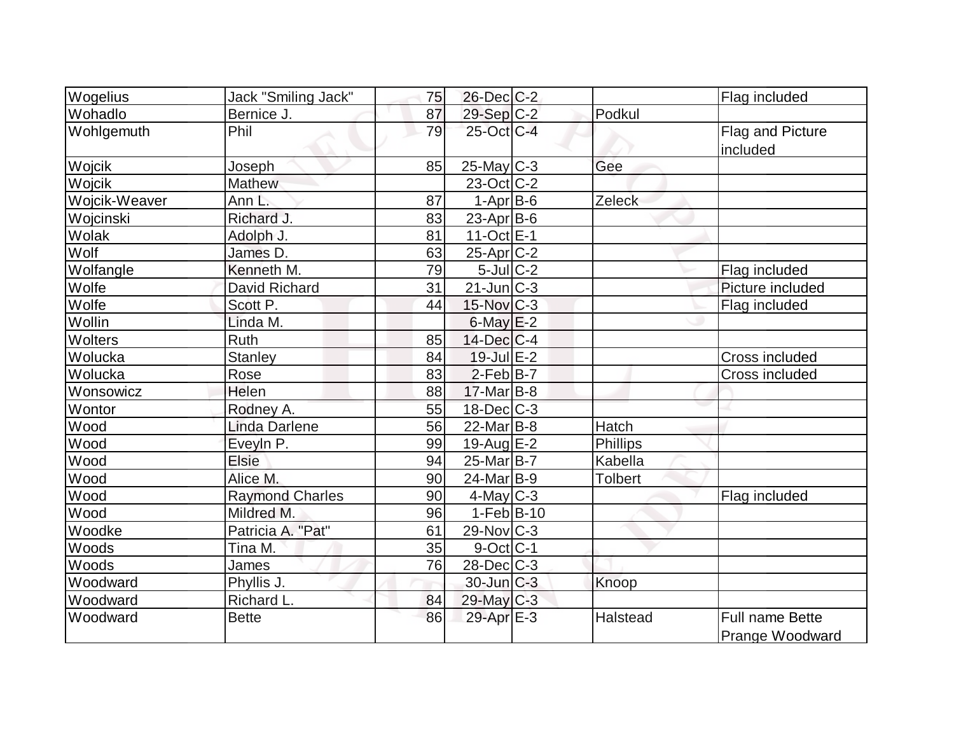| Wogelius      | Jack "Smiling Jack"    | 75 | 26-Dec C-2               |                | Flag included                             |
|---------------|------------------------|----|--------------------------|----------------|-------------------------------------------|
| Wohadlo       | Bernice J.             | 87 | 29-Sep C-2               | Podkul         |                                           |
| Wohlgemuth    | Phil                   | 79 | 25-Oct C-4               |                | Flag and Picture<br>included              |
| Wojcik        | Joseph                 | 85 | $25$ -May $C-3$          | Gee            |                                           |
| Wojcik        | <b>Mathew</b>          |    | $23-Oct$ <sub>C</sub> -2 |                |                                           |
| Wojcik-Weaver | Ann L.                 | 87 | $1-Apr$ B-6              | Zeleck         |                                           |
| Wojcinski     | Richard J.             | 83 | $23$ -Apr $B$ -6         |                |                                           |
| Wolak         | Adolph J.              | 81 | $11-Oct$ E-1             |                |                                           |
| Wolf          | James D.               | 63 | $25$ -Apr $ C-2$         |                |                                           |
| Wolfangle     | Kenneth M.             | 79 | $5$ -Jul $C-2$           |                | Flag included                             |
| Wolfe         | David Richard          | 31 | $21$ -Jun $ C-3 $        |                | Picture included                          |
| Wolfe         | Scott P.               | 44 | $15$ -Nov $ C-3 $        |                | Flag included                             |
| Wollin        | Linda M.               |    | $6$ -May $E-2$           |                |                                           |
| Wolters       | <b>Ruth</b>            | 85 | $14$ -Dec $ C-4$         |                |                                           |
| Wolucka       | <b>Stanley</b>         | 84 | $19 -$ Jul $E - 2$       |                | Cross included                            |
| Wolucka       | Rose                   | 83 | $2-Feb B-7$              |                | Cross included                            |
| Wonsowicz     | Helen                  | 88 | $17$ -Mar $ B-8$         |                |                                           |
| Wontor        | Rodney A.              | 55 | $18$ -Dec $ C-3 $        |                |                                           |
| Wood          | <b>Linda Darlene</b>   | 56 | $22$ -Mar $B$ -8         | Hatch          |                                           |
| Wood          | EveyIn P.              | 99 | $19$ -Aug $E-2$          | Phillips       |                                           |
| Wood          | <b>Elsie</b>           | 94 | $25$ -Mar $B$ -7         | Kabella        |                                           |
| Wood          | Alice M.               | 90 | $24$ -Mar $ B-9 $        | <b>Tolbert</b> |                                           |
| Wood          | <b>Raymond Charles</b> | 90 | $4$ -May C-3             |                | Flag included                             |
| Wood          | Mildred M.             | 96 | $1-Feb B-10$             |                |                                           |
| Woodke        | Patricia A. "Pat"      | 61 | $29$ -Nov $ C-3 $        |                |                                           |
| Woods         | Tina M.                | 35 | $9$ -Oct C-1             |                |                                           |
| Woods         | James                  | 76 | $28$ -Dec $C-3$          |                |                                           |
| Woodward      | Phyllis J.             |    | $30$ -Jun $C-3$          | Knoop          |                                           |
| Woodward      | Richard L.             | 84 | 29-May C-3               |                |                                           |
| Woodward      | <b>Bette</b>           | 86 | 29-Apr E-3               | Halstead       | <b>Full name Bette</b><br>Prange Woodward |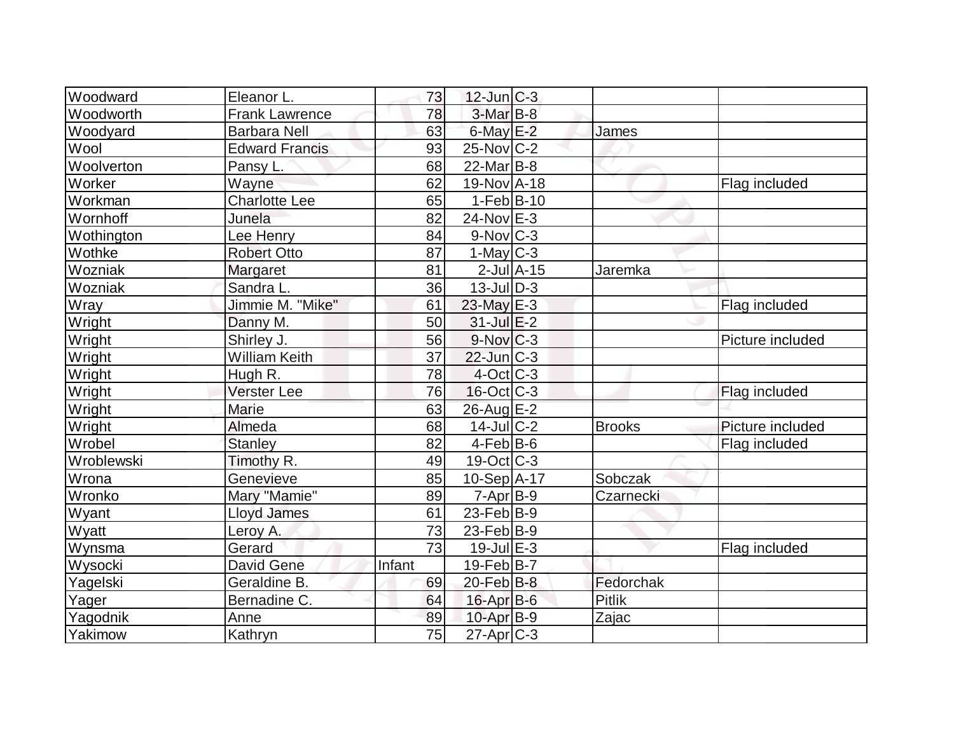| Woodward   | Eleanor L.            | 73     | $12$ -Jun $ C-3 $      |                 |               |                  |
|------------|-----------------------|--------|------------------------|-----------------|---------------|------------------|
| Woodworth  | <b>Frank Lawrence</b> | 78     | $3-Mar$ B-8            |                 |               |                  |
| Woodyard   | <b>Barbara Nell</b>   | 63     | $6$ -May $E-2$         |                 | James         |                  |
| Wool       | <b>Edward Francis</b> | 93     | $25$ -Nov $ C-2 $      |                 |               |                  |
| Woolverton | Pansy L.              | 68     | $22$ -Mar $B-8$        |                 |               |                  |
| Worker     | Wayne                 | 62     | 19-Nov A-18            |                 |               | Flag included    |
| Workman    | <b>Charlotte Lee</b>  | 65     | $1-Feb B-10$           |                 |               |                  |
| Wornhoff   | Junela                | 82     | $24$ -Nov $E-3$        |                 |               |                  |
| Wothington | Lee Henry             | 84     | $9-Nov$ <sub>C-3</sub> |                 |               |                  |
| Wothke     | <b>Robert Otto</b>    | 87     | 1-May $C-3$            |                 |               |                  |
| Wozniak    | Margaret              | 81     |                        | $2$ -Jul $A-15$ | Jaremka       |                  |
| Wozniak    | Sandra L.             | 36     | $13$ -JulD-3           |                 |               |                  |
| Wray       | Jimmie M. "Mike"      | 61     | 23-May E-3             |                 |               | Flag included    |
| Wright     | Danny M.              | 50     | $31$ -Jul $E-2$        |                 |               |                  |
| Wright     | Shirley J.            | 56     | $9-Nov$ <sub>C-3</sub> |                 |               | Picture included |
| Wright     | <b>William Keith</b>  | 37     | $22$ -Jun $ C-3 $      |                 |               |                  |
| Wright     | Hugh R.               | 78     | $4-Oct$ $C-3$          |                 |               |                  |
| Wright     | <b>Verster Lee</b>    | 76     | $16$ -Oct C-3          |                 |               | Flag included    |
| Wright     | Marie                 | 63     | 26-Aug E-2             |                 |               |                  |
| Wright     | Almeda                | 68     | $14$ -JulC-2           |                 | <b>Brooks</b> | Picture included |
| Wrobel     | <b>Stanley</b>        | 82     | $4$ -Feb $ B-6$        |                 |               | Flag included    |
| Wroblewski | Timothy R.            | 49     | $19-Oct$ $C-3$         |                 |               |                  |
| Wrona      | Genevieve             | 85     | $10-Sep$ $A-17$        |                 | Sobczak       |                  |
| Wronko     | Mary "Mamie"          | 89     | $7-Apr$ B-9            |                 | Czarnecki     |                  |
| Wyant      | <b>Lloyd James</b>    | 61     | $23$ -Feb $ B-9$       |                 |               |                  |
| Wyatt      | Leroy A.              | 73     | 23-Feb $ B-9 $         |                 |               |                  |
| Wynsma     | Gerard                | 73     | $19$ -Jul $E-3$        |                 |               | Flag included    |
| Wysocki    | David Gene            | Infant | $19$ -Feb $ B-7$       |                 |               |                  |
| Yagelski   | Geraldine B.          | 69     | $20$ -Feb $B$ -8       |                 | Fedorchak     |                  |
| Yager      | Bernadine C.          | 64     | 16-Apr B-6             |                 | <b>Pitlik</b> |                  |
| Yagodnik   | Anne                  | 89     | $10$ -Apr $B-9$        |                 | Zajac         |                  |
| Yakimow    | Kathryn               | 75     | $27$ -Apr $ C-3 $      |                 |               |                  |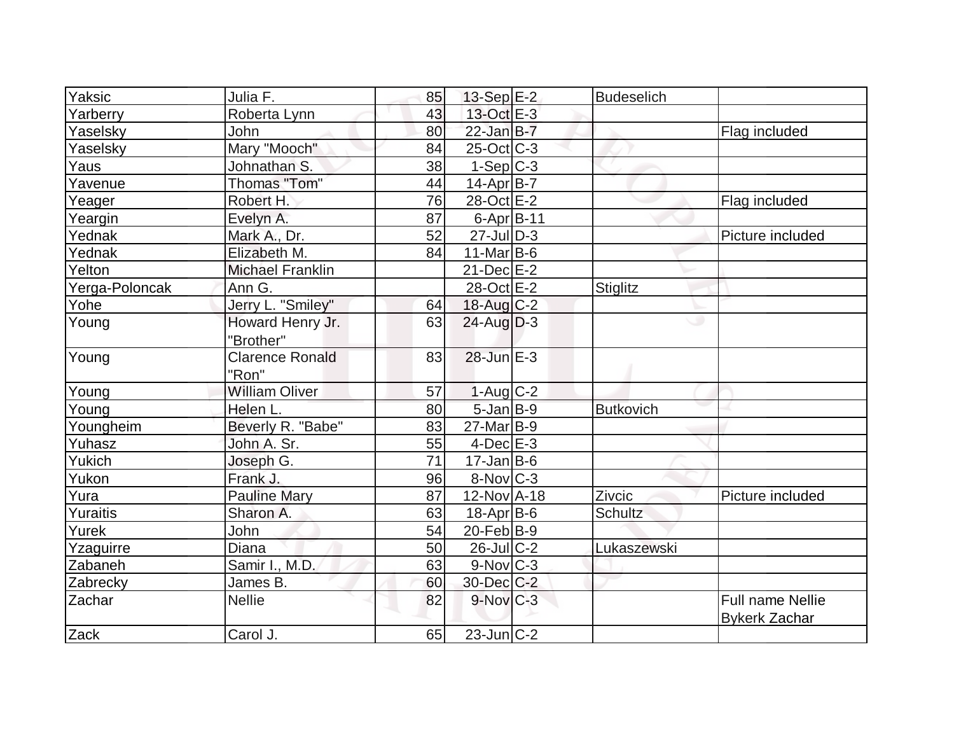| Yaksic         | Julia F.                | 85 | $13-Sep$ $E-2$         | <b>Budeselich</b> |                         |
|----------------|-------------------------|----|------------------------|-------------------|-------------------------|
| Yarberry       | Roberta Lynn            | 43 | 13-Oct E-3             |                   |                         |
| Yaselsky       | John                    | 80 | $22$ -Jan $B-7$        |                   | Flag included           |
| Yaselsky       | Mary "Mooch"            | 84 | $25$ -Oct C-3          |                   |                         |
| Yaus           | Johnathan S.            | 38 | $1-Sep C-3$            |                   |                         |
| Yavenue        | Thomas "Tom"            | 44 | $14$ -Apr $B$ -7       |                   |                         |
| Yeager         | Robert H.               | 76 | 28-Oct E-2             |                   | Flag included           |
| Yeargin        | Evelyn A.               | 87 | $6$ -Apr $B$ -11       |                   |                         |
| Yednak         | Mark A., Dr.            | 52 | $27$ -JulD-3           |                   | Picture included        |
| Yednak         | Elizabeth M.            | 84 | $11$ -Mar $ B-6$       |                   |                         |
| Yelton         | <b>Michael Franklin</b> |    | $21$ -Dec $E-2$        |                   |                         |
| Yerga-Poloncak | Ann G.                  |    | 28-Oct E-2             | <b>Stiglitz</b>   |                         |
| Yohe           | Jerry L. "Smiley"       | 64 | $18$ -Aug C-2          |                   |                         |
| Young          | Howard Henry Jr.        | 63 | $24$ -Aug $D-3$        | ت                 |                         |
|                | "Brother"               |    |                        |                   |                         |
| Young          | <b>Clarence Ronald</b>  | 83 | $28$ -Jun $E-3$        |                   |                         |
|                | "Ron"                   |    |                        |                   |                         |
| Young          | <b>William Oliver</b>   | 57 | $1-Aug$ $C-2$          |                   |                         |
| Young          | Helen L.                | 80 | $5$ -Jan $B-9$         | <b>Butkovich</b>  |                         |
| Youngheim      | Beverly R. "Babe"       | 83 | $27$ -Mar $ B-9 $      |                   |                         |
| Yuhasz         | John A. Sr.             | 55 | $4$ -Dec $E-3$         |                   |                         |
| Yukich         | Joseph G.               | 71 | $17 - Jan$ B-6         |                   |                         |
| Yukon          | Frank J.                | 96 | $8-Nov$ <sub>C-3</sub> |                   |                         |
| Yura           | <b>Pauline Mary</b>     | 87 | 12-Nov A-18            | Zivcic            | Picture included        |
| Yuraitis       | Sharon A.               | 63 | $18$ -Apr $ B$ -6      | Schultz           |                         |
| Yurek          | John                    | 54 | $20$ -Feb $ B-9 $      |                   |                         |
| Yzaguirre      | Diana                   | 50 | 26-Jul C-2             | Lukaszewski       |                         |
| Zabaneh        | Samir I., M.D.          | 63 | $9-Nov$ <sub>C-3</sub> |                   |                         |
| Zabrecky       | James B.                | 60 | 30-Dec C-2             |                   |                         |
| Zachar         | <b>Nellie</b>           | 82 | $9-Nov$ $C-3$          |                   | <b>Full name Nellie</b> |
|                |                         |    |                        |                   | <b>Bykerk Zachar</b>    |
| Zack           | Carol J.                | 65 | $23$ -Jun $ C-2 $      |                   |                         |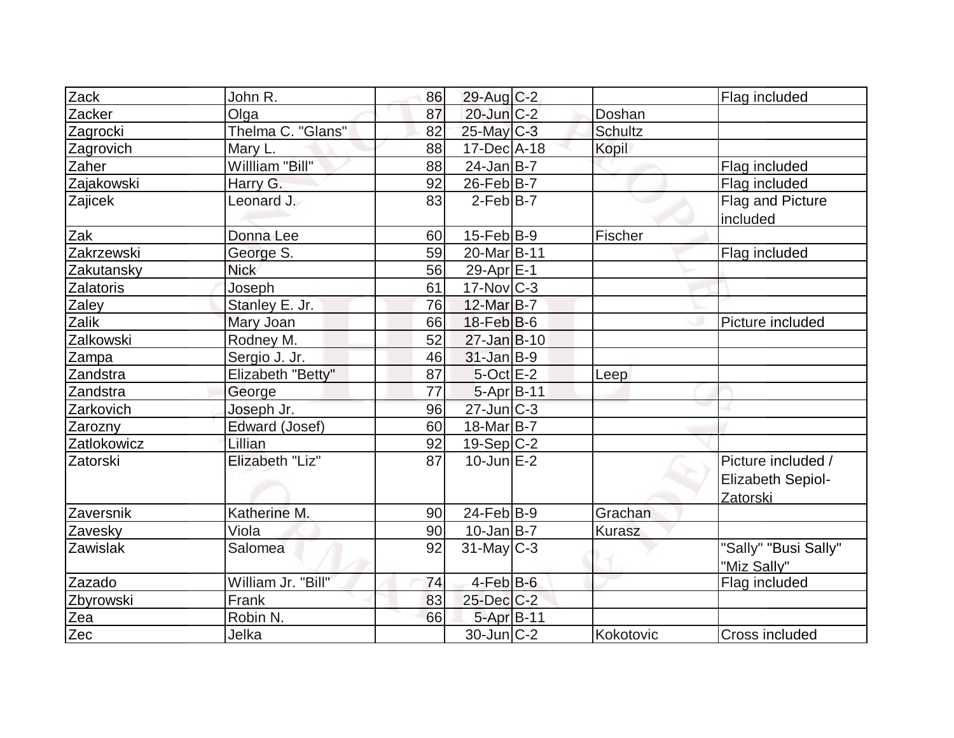| Zack             | John R.            | 86 | 29-Aug C-2        |           | Flag included                                       |
|------------------|--------------------|----|-------------------|-----------|-----------------------------------------------------|
| Zacker           | Olga               | 87 | $20$ -Jun $C-2$   | Doshan    |                                                     |
| Zagrocki         | Thelma C. "Glans"  | 82 | $25$ -May C-3     | Schultz   |                                                     |
| Zagrovich        | Mary L.            | 88 | 17-Dec A-18       | Kopil     |                                                     |
| Zaher            | Willliam "Bill"    | 88 | $24$ -Jan B-7     |           | Flag included                                       |
| Zajakowski       | Harry G.           | 92 | $26$ -Feb $ B-7 $ |           | Flag included                                       |
| Zajicek          | Leonard J.         | 83 | $2$ -Feb $ B-7 $  |           | Flag and Picture<br>included                        |
| Zak              | Donna Lee          | 60 | $15$ -Feb $ B-9 $ | Fischer   |                                                     |
| Zakrzewski       | George S.          | 59 | 20-Mar B-11       |           | Flag included                                       |
| Zakutansky       | <b>Nick</b>        | 56 | 29-Apr E-1        |           |                                                     |
| <b>Zalatoris</b> | Joseph             | 61 | $17$ -Nov $ C-3 $ |           |                                                     |
| Zaley            | Stanley E. Jr.     | 76 | 12-Mar B-7        |           |                                                     |
| Zalik            | Mary Joan          | 66 | $18$ -Feb $ B$ -6 |           | Picture included                                    |
| Zalkowski        | Rodney M.          | 52 | $27 - Jan$ B-10   |           |                                                     |
| Zampa            | Sergio J. Jr.      | 46 | $31$ -Jan B-9     |           |                                                     |
| Zandstra         | Elizabeth "Betty"  | 87 | $5$ -Oct $E-2$    | Leep      |                                                     |
| Zandstra         | George             | 77 | 5-Apr B-11        |           |                                                     |
| Zarkovich        | Joseph Jr.         | 96 | $27$ -Jun $C-3$   |           |                                                     |
| Zarozny          | Edward (Josef)     | 60 | 18-Mar B-7        |           |                                                     |
| Zatlokowicz      | Lillian            | 92 | $19-Sep C-2$      |           |                                                     |
| Zatorski         | Elizabeth "Liz"    | 87 | $10$ -Jun $E-2$   |           | Picture included /<br>Elizabeth Sepiol-<br>Zatorski |
| Zaversnik        | Katherine M.       | 90 | $24$ -Feb $ B-9 $ | Grachan   |                                                     |
| Zavesky          | Viola              | 90 | $10 - Jan$ B-7    | Kurasz    |                                                     |
| Zawislak         | Salomea            | 92 | $31$ -May C-3     |           | "Sally" "Busi Sally"<br>"Miz Sally"                 |
| Zazado           | William Jr. "Bill" | 74 | $4$ -Feb $B$ -6   |           | Flag included                                       |
| Zbyrowski        | Frank              | 83 | $25$ -Dec $C$ -2  |           |                                                     |
| Zea              | Robin N.           | 66 | 5-Apr B-11        |           |                                                     |
| Zec              | Jelka              |    | $30$ -Jun $ C-2 $ | Kokotovic | Cross included                                      |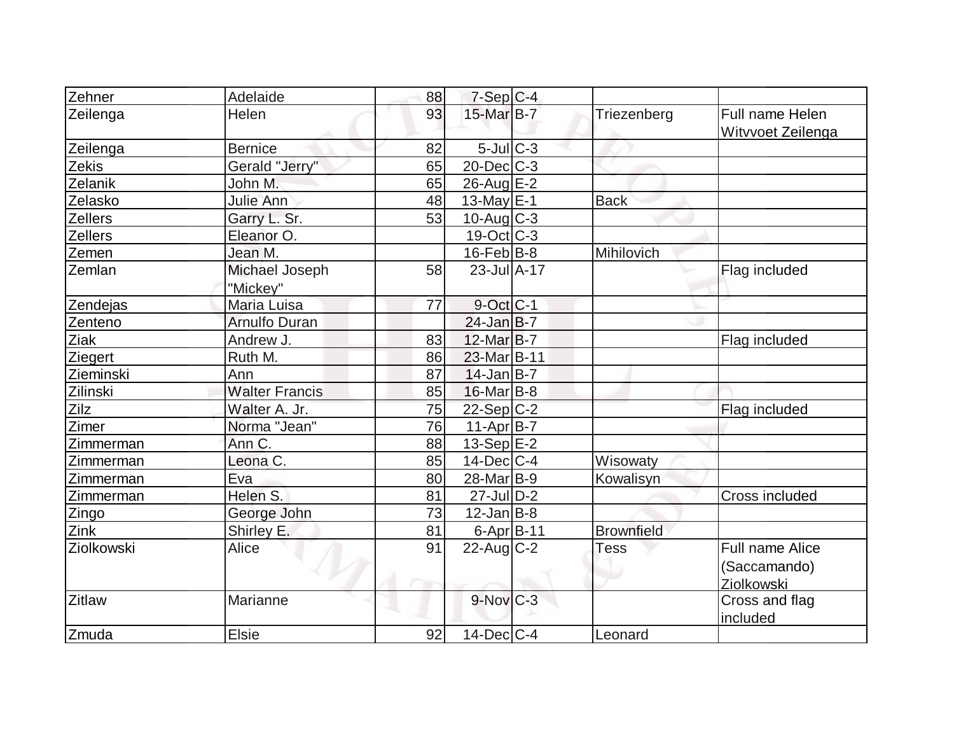| Zehner         | Adelaide                   | 88 | $7-Sep$ C-4           |                   |                                      |
|----------------|----------------------------|----|-----------------------|-------------------|--------------------------------------|
| Zeilenga       | Helen                      | 93 | 15-Mar B-7            | Triezenberg       | Full name Helen<br>Witvvoet Zeilenga |
| Zeilenga       | <b>Bernice</b>             | 82 | $5$ -Jul $C-3$        |                   |                                      |
| Zekis          | Gerald "Jerry"             | 65 | $20$ -Dec $C$ -3      |                   |                                      |
| Zelanik        | John M.                    | 65 | $26$ -Aug $E-2$       |                   |                                      |
| Zelasko        | Julie Ann                  | 48 | $13$ -May $E-1$       | <b>Back</b>       |                                      |
| <b>Zellers</b> | Garry L. Sr.               | 53 | $10$ -Aug $C-3$       |                   |                                      |
| <b>Zellers</b> | Eleanor O.                 |    | $19-Oct$ $C-3$        |                   |                                      |
| Zemen          | Jean M.                    |    | $16$ -Feb $ B-8 $     | Mihilovich        |                                      |
| Zemlan         | Michael Joseph<br>"Mickey" | 58 | $23$ -Jul $A-17$      |                   | Flag included                        |
| Zendejas       | Maria Luisa                | 77 | $9$ -Oct $ C-1 $      |                   |                                      |
| Zenteno        | <b>Arnulfo Duran</b>       |    | $24$ -Jan B-7         |                   |                                      |
| Ziak           | Andrew J.                  | 83 | 12-Mar B-7            |                   | Flag included                        |
| Ziegert        | Ruth M.                    | 86 | 23-Mar B-11           |                   |                                      |
| Zieminski      | Ann                        | 87 | $14$ -Jan B-7         |                   |                                      |
| Zilinski       | <b>Walter Francis</b>      | 85 | $16$ -Mar $B$ -8      |                   |                                      |
| Zilz           | Walter A. Jr.              | 75 | $22-Sep C-2$          |                   | Flag included                        |
| Zimer          | Norma "Jean"               | 76 | $11-Apr B-7$          |                   |                                      |
| Zimmerman      | Ann C.                     | 88 | $13-Sep$ E-2          |                   |                                      |
| Zimmerman      | Leona C.                   | 85 | $14$ -Dec $ C-4$      | Wisowaty          |                                      |
| Zimmerman      | Eva                        | 80 | 28-Mar <sub>B-9</sub> | Kowalisyn         |                                      |
| Zimmerman      | Helen S.                   | 81 | $27$ -Jul $D-2$       |                   | Cross included                       |
| Zingo          | George John                | 73 | $12$ -Jan B-8         |                   |                                      |
| Zink           | Shirley E.                 | 81 | $6 - Apr$ B-11        | <b>Brownfield</b> |                                      |
| Ziolkowski     | Alice                      | 91 | $22$ -Aug $C-2$       | Tess              | <b>Full name Alice</b>               |
|                |                            |    |                       |                   | (Saccamando)                         |
|                |                            |    |                       |                   | <b>Ziolkowski</b>                    |
| <b>Zitlaw</b>  | Marianne                   |    | $9-Nov$ $C-3$         |                   | Cross and flag<br>included           |
| Zmuda          | <b>Elsie</b>               | 92 | $14$ -Dec $ C-4 $     | Leonard           |                                      |